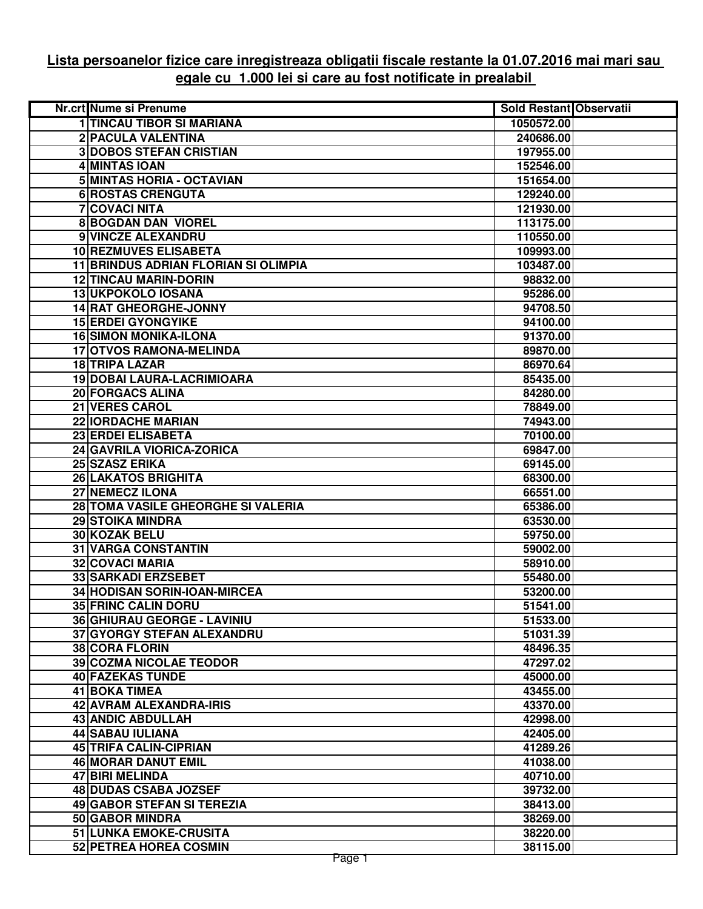## **Lista persoanelor fizice care inregistreaza obligatii fiscale restante la 01.07.2016 mai mari sau egale cu 1.000 lei si care au fost notificate in prealabil**

| Nr.crt Nume si Prenume               | Sold Restant Observatii |  |
|--------------------------------------|-------------------------|--|
| <b>1 TINCAU TIBOR SI MARIANA</b>     | 1050572.00              |  |
| 2 PACULA VALENTINA                   | 240686.00               |  |
| <b>3DOBOS STEFAN CRISTIAN</b>        | 197955.00               |  |
| 4 MINTAS IOAN                        | 152546.00               |  |
| 5 MINTAS HORIA - OCTAVIAN            | 151654.00               |  |
| <b>6 ROSTAS CRENGUTA</b>             | 129240.00               |  |
| <b>7 COVACI NITA</b>                 | 121930.00               |  |
| <b>8 BOGDAN DAN VIOREL</b>           | 113175.00               |  |
| 9 VINCZE ALEXANDRU                   | 110550.00               |  |
| <b>10 REZMUVES ELISABETA</b>         | 109993.00               |  |
| 11 BRINDUS ADRIAN FLORIAN SI OLIMPIA | 103487.00               |  |
| <b>12 TINCAU MARIN-DORIN</b>         | 98832.00                |  |
| <b>13 UKPOKOLO IOSANA</b>            | 95286.00                |  |
| <b>14 RAT GHEORGHE-JONNY</b>         | 94708.50                |  |
| <b>15 ERDEI GYONGYIKE</b>            | 94100.00                |  |
| <b>16 SIMON MONIKA-ILONA</b>         | 91370.00                |  |
| <b>17 OTVOS RAMONA-MELINDA</b>       | 89870.00                |  |
| <b>18 TRIPA LAZAR</b>                | 86970.64                |  |
| 19 DOBAI LAURA-LACRIMIOARA           | 85435.00                |  |
| <b>20 FORGACS ALINA</b>              | 84280.00                |  |
| 21 VERES CAROL                       | 78849.00                |  |
| 22 IORDACHE MARIAN                   | 74943.00                |  |
| 23 ERDEI ELISABETA                   | 70100.00                |  |
| 24 GAVRILA VIORICA-ZORICA            | 69847.00                |  |
| 25 SZASZ ERIKA                       | 69145.00                |  |
| 26 LAKATOS BRIGHITA                  | 68300.00                |  |
| 27 NEMECZ ILONA                      | 66551.00                |  |
| 28 TOMA VASILE GHEORGHE SI VALERIA   | 65386.00                |  |
| <b>29 STOIKA MINDRA</b>              | 63530.00                |  |
| 30 KOZAK BELU                        | 59750.00                |  |
| <b>31 VARGA CONSTANTIN</b>           | 59002.00                |  |
| <b>32 COVACI MARIA</b>               | 58910.00                |  |
| <b>33 SARKADI ERZSEBET</b>           | 55480.00                |  |
| 34 HODISAN SORIN-IOAN-MIRCEA         | 53200.00                |  |
| <b>35 FRINC CALIN DORU</b>           | 51541.00                |  |
| 36 GHIURAU GEORGE - LAVINIU          | 51533.00                |  |
| 37 GYORGY STEFAN ALEXANDRU           | 51031.39                |  |
| <b>38 CORA FLORIN</b>                | 48496.35                |  |
| 39 COZMA NICOLAE TEODOR              | 47297.02                |  |
| 40 FAZEKAS TUNDE                     | 45000.00                |  |
| <b>41 BOKA TIMEA</b>                 | 43455.00                |  |
| 42 AVRAM ALEXANDRA-IRIS              | 43370.00                |  |
| <b>43 ANDIC ABDULLAH</b>             | 42998.00                |  |
| 44 SABAU IULIANA                     | 42405.00                |  |
| 45 TRIFA CALIN-CIPRIAN               | 41289.26                |  |
| 46 MORAR DANUT EMIL                  | 41038.00                |  |
| 47 BIRI MELINDA                      | 40710.00                |  |
| 48 DUDAS CSABA JOZSEF                | 39732.00                |  |
| 49 GABOR STEFAN SI TEREZIA           | 38413.00                |  |
| 50 GABOR MINDRA                      | 38269.00                |  |
| 51 LUNKA EMOKE-CRUSITA               | 38220.00                |  |
| 52 PETREA HOREA COSMIN               | 38115.00                |  |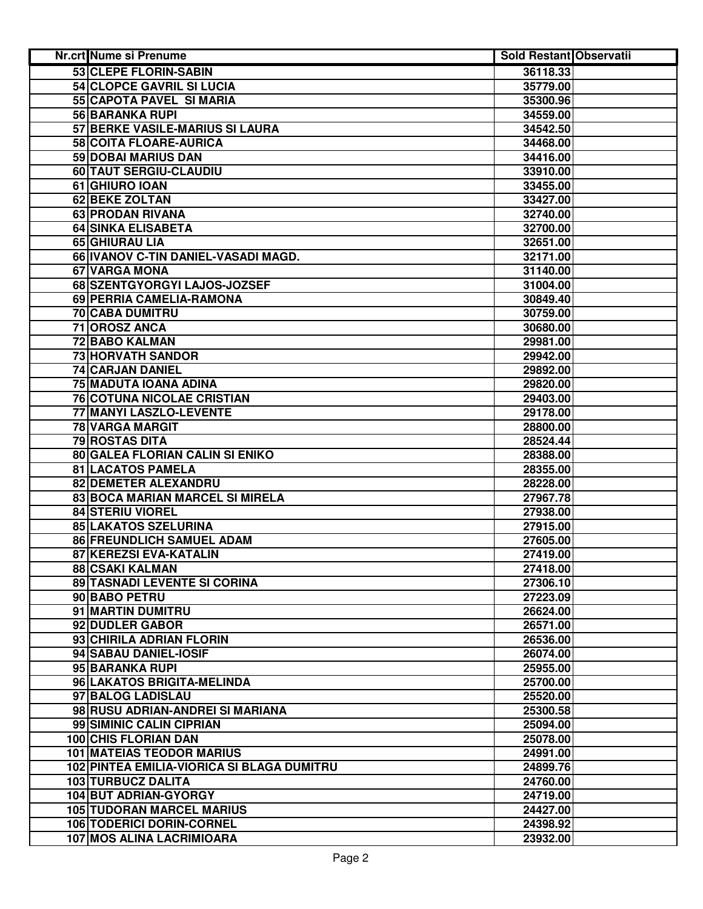| <b>Nr.crt Nume si Prenume</b>              | Sold Restant Observatii |  |
|--------------------------------------------|-------------------------|--|
| 53 CLEPE FLORIN-SABIN                      | 36118.33                |  |
| 54 CLOPCE GAVRIL SI LUCIA                  | 35779.00                |  |
| 55 CAPOTA PAVEL SI MARIA                   | 35300.96                |  |
| 56 BARANKA RUPI                            | 34559.00                |  |
| 57 BERKE VASILE-MARIUS SI LAURA            | 34542.50                |  |
| 58 COITA FLOARE-AURICA                     | 34468.00                |  |
| 59 DOBAI MARIUS DAN                        | 34416.00                |  |
| 60 TAUT SERGIU-CLAUDIU                     | 33910.00                |  |
| 61 GHIURO IOAN                             | 33455.00                |  |
| 62 BEKE ZOLTAN                             | 33427.00                |  |
| 63 PRODAN RIVANA                           | 32740.00                |  |
| <b>64 SINKA ELISABETA</b>                  | 32700.00                |  |
| 65 GHIURAU LIA                             | 32651.00                |  |
| 66 IVANOV C-TIN DANIEL-VASADI MAGD.        | 32171.00                |  |
| 67 VARGA MONA                              | 31140.00                |  |
| 68 SZENTGYORGYI LAJOS-JOZSEF               | 31004.00                |  |
| 69 PERRIA CAMELIA-RAMONA                   | 30849.40                |  |
| <b>70 CABA DUMITRU</b>                     | 30759.00                |  |
| 71 OROSZ ANCA                              | 30680.00                |  |
| <b>72 BABO KALMAN</b>                      | 29981.00                |  |
| <b>73 HORVATH SANDOR</b>                   | 29942.00                |  |
| <b>74 CARJAN DANIEL</b>                    | 29892.00                |  |
| <b>75 MADUTA IOANA ADINA</b>               | 29820.00                |  |
| <b>76 COTUNA NICOLAE CRISTIAN</b>          | 29403.00                |  |
| 77 MANYI LASZLO-LEVENTE                    | 29178.00                |  |
| <b>78 VARGA MARGIT</b>                     | 28800.00                |  |
| 79 ROSTAS DITA                             | 28524.44                |  |
| 80 GALEA FLORIAN CALIN SI ENIKO            | 28388.00                |  |
| 81 LACATOS PAMELA                          | 28355.00                |  |
| 82 DEMETER ALEXANDRU                       | 28228.00                |  |
| 83 BOCA MARIAN MARCEL SI MIRELA            | 27967.78                |  |
| 84 STERIU VIOREL                           | 27938.00                |  |
| 85 LAKATOS SZELURINA                       | 27915.00                |  |
| 86 FREUNDLICH SAMUEL ADAM                  | 27605.00                |  |
| 87 KEREZSI EVA-KATALIN                     | 27419.00                |  |
| 88 CSAKI KALMAN                            | 27418.00                |  |
| 89 TASNADI LEVENTE SI CORINA               | 27306.10                |  |
| 90 BABO PETRU                              | 27223.09                |  |
| 91 MARTIN DUMITRU                          | 26624.00                |  |
| 92 DUDLER GABOR                            | 26571.00                |  |
| 93 CHIRILA ADRIAN FLORIN                   | 26536.00                |  |
| 94 SABAU DANIEL-IOSIF                      | 26074.00                |  |
| 95 BARANKA RUPI                            | 25955.00                |  |
| 96 LAKATOS BRIGITA-MELINDA                 | 25700.00                |  |
| 97 BALOG LADISLAU                          | 25520.00                |  |
| 98 RUSU ADRIAN-ANDREI SI MARIANA           | 25300.58                |  |
| 99 SIMINIC CALIN CIPRIAN                   | 25094.00                |  |
| <b>100 CHIS FLORIAN DAN</b>                | 25078.00                |  |
| <b>101 MATEIAS TEODOR MARIUS</b>           | 24991.00                |  |
| 102 PINTEA EMILIA-VIORICA SI BLAGA DUMITRU | 24899.76                |  |
| 103 TURBUCZ DALITA                         | 24760.00                |  |
| 104 BUT ADRIAN-GYORGY                      | 24719.00                |  |
| <b>105 TUDORAN MARCEL MARIUS</b>           | 24427.00                |  |
| 106 TODERICI DORIN-CORNEL                  | 24398.92                |  |
| 107 MOS ALINA LACRIMIOARA                  | 23932.00                |  |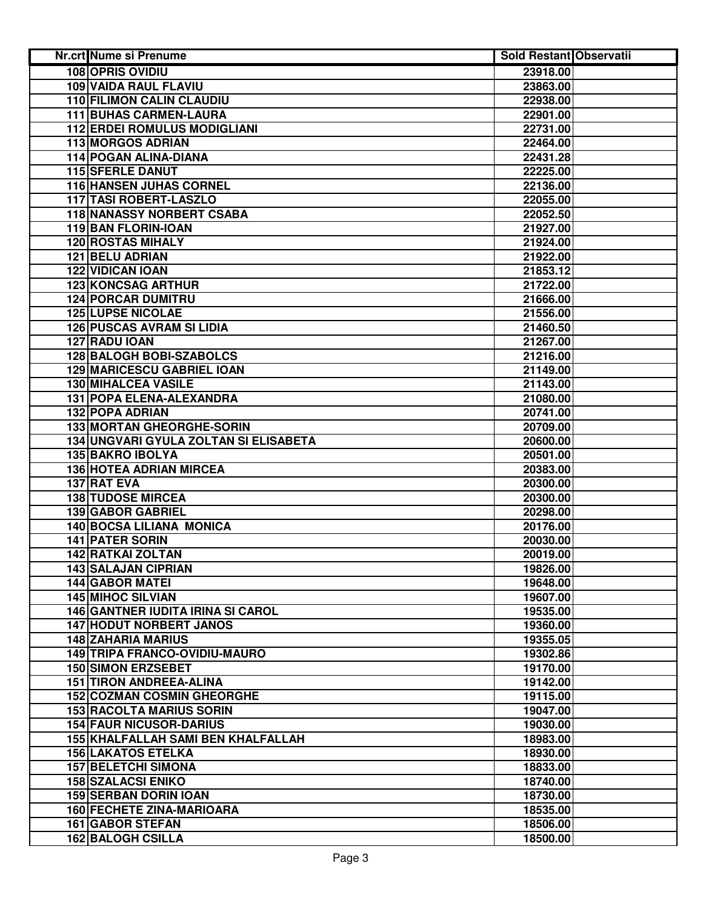| <b>Nr.crt Nume si Prenume</b>            | <b>Sold Restant Observatii</b> |  |
|------------------------------------------|--------------------------------|--|
| <b>108 OPRIS OVIDIU</b>                  | 23918.00                       |  |
| <b>109 VAIDA RAUL FLAVIU</b>             | 23863.00                       |  |
| <b>110 FILIMON CALIN CLAUDIU</b>         | 22938.00                       |  |
| <b>111 BUHAS CARMEN-LAURA</b>            | 22901.00                       |  |
| <b>112 ERDEI ROMULUS MODIGLIANI</b>      | 22731.00                       |  |
| 113 MORGOS ADRIAN                        | 22464.00                       |  |
| 114 POGAN ALINA-DIANA                    | 22431.28                       |  |
| <b>115 SFERLE DANUT</b>                  | 22225.00                       |  |
| 116 HANSEN JUHAS CORNEL                  | 22136.00                       |  |
| 117 TASI ROBERT-LASZLO                   | 22055.00                       |  |
| <b>118 NANASSY NORBERT CSABA</b>         | 22052.50                       |  |
| 119 BAN FLORIN-IOAN                      | 21927.00                       |  |
| <b>120 ROSTAS MIHALY</b>                 | 21924.00                       |  |
| 121 BELU ADRIAN                          | 21922.00                       |  |
| <b>122 VIDICAN IOAN</b>                  | 21853.12                       |  |
| <b>123 KONCSAG ARTHUR</b>                | 21722.00                       |  |
| <b>124 PORCAR DUMITRU</b>                | 21666.00                       |  |
| <b>125 LUPSE NICOLAE</b>                 | 21556.00                       |  |
| <b>126 PUSCAS AVRAM SI LIDIA</b>         | 21460.50                       |  |
| 127 RADU JOAN                            | 21267.00                       |  |
| <b>128 BALOGH BOBI-SZABOLCS</b>          | 21216.00                       |  |
| <b>129 MARICESCU GABRIEL IOAN</b>        | 21149.00                       |  |
| <b>130 MIHALCEA VASILE</b>               | 21143.00                       |  |
| 131 POPA ELENA-ALEXANDRA                 | 21080.00                       |  |
| <b>132 POPA ADRIAN</b>                   | 20741.00                       |  |
| <b>133 MORTAN GHEORGHE-SORIN</b>         | 20709.00                       |  |
| 134 UNGVARI GYULA ZOLTAN SI ELISABETA    | 20600.00                       |  |
| 135 BAKRO IBOLYA                         | 20501.00                       |  |
| <b>136 HOTEA ADRIAN MIRCEA</b>           | 20383.00                       |  |
| 137 RAT EVA                              | 20300.00                       |  |
| <b>138 TUDOSE MIRCEA</b>                 | 20300.00                       |  |
| 139 GABOR GABRIEL                        | 20298.00                       |  |
| <b>140 BOCSA LILIANA MONICA</b>          | 20176.00                       |  |
| <b>141 PATER SORIN</b>                   | 20030.00                       |  |
| 142 RATKAI ZOLTAN                        | 20019.00                       |  |
| 143 SALAJAN CIPRIAN                      | 19826.00                       |  |
| <b>144 GABOR MATEI</b>                   | 19648.00                       |  |
| <b>145 MIHOC SILVIAN</b>                 | 19607.00                       |  |
| <b>146 GANTNER IUDITA IRINA SI CAROL</b> | 19535.00                       |  |
| <b>147 HODUT NORBERT JANOS</b>           | 19360.00                       |  |
| <b>148 ZAHARIA MARIUS</b>                | 19355.05                       |  |
| <b>149 TRIPA FRANCO-OVIDIU-MAURO</b>     | 19302.86                       |  |
| <b>150 SIMON ERZSEBET</b>                | 19170.00                       |  |
| <b>151 TIRON ANDREEA-ALINA</b>           | 19142.00                       |  |
| <b>152 COZMAN COSMIN GHEORGHE</b>        | 19115.00                       |  |
| <b>153 RACOLTA MARIUS SORIN</b>          | 19047.00                       |  |
| <b>154 FAUR NICUSOR-DARIUS</b>           | 19030.00                       |  |
| 155 KHALFALLAH SAMI BEN KHALFALLAH       | 18983.00                       |  |
| <b>156 LAKATOS ETELKA</b>                | 18930.00                       |  |
| <b>157 BELETCHI SIMONA</b>               | 18833.00                       |  |
| <b>158 SZALACSI ENIKO</b>                | 18740.00                       |  |
| <b>159 SERBAN DORIN IOAN</b>             | 18730.00                       |  |
| 160 FECHETE ZINA-MARIOARA                | 18535.00                       |  |
| <b>161 GABOR STEFAN</b>                  | 18506.00                       |  |
| <b>162 BALOGH CSILLA</b>                 | 18500.00                       |  |
|                                          |                                |  |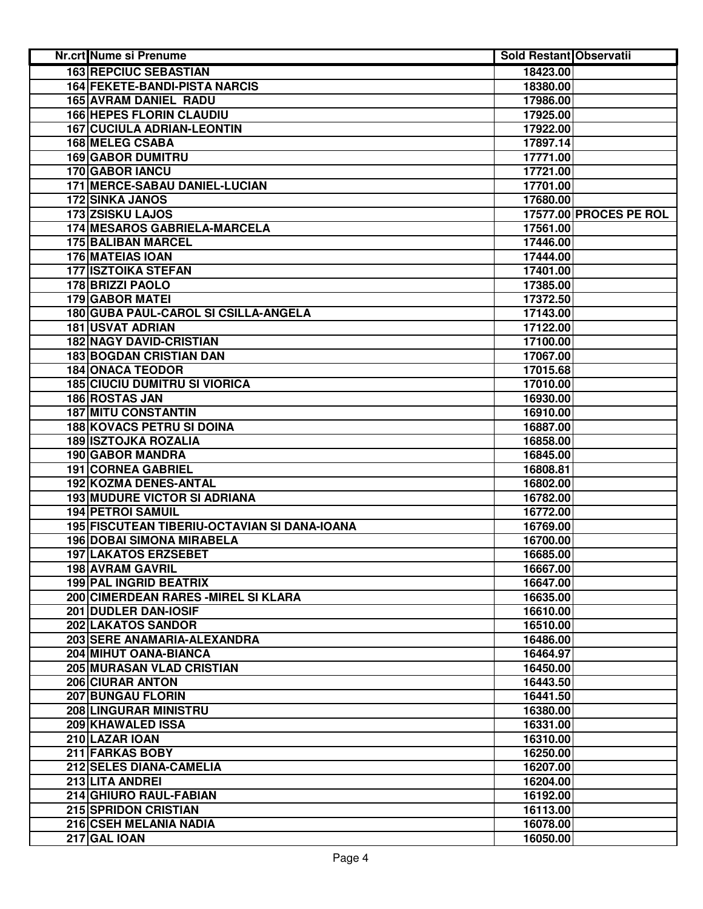| <b>Nr.crt Nume si Prenume</b>                | Sold Restant Observatii |                        |
|----------------------------------------------|-------------------------|------------------------|
| <b>163 REPCIUC SEBASTIAN</b>                 | 18423.00                |                        |
| <b>164 FEKETE-BANDI-PISTA NARCIS</b>         | 18380.00                |                        |
| 165 AVRAM DANIEL RADU                        | 17986.00                |                        |
| <b>166 HEPES FLORIN CLAUDIU</b>              | 17925.00                |                        |
| <b>167 CUCIULA ADRIAN-LEONTIN</b>            | 17922.00                |                        |
| 168 MELEG CSABA                              | 17897.14                |                        |
| <b>169 GABOR DUMITRU</b>                     | 17771.00                |                        |
| 170 GABOR IANCU                              | 17721.00                |                        |
| 171 MERCE-SABAU DANIEL-LUCIAN                | 17701.00                |                        |
| <b>172 SINKA JANOS</b>                       | 17680.00                |                        |
| 173 ZSISKU LAJOS                             |                         | 17577.00 PROCES PE ROL |
| 174 MESAROS GABRIELA-MARCELA                 | 17561.00                |                        |
| <b>175 BALIBAN MARCEL</b>                    | 17446.00                |                        |
| <b>176 MATEIAS IOAN</b>                      | 17444.00                |                        |
| <b>177 ISZTOIKA STEFAN</b>                   | 17401.00                |                        |
| 178 BRIZZI PAOLO                             | 17385.00                |                        |
| <b>179 GABOR MATEI</b>                       | 17372.50                |                        |
| 180 GUBA PAUL-CAROL SI CSILLA-ANGELA         | 17143.00                |                        |
| <b>181 USVAT ADRIAN</b>                      | 17122.00                |                        |
| <b>182 NAGY DAVID-CRISTIAN</b>               | 17100.00                |                        |
| <b>183 BOGDAN CRISTIAN DAN</b>               | 17067.00                |                        |
| <b>184 ONACA TEODOR</b>                      | 17015.68                |                        |
| <b>185 CIUCIU DUMITRU SI VIORICA</b>         | 17010.00                |                        |
| <b>186 ROSTAS JAN</b>                        | 16930.00                |                        |
| <b>187 MITU CONSTANTIN</b>                   | 16910.00                |                        |
| <b>188 KOVACS PETRU SI DOINA</b>             | 16887.00                |                        |
| <b>189 ISZTOJKA ROZALIA</b>                  | 16858.00                |                        |
| 190 GABOR MANDRA                             | 16845.00                |                        |
| 191 CORNEA GABRIEL                           | 16808.81                |                        |
| 192 KOZMA DENES-ANTAL                        | 16802.00                |                        |
| <b>193 MUDURE VICTOR SI ADRIANA</b>          | 16782.00                |                        |
| <b>194 PETROI SAMUIL</b>                     | 16772.00                |                        |
| 195 FISCUTEAN TIBERIU-OCTAVIAN SI DANA-IOANA | 16769.00                |                        |
| <b>196 DOBAI SIMONA MIRABELA</b>             | 16700.00                |                        |
| <b>197 LAKATOS ERZSEBET</b>                  | 16685.00                |                        |
| 198 AVRAM GAVRIL                             | 16667.00                |                        |
| 199 PAL INGRID BEATRIX                       | 16647.00                |                        |
| 200 CIMERDEAN RARES - MIREL SI KLARA         | 16635.00                |                        |
| 201 DUDLER DAN-IOSIF                         | 16610.00                |                        |
| 202 LAKATOS SANDOR                           | 16510.00                |                        |
| 203 SERE ANAMARIA-ALEXANDRA                  | 16486.00                |                        |
| 204 MIHUT OANA-BIANCA                        | 16464.97                |                        |
| 205 MURASAN VLAD CRISTIAN                    | 16450.00                |                        |
| 206 CIURAR ANTON                             | 16443.50                |                        |
| 207 BUNGAU FLORIN                            | 16441.50                |                        |
| <b>208 LINGURAR MINISTRU</b>                 | 16380.00                |                        |
| 209 KHAWALED ISSA                            | 16331.00                |                        |
| 210 LAZAR IOAN                               | 16310.00                |                        |
| 211 FARKAS BOBY                              | 16250.00                |                        |
| 212 SELES DIANA-CAMELIA                      | 16207.00                |                        |
| 213 LITA ANDREI                              | 16204.00                |                        |
| 214 GHIURO RAUL-FABIAN                       | 16192.00                |                        |
| <b>215 SPRIDON CRISTIAN</b>                  | 16113.00                |                        |
| 216 CSEH MELANIA NADIA                       | 16078.00                |                        |
| 217 GAL IOAN                                 | 16050.00                |                        |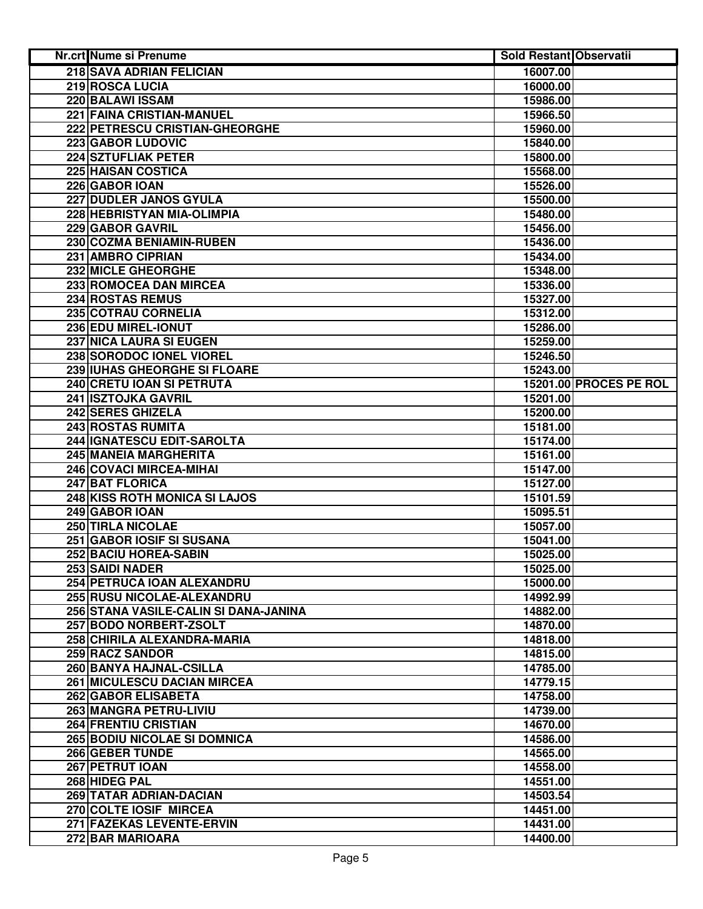| Nr.crt Nume si Prenume                | <b>Sold Restant Observatii</b> |                        |
|---------------------------------------|--------------------------------|------------------------|
| 218 SAVA ADRIAN FELICIAN              | 16007.00                       |                        |
| 219 ROSCA LUCIA                       | 16000.00                       |                        |
| 220 BALAWI ISSAM                      | 15986.00                       |                        |
| 221 FAINA CRISTIAN-MANUEL             | 15966.50                       |                        |
| 222 PETRESCU CRISTIAN-GHEORGHE        | 15960.00                       |                        |
| 223 GABOR LUDOVIC                     | 15840.00                       |                        |
| 224 SZTUFLIAK PETER                   | 15800.00                       |                        |
| <b>225 HAISAN COSTICA</b>             | 15568.00                       |                        |
| 226 GABOR IOAN                        | 15526.00                       |                        |
| 227 DUDLER JANOS GYULA                | 15500.00                       |                        |
| 228 HEBRISTYAN MIA-OLIMPIA            | 15480.00                       |                        |
| 229 GABOR GAVRIL                      | 15456.00                       |                        |
| 230 COZMA BENIAMIN-RUBEN              | 15436.00                       |                        |
| 231 AMBRO CIPRIAN                     | 15434.00                       |                        |
| 232 MICLE GHEORGHE                    | 15348.00                       |                        |
| 233 ROMOCEA DAN MIRCEA                | 15336.00                       |                        |
| 234 ROSTAS REMUS                      | 15327.00                       |                        |
| 235 COTRAU CORNELIA                   | 15312.00                       |                        |
| 236 EDU MIREL-IONUT                   | 15286.00                       |                        |
| 237 NICA LAURA SI EUGEN               | 15259.00                       |                        |
| 238 SORODOC IONEL VIOREL              | 15246.50                       |                        |
| 239 IUHAS GHEORGHE SI FLOARE          | 15243.00                       |                        |
| 240 CRETU IOAN SI PETRUTA             |                                | 15201.00 PROCES PE ROL |
| 241 ISZTOJKA GAVRIL                   | 15201.00                       |                        |
| <b>242 SERES GHIZELA</b>              | 15200.00                       |                        |
| <b>243 ROSTAS RUMITA</b>              | 15181.00                       |                        |
| 244 IGNATESCU EDIT-SAROLTA            | 15174.00                       |                        |
| 245 MANEIA MARGHERITA                 | 15161.00                       |                        |
| 246 COVACI MIRCEA-MIHAI               | 15147.00                       |                        |
| 247 BAT FLORICA                       | 15127.00                       |                        |
| 248 KISS ROTH MONICA SI LAJOS         | 15101.59                       |                        |
| 249 GABOR IOAN                        | 15095.51                       |                        |
| 250 TIRLA NICOLAE                     | 15057.00                       |                        |
| 251 GABOR IOSIF SI SUSANA             | 15041.00                       |                        |
| 252 BACIU HOREA-SABIN                 | 15025.00                       |                        |
| 253 SAIDI NADER                       | 15025.00                       |                        |
| 254 PETRUCA IOAN ALEXANDRU            | 15000.00                       |                        |
| 255 RUSU NICOLAE-ALEXANDRU            | 14992.99                       |                        |
| 256 STANA VASILE-CALIN SI DANA-JANINA | 14882.00                       |                        |
| 257 BODO NORBERT-ZSOLT                | 14870.00                       |                        |
| 258 CHIRILA ALEXANDRA-MARIA           | 14818.00                       |                        |
| <b>259 RACZ SANDOR</b>                | 14815.00                       |                        |
| 260 BANYA HAJNAL-CSILLA               | 14785.00                       |                        |
| <b>261 MICULESCU DACIAN MIRCEA</b>    | 14779.15                       |                        |
| 262 GABOR ELISABETA                   | 14758.00                       |                        |
| 263 MANGRA PETRU-LIVIU                | 14739.00                       |                        |
| <b>264 FRENTIU CRISTIAN</b>           | 14670.00                       |                        |
| <b>265 BODIU NICOLAE SI DOMNICA</b>   | 14586.00                       |                        |
| 266 GEBER TUNDE                       | 14565.00                       |                        |
| 267 PETRUT IOAN                       | 14558.00                       |                        |
| 268 HIDEG PAL                         | 14551.00                       |                        |
| 269 TATAR ADRIAN-DACIAN               | 14503.54                       |                        |
| 270 COLTE IOSIF MIRCEA                | 14451.00                       |                        |
| 271 FAZEKAS LEVENTE-ERVIN             | 14431.00                       |                        |
| 272 BAR MARIOARA                      | 14400.00                       |                        |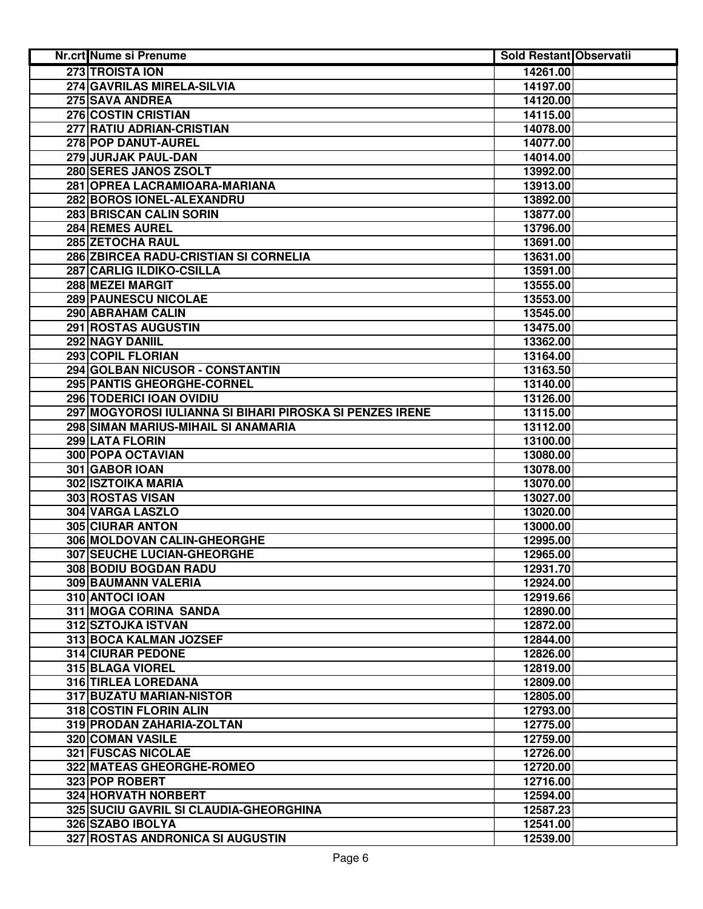| Nr.crt Nume si Prenume                                   | <b>Sold Restant Observatii</b> |  |
|----------------------------------------------------------|--------------------------------|--|
| 273 TROISTA ION                                          | 14261.00                       |  |
| 274 GAVRILAS MIRELA-SILVIA                               | 14197.00                       |  |
| 275 SAVA ANDREA                                          | 14120.00                       |  |
| 276 COSTIN CRISTIAN                                      | 14115.00                       |  |
| 277 RATIU ADRIAN-CRISTIAN                                | 14078.00                       |  |
| 278 POP DANUT-AUREL                                      | 14077.00                       |  |
| 279 JURJAK PAUL-DAN                                      | 14014.00                       |  |
| 280 SERES JANOS ZSOLT                                    | 13992.00                       |  |
| 281 OPREA LACRAMIOARA-MARIANA                            | 13913.00                       |  |
| 282 BOROS IONEL-ALEXANDRU                                | 13892.00                       |  |
| 283 BRISCAN CALIN SORIN                                  | 13877.00                       |  |
| 284 REMES AUREL                                          | 13796.00                       |  |
| 285 ZETOCHA RAUL                                         | 13691.00                       |  |
| 286 ZBIRCEA RADU-CRISTIAN SI CORNELIA                    | 13631.00                       |  |
| 287 CARLIG ILDIKO-CSILLA                                 | 13591.00                       |  |
| 288 MEZEI MARGIT                                         | 13555.00                       |  |
| 289 PAUNESCU NICOLAE                                     | 13553.00                       |  |
| 290 ABRAHAM CALIN                                        | 13545.00                       |  |
| 291 ROSTAS AUGUSTIN                                      | 13475.00                       |  |
| 292 NAGY DANIIL                                          | 13362.00                       |  |
| <b>293 COPIL FLORIAN</b>                                 | 13164.00                       |  |
| 294 GOLBAN NICUSOR - CONSTANTIN                          | 13163.50                       |  |
| 295 PANTIS GHEORGHE-CORNEL                               | 13140.00                       |  |
| <b>296 TODERICI IOAN OVIDIU</b>                          | 13126.00                       |  |
| 297 MOGYOROSI IULIANNA SI BIHARI PIROSKA SI PENZES IRENE | 13115.00                       |  |
| 298 SIMAN MARIUS-MIHAIL SI ANAMARIA                      | 13112.00                       |  |
| 299 LATA FLORIN                                          | 13100.00                       |  |
| 300 POPA OCTAVIAN                                        | 13080.00                       |  |
| 301 GABOR IOAN                                           | 13078.00                       |  |
| 302 ISZTOIKA MARIA                                       | 13070.00                       |  |
| 303 ROSTAS VISAN                                         | 13027.00                       |  |
| 304 VARGA LASZLO                                         | 13020.00                       |  |
| <b>305 CIURAR ANTON</b>                                  | 13000.00                       |  |
| 306 MOLDOVAN CALIN-GHEORGHE                              | 12995.00                       |  |
| <b>307 SEUCHE LUCIAN-GHEORGHE</b>                        | 12965.00                       |  |
| 308 BODIU BOGDAN RADU                                    | 12931.70                       |  |
| 309 BAUMANN VALERIA                                      | 12924.00                       |  |
| 310 ANTOCI IOAN                                          | 12919.66                       |  |
| 311 MOGA CORINA SANDA                                    | 12890.00                       |  |
| 312 SZTOJKA ISTVAN                                       | 12872.00                       |  |
| 313 BOCA KALMAN JOZSEF                                   | 12844.00                       |  |
| <b>314 CIURAR PEDONE</b>                                 | 12826.00                       |  |
| 315 BLAGA VIOREL                                         | 12819.00                       |  |
| 316 TIRLEA LOREDANA                                      | 12809.00                       |  |
| 317 BUZATU MARIAN-NISTOR                                 | 12805.00                       |  |
| 318 COSTIN FLORIN ALIN                                   | 12793.00                       |  |
| 319 PRODAN ZAHARIA-ZOLTAN                                | 12775.00                       |  |
| 320 COMAN VASILE                                         | 12759.00                       |  |
| <b>321 FUSCAS NICOLAE</b>                                | 12726.00                       |  |
| 322 MATEAS GHEORGHE-ROMEO                                | 12720.00                       |  |
| 323 POP ROBERT                                           | 12716.00                       |  |
| 324 HORVATH NORBERT                                      | 12594.00                       |  |
| 325 SUCIU GAVRIL SI CLAUDIA-GHEORGHINA                   | 12587.23                       |  |
| 326 SZABO IBOLYA                                         | 12541.00                       |  |
| 327 ROSTAS ANDRONICA SI AUGUSTIN                         | 12539.00                       |  |
|                                                          |                                |  |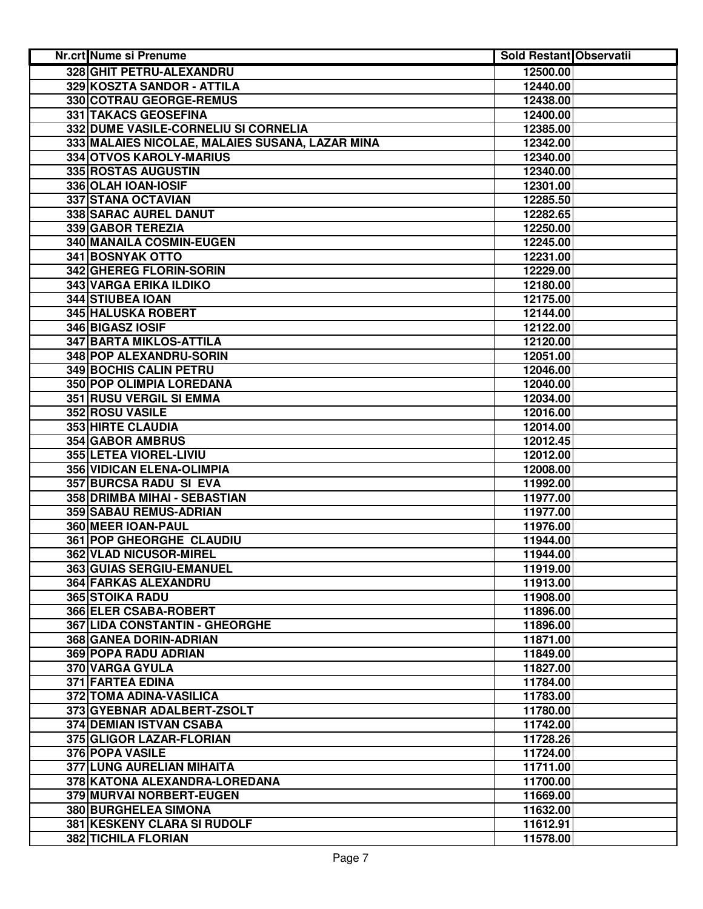| <b>Nr.crt Nume si Prenume</b>                   | Sold Restant Observatii |  |
|-------------------------------------------------|-------------------------|--|
| 328 GHIT PETRU-ALEXANDRU                        | 12500.00                |  |
| 329 KOSZTA SANDOR - ATTILA                      | 12440.00                |  |
| 330 COTRAU GEORGE-REMUS                         | 12438.00                |  |
| 331 TAKACS GEOSEFINA                            | 12400.00                |  |
| 332 DUME VASILE-CORNELIU SI CORNELIA            | 12385.00                |  |
| 333 MALAIES NICOLAE, MALAIES SUSANA, LAZAR MINA | 12342.00                |  |
| 334 OTVOS KAROLY-MARIUS                         | 12340.00                |  |
| 335 ROSTAS AUGUSTIN                             | 12340.00                |  |
| 336 OLAH IOAN-IOSIF                             | 12301.00                |  |
| 337 STANA OCTAVIAN                              | 12285.50                |  |
| 338 SARAC AUREL DANUT                           | 12282.65                |  |
| 339 GABOR TEREZIA                               | 12250.00                |  |
| 340 MANAILA COSMIN-EUGEN                        | 12245.00                |  |
| 341 BOSNYAK OTTO                                | 12231.00                |  |
| 342 GHEREG FLORIN-SORIN                         | 12229.00                |  |
| 343 VARGA ERIKA ILDIKO                          | 12180.00                |  |
| 344 STIUBEA IOAN                                | 12175.00                |  |
| 345 HALUSKA ROBERT                              | 12144.00                |  |
| 346 BIGASZ IOSIF                                | 12122.00                |  |
| <b>347 BARTA MIKLOS-ATTILA</b>                  | 12120.00                |  |
| 348 POP ALEXANDRU-SORIN                         | 12051.00                |  |
| <b>349 BOCHIS CALIN PETRU</b>                   | 12046.00                |  |
| 350 POP OLIMPIA LOREDANA                        | 12040.00                |  |
| <b>351 RUSU VERGIL SI EMMA</b>                  | 12034.00                |  |
| 352 ROSU VASILE                                 | 12016.00                |  |
| <b>353 HIRTE CLAUDIA</b>                        | 12014.00                |  |
| <b>354 GABOR AMBRUS</b>                         | 12012.45                |  |
| 355 LETEA VIOREL-LIVIU                          | 12012.00                |  |
| 356 VIDICAN ELENA-OLIMPIA                       | 12008.00                |  |
| 357 BURCSA RADU SI EVA                          | 11992.00                |  |
| 358 DRIMBA MIHAI - SEBASTIAN                    | 11977.00                |  |
| 359 SABAU REMUS-ADRIAN                          | 11977.00                |  |
| 360 MEER IOAN-PAUL                              | 11976.00                |  |
| 361 POP GHEORGHE CLAUDIU                        | 11944.00                |  |
| 362 VLAD NICUSOR-MIREL                          | 11944.00                |  |
| 363 GUIAS SERGIU-EMANUEL                        | 11919.00                |  |
| 364 FARKAS ALEXANDRU                            | 11913.00                |  |
| <b>365 STOIKA RADU</b>                          | 11908.00                |  |
| 366 ELER CSABA-ROBERT                           | 11896.00                |  |
| 367 LIDA CONSTANTIN - GHEORGHE                  | 11896.00                |  |
| 368 GANEA DORIN-ADRIAN                          | 11871.00                |  |
| <b>369 POPA RADU ADRIAN</b>                     | 11849.00                |  |
| 370 VARGA GYULA                                 | 11827.00                |  |
| 371 FARTEA EDINA                                | 11784.00                |  |
| 372 TOMA ADINA-VASILICA                         | 11783.00                |  |
| 373 GYEBNAR ADALBERT-ZSOLT                      | 11780.00                |  |
| 374 DEMIAN ISTVAN CSABA                         | 11742.00                |  |
| 375 GLIGOR LAZAR-FLORIAN                        | 11728.26                |  |
| 376 POPA VASILE                                 | 11724.00                |  |
| 377 LUNG AURELIAN MIHAITA                       | 11711.00                |  |
| 378 KATONA ALEXANDRA-LOREDANA                   | 11700.00                |  |
| 379 MURVAI NORBERT-EUGEN                        | 11669.00                |  |
| 380 BURGHELEA SIMONA                            | 11632.00                |  |
| 381 KESKENY CLARA SI RUDOLF                     | 11612.91                |  |
| <b>382 TICHILA FLORIAN</b>                      | 11578.00                |  |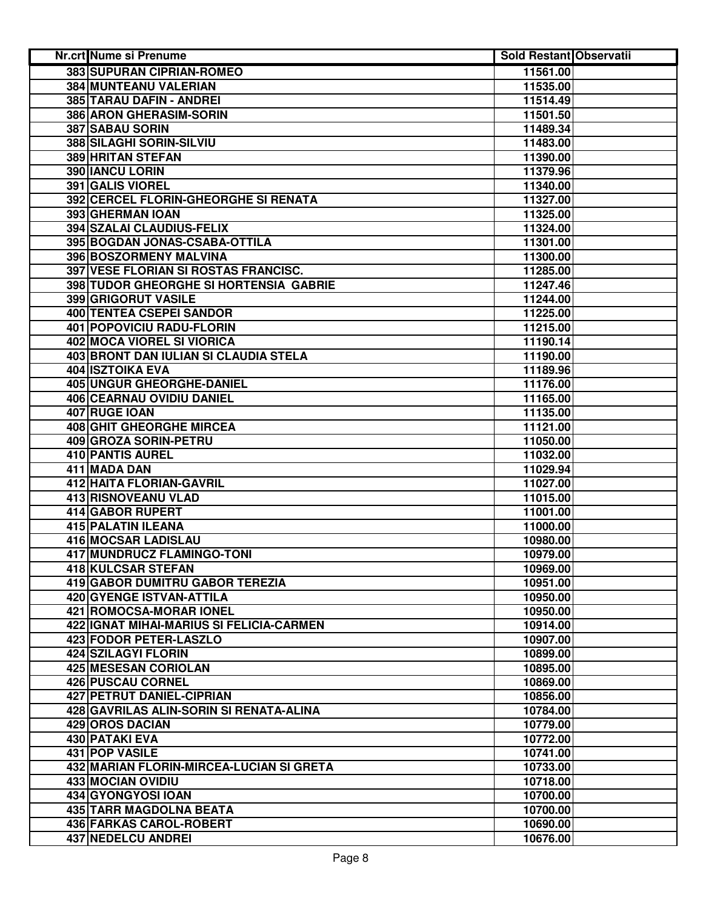| <b>383 SUPURAN CIPRIAN-ROMEO</b><br>11561.00<br>384 MUNTEANU VALERIAN<br>11535.00<br>385 TARAU DAFIN - ANDREI<br>11514.49<br>386 ARON GHERASIM-SORIN<br>11501.50<br>387 SABAU SORIN<br>11489.34<br>388 SILAGHI SORIN-SILVIU<br>11483.00<br>389 HRITAN STEFAN<br>11390.00<br>390 IANCU LORIN<br>11379.96<br><b>391 GALIS VIOREL</b><br>11340.00<br>392 CERCEL FLORIN-GHEORGHE SI RENATA<br>11327.00<br>393 GHERMAN IOAN<br>11325.00<br>394 SZALAI CLAUDIUS-FELIX<br>11324.00<br>395 BOGDAN JONAS-CSABA-OTTILA<br>11301.00<br>396 BOSZORMENY MALVINA<br>11300.00<br>397 VESE FLORIAN SI ROSTAS FRANCISC.<br>11285.00<br>398 TUDOR GHEORGHE SI HORTENSIA GABRIE<br>11247.46<br>399 GRIGORUT VASILE<br>11244.00<br>400 TENTEA CSEPEI SANDOR<br>11225.00<br>401 POPOVICIU RADU-FLORIN<br>11215.00<br>402 MOCA VIOREL SI VIORICA<br>11190.14<br><b>403 BRONT DAN IULIAN SI CLAUDIA STELA</b><br>11190.00<br><b>404 ISZTOIKA EVA</b><br>11189.96<br><b>405 UNGUR GHEORGHE-DANIEL</b><br>11176.00<br><b>406 CEARNAU OVIDIU DANIEL</b><br>11165.00<br>407 RUGE IOAN<br>11135.00<br><b>408 GHIT GHEORGHE MIRCEA</b><br>11121.00<br>409 GROZA SORIN-PETRU<br>11050.00<br>410 PANTIS AUREL<br>11032.00<br>411 MADA DAN<br>11029.94<br>412 HAITA FLORIAN-GAVRIL<br>11027.00<br>413 RISNOVEANU VLAD<br>11015.00<br>414 GABOR RUPERT<br>11001.00<br>415 PALATIN ILEANA<br>11000.00<br>416 MOCSAR LADISLAU<br>10980.00<br>417 MUNDRUCZ FLAMINGO-TONI<br>10979.00<br>418 KULCSAR STEFAN<br>10969.00<br>419 GABOR DUMITRU GABOR TEREZIA<br>10951.00<br>420 GYENGE ISTVAN-ATTILA<br>10950.00<br><b>421 ROMOCSA-MORAR IONEL</b><br>10950.00<br>422 IGNAT MIHAI-MARIUS SI FELICIA-CARMEN<br>10914.00<br>423 FODOR PETER-LASZLO<br>10907.00<br><b>424 SZILAGYI FLORIN</b><br>10899.00<br>425 MESESAN CORIOLAN<br>10895.00<br>426 PUSCAU CORNEL<br>10869.00<br><b>427 PETRUT DANIEL-CIPRIAN</b><br>10856.00<br>10784.00<br>428 GAVRILAS ALIN-SORIN SI RENATA-ALINA<br>429 OROS DACIAN<br>10779.00<br>430 PATAKI EVA<br>10772.00<br>431 POP VASILE<br>10741.00<br>432 MARIAN FLORIN-MIRCEA-LUCIAN SI GRETA<br>10733.00<br>433 MOCIAN OVIDIU<br>10718.00<br>434 GYONGYOSI IOAN<br>10700.00<br>435 TARR MAGDOLNA BEATA<br>10700.00 | <b>Nr.crt Nume si Prenume</b>  | Sold Restant Observatii |  |
|----------------------------------------------------------------------------------------------------------------------------------------------------------------------------------------------------------------------------------------------------------------------------------------------------------------------------------------------------------------------------------------------------------------------------------------------------------------------------------------------------------------------------------------------------------------------------------------------------------------------------------------------------------------------------------------------------------------------------------------------------------------------------------------------------------------------------------------------------------------------------------------------------------------------------------------------------------------------------------------------------------------------------------------------------------------------------------------------------------------------------------------------------------------------------------------------------------------------------------------------------------------------------------------------------------------------------------------------------------------------------------------------------------------------------------------------------------------------------------------------------------------------------------------------------------------------------------------------------------------------------------------------------------------------------------------------------------------------------------------------------------------------------------------------------------------------------------------------------------------------------------------------------------------------------------------------------------------------------------------------------------------------------------------------------------------------------------------------------------------------------------------------------------------------------------------------------------|--------------------------------|-------------------------|--|
|                                                                                                                                                                                                                                                                                                                                                                                                                                                                                                                                                                                                                                                                                                                                                                                                                                                                                                                                                                                                                                                                                                                                                                                                                                                                                                                                                                                                                                                                                                                                                                                                                                                                                                                                                                                                                                                                                                                                                                                                                                                                                                                                                                                                          |                                |                         |  |
|                                                                                                                                                                                                                                                                                                                                                                                                                                                                                                                                                                                                                                                                                                                                                                                                                                                                                                                                                                                                                                                                                                                                                                                                                                                                                                                                                                                                                                                                                                                                                                                                                                                                                                                                                                                                                                                                                                                                                                                                                                                                                                                                                                                                          |                                |                         |  |
|                                                                                                                                                                                                                                                                                                                                                                                                                                                                                                                                                                                                                                                                                                                                                                                                                                                                                                                                                                                                                                                                                                                                                                                                                                                                                                                                                                                                                                                                                                                                                                                                                                                                                                                                                                                                                                                                                                                                                                                                                                                                                                                                                                                                          |                                |                         |  |
|                                                                                                                                                                                                                                                                                                                                                                                                                                                                                                                                                                                                                                                                                                                                                                                                                                                                                                                                                                                                                                                                                                                                                                                                                                                                                                                                                                                                                                                                                                                                                                                                                                                                                                                                                                                                                                                                                                                                                                                                                                                                                                                                                                                                          |                                |                         |  |
|                                                                                                                                                                                                                                                                                                                                                                                                                                                                                                                                                                                                                                                                                                                                                                                                                                                                                                                                                                                                                                                                                                                                                                                                                                                                                                                                                                                                                                                                                                                                                                                                                                                                                                                                                                                                                                                                                                                                                                                                                                                                                                                                                                                                          |                                |                         |  |
|                                                                                                                                                                                                                                                                                                                                                                                                                                                                                                                                                                                                                                                                                                                                                                                                                                                                                                                                                                                                                                                                                                                                                                                                                                                                                                                                                                                                                                                                                                                                                                                                                                                                                                                                                                                                                                                                                                                                                                                                                                                                                                                                                                                                          |                                |                         |  |
|                                                                                                                                                                                                                                                                                                                                                                                                                                                                                                                                                                                                                                                                                                                                                                                                                                                                                                                                                                                                                                                                                                                                                                                                                                                                                                                                                                                                                                                                                                                                                                                                                                                                                                                                                                                                                                                                                                                                                                                                                                                                                                                                                                                                          |                                |                         |  |
|                                                                                                                                                                                                                                                                                                                                                                                                                                                                                                                                                                                                                                                                                                                                                                                                                                                                                                                                                                                                                                                                                                                                                                                                                                                                                                                                                                                                                                                                                                                                                                                                                                                                                                                                                                                                                                                                                                                                                                                                                                                                                                                                                                                                          |                                |                         |  |
|                                                                                                                                                                                                                                                                                                                                                                                                                                                                                                                                                                                                                                                                                                                                                                                                                                                                                                                                                                                                                                                                                                                                                                                                                                                                                                                                                                                                                                                                                                                                                                                                                                                                                                                                                                                                                                                                                                                                                                                                                                                                                                                                                                                                          |                                |                         |  |
|                                                                                                                                                                                                                                                                                                                                                                                                                                                                                                                                                                                                                                                                                                                                                                                                                                                                                                                                                                                                                                                                                                                                                                                                                                                                                                                                                                                                                                                                                                                                                                                                                                                                                                                                                                                                                                                                                                                                                                                                                                                                                                                                                                                                          |                                |                         |  |
|                                                                                                                                                                                                                                                                                                                                                                                                                                                                                                                                                                                                                                                                                                                                                                                                                                                                                                                                                                                                                                                                                                                                                                                                                                                                                                                                                                                                                                                                                                                                                                                                                                                                                                                                                                                                                                                                                                                                                                                                                                                                                                                                                                                                          |                                |                         |  |
|                                                                                                                                                                                                                                                                                                                                                                                                                                                                                                                                                                                                                                                                                                                                                                                                                                                                                                                                                                                                                                                                                                                                                                                                                                                                                                                                                                                                                                                                                                                                                                                                                                                                                                                                                                                                                                                                                                                                                                                                                                                                                                                                                                                                          |                                |                         |  |
|                                                                                                                                                                                                                                                                                                                                                                                                                                                                                                                                                                                                                                                                                                                                                                                                                                                                                                                                                                                                                                                                                                                                                                                                                                                                                                                                                                                                                                                                                                                                                                                                                                                                                                                                                                                                                                                                                                                                                                                                                                                                                                                                                                                                          |                                |                         |  |
|                                                                                                                                                                                                                                                                                                                                                                                                                                                                                                                                                                                                                                                                                                                                                                                                                                                                                                                                                                                                                                                                                                                                                                                                                                                                                                                                                                                                                                                                                                                                                                                                                                                                                                                                                                                                                                                                                                                                                                                                                                                                                                                                                                                                          |                                |                         |  |
|                                                                                                                                                                                                                                                                                                                                                                                                                                                                                                                                                                                                                                                                                                                                                                                                                                                                                                                                                                                                                                                                                                                                                                                                                                                                                                                                                                                                                                                                                                                                                                                                                                                                                                                                                                                                                                                                                                                                                                                                                                                                                                                                                                                                          |                                |                         |  |
|                                                                                                                                                                                                                                                                                                                                                                                                                                                                                                                                                                                                                                                                                                                                                                                                                                                                                                                                                                                                                                                                                                                                                                                                                                                                                                                                                                                                                                                                                                                                                                                                                                                                                                                                                                                                                                                                                                                                                                                                                                                                                                                                                                                                          |                                |                         |  |
|                                                                                                                                                                                                                                                                                                                                                                                                                                                                                                                                                                                                                                                                                                                                                                                                                                                                                                                                                                                                                                                                                                                                                                                                                                                                                                                                                                                                                                                                                                                                                                                                                                                                                                                                                                                                                                                                                                                                                                                                                                                                                                                                                                                                          |                                |                         |  |
|                                                                                                                                                                                                                                                                                                                                                                                                                                                                                                                                                                                                                                                                                                                                                                                                                                                                                                                                                                                                                                                                                                                                                                                                                                                                                                                                                                                                                                                                                                                                                                                                                                                                                                                                                                                                                                                                                                                                                                                                                                                                                                                                                                                                          |                                |                         |  |
|                                                                                                                                                                                                                                                                                                                                                                                                                                                                                                                                                                                                                                                                                                                                                                                                                                                                                                                                                                                                                                                                                                                                                                                                                                                                                                                                                                                                                                                                                                                                                                                                                                                                                                                                                                                                                                                                                                                                                                                                                                                                                                                                                                                                          |                                |                         |  |
|                                                                                                                                                                                                                                                                                                                                                                                                                                                                                                                                                                                                                                                                                                                                                                                                                                                                                                                                                                                                                                                                                                                                                                                                                                                                                                                                                                                                                                                                                                                                                                                                                                                                                                                                                                                                                                                                                                                                                                                                                                                                                                                                                                                                          |                                |                         |  |
|                                                                                                                                                                                                                                                                                                                                                                                                                                                                                                                                                                                                                                                                                                                                                                                                                                                                                                                                                                                                                                                                                                                                                                                                                                                                                                                                                                                                                                                                                                                                                                                                                                                                                                                                                                                                                                                                                                                                                                                                                                                                                                                                                                                                          |                                |                         |  |
|                                                                                                                                                                                                                                                                                                                                                                                                                                                                                                                                                                                                                                                                                                                                                                                                                                                                                                                                                                                                                                                                                                                                                                                                                                                                                                                                                                                                                                                                                                                                                                                                                                                                                                                                                                                                                                                                                                                                                                                                                                                                                                                                                                                                          |                                |                         |  |
|                                                                                                                                                                                                                                                                                                                                                                                                                                                                                                                                                                                                                                                                                                                                                                                                                                                                                                                                                                                                                                                                                                                                                                                                                                                                                                                                                                                                                                                                                                                                                                                                                                                                                                                                                                                                                                                                                                                                                                                                                                                                                                                                                                                                          |                                |                         |  |
|                                                                                                                                                                                                                                                                                                                                                                                                                                                                                                                                                                                                                                                                                                                                                                                                                                                                                                                                                                                                                                                                                                                                                                                                                                                                                                                                                                                                                                                                                                                                                                                                                                                                                                                                                                                                                                                                                                                                                                                                                                                                                                                                                                                                          |                                |                         |  |
|                                                                                                                                                                                                                                                                                                                                                                                                                                                                                                                                                                                                                                                                                                                                                                                                                                                                                                                                                                                                                                                                                                                                                                                                                                                                                                                                                                                                                                                                                                                                                                                                                                                                                                                                                                                                                                                                                                                                                                                                                                                                                                                                                                                                          |                                |                         |  |
|                                                                                                                                                                                                                                                                                                                                                                                                                                                                                                                                                                                                                                                                                                                                                                                                                                                                                                                                                                                                                                                                                                                                                                                                                                                                                                                                                                                                                                                                                                                                                                                                                                                                                                                                                                                                                                                                                                                                                                                                                                                                                                                                                                                                          |                                |                         |  |
|                                                                                                                                                                                                                                                                                                                                                                                                                                                                                                                                                                                                                                                                                                                                                                                                                                                                                                                                                                                                                                                                                                                                                                                                                                                                                                                                                                                                                                                                                                                                                                                                                                                                                                                                                                                                                                                                                                                                                                                                                                                                                                                                                                                                          |                                |                         |  |
|                                                                                                                                                                                                                                                                                                                                                                                                                                                                                                                                                                                                                                                                                                                                                                                                                                                                                                                                                                                                                                                                                                                                                                                                                                                                                                                                                                                                                                                                                                                                                                                                                                                                                                                                                                                                                                                                                                                                                                                                                                                                                                                                                                                                          |                                |                         |  |
|                                                                                                                                                                                                                                                                                                                                                                                                                                                                                                                                                                                                                                                                                                                                                                                                                                                                                                                                                                                                                                                                                                                                                                                                                                                                                                                                                                                                                                                                                                                                                                                                                                                                                                                                                                                                                                                                                                                                                                                                                                                                                                                                                                                                          |                                |                         |  |
|                                                                                                                                                                                                                                                                                                                                                                                                                                                                                                                                                                                                                                                                                                                                                                                                                                                                                                                                                                                                                                                                                                                                                                                                                                                                                                                                                                                                                                                                                                                                                                                                                                                                                                                                                                                                                                                                                                                                                                                                                                                                                                                                                                                                          |                                |                         |  |
|                                                                                                                                                                                                                                                                                                                                                                                                                                                                                                                                                                                                                                                                                                                                                                                                                                                                                                                                                                                                                                                                                                                                                                                                                                                                                                                                                                                                                                                                                                                                                                                                                                                                                                                                                                                                                                                                                                                                                                                                                                                                                                                                                                                                          |                                |                         |  |
|                                                                                                                                                                                                                                                                                                                                                                                                                                                                                                                                                                                                                                                                                                                                                                                                                                                                                                                                                                                                                                                                                                                                                                                                                                                                                                                                                                                                                                                                                                                                                                                                                                                                                                                                                                                                                                                                                                                                                                                                                                                                                                                                                                                                          |                                |                         |  |
|                                                                                                                                                                                                                                                                                                                                                                                                                                                                                                                                                                                                                                                                                                                                                                                                                                                                                                                                                                                                                                                                                                                                                                                                                                                                                                                                                                                                                                                                                                                                                                                                                                                                                                                                                                                                                                                                                                                                                                                                                                                                                                                                                                                                          |                                |                         |  |
|                                                                                                                                                                                                                                                                                                                                                                                                                                                                                                                                                                                                                                                                                                                                                                                                                                                                                                                                                                                                                                                                                                                                                                                                                                                                                                                                                                                                                                                                                                                                                                                                                                                                                                                                                                                                                                                                                                                                                                                                                                                                                                                                                                                                          |                                |                         |  |
|                                                                                                                                                                                                                                                                                                                                                                                                                                                                                                                                                                                                                                                                                                                                                                                                                                                                                                                                                                                                                                                                                                                                                                                                                                                                                                                                                                                                                                                                                                                                                                                                                                                                                                                                                                                                                                                                                                                                                                                                                                                                                                                                                                                                          |                                |                         |  |
|                                                                                                                                                                                                                                                                                                                                                                                                                                                                                                                                                                                                                                                                                                                                                                                                                                                                                                                                                                                                                                                                                                                                                                                                                                                                                                                                                                                                                                                                                                                                                                                                                                                                                                                                                                                                                                                                                                                                                                                                                                                                                                                                                                                                          |                                |                         |  |
|                                                                                                                                                                                                                                                                                                                                                                                                                                                                                                                                                                                                                                                                                                                                                                                                                                                                                                                                                                                                                                                                                                                                                                                                                                                                                                                                                                                                                                                                                                                                                                                                                                                                                                                                                                                                                                                                                                                                                                                                                                                                                                                                                                                                          |                                |                         |  |
|                                                                                                                                                                                                                                                                                                                                                                                                                                                                                                                                                                                                                                                                                                                                                                                                                                                                                                                                                                                                                                                                                                                                                                                                                                                                                                                                                                                                                                                                                                                                                                                                                                                                                                                                                                                                                                                                                                                                                                                                                                                                                                                                                                                                          |                                |                         |  |
|                                                                                                                                                                                                                                                                                                                                                                                                                                                                                                                                                                                                                                                                                                                                                                                                                                                                                                                                                                                                                                                                                                                                                                                                                                                                                                                                                                                                                                                                                                                                                                                                                                                                                                                                                                                                                                                                                                                                                                                                                                                                                                                                                                                                          |                                |                         |  |
|                                                                                                                                                                                                                                                                                                                                                                                                                                                                                                                                                                                                                                                                                                                                                                                                                                                                                                                                                                                                                                                                                                                                                                                                                                                                                                                                                                                                                                                                                                                                                                                                                                                                                                                                                                                                                                                                                                                                                                                                                                                                                                                                                                                                          |                                |                         |  |
|                                                                                                                                                                                                                                                                                                                                                                                                                                                                                                                                                                                                                                                                                                                                                                                                                                                                                                                                                                                                                                                                                                                                                                                                                                                                                                                                                                                                                                                                                                                                                                                                                                                                                                                                                                                                                                                                                                                                                                                                                                                                                                                                                                                                          |                                |                         |  |
|                                                                                                                                                                                                                                                                                                                                                                                                                                                                                                                                                                                                                                                                                                                                                                                                                                                                                                                                                                                                                                                                                                                                                                                                                                                                                                                                                                                                                                                                                                                                                                                                                                                                                                                                                                                                                                                                                                                                                                                                                                                                                                                                                                                                          |                                |                         |  |
|                                                                                                                                                                                                                                                                                                                                                                                                                                                                                                                                                                                                                                                                                                                                                                                                                                                                                                                                                                                                                                                                                                                                                                                                                                                                                                                                                                                                                                                                                                                                                                                                                                                                                                                                                                                                                                                                                                                                                                                                                                                                                                                                                                                                          |                                |                         |  |
|                                                                                                                                                                                                                                                                                                                                                                                                                                                                                                                                                                                                                                                                                                                                                                                                                                                                                                                                                                                                                                                                                                                                                                                                                                                                                                                                                                                                                                                                                                                                                                                                                                                                                                                                                                                                                                                                                                                                                                                                                                                                                                                                                                                                          |                                |                         |  |
|                                                                                                                                                                                                                                                                                                                                                                                                                                                                                                                                                                                                                                                                                                                                                                                                                                                                                                                                                                                                                                                                                                                                                                                                                                                                                                                                                                                                                                                                                                                                                                                                                                                                                                                                                                                                                                                                                                                                                                                                                                                                                                                                                                                                          |                                |                         |  |
|                                                                                                                                                                                                                                                                                                                                                                                                                                                                                                                                                                                                                                                                                                                                                                                                                                                                                                                                                                                                                                                                                                                                                                                                                                                                                                                                                                                                                                                                                                                                                                                                                                                                                                                                                                                                                                                                                                                                                                                                                                                                                                                                                                                                          |                                |                         |  |
|                                                                                                                                                                                                                                                                                                                                                                                                                                                                                                                                                                                                                                                                                                                                                                                                                                                                                                                                                                                                                                                                                                                                                                                                                                                                                                                                                                                                                                                                                                                                                                                                                                                                                                                                                                                                                                                                                                                                                                                                                                                                                                                                                                                                          |                                |                         |  |
|                                                                                                                                                                                                                                                                                                                                                                                                                                                                                                                                                                                                                                                                                                                                                                                                                                                                                                                                                                                                                                                                                                                                                                                                                                                                                                                                                                                                                                                                                                                                                                                                                                                                                                                                                                                                                                                                                                                                                                                                                                                                                                                                                                                                          |                                |                         |  |
|                                                                                                                                                                                                                                                                                                                                                                                                                                                                                                                                                                                                                                                                                                                                                                                                                                                                                                                                                                                                                                                                                                                                                                                                                                                                                                                                                                                                                                                                                                                                                                                                                                                                                                                                                                                                                                                                                                                                                                                                                                                                                                                                                                                                          |                                |                         |  |
|                                                                                                                                                                                                                                                                                                                                                                                                                                                                                                                                                                                                                                                                                                                                                                                                                                                                                                                                                                                                                                                                                                                                                                                                                                                                                                                                                                                                                                                                                                                                                                                                                                                                                                                                                                                                                                                                                                                                                                                                                                                                                                                                                                                                          |                                |                         |  |
|                                                                                                                                                                                                                                                                                                                                                                                                                                                                                                                                                                                                                                                                                                                                                                                                                                                                                                                                                                                                                                                                                                                                                                                                                                                                                                                                                                                                                                                                                                                                                                                                                                                                                                                                                                                                                                                                                                                                                                                                                                                                                                                                                                                                          |                                |                         |  |
|                                                                                                                                                                                                                                                                                                                                                                                                                                                                                                                                                                                                                                                                                                                                                                                                                                                                                                                                                                                                                                                                                                                                                                                                                                                                                                                                                                                                                                                                                                                                                                                                                                                                                                                                                                                                                                                                                                                                                                                                                                                                                                                                                                                                          |                                |                         |  |
|                                                                                                                                                                                                                                                                                                                                                                                                                                                                                                                                                                                                                                                                                                                                                                                                                                                                                                                                                                                                                                                                                                                                                                                                                                                                                                                                                                                                                                                                                                                                                                                                                                                                                                                                                                                                                                                                                                                                                                                                                                                                                                                                                                                                          |                                |                         |  |
|                                                                                                                                                                                                                                                                                                                                                                                                                                                                                                                                                                                                                                                                                                                                                                                                                                                                                                                                                                                                                                                                                                                                                                                                                                                                                                                                                                                                                                                                                                                                                                                                                                                                                                                                                                                                                                                                                                                                                                                                                                                                                                                                                                                                          | <b>436 FARKAS CAROL-ROBERT</b> | 10690.00                |  |
| <b>437 NEDELCU ANDREI</b><br>10676.00                                                                                                                                                                                                                                                                                                                                                                                                                                                                                                                                                                                                                                                                                                                                                                                                                                                                                                                                                                                                                                                                                                                                                                                                                                                                                                                                                                                                                                                                                                                                                                                                                                                                                                                                                                                                                                                                                                                                                                                                                                                                                                                                                                    |                                |                         |  |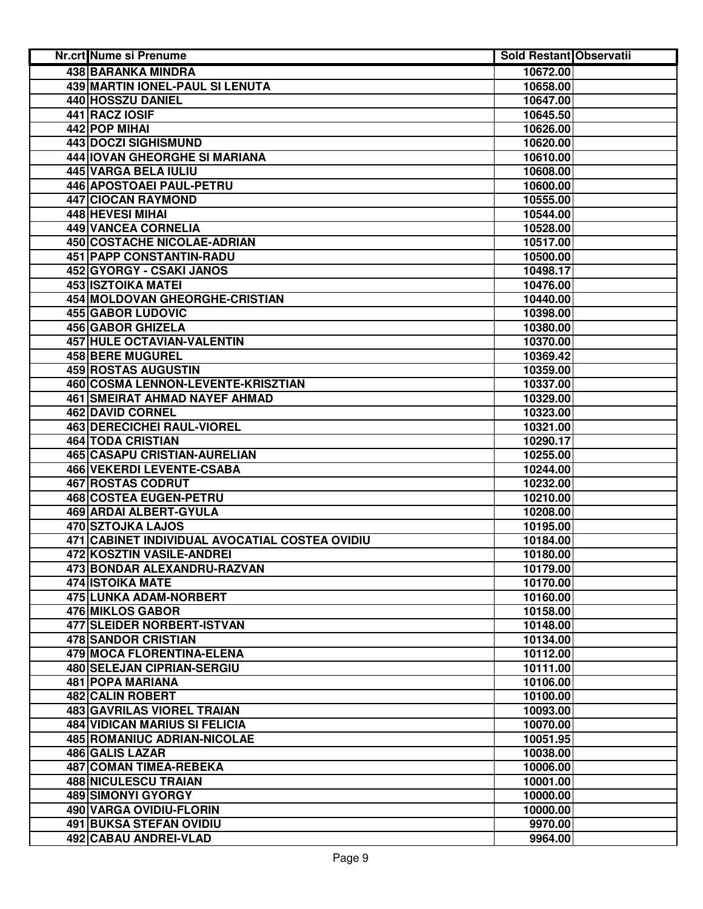| Nr.crt Nume si Prenume                         | <b>Sold Restant Observatii</b> |  |
|------------------------------------------------|--------------------------------|--|
| <b>438 BARANKA MINDRA</b>                      | 10672.00                       |  |
| 439 MARTIN IONEL-PAUL SI LENUTA                | 10658.00                       |  |
| 440 HOSSZU DANIEL                              | 10647.00                       |  |
| 441 RACZ IOSIF                                 | 10645.50                       |  |
| 442 POP MIHAI                                  | 10626.00                       |  |
| 443 DOCZI SIGHISMUND                           | 10620.00                       |  |
| 444 IOVAN GHEORGHE SI MARIANA                  | 10610.00                       |  |
| 445 VARGA BELA IULIU                           | 10608.00                       |  |
| 446 APOSTOAEI PAUL-PETRU                       | 10600.00                       |  |
| 447 CIOCAN RAYMOND                             | 10555.00                       |  |
| 448 HEVESI MIHAI                               | 10544.00                       |  |
| 449 VANCEA CORNELIA                            | 10528.00                       |  |
| 450 COSTACHE NICOLAE-ADRIAN                    | 10517.00                       |  |
| 451 PAPP CONSTANTIN-RADU                       | 10500.00                       |  |
| 452 GYORGY - CSAKI JANOS                       | 10498.17                       |  |
| <b>453 ISZTOIKA MATEI</b>                      | 10476.00                       |  |
| 454 MOLDOVAN GHEORGHE-CRISTIAN                 | 10440.00                       |  |
| <b>455 GABOR LUDOVIC</b>                       | 10398.00                       |  |
| 456 GABOR GHIZELA                              | 10380.00                       |  |
| 457 HULE OCTAVIAN-VALENTIN                     | 10370.00                       |  |
| <b>458 BERE MUGUREL</b>                        | 10369.42                       |  |
| <b>459 ROSTAS AUGUSTIN</b>                     | 10359.00                       |  |
| 460 COSMA LENNON-LEVENTE-KRISZTIAN             | 10337.00                       |  |
| <b>461 SMEIRAT AHMAD NAYEF AHMAD</b>           | 10329.00                       |  |
| <b>462 DAVID CORNEL</b>                        | 10323.00                       |  |
| <b>463 DERECICHEI RAUL-VIOREL</b>              | 10321.00                       |  |
| <b>464 TODA CRISTIAN</b>                       | 10290.17                       |  |
| 465 CASAPU CRISTIAN-AURELIAN                   | 10255.00                       |  |
| 466 VEKERDI LEVENTE-CSABA                      | 10244.00                       |  |
| 467 ROSTAS CODRUT                              | 10232.00                       |  |
| 468 COSTEA EUGEN-PETRU                         | 10210.00                       |  |
| 469 ARDAI ALBERT-GYULA                         | 10208.00                       |  |
| 470 SZTOJKA LAJOS                              | 10195.00                       |  |
| 471 CABINET INDIVIDUAL AVOCATIAL COSTEA OVIDIU | 10184.00                       |  |
| 472 KOSZTIN VASILE-ANDREI                      | 10180.00                       |  |
| 473 BONDAR ALEXANDRU-RAZVAN                    | 10179.00                       |  |
| <b>474 ISTOIKA MATE</b>                        | 10170.00                       |  |
| 475 LUNKA ADAM-NORBERT                         | 10160.00                       |  |
| 476 MIKLOS GABOR                               | 10158.00                       |  |
| 477 SLEIDER NORBERT-ISTVAN                     | 10148.00                       |  |
| <b>478 SANDOR CRISTIAN</b>                     | 10134.00                       |  |
| 479 MOCA FLORENTINA-ELENA                      | 10112.00                       |  |
| 480 SELEJAN CIPRIAN-SERGIU                     | 10111.00                       |  |
| 481 POPA MARIANA                               | 10106.00                       |  |
| 482 CALIN ROBERT                               | 10100.00                       |  |
| 483 GAVRILAS VIOREL TRAIAN                     | 10093.00                       |  |
| <b>484 VIDICAN MARIUS SI FELICIA</b>           | 10070.00                       |  |
| 485 ROMANIUC ADRIAN-NICOLAE                    | 10051.95                       |  |
| 486 GALIS LAZAR                                | 10038.00                       |  |
| 487 COMAN TIMEA-REBEKA                         | 10006.00                       |  |
| <b>488 NICULESCU TRAIAN</b>                    | 10001.00                       |  |
| <b>489 SIMONYI GYORGY</b>                      | 10000.00                       |  |
| 490 VARGA OVIDIU-FLORIN                        | 10000.00                       |  |
| 491 BUKSA STEFAN OVIDIU                        | 9970.00                        |  |
| 492 CABAU ANDREI-VLAD                          | 9964.00                        |  |
|                                                |                                |  |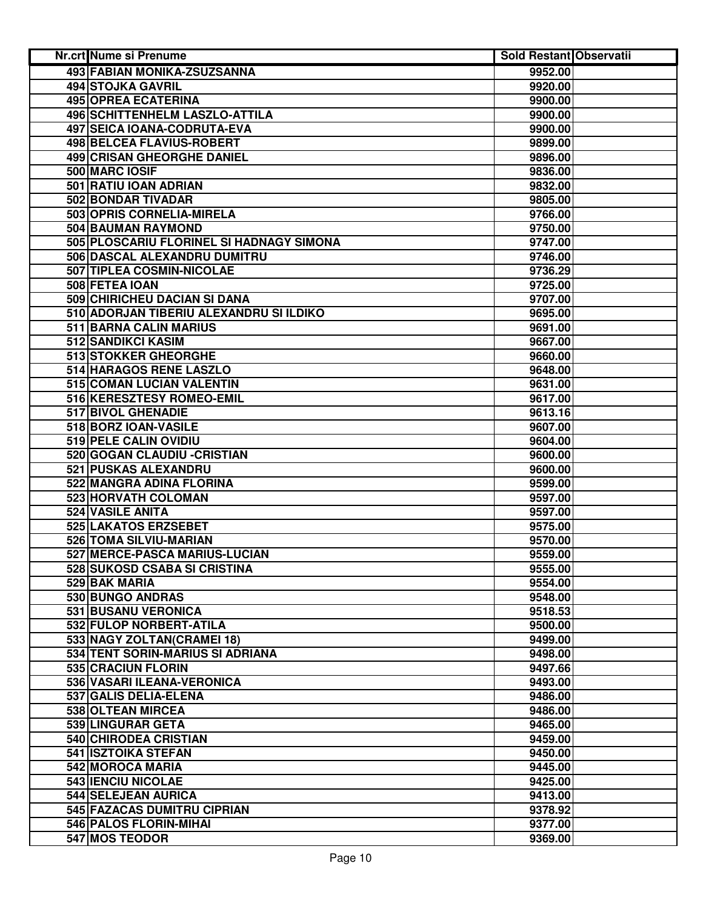| Nr.crt Nume si Prenume                   | <b>Sold Restant Observatii</b> |  |
|------------------------------------------|--------------------------------|--|
| 493 FABIAN MONIKA-ZSUZSANNA              | 9952.00                        |  |
| 494 STOJKA GAVRIL                        | 9920.00                        |  |
| 495 OPREA ECATERINA                      | 9900.00                        |  |
| 496 SCHITTENHELM LASZLO-ATTILA           | 9900.00                        |  |
| 497 SEICA IOANA-CODRUTA-EVA              | 9900.00                        |  |
| 498 BELCEA FLAVIUS-ROBERT                | 9899.00                        |  |
| <b>499 CRISAN GHEORGHE DANIEL</b>        | 9896.00                        |  |
| 500 MARC IOSIF                           | 9836.00                        |  |
| 501 RATIU IOAN ADRIAN                    | 9832.00                        |  |
| 502 BONDAR TIVADAR                       | 9805.00                        |  |
| 503 OPRIS CORNELIA-MIRELA                | 9766.00                        |  |
| 504 BAUMAN RAYMOND                       | 9750.00                        |  |
| 505 PLOSCARIU FLORINEL SI HADNAGY SIMONA | 9747.00                        |  |
| 506 DASCAL ALEXANDRU DUMITRU             | 9746.00                        |  |
| 507 TIPLEA COSMIN-NICOLAE                | 9736.29                        |  |
| 508 FETEA IOAN                           | 9725.00                        |  |
| 509 CHIRICHEU DACIAN SI DANA             | 9707.00                        |  |
| 510 ADORJAN TIBERIU ALEXANDRU SI ILDIKO  | 9695.00                        |  |
| 511 BARNA CALIN MARIUS                   | 9691.00                        |  |
| 512 SANDIKCI KASIM                       | 9667.00                        |  |
| 513 STOKKER GHEORGHE                     | 9660.00                        |  |
| 514 HARAGOS RENE LASZLO                  | 9648.00                        |  |
| 515 COMAN LUCIAN VALENTIN                | 9631.00                        |  |
| 516 KERESZTESY ROMEO-EMIL                | 9617.00                        |  |
| <b>517 BIVOL GHENADIE</b>                | 9613.16                        |  |
| 518 BORZ IOAN-VASILE                     | 9607.00                        |  |
| 519 PELE CALIN OVIDIU                    | 9604.00                        |  |
| 520 GOGAN CLAUDIU - CRISTIAN             | 9600.00                        |  |
| 521 PUSKAS ALEXANDRU                     | 9600.00                        |  |
| 522 MANGRA ADINA FLORINA                 | 9599.00                        |  |
| 523 HORVATH COLOMAN                      | 9597.00                        |  |
| 524 VASILE ANITA                         | 9597.00                        |  |
| 525 LAKATOS ERZSEBET                     | 9575.00                        |  |
| 526 TOMA SILVIU-MARIAN                   | 9570.00                        |  |
| 527 MERCE-PASCA MARIUS-LUCIAN            | 9559.00                        |  |
| 528 SUKOSD CSABA SI CRISTINA             | 9555.00                        |  |
| 529 BAK MARIA                            | 9554.00                        |  |
| 530 BUNGO ANDRAS                         | 9548.00                        |  |
| 531 BUSANU VERONICA                      | 9518.53                        |  |
| 532 FULOP NORBERT-ATILA                  | 9500.00                        |  |
| 533 NAGY ZOLTAN(CRAMEI 18)               | 9499.00                        |  |
| 534 TENT SORIN-MARIUS SI ADRIANA         | 9498.00                        |  |
| 535 CRACIUN FLORIN                       | 9497.66                        |  |
| 536 VASARI ILEANA-VERONICA               | 9493.00                        |  |
| 537 GALIS DELIA-ELENA                    | 9486.00                        |  |
| 538 OLTEAN MIRCEA                        | 9486.00                        |  |
| 539 LINGURAR GETA                        | 9465.00                        |  |
| 540 CHIRODEA CRISTIAN                    | 9459.00                        |  |
| 541 ISZTOIKA STEFAN                      | 9450.00                        |  |
| 542 MOROCA MARIA                         | 9445.00                        |  |
| 543 IENCIU NICOLAE                       | 9425.00                        |  |
| 544 SELEJEAN AURICA                      | 9413.00                        |  |
| 545 FAZACAS DUMITRU CIPRIAN              | 9378.92                        |  |
| 546 PALOS FLORIN-MIHAI                   | 9377.00                        |  |
| 547 MOS TEODOR                           | 9369.00                        |  |
|                                          |                                |  |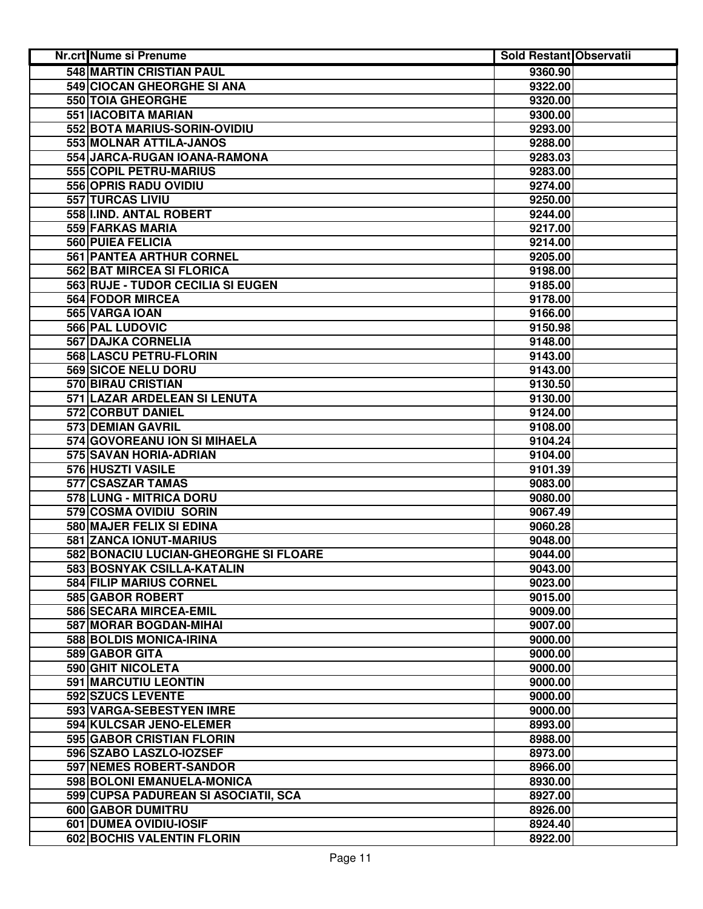| <b>Nr.crt Nume si Prenume</b>         | <b>Sold Restant Observatii</b> |  |
|---------------------------------------|--------------------------------|--|
| <b>548 MARTIN CRISTIAN PAUL</b>       | 9360.90                        |  |
| 549 CIOCAN GHEORGHE SI ANA            | 9322.00                        |  |
| 550 TOIA GHEORGHE                     | 9320.00                        |  |
| 551 IACOBITA MARIAN                   | 9300.00                        |  |
| 552 BOTA MARIUS-SORIN-OVIDIU          | 9293.00                        |  |
| 553 MOLNAR ATTILA-JANOS               | 9288.00                        |  |
| 554 JARCA-RUGAN IOANA-RAMONA          | 9283.03                        |  |
| 555 COPIL PETRU-MARIUS                | 9283.00                        |  |
| 556 OPRIS RADU OVIDIU                 | 9274.00                        |  |
| 557 TURCAS LIVIU                      | 9250.00                        |  |
| 558 I.IND. ANTAL ROBERT               | 9244.00                        |  |
| 559 FARKAS MARIA                      | 9217.00                        |  |
| 560 PUIEA FELICIA                     | 9214.00                        |  |
| 561 PANTEA ARTHUR CORNEL              | 9205.00                        |  |
| 562 BAT MIRCEA SI FLORICA             | 9198.00                        |  |
| 563 RUJE - TUDOR CECILIA SI EUGEN     | 9185.00                        |  |
| 564 FODOR MIRCEA                      | 9178.00                        |  |
| 565 VARGA IOAN                        | 9166.00                        |  |
| 566 PAL LUDOVIC                       | 9150.98                        |  |
| <b>567 DAJKA CORNELIA</b>             | 9148.00                        |  |
| 568 LASCU PETRU-FLORIN                | 9143.00                        |  |
| 569 SICOE NELU DORU                   | 9143.00                        |  |
| <b>570 BIRAU CRISTIAN</b>             | 9130.50                        |  |
| 571 LAZAR ARDELEAN SI LENUTA          | 9130.00                        |  |
| 572 CORBUT DANIEL                     | 9124.00                        |  |
| <b>573 DEMIAN GAVRIL</b>              | 9108.00                        |  |
| 574 GOVOREANU ION SI MIHAELA          | 9104.24                        |  |
| 575 SAVAN HORIA-ADRIAN                | 9104.00                        |  |
| 576 HUSZTI VASILE                     | 9101.39                        |  |
| 577 CSASZAR TAMAS                     | 9083.00                        |  |
| 578 LUNG - MITRICA DORU               | 9080.00                        |  |
| 579 COSMA OVIDIU SORIN                | 9067.49                        |  |
| 580 MAJER FELIX SI EDINA              | 9060.28                        |  |
| 581 ZANCA IONUT-MARIUS                | 9048.00                        |  |
| 582 BONACIU LUCIAN-GHEORGHE SI FLOARE | 9044.00                        |  |
| 583 BOSNYAK CSILLA-KATALIN            | 9043.00                        |  |
| 584 FILIP MARIUS CORNEL               | 9023.00                        |  |
| 585 GABOR ROBERT                      | 9015.00                        |  |
| 586 SECARA MIRCEA-EMIL                | 9009.00                        |  |
| 587 MORAR BOGDAN-MIHAI                | 9007.00                        |  |
| 588 BOLDIS MONICA-IRINA               | 9000.00                        |  |
| 589 GABOR GITA                        | 9000.00                        |  |
| 590 GHIT NICOLETA                     | 9000.00                        |  |
| <b>591 MARCUTIU LEONTIN</b>           | 9000.00                        |  |
| 592 SZUCS LEVENTE                     | 9000.00                        |  |
| 593 VARGA-SEBESTYEN IMRE              | 9000.00                        |  |
| 594 KULCSAR JENO-ELEMER               | 8993.00                        |  |
| 595 GABOR CRISTIAN FLORIN             | 8988.00                        |  |
| 596 SZABO LASZLO-IOZSEF               | 8973.00                        |  |
| 597 NEMES ROBERT-SANDOR               | 8966.00                        |  |
| 598 BOLONI EMANUELA-MONICA            | 8930.00                        |  |
| 599 CUPSA PADUREAN SI ASOCIATII, SCA  | 8927.00                        |  |
| 600 GABOR DUMITRU                     | 8926.00                        |  |
| 601 DUMEA OVIDIU-IOSIF                | 8924.40                        |  |
| 602 BOCHIS VALENTIN FLORIN            | 8922.00                        |  |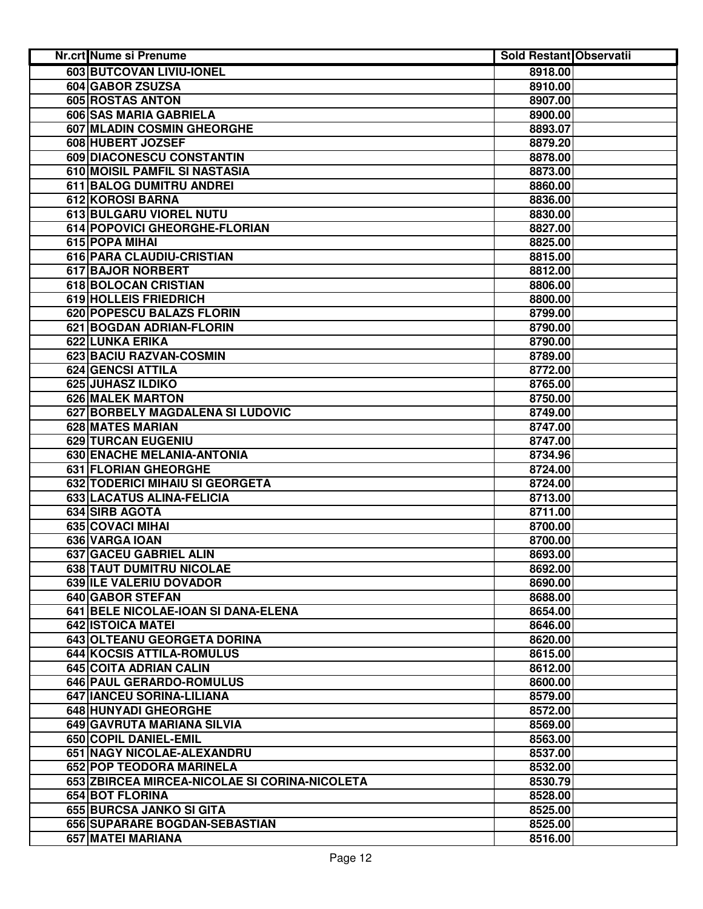| Nr.crt Nume si Prenume                        | <b>Sold Restant Observatii</b> |  |
|-----------------------------------------------|--------------------------------|--|
| 603 BUTCOVAN LIVIU-IONEL                      | 8918.00                        |  |
| 604 GABOR ZSUZSA                              | 8910.00                        |  |
| 605 ROSTAS ANTON                              | 8907.00                        |  |
| 606 SAS MARIA GABRIELA                        | 8900.00                        |  |
| 607 MLADIN COSMIN GHEORGHE                    | 8893.07                        |  |
| 608 HUBERT JOZSEF                             | 8879.20                        |  |
| 609 DIACONESCU CONSTANTIN                     | 8878.00                        |  |
| 610 MOISIL PAMFIL SI NASTASIA                 | 8873.00                        |  |
| 611 BALOG DUMITRU ANDREI                      | 8860.00                        |  |
| 612 KOROSI BARNA                              | 8836.00                        |  |
| 613 BULGARU VIOREL NUTU                       | 8830.00                        |  |
| 614 POPOVICI GHEORGHE-FLORIAN                 | 8827.00                        |  |
| 615 POPA MIHAI                                | 8825.00                        |  |
| 616 PARA CLAUDIU-CRISTIAN                     | 8815.00                        |  |
| 617 BAJOR NORBERT                             | 8812.00                        |  |
| 618 BOLOCAN CRISTIAN                          | 8806.00                        |  |
| <b>619 HOLLEIS FRIEDRICH</b>                  | 8800.00                        |  |
| 620 POPESCU BALAZS FLORIN                     | 8799.00                        |  |
| 621 BOGDAN ADRIAN-FLORIN                      | 8790.00                        |  |
| 622 LUNKA ERIKA                               | 8790.00                        |  |
| 623 BACIU RAZVAN-COSMIN                       | 8789.00                        |  |
| <b>624 GENCSI ATTILA</b>                      | 8772.00                        |  |
| <b>625 JUHASZ ILDIKO</b>                      | 8765.00                        |  |
| <b>626 MALEK MARTON</b>                       | 8750.00                        |  |
| 627 BORBELY MAGDALENA SI LUDOVIC              | 8749.00                        |  |
| <b>628 MATES MARIAN</b>                       | 8747.00                        |  |
| 629 TURCAN EUGENIU                            | 8747.00                        |  |
| 630 ENACHE MELANIA-ANTONIA                    | 8734.96                        |  |
| 631 FLORIAN GHEORGHE                          | 8724.00                        |  |
| 632 TODERICI MIHAIU SI GEORGETA               | 8724.00                        |  |
| 633 LACATUS ALINA-FELICIA                     | 8713.00                        |  |
| 634 SIRB AGOTA                                | 8711.00                        |  |
| 635 COVACI MIHAI                              | 8700.00                        |  |
| 636 VARGA IOAN                                | 8700.00                        |  |
| 637 GACEU GABRIEL ALIN                        | 8693.00                        |  |
| 638 TAUT DUMITRU NICOLAE                      | 8692.00                        |  |
| 639 ILE VALERIU DOVADOR                       | 8690.00                        |  |
| 640 GABOR STEFAN                              | 8688.00                        |  |
| 641 BELE NICOLAE-IOAN SI DANA-ELENA           | 8654.00                        |  |
| 642 ISTOICA MATEI                             | 8646.00                        |  |
| 643 OLTEANU GEORGETA DORINA                   | 8620.00                        |  |
| 644 KOCSIS ATTILA-ROMULUS                     | 8615.00                        |  |
| 645 COITA ADRIAN CALIN                        | 8612.00                        |  |
| 646 PAUL GERARDO-ROMULUS                      | 8600.00                        |  |
| 647 IANCEU SORINA-LILIANA                     | 8579.00                        |  |
| <b>648 HUNYADI GHEORGHE</b>                   | 8572.00                        |  |
| 649 GAVRUTA MARIANA SILVIA                    | 8569.00                        |  |
| 650 COPIL DANIEL-EMIL                         | 8563.00                        |  |
| 651 NAGY NICOLAE-ALEXANDRU                    | 8537.00                        |  |
| 652 POP TEODORA MARINELA                      | 8532.00                        |  |
| 653 ZBIRCEA MIRCEA-NICOLAE SI CORINA-NICOLETA | 8530.79                        |  |
| 654 BOT FLORINA                               | 8528.00                        |  |
| 655 BURCSA JANKO SI GITA                      | 8525.00                        |  |
| 656 SUPARARE BOGDAN-SEBASTIAN                 | 8525.00                        |  |
| 657 MATEI MARIANA                             | 8516.00                        |  |
|                                               |                                |  |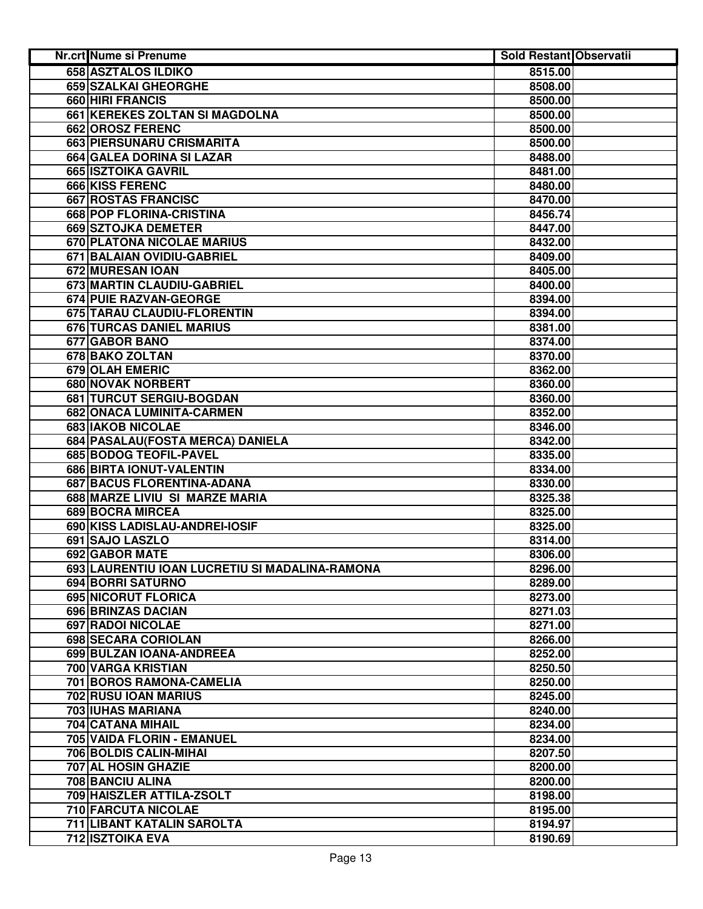| Nr.crt Nume si Prenume                         | <b>Sold Restant Observatii</b> |  |
|------------------------------------------------|--------------------------------|--|
| 658 ASZTALOS ILDIKO                            | 8515.00                        |  |
| 659 SZALKAI GHEORGHE                           | 8508.00                        |  |
| 660 HIRI FRANCIS                               | 8500.00                        |  |
| 661 KEREKES ZOLTAN SI MAGDOLNA                 | 8500.00                        |  |
| 662 OROSZ FERENC                               | 8500.00                        |  |
| 663 PIERSUNARU CRISMARITA                      | 8500.00                        |  |
| 664 GALEA DORINA SI LAZAR                      | 8488.00                        |  |
| 665 ISZTOIKA GAVRIL                            | 8481.00                        |  |
| 666 KISS FERENC                                | 8480.00                        |  |
| <b>667 ROSTAS FRANCISC</b>                     | 8470.00                        |  |
| 668 POP FLORINA-CRISTINA                       | 8456.74                        |  |
| 669 SZTOJKA DEMETER                            | 8447.00                        |  |
| 670 PLATONA NICOLAE MARIUS                     | 8432.00                        |  |
| 671 BALAIAN OVIDIU-GABRIEL                     | 8409.00                        |  |
| 672 MURESAN IOAN                               | 8405.00                        |  |
| 673 MARTIN CLAUDIU-GABRIEL                     | 8400.00                        |  |
| 674 PUIE RAZVAN-GEORGE                         | 8394.00                        |  |
| 675 TARAU CLAUDIU-FLORENTIN                    | 8394.00                        |  |
| 676 TURCAS DANIEL MARIUS                       | 8381.00                        |  |
| 677 GABOR BANO                                 | 8374.00                        |  |
| 678 BAKO ZOLTAN                                | 8370.00                        |  |
| <b>679 OLAH EMERIC</b>                         | 8362.00                        |  |
| 680 NOVAK NORBERT                              | 8360.00                        |  |
| 681 TURCUT SERGIU-BOGDAN                       | 8360.00                        |  |
| 682 ONACA LUMINITA-CARMEN                      | 8352.00                        |  |
| <b>683 IAKOB NICOLAE</b>                       | 8346.00                        |  |
| 684 PASALAU (FOSTA MERCA) DANIELA              | 8342.00                        |  |
| 685 BODOG TEOFIL-PAVEL                         | 8335.00                        |  |
| 686 BIRTA IONUT-VALENTIN                       | 8334.00                        |  |
| 687 BACUS FLORENTINA-ADANA                     | 8330.00                        |  |
| 688 MARZE LIVIU SI MARZE MARIA                 | 8325.38                        |  |
| 689 BOCRA MIRCEA                               | 8325.00                        |  |
| 690 KISS LADISLAU-ANDREI-IOSIF                 | 8325.00                        |  |
| 691 SAJO LASZLO                                | 8314.00                        |  |
| 692 GABOR MATE                                 | 8306.00                        |  |
| 693 LAURENTIU IOAN LUCRETIU SI MADALINA-RAMONA | 8296.00                        |  |
| 694 BORRI SATURNO                              | 8289.00                        |  |
| 695 NICORUT FLORICA                            | 8273.00                        |  |
| 696 BRINZAS DACIAN                             | 8271.03                        |  |
| 697 RADOI NICOLAE                              | 8271.00                        |  |
| 698 SECARA CORIOLAN                            | 8266.00                        |  |
| 699 BULZAN IOANA-ANDREEA                       | 8252.00                        |  |
| 700 VARGA KRISTIAN                             | 8250.50                        |  |
| 701 BOROS RAMONA-CAMELIA                       | 8250.00                        |  |
| 702 RUSU IOAN MARIUS                           | 8245.00                        |  |
| <b>703 IUHAS MARIANA</b>                       | 8240.00                        |  |
| 704 CATANA MIHAIL                              | 8234.00                        |  |
| 705 VAIDA FLORIN - EMANUEL                     | 8234.00                        |  |
| 706 BOLDIS CALIN-MIHAI                         | 8207.50                        |  |
| 707 AL HOSIN GHAZIE                            | 8200.00                        |  |
| 708 BANCIU ALINA                               | 8200.00                        |  |
| 709 HAISZLER ATTILA-ZSOLT                      | 8198.00                        |  |
| 710 FARCUTA NICOLAE                            | 8195.00                        |  |
| 711 LIBANT KATALIN SAROLTA                     | 8194.97                        |  |
| 712 ISZTOIKA EVA                               | 8190.69                        |  |
|                                                |                                |  |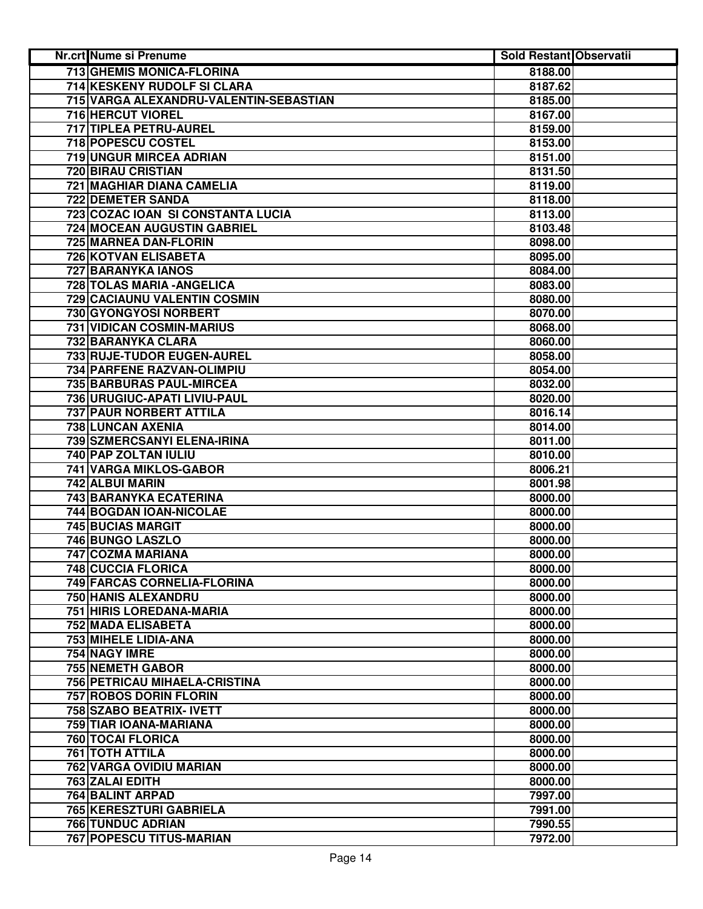| <b>Nr.crt Nume si Prenume</b>                | <b>Sold Restant Observatii</b> |  |
|----------------------------------------------|--------------------------------|--|
| <b>713 GHEMIS MONICA-FLORINA</b>             | 8188.00                        |  |
| 714 KESKENY RUDOLF SI CLARA                  | 8187.62                        |  |
| 715 VARGA ALEXANDRU-VALENTIN-SEBASTIAN       | 8185.00                        |  |
| 716 HERCUT VIOREL                            | 8167.00                        |  |
| 717 TIPLEA PETRU-AUREL                       | 8159.00                        |  |
| 718 POPESCU COSTEL                           | 8153.00                        |  |
| 719 UNGUR MIRCEA ADRIAN                      | 8151.00                        |  |
| 720 BIRAU CRISTIAN                           | 8131.50                        |  |
| 721 MAGHIAR DIANA CAMELIA                    | 8119.00                        |  |
| 722 DEMETER SANDA                            | 8118.00                        |  |
| 723 COZAC IOAN SI CONSTANTA LUCIA            | 8113.00                        |  |
| 724 MOCEAN AUGUSTIN GABRIEL                  | 8103.48                        |  |
| 725 MARNEA DAN-FLORIN                        | 8098.00                        |  |
| 726 KOTVAN ELISABETA                         | 8095.00                        |  |
| 727 BARANYKA IANOS                           | 8084.00                        |  |
| 728 TOLAS MARIA - ANGELICA                   | 8083.00                        |  |
| 729 CACIAUNU VALENTIN COSMIN                 | 8080.00                        |  |
| 730 GYONGYOSI NORBERT                        | 8070.00                        |  |
| 731 VIDICAN COSMIN-MARIUS                    | 8068.00                        |  |
| 732 BARANYKA CLARA                           | 8060.00                        |  |
| 733 RUJE-TUDOR EUGEN-AUREL                   | 8058.00                        |  |
| 734 PARFENE RAZVAN-OLIMPIU                   | 8054.00                        |  |
| <b>735 BARBURAS PAUL-MIRCEA</b>              | 8032.00                        |  |
| 736 URUGIUC-APATI LIVIU-PAUL                 | 8020.00                        |  |
| <b>737 PAUR NORBERT ATTILA</b>               | 8016.14                        |  |
| 738 LUNCAN AXENIA                            | 8014.00                        |  |
| 739 SZMERCSANYI ELENA-IRINA                  | 8011.00                        |  |
| 740 PAP ZOLTAN IULIU                         | 8010.00                        |  |
| 741 VARGA MIKLOS-GABOR                       | 8006.21                        |  |
| 742 ALBUI MARIN                              | 8001.98                        |  |
| 743 BARANYKA ECATERINA                       | 8000.00                        |  |
| 744 BOGDAN IOAN-NICOLAE                      | 8000.00                        |  |
| <b>745 BUCIAS MARGIT</b>                     | 8000.00                        |  |
| 746 BUNGO LASZLO<br><b>747 COZMA MARIANA</b> | 8000.00                        |  |
| <b>748 CUCCIA FLORICA</b>                    | 8000.00                        |  |
| 749 FARCAS CORNELIA-FLORINA                  | 8000.00                        |  |
| 750 HANIS ALEXANDRU                          | 8000.00<br>8000.00             |  |
| 751 HIRIS LOREDANA-MARIA                     | 8000.00                        |  |
| 752 MADA ELISABETA                           | 8000.00                        |  |
| 753 MIHELE LIDIA-ANA                         | 8000.00                        |  |
| 754 NAGY IMRE                                | 8000.00                        |  |
| <b>755 NEMETH GABOR</b>                      | 8000.00                        |  |
| 756 PETRICAU MIHAELA-CRISTINA                | 8000.00                        |  |
| 757 ROBOS DORIN FLORIN                       | 8000.00                        |  |
| 758 SZABO BEATRIX- IVETT                     | 8000.00                        |  |
| 759 TIAR IOANA-MARIANA                       | 8000.00                        |  |
| 760 TOCAI FLORICA                            | 8000.00                        |  |
| <b>761 TOTH ATTILA</b>                       | 8000.00                        |  |
| 762 VARGA OVIDIU MARIAN                      | 8000.00                        |  |
| 763 ZALAI EDITH                              | 8000.00                        |  |
| 764 BALINT ARPAD                             | 7997.00                        |  |
| 765 KERESZTURI GABRIELA                      | 7991.00                        |  |
| 766 TUNDUC ADRIAN                            | 7990.55                        |  |
| 767 POPESCU TITUS-MARIAN                     | 7972.00                        |  |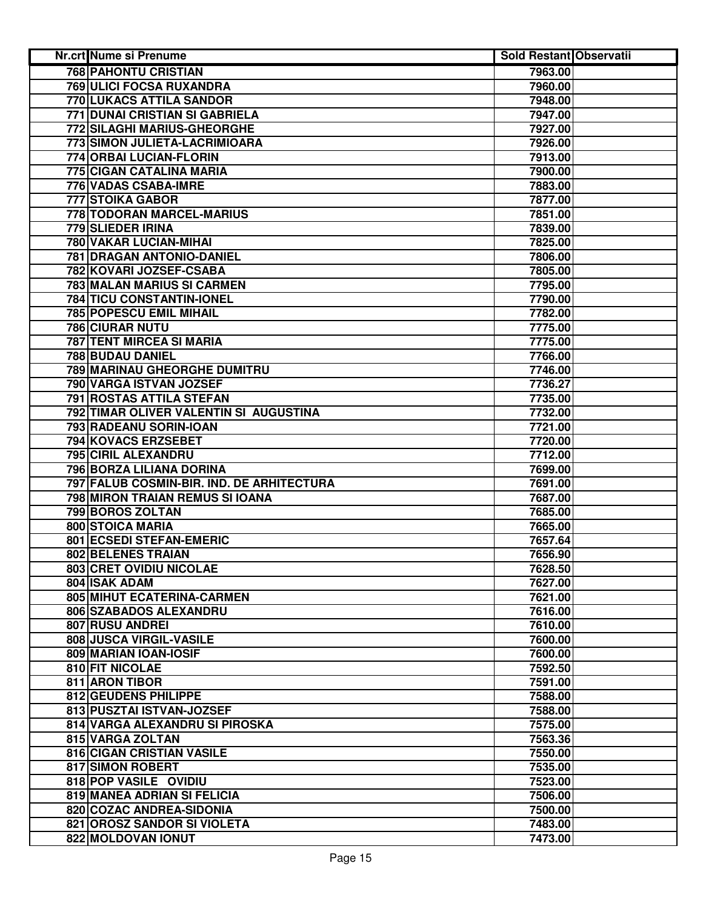| <b>Nr.crt Nume si Prenume</b>             | Sold Restant Observatii |  |
|-------------------------------------------|-------------------------|--|
| <b>768 PAHONTU CRISTIAN</b>               | 7963.00                 |  |
| 769 ULICI FOCSA RUXANDRA                  | 7960.00                 |  |
| 770 LUKACS ATTILA SANDOR                  | 7948.00                 |  |
| 771 DUNAI CRISTIAN SI GABRIELA            | 7947.00                 |  |
| 772 SILAGHI MARIUS-GHEORGHE               | 7927.00                 |  |
| 773 SIMON JULIETA-LACRIMIOARA             | 7926.00                 |  |
| 774 ORBAI LUCIAN-FLORIN                   | 7913.00                 |  |
| 775 CIGAN CATALINA MARIA                  | 7900.00                 |  |
| <b>776 VADAS CSABA-IMRE</b>               | 7883.00                 |  |
| 777 STOIKA GABOR                          | 7877.00                 |  |
| 778 TODORAN MARCEL-MARIUS                 | 7851.00                 |  |
| 779 SLIEDER IRINA                         | 7839.00                 |  |
| 780 VAKAR LUCIAN-MIHAI                    | 7825.00                 |  |
| 781 DRAGAN ANTONIO-DANIEL                 | 7806.00                 |  |
| 782 KOVARI JOZSEF-CSABA                   | 7805.00                 |  |
| 783 MALAN MARIUS SI CARMEN                | 7795.00                 |  |
| 784 TICU CONSTANTIN-IONEL                 | 7790.00                 |  |
| 785 POPESCU EMIL MIHAIL                   | 7782.00                 |  |
| <b>786 CIURAR NUTU</b>                    | 7775.00                 |  |
| 787 TENT MIRCEA SI MARIA                  | 7775.00                 |  |
| 788 BUDAU DANIEL                          | 7766.00                 |  |
| 789 MARINAU GHEORGHE DUMITRU              | 7746.00                 |  |
| 790 VARGA ISTVAN JOZSEF                   | 7736.27                 |  |
| 791 ROSTAS ATTILA STEFAN                  | 7735.00                 |  |
| 792 TIMAR OLIVER VALENTIN SI AUGUSTINA    | 7732.00                 |  |
| 793 RADEANU SORIN-IOAN                    | 7721.00                 |  |
| 794 KOVACS ERZSEBET                       | 7720.00                 |  |
| 795 CIRIL ALEXANDRU                       | 7712.00                 |  |
| 796 BORZA LILIANA DORINA                  | 7699.00                 |  |
| 797 FALUB COSMIN-BIR. IND. DE ARHITECTURA | 7691.00                 |  |
| 798 MIRON TRAIAN REMUS SI IOANA           | 7687.00                 |  |
| 799 BOROS ZOLTAN                          | 7685.00                 |  |
| 800 STOICA MARIA                          | 7665.00                 |  |
| 801 ECSEDI STEFAN-EMERIC                  | 7657.64                 |  |
| 802 BELENES TRAIAN                        | 7656.90                 |  |
| 803 CRET OVIDIU NICOLAE                   | 7628.50                 |  |
| 804 ISAK ADAM                             | 7627.00                 |  |
| 805 MIHUT ECATERINA-CARMEN                | 7621.00                 |  |
| 806 SZABADOS ALEXANDRU                    | 7616.00                 |  |
| 807 RUSU ANDREI                           | 7610.00                 |  |
| 808 JUSCA VIRGIL-VASILE                   | 7600.00                 |  |
| 809 MARIAN IOAN-IOSIF                     | 7600.00                 |  |
| 810 FIT NICOLAE                           | 7592.50                 |  |
| 811 ARON TIBOR                            | 7591.00                 |  |
| 812 GEUDENS PHILIPPE                      | 7588.00                 |  |
| 813 PUSZTAI ISTVAN-JOZSEF                 | 7588.00                 |  |
| 814 VARGA ALEXANDRU SI PIROSKA            | 7575.00                 |  |
| 815 VARGA ZOLTAN                          | 7563.36                 |  |
| 816 CIGAN CRISTIAN VASILE                 | 7550.00                 |  |
| 817 SIMON ROBERT                          | 7535.00                 |  |
| 818 POP VASILE OVIDIU                     | 7523.00                 |  |
| 819 MANEA ADRIAN SI FELICIA               | 7506.00                 |  |
| 820 COZAC ANDREA-SIDONIA                  | 7500.00                 |  |
| 821 OROSZ SANDOR SI VIOLETA               | 7483.00                 |  |
| 822 MOLDOVAN IONUT                        | 7473.00                 |  |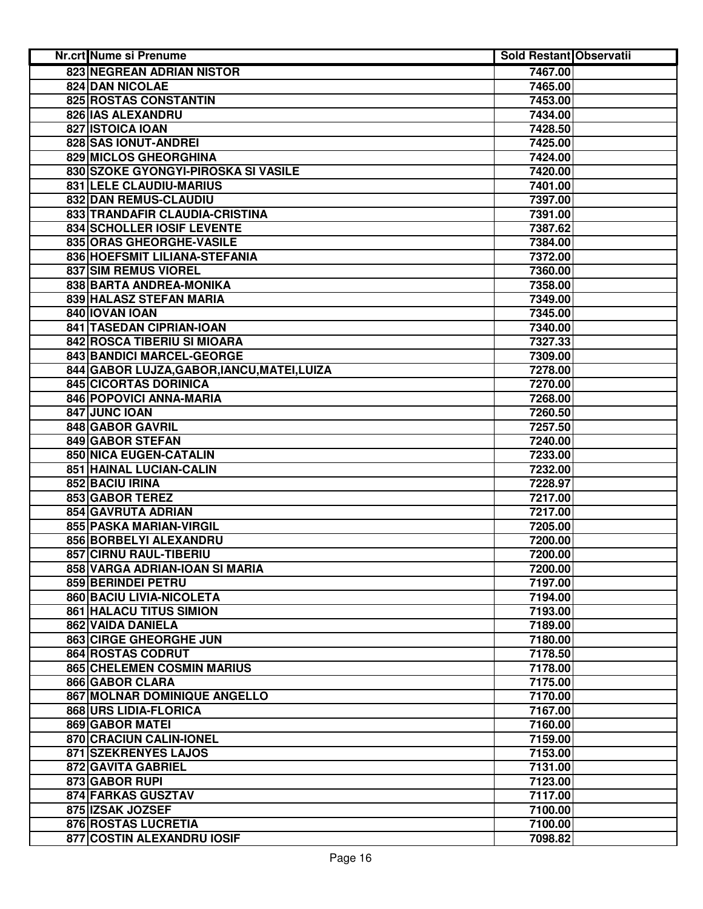| Nr.crt Nume si Prenume                      | Sold Restant Observatii |  |
|---------------------------------------------|-------------------------|--|
| 823 NEGREAN ADRIAN NISTOR                   | 7467.00                 |  |
| 824 DAN NICOLAE                             | 7465.00                 |  |
| 825 ROSTAS CONSTANTIN                       | 7453.00                 |  |
| 826 IAS ALEXANDRU                           | 7434.00                 |  |
| 827 ISTOICA IOAN                            | 7428.50                 |  |
| 828 SAS IONUT-ANDREI                        | 7425.00                 |  |
| 829 MICLOS GHEORGHINA                       | 7424.00                 |  |
| 830 SZOKE GYONGYI-PIROSKA SI VASILE         | 7420.00                 |  |
| 831 LELE CLAUDIU-MARIUS                     | 7401.00                 |  |
| 832 DAN REMUS-CLAUDIU                       | 7397.00                 |  |
| 833 TRANDAFIR CLAUDIA-CRISTINA              | 7391.00                 |  |
| 834 SCHOLLER IOSIF LEVENTE                  | 7387.62                 |  |
| 835 ORAS GHEORGHE-VASILE                    | 7384.00                 |  |
| 836 HOEFSMIT LILIANA-STEFANIA               | 7372.00                 |  |
| 837 SIM REMUS VIOREL                        | 7360.00                 |  |
| 838 BARTA ANDREA-MONIKA                     | 7358.00                 |  |
| 839 HALASZ STEFAN MARIA                     | 7349.00                 |  |
| 840 IOVAN IOAN                              | 7345.00                 |  |
| 841 TASEDAN CIPRIAN-IOAN                    | 7340.00                 |  |
| 842 ROSCA TIBERIU SI MIOARA                 | 7327.33                 |  |
| 843 BANDICI MARCEL-GEORGE                   | 7309.00                 |  |
| 844 GABOR LUJZA, GABOR, IANCU, MATEI, LUIZA | 7278.00                 |  |
| <b>845 CICORTAS DORINICA</b>                | 7270.00                 |  |
| 846 POPOVICI ANNA-MARIA                     | 7268.00                 |  |
| 847 JUNC IOAN                               | 7260.50                 |  |
| <b>848 GABOR GAVRIL</b>                     | 7257.50                 |  |
| 849 GABOR STEFAN                            | 7240.00                 |  |
| 850 NICA EUGEN-CATALIN                      | 7233.00                 |  |
| 851 HAINAL LUCIAN-CALIN                     | 7232.00                 |  |
| 852 BACIU IRINA                             | 7228.97                 |  |
| 853 GABOR TEREZ                             | 7217.00                 |  |
| 854 GAVRUTA ADRIAN                          | 7217.00                 |  |
| 855 PASKA MARIAN-VIRGIL                     | 7205.00                 |  |
| 856 BORBELYI ALEXANDRU                      | 7200.00                 |  |
| 857 CIRNU RAUL-TIBERIU                      | 7200.00                 |  |
| 858 VARGA ADRIAN-IOAN SI MARIA              | 7200.00                 |  |
| 859 BERINDEI PETRU                          | 7197.00                 |  |
| 860 BACIU LIVIA-NICOLETA                    | 7194.00                 |  |
| <b>861 HALACU TITUS SIMION</b>              | 7193.00                 |  |
| 862 VAIDA DANIELA                           | 7189.00                 |  |
| 863 CIRGE GHEORGHE JUN                      | 7180.00                 |  |
| 864 ROSTAS CODRUT                           | 7178.50                 |  |
| <b>865 CHELEMEN COSMIN MARIUS</b>           | 7178.00                 |  |
| 866 GABOR CLARA                             | 7175.00                 |  |
| 867 MOLNAR DOMINIQUE ANGELLO                | 7170.00                 |  |
| 868 URS LIDIA-FLORICA                       | 7167.00                 |  |
| 869 GABOR MATEI                             | 7160.00                 |  |
| 870 CRACIUN CALIN-IONEL                     | 7159.00                 |  |
| 871 SZEKRENYES LAJOS                        | 7153.00                 |  |
| 872 GAVITA GABRIEL                          | 7131.00                 |  |
| 873 GABOR RUPI                              | 7123.00                 |  |
| 874 FARKAS GUSZTAV                          | 7117.00                 |  |
| 875 IZSAK JOZSEF                            | 7100.00                 |  |
| 876 ROSTAS LUCRETIA                         | 7100.00                 |  |
| 877 COSTIN ALEXANDRU IOSIF                  | 7098.82                 |  |
|                                             |                         |  |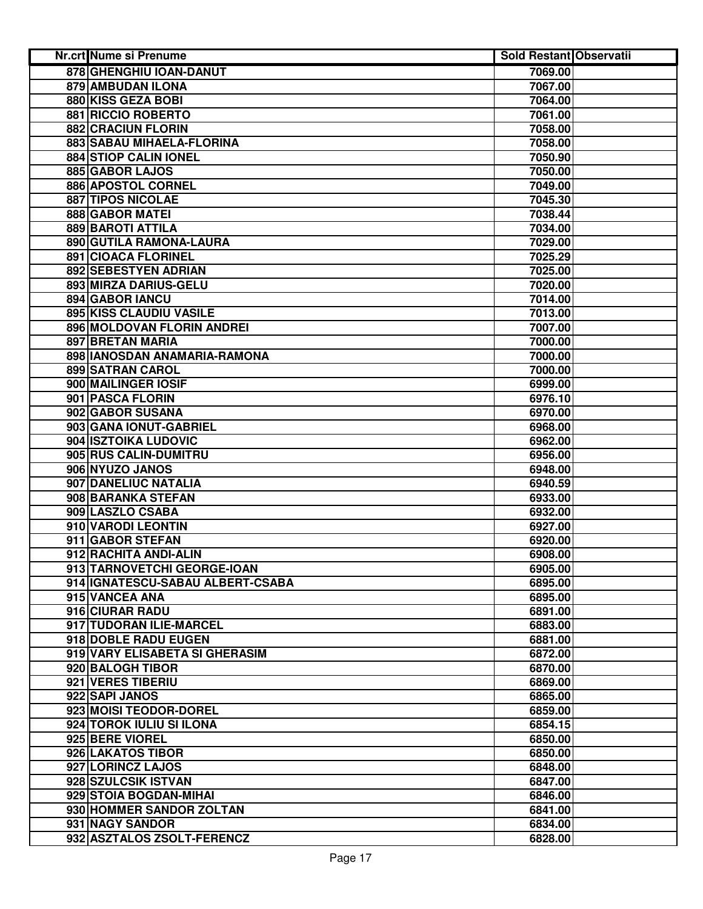| Nr.crt Nume si Prenume           | <b>Sold Restant Observatii</b> |  |
|----------------------------------|--------------------------------|--|
| 878 GHENGHIU IOAN-DANUT          | 7069.00                        |  |
| 879 AMBUDAN ILONA                | 7067.00                        |  |
| 880 KISS GEZA BOBI               | 7064.00                        |  |
| 881 RICCIO ROBERTO               | 7061.00                        |  |
| 882 CRACIUN FLORIN               | 7058.00                        |  |
| 883 SABAU MIHAELA-FLORINA        | 7058.00                        |  |
| <b>884 STIOP CALIN IONEL</b>     | 7050.90                        |  |
| 885 GABOR LAJOS                  | 7050.00                        |  |
| 886 APOSTOL CORNEL               | 7049.00                        |  |
| 887 TIPOS NICOLAE                | 7045.30                        |  |
| 888 GABOR MATEI                  | 7038.44                        |  |
| 889 BAROTI ATTILA                | 7034.00                        |  |
| 890 GUTILA RAMONA-LAURA          | 7029.00                        |  |
| 891 CIOACA FLORINEL              | 7025.29                        |  |
| 892 SEBESTYEN ADRIAN             | 7025.00                        |  |
| 893 MIRZA DARIUS-GELU            | 7020.00                        |  |
| 894 GABOR IANCU                  | 7014.00                        |  |
| 895 KISS CLAUDIU VASILE          | 7013.00                        |  |
| 896 MOLDOVAN FLORIN ANDREI       | 7007.00                        |  |
| 897 BRETAN MARIA                 | 7000.00                        |  |
| 898 IANOSDAN ANAMARIA-RAMONA     | 7000.00                        |  |
| <b>899 SATRAN CAROL</b>          | 7000.00                        |  |
| 900 MAILINGER IOSIF              | 6999.00                        |  |
| 901 PASCA FLORIN                 | 6976.10                        |  |
| 902 GABOR SUSANA                 | 6970.00                        |  |
| 903 GANA IONUT-GABRIEL           | 6968.00                        |  |
| 904 ISZTOIKA LUDOVIC             | 6962.00                        |  |
| 905 RUS CALIN-DUMITRU            | 6956.00                        |  |
| 906 NYUZO JANOS                  | 6948.00                        |  |
| 907 DANELIUC NATALIA             | 6940.59                        |  |
| 908 BARANKA STEFAN               | 6933.00                        |  |
| 909 LASZLO CSABA                 | 6932.00                        |  |
| 910 VARODI LEONTIN               | 6927.00                        |  |
| 911 GABOR STEFAN                 | 6920.00                        |  |
| 912 RACHITA ANDI-ALIN            | 6908.00                        |  |
| 913 TARNOVETCHI GEORGE-IOAN      | 6905.00                        |  |
| 914 IGNATESCU-SABAU ALBERT-CSABA | 6895.00                        |  |
| 915 VANCEA ANA                   | 6895.00                        |  |
| 916 CIURAR RADU                  | 6891.00                        |  |
| 917 TUDORAN ILIE-MARCEL          | 6883.00                        |  |
| 918 DOBLE RADU EUGEN             | 6881.00                        |  |
| 919 VARY ELISABETA SI GHERASIM   | 6872.00                        |  |
| 920 BALOGH TIBOR                 | 6870.00                        |  |
| 921 VERES TIBERIU                | 6869.00                        |  |
| 922 SAPI JANOS                   | 6865.00                        |  |
| 923 MOISI TEODOR-DOREL           | 6859.00                        |  |
| 924 TOROK IULIU SI ILONA         | 6854.15                        |  |
| 925 BERE VIOREL                  | 6850.00                        |  |
| 926 LAKATOS TIBOR                | 6850.00                        |  |
| 927 LORINCZ LAJOS                | 6848.00                        |  |
| 928 SZULCSIK ISTVAN              | 6847.00                        |  |
| 929 STOIA BOGDAN-MIHAI           | 6846.00                        |  |
| 930 HOMMER SANDOR ZOLTAN         | 6841.00                        |  |
| 931 NAGY SANDOR                  | 6834.00                        |  |
| 932 ASZTALOS ZSOLT-FERENCZ       | 6828.00                        |  |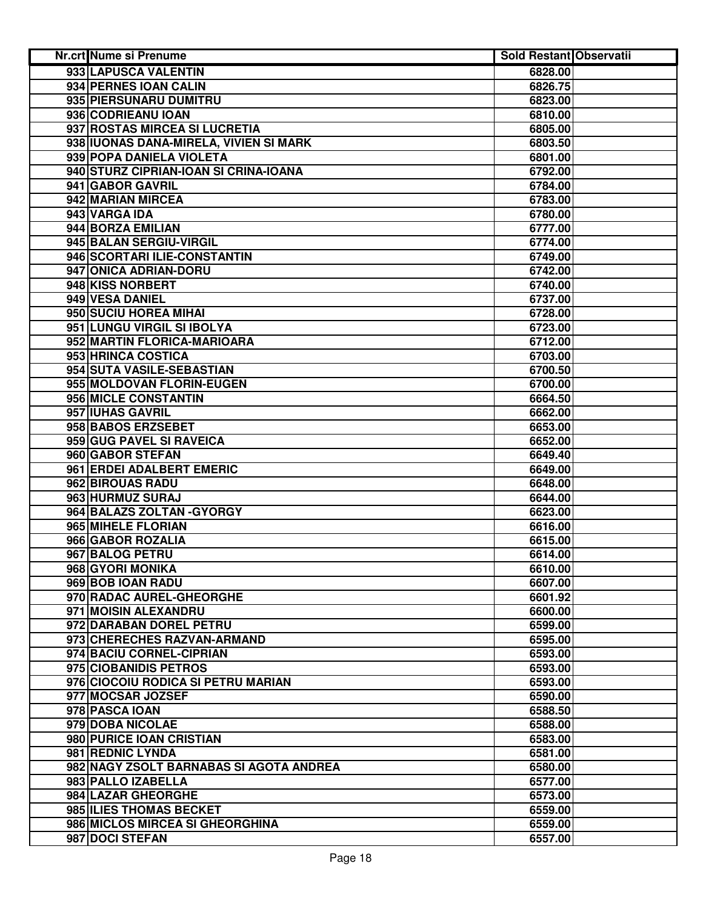| Nr.crt Nume si Prenume                                 | Sold Restant Observatii |  |
|--------------------------------------------------------|-------------------------|--|
| 933 LAPUSCA VALENTIN                                   | 6828.00                 |  |
| 934 PERNES IOAN CALIN                                  | 6826.75                 |  |
| 935 PIERSUNARU DUMITRU                                 | 6823.00                 |  |
| 936 CODRIEANU IOAN                                     | 6810.00                 |  |
| 937 ROSTAS MIRCEA SI LUCRETIA                          | 6805.00                 |  |
| 938 IUONAS DANA-MIRELA, VIVIEN SI MARK                 | 6803.50                 |  |
| 939 POPA DANIELA VIOLETA                               | 6801.00                 |  |
| 940 STURZ CIPRIAN-IOAN SI CRINA-IOANA                  | 6792.00                 |  |
| 941 GABOR GAVRIL                                       | 6784.00                 |  |
| 942 MARIAN MIRCEA                                      | 6783.00                 |  |
| 943 VARGA IDA                                          | 6780.00                 |  |
| 944 BORZA EMILIAN                                      | 6777.00                 |  |
| 945 BALAN SERGIU-VIRGIL                                | 6774.00                 |  |
| 946 SCORTARI ILIE-CONSTANTIN                           | 6749.00                 |  |
| 947 ONICA ADRIAN-DORU                                  | 6742.00                 |  |
| 948 KISS NORBERT                                       | 6740.00                 |  |
| 949 VESA DANIEL                                        | 6737.00                 |  |
| 950 SUCIU HOREA MIHAI                                  | 6728.00                 |  |
| 951 LUNGU VIRGIL SI IBOLYA                             | 6723.00                 |  |
| 952 MARTIN FLORICA-MARIOARA                            |                         |  |
| 953 HRINCA COSTICA                                     | 6712.00                 |  |
| 954 SUTA VASILE-SEBASTIAN                              | 6703.00                 |  |
|                                                        | 6700.50                 |  |
| 955 MOLDOVAN FLORIN-EUGEN                              | 6700.00                 |  |
| 956 MICLE CONSTANTIN                                   | 6664.50                 |  |
| 957 IUHAS GAVRIL                                       | 6662.00                 |  |
| 958 BABOS ERZSEBET                                     | 6653.00                 |  |
| 959 GUG PAVEL SI RAVEICA                               | 6652.00                 |  |
| 960 GABOR STEFAN                                       | 6649.40                 |  |
| 961 ERDEI ADALBERT EMERIC                              | 6649.00                 |  |
| 962 BIROUAS RADU<br>963 HURMUZ SURAJ                   | 6648.00                 |  |
| 964 BALAZS ZOLTAN - GYORGY                             | 6644.00<br>6623.00      |  |
| 965 MIHELE FLORIAN                                     | 6616.00                 |  |
| 966 GABOR ROZALIA                                      | 6615.00                 |  |
| 967 BALOG PETRU                                        |                         |  |
|                                                        | 6614.00                 |  |
| 968 GYORI MONIKA                                       | 6610.00                 |  |
| 969 BOB IOAN RADU                                      | 6607.00                 |  |
| 970 RADAC AUREL-GHEORGHE                               | 6601.92                 |  |
| 971 MOISIN ALEXANDRU                                   | 6600.00                 |  |
| 972 DARABAN DOREL PETRU<br>973 CHERECHES RAZVAN-ARMAND | 6599.00                 |  |
|                                                        | 6595.00                 |  |
| 974 BACIU CORNEL-CIPRIAN                               | 6593.00                 |  |
| 975 CIOBANIDIS PETROS                                  | 6593.00                 |  |
| 976 CIOCOIU RODICA SI PETRU MARIAN                     | 6593.00                 |  |
| 977 MOCSAR JOZSEF                                      | 6590.00                 |  |
| 978 PASCA IOAN                                         | 6588.50                 |  |
| 979 DOBA NICOLAE                                       | 6588.00                 |  |
| 980 PURICE IOAN CRISTIAN                               | 6583.00                 |  |
| 981 REDNIC LYNDA                                       | 6581.00                 |  |
| 982 NAGY ZSOLT BARNABAS SI AGOTA ANDREA                | 6580.00                 |  |
| 983 PALLO IZABELLA                                     | 6577.00                 |  |
| 984 LAZAR GHEORGHE                                     | 6573.00                 |  |
| 985 ILIES THOMAS BECKET                                | 6559.00                 |  |
| 986 MICLOS MIRCEA SI GHEORGHINA                        | 6559.00                 |  |
| 987 DOCI STEFAN                                        | 6557.00                 |  |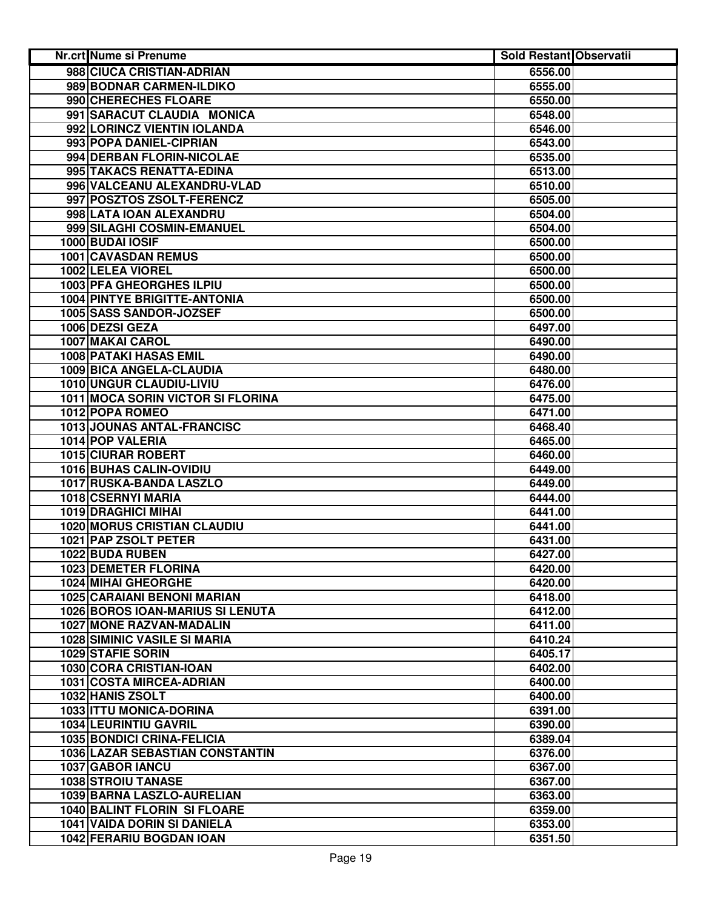| <b>Nr.crt Nume si Prenume</b>                                        | Sold Restant Observatii |  |
|----------------------------------------------------------------------|-------------------------|--|
| 988 CIUCA CRISTIAN-ADRIAN                                            | 6556.00                 |  |
| 989 BODNAR CARMEN-ILDIKO                                             | 6555.00                 |  |
| 990 CHERECHES FLOARE                                                 | 6550.00                 |  |
| 991 SARACUT CLAUDIA MONICA                                           | 6548.00                 |  |
| 992 LORINCZ VIENTIN IOLANDA                                          | 6546.00                 |  |
| 993 POPA DANIEL-CIPRIAN                                              | 6543.00                 |  |
| 994 DERBAN FLORIN-NICOLAE                                            | 6535.00                 |  |
| 995 TAKACS RENATTA-EDINA                                             | 6513.00                 |  |
| 996 VALCEANU ALEXANDRU-VLAD                                          | 6510.00                 |  |
| 997 POSZTOS ZSOLT-FERENCZ                                            | 6505.00                 |  |
| 998 LATA IOAN ALEXANDRU                                              | 6504.00                 |  |
| 999 SILAGHI COSMIN-EMANUEL                                           | 6504.00                 |  |
| 1000 BUDAI IOSIF                                                     | 6500.00                 |  |
| 1001 CAVASDAN REMUS                                                  | 6500.00                 |  |
| 1002 LELEA VIOREL                                                    | 6500.00                 |  |
| 1003 PFA GHEORGHES ILPIU                                             | 6500.00                 |  |
| 1004 PINTYE BRIGITTE-ANTONIA                                         | 6500.00                 |  |
| 1005 SASS SANDOR-JOZSEF                                              | 6500.00                 |  |
| 1006 DEZSI GEZA                                                      | 6497.00                 |  |
| 1007 MAKAI CAROL                                                     | 6490.00                 |  |
| <b>1008 PATAKI HASAS EMIL</b>                                        | 6490.00                 |  |
| 1009 BICA ANGELA-CLAUDIA                                             | 6480.00                 |  |
| 1010 UNGUR CLAUDIU-LIVIU                                             | 6476.00                 |  |
| <b>1011 MOCA SORIN VICTOR SI FLORINA</b>                             | 6475.00                 |  |
| 1012 POPA ROMEO                                                      | 6471.00                 |  |
| <b>1013 JOUNAS ANTAL-FRANCISC</b>                                    | 6468.40                 |  |
| 1014 POP VALERIA                                                     | 6465.00                 |  |
| 1015 CIURAR ROBERT                                                   | 6460.00                 |  |
| 1016 BUHAS CALIN-OVIDIU                                              | 6449.00                 |  |
| 1017 RUSKA-BANDA LASZLO                                              | 6449.00                 |  |
| 1018 CSERNYI MARIA                                                   | 6444.00                 |  |
| 1019 DRAGHICI MIHAI                                                  | 6441.00                 |  |
| <b>1020 MORUS CRISTIAN CLAUDIU</b>                                   | 6441.00                 |  |
| 1021 PAP ZSOLT PETER                                                 | 6431.00                 |  |
| 1022 BUDA RUBEN                                                      | 6427.00                 |  |
| 1023 DEMETER FLORINA                                                 | 6420.00                 |  |
| <b>1024 MIHAI GHEORGHE</b>                                           | 6420.00                 |  |
| <b>1025 CARAIANI BENONI MARIAN</b>                                   | 6418.00                 |  |
| 1026 BOROS IOAN-MARIUS SI LENUTA                                     | 6412.00                 |  |
| <b>1027 MONE RAZVAN-MADALIN</b>                                      | 6411.00                 |  |
| <b>1028 SIMINIC VASILE SI MARIA</b>                                  | 6410.24                 |  |
| 1029 STAFIE SORIN                                                    | 6405.17                 |  |
| 1030 CORA CRISTIAN-IOAN                                              | 6402.00                 |  |
| 1031 COSTA MIRCEA-ADRIAN                                             | 6400.00                 |  |
| 1032 HANIS ZSOLT                                                     | 6400.00                 |  |
| 1033 ITTU MONICA-DORINA                                              | 6391.00                 |  |
| <b>1034 LEURINTIU GAVRIL</b>                                         | 6390.00                 |  |
| <b>1035 BONDICI CRINA-FELICIA</b><br>1036 LAZAR SEBASTIAN CONSTANTIN | 6389.04<br>6376.00      |  |
| 1037 GABOR IANCU                                                     | 6367.00                 |  |
| <b>1038 STROIU TANASE</b>                                            | 6367.00                 |  |
| 1039 BARNA LASZLO-AURELIAN                                           |                         |  |
| 1040 BALINT FLORIN SI FLOARE                                         | 6363.00                 |  |
|                                                                      | 6359.00                 |  |
| 1041 VAIDA DORIN SI DANIELA                                          | 6353.00                 |  |
| 1042 FERARIU BOGDAN IOAN                                             | 6351.50                 |  |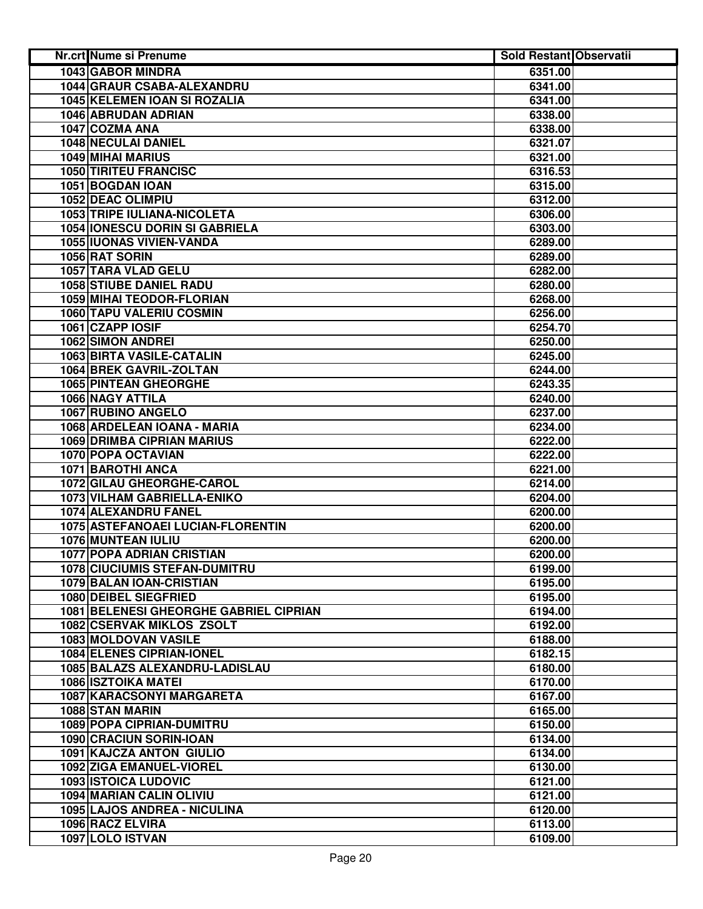| <b>Nr.crt Nume si Prenume</b>          | <b>Sold Restant Observatii</b> |  |
|----------------------------------------|--------------------------------|--|
| <b>1043 GABOR MINDRA</b>               | 6351.00                        |  |
| 1044 GRAUR CSABA-ALEXANDRU             | 6341.00                        |  |
| 1045 KELEMEN IOAN SI ROZALIA           | 6341.00                        |  |
| 1046 ABRUDAN ADRIAN                    | 6338.00                        |  |
| 1047 COZMA ANA                         | 6338.00                        |  |
| 1048 NECULAI DANIEL                    | 6321.07                        |  |
| 1049 MIHAI MARIUS                      | 6321.00                        |  |
| <b>1050 TIRITEU FRANCISC</b>           | 6316.53                        |  |
| 1051 BOGDAN IOAN                       | 6315.00                        |  |
| <b>1052 DEAC OLIMPIU</b>               | 6312.00                        |  |
| 1053 TRIPE IULIANA-NICOLETA            | 6306.00                        |  |
| <b>1054 IONESCU DORIN SI GABRIELA</b>  | 6303.00                        |  |
| 1055 IUONAS VIVIEN-VANDA               | 6289.00                        |  |
| 1056 RAT SORIN                         | 6289.00                        |  |
| 1057 TARA VLAD GELU                    | 6282.00                        |  |
| <b>1058 STIUBE DANIEL RADU</b>         | 6280.00                        |  |
| 1059 MIHAI TEODOR-FLORIAN              | 6268.00                        |  |
| 1060 TAPU VALERIU COSMIN               | 6256.00                        |  |
| 1061 CZAPP IOSIF                       | 6254.70                        |  |
| <b>1062 SIMON ANDREI</b>               | 6250.00                        |  |
| 1063 BIRTA VASILE-CATALIN              | 6245.00                        |  |
| <b>1064 BREK GAVRIL-ZOLTAN</b>         | 6244.00                        |  |
| <b>1065 PINTEAN GHEORGHE</b>           | 6243.35                        |  |
| <b>1066 NAGY ATTILA</b>                | 6240.00                        |  |
| <b>1067 RUBINO ANGELO</b>              | 6237.00                        |  |
| 1068 ARDELEAN IOANA - MARIA            | 6234.00                        |  |
| <b>1069 DRIMBA CIPRIAN MARIUS</b>      | 6222.00                        |  |
| 1070 POPA OCTAVIAN                     | 6222.00                        |  |
| 1071 BAROTHI ANCA                      | 6221.00                        |  |
| 1072 GILAU GHEORGHE-CAROL              | 6214.00                        |  |
| 1073 VILHAM GABRIELLA-ENIKO            | 6204.00                        |  |
| 1074 ALEXANDRU FANEL                   | 6200.00                        |  |
| 1075 ASTEFANOAEI LUCIAN-FLORENTIN      | 6200.00                        |  |
| 1076 MUNTEAN IULIU                     | 6200.00                        |  |
| 1077 POPA ADRIAN CRISTIAN              | 6200.00                        |  |
| <b>1078 CIUCIUMIS STEFAN-DUMITRU</b>   | 6199.00                        |  |
| 1079 BALAN IOAN-CRISTIAN               | 6195.00                        |  |
| 1080 DEIBEL SIEGFRIED                  | 6195.00                        |  |
| 1081 BELENESI GHEORGHE GABRIEL CIPRIAN | 6194.00                        |  |
| 1082 CSERVAK MIKLOS ZSOLT              | 6192.00                        |  |
| 1083 MOLDOVAN VASILE                   | 6188.00                        |  |
| 1084 ELENES CIPRIAN-IONEL              | 6182.15                        |  |
| 1085 BALAZS ALEXANDRU-LADISLAU         | 6180.00                        |  |
| <b>1086 ISZTOIKA MATEI</b>             | 6170.00                        |  |
| 1087 KARACSONYI MARGARETA              | 6167.00                        |  |
| 1088 STAN MARIN                        | 6165.00                        |  |
| 1089 POPA CIPRIAN-DUMITRU              | 6150.00                        |  |
| 1090 CRACIUN SORIN-IOAN                | 6134.00                        |  |
| 1091 KAJCZA ANTON GIULIO               | 6134.00                        |  |
| 1092 ZIGA EMANUEL-VIOREL               | 6130.00                        |  |
| <b>1093 ISTOICA LUDOVIC</b>            | 6121.00                        |  |
| 1094 MARIAN CALIN OLIVIU               | 6121.00                        |  |
| 1095 LAJOS ANDREA - NICULINA           | 6120.00                        |  |
| 1096 RACZ ELVIRA                       | 6113.00                        |  |
| 1097 LOLO ISTVAN                       | 6109.00                        |  |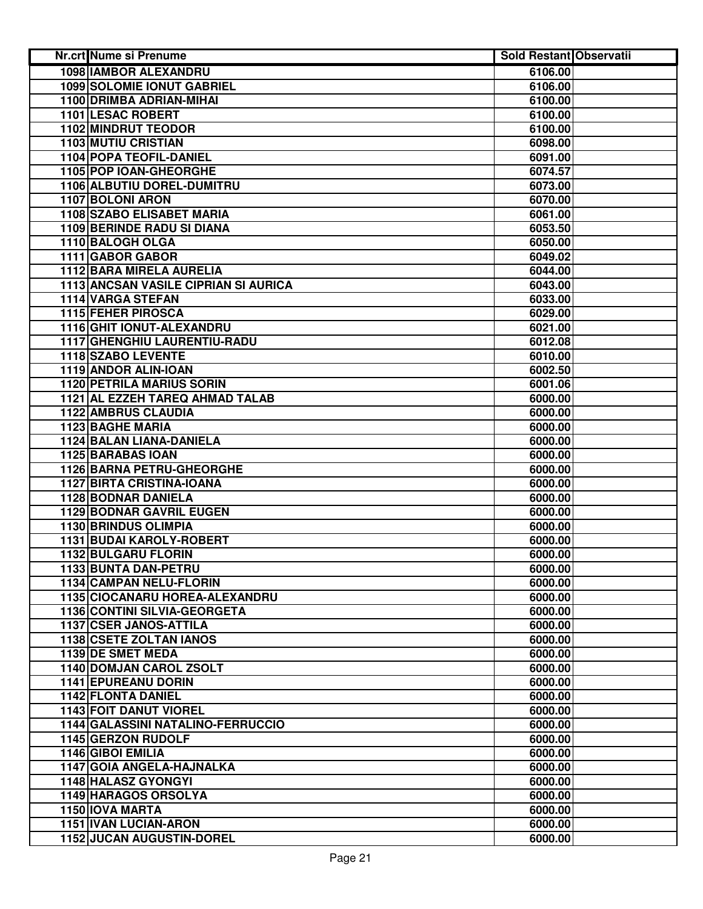| Nr.crt Nume si Prenume               | <b>Sold Restant Observatii</b> |  |
|--------------------------------------|--------------------------------|--|
| <b>1098 IAMBOR ALEXANDRU</b>         | 6106.00                        |  |
| <b>1099 SOLOMIE IONUT GABRIEL</b>    | 6106.00                        |  |
| 1100 DRIMBA ADRIAN-MIHAI             | 6100.00                        |  |
| 1101 LESAC ROBERT                    | 6100.00                        |  |
| <b>1102 MINDRUT TEODOR</b>           | 6100.00                        |  |
| <b>1103 MUTIU CRISTIAN</b>           | 6098.00                        |  |
| <b>1104 POPA TEOFIL-DANIEL</b>       | 6091.00                        |  |
| 1105 POP IOAN-GHEORGHE               | 6074.57                        |  |
| 1106 ALBUTIU DOREL-DUMITRU           | 6073.00                        |  |
| 1107 BOLONI ARON                     | 6070.00                        |  |
| 1108 SZABO ELISABET MARIA            | 6061.00                        |  |
| <b>1109 BERINDE RADU SI DIANA</b>    | 6053.50                        |  |
| 1110 BALOGH OLGA                     | 6050.00                        |  |
| 1111 GABOR GABOR                     | 6049.02                        |  |
| 1112 BARA MIRELA AURELIA             | 6044.00                        |  |
| 1113 ANCSAN VASILE CIPRIAN SI AURICA | 6043.00                        |  |
| 1114 VARGA STEFAN                    | 6033.00                        |  |
| 1115 FEHER PIROSCA                   | 6029.00                        |  |
| 1116 GHIT IONUT-ALEXANDRU            | 6021.00                        |  |
| 1117 GHENGHIU LAURENTIU-RADU         | 6012.08                        |  |
| 1118 SZABO LEVENTE                   | 6010.00                        |  |
| 1119 ANDOR ALIN-IOAN                 | 6002.50                        |  |
| <b>1120 PETRILA MARIUS SORIN</b>     | 6001.06                        |  |
| 1121 AL EZZEH TAREQ AHMAD TALAB      | 6000.00                        |  |
| <b>1122 AMBRUS CLAUDIA</b>           | 6000.00                        |  |
| <b>1123 BAGHE MARIA</b>              | 6000.00                        |  |
| 1124 BALAN LIANA-DANIELA             | 6000.00                        |  |
| 1125 BARABAS IOAN                    | 6000.00                        |  |
| 1126 BARNA PETRU-GHEORGHE            | 6000.00                        |  |
| <b>1127 BIRTA CRISTINA-IOANA</b>     | 6000.00                        |  |
| <b>1128 BODNAR DANIELA</b>           | 6000.00                        |  |
| <b>1129 BODNAR GAVRIL EUGEN</b>      | 6000.00                        |  |
| 1130 BRINDUS OLIMPIA                 | 6000.00                        |  |
| 1131 BUDAI KAROLY-ROBERT             | 6000.00                        |  |
| 1132 BULGARU FLORIN                  | 6000.00                        |  |
| 1133 BUNTA DAN-PETRU                 | 6000.00                        |  |
| 1134 CAMPAN NELU-FLORIN              | 6000.00                        |  |
| 1135 CIOCANARU HOREA-ALEXANDRU       | 6000.00                        |  |
| 1136 CONTINI SILVIA-GEORGETA         | 6000.00                        |  |
| 1137 CSER JANOS-ATTILA               | 6000.00                        |  |
| 1138 CSETE ZOLTAN IANOS              | 6000.00                        |  |
| 1139 DE SMET MEDA                    | 6000.00                        |  |
| <b>1140 DOMJAN CAROL ZSOLT</b>       | 6000.00                        |  |
| 1141 EPUREANU DORIN                  | 6000.00                        |  |
| 1142 FLONTA DANIEL                   | 6000.00                        |  |
| <b>1143 FOIT DANUT VIOREL</b>        | 6000.00                        |  |
| 1144 GALASSINI NATALINO-FERRUCCIO    | 6000.00                        |  |
| 1145 GERZON RUDOLF                   | 6000.00                        |  |
| 1146 GIBOI EMILIA                    | 6000.00                        |  |
| 1147 GOIA ANGELA-HAJNALKA            | 6000.00                        |  |
| <b>1148 HALASZ GYONGYI</b>           | 6000.00                        |  |
| 1149 HARAGOS ORSOLYA                 | 6000.00                        |  |
| 1150 IOVA MARTA                      | 6000.00                        |  |
| 1151 IVAN LUCIAN-ARON                | 6000.00                        |  |
| 1152 JUCAN AUGUSTIN-DOREL            | 6000.00                        |  |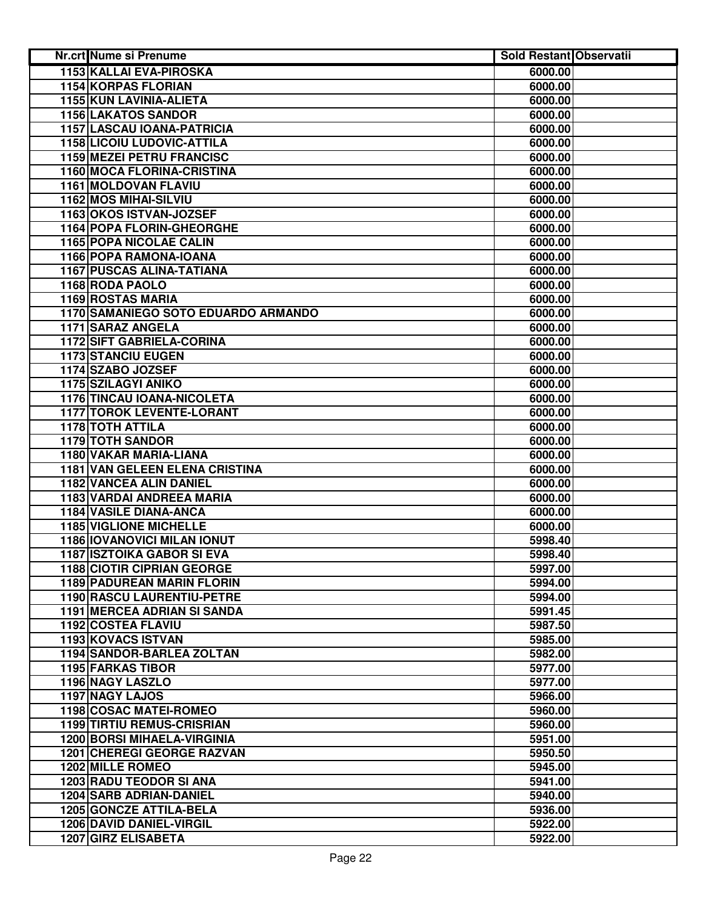| <b>Nr.crt Nume si Prenume</b>       | <b>Sold Restant Observatii</b> |  |
|-------------------------------------|--------------------------------|--|
| 1153 KALLAI EVA-PIROSKA             | 6000.00                        |  |
| 1154 KORPAS FLORIAN                 | 6000.00                        |  |
| 1155 KUN LAVINIA-ALIETA             | 6000.00                        |  |
| <b>1156 LAKATOS SANDOR</b>          | 6000.00                        |  |
| 1157 LASCAU IOANA-PATRICIA          | 6000.00                        |  |
| <b>1158 LICOIU LUDOVIC-ATTILA</b>   | 6000.00                        |  |
| <b>1159 MEZEI PETRU FRANCISC</b>    | 6000.00                        |  |
| 1160 MOCA FLORINA-CRISTINA          | 6000.00                        |  |
| 1161 MOLDOVAN FLAVIU                | 6000.00                        |  |
| 1162 MOS MIHAI-SILVIU               | 6000.00                        |  |
| 1163 OKOS ISTVAN-JOZSEF             | 6000.00                        |  |
| 1164 POPA FLORIN-GHEORGHE           | 6000.00                        |  |
| 1165 POPA NICOLAE CALIN             | 6000.00                        |  |
| 1166 POPA RAMONA-IOANA              | 6000.00                        |  |
| 1167 PUSCAS ALINA-TATIANA           | 6000.00                        |  |
| 1168 RODA PAOLO                     | 6000.00                        |  |
| 1169 ROSTAS MARIA                   | 6000.00                        |  |
| 1170 SAMANIEGO SOTO EDUARDO ARMANDO | 6000.00                        |  |
| 1171 SARAZ ANGELA                   | 6000.00                        |  |
| 1172 SIFT GABRIELA-CORINA           | 6000.00                        |  |
| <b>1173 STANCIU EUGEN</b>           | 6000.00                        |  |
| 1174 SZABO JOZSEF                   | 6000.00                        |  |
| 1175 SZILAGYI ANIKO                 | 6000.00                        |  |
| <b>1176 TINCAU IOANA-NICOLETA</b>   | 6000.00                        |  |
| <b>1177 TOROK LEVENTE-LORANT</b>    | 6000.00                        |  |
| <b>1178 TOTH ATTILA</b>             | 6000.00                        |  |
| <b>1179 TOTH SANDOR</b>             | 6000.00                        |  |
| 1180 VAKAR MARIA-LIANA              | 6000.00                        |  |
| 1181 VAN GELEEN ELENA CRISTINA      | 6000.00                        |  |
| 1182 VANCEA ALIN DANIEL             | 6000.00                        |  |
| 1183 VARDAI ANDREEA MARIA           | 6000.00                        |  |
| 1184 VASILE DIANA-ANCA              | 6000.00                        |  |
| <b>1185 VIGLIONE MICHELLE</b>       | 6000.00                        |  |
| 1186 IOVANOVICI MILAN IONUT         | 5998.40                        |  |
| <b>1187 ISZTOIKA GABOR SI EVA</b>   | 5998.40                        |  |
| <b>1188 CIOTIR CIPRIAN GEORGE</b>   | 5997.00                        |  |
| <b>1189 PADUREAN MARIN FLORIN</b>   | 5994.00                        |  |
| 1190 RASCU LAURENTIU-PETRE          | 5994.00                        |  |
| <b>1191 MERCEA ADRIAN SI SANDA</b>  | 5991.45                        |  |
| 1192 COSTEA FLAVIU                  | 5987.50                        |  |
| 1193 KOVACS ISTVAN                  | 5985.00                        |  |
| 1194 SANDOR-BARLEA ZOLTAN           | 5982.00                        |  |
| <b>1195 FARKAS TIBOR</b>            | 5977.00                        |  |
| 1196 NAGY LASZLO                    | 5977.00                        |  |
| 1197 NAGY LAJOS                     | 5966.00                        |  |
| 1198 COSAC MATEI-ROMEO              | 5960.00                        |  |
| <b>1199 TIRTIU REMUS-CRISRIAN</b>   | 5960.00                        |  |
| <b>1200 BORSI MIHAELA-VIRGINIA</b>  | 5951.00                        |  |
| <b>1201 CHEREGI GEORGE RAZVAN</b>   | 5950.50                        |  |
| <b>1202 MILLE ROMEO</b>             | 5945.00                        |  |
| 1203 RADU TEODOR SI ANA             | 5941.00                        |  |
| <b>1204 SARB ADRIAN-DANIEL</b>      | 5940.00                        |  |
| 1205 GONCZE ATTILA-BELA             | 5936.00                        |  |
| 1206 DAVID DANIEL-VIRGIL            | 5922.00                        |  |
| 1207 GIRZ ELISABETA                 | 5922.00                        |  |
|                                     |                                |  |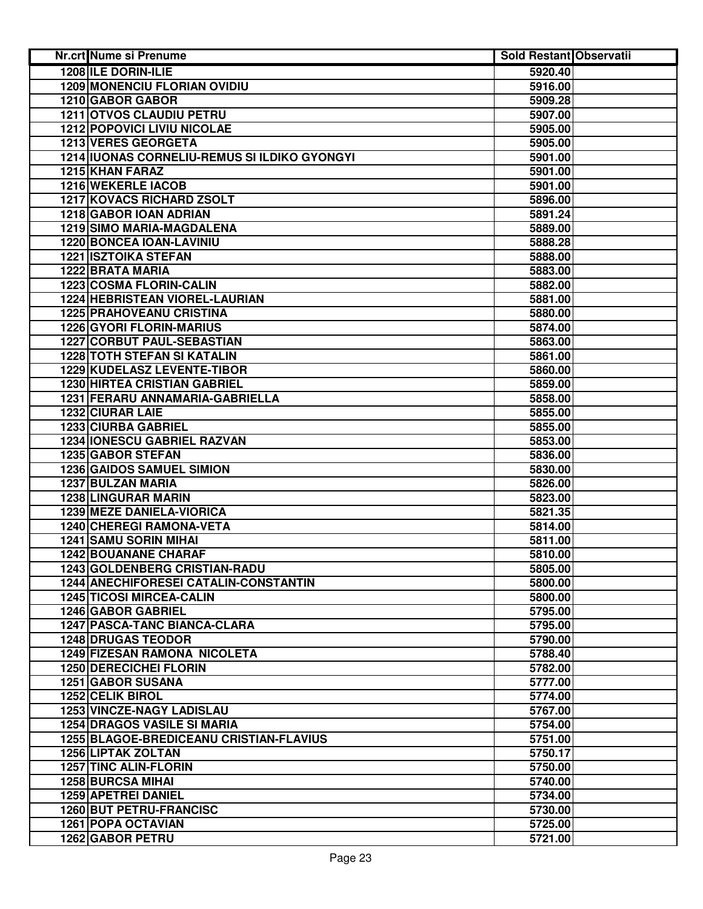| Nr.crt Nume si Prenume                       | <b>Sold Restant Observatii</b> |  |
|----------------------------------------------|--------------------------------|--|
| <b>1208 ILE DORIN-ILIE</b>                   | 5920.40                        |  |
| <b>1209 MONENCIU FLORIAN OVIDIU</b>          | 5916.00                        |  |
| 1210 GABOR GABOR                             | 5909.28                        |  |
| 1211 OTVOS CLAUDIU PETRU                     | 5907.00                        |  |
| <b>1212 POPOVICI LIVIU NICOLAE</b>           | 5905.00                        |  |
| 1213 VERES GEORGETA                          | 5905.00                        |  |
| 1214 IUONAS CORNELIU-REMUS SI ILDIKO GYONGYI | 5901.00                        |  |
| <b>1215 KHAN FARAZ</b>                       | 5901.00                        |  |
| 1216 WEKERLE IACOB                           | 5901.00                        |  |
| 1217 KOVACS RICHARD ZSOLT                    | 5896.00                        |  |
| 1218 GABOR IOAN ADRIAN                       | 5891.24                        |  |
| <b>1219 SIMO MARIA-MAGDALENA</b>             | 5889.00                        |  |
| 1220 BONCEA IOAN-LAVINIU                     | 5888.28                        |  |
| <b>1221 ISZTOIKA STEFAN</b>                  | 5888.00                        |  |
| 1222 BRATA MARIA                             | 5883.00                        |  |
| 1223 COSMA FLORIN-CALIN                      | 5882.00                        |  |
| 1224 HEBRISTEAN VIOREL-LAURIAN               | 5881.00                        |  |
| <b>1225 PRAHOVEANU CRISTINA</b>              | 5880.00                        |  |
| <b>1226 GYORI FLORIN-MARIUS</b>              | 5874.00                        |  |
| 1227 CORBUT PAUL-SEBASTIAN                   | 5863.00                        |  |
| <b>1228 TOTH STEFAN SI KATALIN</b>           | 5861.00                        |  |
| 1229 KUDELASZ LEVENTE-TIBOR                  | 5860.00                        |  |
| <b>1230 HIRTEA CRISTIAN GABRIEL</b>          | 5859.00                        |  |
| 1231 FERARU ANNAMARIA-GABRIELLA              | 5858.00                        |  |
| 1232 CIURAR LAIE                             | 5855.00                        |  |
| <b>1233 CIURBA GABRIEL</b>                   | 5855.00                        |  |
| 1234 IONESCU GABRIEL RAZVAN                  | 5853.00                        |  |
| 1235 GABOR STEFAN                            | 5836.00                        |  |
| <b>1236 GAIDOS SAMUEL SIMION</b>             | 5830.00                        |  |
| 1237 BULZAN MARIA                            | 5826.00                        |  |
| <b>1238 LINGURAR MARIN</b>                   | 5823.00                        |  |
| <b>1239 MEZE DANIELA-VIORICA</b>             | 5821.35                        |  |
| 1240 CHEREGI RAMONA-VETA                     | 5814.00                        |  |
| <b>1241 SAMU SORIN MIHAI</b>                 | 5811.00                        |  |
| <b>1242 BOUANANE CHARAF</b>                  | 5810.00                        |  |
| 1243 GOLDENBERG CRISTIAN-RADU                | 5805.00                        |  |
| 1244 ANECHIFORESEI CATALIN-CONSTANTIN        | 5800.00                        |  |
| <b>1245 TICOSI MIRCEA-CALIN</b>              | 5800.00                        |  |
| 1246 GABOR GABRIEL                           | 5795.00                        |  |
| 1247 PASCA-TANC BIANCA-CLARA                 | 5795.00                        |  |
| <b>1248 DRUGAS TEODOR</b>                    | 5790.00                        |  |
| <b>1249 FIZESAN RAMONA NICOLETA</b>          | 5788.40                        |  |
| <b>1250 DERECICHEI FLORIN</b>                | 5782.00                        |  |
| 1251 GABOR SUSANA                            | 5777.00                        |  |
| 1252 CELIK BIROL                             | 5774.00                        |  |
| 1253 VINCZE-NAGY LADISLAU                    | 5767.00                        |  |
| <b>1254 DRAGOS VASILE SI MARIA</b>           | 5754.00                        |  |
| 1255 BLAGOE-BREDICEANU CRISTIAN-FLAVIUS      | 5751.00                        |  |
| <b>1256 LIPTAK ZOLTAN</b>                    | 5750.17                        |  |
| <b>1257 TINC ALIN-FLORIN</b>                 | 5750.00                        |  |
| <b>1258 BURCSA MIHAI</b>                     | 5740.00                        |  |
| 1259 APETREI DANIEL                          | 5734.00                        |  |
| <b>1260 BUT PETRU-FRANCISC</b>               | 5730.00                        |  |
| <b>1261 POPA OCTAVIAN</b>                    | 5725.00                        |  |
| 1262 GABOR PETRU                             | 5721.00                        |  |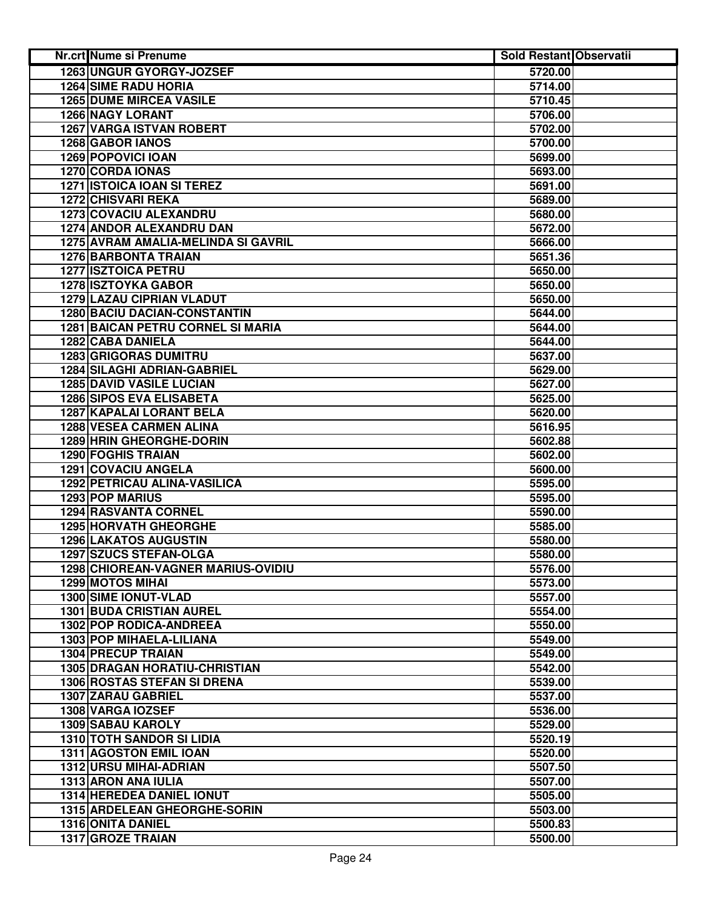| <b>1263 UNGUR GYORGY-JOZSEF</b><br>5720.00<br><b>1264 SIME RADU HORIA</b><br>5714.00<br><b>1265 DUME MIRCEA VASILE</b><br>5710.45<br><b>1266 NAGY LORANT</b><br>5706.00<br><b>1267 VARGA ISTVAN ROBERT</b><br>5702.00<br>1268 GABOR IANOS<br>5700.00<br>1269 POPOVICI IOAN<br>5699.00<br>1270 CORDA IONAS<br>5693.00<br><b>1271 ISTOICA IOAN SI TEREZ</b><br>5691.00<br><b>1272 CHISVARI REKA</b><br>5689.00<br>1273 COVACIU ALEXANDRU<br>5680.00<br>1274 ANDOR ALEXANDRU DAN<br>5672.00<br>1275 AVRAM AMALIA-MELINDA SI GAVRIL<br>5666.00<br>5651.36<br><b>1276 BARBONTA TRAIAN</b><br><b>1277 ISZTOICA PETRU</b><br>5650.00<br><b>1278 ISZTOYKA GABOR</b><br>5650.00<br><b>1279 LAZAU CIPRIAN VLADUT</b><br>5650.00<br>1280 BACIU DACIAN-CONSTANTIN<br>5644.00<br><b>1281 BAICAN PETRU CORNEL SI MARIA</b><br>5644.00<br>1282 CABA DANIELA<br>5644.00<br><b>1283 GRIGORAS DUMITRU</b><br>5637.00<br><b>1284 SILAGHI ADRIAN-GABRIEL</b><br>5629.00<br><b>1285 DAVID VASILE LUCIAN</b><br>5627.00<br><b>1286 SIPOS EVA ELISABETA</b><br>5625.00<br><b>1287 KAPALAI LORANT BELA</b><br>5620.00<br><b>1288 VESEA CARMEN ALINA</b><br>5616.95<br>1289 HRIN GHEORGHE-DORIN<br>5602.88<br>1290 FOGHIS TRAIAN<br>5602.00<br>1291 COVACIU ANGELA<br>5600.00<br>1292 PETRICAU ALINA-VASILICA<br>5595.00<br>1293 POP MARIUS<br>5595.00<br>1294 RASVANTA CORNEL<br>5590.00<br><b>1295 HORVATH GHEORGHE</b><br>5585.00<br><b>1296 LAKATOS AUGUSTIN</b><br>5580.00<br>1297 SZUCS STEFAN-OLGA<br>5580.00<br>1298 CHIOREAN-VAGNER MARIUS-OVIDIU<br>5576.00<br><b>1299 MOTOS MIHAI</b><br>5573.00<br>1300 SIME IONUT-VLAD<br>5557.00<br><b>1301 BUDA CRISTIAN AUREL</b><br>5554.00<br>1302 POP RODICA-ANDREEA<br>5550.00<br>1303 POP MIHAELA-LILIANA<br>5549.00<br><b>1304 PRECUP TRAIAN</b><br>5549.00<br><b>1305 DRAGAN HORATIU-CHRISTIAN</b><br>5542.00<br>1306 ROSTAS STEFAN SI DRENA<br>5539.00<br>1307 ZARAU GABRIEL<br>5537.00<br>1308 VARGA IOZSEF<br>5536.00<br><b>1309 SABAU KAROLY</b><br>5529.00<br><b>1310 TOTH SANDOR SI LIDIA</b><br>5520.19<br><b>1311 AGOSTON EMIL IOAN</b><br>5520.00<br>1312 URSU MIHAI-ADRIAN<br>5507.50<br>1313 ARON ANA IULIA<br>5507.00<br>1314 HEREDEA DANIEL IONUT<br>5505.00<br>1315 ARDELEAN GHEORGHE-SORIN<br>5503.00<br>1316 ONITA DANIEL<br>5500.83 | Nr.crt Nume si Prenume | <b>Sold Restant Observatii</b> |  |
|------------------------------------------------------------------------------------------------------------------------------------------------------------------------------------------------------------------------------------------------------------------------------------------------------------------------------------------------------------------------------------------------------------------------------------------------------------------------------------------------------------------------------------------------------------------------------------------------------------------------------------------------------------------------------------------------------------------------------------------------------------------------------------------------------------------------------------------------------------------------------------------------------------------------------------------------------------------------------------------------------------------------------------------------------------------------------------------------------------------------------------------------------------------------------------------------------------------------------------------------------------------------------------------------------------------------------------------------------------------------------------------------------------------------------------------------------------------------------------------------------------------------------------------------------------------------------------------------------------------------------------------------------------------------------------------------------------------------------------------------------------------------------------------------------------------------------------------------------------------------------------------------------------------------------------------------------------------------------------------------------------------------------------------------------------------------------------------------------------------------------------------------------------------------------------------------------------------------------------------------------------------------------------|------------------------|--------------------------------|--|
|                                                                                                                                                                                                                                                                                                                                                                                                                                                                                                                                                                                                                                                                                                                                                                                                                                                                                                                                                                                                                                                                                                                                                                                                                                                                                                                                                                                                                                                                                                                                                                                                                                                                                                                                                                                                                                                                                                                                                                                                                                                                                                                                                                                                                                                                                    |                        |                                |  |
|                                                                                                                                                                                                                                                                                                                                                                                                                                                                                                                                                                                                                                                                                                                                                                                                                                                                                                                                                                                                                                                                                                                                                                                                                                                                                                                                                                                                                                                                                                                                                                                                                                                                                                                                                                                                                                                                                                                                                                                                                                                                                                                                                                                                                                                                                    |                        |                                |  |
|                                                                                                                                                                                                                                                                                                                                                                                                                                                                                                                                                                                                                                                                                                                                                                                                                                                                                                                                                                                                                                                                                                                                                                                                                                                                                                                                                                                                                                                                                                                                                                                                                                                                                                                                                                                                                                                                                                                                                                                                                                                                                                                                                                                                                                                                                    |                        |                                |  |
|                                                                                                                                                                                                                                                                                                                                                                                                                                                                                                                                                                                                                                                                                                                                                                                                                                                                                                                                                                                                                                                                                                                                                                                                                                                                                                                                                                                                                                                                                                                                                                                                                                                                                                                                                                                                                                                                                                                                                                                                                                                                                                                                                                                                                                                                                    |                        |                                |  |
|                                                                                                                                                                                                                                                                                                                                                                                                                                                                                                                                                                                                                                                                                                                                                                                                                                                                                                                                                                                                                                                                                                                                                                                                                                                                                                                                                                                                                                                                                                                                                                                                                                                                                                                                                                                                                                                                                                                                                                                                                                                                                                                                                                                                                                                                                    |                        |                                |  |
|                                                                                                                                                                                                                                                                                                                                                                                                                                                                                                                                                                                                                                                                                                                                                                                                                                                                                                                                                                                                                                                                                                                                                                                                                                                                                                                                                                                                                                                                                                                                                                                                                                                                                                                                                                                                                                                                                                                                                                                                                                                                                                                                                                                                                                                                                    |                        |                                |  |
|                                                                                                                                                                                                                                                                                                                                                                                                                                                                                                                                                                                                                                                                                                                                                                                                                                                                                                                                                                                                                                                                                                                                                                                                                                                                                                                                                                                                                                                                                                                                                                                                                                                                                                                                                                                                                                                                                                                                                                                                                                                                                                                                                                                                                                                                                    |                        |                                |  |
|                                                                                                                                                                                                                                                                                                                                                                                                                                                                                                                                                                                                                                                                                                                                                                                                                                                                                                                                                                                                                                                                                                                                                                                                                                                                                                                                                                                                                                                                                                                                                                                                                                                                                                                                                                                                                                                                                                                                                                                                                                                                                                                                                                                                                                                                                    |                        |                                |  |
|                                                                                                                                                                                                                                                                                                                                                                                                                                                                                                                                                                                                                                                                                                                                                                                                                                                                                                                                                                                                                                                                                                                                                                                                                                                                                                                                                                                                                                                                                                                                                                                                                                                                                                                                                                                                                                                                                                                                                                                                                                                                                                                                                                                                                                                                                    |                        |                                |  |
|                                                                                                                                                                                                                                                                                                                                                                                                                                                                                                                                                                                                                                                                                                                                                                                                                                                                                                                                                                                                                                                                                                                                                                                                                                                                                                                                                                                                                                                                                                                                                                                                                                                                                                                                                                                                                                                                                                                                                                                                                                                                                                                                                                                                                                                                                    |                        |                                |  |
|                                                                                                                                                                                                                                                                                                                                                                                                                                                                                                                                                                                                                                                                                                                                                                                                                                                                                                                                                                                                                                                                                                                                                                                                                                                                                                                                                                                                                                                                                                                                                                                                                                                                                                                                                                                                                                                                                                                                                                                                                                                                                                                                                                                                                                                                                    |                        |                                |  |
|                                                                                                                                                                                                                                                                                                                                                                                                                                                                                                                                                                                                                                                                                                                                                                                                                                                                                                                                                                                                                                                                                                                                                                                                                                                                                                                                                                                                                                                                                                                                                                                                                                                                                                                                                                                                                                                                                                                                                                                                                                                                                                                                                                                                                                                                                    |                        |                                |  |
|                                                                                                                                                                                                                                                                                                                                                                                                                                                                                                                                                                                                                                                                                                                                                                                                                                                                                                                                                                                                                                                                                                                                                                                                                                                                                                                                                                                                                                                                                                                                                                                                                                                                                                                                                                                                                                                                                                                                                                                                                                                                                                                                                                                                                                                                                    |                        |                                |  |
|                                                                                                                                                                                                                                                                                                                                                                                                                                                                                                                                                                                                                                                                                                                                                                                                                                                                                                                                                                                                                                                                                                                                                                                                                                                                                                                                                                                                                                                                                                                                                                                                                                                                                                                                                                                                                                                                                                                                                                                                                                                                                                                                                                                                                                                                                    |                        |                                |  |
|                                                                                                                                                                                                                                                                                                                                                                                                                                                                                                                                                                                                                                                                                                                                                                                                                                                                                                                                                                                                                                                                                                                                                                                                                                                                                                                                                                                                                                                                                                                                                                                                                                                                                                                                                                                                                                                                                                                                                                                                                                                                                                                                                                                                                                                                                    |                        |                                |  |
|                                                                                                                                                                                                                                                                                                                                                                                                                                                                                                                                                                                                                                                                                                                                                                                                                                                                                                                                                                                                                                                                                                                                                                                                                                                                                                                                                                                                                                                                                                                                                                                                                                                                                                                                                                                                                                                                                                                                                                                                                                                                                                                                                                                                                                                                                    |                        |                                |  |
|                                                                                                                                                                                                                                                                                                                                                                                                                                                                                                                                                                                                                                                                                                                                                                                                                                                                                                                                                                                                                                                                                                                                                                                                                                                                                                                                                                                                                                                                                                                                                                                                                                                                                                                                                                                                                                                                                                                                                                                                                                                                                                                                                                                                                                                                                    |                        |                                |  |
|                                                                                                                                                                                                                                                                                                                                                                                                                                                                                                                                                                                                                                                                                                                                                                                                                                                                                                                                                                                                                                                                                                                                                                                                                                                                                                                                                                                                                                                                                                                                                                                                                                                                                                                                                                                                                                                                                                                                                                                                                                                                                                                                                                                                                                                                                    |                        |                                |  |
|                                                                                                                                                                                                                                                                                                                                                                                                                                                                                                                                                                                                                                                                                                                                                                                                                                                                                                                                                                                                                                                                                                                                                                                                                                                                                                                                                                                                                                                                                                                                                                                                                                                                                                                                                                                                                                                                                                                                                                                                                                                                                                                                                                                                                                                                                    |                        |                                |  |
|                                                                                                                                                                                                                                                                                                                                                                                                                                                                                                                                                                                                                                                                                                                                                                                                                                                                                                                                                                                                                                                                                                                                                                                                                                                                                                                                                                                                                                                                                                                                                                                                                                                                                                                                                                                                                                                                                                                                                                                                                                                                                                                                                                                                                                                                                    |                        |                                |  |
|                                                                                                                                                                                                                                                                                                                                                                                                                                                                                                                                                                                                                                                                                                                                                                                                                                                                                                                                                                                                                                                                                                                                                                                                                                                                                                                                                                                                                                                                                                                                                                                                                                                                                                                                                                                                                                                                                                                                                                                                                                                                                                                                                                                                                                                                                    |                        |                                |  |
|                                                                                                                                                                                                                                                                                                                                                                                                                                                                                                                                                                                                                                                                                                                                                                                                                                                                                                                                                                                                                                                                                                                                                                                                                                                                                                                                                                                                                                                                                                                                                                                                                                                                                                                                                                                                                                                                                                                                                                                                                                                                                                                                                                                                                                                                                    |                        |                                |  |
|                                                                                                                                                                                                                                                                                                                                                                                                                                                                                                                                                                                                                                                                                                                                                                                                                                                                                                                                                                                                                                                                                                                                                                                                                                                                                                                                                                                                                                                                                                                                                                                                                                                                                                                                                                                                                                                                                                                                                                                                                                                                                                                                                                                                                                                                                    |                        |                                |  |
|                                                                                                                                                                                                                                                                                                                                                                                                                                                                                                                                                                                                                                                                                                                                                                                                                                                                                                                                                                                                                                                                                                                                                                                                                                                                                                                                                                                                                                                                                                                                                                                                                                                                                                                                                                                                                                                                                                                                                                                                                                                                                                                                                                                                                                                                                    |                        |                                |  |
|                                                                                                                                                                                                                                                                                                                                                                                                                                                                                                                                                                                                                                                                                                                                                                                                                                                                                                                                                                                                                                                                                                                                                                                                                                                                                                                                                                                                                                                                                                                                                                                                                                                                                                                                                                                                                                                                                                                                                                                                                                                                                                                                                                                                                                                                                    |                        |                                |  |
|                                                                                                                                                                                                                                                                                                                                                                                                                                                                                                                                                                                                                                                                                                                                                                                                                                                                                                                                                                                                                                                                                                                                                                                                                                                                                                                                                                                                                                                                                                                                                                                                                                                                                                                                                                                                                                                                                                                                                                                                                                                                                                                                                                                                                                                                                    |                        |                                |  |
|                                                                                                                                                                                                                                                                                                                                                                                                                                                                                                                                                                                                                                                                                                                                                                                                                                                                                                                                                                                                                                                                                                                                                                                                                                                                                                                                                                                                                                                                                                                                                                                                                                                                                                                                                                                                                                                                                                                                                                                                                                                                                                                                                                                                                                                                                    |                        |                                |  |
|                                                                                                                                                                                                                                                                                                                                                                                                                                                                                                                                                                                                                                                                                                                                                                                                                                                                                                                                                                                                                                                                                                                                                                                                                                                                                                                                                                                                                                                                                                                                                                                                                                                                                                                                                                                                                                                                                                                                                                                                                                                                                                                                                                                                                                                                                    |                        |                                |  |
|                                                                                                                                                                                                                                                                                                                                                                                                                                                                                                                                                                                                                                                                                                                                                                                                                                                                                                                                                                                                                                                                                                                                                                                                                                                                                                                                                                                                                                                                                                                                                                                                                                                                                                                                                                                                                                                                                                                                                                                                                                                                                                                                                                                                                                                                                    |                        |                                |  |
|                                                                                                                                                                                                                                                                                                                                                                                                                                                                                                                                                                                                                                                                                                                                                                                                                                                                                                                                                                                                                                                                                                                                                                                                                                                                                                                                                                                                                                                                                                                                                                                                                                                                                                                                                                                                                                                                                                                                                                                                                                                                                                                                                                                                                                                                                    |                        |                                |  |
|                                                                                                                                                                                                                                                                                                                                                                                                                                                                                                                                                                                                                                                                                                                                                                                                                                                                                                                                                                                                                                                                                                                                                                                                                                                                                                                                                                                                                                                                                                                                                                                                                                                                                                                                                                                                                                                                                                                                                                                                                                                                                                                                                                                                                                                                                    |                        |                                |  |
|                                                                                                                                                                                                                                                                                                                                                                                                                                                                                                                                                                                                                                                                                                                                                                                                                                                                                                                                                                                                                                                                                                                                                                                                                                                                                                                                                                                                                                                                                                                                                                                                                                                                                                                                                                                                                                                                                                                                                                                                                                                                                                                                                                                                                                                                                    |                        |                                |  |
|                                                                                                                                                                                                                                                                                                                                                                                                                                                                                                                                                                                                                                                                                                                                                                                                                                                                                                                                                                                                                                                                                                                                                                                                                                                                                                                                                                                                                                                                                                                                                                                                                                                                                                                                                                                                                                                                                                                                                                                                                                                                                                                                                                                                                                                                                    |                        |                                |  |
|                                                                                                                                                                                                                                                                                                                                                                                                                                                                                                                                                                                                                                                                                                                                                                                                                                                                                                                                                                                                                                                                                                                                                                                                                                                                                                                                                                                                                                                                                                                                                                                                                                                                                                                                                                                                                                                                                                                                                                                                                                                                                                                                                                                                                                                                                    |                        |                                |  |
|                                                                                                                                                                                                                                                                                                                                                                                                                                                                                                                                                                                                                                                                                                                                                                                                                                                                                                                                                                                                                                                                                                                                                                                                                                                                                                                                                                                                                                                                                                                                                                                                                                                                                                                                                                                                                                                                                                                                                                                                                                                                                                                                                                                                                                                                                    |                        |                                |  |
|                                                                                                                                                                                                                                                                                                                                                                                                                                                                                                                                                                                                                                                                                                                                                                                                                                                                                                                                                                                                                                                                                                                                                                                                                                                                                                                                                                                                                                                                                                                                                                                                                                                                                                                                                                                                                                                                                                                                                                                                                                                                                                                                                                                                                                                                                    |                        |                                |  |
|                                                                                                                                                                                                                                                                                                                                                                                                                                                                                                                                                                                                                                                                                                                                                                                                                                                                                                                                                                                                                                                                                                                                                                                                                                                                                                                                                                                                                                                                                                                                                                                                                                                                                                                                                                                                                                                                                                                                                                                                                                                                                                                                                                                                                                                                                    |                        |                                |  |
|                                                                                                                                                                                                                                                                                                                                                                                                                                                                                                                                                                                                                                                                                                                                                                                                                                                                                                                                                                                                                                                                                                                                                                                                                                                                                                                                                                                                                                                                                                                                                                                                                                                                                                                                                                                                                                                                                                                                                                                                                                                                                                                                                                                                                                                                                    |                        |                                |  |
|                                                                                                                                                                                                                                                                                                                                                                                                                                                                                                                                                                                                                                                                                                                                                                                                                                                                                                                                                                                                                                                                                                                                                                                                                                                                                                                                                                                                                                                                                                                                                                                                                                                                                                                                                                                                                                                                                                                                                                                                                                                                                                                                                                                                                                                                                    |                        |                                |  |
|                                                                                                                                                                                                                                                                                                                                                                                                                                                                                                                                                                                                                                                                                                                                                                                                                                                                                                                                                                                                                                                                                                                                                                                                                                                                                                                                                                                                                                                                                                                                                                                                                                                                                                                                                                                                                                                                                                                                                                                                                                                                                                                                                                                                                                                                                    |                        |                                |  |
|                                                                                                                                                                                                                                                                                                                                                                                                                                                                                                                                                                                                                                                                                                                                                                                                                                                                                                                                                                                                                                                                                                                                                                                                                                                                                                                                                                                                                                                                                                                                                                                                                                                                                                                                                                                                                                                                                                                                                                                                                                                                                                                                                                                                                                                                                    |                        |                                |  |
|                                                                                                                                                                                                                                                                                                                                                                                                                                                                                                                                                                                                                                                                                                                                                                                                                                                                                                                                                                                                                                                                                                                                                                                                                                                                                                                                                                                                                                                                                                                                                                                                                                                                                                                                                                                                                                                                                                                                                                                                                                                                                                                                                                                                                                                                                    |                        |                                |  |
|                                                                                                                                                                                                                                                                                                                                                                                                                                                                                                                                                                                                                                                                                                                                                                                                                                                                                                                                                                                                                                                                                                                                                                                                                                                                                                                                                                                                                                                                                                                                                                                                                                                                                                                                                                                                                                                                                                                                                                                                                                                                                                                                                                                                                                                                                    |                        |                                |  |
|                                                                                                                                                                                                                                                                                                                                                                                                                                                                                                                                                                                                                                                                                                                                                                                                                                                                                                                                                                                                                                                                                                                                                                                                                                                                                                                                                                                                                                                                                                                                                                                                                                                                                                                                                                                                                                                                                                                                                                                                                                                                                                                                                                                                                                                                                    |                        |                                |  |
|                                                                                                                                                                                                                                                                                                                                                                                                                                                                                                                                                                                                                                                                                                                                                                                                                                                                                                                                                                                                                                                                                                                                                                                                                                                                                                                                                                                                                                                                                                                                                                                                                                                                                                                                                                                                                                                                                                                                                                                                                                                                                                                                                                                                                                                                                    |                        |                                |  |
|                                                                                                                                                                                                                                                                                                                                                                                                                                                                                                                                                                                                                                                                                                                                                                                                                                                                                                                                                                                                                                                                                                                                                                                                                                                                                                                                                                                                                                                                                                                                                                                                                                                                                                                                                                                                                                                                                                                                                                                                                                                                                                                                                                                                                                                                                    |                        |                                |  |
|                                                                                                                                                                                                                                                                                                                                                                                                                                                                                                                                                                                                                                                                                                                                                                                                                                                                                                                                                                                                                                                                                                                                                                                                                                                                                                                                                                                                                                                                                                                                                                                                                                                                                                                                                                                                                                                                                                                                                                                                                                                                                                                                                                                                                                                                                    |                        |                                |  |
|                                                                                                                                                                                                                                                                                                                                                                                                                                                                                                                                                                                                                                                                                                                                                                                                                                                                                                                                                                                                                                                                                                                                                                                                                                                                                                                                                                                                                                                                                                                                                                                                                                                                                                                                                                                                                                                                                                                                                                                                                                                                                                                                                                                                                                                                                    |                        |                                |  |
|                                                                                                                                                                                                                                                                                                                                                                                                                                                                                                                                                                                                                                                                                                                                                                                                                                                                                                                                                                                                                                                                                                                                                                                                                                                                                                                                                                                                                                                                                                                                                                                                                                                                                                                                                                                                                                                                                                                                                                                                                                                                                                                                                                                                                                                                                    |                        |                                |  |
|                                                                                                                                                                                                                                                                                                                                                                                                                                                                                                                                                                                                                                                                                                                                                                                                                                                                                                                                                                                                                                                                                                                                                                                                                                                                                                                                                                                                                                                                                                                                                                                                                                                                                                                                                                                                                                                                                                                                                                                                                                                                                                                                                                                                                                                                                    |                        |                                |  |
|                                                                                                                                                                                                                                                                                                                                                                                                                                                                                                                                                                                                                                                                                                                                                                                                                                                                                                                                                                                                                                                                                                                                                                                                                                                                                                                                                                                                                                                                                                                                                                                                                                                                                                                                                                                                                                                                                                                                                                                                                                                                                                                                                                                                                                                                                    |                        |                                |  |
|                                                                                                                                                                                                                                                                                                                                                                                                                                                                                                                                                                                                                                                                                                                                                                                                                                                                                                                                                                                                                                                                                                                                                                                                                                                                                                                                                                                                                                                                                                                                                                                                                                                                                                                                                                                                                                                                                                                                                                                                                                                                                                                                                                                                                                                                                    |                        |                                |  |
|                                                                                                                                                                                                                                                                                                                                                                                                                                                                                                                                                                                                                                                                                                                                                                                                                                                                                                                                                                                                                                                                                                                                                                                                                                                                                                                                                                                                                                                                                                                                                                                                                                                                                                                                                                                                                                                                                                                                                                                                                                                                                                                                                                                                                                                                                    |                        |                                |  |
|                                                                                                                                                                                                                                                                                                                                                                                                                                                                                                                                                                                                                                                                                                                                                                                                                                                                                                                                                                                                                                                                                                                                                                                                                                                                                                                                                                                                                                                                                                                                                                                                                                                                                                                                                                                                                                                                                                                                                                                                                                                                                                                                                                                                                                                                                    |                        |                                |  |
| 1317 GROZE TRAIAN<br>5500.00                                                                                                                                                                                                                                                                                                                                                                                                                                                                                                                                                                                                                                                                                                                                                                                                                                                                                                                                                                                                                                                                                                                                                                                                                                                                                                                                                                                                                                                                                                                                                                                                                                                                                                                                                                                                                                                                                                                                                                                                                                                                                                                                                                                                                                                       |                        |                                |  |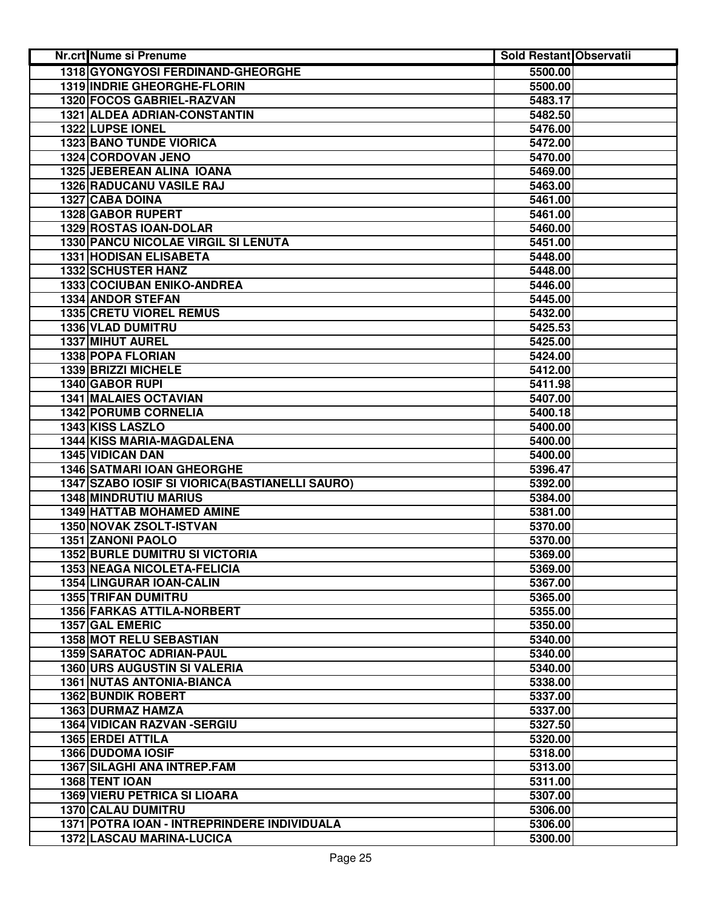| Nr.crt Nume si Prenume                          | <b>Sold Restant Observatii</b> |  |
|-------------------------------------------------|--------------------------------|--|
| 1318 GYONGYOSI FERDINAND-GHEORGHE               | 5500.00                        |  |
| 1319 INDRIE GHEORGHE-FLORIN                     | 5500.00                        |  |
| 1320 FOCOS GABRIEL-RAZVAN                       | 5483.17                        |  |
| 1321 ALDEA ADRIAN-CONSTANTIN                    | 5482.50                        |  |
| 1322 LUPSE IONEL                                | 5476.00                        |  |
| <b>1323 BANO TUNDE VIORICA</b>                  | 5472.00                        |  |
| 1324 CORDOVAN JENO                              | 5470.00                        |  |
| 1325 JEBEREAN ALINA IOANA                       | 5469.00                        |  |
| <b>1326 RADUCANU VASILE RAJ</b>                 | 5463.00                        |  |
| 1327 CABA DOINA                                 | 5461.00                        |  |
| 1328 GABOR RUPERT                               | 5461.00                        |  |
| 1329 ROSTAS IOAN-DOLAR                          | 5460.00                        |  |
| 1330 PANCU NICOLAE VIRGIL SI LENUTA             | 5451.00                        |  |
| 1331 HODISAN ELISABETA                          | 5448.00                        |  |
| 1332 SCHUSTER HANZ                              | 5448.00                        |  |
| 1333 COCIUBAN ENIKO-ANDREA                      | 5446.00                        |  |
| 1334 ANDOR STEFAN                               | 5445.00                        |  |
| <b>1335 CRETU VIOREL REMUS</b>                  | 5432.00                        |  |
| 1336 VLAD DUMITRU                               | 5425.53                        |  |
| 1337 MIHUT AUREL                                | 5425.00                        |  |
| 1338 POPA FLORIAN                               | 5424.00                        |  |
| <b>1339 BRIZZI MICHELE</b>                      | 5412.00                        |  |
| 1340 GABOR RUPI                                 | 5411.98                        |  |
| <b>1341 MALAIES OCTAVIAN</b>                    | 5407.00                        |  |
| <b>1342 PORUMB CORNELIA</b>                     | 5400.18                        |  |
| 1343 KISS LASZLO                                | 5400.00                        |  |
| 1344 KISS MARIA-MAGDALENA                       | 5400.00                        |  |
| 1345 VIDICAN DAN                                | 5400.00                        |  |
| <b>1346 SATMARI IOAN GHEORGHE</b>               | 5396.47                        |  |
| 1347 SZABO IOSIF SI VIORICA (BASTIANELLI SAURO) | 5392.00                        |  |
| 1348 MINDRUTIU MARIUS                           | 5384.00                        |  |
| <b>1349 HATTAB MOHAMED AMINE</b>                | 5381.00                        |  |
| 1350 NOVAK ZSOLT-ISTVAN                         | 5370.00                        |  |
| 1351 ZANONI PAOLO                               | 5370.00                        |  |
| <b>1352 BURLE DUMITRU SI VICTORIA</b>           | 5369.00                        |  |
| 1353 NEAGA NICOLETA-FELICIA                     | 5369.00                        |  |
| 1354 LINGURAR IOAN-CALIN                        | 5367.00                        |  |
| <b>1355 TRIFAN DUMITRU</b>                      | 5365.00                        |  |
| 1356 FARKAS ATTILA-NORBERT                      | 5355.00                        |  |
| 1357 GAL EMERIC                                 | 5350.00                        |  |
| 1358 MOT RELU SEBASTIAN                         | 5340.00                        |  |
| <b>1359 SARATOC ADRIAN-PAUL</b>                 | 5340.00                        |  |
| <b>1360 URS AUGUSTIN SI VALERIA</b>             | 5340.00                        |  |
| <b>1361 NUTAS ANTONIA-BIANCA</b>                | 5338.00                        |  |
| <b>1362 BUNDIK ROBERT</b>                       | 5337.00                        |  |
| <b>1363 DURMAZ HAMZA</b>                        | 5337.00                        |  |
| 1364 VIDICAN RAZVAN - SERGIU                    | 5327.50                        |  |
| <b>1365 ERDEI ATTILA</b>                        | 5320.00                        |  |
| 1366 DUDOMA IOSIF                               | 5318.00                        |  |
| 1367 SILAGHI ANA INTREP.FAM                     | 5313.00                        |  |
| 1368 TENT IOAN                                  | 5311.00                        |  |
| <b>1369 VIERU PETRICA SI LIOARA</b>             | 5307.00                        |  |
| <b>1370 CALAU DUMITRU</b>                       | 5306.00                        |  |
| 1371 POTRA IOAN - INTREPRINDERE INDIVIDUALA     | 5306.00                        |  |
| 1372 LASCAU MARINA-LUCICA                       | 5300.00                        |  |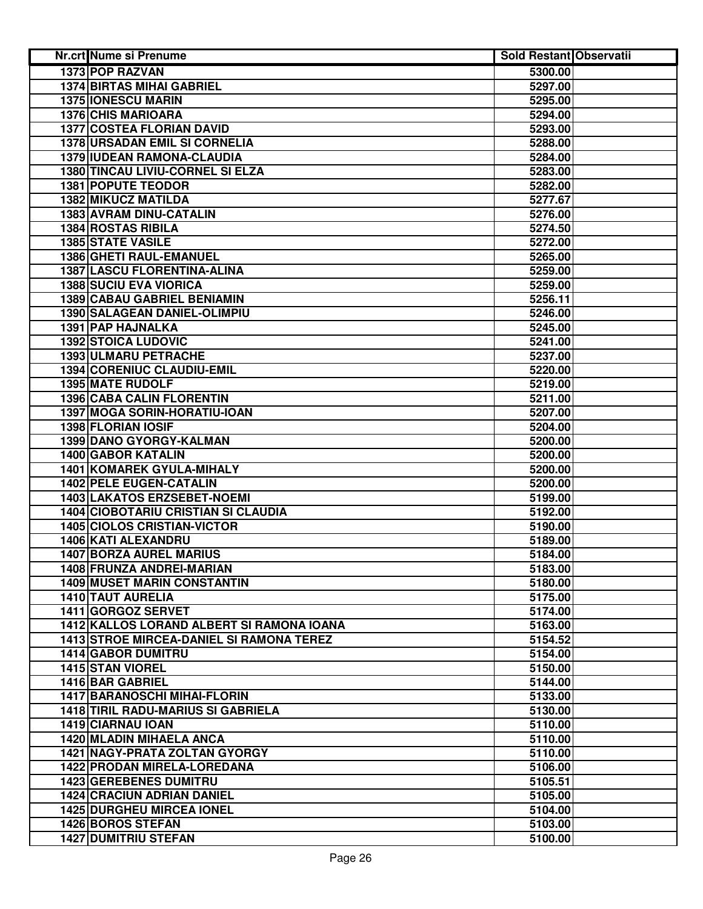| Nr.crt Nume si Prenume                          | <b>Sold Restant Observatii</b> |  |
|-------------------------------------------------|--------------------------------|--|
| <b>1373 POP RAZVAN</b>                          | 5300.00                        |  |
| <b>1374 BIRTAS MIHAI GABRIEL</b>                | 5297.00                        |  |
| 1375 IONESCU MARIN                              | 5295.00                        |  |
| <b>1376 CHIS MARIOARA</b>                       | 5294.00                        |  |
| <b>1377 COSTEA FLORIAN DAVID</b>                | 5293.00                        |  |
| 1378 URSADAN EMIL SI CORNELIA                   | 5288.00                        |  |
| 1379 IUDEAN RAMONA-CLAUDIA                      | 5284.00                        |  |
| 1380 TINCAU LIVIU-CORNEL SI ELZA                | 5283.00                        |  |
| <b>1381 POPUTE TEODOR</b>                       | 5282.00                        |  |
| 1382 MIKUCZ MATILDA                             | 5277.67                        |  |
| 1383 AVRAM DINU-CATALIN                         | 5276.00                        |  |
| 1384 ROSTAS RIBILA                              | 5274.50                        |  |
| <b>1385 STATE VASILE</b>                        | 5272.00                        |  |
| 1386 GHETI RAUL-EMANUEL                         | 5265.00                        |  |
| 1387 LASCU FLORENTINA-ALINA                     | 5259.00                        |  |
| <b>1388 SUCIU EVA VIORICA</b>                   | 5259.00                        |  |
| 1389 CABAU GABRIEL BENIAMIN                     | 5256.11                        |  |
| 1390 SALAGEAN DANIEL-OLIMPIU                    | 5246.00                        |  |
| 1391 PAP HAJNALKA                               | 5245.00                        |  |
| <b>1392 STOICA LUDOVIC</b>                      | 5241.00                        |  |
| <b>1393 ULMARU PETRACHE</b>                     | 5237.00                        |  |
| 1394 CORENIUC CLAUDIU-EMIL                      | 5220.00                        |  |
| <b>1395 MATE RUDOLF</b>                         | 5219.00                        |  |
| <b>1396 CABA CALIN FLORENTIN</b>                | 5211.00                        |  |
| 1397 MOGA SORIN-HORATIU-IOAN                    | 5207.00                        |  |
| 1398 FLORIAN IOSIF                              | 5204.00                        |  |
| 1399 DANO GYORGY-KALMAN                         | 5200.00                        |  |
| 1400 GABOR KATALIN                              | 5200.00                        |  |
| 1401 KOMAREK GYULA-MIHALY                       | 5200.00                        |  |
| <b>1402 PELE EUGEN-CATALIN</b>                  | 5200.00                        |  |
| 1403 LAKATOS ERZSEBET-NOEMI                     | 5199.00                        |  |
| <b>1404 CIOBOTARIU CRISTIAN SI CLAUDIA</b>      | 5192.00                        |  |
| <b>1405 CIOLOS CRISTIAN-VICTOR</b>              | 5190.00                        |  |
| 1406 KATI ALEXANDRU                             | 5189.00                        |  |
| <b>1407 BORZA AUREL MARIUS</b>                  | 5184.00                        |  |
| 1408 FRUNZA ANDREI-MARIAN                       |                                |  |
| <b>1409 MUSET MARIN CONSTANTIN</b>              | 5183.00<br>5180.00             |  |
|                                                 |                                |  |
| 1410 TAUT AURELIA<br>1411 GORGOZ SERVET         | 5175.00                        |  |
|                                                 | 5174.00                        |  |
| 1412 KALLOS LORAND ALBERT SI RAMONA IOANA       | 5163.00                        |  |
| <b>1413 STROE MIRCEA-DANIEL SI RAMONA TEREZ</b> | 5154.52                        |  |
| <b>1414 GABOR DUMITRU</b>                       | 5154.00                        |  |
| <b>1415 STAN VIOREL</b>                         | 5150.00                        |  |
| 1416 BAR GABRIEL                                | 5144.00                        |  |
| 1417 BARANOSCHI MIHAI-FLORIN                    | 5133.00                        |  |
| <b>1418 TIRIL RADU-MARIUS SI GABRIELA</b>       | 5130.00                        |  |
| 1419 CIARNAU IOAN                               | 5110.00                        |  |
| <b>1420 MLADIN MIHAELA ANCA</b>                 | 5110.00                        |  |
| 1421 NAGY-PRATA ZOLTAN GYORGY                   | 5110.00                        |  |
| 1422 PRODAN MIRELA-LOREDANA                     | 5106.00                        |  |
| <b>1423 GEREBENES DUMITRU</b>                   | 5105.51                        |  |
| <b>1424 CRACIUN ADRIAN DANIEL</b>               | 5105.00                        |  |
| <b>1425 DURGHEU MIRCEA IONEL</b>                | 5104.00                        |  |
| 1426 BOROS STEFAN                               | 5103.00                        |  |
| <b>1427 DUMITRIU STEFAN</b>                     | 5100.00                        |  |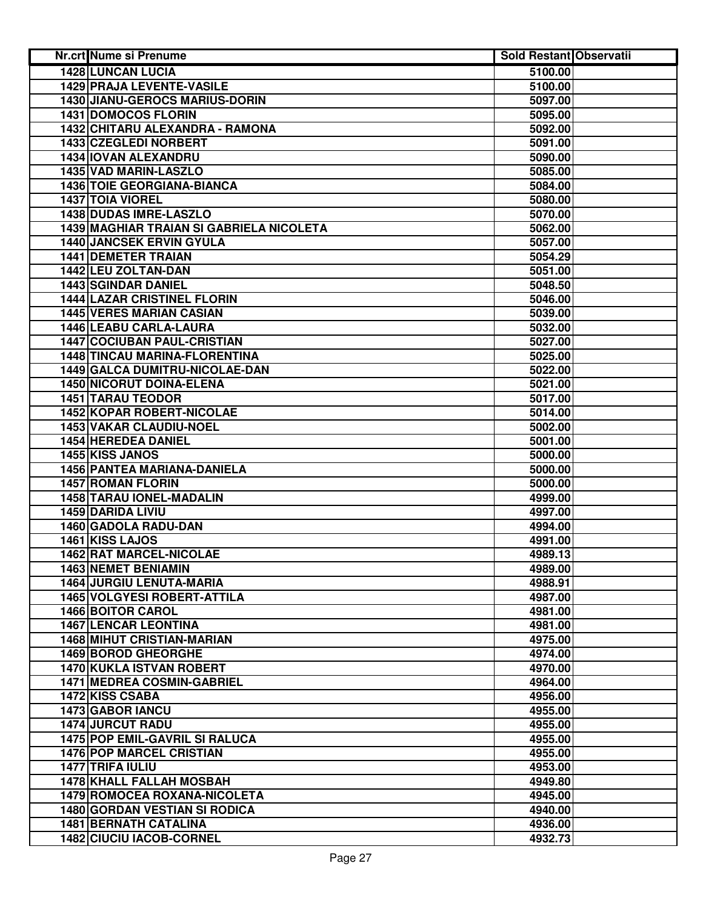| <b>Nr.crt Nume si Prenume</b>            | <b>Sold Restant Observatii</b> |  |
|------------------------------------------|--------------------------------|--|
| <b>1428 LUNCAN LUCIA</b>                 | 5100.00                        |  |
| <b>1429 PRAJA LEVENTE-VASILE</b>         | 5100.00                        |  |
| 1430 JIANU-GEROCS MARIUS-DORIN           | 5097.00                        |  |
| <b>1431 DOMOCOS FLORIN</b>               | 5095.00                        |  |
| 1432 CHITARU ALEXANDRA - RAMONA          | 5092.00                        |  |
| 1433 CZEGLEDI NORBERT                    | 5091.00                        |  |
| 1434 IOVAN ALEXANDRU                     | 5090.00                        |  |
| 1435 VAD MARIN-LASZLO                    | 5085.00                        |  |
| <b>1436 TOIE GEORGIANA-BIANCA</b>        | 5084.00                        |  |
| 1437 TOIA VIOREL                         | 5080.00                        |  |
| 1438 DUDAS IMRE-LASZLO                   | 5070.00                        |  |
| 1439 MAGHIAR TRAIAN SI GABRIELA NICOLETA | 5062.00                        |  |
| <b>1440 JANCSEK ERVIN GYULA</b>          | 5057.00                        |  |
| <b>1441 DEMETER TRAIAN</b>               | 5054.29                        |  |
| 1442 LEU ZOLTAN-DAN                      | 5051.00                        |  |
| <b>1443 SGINDAR DANIEL</b>               | 5048.50                        |  |
| <b>1444 LAZAR CRISTINEL FLORIN</b>       | 5046.00                        |  |
| <b>1445 VERES MARIAN CASIAN</b>          | 5039.00                        |  |
| 1446 LEABU CARLA-LAURA                   | 5032.00                        |  |
| <b>1447 COCIUBAN PAUL-CRISTIAN</b>       | 5027.00                        |  |
| <b>1448 TINCAU MARINA-FLORENTINA</b>     | 5025.00                        |  |
| 1449 GALCA DUMITRU-NICOLAE-DAN           | 5022.00                        |  |
| <b>1450 NICORUT DOINA-ELENA</b>          | 5021.00                        |  |
| <b>1451 TARAU TEODOR</b>                 | 5017.00                        |  |
| <b>1452 KOPAR ROBERT-NICOLAE</b>         | 5014.00                        |  |
| <b>1453 VAKAR CLAUDIU-NOEL</b>           | 5002.00                        |  |
| 1454 HEREDEA DANIEL                      | 5001.00                        |  |
| 1455 KISS JANOS                          | 5000.00                        |  |
| 1456 PANTEA MARIANA-DANIELA              | 5000.00                        |  |
| <b>1457 ROMAN FLORIN</b>                 | 5000.00                        |  |
| 1458 TARAU IONEL-MADALIN                 | 4999.00                        |  |
| 1459 DARIDA LIVIU                        | 4997.00                        |  |
| 1460 GADOLA RADU-DAN                     | 4994.00                        |  |
| 1461 KISS LAJOS                          | 4991.00                        |  |
| 1462 RAT MARCEL-NICOLAE                  | 4989.13                        |  |
| 1463 NEMET BENIAMIN                      | 4989.00                        |  |
| <b>1464 JURGIU LENUTA-MARIA</b>          | 4988.91                        |  |
| <b>1465 VOLGYESI ROBERT-ATTILA</b>       | 4987.00                        |  |
| <b>1466 BOITOR CAROL</b>                 | 4981.00                        |  |
| <b>1467 LENCAR LEONTINA</b>              | 4981.00                        |  |
| <b>1468 MIHUT CRISTIAN-MARIAN</b>        | 4975.00                        |  |
| 1469 BOROD GHEORGHE                      | 4974.00                        |  |
| 1470 KUKLA ISTVAN ROBERT                 | 4970.00                        |  |
| <b>1471 MEDREA COSMIN-GABRIEL</b>        | 4964.00                        |  |
| 1472 KISS CSABA                          | 4956.00                        |  |
| 1473 GABOR IANCU                         | 4955.00                        |  |
| <b>1474 JURCUT RADU</b>                  | 4955.00                        |  |
| 1475 POP EMIL-GAVRIL SI RALUCA           | 4955.00                        |  |
| <b>1476 POP MARCEL CRISTIAN</b>          | 4955.00                        |  |
| 1477 TRIFA IULIU                         | 4953.00                        |  |
| 1478 KHALL FALLAH MOSBAH                 | 4949.80                        |  |
| 1479 ROMOCEA ROXANA-NICOLETA             | 4945.00                        |  |
| <b>1480 GORDAN VESTIAN SI RODICA</b>     | 4940.00                        |  |
| <b>1481 BERNATH CATALINA</b>             | 4936.00                        |  |
| 1482 CIUCIU IACOB-CORNEL                 | 4932.73                        |  |
|                                          |                                |  |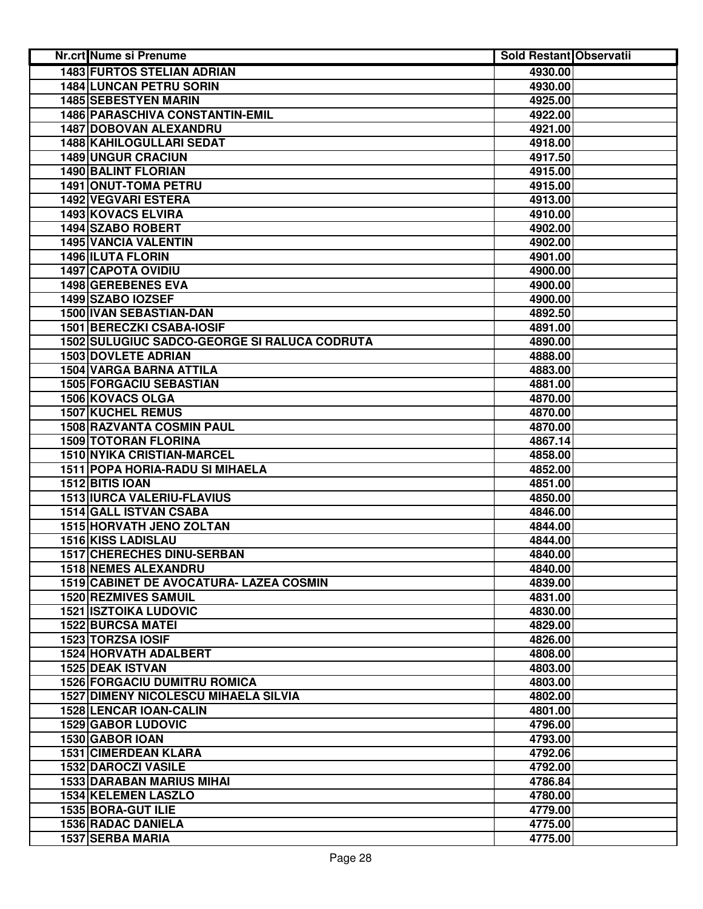| Nr.crt Nume si Prenume                       | <b>Sold Restant Observatii</b> |  |
|----------------------------------------------|--------------------------------|--|
| <b>1483 FURTOS STELIAN ADRIAN</b>            | 4930.00                        |  |
| <b>1484 LUNCAN PETRU SORIN</b>               | 4930.00                        |  |
| 1485 SEBESTYEN MARIN                         | 4925.00                        |  |
| 1486 PARASCHIVA CONSTANTIN-EMIL              | 4922.00                        |  |
| 1487 DOBOVAN ALEXANDRU                       | 4921.00                        |  |
| 1488 KAHILOGULLARI SEDAT                     | 4918.00                        |  |
| <b>1489 UNGUR CRACIUN</b>                    | 4917.50                        |  |
| 1490 BALINT FLORIAN                          | 4915.00                        |  |
| 1491 ONUT-TOMA PETRU                         | 4915.00                        |  |
| 1492 VEGVARI ESTERA                          | 4913.00                        |  |
| 1493 KOVACS ELVIRA                           | 4910.00                        |  |
| 1494 SZABO ROBERT                            | 4902.00                        |  |
| <b>1495 VANCIA VALENTIN</b>                  | 4902.00                        |  |
| 1496 ILUTA FLORIN                            | 4901.00                        |  |
| <b>1497 CAPOTA OVIDIU</b>                    | 4900.00                        |  |
| 1498 GEREBENES EVA                           | 4900.00                        |  |
| 1499 SZABO IOZSEF                            | 4900.00                        |  |
| 1500 IVAN SEBASTIAN-DAN                      | 4892.50                        |  |
| 1501 BERECZKI CSABA-IOSIF                    | 4891.00                        |  |
| 1502 SULUGIUC SADCO-GEORGE SI RALUCA CODRUTA | 4890.00                        |  |
| <b>1503 DOVLETE ADRIAN</b>                   | 4888.00                        |  |
| <b>1504 VARGA BARNA ATTILA</b>               | 4883.00                        |  |
| <b>1505 FORGACIU SEBASTIAN</b>               | 4881.00                        |  |
| <b>1506 KOVACS OLGA</b>                      | 4870.00                        |  |
| <b>1507 KUCHEL REMUS</b>                     | 4870.00                        |  |
| <b>1508 RAZVANTA COSMIN PAUL</b>             | 4870.00                        |  |
| 1509 TOTORAN FLORINA                         | 4867.14                        |  |
| 1510 NYIKA CRISTIAN-MARCEL                   | 4858.00                        |  |
| 1511 POPA HORIA-RADU SI MIHAELA              | 4852.00                        |  |
| 1512 BITIS IOAN                              | 4851.00                        |  |
| 1513 IURCA VALERIU-FLAVIUS                   | 4850.00                        |  |
| 1514 GALL ISTVAN CSABA                       | 4846.00                        |  |
| 1515 HORVATH JENO ZOLTAN                     | 4844.00                        |  |
| 1516 KISS LADISLAU                           | 4844.00                        |  |
| 1517 CHERECHES DINU-SERBAN                   | 4840.00                        |  |
| <b>1518 NEMES ALEXANDRU</b>                  | 4840.00                        |  |
| 1519 CABINET DE AVOCATURA- LAZEA COSMIN      | 4839.00                        |  |
| <b>1520 REZMIVES SAMUIL</b>                  | 4831.00                        |  |
| <b>1521 ISZTOIKA LUDOVIC</b>                 | 4830.00                        |  |
| <b>1522 BURCSA MATEI</b>                     | 4829.00                        |  |
| 1523 TORZSA IOSIF                            | 4826.00                        |  |
| 1524 HORVATH ADALBERT                        | 4808.00                        |  |
| <b>1525 DEAK ISTVAN</b>                      | 4803.00                        |  |
| <b>1526 FORGACIU DUMITRU ROMICA</b>          | 4803.00                        |  |
| <b>1527 DIMENY NICOLESCU MIHAELA SILVIA</b>  | 4802.00                        |  |
| <b>1528 LENCAR IOAN-CALIN</b>                | 4801.00                        |  |
| <b>1529 GABOR LUDOVIC</b>                    | 4796.00                        |  |
| 1530 GABOR IOAN                              | 4793.00                        |  |
| <b>1531 CIMERDEAN KLARA</b>                  | 4792.06                        |  |
| <b>1532 DAROCZI VASILE</b>                   | 4792.00                        |  |
| <b>1533 DARABAN MARIUS MIHAI</b>             | 4786.84                        |  |
| 1534 KELEMEN LASZLO                          | 4780.00                        |  |
| 1535 BORA-GUT ILIE                           | 4779.00                        |  |
| 1536 RADAC DANIELA                           | 4775.00                        |  |
| 1537 SERBA MARIA                             | 4775.00                        |  |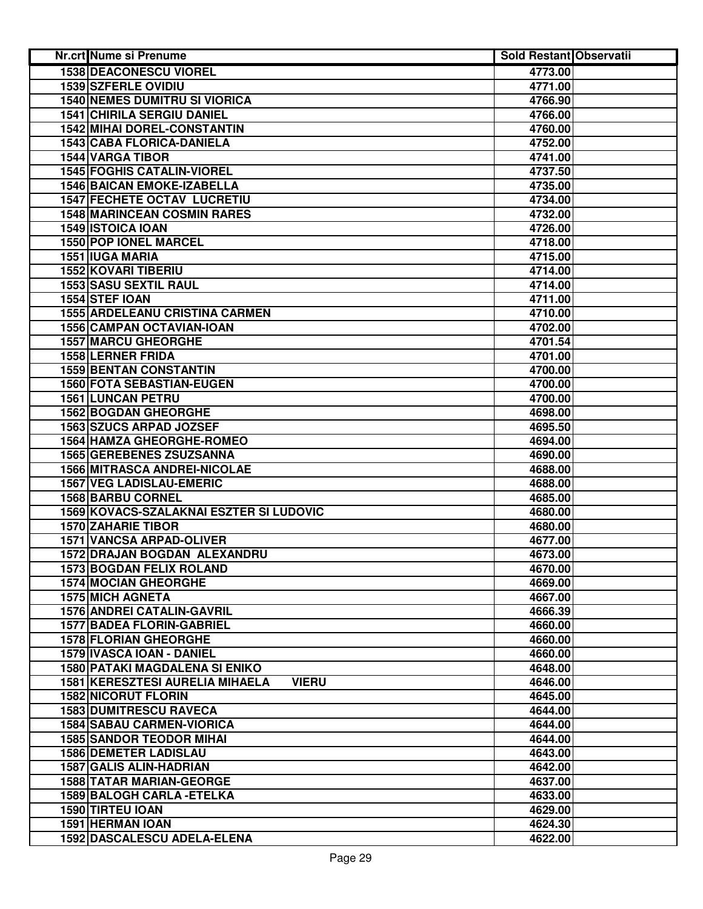| <b>1538 DEACONESCU VIOREL</b><br>4773.00<br>1539 SZFERLE OVIDIU<br>4771.00<br><b>1540 NEMES DUMITRU SI VIORICA</b><br>4766.90<br><b>1541 CHIRILA SERGIU DANIEL</b><br>4766.00<br><b>1542 MIHAI DOREL-CONSTANTIN</b><br>4760.00<br><b>1543 CABA FLORICA-DANIELA</b><br>4752.00<br>1544 VARGA TIBOR<br>4741.00<br><b>1545 FOGHIS CATALIN-VIOREL</b><br>4737.50<br><b>1546 BAICAN EMOKE-IZABELLA</b><br>4735.00<br><b>1547 FECHETE OCTAV LUCRETIU</b><br>4734.00<br><b>1548 MARINCEAN COSMIN RARES</b><br>4732.00<br>1549 ISTOICA IOAN<br>4726.00<br>1550 POP IONEL MARCEL<br>4718.00<br>1551 IUGA MARIA<br>4715.00<br>1552 KOVARI TIBERIU<br>4714.00<br>1553 SASU SEXTIL RAUL<br>4714.00<br>1554 STEF IOAN<br>4711.00<br><b>1555 ARDELEANU CRISTINA CARMEN</b><br>4710.00<br>1556 CAMPAN OCTAVIAN-IOAN<br>4702.00<br><b>1557 MARCU GHEORGHE</b><br>4701.54<br><b>1558 LERNER FRIDA</b><br>4701.00<br><b>1559 BENTAN CONSTANTIN</b><br>4700.00<br>1560 FOTA SEBASTIAN-EUGEN<br>4700.00<br><b>1561 LUNCAN PETRU</b><br>4700.00<br><b>1562 BOGDAN GHEORGHE</b><br>4698.00<br><b>1563 SZUCS ARPAD JOZSEF</b><br>4695.50<br><b>1564 HAMZA GHEORGHE-ROMEO</b><br>4694.00<br>1565 GEREBENES ZSUZSANNA<br>4690.00<br><b>1566 MITRASCA ANDREI-NICOLAE</b><br>4688.00<br><b>1567 VEG LADISLAU-EMERIC</b><br>4688.00 |
|---------------------------------------------------------------------------------------------------------------------------------------------------------------------------------------------------------------------------------------------------------------------------------------------------------------------------------------------------------------------------------------------------------------------------------------------------------------------------------------------------------------------------------------------------------------------------------------------------------------------------------------------------------------------------------------------------------------------------------------------------------------------------------------------------------------------------------------------------------------------------------------------------------------------------------------------------------------------------------------------------------------------------------------------------------------------------------------------------------------------------------------------------------------------------------------------------------------------------------------------------------------------------------------------------------|
|                                                                                                                                                                                                                                                                                                                                                                                                                                                                                                                                                                                                                                                                                                                                                                                                                                                                                                                                                                                                                                                                                                                                                                                                                                                                                                         |
|                                                                                                                                                                                                                                                                                                                                                                                                                                                                                                                                                                                                                                                                                                                                                                                                                                                                                                                                                                                                                                                                                                                                                                                                                                                                                                         |
|                                                                                                                                                                                                                                                                                                                                                                                                                                                                                                                                                                                                                                                                                                                                                                                                                                                                                                                                                                                                                                                                                                                                                                                                                                                                                                         |
|                                                                                                                                                                                                                                                                                                                                                                                                                                                                                                                                                                                                                                                                                                                                                                                                                                                                                                                                                                                                                                                                                                                                                                                                                                                                                                         |
|                                                                                                                                                                                                                                                                                                                                                                                                                                                                                                                                                                                                                                                                                                                                                                                                                                                                                                                                                                                                                                                                                                                                                                                                                                                                                                         |
|                                                                                                                                                                                                                                                                                                                                                                                                                                                                                                                                                                                                                                                                                                                                                                                                                                                                                                                                                                                                                                                                                                                                                                                                                                                                                                         |
|                                                                                                                                                                                                                                                                                                                                                                                                                                                                                                                                                                                                                                                                                                                                                                                                                                                                                                                                                                                                                                                                                                                                                                                                                                                                                                         |
|                                                                                                                                                                                                                                                                                                                                                                                                                                                                                                                                                                                                                                                                                                                                                                                                                                                                                                                                                                                                                                                                                                                                                                                                                                                                                                         |
|                                                                                                                                                                                                                                                                                                                                                                                                                                                                                                                                                                                                                                                                                                                                                                                                                                                                                                                                                                                                                                                                                                                                                                                                                                                                                                         |
|                                                                                                                                                                                                                                                                                                                                                                                                                                                                                                                                                                                                                                                                                                                                                                                                                                                                                                                                                                                                                                                                                                                                                                                                                                                                                                         |
|                                                                                                                                                                                                                                                                                                                                                                                                                                                                                                                                                                                                                                                                                                                                                                                                                                                                                                                                                                                                                                                                                                                                                                                                                                                                                                         |
|                                                                                                                                                                                                                                                                                                                                                                                                                                                                                                                                                                                                                                                                                                                                                                                                                                                                                                                                                                                                                                                                                                                                                                                                                                                                                                         |
|                                                                                                                                                                                                                                                                                                                                                                                                                                                                                                                                                                                                                                                                                                                                                                                                                                                                                                                                                                                                                                                                                                                                                                                                                                                                                                         |
|                                                                                                                                                                                                                                                                                                                                                                                                                                                                                                                                                                                                                                                                                                                                                                                                                                                                                                                                                                                                                                                                                                                                                                                                                                                                                                         |
|                                                                                                                                                                                                                                                                                                                                                                                                                                                                                                                                                                                                                                                                                                                                                                                                                                                                                                                                                                                                                                                                                                                                                                                                                                                                                                         |
|                                                                                                                                                                                                                                                                                                                                                                                                                                                                                                                                                                                                                                                                                                                                                                                                                                                                                                                                                                                                                                                                                                                                                                                                                                                                                                         |
|                                                                                                                                                                                                                                                                                                                                                                                                                                                                                                                                                                                                                                                                                                                                                                                                                                                                                                                                                                                                                                                                                                                                                                                                                                                                                                         |
|                                                                                                                                                                                                                                                                                                                                                                                                                                                                                                                                                                                                                                                                                                                                                                                                                                                                                                                                                                                                                                                                                                                                                                                                                                                                                                         |
|                                                                                                                                                                                                                                                                                                                                                                                                                                                                                                                                                                                                                                                                                                                                                                                                                                                                                                                                                                                                                                                                                                                                                                                                                                                                                                         |
|                                                                                                                                                                                                                                                                                                                                                                                                                                                                                                                                                                                                                                                                                                                                                                                                                                                                                                                                                                                                                                                                                                                                                                                                                                                                                                         |
|                                                                                                                                                                                                                                                                                                                                                                                                                                                                                                                                                                                                                                                                                                                                                                                                                                                                                                                                                                                                                                                                                                                                                                                                                                                                                                         |
|                                                                                                                                                                                                                                                                                                                                                                                                                                                                                                                                                                                                                                                                                                                                                                                                                                                                                                                                                                                                                                                                                                                                                                                                                                                                                                         |
|                                                                                                                                                                                                                                                                                                                                                                                                                                                                                                                                                                                                                                                                                                                                                                                                                                                                                                                                                                                                                                                                                                                                                                                                                                                                                                         |
|                                                                                                                                                                                                                                                                                                                                                                                                                                                                                                                                                                                                                                                                                                                                                                                                                                                                                                                                                                                                                                                                                                                                                                                                                                                                                                         |
|                                                                                                                                                                                                                                                                                                                                                                                                                                                                                                                                                                                                                                                                                                                                                                                                                                                                                                                                                                                                                                                                                                                                                                                                                                                                                                         |
|                                                                                                                                                                                                                                                                                                                                                                                                                                                                                                                                                                                                                                                                                                                                                                                                                                                                                                                                                                                                                                                                                                                                                                                                                                                                                                         |
|                                                                                                                                                                                                                                                                                                                                                                                                                                                                                                                                                                                                                                                                                                                                                                                                                                                                                                                                                                                                                                                                                                                                                                                                                                                                                                         |
|                                                                                                                                                                                                                                                                                                                                                                                                                                                                                                                                                                                                                                                                                                                                                                                                                                                                                                                                                                                                                                                                                                                                                                                                                                                                                                         |
|                                                                                                                                                                                                                                                                                                                                                                                                                                                                                                                                                                                                                                                                                                                                                                                                                                                                                                                                                                                                                                                                                                                                                                                                                                                                                                         |
|                                                                                                                                                                                                                                                                                                                                                                                                                                                                                                                                                                                                                                                                                                                                                                                                                                                                                                                                                                                                                                                                                                                                                                                                                                                                                                         |
| <b>1568 BARBU CORNEL</b><br>4685.00                                                                                                                                                                                                                                                                                                                                                                                                                                                                                                                                                                                                                                                                                                                                                                                                                                                                                                                                                                                                                                                                                                                                                                                                                                                                     |
| 1569 KOVACS-SZALAKNAI ESZTER SI LUDOVIC<br>4680.00                                                                                                                                                                                                                                                                                                                                                                                                                                                                                                                                                                                                                                                                                                                                                                                                                                                                                                                                                                                                                                                                                                                                                                                                                                                      |
| <b>1570 ZAHARIE TIBOR</b><br>4680.00                                                                                                                                                                                                                                                                                                                                                                                                                                                                                                                                                                                                                                                                                                                                                                                                                                                                                                                                                                                                                                                                                                                                                                                                                                                                    |
| 1571 VANCSA ARPAD-OLIVER<br>4677.00                                                                                                                                                                                                                                                                                                                                                                                                                                                                                                                                                                                                                                                                                                                                                                                                                                                                                                                                                                                                                                                                                                                                                                                                                                                                     |
| 1572 DRAJAN BOGDAN ALEXANDRU<br>4673.00                                                                                                                                                                                                                                                                                                                                                                                                                                                                                                                                                                                                                                                                                                                                                                                                                                                                                                                                                                                                                                                                                                                                                                                                                                                                 |
| <b>1573 BOGDAN FELIX ROLAND</b><br>4670.00                                                                                                                                                                                                                                                                                                                                                                                                                                                                                                                                                                                                                                                                                                                                                                                                                                                                                                                                                                                                                                                                                                                                                                                                                                                              |
| <b>1574 MOCIAN GHEORGHE</b><br>4669.00                                                                                                                                                                                                                                                                                                                                                                                                                                                                                                                                                                                                                                                                                                                                                                                                                                                                                                                                                                                                                                                                                                                                                                                                                                                                  |
| <b>1575 MICH AGNETA</b><br>4667.00                                                                                                                                                                                                                                                                                                                                                                                                                                                                                                                                                                                                                                                                                                                                                                                                                                                                                                                                                                                                                                                                                                                                                                                                                                                                      |
| <b>1576 ANDREI CATALIN-GAVRIL</b><br>4666.39                                                                                                                                                                                                                                                                                                                                                                                                                                                                                                                                                                                                                                                                                                                                                                                                                                                                                                                                                                                                                                                                                                                                                                                                                                                            |
| <b>1577 BADEA FLORIN-GABRIEL</b><br>4660.00                                                                                                                                                                                                                                                                                                                                                                                                                                                                                                                                                                                                                                                                                                                                                                                                                                                                                                                                                                                                                                                                                                                                                                                                                                                             |
| <b>1578 FLORIAN GHEORGHE</b><br>4660.00                                                                                                                                                                                                                                                                                                                                                                                                                                                                                                                                                                                                                                                                                                                                                                                                                                                                                                                                                                                                                                                                                                                                                                                                                                                                 |
| 1579 IVASCA IOAN - DANIEL<br>4660.00                                                                                                                                                                                                                                                                                                                                                                                                                                                                                                                                                                                                                                                                                                                                                                                                                                                                                                                                                                                                                                                                                                                                                                                                                                                                    |
| <b>1580 PATAKI MAGDALENA SI ENIKO</b><br>4648.00                                                                                                                                                                                                                                                                                                                                                                                                                                                                                                                                                                                                                                                                                                                                                                                                                                                                                                                                                                                                                                                                                                                                                                                                                                                        |
| <b>1581 KERESZTESI AURELIA MIHAELA</b><br><b>VIERU</b><br>4646.00                                                                                                                                                                                                                                                                                                                                                                                                                                                                                                                                                                                                                                                                                                                                                                                                                                                                                                                                                                                                                                                                                                                                                                                                                                       |
| <b>1582 NICORUT FLORIN</b><br>4645.00                                                                                                                                                                                                                                                                                                                                                                                                                                                                                                                                                                                                                                                                                                                                                                                                                                                                                                                                                                                                                                                                                                                                                                                                                                                                   |
| <b>1583 DUMITRESCU RAVECA</b><br>4644.00                                                                                                                                                                                                                                                                                                                                                                                                                                                                                                                                                                                                                                                                                                                                                                                                                                                                                                                                                                                                                                                                                                                                                                                                                                                                |
| <b>1584 SABAU CARMEN-VIORICA</b><br>4644.00                                                                                                                                                                                                                                                                                                                                                                                                                                                                                                                                                                                                                                                                                                                                                                                                                                                                                                                                                                                                                                                                                                                                                                                                                                                             |
| <b>1585 SANDOR TEODOR MIHAI</b><br>4644.00                                                                                                                                                                                                                                                                                                                                                                                                                                                                                                                                                                                                                                                                                                                                                                                                                                                                                                                                                                                                                                                                                                                                                                                                                                                              |
| <b>1586 DEMETER LADISLAU</b><br>4643.00                                                                                                                                                                                                                                                                                                                                                                                                                                                                                                                                                                                                                                                                                                                                                                                                                                                                                                                                                                                                                                                                                                                                                                                                                                                                 |
| 1587 GALIS ALIN-HADRIAN<br>4642.00                                                                                                                                                                                                                                                                                                                                                                                                                                                                                                                                                                                                                                                                                                                                                                                                                                                                                                                                                                                                                                                                                                                                                                                                                                                                      |
| <b>1588 TATAR MARIAN-GEORGE</b><br>4637.00                                                                                                                                                                                                                                                                                                                                                                                                                                                                                                                                                                                                                                                                                                                                                                                                                                                                                                                                                                                                                                                                                                                                                                                                                                                              |
| 1589 BALOGH CARLA - ETELKA<br>4633.00                                                                                                                                                                                                                                                                                                                                                                                                                                                                                                                                                                                                                                                                                                                                                                                                                                                                                                                                                                                                                                                                                                                                                                                                                                                                   |
| 1590 TIRTEU IOAN<br>4629.00                                                                                                                                                                                                                                                                                                                                                                                                                                                                                                                                                                                                                                                                                                                                                                                                                                                                                                                                                                                                                                                                                                                                                                                                                                                                             |
| 1591 HERMAN IOAN<br>4624.30                                                                                                                                                                                                                                                                                                                                                                                                                                                                                                                                                                                                                                                                                                                                                                                                                                                                                                                                                                                                                                                                                                                                                                                                                                                                             |
| 1592 DASCALESCU ADELA-ELENA<br>4622.00                                                                                                                                                                                                                                                                                                                                                                                                                                                                                                                                                                                                                                                                                                                                                                                                                                                                                                                                                                                                                                                                                                                                                                                                                                                                  |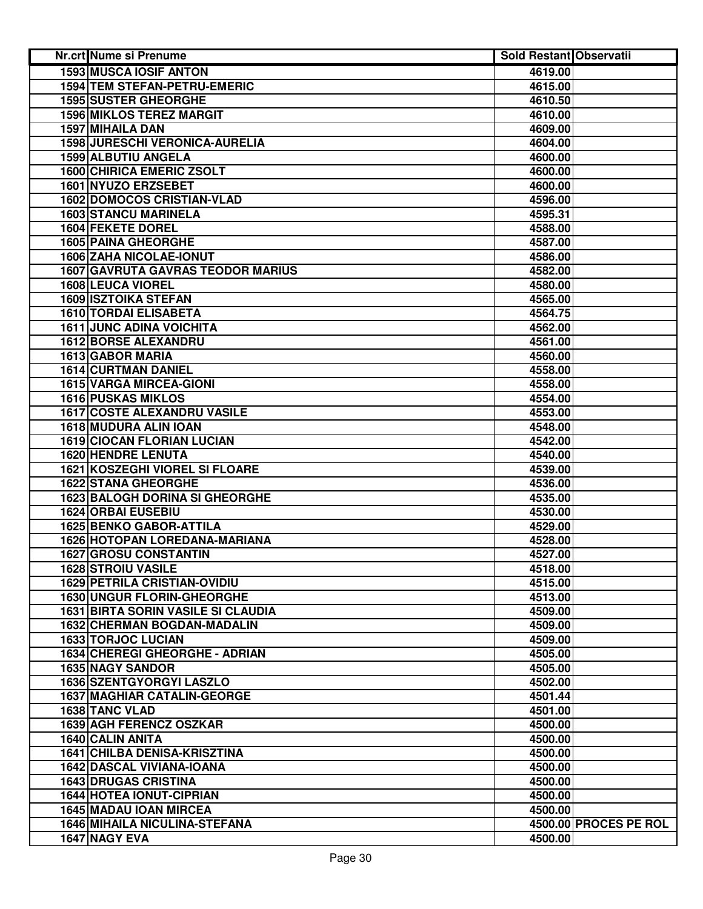| Nr.crt Nume si Prenume                    | <b>Sold Restant Observatii</b> |                       |
|-------------------------------------------|--------------------------------|-----------------------|
| <b>1593 MUSCA IOSIF ANTON</b>             | 4619.00                        |                       |
| 1594 TEM STEFAN-PETRU-EMERIC              | 4615.00                        |                       |
| <b>1595 SUSTER GHEORGHE</b>               | 4610.50                        |                       |
| <b>1596 MIKLOS TEREZ MARGIT</b>           | 4610.00                        |                       |
| 1597 MIHAILA DAN                          | 4609.00                        |                       |
| 1598 JURESCHI VERONICA-AURELIA            | 4604.00                        |                       |
| 1599 ALBUTIU ANGELA                       | 4600.00                        |                       |
| <b>1600 CHIRICA EMERIC ZSOLT</b>          | 4600.00                        |                       |
| 1601 NYUZO ERZSEBET                       | 4600.00                        |                       |
| <b>1602 DOMOCOS CRISTIAN-VLAD</b>         | 4596.00                        |                       |
| <b>1603 STANCU MARINELA</b>               | 4595.31                        |                       |
| 1604 FEKETE DOREL                         | 4588.00                        |                       |
| <b>1605 PAINA GHEORGHE</b>                | 4587.00                        |                       |
| 1606 ZAHA NICOLAE-IONUT                   | 4586.00                        |                       |
| <b>1607 GAVRUTA GAVRAS TEODOR MARIUS</b>  | 4582.00                        |                       |
| 1608 LEUCA VIOREL                         | 4580.00                        |                       |
| 1609 ISZTOIKA STEFAN                      | 4565.00                        |                       |
| <b>1610 TORDAI ELISABETA</b>              | 4564.75                        |                       |
| <b>1611 JUNC ADINA VOICHITA</b>           | 4562.00                        |                       |
| <b>1612 BORSE ALEXANDRU</b>               | 4561.00                        |                       |
| <b>1613 GABOR MARIA</b>                   | 4560.00                        |                       |
| <b>1614 CURTMAN DANIEL</b>                | 4558.00                        |                       |
| <b>1615 VARGA MIRCEA-GIONI</b>            | 4558.00                        |                       |
| <b>1616 PUSKAS MIKLOS</b>                 | 4554.00                        |                       |
| <b>1617 COSTE ALEXANDRU VASILE</b>        | 4553.00                        |                       |
| 1618 MUDURA ALIN IOAN                     | 4548.00                        |                       |
| <b>1619 CIOCAN FLORIAN LUCIAN</b>         | 4542.00                        |                       |
| <b>1620 HENDRE LENUTA</b>                 | 4540.00                        |                       |
| 1621 KOSZEGHI VIOREL SI FLOARE            | 4539.00                        |                       |
| <b>1622 STANA GHEORGHE</b>                | 4536.00                        |                       |
| <b>1623 BALOGH DORINA SI GHEORGHE</b>     | 4535.00                        |                       |
| <b>1624 ORBAI EUSEBIU</b>                 | 4530.00                        |                       |
| <b>1625 BENKO GABOR-ATTILA</b>            | 4529.00                        |                       |
| 1626 HOTOPAN LOREDANA-MARIANA             | 4528.00                        |                       |
| <b>1627 GROSU CONSTANTIN</b>              | 4527.00                        |                       |
| <b>1628 STROIU VASILE</b>                 | 4518.00                        |                       |
| <b>1629 PETRILA CRISTIAN-OVIDIU</b>       | 4515.00                        |                       |
| 1630 UNGUR FLORIN-GHEORGHE                | 4513.00                        |                       |
| <b>1631 BIRTA SORIN VASILE SI CLAUDIA</b> | 4509.00                        |                       |
| <b>1632 CHERMAN BOGDAN-MADALIN</b>        | 4509.00                        |                       |
| <b>1633 TORJOC LUCIAN</b>                 | 4509.00                        |                       |
| 1634 CHEREGI GHEORGHE - ADRIAN            | 4505.00                        |                       |
| <b>1635 NAGY SANDOR</b>                   | 4505.00                        |                       |
| <b>1636 SZENTGYORGYI LASZLO</b>           | 4502.00                        |                       |
| <b>1637 MAGHIAR CATALIN-GEORGE</b>        | 4501.44                        |                       |
| 1638 TANC VLAD                            | 4501.00                        |                       |
| 1639 AGH FERENCZ OSZKAR                   | 4500.00                        |                       |
| 1640 CALIN ANITA                          | 4500.00                        |                       |
| <b>1641 CHILBA DENISA-KRISZTINA</b>       | 4500.00                        |                       |
| 1642 DASCAL VIVIANA-IOANA                 | 4500.00                        |                       |
| <b>1643 DRUGAS CRISTINA</b>               | 4500.00                        |                       |
| <b>1644 HOTEA IONUT-CIPRIAN</b>           | 4500.00                        |                       |
| <b>1645 MADAU IOAN MIRCEA</b>             | 4500.00                        |                       |
| <b>1646 MIHAILA NICULINA-STEFANA</b>      |                                | 4500.00 PROCES PE ROL |
| 1647 NAGY EVA                             | 4500.00                        |                       |
|                                           |                                |                       |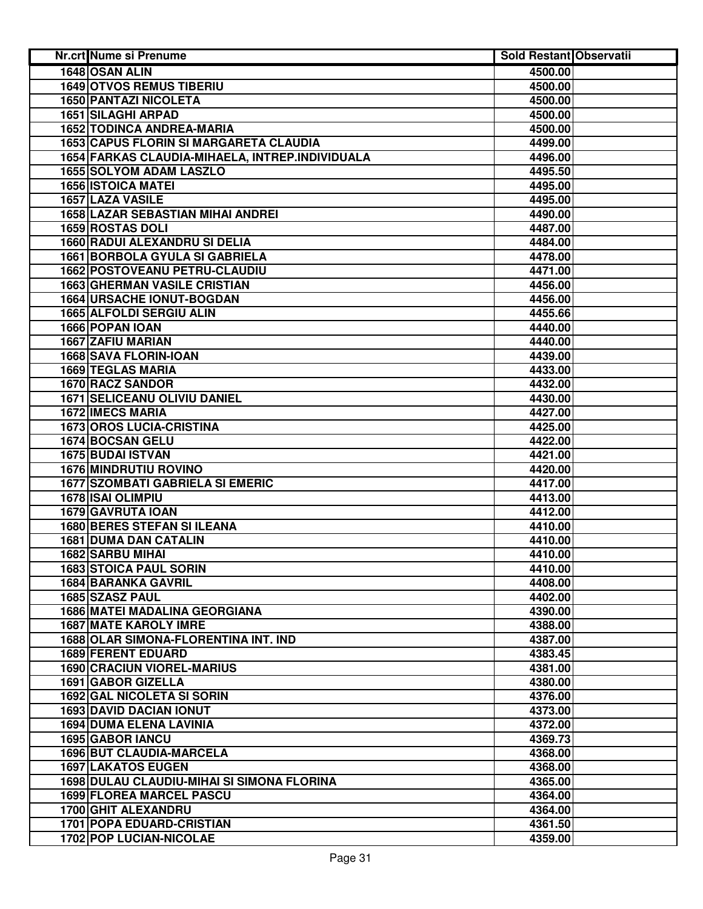| Nr.crt Nume si Prenume                          | <b>Sold Restant Observatii</b> |  |
|-------------------------------------------------|--------------------------------|--|
| 1648 OSAN ALIN                                  | 4500.00                        |  |
| <b>1649 OTVOS REMUS TIBERIU</b>                 | 4500.00                        |  |
| 1650 PANTAZI NICOLETA                           | 4500.00                        |  |
| <b>1651 SILAGHI ARPAD</b>                       | 4500.00                        |  |
| 1652 TODINCA ANDREA-MARIA                       | 4500.00                        |  |
| 1653 CAPUS FLORIN SI MARGARETA CLAUDIA          | 4499.00                        |  |
| 1654 FARKAS CLAUDIA-MIHAELA, INTREP.INDIVIDUALA | 4496.00                        |  |
| <b>1655 SOLYOM ADAM LASZLO</b>                  | 4495.50                        |  |
| <b>1656 ISTOICA MATEI</b>                       | 4495.00                        |  |
| 1657 LAZA VASILE                                | 4495.00                        |  |
| 1658 LAZAR SEBASTIAN MIHAI ANDREI               | 4490.00                        |  |
| 1659 ROSTAS DOLI                                | 4487.00                        |  |
| 1660 RADUI ALEXANDRU SI DELIA                   | 4484.00                        |  |
| <b>1661 BORBOLA GYULA SI GABRIELA</b>           | 4478.00                        |  |
| 1662 POSTOVEANU PETRU-CLAUDIU                   | 4471.00                        |  |
| <b>1663 GHERMAN VASILE CRISTIAN</b>             | 4456.00                        |  |
| <b>1664 URSACHE IONUT-BOGDAN</b>                | 4456.00                        |  |
| 1665 ALFOLDI SERGIU ALIN                        | 4455.66                        |  |
| 1666 POPAN IOAN                                 | 4440.00                        |  |
| 1667 ZAFIU MARIAN                               | 4440.00                        |  |
| 1668 SAVA FLORIN-IOAN                           | 4439.00                        |  |
| <b>1669 TEGLAS MARIA</b>                        | 4433.00                        |  |
| <b>1670 RACZ SANDOR</b>                         | 4432.00                        |  |
| <b>1671 SELICEANU OLIVIU DANIEL</b>             | 4430.00                        |  |
| <b>1672 IMECS MARIA</b>                         | 4427.00                        |  |
| <b>1673 OROS LUCIA-CRISTINA</b>                 | 4425.00                        |  |
| 1674 BOCSAN GELU                                | 4422.00                        |  |
| 1675 BUDAI ISTVAN                               | 4421.00                        |  |
| <b>1676 MINDRUTIU ROVINO</b>                    | 4420.00                        |  |
| <b>1677 SZOMBATI GABRIELA SI EMERIC</b>         | 4417.00                        |  |
| 1678 ISAI OLIMPIU                               | 4413.00                        |  |
| 1679 GAVRUTA IOAN                               | 4412.00                        |  |
| 1680 BERES STEFAN SI ILEANA                     | 4410.00                        |  |
| <b>1681 DUMA DAN CATALIN</b>                    | 4410.00                        |  |
| 1682 SARBU MIHAI                                | 4410.00                        |  |
| <b>1683 STOICA PAUL SORIN</b>                   | 4410.00                        |  |
| <b>1684 BARANKA GAVRIL</b>                      | 4408.00                        |  |
| 1685 SZASZ PAUL                                 | 4402.00                        |  |
| <b>1686 MATEI MADALINA GEORGIANA</b>            | 4390.00                        |  |
| <b>1687 MATE KAROLY IMRE</b>                    | 4388.00                        |  |
| 1688 OLAR SIMONA-FLORENTINA INT. IND            | 4387.00                        |  |
| 1689 FERENT EDUARD                              | 4383.45                        |  |
| <b>1690 CRACIUN VIOREL-MARIUS</b>               | 4381.00                        |  |
| 1691 GABOR GIZELLA                              | 4380.00                        |  |
| <b>1692 GAL NICOLETA SI SORIN</b>               | 4376.00                        |  |
| <b>1693 DAVID DACIAN IONUT</b>                  | 4373.00                        |  |
| <b>1694 DUMA ELENA LAVINIA</b>                  | 4372.00                        |  |
| 1695 GABOR IANCU                                | 4369.73                        |  |
| 1696 BUT CLAUDIA-MARCELA                        | 4368.00                        |  |
| <b>1697 LAKATOS EUGEN</b>                       | 4368.00                        |  |
| 1698 DULAU CLAUDIU-MIHAI SI SIMONA FLORINA      | 4365.00                        |  |
| <b>1699 FLOREA MARCEL PASCU</b>                 | 4364.00                        |  |
| 1700 GHIT ALEXANDRU                             | 4364.00                        |  |
| 1701 POPA EDUARD-CRISTIAN                       | 4361.50                        |  |
| 1702 POP LUCIAN-NICOLAE                         | 4359.00                        |  |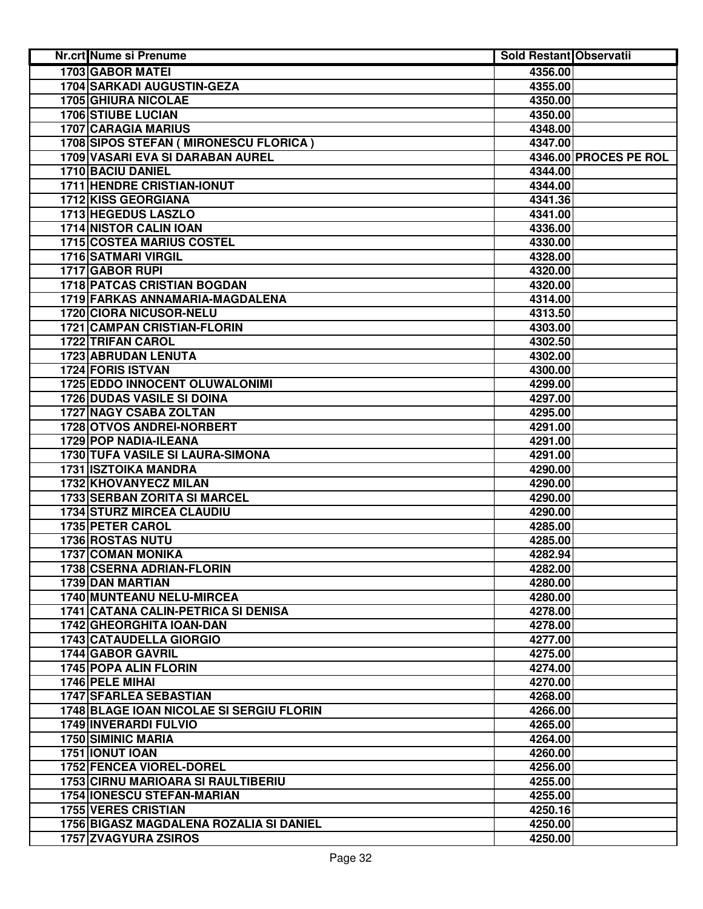| Nr.crt Nume si Prenume                    | <b>Sold Restant Observatii</b> |                       |
|-------------------------------------------|--------------------------------|-----------------------|
| <b>1703 GABOR MATEI</b>                   | 4356.00                        |                       |
| 1704 SARKADI AUGUSTIN-GEZA                | 4355.00                        |                       |
| <b>1705 GHIURA NICOLAE</b>                | 4350.00                        |                       |
| <b>1706 STIUBE LUCIAN</b>                 | 4350.00                        |                       |
| 1707 CARAGIA MARIUS                       | 4348.00                        |                       |
| 1708 SIPOS STEFAN ( MIRONESCU FLORICA )   | 4347.00                        |                       |
| 1709 VASARI EVA SI DARABAN AUREL          |                                | 4346.00 PROCES PE ROL |
| 1710 BACIU DANIEL                         | 4344.00                        |                       |
| 1711 HENDRE CRISTIAN-IONUT                | 4344.00                        |                       |
| 1712 KISS GEORGIANA                       | 4341.36                        |                       |
| 1713 HEGEDUS LASZLO                       | 4341.00                        |                       |
| <b>1714 NISTOR CALIN IOAN</b>             | 4336.00                        |                       |
| <b>1715 COSTEA MARIUS COSTEL</b>          | 4330.00                        |                       |
| 1716 SATMARI VIRGIL                       | 4328.00                        |                       |
| 1717 GABOR RUPI                           | 4320.00                        |                       |
| <b>1718 PATCAS CRISTIAN BOGDAN</b>        | 4320.00                        |                       |
| 1719 FARKAS ANNAMARIA-MAGDALENA           | 4314.00                        |                       |
| 1720 CIORA NICUSOR-NELU                   | 4313.50                        |                       |
| <b>1721 CAMPAN CRISTIAN-FLORIN</b>        | 4303.00                        |                       |
| 1722 TRIFAN CAROL                         | 4302.50                        |                       |
| <b>1723 ABRUDAN LENUTA</b>                | 4302.00                        |                       |
| <b>1724 FORIS ISTVAN</b>                  | 4300.00                        |                       |
| 1725 EDDO INNOCENT OLUWALONIMI            | 4299.00                        |                       |
| <b>1726 DUDAS VASILE SI DOINA</b>         | 4297.00                        |                       |
| <b>1727 NAGY CSABA ZOLTAN</b>             | 4295.00                        |                       |
| <b>1728 OTVOS ANDREI-NORBERT</b>          | 4291.00                        |                       |
| 1729 POP NADIA-ILEANA                     | 4291.00                        |                       |
| 1730 TUFA VASILE SI LAURA-SIMONA          | 4291.00                        |                       |
| <b>1731 ISZTOIKA MANDRA</b>               | 4290.00                        |                       |
| 1732 KHOVANYECZ MILAN                     | 4290.00                        |                       |
| 1733 SERBAN ZORITA SI MARCEL              | 4290.00                        |                       |
| <b>1734 STURZ MIRCEA CLAUDIU</b>          | 4290.00                        |                       |
| <b>1735 PETER CAROL</b>                   | 4285.00                        |                       |
| <b>1736 ROSTAS NUTU</b>                   | 4285.00                        |                       |
| <b>1737 COMAN MONIKA</b>                  | 4282.94                        |                       |
| 1738 CSERNA ADRIAN-FLORIN                 | 4282.00                        |                       |
| 1739 DAN MARTIAN                          | 4280.00                        |                       |
| 1740 MUNTEANU NELU-MIRCEA                 | 4280.00                        |                       |
| 1741 CATANA CALIN-PETRICA SI DENISA       | 4278.00                        |                       |
| 1742 GHEORGHITA IOAN-DAN                  | 4278.00                        |                       |
| <b>1743 CATAUDELLA GIORGIO</b>            | 4277.00                        |                       |
| 1744 GABOR GAVRIL                         | 4275.00                        |                       |
| 1745 POPA ALIN FLORIN                     | 4274.00                        |                       |
| 1746 PELE MIHAI                           | 4270.00                        |                       |
| 1747 SFARLEA SEBASTIAN                    | 4268.00                        |                       |
| 1748 BLAGE IOAN NICOLAE SI SERGIU FLORIN  | 4266.00                        |                       |
| 1749 INVERARDI FULVIO                     | 4265.00                        |                       |
| <b>1750 SIMINIC MARIA</b>                 | 4264.00                        |                       |
| 1751 IONUT IOAN                           | 4260.00                        |                       |
| <b>1752 FENCEA VIOREL-DOREL</b>           | 4256.00                        |                       |
| <b>1753 CIRNU MARIOARA SI RAULTIBERIU</b> | 4255.00                        |                       |
| <b>1754 IONESCU STEFAN-MARIAN</b>         | 4255.00                        |                       |
| <b>1755 VERES CRISTIAN</b>                | 4250.16                        |                       |
| 1756 BIGASZ MAGDALENA ROZALIA SI DANIEL   | 4250.00                        |                       |
| 1757 ZVAGYURA ZSIROS                      | 4250.00                        |                       |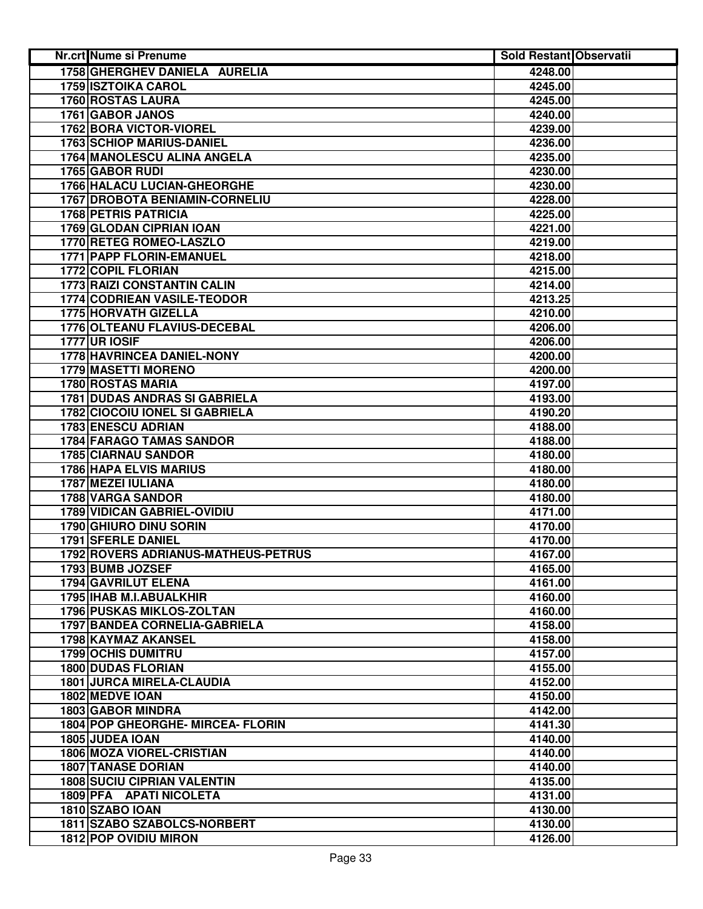| <b>Nr.crt Nume si Prenume</b>         | <b>Sold Restant Observatii</b> |  |
|---------------------------------------|--------------------------------|--|
| 1758 GHERGHEV DANIELA AURELIA         | 4248.00                        |  |
| <b>1759 ISZTOIKA CAROL</b>            | 4245.00                        |  |
| 1760 ROSTAS LAURA                     | 4245.00                        |  |
| 1761 GABOR JANOS                      | 4240.00                        |  |
| 1762 BORA VICTOR-VIOREL               | 4239.00                        |  |
| 1763 SCHIOP MARIUS-DANIEL             | 4236.00                        |  |
| 1764 MANOLESCU ALINA ANGELA           | 4235.00                        |  |
| 1765 GABOR RUDI                       | 4230.00                        |  |
| 1766 HALACU LUCIAN-GHEORGHE           | 4230.00                        |  |
| 1767 DROBOTA BENIAMIN-CORNELIU        | 4228.00                        |  |
| <b>1768 PETRIS PATRICIA</b>           | 4225.00                        |  |
| 1769 GLODAN CIPRIAN IOAN              | 4221.00                        |  |
| 1770 RETEG ROMEO-LASZLO               | 4219.00                        |  |
| 1771 PAPP FLORIN-EMANUEL              | 4218.00                        |  |
| 1772 COPIL FLORIAN                    | 4215.00                        |  |
| <b>1773 RAIZI CONSTANTIN CALIN</b>    | 4214.00                        |  |
| <b>1774 CODRIEAN VASILE-TEODOR</b>    | 4213.25                        |  |
| 1775 HORVATH GIZELLA                  | 4210.00                        |  |
| 1776 OLTEANU FLAVIUS-DECEBAL          | 4206.00                        |  |
| <b>1777 UR IOSIF</b>                  | 4206.00                        |  |
| <b>1778 HAVRINCEA DANIEL-NONY</b>     | 4200.00                        |  |
| 1779 MASETTI MORENO                   | 4200.00                        |  |
| <b>1780 ROSTAS MARIA</b>              | 4197.00                        |  |
| <b>1781 DUDAS ANDRAS SI GABRIELA</b>  | 4193.00                        |  |
| <b>1782 CIOCOIU IONEL SI GABRIELA</b> | 4190.20                        |  |
| <b>1783 ENESCU ADRIAN</b>             | 4188.00                        |  |
| 1784 FARAGO TAMAS SANDOR              | 4188.00                        |  |
| 1785 CIARNAU SANDOR                   | 4180.00                        |  |
| <b>1786 HAPA ELVIS MARIUS</b>         | 4180.00                        |  |
| 1787 MEZEI IULIANA                    | 4180.00                        |  |
| 1788 VARGA SANDOR                     | 4180.00                        |  |
| 1789 VIDICAN GABRIEL-OVIDIU           | 4171.00                        |  |
| 1790 GHIURO DINU SORIN                | 4170.00                        |  |
| 1791 SFERLE DANIEL                    | 4170.00                        |  |
| 1792 ROVERS ADRIANUS-MATHEUS-PETRUS   | 4167.00                        |  |
| 1793 BUMB JOZSEF                      | 4165.00                        |  |
| 1794 GAVRILUT ELENA                   | 4161.00                        |  |
| 1795 IHAB M.I.ABUALKHIR               | 4160.00                        |  |
| <b>1796 PUSKAS MIKLOS-ZOLTAN</b>      | 4160.00                        |  |
| 1797 BANDEA CORNELIA-GABRIELA         | 4158.00                        |  |
| 1798 KAYMAZ AKANSEL                   | 4158.00                        |  |
| <b>1799 OCHIS DUMITRU</b>             | 4157.00                        |  |
| <b>1800 DUDAS FLORIAN</b>             | 4155.00                        |  |
| <b>1801 JURCA MIRELA-CLAUDIA</b>      | 4152.00                        |  |
| 1802 MEDVE IOAN                       | 4150.00                        |  |
| <b>1803 GABOR MINDRA</b>              | 4142.00                        |  |
| 1804 POP GHEORGHE- MIRCEA- FLORIN     | 4141.30                        |  |
| 1805 JUDEA IOAN                       | 4140.00                        |  |
| <b>1806 MOZA VIOREL-CRISTIAN</b>      | 4140.00                        |  |
| <b>1807 TANASE DORIAN</b>             | 4140.00                        |  |
| <b>1808 SUCIU CIPRIAN VALENTIN</b>    | 4135.00                        |  |
| 1809 PFA APATI NICOLETA               | 4131.00                        |  |
| 1810 SZABO IOAN                       | 4130.00                        |  |
| 1811 SZABO SZABOLCS-NORBERT           | 4130.00                        |  |
| <b>1812 POP OVIDIU MIRON</b>          | 4126.00                        |  |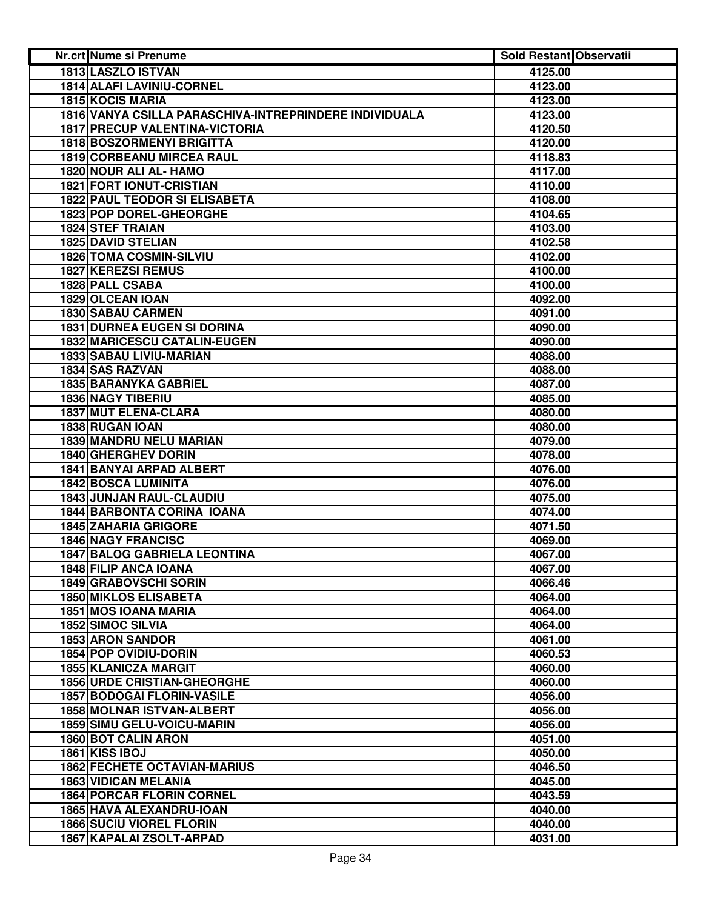| Nr.crt Nume si Prenume                                 | <b>Sold Restant Observatii</b> |  |
|--------------------------------------------------------|--------------------------------|--|
| <b>1813 LASZLO ISTVAN</b>                              | 4125.00                        |  |
| 1814 ALAFI LAVINIU-CORNEL                              | 4123.00                        |  |
| 1815 KOCIS MARIA                                       | 4123.00                        |  |
| 1816 VANYA CSILLA PARASCHIVA-INTREPRINDERE INDIVIDUALA | 4123.00                        |  |
| 1817 PRECUP VALENTINA-VICTORIA                         | 4120.50                        |  |
| <b>1818 BOSZORMENYI BRIGITTA</b>                       | 4120.00                        |  |
| 1819 CORBEANU MIRCEA RAUL                              | 4118.83                        |  |
| 1820 NOUR ALI AL- HAMO                                 | 4117.00                        |  |
| <b>1821 FORT IONUT-CRISTIAN</b>                        | 4110.00                        |  |
| <b>1822 PAUL TEODOR SI ELISABETA</b>                   | 4108.00                        |  |
| 1823 POP DOREL-GHEORGHE                                | 4104.65                        |  |
| <b>1824 STEF TRAIAN</b>                                | 4103.00                        |  |
|                                                        |                                |  |
| <b>1825 DAVID STELIAN</b>                              | 4102.58                        |  |
| 1826 TOMA COSMIN-SILVIU                                | 4102.00                        |  |
| 1827 KEREZSI REMUS                                     | 4100.00                        |  |
| 1828 PALL CSABA                                        | 4100.00                        |  |
| <b>1829 OLCEAN JOAN</b>                                | 4092.00                        |  |
| <b>1830 SABAU CARMEN</b>                               | 4091.00                        |  |
| <b>1831 DURNEA EUGEN SI DORINA</b>                     | 4090.00                        |  |
| <b>1832 MARICESCU CATALIN-EUGEN</b>                    | 4090.00                        |  |
| 1833 SABAU LIVIU-MARIAN                                | 4088.00                        |  |
| 1834 SAS RAZVAN                                        | 4088.00                        |  |
| <b>1835 BARANYKA GABRIEL</b>                           | 4087.00                        |  |
| <b>1836 NAGY TIBERIU</b>                               | 4085.00                        |  |
| <b>1837 MUT ELENA-CLARA</b>                            | 4080.00                        |  |
| 1838 RUGAN IOAN                                        | 4080.00                        |  |
| 1839 MANDRU NELU MARIAN                                | 4079.00                        |  |
| 1840 GHERGHEV DORIN                                    | 4078.00                        |  |
| 1841 BANYAI ARPAD ALBERT                               | 4076.00                        |  |
| <b>1842 BOSCA LUMINITA</b>                             | 4076.00                        |  |
| 1843 JUNJAN RAUL-CLAUDIU                               | 4075.00                        |  |
| <b>1844 BARBONTA CORINA IOANA</b>                      | 4074.00                        |  |
| <b>1845 ZAHARIA GRIGORE</b>                            | 4071.50                        |  |
| <b>1846 NAGY FRANCISC</b>                              | 4069.00                        |  |
| <b>1847 BALOG GABRIELA LEONTINA</b>                    | 4067.00                        |  |
| 1848 FILIP ANCA IOANA                                  | 4067.00                        |  |
| 1849 GRABOVSCHI SORIN                                  | 4066.46                        |  |
| <b>1850 MIKLOS ELISABETA</b>                           | 4064.00                        |  |
| 1851 MOS IOANA MARIA                                   | 4064.00                        |  |
| 1852 SIMOC SILVIA                                      | 4064.00                        |  |
| <b>1853 ARON SANDOR</b>                                | 4061.00                        |  |
| 1854 POP OVIDIU-DORIN                                  | 4060.53                        |  |
| 1855 KLANICZA MARGIT                                   | 4060.00                        |  |
| <b>1856 URDE CRISTIAN-GHEORGHE</b>                     | 4060.00                        |  |
| <b>1857 BODOGAI FLORIN-VASILE</b>                      | 4056.00                        |  |
| 1858 MOLNAR ISTVAN-ALBERT                              | 4056.00                        |  |
| <b>1859 SIMU GELU-VOICU-MARIN</b>                      | 4056.00                        |  |
| <b>1860 BOT CALIN ARON</b>                             | 4051.00                        |  |
| 1861 KISS IBOJ                                         | 4050.00                        |  |
| <b>1862 FECHETE OCTAVIAN-MARIUS</b>                    | 4046.50                        |  |
|                                                        |                                |  |
| <b>1863 VIDICAN MELANIA</b>                            | 4045.00                        |  |
| <b>1864 PORCAR FLORIN CORNEL</b>                       | 4043.59                        |  |
| 1865 HAVA ALEXANDRU-IOAN                               | 4040.00                        |  |
| <b>1866 SUCIU VIOREL FLORIN</b>                        | 4040.00                        |  |
| 1867 KAPALAI ZSOLT-ARPAD                               | 4031.00                        |  |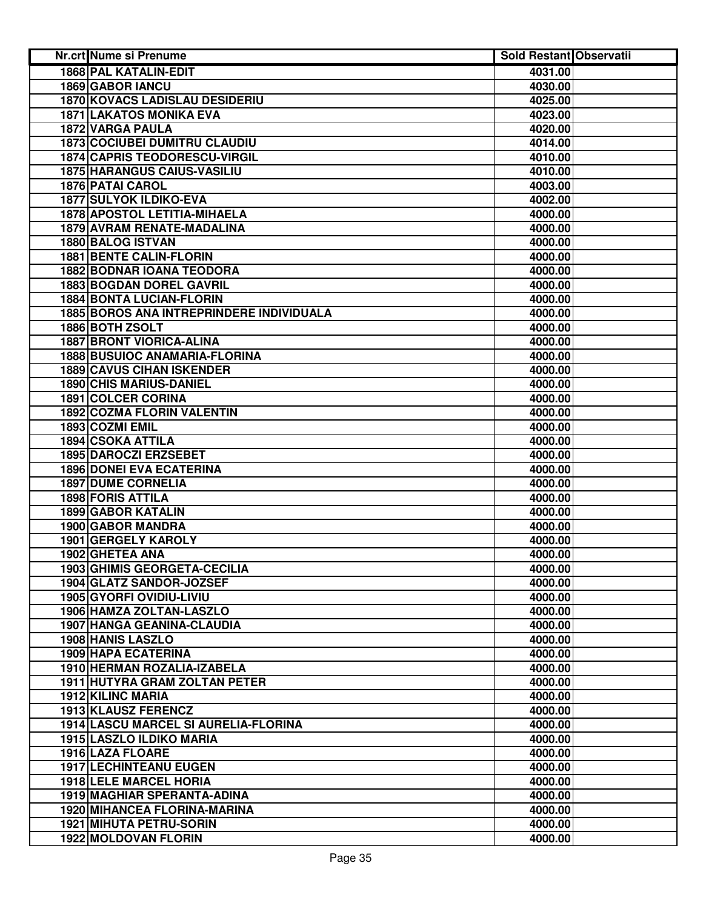| <b>1868 PAL KATALIN-EDIT</b><br>4031.00<br>1869 GABOR IANCU<br>4030.00<br><b>1870 KOVACS LADISLAU DESIDERIU</b><br>4025.00<br><b>1871 LAKATOS MONIKA EVA</b><br>4023.00<br>1872 VARGA PAULA<br>4020.00<br><b>1873 COCIUBEI DUMITRU CLAUDIU</b><br>4014.00<br><b>1874 CAPRIS TEODORESCU-VIRGIL</b><br>4010.00<br>1875 HARANGUS CAIUS-VASILIU<br>4010.00<br>1876 PATAI CAROL<br>4003.00<br><b>1877 SULYOK ILDIKO-EVA</b><br>4002.00<br>1878 APOSTOL LETITIA-MIHAELA<br>4000.00<br>1879 AVRAM RENATE-MADALINA<br>4000.00<br>1880 BALOG ISTVAN<br>4000.00<br>1881 BENTE CALIN-FLORIN<br>4000.00<br><b>1882 BODNAR IOANA TEODORA</b><br>4000.00<br><b>1883 BOGDAN DOREL GAVRIL</b><br>4000.00<br>1884 BONTA LUCIAN-FLORIN<br>4000.00<br>1885 BOROS ANA INTREPRINDERE INDIVIDUALA<br>4000.00<br>1886 BOTH ZSOLT<br>4000.00<br><b>1887 BRONT VIORICA-ALINA</b><br>4000.00<br><b>1888 BUSUIOC ANAMARIA-FLORINA</b><br>4000.00<br><b>1889 CAVUS CIHAN ISKENDER</b><br>4000.00<br><b>1890 CHIS MARIUS-DANIEL</b><br>4000.00<br><b>1891 COLCER CORINA</b><br>4000.00<br><b>1892 COZMA FLORIN VALENTIN</b><br>4000.00<br>1893 COZMI EMIL<br>4000.00<br><b>1894 CSOKA ATTILA</b><br>4000.00<br>1895 DAROCZI ERZSEBET<br>4000.00<br><b>1896 DONEI EVA ECATERINA</b><br>4000.00<br><b>1897 DUME CORNELIA</b><br>4000.00<br><b>1898 FORIS ATTILA</b><br>4000.00<br><b>1899 GABOR KATALIN</b><br>4000.00<br>1900 GABOR MANDRA<br>4000.00<br><b>1901 GERGELY KAROLY</b><br>4000.00<br>1902 GHETEA ANA<br>4000.00<br>1903 GHIMIS GEORGETA-CECILIA<br>4000.00<br>1904 GLATZ SANDOR-JOZSEF<br>4000.00<br>1905 GYORFI OVIDIU-LIVIU<br>4000.00<br>1906 HAMZA ZOLTAN-LASZLO<br>4000.00<br>1907 HANGA GEANINA-CLAUDIA<br>4000.00<br>1908 HANIS LASZLO<br>4000.00<br><b>1909 HAPA ECATERINA</b><br>4000.00<br>4000.00<br>1910 HERMAN ROZALIA-IZABELA<br>1911 HUTYRA GRAM ZOLTAN PETER<br>4000.00<br>1912 KILINC MARIA<br>4000.00<br>1913 KLAUSZ FERENCZ<br>4000.00<br>1914 LASCU MARCEL SI AURELIA-FLORINA<br>4000.00<br><b>1915 LASZLO ILDIKO MARIA</b><br>4000.00<br>1916 LAZA FLOARE<br>4000.00<br><b>1917 LECHINTEANU EUGEN</b><br>4000.00<br><b>1918 LELE MARCEL HORIA</b><br>4000.00<br>1919 MAGHIAR SPERANTA-ADINA<br>4000.00<br>1920 MIHANCEA FLORINA-MARINA<br>4000.00<br>1921 MIHUTA PETRU-SORIN<br>4000.00<br>1922 MOLDOVAN FLORIN<br>4000.00 | Nr.crt Nume si Prenume | <b>Sold Restant Observatii</b> |  |
|--------------------------------------------------------------------------------------------------------------------------------------------------------------------------------------------------------------------------------------------------------------------------------------------------------------------------------------------------------------------------------------------------------------------------------------------------------------------------------------------------------------------------------------------------------------------------------------------------------------------------------------------------------------------------------------------------------------------------------------------------------------------------------------------------------------------------------------------------------------------------------------------------------------------------------------------------------------------------------------------------------------------------------------------------------------------------------------------------------------------------------------------------------------------------------------------------------------------------------------------------------------------------------------------------------------------------------------------------------------------------------------------------------------------------------------------------------------------------------------------------------------------------------------------------------------------------------------------------------------------------------------------------------------------------------------------------------------------------------------------------------------------------------------------------------------------------------------------------------------------------------------------------------------------------------------------------------------------------------------------------------------------------------------------------------------------------------------------------------------------------------------------------------------------------------------------------------------------------------------------------------------------------------------------------------------------------------|------------------------|--------------------------------|--|
|                                                                                                                                                                                                                                                                                                                                                                                                                                                                                                                                                                                                                                                                                                                                                                                                                                                                                                                                                                                                                                                                                                                                                                                                                                                                                                                                                                                                                                                                                                                                                                                                                                                                                                                                                                                                                                                                                                                                                                                                                                                                                                                                                                                                                                                                                                                                |                        |                                |  |
|                                                                                                                                                                                                                                                                                                                                                                                                                                                                                                                                                                                                                                                                                                                                                                                                                                                                                                                                                                                                                                                                                                                                                                                                                                                                                                                                                                                                                                                                                                                                                                                                                                                                                                                                                                                                                                                                                                                                                                                                                                                                                                                                                                                                                                                                                                                                |                        |                                |  |
|                                                                                                                                                                                                                                                                                                                                                                                                                                                                                                                                                                                                                                                                                                                                                                                                                                                                                                                                                                                                                                                                                                                                                                                                                                                                                                                                                                                                                                                                                                                                                                                                                                                                                                                                                                                                                                                                                                                                                                                                                                                                                                                                                                                                                                                                                                                                |                        |                                |  |
|                                                                                                                                                                                                                                                                                                                                                                                                                                                                                                                                                                                                                                                                                                                                                                                                                                                                                                                                                                                                                                                                                                                                                                                                                                                                                                                                                                                                                                                                                                                                                                                                                                                                                                                                                                                                                                                                                                                                                                                                                                                                                                                                                                                                                                                                                                                                |                        |                                |  |
|                                                                                                                                                                                                                                                                                                                                                                                                                                                                                                                                                                                                                                                                                                                                                                                                                                                                                                                                                                                                                                                                                                                                                                                                                                                                                                                                                                                                                                                                                                                                                                                                                                                                                                                                                                                                                                                                                                                                                                                                                                                                                                                                                                                                                                                                                                                                |                        |                                |  |
|                                                                                                                                                                                                                                                                                                                                                                                                                                                                                                                                                                                                                                                                                                                                                                                                                                                                                                                                                                                                                                                                                                                                                                                                                                                                                                                                                                                                                                                                                                                                                                                                                                                                                                                                                                                                                                                                                                                                                                                                                                                                                                                                                                                                                                                                                                                                |                        |                                |  |
|                                                                                                                                                                                                                                                                                                                                                                                                                                                                                                                                                                                                                                                                                                                                                                                                                                                                                                                                                                                                                                                                                                                                                                                                                                                                                                                                                                                                                                                                                                                                                                                                                                                                                                                                                                                                                                                                                                                                                                                                                                                                                                                                                                                                                                                                                                                                |                        |                                |  |
|                                                                                                                                                                                                                                                                                                                                                                                                                                                                                                                                                                                                                                                                                                                                                                                                                                                                                                                                                                                                                                                                                                                                                                                                                                                                                                                                                                                                                                                                                                                                                                                                                                                                                                                                                                                                                                                                                                                                                                                                                                                                                                                                                                                                                                                                                                                                |                        |                                |  |
|                                                                                                                                                                                                                                                                                                                                                                                                                                                                                                                                                                                                                                                                                                                                                                                                                                                                                                                                                                                                                                                                                                                                                                                                                                                                                                                                                                                                                                                                                                                                                                                                                                                                                                                                                                                                                                                                                                                                                                                                                                                                                                                                                                                                                                                                                                                                |                        |                                |  |
|                                                                                                                                                                                                                                                                                                                                                                                                                                                                                                                                                                                                                                                                                                                                                                                                                                                                                                                                                                                                                                                                                                                                                                                                                                                                                                                                                                                                                                                                                                                                                                                                                                                                                                                                                                                                                                                                                                                                                                                                                                                                                                                                                                                                                                                                                                                                |                        |                                |  |
|                                                                                                                                                                                                                                                                                                                                                                                                                                                                                                                                                                                                                                                                                                                                                                                                                                                                                                                                                                                                                                                                                                                                                                                                                                                                                                                                                                                                                                                                                                                                                                                                                                                                                                                                                                                                                                                                                                                                                                                                                                                                                                                                                                                                                                                                                                                                |                        |                                |  |
|                                                                                                                                                                                                                                                                                                                                                                                                                                                                                                                                                                                                                                                                                                                                                                                                                                                                                                                                                                                                                                                                                                                                                                                                                                                                                                                                                                                                                                                                                                                                                                                                                                                                                                                                                                                                                                                                                                                                                                                                                                                                                                                                                                                                                                                                                                                                |                        |                                |  |
|                                                                                                                                                                                                                                                                                                                                                                                                                                                                                                                                                                                                                                                                                                                                                                                                                                                                                                                                                                                                                                                                                                                                                                                                                                                                                                                                                                                                                                                                                                                                                                                                                                                                                                                                                                                                                                                                                                                                                                                                                                                                                                                                                                                                                                                                                                                                |                        |                                |  |
|                                                                                                                                                                                                                                                                                                                                                                                                                                                                                                                                                                                                                                                                                                                                                                                                                                                                                                                                                                                                                                                                                                                                                                                                                                                                                                                                                                                                                                                                                                                                                                                                                                                                                                                                                                                                                                                                                                                                                                                                                                                                                                                                                                                                                                                                                                                                |                        |                                |  |
|                                                                                                                                                                                                                                                                                                                                                                                                                                                                                                                                                                                                                                                                                                                                                                                                                                                                                                                                                                                                                                                                                                                                                                                                                                                                                                                                                                                                                                                                                                                                                                                                                                                                                                                                                                                                                                                                                                                                                                                                                                                                                                                                                                                                                                                                                                                                |                        |                                |  |
|                                                                                                                                                                                                                                                                                                                                                                                                                                                                                                                                                                                                                                                                                                                                                                                                                                                                                                                                                                                                                                                                                                                                                                                                                                                                                                                                                                                                                                                                                                                                                                                                                                                                                                                                                                                                                                                                                                                                                                                                                                                                                                                                                                                                                                                                                                                                |                        |                                |  |
|                                                                                                                                                                                                                                                                                                                                                                                                                                                                                                                                                                                                                                                                                                                                                                                                                                                                                                                                                                                                                                                                                                                                                                                                                                                                                                                                                                                                                                                                                                                                                                                                                                                                                                                                                                                                                                                                                                                                                                                                                                                                                                                                                                                                                                                                                                                                |                        |                                |  |
|                                                                                                                                                                                                                                                                                                                                                                                                                                                                                                                                                                                                                                                                                                                                                                                                                                                                                                                                                                                                                                                                                                                                                                                                                                                                                                                                                                                                                                                                                                                                                                                                                                                                                                                                                                                                                                                                                                                                                                                                                                                                                                                                                                                                                                                                                                                                |                        |                                |  |
|                                                                                                                                                                                                                                                                                                                                                                                                                                                                                                                                                                                                                                                                                                                                                                                                                                                                                                                                                                                                                                                                                                                                                                                                                                                                                                                                                                                                                                                                                                                                                                                                                                                                                                                                                                                                                                                                                                                                                                                                                                                                                                                                                                                                                                                                                                                                |                        |                                |  |
|                                                                                                                                                                                                                                                                                                                                                                                                                                                                                                                                                                                                                                                                                                                                                                                                                                                                                                                                                                                                                                                                                                                                                                                                                                                                                                                                                                                                                                                                                                                                                                                                                                                                                                                                                                                                                                                                                                                                                                                                                                                                                                                                                                                                                                                                                                                                |                        |                                |  |
|                                                                                                                                                                                                                                                                                                                                                                                                                                                                                                                                                                                                                                                                                                                                                                                                                                                                                                                                                                                                                                                                                                                                                                                                                                                                                                                                                                                                                                                                                                                                                                                                                                                                                                                                                                                                                                                                                                                                                                                                                                                                                                                                                                                                                                                                                                                                |                        |                                |  |
|                                                                                                                                                                                                                                                                                                                                                                                                                                                                                                                                                                                                                                                                                                                                                                                                                                                                                                                                                                                                                                                                                                                                                                                                                                                                                                                                                                                                                                                                                                                                                                                                                                                                                                                                                                                                                                                                                                                                                                                                                                                                                                                                                                                                                                                                                                                                |                        |                                |  |
|                                                                                                                                                                                                                                                                                                                                                                                                                                                                                                                                                                                                                                                                                                                                                                                                                                                                                                                                                                                                                                                                                                                                                                                                                                                                                                                                                                                                                                                                                                                                                                                                                                                                                                                                                                                                                                                                                                                                                                                                                                                                                                                                                                                                                                                                                                                                |                        |                                |  |
|                                                                                                                                                                                                                                                                                                                                                                                                                                                                                                                                                                                                                                                                                                                                                                                                                                                                                                                                                                                                                                                                                                                                                                                                                                                                                                                                                                                                                                                                                                                                                                                                                                                                                                                                                                                                                                                                                                                                                                                                                                                                                                                                                                                                                                                                                                                                |                        |                                |  |
|                                                                                                                                                                                                                                                                                                                                                                                                                                                                                                                                                                                                                                                                                                                                                                                                                                                                                                                                                                                                                                                                                                                                                                                                                                                                                                                                                                                                                                                                                                                                                                                                                                                                                                                                                                                                                                                                                                                                                                                                                                                                                                                                                                                                                                                                                                                                |                        |                                |  |
|                                                                                                                                                                                                                                                                                                                                                                                                                                                                                                                                                                                                                                                                                                                                                                                                                                                                                                                                                                                                                                                                                                                                                                                                                                                                                                                                                                                                                                                                                                                                                                                                                                                                                                                                                                                                                                                                                                                                                                                                                                                                                                                                                                                                                                                                                                                                |                        |                                |  |
|                                                                                                                                                                                                                                                                                                                                                                                                                                                                                                                                                                                                                                                                                                                                                                                                                                                                                                                                                                                                                                                                                                                                                                                                                                                                                                                                                                                                                                                                                                                                                                                                                                                                                                                                                                                                                                                                                                                                                                                                                                                                                                                                                                                                                                                                                                                                |                        |                                |  |
|                                                                                                                                                                                                                                                                                                                                                                                                                                                                                                                                                                                                                                                                                                                                                                                                                                                                                                                                                                                                                                                                                                                                                                                                                                                                                                                                                                                                                                                                                                                                                                                                                                                                                                                                                                                                                                                                                                                                                                                                                                                                                                                                                                                                                                                                                                                                |                        |                                |  |
|                                                                                                                                                                                                                                                                                                                                                                                                                                                                                                                                                                                                                                                                                                                                                                                                                                                                                                                                                                                                                                                                                                                                                                                                                                                                                                                                                                                                                                                                                                                                                                                                                                                                                                                                                                                                                                                                                                                                                                                                                                                                                                                                                                                                                                                                                                                                |                        |                                |  |
|                                                                                                                                                                                                                                                                                                                                                                                                                                                                                                                                                                                                                                                                                                                                                                                                                                                                                                                                                                                                                                                                                                                                                                                                                                                                                                                                                                                                                                                                                                                                                                                                                                                                                                                                                                                                                                                                                                                                                                                                                                                                                                                                                                                                                                                                                                                                |                        |                                |  |
|                                                                                                                                                                                                                                                                                                                                                                                                                                                                                                                                                                                                                                                                                                                                                                                                                                                                                                                                                                                                                                                                                                                                                                                                                                                                                                                                                                                                                                                                                                                                                                                                                                                                                                                                                                                                                                                                                                                                                                                                                                                                                                                                                                                                                                                                                                                                |                        |                                |  |
|                                                                                                                                                                                                                                                                                                                                                                                                                                                                                                                                                                                                                                                                                                                                                                                                                                                                                                                                                                                                                                                                                                                                                                                                                                                                                                                                                                                                                                                                                                                                                                                                                                                                                                                                                                                                                                                                                                                                                                                                                                                                                                                                                                                                                                                                                                                                |                        |                                |  |
|                                                                                                                                                                                                                                                                                                                                                                                                                                                                                                                                                                                                                                                                                                                                                                                                                                                                                                                                                                                                                                                                                                                                                                                                                                                                                                                                                                                                                                                                                                                                                                                                                                                                                                                                                                                                                                                                                                                                                                                                                                                                                                                                                                                                                                                                                                                                |                        |                                |  |
|                                                                                                                                                                                                                                                                                                                                                                                                                                                                                                                                                                                                                                                                                                                                                                                                                                                                                                                                                                                                                                                                                                                                                                                                                                                                                                                                                                                                                                                                                                                                                                                                                                                                                                                                                                                                                                                                                                                                                                                                                                                                                                                                                                                                                                                                                                                                |                        |                                |  |
|                                                                                                                                                                                                                                                                                                                                                                                                                                                                                                                                                                                                                                                                                                                                                                                                                                                                                                                                                                                                                                                                                                                                                                                                                                                                                                                                                                                                                                                                                                                                                                                                                                                                                                                                                                                                                                                                                                                                                                                                                                                                                                                                                                                                                                                                                                                                |                        |                                |  |
|                                                                                                                                                                                                                                                                                                                                                                                                                                                                                                                                                                                                                                                                                                                                                                                                                                                                                                                                                                                                                                                                                                                                                                                                                                                                                                                                                                                                                                                                                                                                                                                                                                                                                                                                                                                                                                                                                                                                                                                                                                                                                                                                                                                                                                                                                                                                |                        |                                |  |
|                                                                                                                                                                                                                                                                                                                                                                                                                                                                                                                                                                                                                                                                                                                                                                                                                                                                                                                                                                                                                                                                                                                                                                                                                                                                                                                                                                                                                                                                                                                                                                                                                                                                                                                                                                                                                                                                                                                                                                                                                                                                                                                                                                                                                                                                                                                                |                        |                                |  |
|                                                                                                                                                                                                                                                                                                                                                                                                                                                                                                                                                                                                                                                                                                                                                                                                                                                                                                                                                                                                                                                                                                                                                                                                                                                                                                                                                                                                                                                                                                                                                                                                                                                                                                                                                                                                                                                                                                                                                                                                                                                                                                                                                                                                                                                                                                                                |                        |                                |  |
|                                                                                                                                                                                                                                                                                                                                                                                                                                                                                                                                                                                                                                                                                                                                                                                                                                                                                                                                                                                                                                                                                                                                                                                                                                                                                                                                                                                                                                                                                                                                                                                                                                                                                                                                                                                                                                                                                                                                                                                                                                                                                                                                                                                                                                                                                                                                |                        |                                |  |
|                                                                                                                                                                                                                                                                                                                                                                                                                                                                                                                                                                                                                                                                                                                                                                                                                                                                                                                                                                                                                                                                                                                                                                                                                                                                                                                                                                                                                                                                                                                                                                                                                                                                                                                                                                                                                                                                                                                                                                                                                                                                                                                                                                                                                                                                                                                                |                        |                                |  |
|                                                                                                                                                                                                                                                                                                                                                                                                                                                                                                                                                                                                                                                                                                                                                                                                                                                                                                                                                                                                                                                                                                                                                                                                                                                                                                                                                                                                                                                                                                                                                                                                                                                                                                                                                                                                                                                                                                                                                                                                                                                                                                                                                                                                                                                                                                                                |                        |                                |  |
|                                                                                                                                                                                                                                                                                                                                                                                                                                                                                                                                                                                                                                                                                                                                                                                                                                                                                                                                                                                                                                                                                                                                                                                                                                                                                                                                                                                                                                                                                                                                                                                                                                                                                                                                                                                                                                                                                                                                                                                                                                                                                                                                                                                                                                                                                                                                |                        |                                |  |
|                                                                                                                                                                                                                                                                                                                                                                                                                                                                                                                                                                                                                                                                                                                                                                                                                                                                                                                                                                                                                                                                                                                                                                                                                                                                                                                                                                                                                                                                                                                                                                                                                                                                                                                                                                                                                                                                                                                                                                                                                                                                                                                                                                                                                                                                                                                                |                        |                                |  |
|                                                                                                                                                                                                                                                                                                                                                                                                                                                                                                                                                                                                                                                                                                                                                                                                                                                                                                                                                                                                                                                                                                                                                                                                                                                                                                                                                                                                                                                                                                                                                                                                                                                                                                                                                                                                                                                                                                                                                                                                                                                                                                                                                                                                                                                                                                                                |                        |                                |  |
|                                                                                                                                                                                                                                                                                                                                                                                                                                                                                                                                                                                                                                                                                                                                                                                                                                                                                                                                                                                                                                                                                                                                                                                                                                                                                                                                                                                                                                                                                                                                                                                                                                                                                                                                                                                                                                                                                                                                                                                                                                                                                                                                                                                                                                                                                                                                |                        |                                |  |
|                                                                                                                                                                                                                                                                                                                                                                                                                                                                                                                                                                                                                                                                                                                                                                                                                                                                                                                                                                                                                                                                                                                                                                                                                                                                                                                                                                                                                                                                                                                                                                                                                                                                                                                                                                                                                                                                                                                                                                                                                                                                                                                                                                                                                                                                                                                                |                        |                                |  |
|                                                                                                                                                                                                                                                                                                                                                                                                                                                                                                                                                                                                                                                                                                                                                                                                                                                                                                                                                                                                                                                                                                                                                                                                                                                                                                                                                                                                                                                                                                                                                                                                                                                                                                                                                                                                                                                                                                                                                                                                                                                                                                                                                                                                                                                                                                                                |                        |                                |  |
|                                                                                                                                                                                                                                                                                                                                                                                                                                                                                                                                                                                                                                                                                                                                                                                                                                                                                                                                                                                                                                                                                                                                                                                                                                                                                                                                                                                                                                                                                                                                                                                                                                                                                                                                                                                                                                                                                                                                                                                                                                                                                                                                                                                                                                                                                                                                |                        |                                |  |
|                                                                                                                                                                                                                                                                                                                                                                                                                                                                                                                                                                                                                                                                                                                                                                                                                                                                                                                                                                                                                                                                                                                                                                                                                                                                                                                                                                                                                                                                                                                                                                                                                                                                                                                                                                                                                                                                                                                                                                                                                                                                                                                                                                                                                                                                                                                                |                        |                                |  |
|                                                                                                                                                                                                                                                                                                                                                                                                                                                                                                                                                                                                                                                                                                                                                                                                                                                                                                                                                                                                                                                                                                                                                                                                                                                                                                                                                                                                                                                                                                                                                                                                                                                                                                                                                                                                                                                                                                                                                                                                                                                                                                                                                                                                                                                                                                                                |                        |                                |  |
|                                                                                                                                                                                                                                                                                                                                                                                                                                                                                                                                                                                                                                                                                                                                                                                                                                                                                                                                                                                                                                                                                                                                                                                                                                                                                                                                                                                                                                                                                                                                                                                                                                                                                                                                                                                                                                                                                                                                                                                                                                                                                                                                                                                                                                                                                                                                |                        |                                |  |
|                                                                                                                                                                                                                                                                                                                                                                                                                                                                                                                                                                                                                                                                                                                                                                                                                                                                                                                                                                                                                                                                                                                                                                                                                                                                                                                                                                                                                                                                                                                                                                                                                                                                                                                                                                                                                                                                                                                                                                                                                                                                                                                                                                                                                                                                                                                                |                        |                                |  |
|                                                                                                                                                                                                                                                                                                                                                                                                                                                                                                                                                                                                                                                                                                                                                                                                                                                                                                                                                                                                                                                                                                                                                                                                                                                                                                                                                                                                                                                                                                                                                                                                                                                                                                                                                                                                                                                                                                                                                                                                                                                                                                                                                                                                                                                                                                                                |                        |                                |  |
|                                                                                                                                                                                                                                                                                                                                                                                                                                                                                                                                                                                                                                                                                                                                                                                                                                                                                                                                                                                                                                                                                                                                                                                                                                                                                                                                                                                                                                                                                                                                                                                                                                                                                                                                                                                                                                                                                                                                                                                                                                                                                                                                                                                                                                                                                                                                |                        |                                |  |
|                                                                                                                                                                                                                                                                                                                                                                                                                                                                                                                                                                                                                                                                                                                                                                                                                                                                                                                                                                                                                                                                                                                                                                                                                                                                                                                                                                                                                                                                                                                                                                                                                                                                                                                                                                                                                                                                                                                                                                                                                                                                                                                                                                                                                                                                                                                                |                        |                                |  |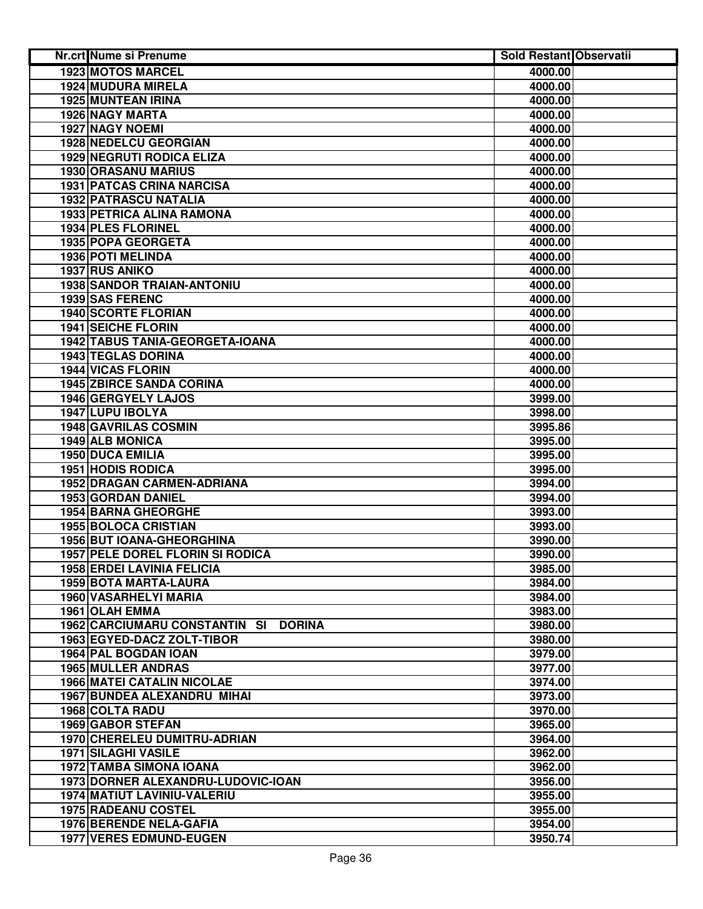| <b>Nr.crt Nume si Prenume</b>           | <b>Sold Restant Observatii</b> |  |
|-----------------------------------------|--------------------------------|--|
| <b>1923 MOTOS MARCEL</b>                | 4000.00                        |  |
| 1924 MUDURA MIRELA                      | 4000.00                        |  |
| 1925 MUNTEAN IRINA                      | 4000.00                        |  |
| 1926 NAGY MARTA                         | 4000.00                        |  |
| 1927 NAGY NOEMI                         | 4000.00                        |  |
| 1928 NEDELCU GEORGIAN                   | 4000.00                        |  |
| <b>1929 NEGRUTI RODICA ELIZA</b>        | 4000.00                        |  |
| 1930 ORASANU MARIUS                     | 4000.00                        |  |
| <b>1931 PATCAS CRINA NARCISA</b>        | 4000.00                        |  |
| <b>1932 PATRASCU NATALIA</b>            | 4000.00                        |  |
| <b>1933 PETRICA ALINA RAMONA</b>        | 4000.00                        |  |
| 1934 PLES FLORINEL                      | 4000.00                        |  |
| 1935 POPA GEORGETA                      | 4000.00                        |  |
| 1936 POTI MELINDA                       | 4000.00                        |  |
| 1937 RUS ANIKO                          | 4000.00                        |  |
| <b>1938 SANDOR TRAIAN-ANTONIU</b>       | 4000.00                        |  |
| <b>1939 SAS FERENC</b>                  | 4000.00                        |  |
| <b>1940 SCORTE FLORIAN</b>              | 4000.00                        |  |
| <b>1941 SEICHE FLORIN</b>               | 4000.00                        |  |
| 1942 TABUS TANIA-GEORGETA-IOANA         | 4000.00                        |  |
| <b>1943 TEGLAS DORINA</b>               | 4000.00                        |  |
| <b>1944 VICAS FLORIN</b>                | 4000.00                        |  |
| <b>1945 ZBIRCE SANDA CORINA</b>         | 4000.00                        |  |
| 1946 GERGYELY LAJOS                     | 3999.00                        |  |
| 1947 LUPU IBOLYA                        | 3998.00                        |  |
| 1948 GAVRILAS COSMIN                    | 3995.86                        |  |
| 1949 ALB MONICA                         | 3995.00                        |  |
| 1950 DUCA EMILIA                        | 3995.00                        |  |
| 1951 HODIS RODICA                       | 3995.00                        |  |
| 1952 DRAGAN CARMEN-ADRIANA              | 3994.00                        |  |
| 1953 GORDAN DANIEL                      | 3994.00                        |  |
| <b>1954 BARNA GHEORGHE</b>              | 3993.00                        |  |
| <b>1955 BOLOCA CRISTIAN</b>             | 3993.00                        |  |
| 1956 BUT IOANA-GHEORGHINA               | 3990.00                        |  |
| <b>1957 PELE DOREL FLORIN SI RODICA</b> | 3990.00                        |  |
| <b>1958 ERDEI LAVINIA FELICIA</b>       | 3985.00                        |  |
| 1959 BOTA MARTA-LAURA                   | 3984.00                        |  |
| 1960 VASARHELYI MARIA                   | 3984.00                        |  |
| <b>1961 OLAH EMMA</b>                   | 3983.00                        |  |
| 1962 CARCIUMARU CONSTANTIN SI DORINA    | 3980.00                        |  |
| 1963 EGYED-DACZ ZOLT-TIBOR              | 3980.00                        |  |
| 1964 PAL BOGDAN IOAN                    | 3979.00                        |  |
| 1965 MULLER ANDRAS                      | 3977.00                        |  |
| <b>1966 MATEI CATALIN NICOLAE</b>       | 3974.00                        |  |
| <b>1967 BUNDEA ALEXANDRU MIHAI</b>      | 3973.00                        |  |
| 1968 COLTA RADU                         | 3970.00                        |  |
| 1969 GABOR STEFAN                       | 3965.00                        |  |
| 1970 CHERELEU DUMITRU-ADRIAN            | 3964.00                        |  |
| 1971 SILAGHI VASILE                     | 3962.00                        |  |
| 1972 TAMBA SIMONA IOANA                 | 3962.00                        |  |
| 1973 DORNER ALEXANDRU-LUDOVIC-IOAN      | 3956.00                        |  |
| 1974 MATIUT LAVINIU-VALERIU             | 3955.00                        |  |
| 1975 RADEANU COSTEL                     | 3955.00                        |  |
| 1976 BERENDE NELA-GAFIA                 | 3954.00                        |  |
| <b>1977 VERES EDMUND-EUGEN</b>          | 3950.74                        |  |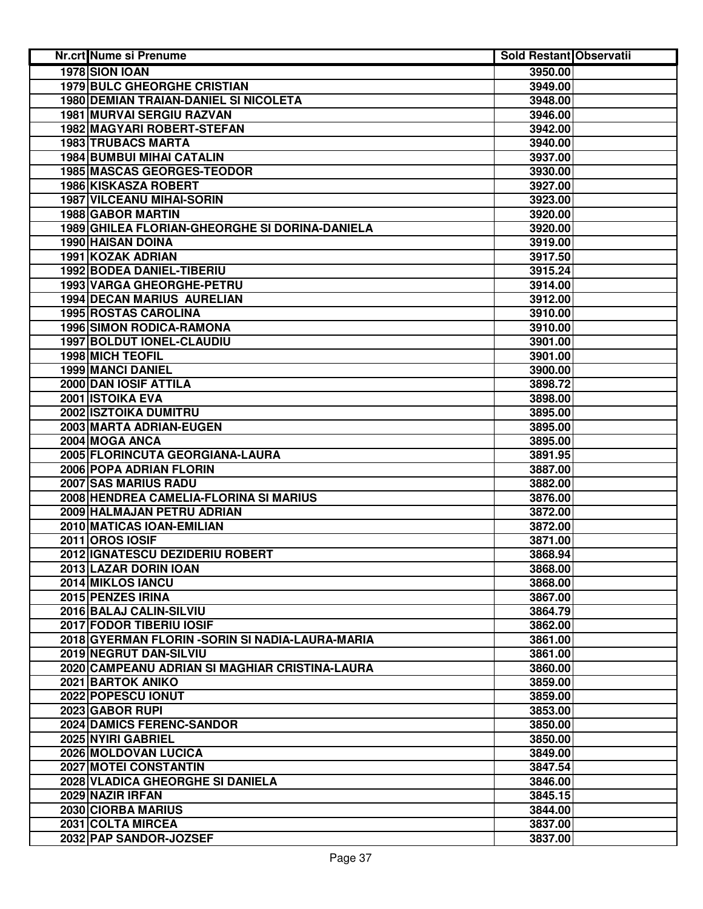| 1978 SION IOAN<br>3950.00<br><b>1979 BULC GHEORGHE CRISTIAN</b><br>3949.00<br>1980 DEMIAN TRAIAN-DANIEL SI NICOLETA<br>3948.00<br>1981 MURVAI SERGIU RAZVAN<br>3946.00<br>1982 MAGYARI ROBERT-STEFAN<br>3942.00<br>1983 TRUBACS MARTA<br>3940.00<br><b>1984 BUMBUI MIHAI CATALIN</b><br>3937.00<br><b>1985 MASCAS GEORGES-TEODOR</b><br>3930.00<br>1986 KISKASZA ROBERT<br>3927.00<br><b>1987 VILCEANU MIHAI-SORIN</b><br>3923.00<br>1988 GABOR MARTIN<br>3920.00<br>1989 GHILEA FLORIAN-GHEORGHE SI DORINA-DANIELA<br>3920.00<br>1990 HAISAN DOINA<br>3919.00<br>1991 KOZAK ADRIAN<br>3917.50<br>1992 BODEA DANIEL-TIBERIU<br>3915.24<br>1993 VARGA GHEORGHE-PETRU<br>3914.00<br>1994 DECAN MARIUS AURELIAN<br>3912.00<br>1995 ROSTAS CAROLINA<br>3910.00<br><b>1996 SIMON RODICA-RAMONA</b><br>3910.00<br>1997 BOLDUT IONEL-CLAUDIU<br>3901.00<br><b>1998 MICH TEOFIL</b><br>3901.00<br><b>1999 MANCI DANIEL</b><br>3900.00<br>2000 DAN IOSIF ATTILA<br>3898.72<br>2001 ISTOIKA EVA<br>3898.00<br>2002 ISZTOIKA DUMITRU<br>3895.00<br>2003 MARTA ADRIAN-EUGEN<br>3895.00<br>2004 MOGA ANCA<br>3895.00<br>2005 FLORINCUTA GEORGIANA-LAURA<br>3891.95<br>2006 POPA ADRIAN FLORIN<br>3887.00<br>2007 SAS MARIUS RADU<br>3882.00<br>2008 HENDREA CAMELIA-FLORINA SI MARIUS<br>3876.00<br>2009 HALMAJAN PETRU ADRIAN<br>3872.00<br>2010 MATICAS IOAN-EMILIAN<br>3872.00<br><b>2011 OROS IOSIF</b><br>3871.00<br>2012 IGNATESCU DEZIDERIU ROBERT<br>3868.94<br>2013 LAZAR DORIN IOAN<br>3868.00<br>2014 MIKLOS IANCU<br>3868.00<br>2015 PENZES IRINA<br>3867.00<br>2016 BALAJ CALIN-SILVIU<br>3864.79<br><b>2017 FODOR TIBERIU IOSIF</b><br>3862.00<br>2018 GYERMAN FLORIN - SORIN SI NADIA-LAURA-MARIA<br>3861.00<br>2019 NEGRUT DAN-SILVIU<br>3861.00<br>2020 CAMPEANU ADRIAN SI MAGHIAR CRISTINA-LAURA<br>3860.00<br>2021 BARTOK ANIKO<br>3859.00<br>2022 POPESCU IONUT<br>3859.00<br>2023 GABOR RUPI<br>3853.00<br><b>2024 DAMICS FERENC-SANDOR</b><br>3850.00<br>2025 NYIRI GABRIEL<br>3850.00<br>2026 MOLDOVAN LUCICA<br>3849.00<br>2027 MOTEI CONSTANTIN<br>3847.54<br>2028 VLADICA GHEORGHE SI DANIELA<br>3846.00<br>2029 NAZIR IRFAN<br>3845.15<br>2030 CIORBA MARIUS<br>3844.00<br>2031 COLTA MIRCEA<br>3837.00<br>3837.00 | Nr.crt Nume si Prenume | <b>Sold Restant Observatii</b> |  |
|----------------------------------------------------------------------------------------------------------------------------------------------------------------------------------------------------------------------------------------------------------------------------------------------------------------------------------------------------------------------------------------------------------------------------------------------------------------------------------------------------------------------------------------------------------------------------------------------------------------------------------------------------------------------------------------------------------------------------------------------------------------------------------------------------------------------------------------------------------------------------------------------------------------------------------------------------------------------------------------------------------------------------------------------------------------------------------------------------------------------------------------------------------------------------------------------------------------------------------------------------------------------------------------------------------------------------------------------------------------------------------------------------------------------------------------------------------------------------------------------------------------------------------------------------------------------------------------------------------------------------------------------------------------------------------------------------------------------------------------------------------------------------------------------------------------------------------------------------------------------------------------------------------------------------------------------------------------------------------------------------------------------------------------------------------------------------------------------------------------------------------------------------------------------------------------------------------------------------------|------------------------|--------------------------------|--|
|                                                                                                                                                                                                                                                                                                                                                                                                                                                                                                                                                                                                                                                                                                                                                                                                                                                                                                                                                                                                                                                                                                                                                                                                                                                                                                                                                                                                                                                                                                                                                                                                                                                                                                                                                                                                                                                                                                                                                                                                                                                                                                                                                                                                                                  |                        |                                |  |
|                                                                                                                                                                                                                                                                                                                                                                                                                                                                                                                                                                                                                                                                                                                                                                                                                                                                                                                                                                                                                                                                                                                                                                                                                                                                                                                                                                                                                                                                                                                                                                                                                                                                                                                                                                                                                                                                                                                                                                                                                                                                                                                                                                                                                                  |                        |                                |  |
|                                                                                                                                                                                                                                                                                                                                                                                                                                                                                                                                                                                                                                                                                                                                                                                                                                                                                                                                                                                                                                                                                                                                                                                                                                                                                                                                                                                                                                                                                                                                                                                                                                                                                                                                                                                                                                                                                                                                                                                                                                                                                                                                                                                                                                  |                        |                                |  |
|                                                                                                                                                                                                                                                                                                                                                                                                                                                                                                                                                                                                                                                                                                                                                                                                                                                                                                                                                                                                                                                                                                                                                                                                                                                                                                                                                                                                                                                                                                                                                                                                                                                                                                                                                                                                                                                                                                                                                                                                                                                                                                                                                                                                                                  |                        |                                |  |
|                                                                                                                                                                                                                                                                                                                                                                                                                                                                                                                                                                                                                                                                                                                                                                                                                                                                                                                                                                                                                                                                                                                                                                                                                                                                                                                                                                                                                                                                                                                                                                                                                                                                                                                                                                                                                                                                                                                                                                                                                                                                                                                                                                                                                                  |                        |                                |  |
|                                                                                                                                                                                                                                                                                                                                                                                                                                                                                                                                                                                                                                                                                                                                                                                                                                                                                                                                                                                                                                                                                                                                                                                                                                                                                                                                                                                                                                                                                                                                                                                                                                                                                                                                                                                                                                                                                                                                                                                                                                                                                                                                                                                                                                  |                        |                                |  |
|                                                                                                                                                                                                                                                                                                                                                                                                                                                                                                                                                                                                                                                                                                                                                                                                                                                                                                                                                                                                                                                                                                                                                                                                                                                                                                                                                                                                                                                                                                                                                                                                                                                                                                                                                                                                                                                                                                                                                                                                                                                                                                                                                                                                                                  |                        |                                |  |
|                                                                                                                                                                                                                                                                                                                                                                                                                                                                                                                                                                                                                                                                                                                                                                                                                                                                                                                                                                                                                                                                                                                                                                                                                                                                                                                                                                                                                                                                                                                                                                                                                                                                                                                                                                                                                                                                                                                                                                                                                                                                                                                                                                                                                                  |                        |                                |  |
|                                                                                                                                                                                                                                                                                                                                                                                                                                                                                                                                                                                                                                                                                                                                                                                                                                                                                                                                                                                                                                                                                                                                                                                                                                                                                                                                                                                                                                                                                                                                                                                                                                                                                                                                                                                                                                                                                                                                                                                                                                                                                                                                                                                                                                  |                        |                                |  |
|                                                                                                                                                                                                                                                                                                                                                                                                                                                                                                                                                                                                                                                                                                                                                                                                                                                                                                                                                                                                                                                                                                                                                                                                                                                                                                                                                                                                                                                                                                                                                                                                                                                                                                                                                                                                                                                                                                                                                                                                                                                                                                                                                                                                                                  |                        |                                |  |
|                                                                                                                                                                                                                                                                                                                                                                                                                                                                                                                                                                                                                                                                                                                                                                                                                                                                                                                                                                                                                                                                                                                                                                                                                                                                                                                                                                                                                                                                                                                                                                                                                                                                                                                                                                                                                                                                                                                                                                                                                                                                                                                                                                                                                                  |                        |                                |  |
|                                                                                                                                                                                                                                                                                                                                                                                                                                                                                                                                                                                                                                                                                                                                                                                                                                                                                                                                                                                                                                                                                                                                                                                                                                                                                                                                                                                                                                                                                                                                                                                                                                                                                                                                                                                                                                                                                                                                                                                                                                                                                                                                                                                                                                  |                        |                                |  |
|                                                                                                                                                                                                                                                                                                                                                                                                                                                                                                                                                                                                                                                                                                                                                                                                                                                                                                                                                                                                                                                                                                                                                                                                                                                                                                                                                                                                                                                                                                                                                                                                                                                                                                                                                                                                                                                                                                                                                                                                                                                                                                                                                                                                                                  |                        |                                |  |
|                                                                                                                                                                                                                                                                                                                                                                                                                                                                                                                                                                                                                                                                                                                                                                                                                                                                                                                                                                                                                                                                                                                                                                                                                                                                                                                                                                                                                                                                                                                                                                                                                                                                                                                                                                                                                                                                                                                                                                                                                                                                                                                                                                                                                                  |                        |                                |  |
|                                                                                                                                                                                                                                                                                                                                                                                                                                                                                                                                                                                                                                                                                                                                                                                                                                                                                                                                                                                                                                                                                                                                                                                                                                                                                                                                                                                                                                                                                                                                                                                                                                                                                                                                                                                                                                                                                                                                                                                                                                                                                                                                                                                                                                  |                        |                                |  |
|                                                                                                                                                                                                                                                                                                                                                                                                                                                                                                                                                                                                                                                                                                                                                                                                                                                                                                                                                                                                                                                                                                                                                                                                                                                                                                                                                                                                                                                                                                                                                                                                                                                                                                                                                                                                                                                                                                                                                                                                                                                                                                                                                                                                                                  |                        |                                |  |
|                                                                                                                                                                                                                                                                                                                                                                                                                                                                                                                                                                                                                                                                                                                                                                                                                                                                                                                                                                                                                                                                                                                                                                                                                                                                                                                                                                                                                                                                                                                                                                                                                                                                                                                                                                                                                                                                                                                                                                                                                                                                                                                                                                                                                                  |                        |                                |  |
|                                                                                                                                                                                                                                                                                                                                                                                                                                                                                                                                                                                                                                                                                                                                                                                                                                                                                                                                                                                                                                                                                                                                                                                                                                                                                                                                                                                                                                                                                                                                                                                                                                                                                                                                                                                                                                                                                                                                                                                                                                                                                                                                                                                                                                  |                        |                                |  |
|                                                                                                                                                                                                                                                                                                                                                                                                                                                                                                                                                                                                                                                                                                                                                                                                                                                                                                                                                                                                                                                                                                                                                                                                                                                                                                                                                                                                                                                                                                                                                                                                                                                                                                                                                                                                                                                                                                                                                                                                                                                                                                                                                                                                                                  |                        |                                |  |
|                                                                                                                                                                                                                                                                                                                                                                                                                                                                                                                                                                                                                                                                                                                                                                                                                                                                                                                                                                                                                                                                                                                                                                                                                                                                                                                                                                                                                                                                                                                                                                                                                                                                                                                                                                                                                                                                                                                                                                                                                                                                                                                                                                                                                                  |                        |                                |  |
|                                                                                                                                                                                                                                                                                                                                                                                                                                                                                                                                                                                                                                                                                                                                                                                                                                                                                                                                                                                                                                                                                                                                                                                                                                                                                                                                                                                                                                                                                                                                                                                                                                                                                                                                                                                                                                                                                                                                                                                                                                                                                                                                                                                                                                  |                        |                                |  |
|                                                                                                                                                                                                                                                                                                                                                                                                                                                                                                                                                                                                                                                                                                                                                                                                                                                                                                                                                                                                                                                                                                                                                                                                                                                                                                                                                                                                                                                                                                                                                                                                                                                                                                                                                                                                                                                                                                                                                                                                                                                                                                                                                                                                                                  |                        |                                |  |
|                                                                                                                                                                                                                                                                                                                                                                                                                                                                                                                                                                                                                                                                                                                                                                                                                                                                                                                                                                                                                                                                                                                                                                                                                                                                                                                                                                                                                                                                                                                                                                                                                                                                                                                                                                                                                                                                                                                                                                                                                                                                                                                                                                                                                                  |                        |                                |  |
|                                                                                                                                                                                                                                                                                                                                                                                                                                                                                                                                                                                                                                                                                                                                                                                                                                                                                                                                                                                                                                                                                                                                                                                                                                                                                                                                                                                                                                                                                                                                                                                                                                                                                                                                                                                                                                                                                                                                                                                                                                                                                                                                                                                                                                  |                        |                                |  |
|                                                                                                                                                                                                                                                                                                                                                                                                                                                                                                                                                                                                                                                                                                                                                                                                                                                                                                                                                                                                                                                                                                                                                                                                                                                                                                                                                                                                                                                                                                                                                                                                                                                                                                                                                                                                                                                                                                                                                                                                                                                                                                                                                                                                                                  |                        |                                |  |
|                                                                                                                                                                                                                                                                                                                                                                                                                                                                                                                                                                                                                                                                                                                                                                                                                                                                                                                                                                                                                                                                                                                                                                                                                                                                                                                                                                                                                                                                                                                                                                                                                                                                                                                                                                                                                                                                                                                                                                                                                                                                                                                                                                                                                                  |                        |                                |  |
|                                                                                                                                                                                                                                                                                                                                                                                                                                                                                                                                                                                                                                                                                                                                                                                                                                                                                                                                                                                                                                                                                                                                                                                                                                                                                                                                                                                                                                                                                                                                                                                                                                                                                                                                                                                                                                                                                                                                                                                                                                                                                                                                                                                                                                  |                        |                                |  |
|                                                                                                                                                                                                                                                                                                                                                                                                                                                                                                                                                                                                                                                                                                                                                                                                                                                                                                                                                                                                                                                                                                                                                                                                                                                                                                                                                                                                                                                                                                                                                                                                                                                                                                                                                                                                                                                                                                                                                                                                                                                                                                                                                                                                                                  |                        |                                |  |
|                                                                                                                                                                                                                                                                                                                                                                                                                                                                                                                                                                                                                                                                                                                                                                                                                                                                                                                                                                                                                                                                                                                                                                                                                                                                                                                                                                                                                                                                                                                                                                                                                                                                                                                                                                                                                                                                                                                                                                                                                                                                                                                                                                                                                                  |                        |                                |  |
|                                                                                                                                                                                                                                                                                                                                                                                                                                                                                                                                                                                                                                                                                                                                                                                                                                                                                                                                                                                                                                                                                                                                                                                                                                                                                                                                                                                                                                                                                                                                                                                                                                                                                                                                                                                                                                                                                                                                                                                                                                                                                                                                                                                                                                  |                        |                                |  |
|                                                                                                                                                                                                                                                                                                                                                                                                                                                                                                                                                                                                                                                                                                                                                                                                                                                                                                                                                                                                                                                                                                                                                                                                                                                                                                                                                                                                                                                                                                                                                                                                                                                                                                                                                                                                                                                                                                                                                                                                                                                                                                                                                                                                                                  |                        |                                |  |
|                                                                                                                                                                                                                                                                                                                                                                                                                                                                                                                                                                                                                                                                                                                                                                                                                                                                                                                                                                                                                                                                                                                                                                                                                                                                                                                                                                                                                                                                                                                                                                                                                                                                                                                                                                                                                                                                                                                                                                                                                                                                                                                                                                                                                                  |                        |                                |  |
|                                                                                                                                                                                                                                                                                                                                                                                                                                                                                                                                                                                                                                                                                                                                                                                                                                                                                                                                                                                                                                                                                                                                                                                                                                                                                                                                                                                                                                                                                                                                                                                                                                                                                                                                                                                                                                                                                                                                                                                                                                                                                                                                                                                                                                  |                        |                                |  |
|                                                                                                                                                                                                                                                                                                                                                                                                                                                                                                                                                                                                                                                                                                                                                                                                                                                                                                                                                                                                                                                                                                                                                                                                                                                                                                                                                                                                                                                                                                                                                                                                                                                                                                                                                                                                                                                                                                                                                                                                                                                                                                                                                                                                                                  |                        |                                |  |
|                                                                                                                                                                                                                                                                                                                                                                                                                                                                                                                                                                                                                                                                                                                                                                                                                                                                                                                                                                                                                                                                                                                                                                                                                                                                                                                                                                                                                                                                                                                                                                                                                                                                                                                                                                                                                                                                                                                                                                                                                                                                                                                                                                                                                                  |                        |                                |  |
|                                                                                                                                                                                                                                                                                                                                                                                                                                                                                                                                                                                                                                                                                                                                                                                                                                                                                                                                                                                                                                                                                                                                                                                                                                                                                                                                                                                                                                                                                                                                                                                                                                                                                                                                                                                                                                                                                                                                                                                                                                                                                                                                                                                                                                  |                        |                                |  |
|                                                                                                                                                                                                                                                                                                                                                                                                                                                                                                                                                                                                                                                                                                                                                                                                                                                                                                                                                                                                                                                                                                                                                                                                                                                                                                                                                                                                                                                                                                                                                                                                                                                                                                                                                                                                                                                                                                                                                                                                                                                                                                                                                                                                                                  |                        |                                |  |
|                                                                                                                                                                                                                                                                                                                                                                                                                                                                                                                                                                                                                                                                                                                                                                                                                                                                                                                                                                                                                                                                                                                                                                                                                                                                                                                                                                                                                                                                                                                                                                                                                                                                                                                                                                                                                                                                                                                                                                                                                                                                                                                                                                                                                                  |                        |                                |  |
|                                                                                                                                                                                                                                                                                                                                                                                                                                                                                                                                                                                                                                                                                                                                                                                                                                                                                                                                                                                                                                                                                                                                                                                                                                                                                                                                                                                                                                                                                                                                                                                                                                                                                                                                                                                                                                                                                                                                                                                                                                                                                                                                                                                                                                  |                        |                                |  |
|                                                                                                                                                                                                                                                                                                                                                                                                                                                                                                                                                                                                                                                                                                                                                                                                                                                                                                                                                                                                                                                                                                                                                                                                                                                                                                                                                                                                                                                                                                                                                                                                                                                                                                                                                                                                                                                                                                                                                                                                                                                                                                                                                                                                                                  |                        |                                |  |
|                                                                                                                                                                                                                                                                                                                                                                                                                                                                                                                                                                                                                                                                                                                                                                                                                                                                                                                                                                                                                                                                                                                                                                                                                                                                                                                                                                                                                                                                                                                                                                                                                                                                                                                                                                                                                                                                                                                                                                                                                                                                                                                                                                                                                                  |                        |                                |  |
|                                                                                                                                                                                                                                                                                                                                                                                                                                                                                                                                                                                                                                                                                                                                                                                                                                                                                                                                                                                                                                                                                                                                                                                                                                                                                                                                                                                                                                                                                                                                                                                                                                                                                                                                                                                                                                                                                                                                                                                                                                                                                                                                                                                                                                  |                        |                                |  |
|                                                                                                                                                                                                                                                                                                                                                                                                                                                                                                                                                                                                                                                                                                                                                                                                                                                                                                                                                                                                                                                                                                                                                                                                                                                                                                                                                                                                                                                                                                                                                                                                                                                                                                                                                                                                                                                                                                                                                                                                                                                                                                                                                                                                                                  |                        |                                |  |
|                                                                                                                                                                                                                                                                                                                                                                                                                                                                                                                                                                                                                                                                                                                                                                                                                                                                                                                                                                                                                                                                                                                                                                                                                                                                                                                                                                                                                                                                                                                                                                                                                                                                                                                                                                                                                                                                                                                                                                                                                                                                                                                                                                                                                                  |                        |                                |  |
|                                                                                                                                                                                                                                                                                                                                                                                                                                                                                                                                                                                                                                                                                                                                                                                                                                                                                                                                                                                                                                                                                                                                                                                                                                                                                                                                                                                                                                                                                                                                                                                                                                                                                                                                                                                                                                                                                                                                                                                                                                                                                                                                                                                                                                  |                        |                                |  |
|                                                                                                                                                                                                                                                                                                                                                                                                                                                                                                                                                                                                                                                                                                                                                                                                                                                                                                                                                                                                                                                                                                                                                                                                                                                                                                                                                                                                                                                                                                                                                                                                                                                                                                                                                                                                                                                                                                                                                                                                                                                                                                                                                                                                                                  |                        |                                |  |
|                                                                                                                                                                                                                                                                                                                                                                                                                                                                                                                                                                                                                                                                                                                                                                                                                                                                                                                                                                                                                                                                                                                                                                                                                                                                                                                                                                                                                                                                                                                                                                                                                                                                                                                                                                                                                                                                                                                                                                                                                                                                                                                                                                                                                                  |                        |                                |  |
|                                                                                                                                                                                                                                                                                                                                                                                                                                                                                                                                                                                                                                                                                                                                                                                                                                                                                                                                                                                                                                                                                                                                                                                                                                                                                                                                                                                                                                                                                                                                                                                                                                                                                                                                                                                                                                                                                                                                                                                                                                                                                                                                                                                                                                  |                        |                                |  |
|                                                                                                                                                                                                                                                                                                                                                                                                                                                                                                                                                                                                                                                                                                                                                                                                                                                                                                                                                                                                                                                                                                                                                                                                                                                                                                                                                                                                                                                                                                                                                                                                                                                                                                                                                                                                                                                                                                                                                                                                                                                                                                                                                                                                                                  |                        |                                |  |
|                                                                                                                                                                                                                                                                                                                                                                                                                                                                                                                                                                                                                                                                                                                                                                                                                                                                                                                                                                                                                                                                                                                                                                                                                                                                                                                                                                                                                                                                                                                                                                                                                                                                                                                                                                                                                                                                                                                                                                                                                                                                                                                                                                                                                                  |                        |                                |  |
|                                                                                                                                                                                                                                                                                                                                                                                                                                                                                                                                                                                                                                                                                                                                                                                                                                                                                                                                                                                                                                                                                                                                                                                                                                                                                                                                                                                                                                                                                                                                                                                                                                                                                                                                                                                                                                                                                                                                                                                                                                                                                                                                                                                                                                  |                        |                                |  |
|                                                                                                                                                                                                                                                                                                                                                                                                                                                                                                                                                                                                                                                                                                                                                                                                                                                                                                                                                                                                                                                                                                                                                                                                                                                                                                                                                                                                                                                                                                                                                                                                                                                                                                                                                                                                                                                                                                                                                                                                                                                                                                                                                                                                                                  |                        |                                |  |
|                                                                                                                                                                                                                                                                                                                                                                                                                                                                                                                                                                                                                                                                                                                                                                                                                                                                                                                                                                                                                                                                                                                                                                                                                                                                                                                                                                                                                                                                                                                                                                                                                                                                                                                                                                                                                                                                                                                                                                                                                                                                                                                                                                                                                                  |                        |                                |  |
|                                                                                                                                                                                                                                                                                                                                                                                                                                                                                                                                                                                                                                                                                                                                                                                                                                                                                                                                                                                                                                                                                                                                                                                                                                                                                                                                                                                                                                                                                                                                                                                                                                                                                                                                                                                                                                                                                                                                                                                                                                                                                                                                                                                                                                  |                        |                                |  |
|                                                                                                                                                                                                                                                                                                                                                                                                                                                                                                                                                                                                                                                                                                                                                                                                                                                                                                                                                                                                                                                                                                                                                                                                                                                                                                                                                                                                                                                                                                                                                                                                                                                                                                                                                                                                                                                                                                                                                                                                                                                                                                                                                                                                                                  | 2032 PAP SANDOR-JOZSEF |                                |  |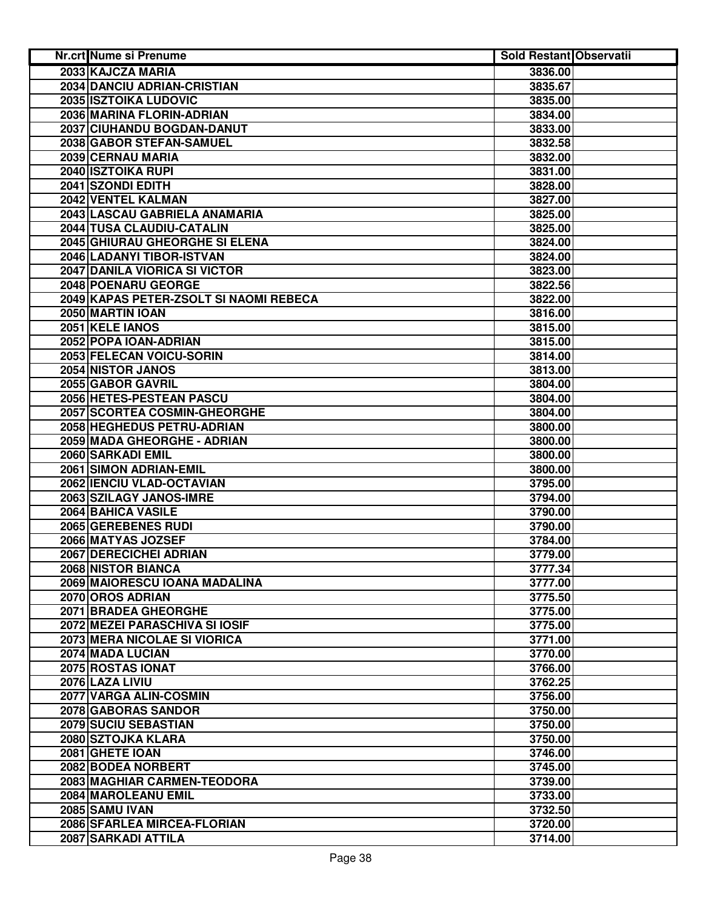| Nr.crt Nume si Prenume                 | <b>Sold Restant Observatii</b> |  |
|----------------------------------------|--------------------------------|--|
| 2033 KAJCZA MARIA                      | 3836.00                        |  |
| 2034 DANCIU ADRIAN-CRISTIAN            | 3835.67                        |  |
| 2035 ISZTOIKA LUDOVIC                  | 3835.00                        |  |
| 2036 MARINA FLORIN-ADRIAN              | 3834.00                        |  |
| 2037 CIUHANDU BOGDAN-DANUT             | 3833.00                        |  |
| 2038 GABOR STEFAN-SAMUEL               | 3832.58                        |  |
| 2039 CERNAU MARIA                      | 3832.00                        |  |
| 2040 ISZTOIKA RUPI                     | 3831.00                        |  |
| 2041 SZONDI EDITH                      | 3828.00                        |  |
| 2042 VENTEL KALMAN                     | 3827.00                        |  |
| 2043 LASCAU GABRIELA ANAMARIA          | 3825.00                        |  |
| 2044 TUSA CLAUDIU-CATALIN              | 3825.00                        |  |
| 2045 GHIURAU GHEORGHE SI ELENA         | 3824.00                        |  |
| 2046 LADANYI TIBOR-ISTVAN              | 3824.00                        |  |
| 2047 DANILA VIORICA SI VICTOR          | 3823.00                        |  |
| 2048 POENARU GEORGE                    | 3822.56                        |  |
| 2049 KAPAS PETER-ZSOLT SI NAOMI REBECA | 3822.00                        |  |
| 2050 MARTIN IOAN                       | 3816.00                        |  |
| 2051 KELE IANOS                        | 3815.00                        |  |
| 2052 POPA IOAN-ADRIAN                  | 3815.00                        |  |
| 2053 FELECAN VOICU-SORIN               | 3814.00                        |  |
| <b>2054 NISTOR JANOS</b>               | 3813.00                        |  |
| 2055 GABOR GAVRIL                      | 3804.00                        |  |
| 2056 HETES-PESTEAN PASCU               | 3804.00                        |  |
| 2057 SCORTEA COSMIN-GHEORGHE           | 3804.00                        |  |
| 2058 HEGHEDUS PETRU-ADRIAN             | 3800.00                        |  |
| 2059 MADA GHEORGHE - ADRIAN            | 3800.00                        |  |
| 2060 SARKADI EMIL                      | 3800.00                        |  |
| 2061 SIMON ADRIAN-EMIL                 | 3800.00                        |  |
| 2062 IENCIU VLAD-OCTAVIAN              | 3795.00                        |  |
| 2063 SZILAGY JANOS-IMRE                | 3794.00                        |  |
| 2064 BAHICA VASILE                     | 3790.00                        |  |
| 2065 GEREBENES RUDI                    | 3790.00                        |  |
| 2066 MATYAS JOZSEF                     | 3784.00                        |  |
| 2067 DERECICHEI ADRIAN                 | 3779.00                        |  |
| 2068 NISTOR BIANCA                     | 3777.34                        |  |
| 2069 MAIORESCU IOANA MADALINA          | 3777.00                        |  |
| 2070 OROS ADRIAN                       | 3775.50                        |  |
| 2071 BRADEA GHEORGHE                   | 3775.00                        |  |
| 2072 MEZEI PARASCHIVA SI IOSIF         | 3775.00                        |  |
| 2073 MERA NICOLAE SI VIORICA           | 3771.00                        |  |
| 2074 MADA LUCIAN                       | 3770.00                        |  |
| 2075 ROSTAS IONAT                      | 3766.00                        |  |
| 2076 LAZA LIVIU                        | 3762.25                        |  |
| 2077 VARGA ALIN-COSMIN                 | 3756.00                        |  |
| 2078 GABORAS SANDOR                    | 3750.00                        |  |
| 2079 SUCIU SEBASTIAN                   | 3750.00                        |  |
| 2080 SZTOJKA KLARA                     | 3750.00                        |  |
| 2081 GHETE IOAN                        | 3746.00                        |  |
| 2082 BODEA NORBERT                     | 3745.00                        |  |
| 2083 MAGHIAR CARMEN-TEODORA            | 3739.00                        |  |
| 2084 MAROLEANU EMIL                    | 3733.00                        |  |
| 2085 SAMU IVAN                         | 3732.50                        |  |
| 2086 SFARLEA MIRCEA-FLORIAN            | 3720.00                        |  |
| 2087 SARKADI ATTILA                    | 3714.00                        |  |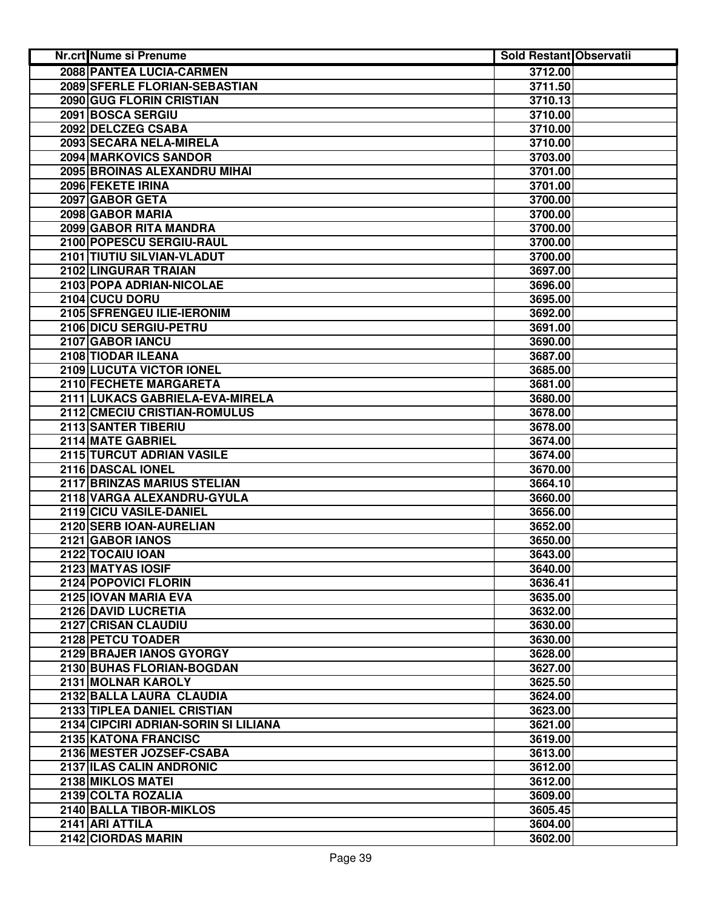| 2088 PANTEA LUCIA-CARMEN<br>3712.00<br>2089 SFERLE FLORIAN-SEBASTIAN<br>3711.50<br>2090 GUG FLORIN CRISTIAN<br>3710.13<br>2091 BOSCA SERGIU<br>3710.00<br>2092 DELCZEG CSABA<br>3710.00<br>2093 SECARA NELA-MIRELA<br>3710.00<br>2094 MARKOVICS SANDOR<br>3703.00<br>2095 BROINAS ALEXANDRU MIHAI<br>3701.00<br>2096 FEKETE IRINA<br>3701.00<br>3700.00<br>2097 GABOR GETA<br>2098 GABOR MARIA<br>3700.00<br>2099 GABOR RITA MANDRA<br>3700.00<br>2100 POPESCU SERGIU-RAUL<br>3700.00<br>2101 TIUTIU SILVIAN-VLADUT<br>3700.00<br>2102 LINGURAR TRAIAN<br>3697.00<br>2103 POPA ADRIAN-NICOLAE<br>3696.00<br>2104 CUCU DORU<br>3695.00<br>2105 SFRENGEU ILIE-IERONIM<br>3692.00<br>2106 DICU SERGIU-PETRU<br>3691.00<br>2107 GABOR IANCU<br>3690.00<br>2108 TIODAR ILEANA<br>3687.00<br>2109 LUCUTA VICTOR IONEL<br>3685.00<br>2110 FECHETE MARGARETA<br>3681.00<br>2111 LUKACS GABRIELA-EVA-MIRELA<br>3680.00<br>2112 CMECIU CRISTIAN-ROMULUS<br>3678.00<br>2113 SANTER TIBERIU<br>3678.00<br>2114 MATE GABRIEL<br>3674.00<br>2115 TURCUT ADRIAN VASILE<br>3674.00<br>2116 DASCAL IONEL<br>3670.00<br>2117 BRINZAS MARIUS STELIAN<br>3664.10<br>2118 VARGA ALEXANDRU-GYULA<br>3660.00<br>2119 CICU VASILE-DANIEL<br>3656.00<br>2120 SERB IOAN-AURELIAN<br>3652.00<br>2121 GABOR IANOS<br>3650.00<br>2122 TOCAIU IOAN<br>3643.00<br>2123 MATYAS IOSIF<br>3640.00<br>2124 POPOVICI FLORIN<br>3636.41<br>2125 IOVAN MARIA EVA<br>3635.00<br>2126 DAVID LUCRETIA<br>3632.00<br><b>2127 CRISAN CLAUDIU</b><br>3630.00<br>2128 PETCU TOADER<br>3630.00<br>2129 BRAJER IANOS GYORGY<br>3628.00<br>2130 BUHAS FLORIAN-BOGDAN<br>3627.00<br>2131 MOLNAR KAROLY<br>3625.50<br>2132 BALLA LAURA CLAUDIA<br>3624.00<br>2133 TIPLEA DANIEL CRISTIAN<br>3623.00<br>2134 CIPCIRI ADRIAN-SORIN SI LILIANA<br>3621.00<br>2135 KATONA FRANCISC<br>3619.00<br>2136 MESTER JOZSEF-CSABA<br>3613.00<br>2137 ILAS CALIN ANDRONIC<br>3612.00<br>2138 MIKLOS MATEI<br>3612.00<br>2139 COLTA ROZALIA<br>3609.00<br>2140 BALLA TIBOR-MIKLOS<br>3605.45<br>2141 ARI ATTILA<br>3604.00<br>2142 CIORDAS MARIN | Nr.crt Nume si Prenume | <b>Sold Restant Observatii</b> |  |
|----------------------------------------------------------------------------------------------------------------------------------------------------------------------------------------------------------------------------------------------------------------------------------------------------------------------------------------------------------------------------------------------------------------------------------------------------------------------------------------------------------------------------------------------------------------------------------------------------------------------------------------------------------------------------------------------------------------------------------------------------------------------------------------------------------------------------------------------------------------------------------------------------------------------------------------------------------------------------------------------------------------------------------------------------------------------------------------------------------------------------------------------------------------------------------------------------------------------------------------------------------------------------------------------------------------------------------------------------------------------------------------------------------------------------------------------------------------------------------------------------------------------------------------------------------------------------------------------------------------------------------------------------------------------------------------------------------------------------------------------------------------------------------------------------------------------------------------------------------------------------------------------------------------------------------------------------------------------------------------------------------------------------------------------------------------------------------|------------------------|--------------------------------|--|
|                                                                                                                                                                                                                                                                                                                                                                                                                                                                                                                                                                                                                                                                                                                                                                                                                                                                                                                                                                                                                                                                                                                                                                                                                                                                                                                                                                                                                                                                                                                                                                                                                                                                                                                                                                                                                                                                                                                                                                                                                                                                                  |                        |                                |  |
|                                                                                                                                                                                                                                                                                                                                                                                                                                                                                                                                                                                                                                                                                                                                                                                                                                                                                                                                                                                                                                                                                                                                                                                                                                                                                                                                                                                                                                                                                                                                                                                                                                                                                                                                                                                                                                                                                                                                                                                                                                                                                  |                        |                                |  |
|                                                                                                                                                                                                                                                                                                                                                                                                                                                                                                                                                                                                                                                                                                                                                                                                                                                                                                                                                                                                                                                                                                                                                                                                                                                                                                                                                                                                                                                                                                                                                                                                                                                                                                                                                                                                                                                                                                                                                                                                                                                                                  |                        |                                |  |
|                                                                                                                                                                                                                                                                                                                                                                                                                                                                                                                                                                                                                                                                                                                                                                                                                                                                                                                                                                                                                                                                                                                                                                                                                                                                                                                                                                                                                                                                                                                                                                                                                                                                                                                                                                                                                                                                                                                                                                                                                                                                                  |                        |                                |  |
|                                                                                                                                                                                                                                                                                                                                                                                                                                                                                                                                                                                                                                                                                                                                                                                                                                                                                                                                                                                                                                                                                                                                                                                                                                                                                                                                                                                                                                                                                                                                                                                                                                                                                                                                                                                                                                                                                                                                                                                                                                                                                  |                        |                                |  |
|                                                                                                                                                                                                                                                                                                                                                                                                                                                                                                                                                                                                                                                                                                                                                                                                                                                                                                                                                                                                                                                                                                                                                                                                                                                                                                                                                                                                                                                                                                                                                                                                                                                                                                                                                                                                                                                                                                                                                                                                                                                                                  |                        |                                |  |
|                                                                                                                                                                                                                                                                                                                                                                                                                                                                                                                                                                                                                                                                                                                                                                                                                                                                                                                                                                                                                                                                                                                                                                                                                                                                                                                                                                                                                                                                                                                                                                                                                                                                                                                                                                                                                                                                                                                                                                                                                                                                                  |                        |                                |  |
|                                                                                                                                                                                                                                                                                                                                                                                                                                                                                                                                                                                                                                                                                                                                                                                                                                                                                                                                                                                                                                                                                                                                                                                                                                                                                                                                                                                                                                                                                                                                                                                                                                                                                                                                                                                                                                                                                                                                                                                                                                                                                  |                        |                                |  |
|                                                                                                                                                                                                                                                                                                                                                                                                                                                                                                                                                                                                                                                                                                                                                                                                                                                                                                                                                                                                                                                                                                                                                                                                                                                                                                                                                                                                                                                                                                                                                                                                                                                                                                                                                                                                                                                                                                                                                                                                                                                                                  |                        |                                |  |
|                                                                                                                                                                                                                                                                                                                                                                                                                                                                                                                                                                                                                                                                                                                                                                                                                                                                                                                                                                                                                                                                                                                                                                                                                                                                                                                                                                                                                                                                                                                                                                                                                                                                                                                                                                                                                                                                                                                                                                                                                                                                                  |                        |                                |  |
|                                                                                                                                                                                                                                                                                                                                                                                                                                                                                                                                                                                                                                                                                                                                                                                                                                                                                                                                                                                                                                                                                                                                                                                                                                                                                                                                                                                                                                                                                                                                                                                                                                                                                                                                                                                                                                                                                                                                                                                                                                                                                  |                        |                                |  |
|                                                                                                                                                                                                                                                                                                                                                                                                                                                                                                                                                                                                                                                                                                                                                                                                                                                                                                                                                                                                                                                                                                                                                                                                                                                                                                                                                                                                                                                                                                                                                                                                                                                                                                                                                                                                                                                                                                                                                                                                                                                                                  |                        |                                |  |
|                                                                                                                                                                                                                                                                                                                                                                                                                                                                                                                                                                                                                                                                                                                                                                                                                                                                                                                                                                                                                                                                                                                                                                                                                                                                                                                                                                                                                                                                                                                                                                                                                                                                                                                                                                                                                                                                                                                                                                                                                                                                                  |                        |                                |  |
|                                                                                                                                                                                                                                                                                                                                                                                                                                                                                                                                                                                                                                                                                                                                                                                                                                                                                                                                                                                                                                                                                                                                                                                                                                                                                                                                                                                                                                                                                                                                                                                                                                                                                                                                                                                                                                                                                                                                                                                                                                                                                  |                        |                                |  |
|                                                                                                                                                                                                                                                                                                                                                                                                                                                                                                                                                                                                                                                                                                                                                                                                                                                                                                                                                                                                                                                                                                                                                                                                                                                                                                                                                                                                                                                                                                                                                                                                                                                                                                                                                                                                                                                                                                                                                                                                                                                                                  |                        |                                |  |
|                                                                                                                                                                                                                                                                                                                                                                                                                                                                                                                                                                                                                                                                                                                                                                                                                                                                                                                                                                                                                                                                                                                                                                                                                                                                                                                                                                                                                                                                                                                                                                                                                                                                                                                                                                                                                                                                                                                                                                                                                                                                                  |                        |                                |  |
|                                                                                                                                                                                                                                                                                                                                                                                                                                                                                                                                                                                                                                                                                                                                                                                                                                                                                                                                                                                                                                                                                                                                                                                                                                                                                                                                                                                                                                                                                                                                                                                                                                                                                                                                                                                                                                                                                                                                                                                                                                                                                  |                        |                                |  |
|                                                                                                                                                                                                                                                                                                                                                                                                                                                                                                                                                                                                                                                                                                                                                                                                                                                                                                                                                                                                                                                                                                                                                                                                                                                                                                                                                                                                                                                                                                                                                                                                                                                                                                                                                                                                                                                                                                                                                                                                                                                                                  |                        |                                |  |
|                                                                                                                                                                                                                                                                                                                                                                                                                                                                                                                                                                                                                                                                                                                                                                                                                                                                                                                                                                                                                                                                                                                                                                                                                                                                                                                                                                                                                                                                                                                                                                                                                                                                                                                                                                                                                                                                                                                                                                                                                                                                                  |                        |                                |  |
|                                                                                                                                                                                                                                                                                                                                                                                                                                                                                                                                                                                                                                                                                                                                                                                                                                                                                                                                                                                                                                                                                                                                                                                                                                                                                                                                                                                                                                                                                                                                                                                                                                                                                                                                                                                                                                                                                                                                                                                                                                                                                  |                        |                                |  |
|                                                                                                                                                                                                                                                                                                                                                                                                                                                                                                                                                                                                                                                                                                                                                                                                                                                                                                                                                                                                                                                                                                                                                                                                                                                                                                                                                                                                                                                                                                                                                                                                                                                                                                                                                                                                                                                                                                                                                                                                                                                                                  |                        |                                |  |
|                                                                                                                                                                                                                                                                                                                                                                                                                                                                                                                                                                                                                                                                                                                                                                                                                                                                                                                                                                                                                                                                                                                                                                                                                                                                                                                                                                                                                                                                                                                                                                                                                                                                                                                                                                                                                                                                                                                                                                                                                                                                                  |                        |                                |  |
|                                                                                                                                                                                                                                                                                                                                                                                                                                                                                                                                                                                                                                                                                                                                                                                                                                                                                                                                                                                                                                                                                                                                                                                                                                                                                                                                                                                                                                                                                                                                                                                                                                                                                                                                                                                                                                                                                                                                                                                                                                                                                  |                        |                                |  |
|                                                                                                                                                                                                                                                                                                                                                                                                                                                                                                                                                                                                                                                                                                                                                                                                                                                                                                                                                                                                                                                                                                                                                                                                                                                                                                                                                                                                                                                                                                                                                                                                                                                                                                                                                                                                                                                                                                                                                                                                                                                                                  |                        |                                |  |
|                                                                                                                                                                                                                                                                                                                                                                                                                                                                                                                                                                                                                                                                                                                                                                                                                                                                                                                                                                                                                                                                                                                                                                                                                                                                                                                                                                                                                                                                                                                                                                                                                                                                                                                                                                                                                                                                                                                                                                                                                                                                                  |                        |                                |  |
|                                                                                                                                                                                                                                                                                                                                                                                                                                                                                                                                                                                                                                                                                                                                                                                                                                                                                                                                                                                                                                                                                                                                                                                                                                                                                                                                                                                                                                                                                                                                                                                                                                                                                                                                                                                                                                                                                                                                                                                                                                                                                  |                        |                                |  |
|                                                                                                                                                                                                                                                                                                                                                                                                                                                                                                                                                                                                                                                                                                                                                                                                                                                                                                                                                                                                                                                                                                                                                                                                                                                                                                                                                                                                                                                                                                                                                                                                                                                                                                                                                                                                                                                                                                                                                                                                                                                                                  |                        |                                |  |
|                                                                                                                                                                                                                                                                                                                                                                                                                                                                                                                                                                                                                                                                                                                                                                                                                                                                                                                                                                                                                                                                                                                                                                                                                                                                                                                                                                                                                                                                                                                                                                                                                                                                                                                                                                                                                                                                                                                                                                                                                                                                                  |                        |                                |  |
|                                                                                                                                                                                                                                                                                                                                                                                                                                                                                                                                                                                                                                                                                                                                                                                                                                                                                                                                                                                                                                                                                                                                                                                                                                                                                                                                                                                                                                                                                                                                                                                                                                                                                                                                                                                                                                                                                                                                                                                                                                                                                  |                        |                                |  |
|                                                                                                                                                                                                                                                                                                                                                                                                                                                                                                                                                                                                                                                                                                                                                                                                                                                                                                                                                                                                                                                                                                                                                                                                                                                                                                                                                                                                                                                                                                                                                                                                                                                                                                                                                                                                                                                                                                                                                                                                                                                                                  |                        |                                |  |
|                                                                                                                                                                                                                                                                                                                                                                                                                                                                                                                                                                                                                                                                                                                                                                                                                                                                                                                                                                                                                                                                                                                                                                                                                                                                                                                                                                                                                                                                                                                                                                                                                                                                                                                                                                                                                                                                                                                                                                                                                                                                                  |                        |                                |  |
|                                                                                                                                                                                                                                                                                                                                                                                                                                                                                                                                                                                                                                                                                                                                                                                                                                                                                                                                                                                                                                                                                                                                                                                                                                                                                                                                                                                                                                                                                                                                                                                                                                                                                                                                                                                                                                                                                                                                                                                                                                                                                  |                        |                                |  |
|                                                                                                                                                                                                                                                                                                                                                                                                                                                                                                                                                                                                                                                                                                                                                                                                                                                                                                                                                                                                                                                                                                                                                                                                                                                                                                                                                                                                                                                                                                                                                                                                                                                                                                                                                                                                                                                                                                                                                                                                                                                                                  |                        |                                |  |
|                                                                                                                                                                                                                                                                                                                                                                                                                                                                                                                                                                                                                                                                                                                                                                                                                                                                                                                                                                                                                                                                                                                                                                                                                                                                                                                                                                                                                                                                                                                                                                                                                                                                                                                                                                                                                                                                                                                                                                                                                                                                                  |                        |                                |  |
|                                                                                                                                                                                                                                                                                                                                                                                                                                                                                                                                                                                                                                                                                                                                                                                                                                                                                                                                                                                                                                                                                                                                                                                                                                                                                                                                                                                                                                                                                                                                                                                                                                                                                                                                                                                                                                                                                                                                                                                                                                                                                  |                        |                                |  |
|                                                                                                                                                                                                                                                                                                                                                                                                                                                                                                                                                                                                                                                                                                                                                                                                                                                                                                                                                                                                                                                                                                                                                                                                                                                                                                                                                                                                                                                                                                                                                                                                                                                                                                                                                                                                                                                                                                                                                                                                                                                                                  |                        |                                |  |
|                                                                                                                                                                                                                                                                                                                                                                                                                                                                                                                                                                                                                                                                                                                                                                                                                                                                                                                                                                                                                                                                                                                                                                                                                                                                                                                                                                                                                                                                                                                                                                                                                                                                                                                                                                                                                                                                                                                                                                                                                                                                                  |                        |                                |  |
|                                                                                                                                                                                                                                                                                                                                                                                                                                                                                                                                                                                                                                                                                                                                                                                                                                                                                                                                                                                                                                                                                                                                                                                                                                                                                                                                                                                                                                                                                                                                                                                                                                                                                                                                                                                                                                                                                                                                                                                                                                                                                  |                        |                                |  |
|                                                                                                                                                                                                                                                                                                                                                                                                                                                                                                                                                                                                                                                                                                                                                                                                                                                                                                                                                                                                                                                                                                                                                                                                                                                                                                                                                                                                                                                                                                                                                                                                                                                                                                                                                                                                                                                                                                                                                                                                                                                                                  |                        |                                |  |
|                                                                                                                                                                                                                                                                                                                                                                                                                                                                                                                                                                                                                                                                                                                                                                                                                                                                                                                                                                                                                                                                                                                                                                                                                                                                                                                                                                                                                                                                                                                                                                                                                                                                                                                                                                                                                                                                                                                                                                                                                                                                                  |                        |                                |  |
|                                                                                                                                                                                                                                                                                                                                                                                                                                                                                                                                                                                                                                                                                                                                                                                                                                                                                                                                                                                                                                                                                                                                                                                                                                                                                                                                                                                                                                                                                                                                                                                                                                                                                                                                                                                                                                                                                                                                                                                                                                                                                  |                        |                                |  |
|                                                                                                                                                                                                                                                                                                                                                                                                                                                                                                                                                                                                                                                                                                                                                                                                                                                                                                                                                                                                                                                                                                                                                                                                                                                                                                                                                                                                                                                                                                                                                                                                                                                                                                                                                                                                                                                                                                                                                                                                                                                                                  |                        |                                |  |
|                                                                                                                                                                                                                                                                                                                                                                                                                                                                                                                                                                                                                                                                                                                                                                                                                                                                                                                                                                                                                                                                                                                                                                                                                                                                                                                                                                                                                                                                                                                                                                                                                                                                                                                                                                                                                                                                                                                                                                                                                                                                                  |                        |                                |  |
|                                                                                                                                                                                                                                                                                                                                                                                                                                                                                                                                                                                                                                                                                                                                                                                                                                                                                                                                                                                                                                                                                                                                                                                                                                                                                                                                                                                                                                                                                                                                                                                                                                                                                                                                                                                                                                                                                                                                                                                                                                                                                  |                        |                                |  |
|                                                                                                                                                                                                                                                                                                                                                                                                                                                                                                                                                                                                                                                                                                                                                                                                                                                                                                                                                                                                                                                                                                                                                                                                                                                                                                                                                                                                                                                                                                                                                                                                                                                                                                                                                                                                                                                                                                                                                                                                                                                                                  |                        |                                |  |
|                                                                                                                                                                                                                                                                                                                                                                                                                                                                                                                                                                                                                                                                                                                                                                                                                                                                                                                                                                                                                                                                                                                                                                                                                                                                                                                                                                                                                                                                                                                                                                                                                                                                                                                                                                                                                                                                                                                                                                                                                                                                                  |                        |                                |  |
|                                                                                                                                                                                                                                                                                                                                                                                                                                                                                                                                                                                                                                                                                                                                                                                                                                                                                                                                                                                                                                                                                                                                                                                                                                                                                                                                                                                                                                                                                                                                                                                                                                                                                                                                                                                                                                                                                                                                                                                                                                                                                  |                        |                                |  |
|                                                                                                                                                                                                                                                                                                                                                                                                                                                                                                                                                                                                                                                                                                                                                                                                                                                                                                                                                                                                                                                                                                                                                                                                                                                                                                                                                                                                                                                                                                                                                                                                                                                                                                                                                                                                                                                                                                                                                                                                                                                                                  |                        |                                |  |
|                                                                                                                                                                                                                                                                                                                                                                                                                                                                                                                                                                                                                                                                                                                                                                                                                                                                                                                                                                                                                                                                                                                                                                                                                                                                                                                                                                                                                                                                                                                                                                                                                                                                                                                                                                                                                                                                                                                                                                                                                                                                                  |                        |                                |  |
|                                                                                                                                                                                                                                                                                                                                                                                                                                                                                                                                                                                                                                                                                                                                                                                                                                                                                                                                                                                                                                                                                                                                                                                                                                                                                                                                                                                                                                                                                                                                                                                                                                                                                                                                                                                                                                                                                                                                                                                                                                                                                  |                        |                                |  |
|                                                                                                                                                                                                                                                                                                                                                                                                                                                                                                                                                                                                                                                                                                                                                                                                                                                                                                                                                                                                                                                                                                                                                                                                                                                                                                                                                                                                                                                                                                                                                                                                                                                                                                                                                                                                                                                                                                                                                                                                                                                                                  |                        |                                |  |
|                                                                                                                                                                                                                                                                                                                                                                                                                                                                                                                                                                                                                                                                                                                                                                                                                                                                                                                                                                                                                                                                                                                                                                                                                                                                                                                                                                                                                                                                                                                                                                                                                                                                                                                                                                                                                                                                                                                                                                                                                                                                                  |                        |                                |  |
|                                                                                                                                                                                                                                                                                                                                                                                                                                                                                                                                                                                                                                                                                                                                                                                                                                                                                                                                                                                                                                                                                                                                                                                                                                                                                                                                                                                                                                                                                                                                                                                                                                                                                                                                                                                                                                                                                                                                                                                                                                                                                  |                        |                                |  |
|                                                                                                                                                                                                                                                                                                                                                                                                                                                                                                                                                                                                                                                                                                                                                                                                                                                                                                                                                                                                                                                                                                                                                                                                                                                                                                                                                                                                                                                                                                                                                                                                                                                                                                                                                                                                                                                                                                                                                                                                                                                                                  |                        |                                |  |
|                                                                                                                                                                                                                                                                                                                                                                                                                                                                                                                                                                                                                                                                                                                                                                                                                                                                                                                                                                                                                                                                                                                                                                                                                                                                                                                                                                                                                                                                                                                                                                                                                                                                                                                                                                                                                                                                                                                                                                                                                                                                                  |                        | 3602.00                        |  |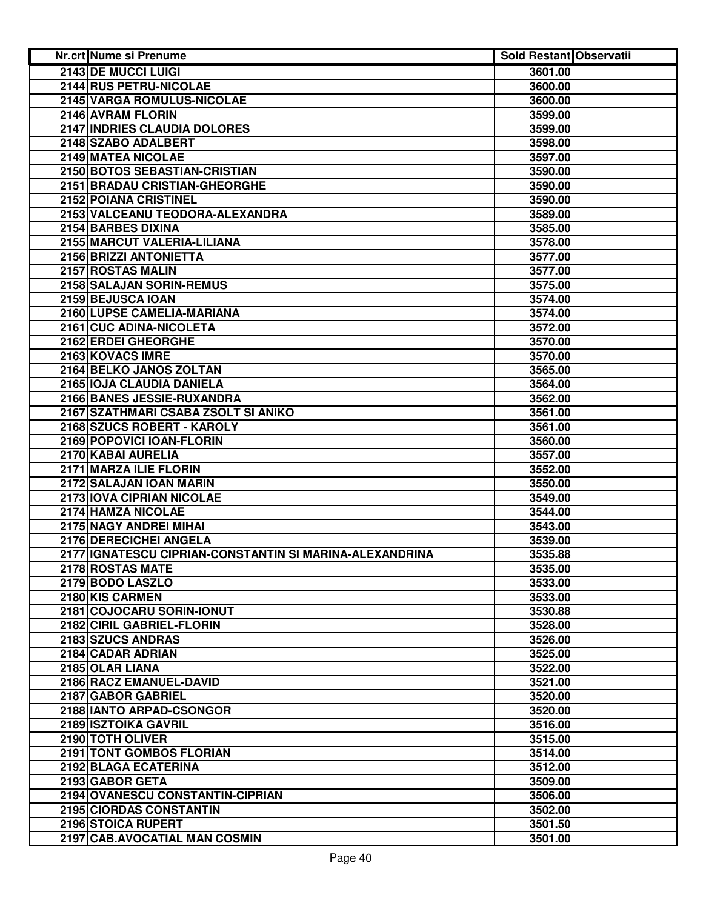| Nr.crt Nume si Prenume                                  | <b>Sold Restant Observatii</b> |  |
|---------------------------------------------------------|--------------------------------|--|
| <b>2143 DE MUCCI LUIGI</b>                              | 3601.00                        |  |
| 2144 RUS PETRU-NICOLAE                                  | 3600.00                        |  |
| 2145 VARGA ROMULUS-NICOLAE                              | 3600.00                        |  |
| 2146 AVRAM FLORIN                                       | 3599.00                        |  |
| 2147 INDRIES CLAUDIA DOLORES                            | 3599.00                        |  |
| 2148 SZABO ADALBERT                                     | 3598.00                        |  |
| 2149 MATEA NICOLAE                                      | 3597.00                        |  |
| 2150 BOTOS SEBASTIAN-CRISTIAN                           | 3590.00                        |  |
| 2151 BRADAU CRISTIAN-GHEORGHE                           | 3590.00                        |  |
| 2152 POIANA CRISTINEL                                   | 3590.00                        |  |
| 2153 VALCEANU TEODORA-ALEXANDRA                         | 3589.00                        |  |
| 2154 BARBES DIXINA                                      | 3585.00                        |  |
| 2155 MARCUT VALERIA-LILIANA                             | 3578.00                        |  |
| 2156 BRIZZI ANTONIETTA                                  | 3577.00                        |  |
| 2157 ROSTAS MALIN                                       | 3577.00                        |  |
| 2158 SALAJAN SORIN-REMUS                                | 3575.00                        |  |
| 2159 BEJUSCA IOAN                                       | 3574.00                        |  |
| 2160 LUPSE CAMELIA-MARIANA                              | 3574.00                        |  |
| 2161 CUC ADINA-NICOLETA                                 | 3572.00                        |  |
| 2162 ERDEI GHEORGHE                                     | 3570.00                        |  |
| 2163 KOVACS IMRE                                        | 3570.00                        |  |
| 2164 BELKO JANOS ZOLTAN                                 | 3565.00                        |  |
| 2165 IOJA CLAUDIA DANIELA                               | 3564.00                        |  |
| 2166 BANES JESSIE-RUXANDRA                              | 3562.00                        |  |
| 2167 SZATHMARI CSABA ZSOLT SI ANIKO                     | 3561.00                        |  |
| 2168 SZUCS ROBERT - KAROLY                              | 3561.00                        |  |
| 2169 POPOVICI IOAN-FLORIN                               | 3560.00                        |  |
| 2170 KABAI AURELIA                                      | 3557.00                        |  |
| 2171 MARZA ILIE FLORIN                                  | 3552.00                        |  |
| 2172 SALAJAN IOAN MARIN                                 | 3550.00                        |  |
| 2173 IOVA CIPRIAN NICOLAE                               | 3549.00                        |  |
| 2174 HAMZA NICOLAE                                      | 3544.00                        |  |
| 2175 NAGY ANDREI MIHAI                                  | 3543.00                        |  |
| 2176 DERECICHEI ANGELA                                  | 3539.00                        |  |
| 2177 IGNATESCU CIPRIAN-CONSTANTIN SI MARINA-ALEXANDRINA | 3535.88                        |  |
| 2178 ROSTAS MATE                                        | 3535.00                        |  |
| 2179 BODO LASZLO                                        | 3533.00                        |  |
| 2180 KIS CARMEN                                         | 3533.00                        |  |
| 2181 COJOCARU SORIN-IONUT                               | 3530.88                        |  |
| 2182 CIRIL GABRIEL-FLORIN                               | 3528.00                        |  |
| 2183 SZUCS ANDRAS                                       | 3526.00                        |  |
| 2184 CADAR ADRIAN                                       | 3525.00                        |  |
| 2185 OLAR LIANA                                         | 3522.00                        |  |
| 2186 RACZ EMANUEL-DAVID                                 | 3521.00                        |  |
| 2187 GABOR GABRIEL                                      | 3520.00                        |  |
| 2188 IANTO ARPAD-CSONGOR                                | 3520.00                        |  |
| 2189 ISZTOIKA GAVRIL                                    | 3516.00                        |  |
| 2190 TOTH OLIVER                                        | 3515.00                        |  |
| 2191 TONT GOMBOS FLORIAN                                | 3514.00                        |  |
| 2192 BLAGA ECATERINA                                    | 3512.00                        |  |
| 2193 GABOR GETA                                         | 3509.00                        |  |
| 2194 OVANESCU CONSTANTIN-CIPRIAN                        | 3506.00                        |  |
| 2195 CIORDAS CONSTANTIN                                 | 3502.00                        |  |
| 2196 STOICA RUPERT                                      | 3501.50                        |  |
| 2197 CAB.AVOCATIAL MAN COSMIN                           | 3501.00                        |  |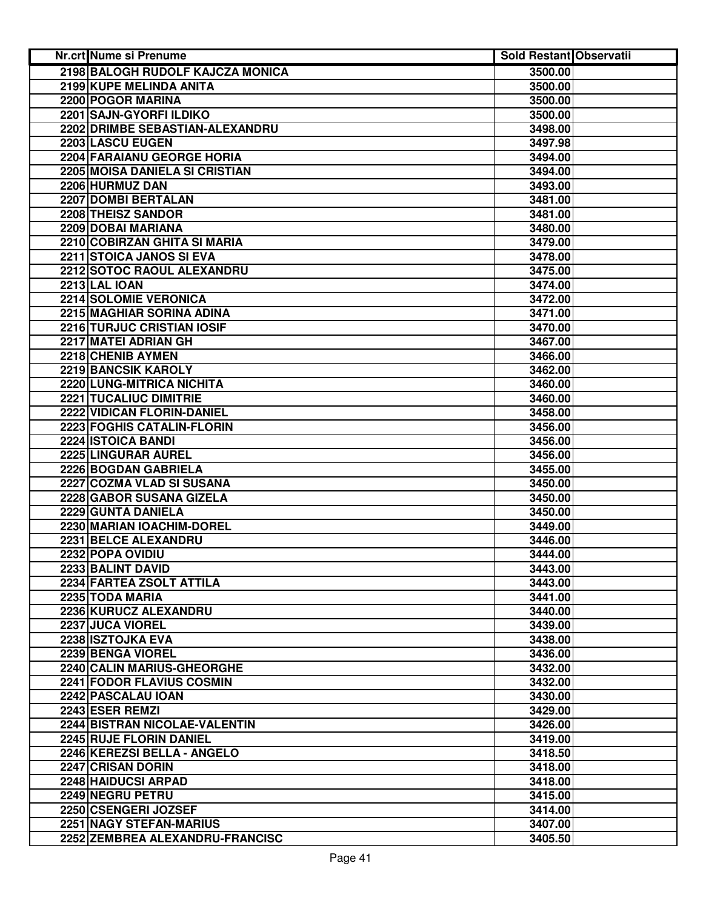| Nr.crt Nume si Prenume            | <b>Sold Restant Observatii</b> |  |
|-----------------------------------|--------------------------------|--|
| 2198 BALOGH RUDOLF KAJCZA MONICA  | 3500.00                        |  |
| 2199 KUPE MELINDA ANITA           | 3500.00                        |  |
| 2200 POGOR MARINA                 | 3500.00                        |  |
| 2201 SAJN-GYORFI ILDIKO           | 3500.00                        |  |
| 2202 DRIMBE SEBASTIAN-ALEXANDRU   | 3498.00                        |  |
| 2203 LASCU EUGEN                  | 3497.98                        |  |
| 2204 FARAIANU GEORGE HORIA        | 3494.00                        |  |
| 2205 MOISA DANIELA SI CRISTIAN    | 3494.00                        |  |
| 2206 HURMUZ DAN                   | 3493.00                        |  |
| 2207 DOMBI BERTALAN               | 3481.00                        |  |
| 2208 THEISZ SANDOR                | 3481.00                        |  |
| 2209 DOBAI MARIANA                | 3480.00                        |  |
| 2210 COBIRZAN GHITA SI MARIA      | 3479.00                        |  |
| 2211 STOICA JANOS SI EVA          | 3478.00                        |  |
| 2212 SOTOC RAOUL ALEXANDRU        | 3475.00                        |  |
| <b>2213 LAL IOAN</b>              | 3474.00                        |  |
| 2214 SOLOMIE VERONICA             | 3472.00                        |  |
| 2215 MAGHIAR SORINA ADINA         | 3471.00                        |  |
| <b>2216 TURJUC CRISTIAN IOSIF</b> | 3470.00                        |  |
| 2217 MATEI ADRIAN GH              | 3467.00                        |  |
| 2218 CHENIB AYMEN                 | 3466.00                        |  |
| <b>2219 BANCSIK KAROLY</b>        | 3462.00                        |  |
| 2220 LUNG-MITRICA NICHITA         | 3460.00                        |  |
| <b>2221 TUCALIUC DIMITRIE</b>     | 3460.00                        |  |
| <b>2222 VIDICAN FLORIN-DANIEL</b> | 3458.00                        |  |
| <b>2223 FOGHIS CATALIN-FLORIN</b> | 3456.00                        |  |
| 2224 ISTOICA BANDI                | 3456.00                        |  |
| 2225 LINGURAR AUREL               | 3456.00                        |  |
| 2226 BOGDAN GABRIELA              | 3455.00                        |  |
| 2227 COZMA VLAD SI SUSANA         | 3450.00                        |  |
| 2228 GABOR SUSANA GIZELA          | 3450.00                        |  |
| 2229 GUNTA DANIELA                | 3450.00                        |  |
| 2230 MARIAN IOACHIM-DOREL         | 3449.00                        |  |
| 2231 BELCE ALEXANDRU              | 3446.00                        |  |
| 2232 POPA OVIDIU                  | 3444.00                        |  |
| 2233 BALINT DAVID                 | 3443.00                        |  |
| 2234 FARTEA ZSOLT ATTILA          | 3443.00                        |  |
| 2235 TODA MARIA                   | 3441.00                        |  |
| 2236 KURUCZ ALEXANDRU             | 3440.00                        |  |
| 2237 JUCA VIOREL                  | 3439.00                        |  |
| 2238 ISZTOJKA EVA                 | 3438.00                        |  |
| 2239 BENGA VIOREL                 | 3436.00                        |  |
| 2240 CALIN MARIUS-GHEORGHE        | 3432.00                        |  |
| 2241 FODOR FLAVIUS COSMIN         | 3432.00                        |  |
| 2242 PASCALAU IOAN                | 3430.00                        |  |
| 2243 ESER REMZI                   | 3429.00                        |  |
| 2244 BISTRAN NICOLAE-VALENTIN     | 3426.00                        |  |
| 2245 RUJE FLORIN DANIEL           | 3419.00                        |  |
| 2246 KEREZSI BELLA - ANGELO       | 3418.50                        |  |
| 2247 CRISAN DORIN                 | 3418.00                        |  |
| 2248 HAIDUCSI ARPAD               | 3418.00                        |  |
| 2249 NEGRU PETRU                  | 3415.00                        |  |
| 2250 CSENGERI JOZSEF              | 3414.00                        |  |
| 2251 NAGY STEFAN-MARIUS           | 3407.00                        |  |
| 2252 ZEMBREA ALEXANDRU-FRANCISC   | 3405.50                        |  |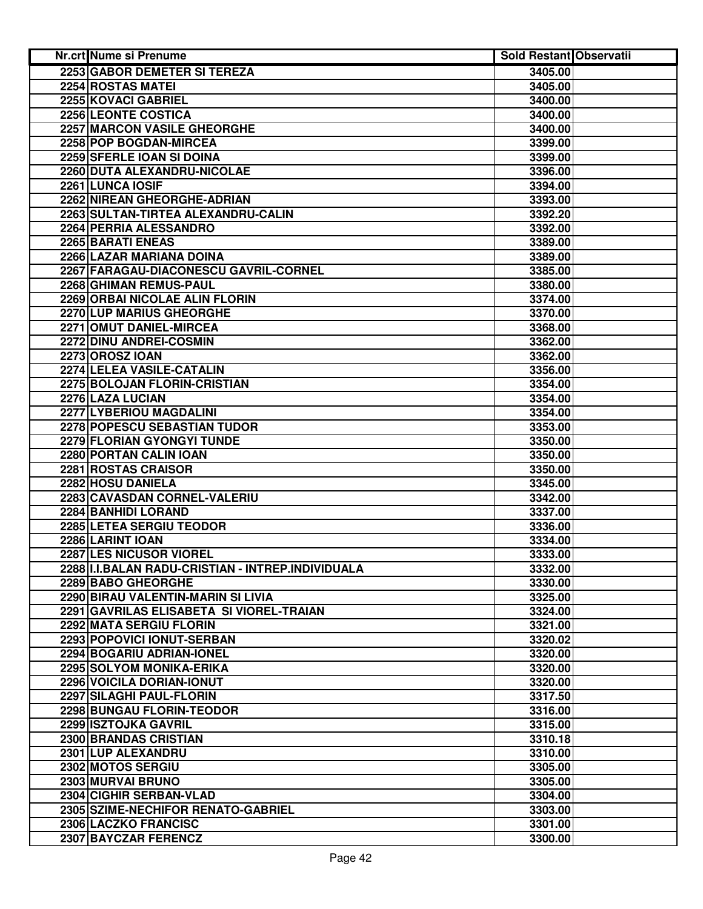| Nr.crt Nume si Prenume                                | <b>Sold Restant Observatii</b> |  |
|-------------------------------------------------------|--------------------------------|--|
| 2253 GABOR DEMETER SI TEREZA                          | 3405.00                        |  |
| 2254 ROSTAS MATEI                                     | 3405.00                        |  |
| 2255 KOVACI GABRIEL                                   | 3400.00                        |  |
| 2256 LEONTE COSTICA                                   | 3400.00                        |  |
| 2257 MARCON VASILE GHEORGHE                           | 3400.00                        |  |
| 2258 POP BOGDAN-MIRCEA                                | 3399.00                        |  |
| 2259 SFERLE IOAN SI DOINA                             | 3399.00                        |  |
| 2260 DUTA ALEXANDRU-NICOLAE                           | 3396.00                        |  |
| 2261 LUNCA IOSIF                                      | 3394.00                        |  |
| 2262 NIREAN GHEORGHE-ADRIAN                           | 3393.00                        |  |
| 2263 SULTAN-TIRTEA ALEXANDRU-CALIN                    | 3392.20                        |  |
| 2264 PERRIA ALESSANDRO                                | 3392.00                        |  |
| 2265 BARATI ENEAS                                     | 3389.00                        |  |
| 2266 LAZAR MARIANA DOINA                              | 3389.00                        |  |
| 2267 FARAGAU-DIACONESCU GAVRIL-CORNEL                 | 3385.00                        |  |
| 2268 GHIMAN REMUS-PAUL                                | 3380.00                        |  |
| 2269 ORBAI NICOLAE ALIN FLORIN                        | 3374.00                        |  |
| 2270 LUP MARIUS GHEORGHE                              | 3370.00                        |  |
| 2271 OMUT DANIEL-MIRCEA                               | 3368.00                        |  |
| 2272 DINU ANDREI-COSMIN                               | 3362.00                        |  |
| <b>2273 OROSZ IOAN</b>                                | 3362.00                        |  |
| 2274 LELEA VASILE-CATALIN                             | 3356.00                        |  |
| 2275 BOLOJAN FLORIN-CRISTIAN                          | 3354.00                        |  |
| 2276 LAZA LUCIAN                                      | 3354.00                        |  |
| 2277 LYBERIOU MAGDALINI                               | 3354.00                        |  |
| 2278 POPESCU SEBASTIAN TUDOR                          | 3353.00                        |  |
| 2279 FLORIAN GYONGYI TUNDE                            | 3350.00                        |  |
| 2280 PORTAN CALIN IOAN                                | 3350.00                        |  |
| 2281 ROSTAS CRAISOR                                   | 3350.00                        |  |
| 2282 HOSU DANIELA                                     | 3345.00                        |  |
| 2283 CAVASDAN CORNEL-VALERIU                          | 3342.00                        |  |
| 2284 BANHIDI LORAND                                   | 3337.00                        |  |
| 2285 LETEA SERGIU TEODOR                              | 3336.00                        |  |
| 2286 LARINT IOAN                                      | 3334.00                        |  |
| 2287 LES NICUSOR VIOREL                               | 3333.00                        |  |
| 2288 I.I.BALAN RADU-CRISTIAN - INTREP.INDIVIDUALA     |                                |  |
| 2289 BABO GHEORGHE                                    | 3332.00<br>3330.00             |  |
| 2290 BIRAU VALENTIN-MARIN SI LIVIA                    | 3325.00                        |  |
| 2291 GAVRILAS ELISABETA SI VIOREL-TRAIAN              | 3324.00                        |  |
|                                                       |                                |  |
| 2292 MATA SERGIU FLORIN<br>2293 POPOVICI IONUT-SERBAN | 3321.00<br>3320.02             |  |
|                                                       |                                |  |
| 2294 BOGARIU ADRIAN-IONEL                             | 3320.00                        |  |
| 2295 SOLYOM MONIKA-ERIKA                              | 3320.00                        |  |
| 2296 VOICILA DORIAN-IONUT                             | 3320.00                        |  |
| 2297 SILAGHI PAUL-FLORIN                              | 3317.50                        |  |
| 2298 BUNGAU FLORIN-TEODOR                             | 3316.00                        |  |
| 2299 ISZTOJKA GAVRIL                                  | 3315.00                        |  |
| 2300 BRANDAS CRISTIAN                                 | 3310.18                        |  |
| 2301 LUP ALEXANDRU<br>2302 MOTOS SERGIU               | 3310.00                        |  |
| 2303 MURVAI BRUNO                                     | 3305.00                        |  |
| 2304 CIGHIR SERBAN-VLAD                               | 3305.00                        |  |
| 2305 SZIME-NECHIFOR RENATO-GABRIEL                    | 3304.00                        |  |
|                                                       | 3303.00                        |  |
| 2306 LACZKO FRANCISC                                  | 3301.00                        |  |
| 2307 BAYCZAR FERENCZ                                  | 3300.00                        |  |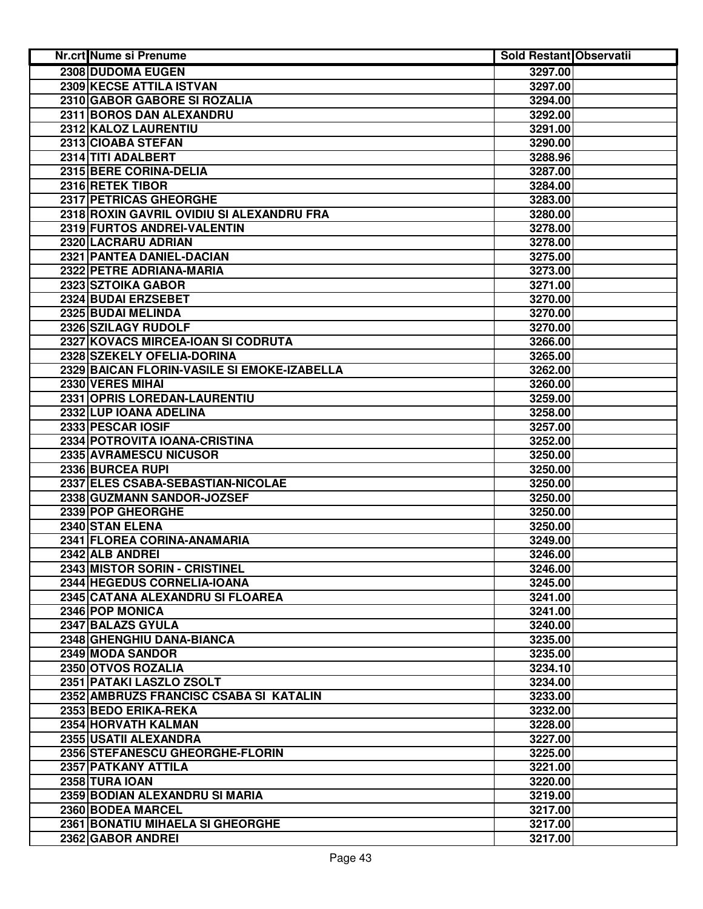| Nr.crt Nume si Prenume                      | Sold Restant Observatii |  |
|---------------------------------------------|-------------------------|--|
| 2308 DUDOMA EUGEN                           | 3297.00                 |  |
| 2309 KECSE ATTILA ISTVAN                    | 3297.00                 |  |
| 2310 GABOR GABORE SI ROZALIA                | 3294.00                 |  |
| 2311 BOROS DAN ALEXANDRU                    | 3292.00                 |  |
| 2312 KALOZ LAURENTIU                        | 3291.00                 |  |
| 2313 CIOABA STEFAN                          | 3290.00                 |  |
| 2314 TITI ADALBERT                          | 3288.96                 |  |
| 2315 BERE CORINA-DELIA                      | 3287.00                 |  |
| 2316 RETEK TIBOR                            | 3284.00                 |  |
| 2317 PETRICAS GHEORGHE                      | 3283.00                 |  |
| 2318 ROXIN GAVRIL OVIDIU SI ALEXANDRU FRA   | 3280.00                 |  |
| 2319 FURTOS ANDREI-VALENTIN                 | 3278.00                 |  |
| 2320 LACRARU ADRIAN                         | 3278.00                 |  |
| 2321 PANTEA DANIEL-DACIAN                   | 3275.00                 |  |
| 2322 PETRE ADRIANA-MARIA                    | 3273.00                 |  |
| 2323 SZTOIKA GABOR                          | 3271.00                 |  |
| 2324 BUDAI ERZSEBET                         | 3270.00                 |  |
| 2325 BUDAI MELINDA                          | 3270.00                 |  |
| 2326 SZILAGY RUDOLF                         | 3270.00                 |  |
| 2327 KOVACS MIRCEA-IOAN SI CODRUTA          | 3266.00                 |  |
| 2328 SZEKELY OFELIA-DORINA                  | 3265.00                 |  |
| 2329 BAICAN FLORIN-VASILE SI EMOKE-IZABELLA | 3262.00                 |  |
| 2330 VERES MIHAI                            | 3260.00                 |  |
| 2331 OPRIS LOREDAN-LAURENTIU                | 3259.00                 |  |
| 2332 LUP IOANA ADELINA                      | 3258.00                 |  |
| 2333 PESCAR IOSIF                           | 3257.00                 |  |
| 2334 POTROVITA IOANA-CRISTINA               | 3252.00                 |  |
| 2335 AVRAMESCU NICUSOR                      | 3250.00                 |  |
| 2336 BURCEA RUPI                            | 3250.00                 |  |
| 2337 ELES CSABA-SEBASTIAN-NICOLAE           | 3250.00                 |  |
| 2338 GUZMANN SANDOR-JOZSEF                  | 3250.00                 |  |
| 2339 POP GHEORGHE                           | 3250.00                 |  |
| 2340 STAN ELENA                             | 3250.00                 |  |
| 2341 FLOREA CORINA-ANAMARIA                 | 3249.00                 |  |
| 2342 ALB ANDREI                             | 3246.00                 |  |
| 2343 MISTOR SORIN - CRISTINEL               | 3246.00                 |  |
| 2344 HEGEDUS CORNELIA-IOANA                 | 3245.00                 |  |
| 2345 CATANA ALEXANDRU SI FLOAREA            | 3241.00                 |  |
| 2346 POP MONICA                             | 3241.00                 |  |
| 2347 BALAZS GYULA                           | 3240.00                 |  |
| 2348 GHENGHIU DANA-BIANCA                   | 3235.00                 |  |
| 2349 MODA SANDOR                            | 3235.00                 |  |
| 2350 OTVOS ROZALIA                          | 3234.10                 |  |
| 2351 PATAKI LASZLO ZSOLT                    | 3234.00                 |  |
| 2352 AMBRUZS FRANCISC CSABA SI KATALIN      | 3233.00                 |  |
| 2353 BEDO ERIKA-REKA                        | 3232.00                 |  |
| 2354 HORVATH KALMAN                         | 3228.00                 |  |
| 2355 USATII ALEXANDRA                       | 3227.00                 |  |
| 2356 STEFANESCU GHEORGHE-FLORIN             | 3225.00                 |  |
| 2357 PATKANY ATTILA                         | 3221.00                 |  |
| 2358 TURA IOAN                              | 3220.00                 |  |
| 2359 BODIAN ALEXANDRU SI MARIA              | 3219.00                 |  |
| 2360 BODEA MARCEL                           | 3217.00                 |  |
| 2361 BONATIU MIHAELA SI GHEORGHE            | 3217.00                 |  |
| 2362 GABOR ANDREI                           | 3217.00                 |  |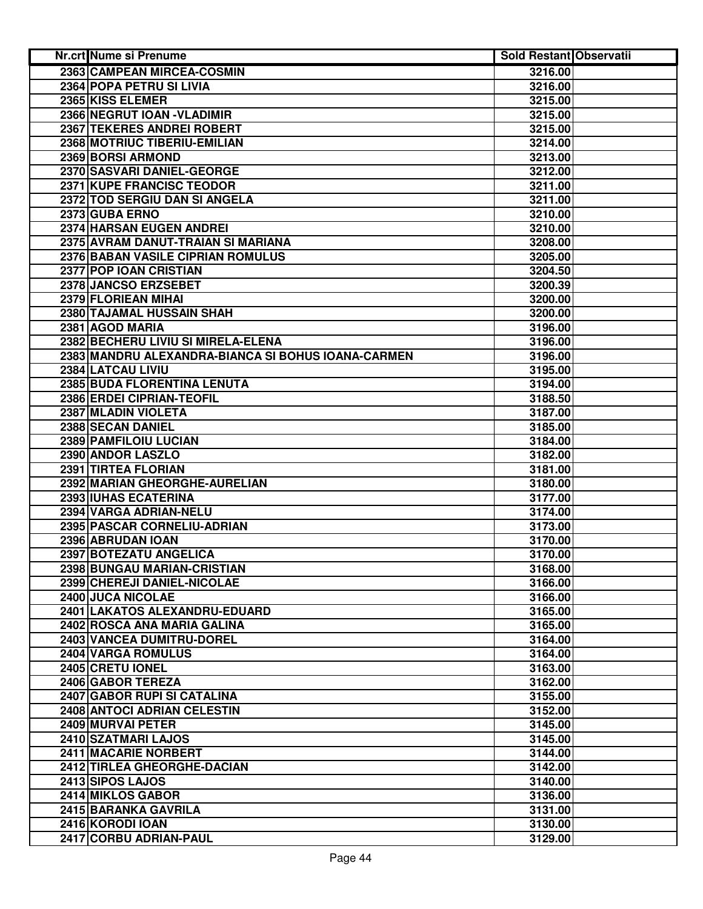| Nr.crt Nume si Prenume                             | <b>Sold Restant Observatii</b> |  |
|----------------------------------------------------|--------------------------------|--|
| 2363 CAMPEAN MIRCEA-COSMIN                         | 3216.00                        |  |
| 2364 POPA PETRU SI LIVIA                           | 3216.00                        |  |
| 2365 KISS ELEMER                                   | 3215.00                        |  |
| 2366 NEGRUT IOAN - VLADIMIR                        | 3215.00                        |  |
| 2367 TEKERES ANDREI ROBERT                         | 3215.00                        |  |
| 2368 MOTRIUC TIBERIU-EMILIAN                       | 3214.00                        |  |
| 2369 BORSI ARMOND                                  | 3213.00                        |  |
| 2370 SASVARI DANIEL-GEORGE                         | 3212.00                        |  |
| 2371 KUPE FRANCISC TEODOR                          | 3211.00                        |  |
| 2372 TOD SERGIU DAN SI ANGELA                      | 3211.00                        |  |
| 2373 GUBA ERNO                                     | 3210.00                        |  |
| 2374 HARSAN EUGEN ANDREI                           | 3210.00                        |  |
| 2375 AVRAM DANUT-TRAIAN SI MARIANA                 | 3208.00                        |  |
| 2376 BABAN VASILE CIPRIAN ROMULUS                  | 3205.00                        |  |
| 2377 POP IOAN CRISTIAN                             | 3204.50                        |  |
| 2378 JANCSO ERZSEBET                               | 3200.39                        |  |
| 2379 FLORIEAN MIHAI                                | 3200.00                        |  |
| 2380 TAJAMAL HUSSAIN SHAH                          | 3200.00                        |  |
| 2381 AGOD MARIA                                    | 3196.00                        |  |
| 2382 BECHERU LIVIU SI MIRELA-ELENA                 | 3196.00                        |  |
| 2383 MANDRU ALEXANDRA-BIANCA SI BOHUS IOANA-CARMEN | 3196.00                        |  |
| 2384 LATCAU LIVIU                                  | 3195.00                        |  |
| 2385 BUDA FLORENTINA LENUTA                        | 3194.00                        |  |
| 2386 ERDEI CIPRIAN-TEOFIL                          | 3188.50                        |  |
| 2387 MLADIN VIOLETA                                | 3187.00                        |  |
| 2388 SECAN DANIEL                                  | 3185.00                        |  |
| 2389 PAMFILOIU LUCIAN                              | 3184.00                        |  |
| 2390 ANDOR LASZLO                                  | 3182.00                        |  |
| 2391 TIRTEA FLORIAN                                | 3181.00                        |  |
| 2392 MARIAN GHEORGHE-AURELIAN                      | 3180.00                        |  |
| 2393 IUHAS ECATERINA                               | 3177.00                        |  |
| 2394 VARGA ADRIAN-NELU                             | 3174.00                        |  |
| 2395 PASCAR CORNELIU-ADRIAN                        | 3173.00                        |  |
| 2396 ABRUDAN IOAN                                  | 3170.00                        |  |
| 2397 BOTEZATU ANGELICA                             | 3170.00                        |  |
| 2398 BUNGAU MARIAN-CRISTIAN                        | 3168.00                        |  |
| 2399 CHEREJI DANIEL-NICOLAE                        | 3166.00                        |  |
| 2400 JUCA NICOLAE                                  | 3166.00                        |  |
| 2401 LAKATOS ALEXANDRU-EDUARD                      | 3165.00                        |  |
| 2402 ROSCA ANA MARIA GALINA                        | 3165.00                        |  |
| 2403 VANCEA DUMITRU-DOREL                          | 3164.00                        |  |
| 2404 VARGA ROMULUS                                 | 3164.00                        |  |
| 2405 CRETU IONEL                                   | 3163.00                        |  |
| 2406 GABOR TEREZA                                  | 3162.00                        |  |
| 2407 GABOR RUPI SI CATALINA                        | 3155.00                        |  |
| 2408 ANTOCI ADRIAN CELESTIN                        | 3152.00                        |  |
| 2409 MURVAI PETER                                  | 3145.00                        |  |
| 2410 SZATMARI LAJOS                                | 3145.00                        |  |
| 2411 MACARIE NORBERT                               | 3144.00                        |  |
| 2412 TIRLEA GHEORGHE-DACIAN                        | 3142.00                        |  |
| 2413 SIPOS LAJOS                                   | 3140.00                        |  |
| 2414 MIKLOS GABOR                                  | 3136.00                        |  |
| 2415 BARANKA GAVRILA                               | 3131.00                        |  |
| 2416 KORODI IOAN                                   | 3130.00                        |  |
| 2417 CORBU ADRIAN-PAUL                             | 3129.00                        |  |
|                                                    |                                |  |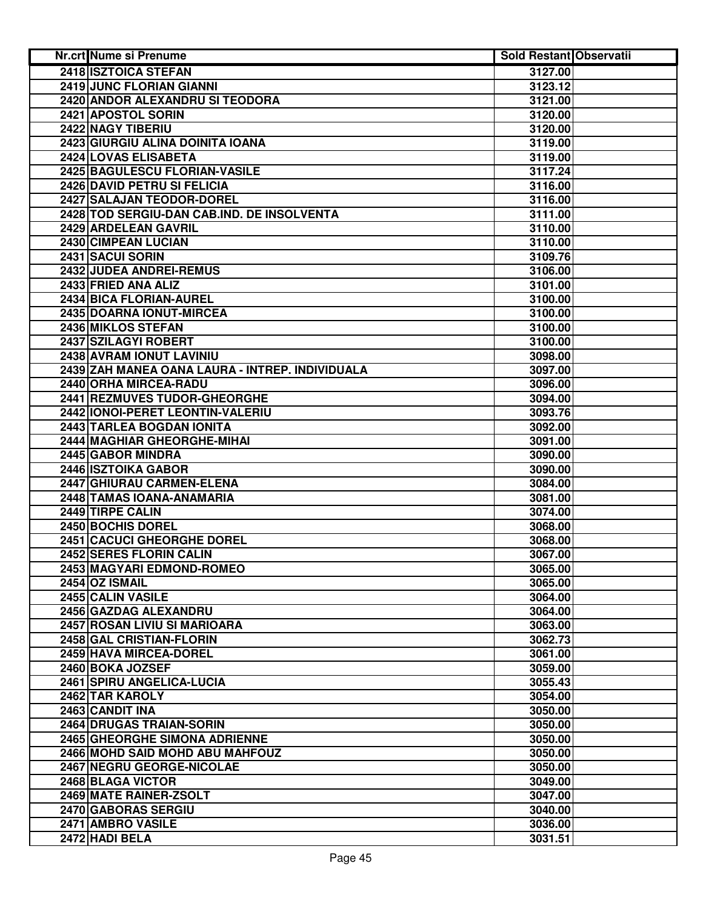| Nr.crt Nume si Prenume                          | <b>Sold Restant Observatii</b> |  |
|-------------------------------------------------|--------------------------------|--|
| 2418 ISZTOICA STEFAN                            | 3127.00                        |  |
| 2419 JUNC FLORIAN GIANNI                        | 3123.12                        |  |
| 2420 ANDOR ALEXANDRU SI TEODORA                 | 3121.00                        |  |
| 2421 APOSTOL SORIN                              | 3120.00                        |  |
| 2422 NAGY TIBERIU                               | 3120.00                        |  |
| 2423 GIURGIU ALINA DOINITA IOANA                | 3119.00                        |  |
| 2424 LOVAS ELISABETA                            | 3119.00                        |  |
| 2425 BAGULESCU FLORIAN-VASILE                   | 3117.24                        |  |
| 2426 DAVID PETRU SI FELICIA                     | 3116.00                        |  |
| 2427 SALAJAN TEODOR-DOREL                       | 3116.00                        |  |
| 2428 TOD SERGIU-DAN CAB.IND. DE INSOLVENTA      | 3111.00                        |  |
| 2429 ARDELEAN GAVRIL                            | 3110.00                        |  |
| 2430 CIMPEAN LUCIAN                             | 3110.00                        |  |
| 2431 SACUI SORIN                                | 3109.76                        |  |
| 2432 JUDEA ANDREI-REMUS                         | 3106.00                        |  |
| 2433 FRIED ANA ALIZ                             | 3101.00                        |  |
| 2434 BICA FLORIAN-AUREL                         | 3100.00                        |  |
| 2435 DOARNA IONUT-MIRCEA                        | 3100.00                        |  |
| 2436 MIKLOS STEFAN                              | 3100.00                        |  |
| 2437 SZILAGYI ROBERT                            | 3100.00                        |  |
| 2438 AVRAM IONUT LAVINIU                        | 3098.00                        |  |
| 2439 ZAH MANEA OANA LAURA - INTREP. INDIVIDUALA | 3097.00                        |  |
| 2440 ORHA MIRCEA-RADU                           | 3096.00                        |  |
| 2441 REZMUVES TUDOR-GHEORGHE                    | 3094.00                        |  |
| 2442 IONOI-PERET LEONTIN-VALERIU                | 3093.76                        |  |
| 2443 TARLEA BOGDAN IONITA                       | 3092.00                        |  |
| 2444 MAGHIAR GHEORGHE-MIHAI                     | 3091.00                        |  |
| 2445 GABOR MINDRA                               | 3090.00                        |  |
| 2446 ISZTOIKA GABOR                             | 3090.00                        |  |
| 2447 GHIURAU CARMEN-ELENA                       | 3084.00                        |  |
| 2448 TAMAS IOANA-ANAMARIA                       | 3081.00                        |  |
| 2449 TIRPE CALIN                                | 3074.00                        |  |
| 2450 BOCHIS DOREL                               | 3068.00                        |  |
| 2451 CACUCI GHEORGHE DOREL                      | 3068.00                        |  |
| 2452 SERES FLORIN CALIN                         | 3067.00                        |  |
| 2453 MAGYARI EDMOND-ROMEO                       | 3065.00                        |  |
| 2454 OZ ISMAIL                                  | 3065.00                        |  |
| 2455 CALIN VASILE                               | 3064.00                        |  |
| 2456 GAZDAG ALEXANDRU                           | 3064.00                        |  |
| 2457 ROSAN LIVIU SI MARIOARA                    | 3063.00                        |  |
| 2458 GAL CRISTIAN-FLORIN                        | 3062.73                        |  |
| 2459 HAVA MIRCEA-DOREL                          | 3061.00                        |  |
| 2460 BOKA JOZSEF                                | 3059.00                        |  |
| 2461 SPIRU ANGELICA-LUCIA                       | 3055.43                        |  |
| 2462 TAR KAROLY                                 | 3054.00                        |  |
| 2463 CANDIT INA                                 | 3050.00                        |  |
| 2464 DRUGAS TRAIAN-SORIN                        | 3050.00                        |  |
| 2465 GHEORGHE SIMONA ADRIENNE                   | 3050.00                        |  |
| 2466 MOHD SAID MOHD ABU MAHFOUZ                 | 3050.00                        |  |
| 2467 NEGRU GEORGE-NICOLAE                       | 3050.00                        |  |
| 2468 BLAGA VICTOR                               | 3049.00                        |  |
| 2469 MATE RAINER-ZSOLT                          | 3047.00                        |  |
| 2470 GABORAS SERGIU                             | 3040.00                        |  |
| 2471 AMBRO VASILE                               | 3036.00                        |  |
| 2472 HADI BELA                                  | 3031.51                        |  |
|                                                 |                                |  |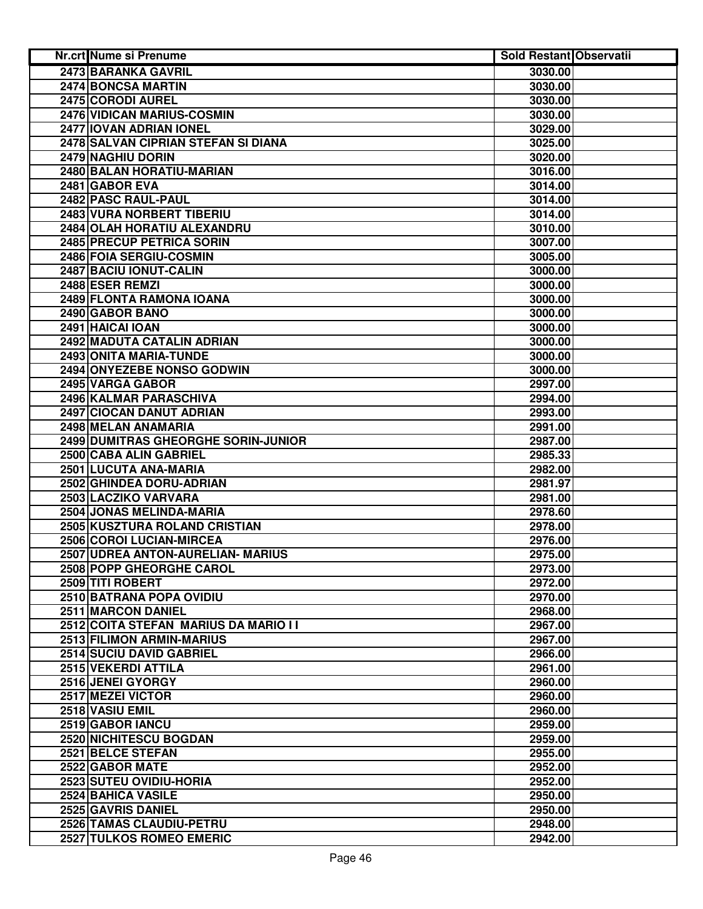| <b>2473 BARANKA GAVRIL</b><br>3030.00<br>2474 BONCSA MARTIN<br>3030.00<br>2475 CORODI AUREL<br>3030.00<br><b>2476 VIDICAN MARIUS-COSMIN</b><br>3030.00<br>2477 IOVAN ADRIAN IONEL<br>3029.00<br>2478 SALVAN CIPRIAN STEFAN SI DIANA<br>3025.00<br>2479 NAGHIU DORIN<br>3020.00<br>2480 BALAN HORATIU-MARIAN<br>3016.00<br>2481 GABOR EVA<br>3014.00<br>2482 PASC RAUL-PAUL<br>3014.00<br>2483 VURA NORBERT TIBERIU<br>3014.00<br>2484 OLAH HORATIU ALEXANDRU<br>3010.00<br>2485 PRECUP PETRICA SORIN<br>3007.00<br>2486 FOIA SERGIU-COSMIN<br>3005.00<br>2487 BACIU IONUT-CALIN<br>3000.00<br>2488 ESER REMZI<br>3000.00<br>2489 FLONTA RAMONA IOANA<br>3000.00<br>2490 GABOR BANO<br>3000.00<br>2491 HAICAI IOAN<br>3000.00<br>2492 MADUTA CATALIN ADRIAN<br>3000.00<br>2493 ONITA MARIA-TUNDE<br>3000.00<br>2494 ONYEZEBE NONSO GODWIN<br>3000.00<br>2495 VARGA GABOR<br>2997.00<br>2496 KALMAR PARASCHIVA<br>2994.00<br>2497 CIOCAN DANUT ADRIAN<br>2993.00<br>2498 MELAN ANAMARIA<br>2991.00<br>2499 DUMITRAS GHEORGHE SORIN-JUNIOR<br>2987.00<br>2500 CABA ALIN GABRIEL<br>2985.33<br>2501 LUCUTA ANA-MARIA<br>2982.00<br>2502 GHINDEA DORU-ADRIAN<br>2981.97<br>2503 LACZIKO VARVARA<br>2981.00<br>2504 JONAS MELINDA-MARIA<br>2978.60<br>2505 KUSZTURA ROLAND CRISTIAN<br>2978.00<br>2506 COROI LUCIAN-MIRCEA<br>2976.00<br>2507 UDREA ANTON-AURELIAN- MARIUS<br>2975.00<br>2508 POPP GHEORGHE CAROL<br>2973.00<br>2509 TITI ROBERT<br>2972.00<br>2510 BATRANA POPA OVIDIU<br>2970.00<br>2511 MARCON DANIEL<br>2968.00<br>2512 COITA STEFAN MARIUS DA MARIO I I<br>2967.00<br>2513 FILIMON ARMIN-MARIUS<br>2967.00<br><b>2514 SUCIU DAVID GABRIEL</b><br>2966.00<br>2515 VEKERDI ATTILA<br>2961.00<br>2516 JENEI GYORGY<br>2960.00<br>2517 MEZEI VICTOR<br>2960.00<br>2518 VASIU EMIL<br>2960.00<br>2519 GABOR IANCU<br>2959.00<br>2520 NICHITESCU BOGDAN<br>2959.00<br>2521 BELCE STEFAN<br>2955.00<br>2522 GABOR MATE<br>2952.00<br>2523 SUTEU OVIDIU-HORIA<br>2952.00<br>2524 BAHICA VASILE<br>2950.00<br>2525 GAVRIS DANIEL<br>2950.00 | <b>Nr.crt Nume si Prenume</b> | <b>Sold Restant Observatii</b> |  |
|---------------------------------------------------------------------------------------------------------------------------------------------------------------------------------------------------------------------------------------------------------------------------------------------------------------------------------------------------------------------------------------------------------------------------------------------------------------------------------------------------------------------------------------------------------------------------------------------------------------------------------------------------------------------------------------------------------------------------------------------------------------------------------------------------------------------------------------------------------------------------------------------------------------------------------------------------------------------------------------------------------------------------------------------------------------------------------------------------------------------------------------------------------------------------------------------------------------------------------------------------------------------------------------------------------------------------------------------------------------------------------------------------------------------------------------------------------------------------------------------------------------------------------------------------------------------------------------------------------------------------------------------------------------------------------------------------------------------------------------------------------------------------------------------------------------------------------------------------------------------------------------------------------------------------------------------------------------------------------------------------------------------------------------------------|-------------------------------|--------------------------------|--|
|                                                                                                                                                                                                                                                                                                                                                                                                                                                                                                                                                                                                                                                                                                                                                                                                                                                                                                                                                                                                                                                                                                                                                                                                                                                                                                                                                                                                                                                                                                                                                                                                                                                                                                                                                                                                                                                                                                                                                                                                                                                   |                               |                                |  |
|                                                                                                                                                                                                                                                                                                                                                                                                                                                                                                                                                                                                                                                                                                                                                                                                                                                                                                                                                                                                                                                                                                                                                                                                                                                                                                                                                                                                                                                                                                                                                                                                                                                                                                                                                                                                                                                                                                                                                                                                                                                   |                               |                                |  |
|                                                                                                                                                                                                                                                                                                                                                                                                                                                                                                                                                                                                                                                                                                                                                                                                                                                                                                                                                                                                                                                                                                                                                                                                                                                                                                                                                                                                                                                                                                                                                                                                                                                                                                                                                                                                                                                                                                                                                                                                                                                   |                               |                                |  |
|                                                                                                                                                                                                                                                                                                                                                                                                                                                                                                                                                                                                                                                                                                                                                                                                                                                                                                                                                                                                                                                                                                                                                                                                                                                                                                                                                                                                                                                                                                                                                                                                                                                                                                                                                                                                                                                                                                                                                                                                                                                   |                               |                                |  |
|                                                                                                                                                                                                                                                                                                                                                                                                                                                                                                                                                                                                                                                                                                                                                                                                                                                                                                                                                                                                                                                                                                                                                                                                                                                                                                                                                                                                                                                                                                                                                                                                                                                                                                                                                                                                                                                                                                                                                                                                                                                   |                               |                                |  |
|                                                                                                                                                                                                                                                                                                                                                                                                                                                                                                                                                                                                                                                                                                                                                                                                                                                                                                                                                                                                                                                                                                                                                                                                                                                                                                                                                                                                                                                                                                                                                                                                                                                                                                                                                                                                                                                                                                                                                                                                                                                   |                               |                                |  |
|                                                                                                                                                                                                                                                                                                                                                                                                                                                                                                                                                                                                                                                                                                                                                                                                                                                                                                                                                                                                                                                                                                                                                                                                                                                                                                                                                                                                                                                                                                                                                                                                                                                                                                                                                                                                                                                                                                                                                                                                                                                   |                               |                                |  |
|                                                                                                                                                                                                                                                                                                                                                                                                                                                                                                                                                                                                                                                                                                                                                                                                                                                                                                                                                                                                                                                                                                                                                                                                                                                                                                                                                                                                                                                                                                                                                                                                                                                                                                                                                                                                                                                                                                                                                                                                                                                   |                               |                                |  |
|                                                                                                                                                                                                                                                                                                                                                                                                                                                                                                                                                                                                                                                                                                                                                                                                                                                                                                                                                                                                                                                                                                                                                                                                                                                                                                                                                                                                                                                                                                                                                                                                                                                                                                                                                                                                                                                                                                                                                                                                                                                   |                               |                                |  |
|                                                                                                                                                                                                                                                                                                                                                                                                                                                                                                                                                                                                                                                                                                                                                                                                                                                                                                                                                                                                                                                                                                                                                                                                                                                                                                                                                                                                                                                                                                                                                                                                                                                                                                                                                                                                                                                                                                                                                                                                                                                   |                               |                                |  |
|                                                                                                                                                                                                                                                                                                                                                                                                                                                                                                                                                                                                                                                                                                                                                                                                                                                                                                                                                                                                                                                                                                                                                                                                                                                                                                                                                                                                                                                                                                                                                                                                                                                                                                                                                                                                                                                                                                                                                                                                                                                   |                               |                                |  |
|                                                                                                                                                                                                                                                                                                                                                                                                                                                                                                                                                                                                                                                                                                                                                                                                                                                                                                                                                                                                                                                                                                                                                                                                                                                                                                                                                                                                                                                                                                                                                                                                                                                                                                                                                                                                                                                                                                                                                                                                                                                   |                               |                                |  |
|                                                                                                                                                                                                                                                                                                                                                                                                                                                                                                                                                                                                                                                                                                                                                                                                                                                                                                                                                                                                                                                                                                                                                                                                                                                                                                                                                                                                                                                                                                                                                                                                                                                                                                                                                                                                                                                                                                                                                                                                                                                   |                               |                                |  |
|                                                                                                                                                                                                                                                                                                                                                                                                                                                                                                                                                                                                                                                                                                                                                                                                                                                                                                                                                                                                                                                                                                                                                                                                                                                                                                                                                                                                                                                                                                                                                                                                                                                                                                                                                                                                                                                                                                                                                                                                                                                   |                               |                                |  |
|                                                                                                                                                                                                                                                                                                                                                                                                                                                                                                                                                                                                                                                                                                                                                                                                                                                                                                                                                                                                                                                                                                                                                                                                                                                                                                                                                                                                                                                                                                                                                                                                                                                                                                                                                                                                                                                                                                                                                                                                                                                   |                               |                                |  |
|                                                                                                                                                                                                                                                                                                                                                                                                                                                                                                                                                                                                                                                                                                                                                                                                                                                                                                                                                                                                                                                                                                                                                                                                                                                                                                                                                                                                                                                                                                                                                                                                                                                                                                                                                                                                                                                                                                                                                                                                                                                   |                               |                                |  |
|                                                                                                                                                                                                                                                                                                                                                                                                                                                                                                                                                                                                                                                                                                                                                                                                                                                                                                                                                                                                                                                                                                                                                                                                                                                                                                                                                                                                                                                                                                                                                                                                                                                                                                                                                                                                                                                                                                                                                                                                                                                   |                               |                                |  |
|                                                                                                                                                                                                                                                                                                                                                                                                                                                                                                                                                                                                                                                                                                                                                                                                                                                                                                                                                                                                                                                                                                                                                                                                                                                                                                                                                                                                                                                                                                                                                                                                                                                                                                                                                                                                                                                                                                                                                                                                                                                   |                               |                                |  |
|                                                                                                                                                                                                                                                                                                                                                                                                                                                                                                                                                                                                                                                                                                                                                                                                                                                                                                                                                                                                                                                                                                                                                                                                                                                                                                                                                                                                                                                                                                                                                                                                                                                                                                                                                                                                                                                                                                                                                                                                                                                   |                               |                                |  |
|                                                                                                                                                                                                                                                                                                                                                                                                                                                                                                                                                                                                                                                                                                                                                                                                                                                                                                                                                                                                                                                                                                                                                                                                                                                                                                                                                                                                                                                                                                                                                                                                                                                                                                                                                                                                                                                                                                                                                                                                                                                   |                               |                                |  |
|                                                                                                                                                                                                                                                                                                                                                                                                                                                                                                                                                                                                                                                                                                                                                                                                                                                                                                                                                                                                                                                                                                                                                                                                                                                                                                                                                                                                                                                                                                                                                                                                                                                                                                                                                                                                                                                                                                                                                                                                                                                   |                               |                                |  |
|                                                                                                                                                                                                                                                                                                                                                                                                                                                                                                                                                                                                                                                                                                                                                                                                                                                                                                                                                                                                                                                                                                                                                                                                                                                                                                                                                                                                                                                                                                                                                                                                                                                                                                                                                                                                                                                                                                                                                                                                                                                   |                               |                                |  |
|                                                                                                                                                                                                                                                                                                                                                                                                                                                                                                                                                                                                                                                                                                                                                                                                                                                                                                                                                                                                                                                                                                                                                                                                                                                                                                                                                                                                                                                                                                                                                                                                                                                                                                                                                                                                                                                                                                                                                                                                                                                   |                               |                                |  |
|                                                                                                                                                                                                                                                                                                                                                                                                                                                                                                                                                                                                                                                                                                                                                                                                                                                                                                                                                                                                                                                                                                                                                                                                                                                                                                                                                                                                                                                                                                                                                                                                                                                                                                                                                                                                                                                                                                                                                                                                                                                   |                               |                                |  |
|                                                                                                                                                                                                                                                                                                                                                                                                                                                                                                                                                                                                                                                                                                                                                                                                                                                                                                                                                                                                                                                                                                                                                                                                                                                                                                                                                                                                                                                                                                                                                                                                                                                                                                                                                                                                                                                                                                                                                                                                                                                   |                               |                                |  |
|                                                                                                                                                                                                                                                                                                                                                                                                                                                                                                                                                                                                                                                                                                                                                                                                                                                                                                                                                                                                                                                                                                                                                                                                                                                                                                                                                                                                                                                                                                                                                                                                                                                                                                                                                                                                                                                                                                                                                                                                                                                   |                               |                                |  |
|                                                                                                                                                                                                                                                                                                                                                                                                                                                                                                                                                                                                                                                                                                                                                                                                                                                                                                                                                                                                                                                                                                                                                                                                                                                                                                                                                                                                                                                                                                                                                                                                                                                                                                                                                                                                                                                                                                                                                                                                                                                   |                               |                                |  |
|                                                                                                                                                                                                                                                                                                                                                                                                                                                                                                                                                                                                                                                                                                                                                                                                                                                                                                                                                                                                                                                                                                                                                                                                                                                                                                                                                                                                                                                                                                                                                                                                                                                                                                                                                                                                                                                                                                                                                                                                                                                   |                               |                                |  |
|                                                                                                                                                                                                                                                                                                                                                                                                                                                                                                                                                                                                                                                                                                                                                                                                                                                                                                                                                                                                                                                                                                                                                                                                                                                                                                                                                                                                                                                                                                                                                                                                                                                                                                                                                                                                                                                                                                                                                                                                                                                   |                               |                                |  |
|                                                                                                                                                                                                                                                                                                                                                                                                                                                                                                                                                                                                                                                                                                                                                                                                                                                                                                                                                                                                                                                                                                                                                                                                                                                                                                                                                                                                                                                                                                                                                                                                                                                                                                                                                                                                                                                                                                                                                                                                                                                   |                               |                                |  |
|                                                                                                                                                                                                                                                                                                                                                                                                                                                                                                                                                                                                                                                                                                                                                                                                                                                                                                                                                                                                                                                                                                                                                                                                                                                                                                                                                                                                                                                                                                                                                                                                                                                                                                                                                                                                                                                                                                                                                                                                                                                   |                               |                                |  |
|                                                                                                                                                                                                                                                                                                                                                                                                                                                                                                                                                                                                                                                                                                                                                                                                                                                                                                                                                                                                                                                                                                                                                                                                                                                                                                                                                                                                                                                                                                                                                                                                                                                                                                                                                                                                                                                                                                                                                                                                                                                   |                               |                                |  |
|                                                                                                                                                                                                                                                                                                                                                                                                                                                                                                                                                                                                                                                                                                                                                                                                                                                                                                                                                                                                                                                                                                                                                                                                                                                                                                                                                                                                                                                                                                                                                                                                                                                                                                                                                                                                                                                                                                                                                                                                                                                   |                               |                                |  |
|                                                                                                                                                                                                                                                                                                                                                                                                                                                                                                                                                                                                                                                                                                                                                                                                                                                                                                                                                                                                                                                                                                                                                                                                                                                                                                                                                                                                                                                                                                                                                                                                                                                                                                                                                                                                                                                                                                                                                                                                                                                   |                               |                                |  |
|                                                                                                                                                                                                                                                                                                                                                                                                                                                                                                                                                                                                                                                                                                                                                                                                                                                                                                                                                                                                                                                                                                                                                                                                                                                                                                                                                                                                                                                                                                                                                                                                                                                                                                                                                                                                                                                                                                                                                                                                                                                   |                               |                                |  |
|                                                                                                                                                                                                                                                                                                                                                                                                                                                                                                                                                                                                                                                                                                                                                                                                                                                                                                                                                                                                                                                                                                                                                                                                                                                                                                                                                                                                                                                                                                                                                                                                                                                                                                                                                                                                                                                                                                                                                                                                                                                   |                               |                                |  |
|                                                                                                                                                                                                                                                                                                                                                                                                                                                                                                                                                                                                                                                                                                                                                                                                                                                                                                                                                                                                                                                                                                                                                                                                                                                                                                                                                                                                                                                                                                                                                                                                                                                                                                                                                                                                                                                                                                                                                                                                                                                   |                               |                                |  |
|                                                                                                                                                                                                                                                                                                                                                                                                                                                                                                                                                                                                                                                                                                                                                                                                                                                                                                                                                                                                                                                                                                                                                                                                                                                                                                                                                                                                                                                                                                                                                                                                                                                                                                                                                                                                                                                                                                                                                                                                                                                   |                               |                                |  |
|                                                                                                                                                                                                                                                                                                                                                                                                                                                                                                                                                                                                                                                                                                                                                                                                                                                                                                                                                                                                                                                                                                                                                                                                                                                                                                                                                                                                                                                                                                                                                                                                                                                                                                                                                                                                                                                                                                                                                                                                                                                   |                               |                                |  |
|                                                                                                                                                                                                                                                                                                                                                                                                                                                                                                                                                                                                                                                                                                                                                                                                                                                                                                                                                                                                                                                                                                                                                                                                                                                                                                                                                                                                                                                                                                                                                                                                                                                                                                                                                                                                                                                                                                                                                                                                                                                   |                               |                                |  |
|                                                                                                                                                                                                                                                                                                                                                                                                                                                                                                                                                                                                                                                                                                                                                                                                                                                                                                                                                                                                                                                                                                                                                                                                                                                                                                                                                                                                                                                                                                                                                                                                                                                                                                                                                                                                                                                                                                                                                                                                                                                   |                               |                                |  |
|                                                                                                                                                                                                                                                                                                                                                                                                                                                                                                                                                                                                                                                                                                                                                                                                                                                                                                                                                                                                                                                                                                                                                                                                                                                                                                                                                                                                                                                                                                                                                                                                                                                                                                                                                                                                                                                                                                                                                                                                                                                   |                               |                                |  |
|                                                                                                                                                                                                                                                                                                                                                                                                                                                                                                                                                                                                                                                                                                                                                                                                                                                                                                                                                                                                                                                                                                                                                                                                                                                                                                                                                                                                                                                                                                                                                                                                                                                                                                                                                                                                                                                                                                                                                                                                                                                   |                               |                                |  |
|                                                                                                                                                                                                                                                                                                                                                                                                                                                                                                                                                                                                                                                                                                                                                                                                                                                                                                                                                                                                                                                                                                                                                                                                                                                                                                                                                                                                                                                                                                                                                                                                                                                                                                                                                                                                                                                                                                                                                                                                                                                   |                               |                                |  |
|                                                                                                                                                                                                                                                                                                                                                                                                                                                                                                                                                                                                                                                                                                                                                                                                                                                                                                                                                                                                                                                                                                                                                                                                                                                                                                                                                                                                                                                                                                                                                                                                                                                                                                                                                                                                                                                                                                                                                                                                                                                   |                               |                                |  |
|                                                                                                                                                                                                                                                                                                                                                                                                                                                                                                                                                                                                                                                                                                                                                                                                                                                                                                                                                                                                                                                                                                                                                                                                                                                                                                                                                                                                                                                                                                                                                                                                                                                                                                                                                                                                                                                                                                                                                                                                                                                   |                               |                                |  |
|                                                                                                                                                                                                                                                                                                                                                                                                                                                                                                                                                                                                                                                                                                                                                                                                                                                                                                                                                                                                                                                                                                                                                                                                                                                                                                                                                                                                                                                                                                                                                                                                                                                                                                                                                                                                                                                                                                                                                                                                                                                   |                               |                                |  |
|                                                                                                                                                                                                                                                                                                                                                                                                                                                                                                                                                                                                                                                                                                                                                                                                                                                                                                                                                                                                                                                                                                                                                                                                                                                                                                                                                                                                                                                                                                                                                                                                                                                                                                                                                                                                                                                                                                                                                                                                                                                   |                               |                                |  |
|                                                                                                                                                                                                                                                                                                                                                                                                                                                                                                                                                                                                                                                                                                                                                                                                                                                                                                                                                                                                                                                                                                                                                                                                                                                                                                                                                                                                                                                                                                                                                                                                                                                                                                                                                                                                                                                                                                                                                                                                                                                   |                               |                                |  |
|                                                                                                                                                                                                                                                                                                                                                                                                                                                                                                                                                                                                                                                                                                                                                                                                                                                                                                                                                                                                                                                                                                                                                                                                                                                                                                                                                                                                                                                                                                                                                                                                                                                                                                                                                                                                                                                                                                                                                                                                                                                   |                               |                                |  |
|                                                                                                                                                                                                                                                                                                                                                                                                                                                                                                                                                                                                                                                                                                                                                                                                                                                                                                                                                                                                                                                                                                                                                                                                                                                                                                                                                                                                                                                                                                                                                                                                                                                                                                                                                                                                                                                                                                                                                                                                                                                   |                               |                                |  |
|                                                                                                                                                                                                                                                                                                                                                                                                                                                                                                                                                                                                                                                                                                                                                                                                                                                                                                                                                                                                                                                                                                                                                                                                                                                                                                                                                                                                                                                                                                                                                                                                                                                                                                                                                                                                                                                                                                                                                                                                                                                   |                               |                                |  |
|                                                                                                                                                                                                                                                                                                                                                                                                                                                                                                                                                                                                                                                                                                                                                                                                                                                                                                                                                                                                                                                                                                                                                                                                                                                                                                                                                                                                                                                                                                                                                                                                                                                                                                                                                                                                                                                                                                                                                                                                                                                   |                               |                                |  |
| 2526 TAMAS CLAUDIU-PETRU<br>2948.00                                                                                                                                                                                                                                                                                                                                                                                                                                                                                                                                                                                                                                                                                                                                                                                                                                                                                                                                                                                                                                                                                                                                                                                                                                                                                                                                                                                                                                                                                                                                                                                                                                                                                                                                                                                                                                                                                                                                                                                                               |                               |                                |  |
| 2527 TULKOS ROMEO EMERIC<br>2942.00                                                                                                                                                                                                                                                                                                                                                                                                                                                                                                                                                                                                                                                                                                                                                                                                                                                                                                                                                                                                                                                                                                                                                                                                                                                                                                                                                                                                                                                                                                                                                                                                                                                                                                                                                                                                                                                                                                                                                                                                               |                               |                                |  |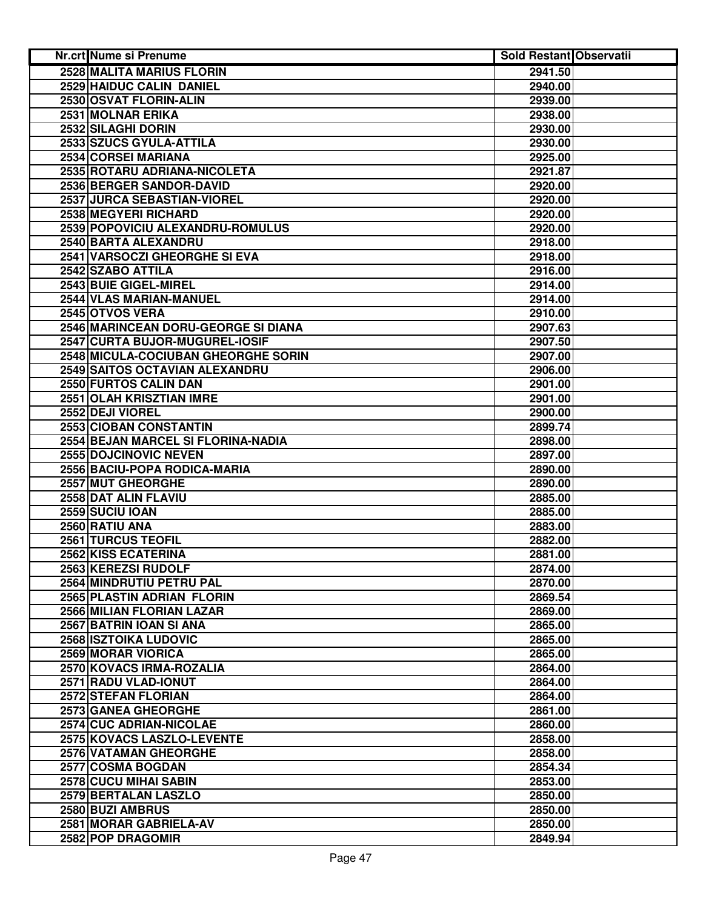| <b>Nr.crt Nume si Prenume</b>       | <b>Sold Restant Observatii</b> |  |
|-------------------------------------|--------------------------------|--|
| 2528 MALITA MARIUS FLORIN           | 2941.50                        |  |
| 2529 HAIDUC CALIN DANIEL            | 2940.00                        |  |
| 2530 OSVAT FLORIN-ALIN              | 2939.00                        |  |
| 2531 MOLNAR ERIKA                   | 2938.00                        |  |
| 2532 SILAGHI DORIN                  | 2930.00                        |  |
| 2533 SZUCS GYULA-ATTILA             | 2930.00                        |  |
| 2534 CORSEI MARIANA                 | 2925.00                        |  |
| 2535 ROTARU ADRIANA-NICOLETA        | 2921.87                        |  |
| 2536 BERGER SANDOR-DAVID            | 2920.00                        |  |
| 2537 JURCA SEBASTIAN-VIOREL         | 2920.00                        |  |
| 2538 MEGYERI RICHARD                | 2920.00                        |  |
| 2539 POPOVICIU ALEXANDRU-ROMULUS    | 2920.00                        |  |
| 2540 BARTA ALEXANDRU                | 2918.00                        |  |
| 2541 VARSOCZI GHEORGHE SI EVA       | 2918.00                        |  |
| 2542 SZABO ATTILA                   | 2916.00                        |  |
| 2543 BUIE GIGEL-MIREL               | 2914.00                        |  |
| 2544 VLAS MARIAN-MANUEL             | 2914.00                        |  |
| 2545 OTVOS VERA                     | 2910.00                        |  |
| 2546 MARINCEAN DORU-GEORGE SI DIANA | 2907.63                        |  |
| 2547 CURTA BUJOR-MUGUREL-IOSIF      | 2907.50                        |  |
| 2548 MICULA-COCIUBAN GHEORGHE SORIN | 2907.00                        |  |
| 2549 SAITOS OCTAVIAN ALEXANDRU      | 2906.00                        |  |
| 2550 FURTOS CALIN DAN               | 2901.00                        |  |
| 2551 OLAH KRISZTIAN IMRE            | 2901.00                        |  |
| 2552 DEJI VIOREL                    | 2900.00                        |  |
| 2553 CIOBAN CONSTANTIN              | 2899.74                        |  |
| 2554 BEJAN MARCEL SI FLORINA-NADIA  | 2898.00                        |  |
| 2555 DOJCINOVIC NEVEN               | 2897.00                        |  |
| 2556 BACIU-POPA RODICA-MARIA        | 2890.00                        |  |
| 2557 MUT GHEORGHE                   | 2890.00                        |  |
| 2558 DAT ALIN FLAVIU                | 2885.00                        |  |
| 2559 SUCIU IOAN                     | 2885.00                        |  |
| 2560 RATIU ANA                      | 2883.00                        |  |
| 2561 TURCUS TEOFIL                  | 2882.00                        |  |
| 2562 KISS ECATERINA                 | 2881.00                        |  |
| 2563 KEREZSI RUDOLF                 | 2874.00                        |  |
| 2564 MINDRUTIU PETRU PAL            | 2870.00                        |  |
| 2565 PLASTIN ADRIAN FLORIN          | 2869.54                        |  |
| 2566 MILIAN FLORIAN LAZAR           | 2869.00                        |  |
| 2567 BATRIN IOAN SI ANA             | 2865.00                        |  |
| <b>2568 ISZTOIKA LUDOVIC</b>        | 2865.00                        |  |
| 2569 MORAR VIORICA                  | 2865.00                        |  |
| 2570 KOVACS IRMA-ROZALIA            | 2864.00                        |  |
| 2571 RADU VLAD-IONUT                | 2864.00                        |  |
| 2572 STEFAN FLORIAN                 | 2864.00                        |  |
| 2573 GANEA GHEORGHE                 | 2861.00                        |  |
| 2574 CUC ADRIAN-NICOLAE             | 2860.00                        |  |
| 2575 KOVACS LASZLO-LEVENTE          | 2858.00                        |  |
| 2576 VATAMAN GHEORGHE               | 2858.00                        |  |
| 2577 COSMA BOGDAN                   | 2854.34                        |  |
| 2578 CUCU MIHAI SABIN               | 2853.00                        |  |
| 2579 BERTALAN LASZLO                | 2850.00                        |  |
| 2580 BUZI AMBRUS                    | 2850.00                        |  |
| 2581 MORAR GABRIELA-AV              | 2850.00                        |  |
| 2582 POP DRAGOMIR                   | 2849.94                        |  |
|                                     |                                |  |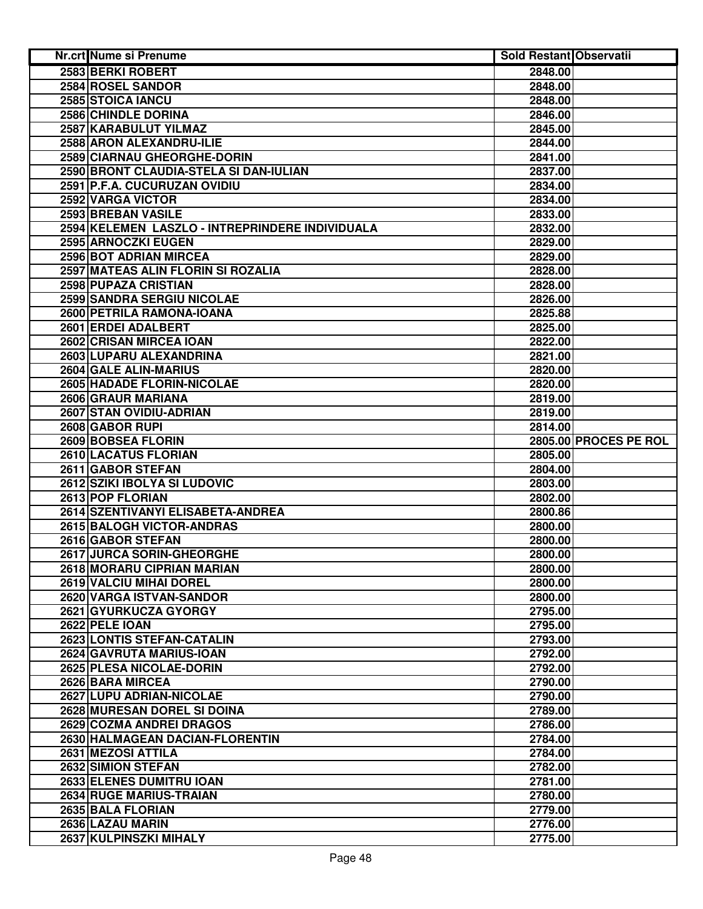| 2583 BERKI ROBERT<br>2848.00<br>2584 ROSEL SANDOR<br>2848.00<br>2585 STOICA IANCU<br>2848.00<br>2586 CHINDLE DORINA<br>2846.00<br>2587 KARABULUT YILMAZ<br>2845.00<br>2588 ARON ALEXANDRU-ILIE<br>2844.00<br>2589 CIARNAU GHEORGHE-DORIN<br>2841.00<br>2590 BRONT CLAUDIA-STELA SI DAN-IULIAN<br>2837.00<br>2591 P.F.A. CUCURUZAN OVIDIU<br>2834.00<br>2592 VARGA VICTOR<br>2834.00<br>2593 BREBAN VASILE<br>2833.00<br>2594 KELEMEN LASZLO - INTREPRINDERE INDIVIDUALA<br>2832.00<br>2595 ARNOCZKI EUGEN<br>2829.00<br>2596 BOT ADRIAN MIRCEA<br>2829.00<br>2597 MATEAS ALIN FLORIN SI ROZALIA<br>2828.00<br>2598 PUPAZA CRISTIAN<br>2828.00<br>2599 SANDRA SERGIU NICOLAE<br>2826.00<br>2600 PETRILA RAMONA-IOANA<br>2825.88<br>2601 ERDEI ADALBERT<br>2825.00<br>2602 CRISAN MIRCEA IOAN<br>2822.00<br>2603 LUPARU ALEXANDRINA<br>2821.00<br>2604 GALE ALIN-MARIUS<br>2820.00<br>2605 HADADE FLORIN-NICOLAE<br>2820.00<br>2606 GRAUR MARIANA<br>2819.00<br>2607 STAN OVIDIU-ADRIAN<br>2819.00<br>2608 GABOR RUPI<br>2814.00<br>2609 BOBSEA FLORIN<br>2805.00 PROCES PE ROL<br>2610 LACATUS FLORIAN<br>2805.00<br>2611 GABOR STEFAN<br>2804.00<br>2612 SZIKI IBOLYA SI LUDOVIC<br>2803.00<br>2613 POP FLORIAN<br>2802.00<br>2614 SZENTIVANYI ELISABETA-ANDREA<br>2800.86<br>2615 BALOGH VICTOR-ANDRAS<br>2800.00<br>2616 GABOR STEFAN<br>2800.00<br>2617 JURCA SORIN-GHEORGHE<br>2800.00<br>2618 MORARU CIPRIAN MARIAN<br>2800.00<br>2619 VALCIU MIHAI DOREL<br>2800.00<br>2620 VARGA ISTVAN-SANDOR<br>2800.00<br>2621 GYURKUCZA GYORGY<br>2795.00<br><b>2622 PELE IOAN</b><br>2795.00<br>2623 LONTIS STEFAN-CATALIN<br>2793.00<br>2624 GAVRUTA MARIUS-IOAN<br>2792.00<br>2625 PLESA NICOLAE-DORIN<br>2792.00<br>2626 BARA MIRCEA<br>2790.00<br>2627 LUPU ADRIAN-NICOLAE<br>2790.00<br>2628 MURESAN DOREL SI DOINA<br>2789.00<br>2629 COZMA ANDREI DRAGOS<br>2786.00<br>2630 HALMAGEAN DACIAN-FLORENTIN<br>2784.00<br>2631 MEZOSI ATTILA<br>2784.00<br>2632 SIMION STEFAN<br>2782.00<br>2633 ELENES DUMITRU IOAN<br>2781.00<br>2634 RUGE MARIUS-TRAIAN<br>2780.00<br>2635 BALA FLORIAN<br>2779.00<br>2636 LAZAU MARIN<br>2776.00<br>2637 KULPINSZKI MIHALY<br>2775.00 | Nr.crt Nume si Prenume | <b>Sold Restant Observatii</b> |  |
|-------------------------------------------------------------------------------------------------------------------------------------------------------------------------------------------------------------------------------------------------------------------------------------------------------------------------------------------------------------------------------------------------------------------------------------------------------------------------------------------------------------------------------------------------------------------------------------------------------------------------------------------------------------------------------------------------------------------------------------------------------------------------------------------------------------------------------------------------------------------------------------------------------------------------------------------------------------------------------------------------------------------------------------------------------------------------------------------------------------------------------------------------------------------------------------------------------------------------------------------------------------------------------------------------------------------------------------------------------------------------------------------------------------------------------------------------------------------------------------------------------------------------------------------------------------------------------------------------------------------------------------------------------------------------------------------------------------------------------------------------------------------------------------------------------------------------------------------------------------------------------------------------------------------------------------------------------------------------------------------------------------------------------------------------------------------------------------------------------------------------------------------------------------------------|------------------------|--------------------------------|--|
|                                                                                                                                                                                                                                                                                                                                                                                                                                                                                                                                                                                                                                                                                                                                                                                                                                                                                                                                                                                                                                                                                                                                                                                                                                                                                                                                                                                                                                                                                                                                                                                                                                                                                                                                                                                                                                                                                                                                                                                                                                                                                                                                                                         |                        |                                |  |
|                                                                                                                                                                                                                                                                                                                                                                                                                                                                                                                                                                                                                                                                                                                                                                                                                                                                                                                                                                                                                                                                                                                                                                                                                                                                                                                                                                                                                                                                                                                                                                                                                                                                                                                                                                                                                                                                                                                                                                                                                                                                                                                                                                         |                        |                                |  |
|                                                                                                                                                                                                                                                                                                                                                                                                                                                                                                                                                                                                                                                                                                                                                                                                                                                                                                                                                                                                                                                                                                                                                                                                                                                                                                                                                                                                                                                                                                                                                                                                                                                                                                                                                                                                                                                                                                                                                                                                                                                                                                                                                                         |                        |                                |  |
|                                                                                                                                                                                                                                                                                                                                                                                                                                                                                                                                                                                                                                                                                                                                                                                                                                                                                                                                                                                                                                                                                                                                                                                                                                                                                                                                                                                                                                                                                                                                                                                                                                                                                                                                                                                                                                                                                                                                                                                                                                                                                                                                                                         |                        |                                |  |
|                                                                                                                                                                                                                                                                                                                                                                                                                                                                                                                                                                                                                                                                                                                                                                                                                                                                                                                                                                                                                                                                                                                                                                                                                                                                                                                                                                                                                                                                                                                                                                                                                                                                                                                                                                                                                                                                                                                                                                                                                                                                                                                                                                         |                        |                                |  |
|                                                                                                                                                                                                                                                                                                                                                                                                                                                                                                                                                                                                                                                                                                                                                                                                                                                                                                                                                                                                                                                                                                                                                                                                                                                                                                                                                                                                                                                                                                                                                                                                                                                                                                                                                                                                                                                                                                                                                                                                                                                                                                                                                                         |                        |                                |  |
|                                                                                                                                                                                                                                                                                                                                                                                                                                                                                                                                                                                                                                                                                                                                                                                                                                                                                                                                                                                                                                                                                                                                                                                                                                                                                                                                                                                                                                                                                                                                                                                                                                                                                                                                                                                                                                                                                                                                                                                                                                                                                                                                                                         |                        |                                |  |
|                                                                                                                                                                                                                                                                                                                                                                                                                                                                                                                                                                                                                                                                                                                                                                                                                                                                                                                                                                                                                                                                                                                                                                                                                                                                                                                                                                                                                                                                                                                                                                                                                                                                                                                                                                                                                                                                                                                                                                                                                                                                                                                                                                         |                        |                                |  |
|                                                                                                                                                                                                                                                                                                                                                                                                                                                                                                                                                                                                                                                                                                                                                                                                                                                                                                                                                                                                                                                                                                                                                                                                                                                                                                                                                                                                                                                                                                                                                                                                                                                                                                                                                                                                                                                                                                                                                                                                                                                                                                                                                                         |                        |                                |  |
|                                                                                                                                                                                                                                                                                                                                                                                                                                                                                                                                                                                                                                                                                                                                                                                                                                                                                                                                                                                                                                                                                                                                                                                                                                                                                                                                                                                                                                                                                                                                                                                                                                                                                                                                                                                                                                                                                                                                                                                                                                                                                                                                                                         |                        |                                |  |
|                                                                                                                                                                                                                                                                                                                                                                                                                                                                                                                                                                                                                                                                                                                                                                                                                                                                                                                                                                                                                                                                                                                                                                                                                                                                                                                                                                                                                                                                                                                                                                                                                                                                                                                                                                                                                                                                                                                                                                                                                                                                                                                                                                         |                        |                                |  |
|                                                                                                                                                                                                                                                                                                                                                                                                                                                                                                                                                                                                                                                                                                                                                                                                                                                                                                                                                                                                                                                                                                                                                                                                                                                                                                                                                                                                                                                                                                                                                                                                                                                                                                                                                                                                                                                                                                                                                                                                                                                                                                                                                                         |                        |                                |  |
|                                                                                                                                                                                                                                                                                                                                                                                                                                                                                                                                                                                                                                                                                                                                                                                                                                                                                                                                                                                                                                                                                                                                                                                                                                                                                                                                                                                                                                                                                                                                                                                                                                                                                                                                                                                                                                                                                                                                                                                                                                                                                                                                                                         |                        |                                |  |
|                                                                                                                                                                                                                                                                                                                                                                                                                                                                                                                                                                                                                                                                                                                                                                                                                                                                                                                                                                                                                                                                                                                                                                                                                                                                                                                                                                                                                                                                                                                                                                                                                                                                                                                                                                                                                                                                                                                                                                                                                                                                                                                                                                         |                        |                                |  |
|                                                                                                                                                                                                                                                                                                                                                                                                                                                                                                                                                                                                                                                                                                                                                                                                                                                                                                                                                                                                                                                                                                                                                                                                                                                                                                                                                                                                                                                                                                                                                                                                                                                                                                                                                                                                                                                                                                                                                                                                                                                                                                                                                                         |                        |                                |  |
|                                                                                                                                                                                                                                                                                                                                                                                                                                                                                                                                                                                                                                                                                                                                                                                                                                                                                                                                                                                                                                                                                                                                                                                                                                                                                                                                                                                                                                                                                                                                                                                                                                                                                                                                                                                                                                                                                                                                                                                                                                                                                                                                                                         |                        |                                |  |
|                                                                                                                                                                                                                                                                                                                                                                                                                                                                                                                                                                                                                                                                                                                                                                                                                                                                                                                                                                                                                                                                                                                                                                                                                                                                                                                                                                                                                                                                                                                                                                                                                                                                                                                                                                                                                                                                                                                                                                                                                                                                                                                                                                         |                        |                                |  |
|                                                                                                                                                                                                                                                                                                                                                                                                                                                                                                                                                                                                                                                                                                                                                                                                                                                                                                                                                                                                                                                                                                                                                                                                                                                                                                                                                                                                                                                                                                                                                                                                                                                                                                                                                                                                                                                                                                                                                                                                                                                                                                                                                                         |                        |                                |  |
|                                                                                                                                                                                                                                                                                                                                                                                                                                                                                                                                                                                                                                                                                                                                                                                                                                                                                                                                                                                                                                                                                                                                                                                                                                                                                                                                                                                                                                                                                                                                                                                                                                                                                                                                                                                                                                                                                                                                                                                                                                                                                                                                                                         |                        |                                |  |
|                                                                                                                                                                                                                                                                                                                                                                                                                                                                                                                                                                                                                                                                                                                                                                                                                                                                                                                                                                                                                                                                                                                                                                                                                                                                                                                                                                                                                                                                                                                                                                                                                                                                                                                                                                                                                                                                                                                                                                                                                                                                                                                                                                         |                        |                                |  |
|                                                                                                                                                                                                                                                                                                                                                                                                                                                                                                                                                                                                                                                                                                                                                                                                                                                                                                                                                                                                                                                                                                                                                                                                                                                                                                                                                                                                                                                                                                                                                                                                                                                                                                                                                                                                                                                                                                                                                                                                                                                                                                                                                                         |                        |                                |  |
|                                                                                                                                                                                                                                                                                                                                                                                                                                                                                                                                                                                                                                                                                                                                                                                                                                                                                                                                                                                                                                                                                                                                                                                                                                                                                                                                                                                                                                                                                                                                                                                                                                                                                                                                                                                                                                                                                                                                                                                                                                                                                                                                                                         |                        |                                |  |
|                                                                                                                                                                                                                                                                                                                                                                                                                                                                                                                                                                                                                                                                                                                                                                                                                                                                                                                                                                                                                                                                                                                                                                                                                                                                                                                                                                                                                                                                                                                                                                                                                                                                                                                                                                                                                                                                                                                                                                                                                                                                                                                                                                         |                        |                                |  |
|                                                                                                                                                                                                                                                                                                                                                                                                                                                                                                                                                                                                                                                                                                                                                                                                                                                                                                                                                                                                                                                                                                                                                                                                                                                                                                                                                                                                                                                                                                                                                                                                                                                                                                                                                                                                                                                                                                                                                                                                                                                                                                                                                                         |                        |                                |  |
|                                                                                                                                                                                                                                                                                                                                                                                                                                                                                                                                                                                                                                                                                                                                                                                                                                                                                                                                                                                                                                                                                                                                                                                                                                                                                                                                                                                                                                                                                                                                                                                                                                                                                                                                                                                                                                                                                                                                                                                                                                                                                                                                                                         |                        |                                |  |
|                                                                                                                                                                                                                                                                                                                                                                                                                                                                                                                                                                                                                                                                                                                                                                                                                                                                                                                                                                                                                                                                                                                                                                                                                                                                                                                                                                                                                                                                                                                                                                                                                                                                                                                                                                                                                                                                                                                                                                                                                                                                                                                                                                         |                        |                                |  |
|                                                                                                                                                                                                                                                                                                                                                                                                                                                                                                                                                                                                                                                                                                                                                                                                                                                                                                                                                                                                                                                                                                                                                                                                                                                                                                                                                                                                                                                                                                                                                                                                                                                                                                                                                                                                                                                                                                                                                                                                                                                                                                                                                                         |                        |                                |  |
|                                                                                                                                                                                                                                                                                                                                                                                                                                                                                                                                                                                                                                                                                                                                                                                                                                                                                                                                                                                                                                                                                                                                                                                                                                                                                                                                                                                                                                                                                                                                                                                                                                                                                                                                                                                                                                                                                                                                                                                                                                                                                                                                                                         |                        |                                |  |
|                                                                                                                                                                                                                                                                                                                                                                                                                                                                                                                                                                                                                                                                                                                                                                                                                                                                                                                                                                                                                                                                                                                                                                                                                                                                                                                                                                                                                                                                                                                                                                                                                                                                                                                                                                                                                                                                                                                                                                                                                                                                                                                                                                         |                        |                                |  |
|                                                                                                                                                                                                                                                                                                                                                                                                                                                                                                                                                                                                                                                                                                                                                                                                                                                                                                                                                                                                                                                                                                                                                                                                                                                                                                                                                                                                                                                                                                                                                                                                                                                                                                                                                                                                                                                                                                                                                                                                                                                                                                                                                                         |                        |                                |  |
|                                                                                                                                                                                                                                                                                                                                                                                                                                                                                                                                                                                                                                                                                                                                                                                                                                                                                                                                                                                                                                                                                                                                                                                                                                                                                                                                                                                                                                                                                                                                                                                                                                                                                                                                                                                                                                                                                                                                                                                                                                                                                                                                                                         |                        |                                |  |
|                                                                                                                                                                                                                                                                                                                                                                                                                                                                                                                                                                                                                                                                                                                                                                                                                                                                                                                                                                                                                                                                                                                                                                                                                                                                                                                                                                                                                                                                                                                                                                                                                                                                                                                                                                                                                                                                                                                                                                                                                                                                                                                                                                         |                        |                                |  |
|                                                                                                                                                                                                                                                                                                                                                                                                                                                                                                                                                                                                                                                                                                                                                                                                                                                                                                                                                                                                                                                                                                                                                                                                                                                                                                                                                                                                                                                                                                                                                                                                                                                                                                                                                                                                                                                                                                                                                                                                                                                                                                                                                                         |                        |                                |  |
|                                                                                                                                                                                                                                                                                                                                                                                                                                                                                                                                                                                                                                                                                                                                                                                                                                                                                                                                                                                                                                                                                                                                                                                                                                                                                                                                                                                                                                                                                                                                                                                                                                                                                                                                                                                                                                                                                                                                                                                                                                                                                                                                                                         |                        |                                |  |
|                                                                                                                                                                                                                                                                                                                                                                                                                                                                                                                                                                                                                                                                                                                                                                                                                                                                                                                                                                                                                                                                                                                                                                                                                                                                                                                                                                                                                                                                                                                                                                                                                                                                                                                                                                                                                                                                                                                                                                                                                                                                                                                                                                         |                        |                                |  |
|                                                                                                                                                                                                                                                                                                                                                                                                                                                                                                                                                                                                                                                                                                                                                                                                                                                                                                                                                                                                                                                                                                                                                                                                                                                                                                                                                                                                                                                                                                                                                                                                                                                                                                                                                                                                                                                                                                                                                                                                                                                                                                                                                                         |                        |                                |  |
|                                                                                                                                                                                                                                                                                                                                                                                                                                                                                                                                                                                                                                                                                                                                                                                                                                                                                                                                                                                                                                                                                                                                                                                                                                                                                                                                                                                                                                                                                                                                                                                                                                                                                                                                                                                                                                                                                                                                                                                                                                                                                                                                                                         |                        |                                |  |
|                                                                                                                                                                                                                                                                                                                                                                                                                                                                                                                                                                                                                                                                                                                                                                                                                                                                                                                                                                                                                                                                                                                                                                                                                                                                                                                                                                                                                                                                                                                                                                                                                                                                                                                                                                                                                                                                                                                                                                                                                                                                                                                                                                         |                        |                                |  |
|                                                                                                                                                                                                                                                                                                                                                                                                                                                                                                                                                                                                                                                                                                                                                                                                                                                                                                                                                                                                                                                                                                                                                                                                                                                                                                                                                                                                                                                                                                                                                                                                                                                                                                                                                                                                                                                                                                                                                                                                                                                                                                                                                                         |                        |                                |  |
|                                                                                                                                                                                                                                                                                                                                                                                                                                                                                                                                                                                                                                                                                                                                                                                                                                                                                                                                                                                                                                                                                                                                                                                                                                                                                                                                                                                                                                                                                                                                                                                                                                                                                                                                                                                                                                                                                                                                                                                                                                                                                                                                                                         |                        |                                |  |
|                                                                                                                                                                                                                                                                                                                                                                                                                                                                                                                                                                                                                                                                                                                                                                                                                                                                                                                                                                                                                                                                                                                                                                                                                                                                                                                                                                                                                                                                                                                                                                                                                                                                                                                                                                                                                                                                                                                                                                                                                                                                                                                                                                         |                        |                                |  |
|                                                                                                                                                                                                                                                                                                                                                                                                                                                                                                                                                                                                                                                                                                                                                                                                                                                                                                                                                                                                                                                                                                                                                                                                                                                                                                                                                                                                                                                                                                                                                                                                                                                                                                                                                                                                                                                                                                                                                                                                                                                                                                                                                                         |                        |                                |  |
|                                                                                                                                                                                                                                                                                                                                                                                                                                                                                                                                                                                                                                                                                                                                                                                                                                                                                                                                                                                                                                                                                                                                                                                                                                                                                                                                                                                                                                                                                                                                                                                                                                                                                                                                                                                                                                                                                                                                                                                                                                                                                                                                                                         |                        |                                |  |
|                                                                                                                                                                                                                                                                                                                                                                                                                                                                                                                                                                                                                                                                                                                                                                                                                                                                                                                                                                                                                                                                                                                                                                                                                                                                                                                                                                                                                                                                                                                                                                                                                                                                                                                                                                                                                                                                                                                                                                                                                                                                                                                                                                         |                        |                                |  |
|                                                                                                                                                                                                                                                                                                                                                                                                                                                                                                                                                                                                                                                                                                                                                                                                                                                                                                                                                                                                                                                                                                                                                                                                                                                                                                                                                                                                                                                                                                                                                                                                                                                                                                                                                                                                                                                                                                                                                                                                                                                                                                                                                                         |                        |                                |  |
|                                                                                                                                                                                                                                                                                                                                                                                                                                                                                                                                                                                                                                                                                                                                                                                                                                                                                                                                                                                                                                                                                                                                                                                                                                                                                                                                                                                                                                                                                                                                                                                                                                                                                                                                                                                                                                                                                                                                                                                                                                                                                                                                                                         |                        |                                |  |
|                                                                                                                                                                                                                                                                                                                                                                                                                                                                                                                                                                                                                                                                                                                                                                                                                                                                                                                                                                                                                                                                                                                                                                                                                                                                                                                                                                                                                                                                                                                                                                                                                                                                                                                                                                                                                                                                                                                                                                                                                                                                                                                                                                         |                        |                                |  |
|                                                                                                                                                                                                                                                                                                                                                                                                                                                                                                                                                                                                                                                                                                                                                                                                                                                                                                                                                                                                                                                                                                                                                                                                                                                                                                                                                                                                                                                                                                                                                                                                                                                                                                                                                                                                                                                                                                                                                                                                                                                                                                                                                                         |                        |                                |  |
|                                                                                                                                                                                                                                                                                                                                                                                                                                                                                                                                                                                                                                                                                                                                                                                                                                                                                                                                                                                                                                                                                                                                                                                                                                                                                                                                                                                                                                                                                                                                                                                                                                                                                                                                                                                                                                                                                                                                                                                                                                                                                                                                                                         |                        |                                |  |
|                                                                                                                                                                                                                                                                                                                                                                                                                                                                                                                                                                                                                                                                                                                                                                                                                                                                                                                                                                                                                                                                                                                                                                                                                                                                                                                                                                                                                                                                                                                                                                                                                                                                                                                                                                                                                                                                                                                                                                                                                                                                                                                                                                         |                        |                                |  |
|                                                                                                                                                                                                                                                                                                                                                                                                                                                                                                                                                                                                                                                                                                                                                                                                                                                                                                                                                                                                                                                                                                                                                                                                                                                                                                                                                                                                                                                                                                                                                                                                                                                                                                                                                                                                                                                                                                                                                                                                                                                                                                                                                                         |                        |                                |  |
|                                                                                                                                                                                                                                                                                                                                                                                                                                                                                                                                                                                                                                                                                                                                                                                                                                                                                                                                                                                                                                                                                                                                                                                                                                                                                                                                                                                                                                                                                                                                                                                                                                                                                                                                                                                                                                                                                                                                                                                                                                                                                                                                                                         |                        |                                |  |
|                                                                                                                                                                                                                                                                                                                                                                                                                                                                                                                                                                                                                                                                                                                                                                                                                                                                                                                                                                                                                                                                                                                                                                                                                                                                                                                                                                                                                                                                                                                                                                                                                                                                                                                                                                                                                                                                                                                                                                                                                                                                                                                                                                         |                        |                                |  |
|                                                                                                                                                                                                                                                                                                                                                                                                                                                                                                                                                                                                                                                                                                                                                                                                                                                                                                                                                                                                                                                                                                                                                                                                                                                                                                                                                                                                                                                                                                                                                                                                                                                                                                                                                                                                                                                                                                                                                                                                                                                                                                                                                                         |                        |                                |  |
|                                                                                                                                                                                                                                                                                                                                                                                                                                                                                                                                                                                                                                                                                                                                                                                                                                                                                                                                                                                                                                                                                                                                                                                                                                                                                                                                                                                                                                                                                                                                                                                                                                                                                                                                                                                                                                                                                                                                                                                                                                                                                                                                                                         |                        |                                |  |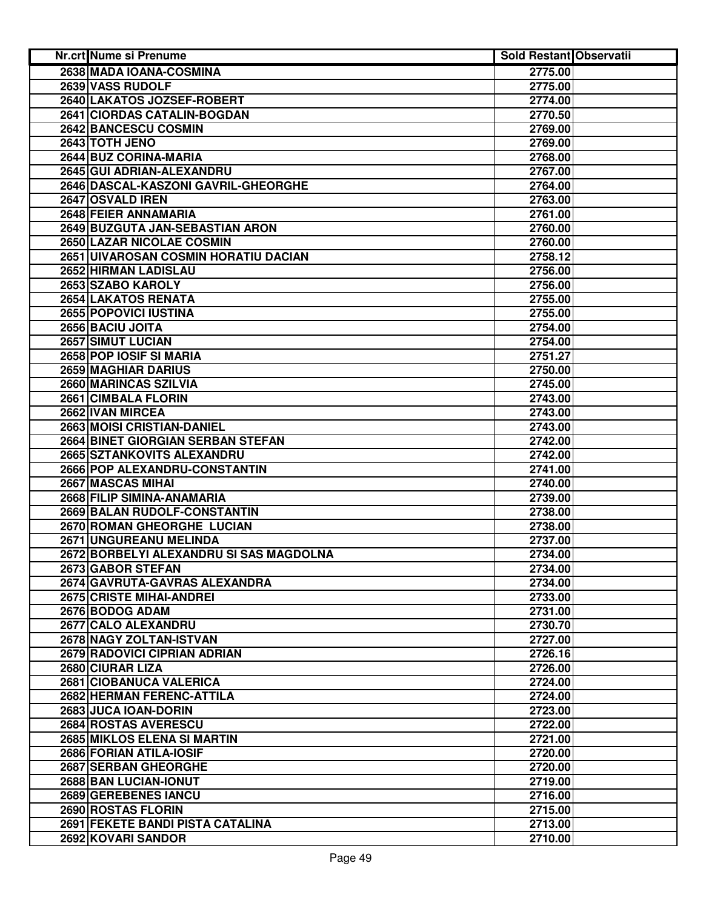| Nr.crt Nume si Prenume                  | <b>Sold Restant Observatii</b> |  |
|-----------------------------------------|--------------------------------|--|
| 2638 MADA IOANA-COSMINA                 | 2775.00                        |  |
| 2639 VASS RUDOLF                        | 2775.00                        |  |
| 2640 LAKATOS JOZSEF-ROBERT              | 2774.00                        |  |
| 2641 CIORDAS CATALIN-BOGDAN             | 2770.50                        |  |
| 2642 BANCESCU COSMIN                    | 2769.00                        |  |
| 2643 TOTH JENO                          | 2769.00                        |  |
| 2644 BUZ CORINA-MARIA                   | 2768.00                        |  |
| 2645 GUI ADRIAN-ALEXANDRU               | 2767.00                        |  |
| 2646 DASCAL-KASZONI GAVRIL-GHEORGHE     | 2764.00                        |  |
| 2647 OSVALD IREN                        | 2763.00                        |  |
| 2648 FEIER ANNAMARIA                    | 2761.00                        |  |
| 2649 BUZGUTA JAN-SEBASTIAN ARON         | 2760.00                        |  |
| 2650 LAZAR NICOLAE COSMIN               | 2760.00                        |  |
| 2651 UIVAROSAN COSMIN HORATIU DACIAN    | 2758.12                        |  |
| 2652 HIRMAN LADISLAU                    | 2756.00                        |  |
| 2653 SZABO KAROLY                       | 2756.00                        |  |
| 2654 LAKATOS RENATA                     | 2755.00                        |  |
| 2655 POPOVICI IUSTINA                   | 2755.00                        |  |
| 2656 BACIU JOITA                        | 2754.00                        |  |
| 2657 SIMUT LUCIAN                       | 2754.00                        |  |
| 2658 POP IOSIF SI MARIA                 | 2751.27                        |  |
| <b>2659 MAGHIAR DARIUS</b>              | 2750.00                        |  |
| 2660 MARINCAS SZILVIA                   | 2745.00                        |  |
| 2661 CIMBALA FLORIN                     | 2743.00                        |  |
| 2662 IVAN MIRCEA                        | 2743.00                        |  |
| 2663 MOISI CRISTIAN-DANIEL              | 2743.00                        |  |
| 2664 BINET GIORGIAN SERBAN STEFAN       | 2742.00                        |  |
| 2665 SZTANKOVITS ALEXANDRU              | 2742.00                        |  |
| 2666 POP ALEXANDRU-CONSTANTIN           | 2741.00                        |  |
| 2667 MASCAS MIHAI                       | 2740.00                        |  |
| 2668 FILIP SIMINA-ANAMARIA              | 2739.00                        |  |
| 2669 BALAN RUDOLF-CONSTANTIN            | 2738.00                        |  |
| 2670 ROMAN GHEORGHE LUCIAN              | 2738.00                        |  |
| 2671 UNGUREANU MELINDA                  | 2737.00                        |  |
| 2672 BORBELYI ALEXANDRU SI SAS MAGDOLNA | 2734.00                        |  |
| 2673 GABOR STEFAN                       | 2734.00                        |  |
| 2674 GAVRUTA-GAVRAS ALEXANDRA           | 2734.00                        |  |
| <b>2675 CRISTE MIHAI-ANDREI</b>         | 2733.00                        |  |
| 2676 BODOG ADAM                         | 2731.00                        |  |
| 2677 CALO ALEXANDRU                     | 2730.70                        |  |
| 2678 NAGY ZOLTAN-ISTVAN                 | 2727.00                        |  |
| 2679 RADOVICI CIPRIAN ADRIAN            | 2726.16                        |  |
| 2680 CIURAR LIZA                        | 2726.00                        |  |
| 2681 CIOBANUCA VALERICA                 | 2724.00                        |  |
| 2682 HERMAN FERENC-ATTILA               | 2724.00                        |  |
| 2683 JUCA IOAN-DORIN                    | 2723.00                        |  |
| 2684 ROSTAS AVERESCU                    | 2722.00                        |  |
| 2685 MIKLOS ELENA SI MARTIN             | 2721.00                        |  |
| 2686 FORIAN ATILA-IOSIF                 | 2720.00                        |  |
| 2687 SERBAN GHEORGHE                    | 2720.00                        |  |
| 2688 BAN LUCIAN-IONUT                   | 2719.00                        |  |
| 2689 GEREBENES IANCU                    | 2716.00                        |  |
| 2690 ROSTAS FLORIN                      | 2715.00                        |  |
| 2691 FEKETE BANDI PISTA CATALINA        | 2713.00                        |  |
| 2692 KOVARI SANDOR                      | 2710.00                        |  |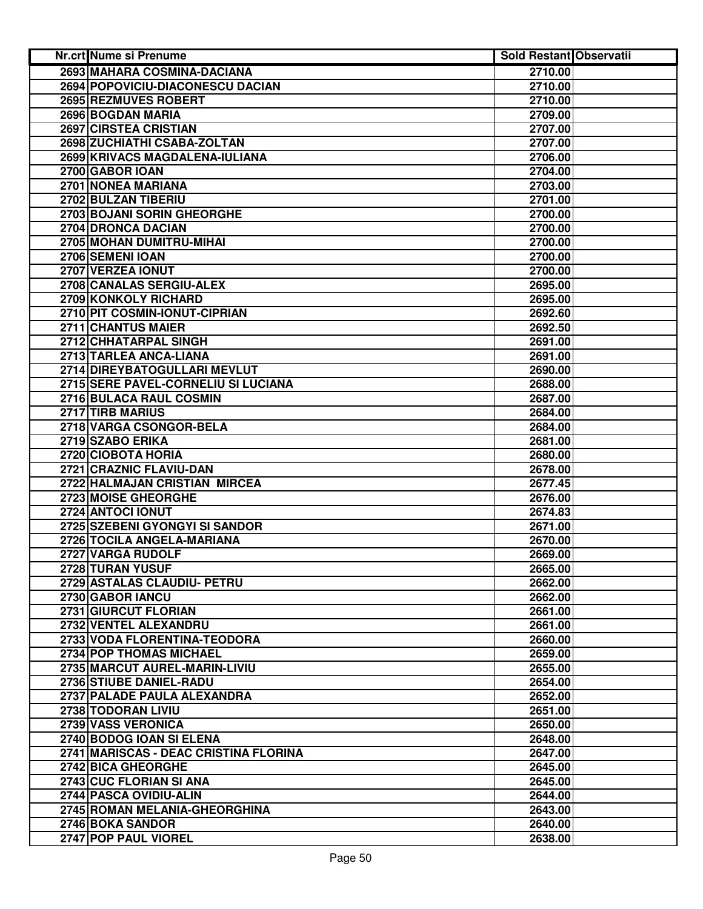| Nr.crt Nume si Prenume                | <b>Sold Restant Observatii</b> |  |
|---------------------------------------|--------------------------------|--|
| 2693 MAHARA COSMINA-DACIANA           | 2710.00                        |  |
| 2694 POPOVICIU-DIACONESCU DACIAN      | 2710.00                        |  |
| 2695 REZMUVES ROBERT                  | 2710.00                        |  |
| 2696 BOGDAN MARIA                     | 2709.00                        |  |
| 2697 CIRSTEA CRISTIAN                 | 2707.00                        |  |
| 2698 ZUCHIATHI CSABA-ZOLTAN           | 2707.00                        |  |
| 2699 KRIVACS MAGDALENA-IULIANA        | 2706.00                        |  |
| 2700 GABOR IOAN                       | 2704.00                        |  |
| 2701 NONEA MARIANA                    | 2703.00                        |  |
| 2702 BULZAN TIBERIU                   | 2701.00                        |  |
| 2703 BOJANI SORIN GHEORGHE            | 2700.00                        |  |
| 2704 DRONCA DACIAN                    | 2700.00                        |  |
| 2705 MOHAN DUMITRU-MIHAI              | 2700.00                        |  |
| 2706 SEMENI IOAN                      | 2700.00                        |  |
| 2707 VERZEA IONUT                     | 2700.00                        |  |
| 2708 CANALAS SERGIU-ALEX              | 2695.00                        |  |
| 2709 KONKOLY RICHARD                  | 2695.00                        |  |
| 2710 PIT COSMIN-IONUT-CIPRIAN         | 2692.60                        |  |
| 2711 CHANTUS MAIER                    | 2692.50                        |  |
| 2712 CHHATARPAL SINGH                 | 2691.00                        |  |
| 2713 TARLEA ANCA-LIANA                | 2691.00                        |  |
| 2714 DIREYBATOGULLARI MEVLUT          | 2690.00                        |  |
| 2715 SERE PAVEL-CORNELIU SI LUCIANA   | 2688.00                        |  |
| 2716 BULACA RAUL COSMIN               | 2687.00                        |  |
| 2717 TIRB MARIUS                      | 2684.00                        |  |
| 2718 VARGA CSONGOR-BELA               | 2684.00                        |  |
| 2719 SZABO ERIKA                      | 2681.00                        |  |
| 2720 CIOBOTA HORIA                    | 2680.00                        |  |
| 2721 CRAZNIC FLAVIU-DAN               | 2678.00                        |  |
| 2722 HALMAJAN CRISTIAN MIRCEA         | 2677.45                        |  |
| 2723 MOISE GHEORGHE                   | 2676.00                        |  |
| 2724 ANTOCI IONUT                     | 2674.83                        |  |
| 2725 SZEBENI GYONGYI SI SANDOR        | 2671.00                        |  |
| 2726 TOCILA ANGELA-MARIANA            | 2670.00                        |  |
| 2727 VARGA RUDOLF                     | 2669.00                        |  |
| 2728 TURAN YUSUF                      | 2665.00                        |  |
| 2729 ASTALAS CLAUDIU- PETRU           | 2662.00                        |  |
| 2730 GABOR IANCU                      | 2662.00                        |  |
| 2731 GIURCUT FLORIAN                  | 2661.00                        |  |
| 2732 VENTEL ALEXANDRU                 | 2661.00                        |  |
| 2733 VODA FLORENTINA-TEODORA          | 2660.00                        |  |
| 2734 POP THOMAS MICHAEL               | 2659.00                        |  |
| 2735 MARCUT AUREL-MARIN-LIVIU         | 2655.00                        |  |
| 2736 STIUBE DANIEL-RADU               | 2654.00                        |  |
| 2737 PALADE PAULA ALEXANDRA           | 2652.00                        |  |
| 2738 TODORAN LIVIU                    | 2651.00                        |  |
| 2739 VASS VERONICA                    | 2650.00                        |  |
| 2740 BODOG IOAN SI ELENA              | 2648.00                        |  |
| 2741 MARISCAS - DEAC CRISTINA FLORINA | 2647.00                        |  |
| 2742 BICA GHEORGHE                    | 2645.00                        |  |
| 2743 CUC FLORIAN SI ANA               | 2645.00                        |  |
| 2744 PASCA OVIDIU-ALIN                | 2644.00                        |  |
| 2745 ROMAN MELANIA-GHEORGHINA         | 2643.00                        |  |
| 2746 BOKA SANDOR                      | 2640.00                        |  |
| 2747 POP PAUL VIOREL                  | 2638.00                        |  |
|                                       |                                |  |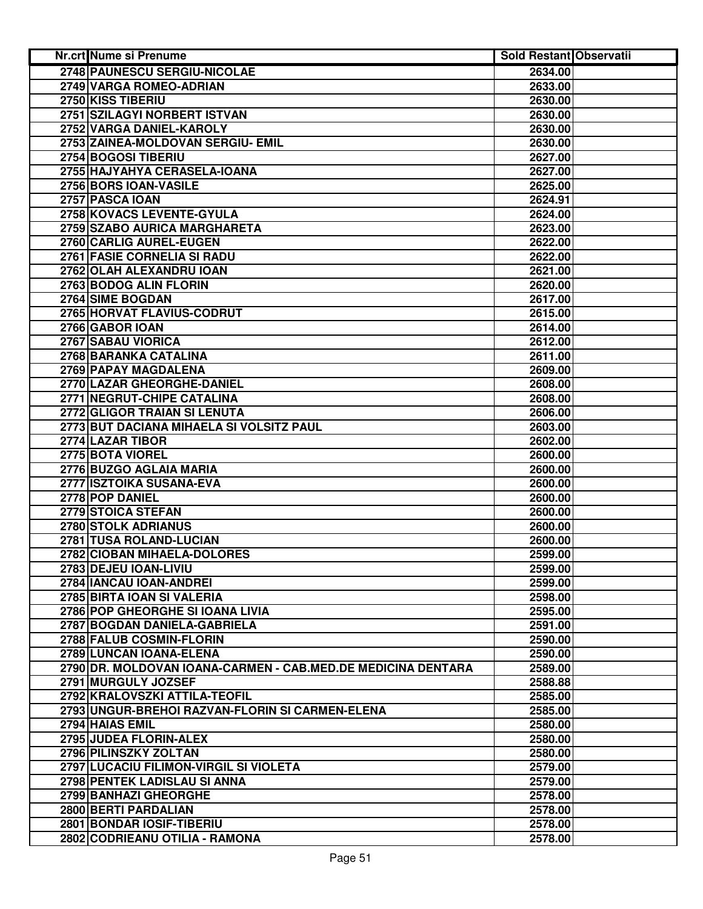| <b>Nr.crt Nume si Prenume</b>                                | <b>Sold Restant Observatii</b> |  |
|--------------------------------------------------------------|--------------------------------|--|
| 2748 PAUNESCU SERGIU-NICOLAE                                 | 2634.00                        |  |
| 2749 VARGA ROMEO-ADRIAN                                      | 2633.00                        |  |
| 2750 KISS TIBERIU                                            | 2630.00                        |  |
| 2751 SZILAGYI NORBERT ISTVAN                                 | 2630.00                        |  |
| 2752 VARGA DANIEL-KAROLY                                     | 2630.00                        |  |
| 2753 ZAINEA-MOLDOVAN SERGIU- EMIL                            | 2630.00                        |  |
| 2754 BOGOSI TIBERIU                                          | 2627.00                        |  |
| 2755 HAJYAHYA CERASELA-IOANA                                 | 2627.00                        |  |
| 2756 BORS IOAN-VASILE                                        | 2625.00                        |  |
| 2757 PASCA IOAN                                              | 2624.91                        |  |
| 2758 KOVACS LEVENTE-GYULA                                    | 2624.00                        |  |
| 2759 SZABO AURICA MARGHARETA                                 | 2623.00                        |  |
| 2760 CARLIG AUREL-EUGEN                                      | 2622.00                        |  |
| 2761 FASIE CORNELIA SI RADU                                  | 2622.00                        |  |
| 2762 OLAH ALEXANDRU IOAN                                     | 2621.00                        |  |
| 2763 BODOG ALIN FLORIN                                       | 2620.00                        |  |
| 2764 SIME BOGDAN                                             | 2617.00                        |  |
| 2765 HORVAT FLAVIUS-CODRUT                                   | 2615.00                        |  |
| 2766 GABOR IOAN                                              | 2614.00                        |  |
| 2767 SABAU VIORICA                                           | 2612.00                        |  |
| 2768 BARANKA CATALINA                                        | 2611.00                        |  |
| 2769 PAPAY MAGDALENA                                         | 2609.00                        |  |
| 2770 LAZAR GHEORGHE-DANIEL                                   | 2608.00                        |  |
| <b>2771 NEGRUT-CHIPE CATALINA</b>                            | 2608.00                        |  |
| 2772 GLIGOR TRAIAN SI LENUTA                                 | 2606.00                        |  |
| 2773 BUT DACIANA MIHAELA SI VOLSITZ PAUL                     | 2603.00                        |  |
| 2774 LAZAR TIBOR                                             | 2602.00                        |  |
| 2775 BOTA VIOREL                                             | 2600.00                        |  |
| 2776 BUZGO AGLAIA MARIA                                      | 2600.00                        |  |
| 2777 ISZTOIKA SUSANA-EVA                                     | 2600.00                        |  |
| 2778 POP DANIEL                                              | 2600.00                        |  |
| 2779 STOICA STEFAN                                           | 2600.00                        |  |
| 2780 STOLK ADRIANUS                                          | 2600.00                        |  |
| 2781 TUSA ROLAND-LUCIAN                                      | 2600.00                        |  |
| 2782 CIOBAN MIHAELA-DOLORES                                  | 2599.00                        |  |
| 2783 DEJEU IOAN-LIVIU                                        | 2599.00                        |  |
| 2784 IANCAU IOAN-ANDREI                                      | 2599.00                        |  |
| 2785 BIRTA IOAN SI VALERIA                                   | 2598.00                        |  |
| 2786 POP GHEORGHE SI IOANA LIVIA                             | 2595.00                        |  |
| 2787 BOGDAN DANIELA-GABRIELA                                 | 2591.00                        |  |
| 2788 FALUB COSMIN-FLORIN                                     | 2590.00                        |  |
| 2789 LUNCAN IOANA-ELENA                                      | 2590.00                        |  |
| 2790 DR. MOLDOVAN IOANA-CARMEN - CAB.MED.DE MEDICINA DENTARA | 2589.00                        |  |
| 2791 MURGULY JOZSEF                                          | 2588.88                        |  |
| 2792 KRALOVSZKI ATTILA-TEOFIL                                | 2585.00                        |  |
| 2793 UNGUR-BREHOI RAZVAN-FLORIN SI CARMEN-ELENA              | 2585.00                        |  |
| 2794 HAIAS EMIL                                              | 2580.00                        |  |
| 2795 JUDEA FLORIN-ALEX                                       | 2580.00                        |  |
| 2796 PILINSZKY ZOLTAN                                        | 2580.00                        |  |
| 2797 LUCACIU FILIMON-VIRGIL SI VIOLETA                       | 2579.00                        |  |
| 2798 PENTEK LADISLAU SI ANNA                                 | 2579.00                        |  |
| 2799 BANHAZI GHEORGHE                                        | 2578.00                        |  |
| 2800 BERTI PARDALIAN                                         | 2578.00                        |  |
| 2801 BONDAR IOSIF-TIBERIU                                    | 2578.00                        |  |
| 2802 CODRIEANU OTILIA - RAMONA                               | 2578.00                        |  |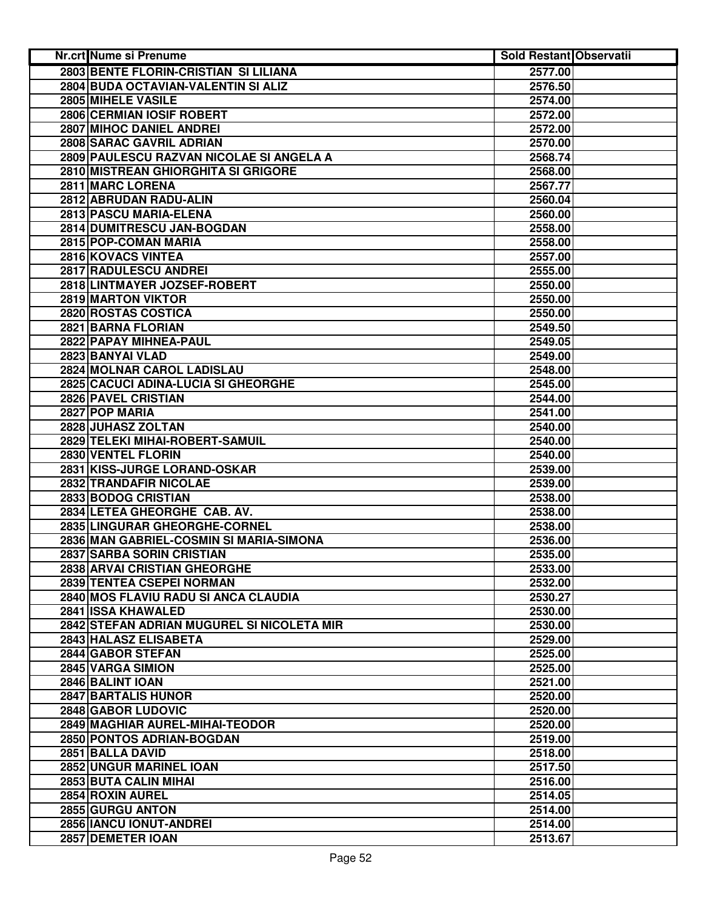| Nr.crt Nume si Prenume                       | <b>Sold Restant Observatii</b> |  |
|----------------------------------------------|--------------------------------|--|
| <b>2803 BENTE FLORIN-CRISTIAN SI LILIANA</b> | 2577.00                        |  |
| 2804 BUDA OCTAVIAN-VALENTIN SI ALIZ          | 2576.50                        |  |
| 2805 MIHELE VASILE                           | 2574.00                        |  |
| <b>2806 CERMIAN IOSIF ROBERT</b>             | 2572.00                        |  |
| 2807 MIHOC DANIEL ANDREI                     | 2572.00                        |  |
| 2808 SARAC GAVRIL ADRIAN                     | 2570.00                        |  |
| 2809 PAULESCU RAZVAN NICOLAE SI ANGELA A     | 2568.74                        |  |
| 2810 MISTREAN GHIORGHITA SI GRIGORE          | 2568.00                        |  |
| 2811 MARC LORENA                             | 2567.77                        |  |
| 2812 ABRUDAN RADU-ALIN                       | 2560.04                        |  |
| 2813 PASCU MARIA-ELENA                       | 2560.00                        |  |
| 2814 DUMITRESCU JAN-BOGDAN                   | 2558.00                        |  |
| 2815 POP-COMAN MARIA                         | 2558.00                        |  |
| 2816 KOVACS VINTEA                           | 2557.00                        |  |
| 2817 RADULESCU ANDREI                        | 2555.00                        |  |
| 2818 LINTMAYER JOZSEF-ROBERT                 | 2550.00                        |  |
| 2819 MARTON VIKTOR                           | 2550.00                        |  |
| 2820 ROSTAS COSTICA                          | 2550.00                        |  |
| 2821 BARNA FLORIAN                           | 2549.50                        |  |
| 2822 PAPAY MIHNEA-PAUL                       | 2549.05                        |  |
| 2823 BANYAI VLAD                             | 2549.00                        |  |
| 2824 MOLNAR CAROL LADISLAU                   | 2548.00                        |  |
| 2825 CACUCI ADINA-LUCIA SI GHEORGHE          | 2545.00                        |  |
| 2826 PAVEL CRISTIAN                          | 2544.00                        |  |
| 2827 POP MARIA                               | 2541.00                        |  |
| 2828 JUHASZ ZOLTAN                           | 2540.00                        |  |
| 2829 TELEKI MIHAI-ROBERT-SAMUIL              | 2540.00                        |  |
| 2830 VENTEL FLORIN                           | 2540.00                        |  |
| 2831 KISS-JURGE LORAND-OSKAR                 | 2539.00                        |  |
| 2832 TRANDAFIR NICOLAE                       | 2539.00                        |  |
| 2833 BODOG CRISTIAN                          | 2538.00                        |  |
| 2834 LETEA GHEORGHE CAB. AV.                 | 2538.00                        |  |
| 2835 LINGURAR GHEORGHE-CORNEL                | 2538.00                        |  |
| 2836 MAN GABRIEL-COSMIN SI MARIA-SIMONA      | 2536.00                        |  |
| 2837 SARBA SORIN CRISTIAN                    | 2535.00                        |  |
| 2838 ARVAI CRISTIAN GHEORGHE                 | 2533.00                        |  |
| 2839 TENTEA CSEPEI NORMAN                    | 2532.00                        |  |
| 2840 MOS FLAVIU RADU SI ANCA CLAUDIA         | 2530.27                        |  |
| 2841 ISSA KHAWALED                           | 2530.00                        |  |
| 2842 STEFAN ADRIAN MUGUREL SI NICOLETA MIR   | 2530.00                        |  |
| 2843 HALASZ ELISABETA                        | 2529.00                        |  |
| 2844 GABOR STEFAN                            | 2525.00                        |  |
| 2845 VARGA SIMION                            | 2525.00                        |  |
| 2846 BALINT IOAN                             | 2521.00                        |  |
| 2847 BARTALIS HUNOR                          | 2520.00                        |  |
| 2848 GABOR LUDOVIC                           | 2520.00                        |  |
| 2849 MAGHIAR AUREL-MIHAI-TEODOR              | 2520.00                        |  |
| 2850 PONTOS ADRIAN-BOGDAN                    | 2519.00                        |  |
| 2851 BALLA DAVID                             | 2518.00                        |  |
| 2852 UNGUR MARINEL IOAN                      | 2517.50                        |  |
| 2853 BUTA CALIN MIHAI                        | 2516.00                        |  |
| 2854 ROXIN AUREL                             | 2514.05                        |  |
| 2855 GURGU ANTON                             | 2514.00                        |  |
| 2856 IANCU IONUT-ANDREI                      | 2514.00                        |  |
| 2857 DEMETER IOAN                            | 2513.67                        |  |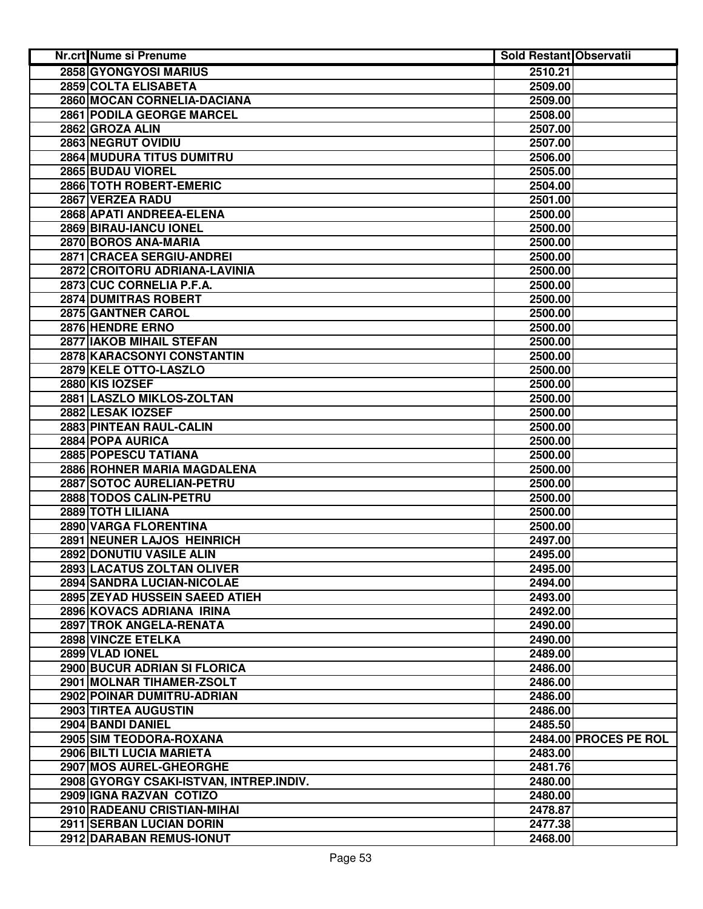| Nr.crt Nume si Prenume                  | <b>Sold Restant Observatii</b> |                       |
|-----------------------------------------|--------------------------------|-----------------------|
| 2858 GYONGYOSI MARIUS                   | 2510.21                        |                       |
| 2859 COLTA ELISABETA                    | 2509.00                        |                       |
| 2860 MOCAN CORNELIA-DACIANA             | 2509.00                        |                       |
| 2861 PODILA GEORGE MARCEL               | 2508.00                        |                       |
| 2862 GROZA ALIN                         | 2507.00                        |                       |
| 2863 NEGRUT OVIDIU                      | 2507.00                        |                       |
| <b>2864 MUDURA TITUS DUMITRU</b>        | 2506.00                        |                       |
| 2865 BUDAU VIOREL                       | 2505.00                        |                       |
| 2866 TOTH ROBERT-EMERIC                 | 2504.00                        |                       |
| 2867 VERZEA RADU                        | 2501.00                        |                       |
| 2868 APATI ANDREEA-ELENA                | 2500.00                        |                       |
| 2869 BIRAU-IANCU IONEL                  | 2500.00                        |                       |
| 2870 BOROS ANA-MARIA                    | 2500.00                        |                       |
| 2871 CRACEA SERGIU-ANDREI               | 2500.00                        |                       |
| 2872 CROITORU ADRIANA-LAVINIA           | 2500.00                        |                       |
| 2873 CUC CORNELIA P.F.A.                | 2500.00                        |                       |
| 2874 DUMITRAS ROBERT                    | 2500.00                        |                       |
| 2875 GANTNER CAROL                      | 2500.00                        |                       |
| 2876 HENDRE ERNO                        | 2500.00                        |                       |
| 2877 IAKOB MIHAIL STEFAN                | 2500.00                        |                       |
| <b>2878 KARACSONYI CONSTANTIN</b>       | 2500.00                        |                       |
| 2879 KELE OTTO-LASZLO                   | 2500.00                        |                       |
| 2880 KIS IOZSEF                         | 2500.00                        |                       |
| 2881 LASZLO MIKLOS-ZOLTAN               | 2500.00                        |                       |
| 2882 LESAK IOZSEF                       | 2500.00                        |                       |
| 2883 PINTEAN RAUL-CALIN                 | 2500.00                        |                       |
| 2884 POPA AURICA                        | 2500.00                        |                       |
| 2885 POPESCU TATIANA                    | 2500.00                        |                       |
| 2886 ROHNER MARIA MAGDALENA             | 2500.00                        |                       |
| 2887 SOTOC AURELIAN-PETRU               | 2500.00                        |                       |
| 2888 TODOS CALIN-PETRU                  | 2500.00                        |                       |
| 2889 TOTH LILIANA                       | 2500.00                        |                       |
| 2890 VARGA FLORENTINA                   | 2500.00                        |                       |
| 2891 NEUNER LAJOS HEINRICH              | 2497.00                        |                       |
| 2892 DONUTIU VASILE ALIN                | 2495.00                        |                       |
| 2893 LACATUS ZOLTAN OLIVER              | 2495.00                        |                       |
| 2894 SANDRA LUCIAN-NICOLAE              | 2494.00                        |                       |
| 2895 ZEYAD HUSSEIN SAEED ATIEH          | 2493.00                        |                       |
| 2896 KOVACS ADRIANA IRINA               | 2492.00                        |                       |
| 2897 TROK ANGELA-RENATA                 | 2490.00                        |                       |
| 2898 VINCZE ETELKA                      | 2490.00                        |                       |
| 2899 VLAD IONEL                         | 2489.00                        |                       |
| 2900 BUCUR ADRIAN SI FLORICA            | 2486.00                        |                       |
| 2901 MOLNAR TIHAMER-ZSOLT               | 2486.00                        |                       |
| 2902 POINAR DUMITRU-ADRIAN              | 2486.00                        |                       |
| 2903 TIRTEA AUGUSTIN                    | 2486.00                        |                       |
| 2904 BANDI DANIEL                       | 2485.50                        |                       |
| 2905 SIM TEODORA-ROXANA                 |                                | 2484.00 PROCES PE ROL |
| 2906 BILTI LUCIA MARIETA                | 2483.00                        |                       |
| 2907 MOS AUREL-GHEORGHE                 | 2481.76                        |                       |
| 2908 GYORGY CSAKI-ISTVAN, INTREP.INDIV. | 2480.00                        |                       |
| 2909 IGNA RAZVAN COTIZO                 | 2480.00                        |                       |
| 2910 RADEANU CRISTIAN-MIHAI             | 2478.87                        |                       |
| 2911 SERBAN LUCIAN DORIN                | 2477.38                        |                       |
| 2912 DARABAN REMUS-IONUT                | 2468.00                        |                       |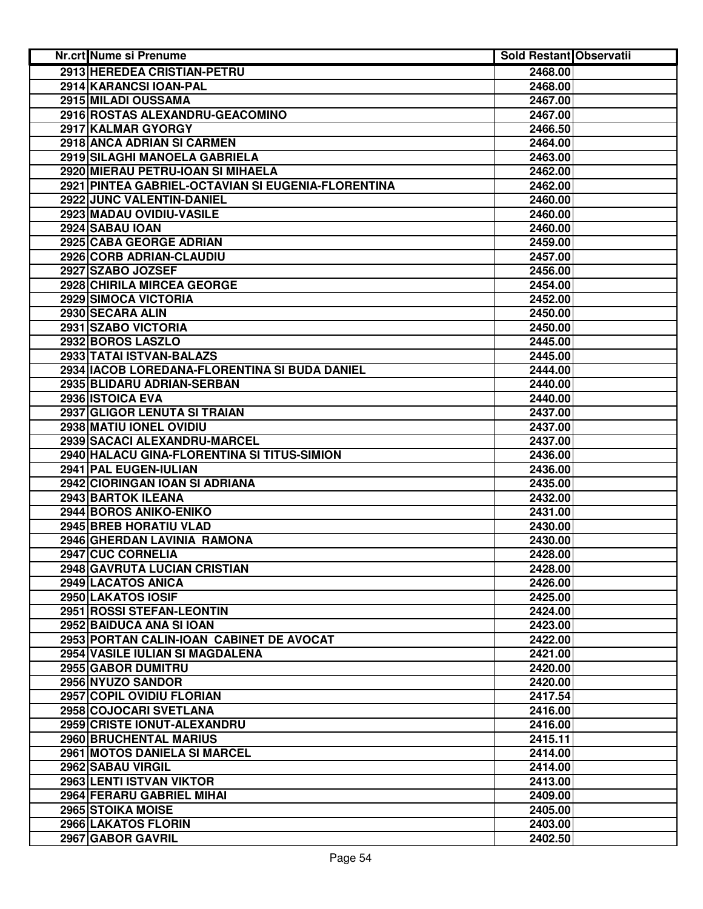| 2913 HEREDEA CRISTIAN-PETRU<br>2468.00<br>2914 KARANCSI IOAN-PAL<br>2468.00<br>2915 MILADI OUSSAMA<br>2467.00<br>2916 ROSTAS ALEXANDRU-GEACOMINO<br>2467.00<br>2917 KALMAR GYORGY<br>2466.50<br>2918 ANCA ADRIAN SI CARMEN<br>2464.00<br>2919 SILAGHI MANOELA GABRIELA<br>2463.00<br>2920 MIERAU PETRU-IOAN SI MIHAELA<br>2462.00<br>2921 PINTEA GABRIEL-OCTAVIAN SI EUGENIA-FLORENTINA<br>2462.00<br>2922 JUNC VALENTIN-DANIEL<br>2460.00<br>2923 MADAU OVIDIU-VASILE<br>2460.00<br>2924 SABAU IOAN<br>2460.00<br>2925 CABA GEORGE ADRIAN<br>2459.00<br>2926 CORB ADRIAN-CLAUDIU<br>2457.00<br>2927 SZABO JOZSEF<br>2456.00<br>2928 CHIRILA MIRCEA GEORGE<br>2454.00<br>2929 SIMOCA VICTORIA<br>2452.00<br>2930 SECARA ALIN<br>2450.00<br>2931 SZABO VICTORIA<br>2450.00<br>2932 BOROS LASZLO<br>2445.00<br>2933 TATAI ISTVAN-BALAZS<br>2445.00<br>2934 IACOB LOREDANA-FLORENTINA SI BUDA DANIEL<br>2444.00<br>2935 BLIDARU ADRIAN-SERBAN<br>2440.00<br>2936 ISTOICA EVA<br>2440.00<br>2937 GLIGOR LENUTA SI TRAIAN<br>2437.00<br>2938 MATIU IONEL OVIDIU<br>2437.00<br>2939 SACACI ALEXANDRU-MARCEL<br>2437.00<br>2940 HALACU GINA-FLORENTINA SI TITUS-SIMION<br>2436.00<br>2941 PAL EUGEN-IULIAN<br>2436.00<br>2942 CIORINGAN IOAN SI ADRIANA<br>2435.00<br>2943 BARTOK ILEANA<br>2432.00<br>2944 BOROS ANIKO-ENIKO<br>2431.00<br>2945 BREB HORATIU VLAD<br>2430.00<br>2946 GHERDAN LAVINIA RAMONA<br>2430.00<br>2947 CUC CORNELIA<br>2428.00<br>2948 GAVRUTA LUCIAN CRISTIAN<br>2428.00<br>2949 LACATOS ANICA<br>2426.00<br>2950 LAKATOS IOSIF<br>2425.00<br>2951 ROSSI STEFAN-LEONTIN<br>2424.00<br>2952 BAIDUCA ANA SI IOAN<br>2423.00<br>2953 PORTAN CALIN-IOAN CABINET DE AVOCAT<br>2422.00<br>2954 VASILE IULIAN SI MAGDALENA<br>2421.00<br>2955 GABOR DUMITRU<br>2420.00<br>2956 NYUZO SANDOR<br>2420.00<br>2957 COPIL OVIDIU FLORIAN<br>2417.54<br>2958 COJOCARI SVETLANA<br>2416.00<br>2959 CRISTE IONUT-ALEXANDRU<br>2416.00<br>2960 BRUCHENTAL MARIUS<br>2415.11<br>2961 MOTOS DANIELA SI MARCEL<br>2414.00<br>2962 SABAU VIRGIL<br>2414.00<br>2963 LENTI ISTVAN VIKTOR<br>2413.00<br>2964 FERARU GABRIEL MIHAI<br>2409.00<br>2965 STOIKA MOISE<br>2405.00<br>2966 LAKATOS FLORIN<br>2403.00<br>2967 GABOR GAVRIL<br>2402.50 | Nr.crt Nume si Prenume | <b>Sold Restant Observatii</b> |  |
|--------------------------------------------------------------------------------------------------------------------------------------------------------------------------------------------------------------------------------------------------------------------------------------------------------------------------------------------------------------------------------------------------------------------------------------------------------------------------------------------------------------------------------------------------------------------------------------------------------------------------------------------------------------------------------------------------------------------------------------------------------------------------------------------------------------------------------------------------------------------------------------------------------------------------------------------------------------------------------------------------------------------------------------------------------------------------------------------------------------------------------------------------------------------------------------------------------------------------------------------------------------------------------------------------------------------------------------------------------------------------------------------------------------------------------------------------------------------------------------------------------------------------------------------------------------------------------------------------------------------------------------------------------------------------------------------------------------------------------------------------------------------------------------------------------------------------------------------------------------------------------------------------------------------------------------------------------------------------------------------------------------------------------------------------------------------------------------------------------------------------------------------------------------------------------------------------------------------------------------------|------------------------|--------------------------------|--|
|                                                                                                                                                                                                                                                                                                                                                                                                                                                                                                                                                                                                                                                                                                                                                                                                                                                                                                                                                                                                                                                                                                                                                                                                                                                                                                                                                                                                                                                                                                                                                                                                                                                                                                                                                                                                                                                                                                                                                                                                                                                                                                                                                                                                                                            |                        |                                |  |
|                                                                                                                                                                                                                                                                                                                                                                                                                                                                                                                                                                                                                                                                                                                                                                                                                                                                                                                                                                                                                                                                                                                                                                                                                                                                                                                                                                                                                                                                                                                                                                                                                                                                                                                                                                                                                                                                                                                                                                                                                                                                                                                                                                                                                                            |                        |                                |  |
|                                                                                                                                                                                                                                                                                                                                                                                                                                                                                                                                                                                                                                                                                                                                                                                                                                                                                                                                                                                                                                                                                                                                                                                                                                                                                                                                                                                                                                                                                                                                                                                                                                                                                                                                                                                                                                                                                                                                                                                                                                                                                                                                                                                                                                            |                        |                                |  |
|                                                                                                                                                                                                                                                                                                                                                                                                                                                                                                                                                                                                                                                                                                                                                                                                                                                                                                                                                                                                                                                                                                                                                                                                                                                                                                                                                                                                                                                                                                                                                                                                                                                                                                                                                                                                                                                                                                                                                                                                                                                                                                                                                                                                                                            |                        |                                |  |
|                                                                                                                                                                                                                                                                                                                                                                                                                                                                                                                                                                                                                                                                                                                                                                                                                                                                                                                                                                                                                                                                                                                                                                                                                                                                                                                                                                                                                                                                                                                                                                                                                                                                                                                                                                                                                                                                                                                                                                                                                                                                                                                                                                                                                                            |                        |                                |  |
|                                                                                                                                                                                                                                                                                                                                                                                                                                                                                                                                                                                                                                                                                                                                                                                                                                                                                                                                                                                                                                                                                                                                                                                                                                                                                                                                                                                                                                                                                                                                                                                                                                                                                                                                                                                                                                                                                                                                                                                                                                                                                                                                                                                                                                            |                        |                                |  |
|                                                                                                                                                                                                                                                                                                                                                                                                                                                                                                                                                                                                                                                                                                                                                                                                                                                                                                                                                                                                                                                                                                                                                                                                                                                                                                                                                                                                                                                                                                                                                                                                                                                                                                                                                                                                                                                                                                                                                                                                                                                                                                                                                                                                                                            |                        |                                |  |
|                                                                                                                                                                                                                                                                                                                                                                                                                                                                                                                                                                                                                                                                                                                                                                                                                                                                                                                                                                                                                                                                                                                                                                                                                                                                                                                                                                                                                                                                                                                                                                                                                                                                                                                                                                                                                                                                                                                                                                                                                                                                                                                                                                                                                                            |                        |                                |  |
|                                                                                                                                                                                                                                                                                                                                                                                                                                                                                                                                                                                                                                                                                                                                                                                                                                                                                                                                                                                                                                                                                                                                                                                                                                                                                                                                                                                                                                                                                                                                                                                                                                                                                                                                                                                                                                                                                                                                                                                                                                                                                                                                                                                                                                            |                        |                                |  |
|                                                                                                                                                                                                                                                                                                                                                                                                                                                                                                                                                                                                                                                                                                                                                                                                                                                                                                                                                                                                                                                                                                                                                                                                                                                                                                                                                                                                                                                                                                                                                                                                                                                                                                                                                                                                                                                                                                                                                                                                                                                                                                                                                                                                                                            |                        |                                |  |
|                                                                                                                                                                                                                                                                                                                                                                                                                                                                                                                                                                                                                                                                                                                                                                                                                                                                                                                                                                                                                                                                                                                                                                                                                                                                                                                                                                                                                                                                                                                                                                                                                                                                                                                                                                                                                                                                                                                                                                                                                                                                                                                                                                                                                                            |                        |                                |  |
|                                                                                                                                                                                                                                                                                                                                                                                                                                                                                                                                                                                                                                                                                                                                                                                                                                                                                                                                                                                                                                                                                                                                                                                                                                                                                                                                                                                                                                                                                                                                                                                                                                                                                                                                                                                                                                                                                                                                                                                                                                                                                                                                                                                                                                            |                        |                                |  |
|                                                                                                                                                                                                                                                                                                                                                                                                                                                                                                                                                                                                                                                                                                                                                                                                                                                                                                                                                                                                                                                                                                                                                                                                                                                                                                                                                                                                                                                                                                                                                                                                                                                                                                                                                                                                                                                                                                                                                                                                                                                                                                                                                                                                                                            |                        |                                |  |
|                                                                                                                                                                                                                                                                                                                                                                                                                                                                                                                                                                                                                                                                                                                                                                                                                                                                                                                                                                                                                                                                                                                                                                                                                                                                                                                                                                                                                                                                                                                                                                                                                                                                                                                                                                                                                                                                                                                                                                                                                                                                                                                                                                                                                                            |                        |                                |  |
|                                                                                                                                                                                                                                                                                                                                                                                                                                                                                                                                                                                                                                                                                                                                                                                                                                                                                                                                                                                                                                                                                                                                                                                                                                                                                                                                                                                                                                                                                                                                                                                                                                                                                                                                                                                                                                                                                                                                                                                                                                                                                                                                                                                                                                            |                        |                                |  |
|                                                                                                                                                                                                                                                                                                                                                                                                                                                                                                                                                                                                                                                                                                                                                                                                                                                                                                                                                                                                                                                                                                                                                                                                                                                                                                                                                                                                                                                                                                                                                                                                                                                                                                                                                                                                                                                                                                                                                                                                                                                                                                                                                                                                                                            |                        |                                |  |
|                                                                                                                                                                                                                                                                                                                                                                                                                                                                                                                                                                                                                                                                                                                                                                                                                                                                                                                                                                                                                                                                                                                                                                                                                                                                                                                                                                                                                                                                                                                                                                                                                                                                                                                                                                                                                                                                                                                                                                                                                                                                                                                                                                                                                                            |                        |                                |  |
|                                                                                                                                                                                                                                                                                                                                                                                                                                                                                                                                                                                                                                                                                                                                                                                                                                                                                                                                                                                                                                                                                                                                                                                                                                                                                                                                                                                                                                                                                                                                                                                                                                                                                                                                                                                                                                                                                                                                                                                                                                                                                                                                                                                                                                            |                        |                                |  |
|                                                                                                                                                                                                                                                                                                                                                                                                                                                                                                                                                                                                                                                                                                                                                                                                                                                                                                                                                                                                                                                                                                                                                                                                                                                                                                                                                                                                                                                                                                                                                                                                                                                                                                                                                                                                                                                                                                                                                                                                                                                                                                                                                                                                                                            |                        |                                |  |
|                                                                                                                                                                                                                                                                                                                                                                                                                                                                                                                                                                                                                                                                                                                                                                                                                                                                                                                                                                                                                                                                                                                                                                                                                                                                                                                                                                                                                                                                                                                                                                                                                                                                                                                                                                                                                                                                                                                                                                                                                                                                                                                                                                                                                                            |                        |                                |  |
|                                                                                                                                                                                                                                                                                                                                                                                                                                                                                                                                                                                                                                                                                                                                                                                                                                                                                                                                                                                                                                                                                                                                                                                                                                                                                                                                                                                                                                                                                                                                                                                                                                                                                                                                                                                                                                                                                                                                                                                                                                                                                                                                                                                                                                            |                        |                                |  |
|                                                                                                                                                                                                                                                                                                                                                                                                                                                                                                                                                                                                                                                                                                                                                                                                                                                                                                                                                                                                                                                                                                                                                                                                                                                                                                                                                                                                                                                                                                                                                                                                                                                                                                                                                                                                                                                                                                                                                                                                                                                                                                                                                                                                                                            |                        |                                |  |
|                                                                                                                                                                                                                                                                                                                                                                                                                                                                                                                                                                                                                                                                                                                                                                                                                                                                                                                                                                                                                                                                                                                                                                                                                                                                                                                                                                                                                                                                                                                                                                                                                                                                                                                                                                                                                                                                                                                                                                                                                                                                                                                                                                                                                                            |                        |                                |  |
|                                                                                                                                                                                                                                                                                                                                                                                                                                                                                                                                                                                                                                                                                                                                                                                                                                                                                                                                                                                                                                                                                                                                                                                                                                                                                                                                                                                                                                                                                                                                                                                                                                                                                                                                                                                                                                                                                                                                                                                                                                                                                                                                                                                                                                            |                        |                                |  |
|                                                                                                                                                                                                                                                                                                                                                                                                                                                                                                                                                                                                                                                                                                                                                                                                                                                                                                                                                                                                                                                                                                                                                                                                                                                                                                                                                                                                                                                                                                                                                                                                                                                                                                                                                                                                                                                                                                                                                                                                                                                                                                                                                                                                                                            |                        |                                |  |
|                                                                                                                                                                                                                                                                                                                                                                                                                                                                                                                                                                                                                                                                                                                                                                                                                                                                                                                                                                                                                                                                                                                                                                                                                                                                                                                                                                                                                                                                                                                                                                                                                                                                                                                                                                                                                                                                                                                                                                                                                                                                                                                                                                                                                                            |                        |                                |  |
|                                                                                                                                                                                                                                                                                                                                                                                                                                                                                                                                                                                                                                                                                                                                                                                                                                                                                                                                                                                                                                                                                                                                                                                                                                                                                                                                                                                                                                                                                                                                                                                                                                                                                                                                                                                                                                                                                                                                                                                                                                                                                                                                                                                                                                            |                        |                                |  |
|                                                                                                                                                                                                                                                                                                                                                                                                                                                                                                                                                                                                                                                                                                                                                                                                                                                                                                                                                                                                                                                                                                                                                                                                                                                                                                                                                                                                                                                                                                                                                                                                                                                                                                                                                                                                                                                                                                                                                                                                                                                                                                                                                                                                                                            |                        |                                |  |
|                                                                                                                                                                                                                                                                                                                                                                                                                                                                                                                                                                                                                                                                                                                                                                                                                                                                                                                                                                                                                                                                                                                                                                                                                                                                                                                                                                                                                                                                                                                                                                                                                                                                                                                                                                                                                                                                                                                                                                                                                                                                                                                                                                                                                                            |                        |                                |  |
|                                                                                                                                                                                                                                                                                                                                                                                                                                                                                                                                                                                                                                                                                                                                                                                                                                                                                                                                                                                                                                                                                                                                                                                                                                                                                                                                                                                                                                                                                                                                                                                                                                                                                                                                                                                                                                                                                                                                                                                                                                                                                                                                                                                                                                            |                        |                                |  |
|                                                                                                                                                                                                                                                                                                                                                                                                                                                                                                                                                                                                                                                                                                                                                                                                                                                                                                                                                                                                                                                                                                                                                                                                                                                                                                                                                                                                                                                                                                                                                                                                                                                                                                                                                                                                                                                                                                                                                                                                                                                                                                                                                                                                                                            |                        |                                |  |
|                                                                                                                                                                                                                                                                                                                                                                                                                                                                                                                                                                                                                                                                                                                                                                                                                                                                                                                                                                                                                                                                                                                                                                                                                                                                                                                                                                                                                                                                                                                                                                                                                                                                                                                                                                                                                                                                                                                                                                                                                                                                                                                                                                                                                                            |                        |                                |  |
|                                                                                                                                                                                                                                                                                                                                                                                                                                                                                                                                                                                                                                                                                                                                                                                                                                                                                                                                                                                                                                                                                                                                                                                                                                                                                                                                                                                                                                                                                                                                                                                                                                                                                                                                                                                                                                                                                                                                                                                                                                                                                                                                                                                                                                            |                        |                                |  |
|                                                                                                                                                                                                                                                                                                                                                                                                                                                                                                                                                                                                                                                                                                                                                                                                                                                                                                                                                                                                                                                                                                                                                                                                                                                                                                                                                                                                                                                                                                                                                                                                                                                                                                                                                                                                                                                                                                                                                                                                                                                                                                                                                                                                                                            |                        |                                |  |
|                                                                                                                                                                                                                                                                                                                                                                                                                                                                                                                                                                                                                                                                                                                                                                                                                                                                                                                                                                                                                                                                                                                                                                                                                                                                                                                                                                                                                                                                                                                                                                                                                                                                                                                                                                                                                                                                                                                                                                                                                                                                                                                                                                                                                                            |                        |                                |  |
|                                                                                                                                                                                                                                                                                                                                                                                                                                                                                                                                                                                                                                                                                                                                                                                                                                                                                                                                                                                                                                                                                                                                                                                                                                                                                                                                                                                                                                                                                                                                                                                                                                                                                                                                                                                                                                                                                                                                                                                                                                                                                                                                                                                                                                            |                        |                                |  |
|                                                                                                                                                                                                                                                                                                                                                                                                                                                                                                                                                                                                                                                                                                                                                                                                                                                                                                                                                                                                                                                                                                                                                                                                                                                                                                                                                                                                                                                                                                                                                                                                                                                                                                                                                                                                                                                                                                                                                                                                                                                                                                                                                                                                                                            |                        |                                |  |
|                                                                                                                                                                                                                                                                                                                                                                                                                                                                                                                                                                                                                                                                                                                                                                                                                                                                                                                                                                                                                                                                                                                                                                                                                                                                                                                                                                                                                                                                                                                                                                                                                                                                                                                                                                                                                                                                                                                                                                                                                                                                                                                                                                                                                                            |                        |                                |  |
|                                                                                                                                                                                                                                                                                                                                                                                                                                                                                                                                                                                                                                                                                                                                                                                                                                                                                                                                                                                                                                                                                                                                                                                                                                                                                                                                                                                                                                                                                                                                                                                                                                                                                                                                                                                                                                                                                                                                                                                                                                                                                                                                                                                                                                            |                        |                                |  |
|                                                                                                                                                                                                                                                                                                                                                                                                                                                                                                                                                                                                                                                                                                                                                                                                                                                                                                                                                                                                                                                                                                                                                                                                                                                                                                                                                                                                                                                                                                                                                                                                                                                                                                                                                                                                                                                                                                                                                                                                                                                                                                                                                                                                                                            |                        |                                |  |
|                                                                                                                                                                                                                                                                                                                                                                                                                                                                                                                                                                                                                                                                                                                                                                                                                                                                                                                                                                                                                                                                                                                                                                                                                                                                                                                                                                                                                                                                                                                                                                                                                                                                                                                                                                                                                                                                                                                                                                                                                                                                                                                                                                                                                                            |                        |                                |  |
|                                                                                                                                                                                                                                                                                                                                                                                                                                                                                                                                                                                                                                                                                                                                                                                                                                                                                                                                                                                                                                                                                                                                                                                                                                                                                                                                                                                                                                                                                                                                                                                                                                                                                                                                                                                                                                                                                                                                                                                                                                                                                                                                                                                                                                            |                        |                                |  |
|                                                                                                                                                                                                                                                                                                                                                                                                                                                                                                                                                                                                                                                                                                                                                                                                                                                                                                                                                                                                                                                                                                                                                                                                                                                                                                                                                                                                                                                                                                                                                                                                                                                                                                                                                                                                                                                                                                                                                                                                                                                                                                                                                                                                                                            |                        |                                |  |
|                                                                                                                                                                                                                                                                                                                                                                                                                                                                                                                                                                                                                                                                                                                                                                                                                                                                                                                                                                                                                                                                                                                                                                                                                                                                                                                                                                                                                                                                                                                                                                                                                                                                                                                                                                                                                                                                                                                                                                                                                                                                                                                                                                                                                                            |                        |                                |  |
|                                                                                                                                                                                                                                                                                                                                                                                                                                                                                                                                                                                                                                                                                                                                                                                                                                                                                                                                                                                                                                                                                                                                                                                                                                                                                                                                                                                                                                                                                                                                                                                                                                                                                                                                                                                                                                                                                                                                                                                                                                                                                                                                                                                                                                            |                        |                                |  |
|                                                                                                                                                                                                                                                                                                                                                                                                                                                                                                                                                                                                                                                                                                                                                                                                                                                                                                                                                                                                                                                                                                                                                                                                                                                                                                                                                                                                                                                                                                                                                                                                                                                                                                                                                                                                                                                                                                                                                                                                                                                                                                                                                                                                                                            |                        |                                |  |
|                                                                                                                                                                                                                                                                                                                                                                                                                                                                                                                                                                                                                                                                                                                                                                                                                                                                                                                                                                                                                                                                                                                                                                                                                                                                                                                                                                                                                                                                                                                                                                                                                                                                                                                                                                                                                                                                                                                                                                                                                                                                                                                                                                                                                                            |                        |                                |  |
|                                                                                                                                                                                                                                                                                                                                                                                                                                                                                                                                                                                                                                                                                                                                                                                                                                                                                                                                                                                                                                                                                                                                                                                                                                                                                                                                                                                                                                                                                                                                                                                                                                                                                                                                                                                                                                                                                                                                                                                                                                                                                                                                                                                                                                            |                        |                                |  |
|                                                                                                                                                                                                                                                                                                                                                                                                                                                                                                                                                                                                                                                                                                                                                                                                                                                                                                                                                                                                                                                                                                                                                                                                                                                                                                                                                                                                                                                                                                                                                                                                                                                                                                                                                                                                                                                                                                                                                                                                                                                                                                                                                                                                                                            |                        |                                |  |
|                                                                                                                                                                                                                                                                                                                                                                                                                                                                                                                                                                                                                                                                                                                                                                                                                                                                                                                                                                                                                                                                                                                                                                                                                                                                                                                                                                                                                                                                                                                                                                                                                                                                                                                                                                                                                                                                                                                                                                                                                                                                                                                                                                                                                                            |                        |                                |  |
|                                                                                                                                                                                                                                                                                                                                                                                                                                                                                                                                                                                                                                                                                                                                                                                                                                                                                                                                                                                                                                                                                                                                                                                                                                                                                                                                                                                                                                                                                                                                                                                                                                                                                                                                                                                                                                                                                                                                                                                                                                                                                                                                                                                                                                            |                        |                                |  |
|                                                                                                                                                                                                                                                                                                                                                                                                                                                                                                                                                                                                                                                                                                                                                                                                                                                                                                                                                                                                                                                                                                                                                                                                                                                                                                                                                                                                                                                                                                                                                                                                                                                                                                                                                                                                                                                                                                                                                                                                                                                                                                                                                                                                                                            |                        |                                |  |
|                                                                                                                                                                                                                                                                                                                                                                                                                                                                                                                                                                                                                                                                                                                                                                                                                                                                                                                                                                                                                                                                                                                                                                                                                                                                                                                                                                                                                                                                                                                                                                                                                                                                                                                                                                                                                                                                                                                                                                                                                                                                                                                                                                                                                                            |                        |                                |  |
|                                                                                                                                                                                                                                                                                                                                                                                                                                                                                                                                                                                                                                                                                                                                                                                                                                                                                                                                                                                                                                                                                                                                                                                                                                                                                                                                                                                                                                                                                                                                                                                                                                                                                                                                                                                                                                                                                                                                                                                                                                                                                                                                                                                                                                            |                        |                                |  |
|                                                                                                                                                                                                                                                                                                                                                                                                                                                                                                                                                                                                                                                                                                                                                                                                                                                                                                                                                                                                                                                                                                                                                                                                                                                                                                                                                                                                                                                                                                                                                                                                                                                                                                                                                                                                                                                                                                                                                                                                                                                                                                                                                                                                                                            |                        |                                |  |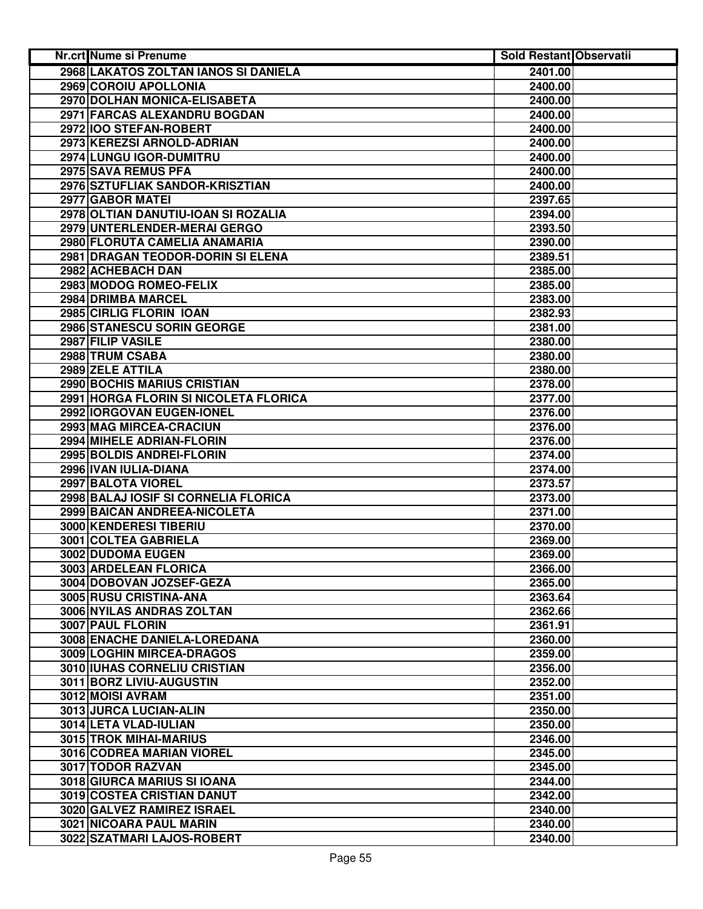| Nr.crt Nume si Prenume                | <b>Sold Restant Observatii</b> |  |
|---------------------------------------|--------------------------------|--|
| 2968 LAKATOS ZOLTAN IANOS SI DANIELA  | 2401.00                        |  |
| 2969 COROIU APOLLONIA                 | 2400.00                        |  |
| 2970 DOLHAN MONICA-ELISABETA          | 2400.00                        |  |
| 2971 FARCAS ALEXANDRU BOGDAN          | 2400.00                        |  |
| 2972 IOO STEFAN-ROBERT                | 2400.00                        |  |
| 2973 KEREZSI ARNOLD-ADRIAN            | 2400.00                        |  |
| 2974 LUNGU IGOR-DUMITRU               | 2400.00                        |  |
| 2975 SAVA REMUS PFA                   | 2400.00                        |  |
| 2976 SZTUFLIAK SANDOR-KRISZTIAN       | 2400.00                        |  |
| 2977 GABOR MATEI                      | 2397.65                        |  |
| 2978 OLTIAN DANUTIU-IOAN SI ROZALIA   | 2394.00                        |  |
| 2979 UNTERLENDER-MERAI GERGO          | 2393.50                        |  |
| 2980 FLORUTA CAMELIA ANAMARIA         | 2390.00                        |  |
| 2981 DRAGAN TEODOR-DORIN SI ELENA     | 2389.51                        |  |
| 2982 ACHEBACH DAN                     | 2385.00                        |  |
| 2983 MODOG ROMEO-FELIX                | 2385.00                        |  |
| 2984 DRIMBA MARCEL                    | 2383.00                        |  |
| 2985 CIRLIG FLORIN IOAN               | 2382.93                        |  |
| 2986 STANESCU SORIN GEORGE            | 2381.00                        |  |
| 2987 FILIP VASILE                     | 2380.00                        |  |
| 2988 TRUM CSABA                       | 2380.00                        |  |
| 2989 ZELE ATTILA                      | 2380.00                        |  |
| <b>2990 BOCHIS MARIUS CRISTIAN</b>    | 2378.00                        |  |
| 2991 HORGA FLORIN SI NICOLETA FLORICA | 2377.00                        |  |
| 2992 IORGOVAN EUGEN-IONEL             | 2376.00                        |  |
| 2993 MAG MIRCEA-CRACIUN               | 2376.00                        |  |
| 2994 MIHELE ADRIAN-FLORIN             | 2376.00                        |  |
| 2995 BOLDIS ANDREI-FLORIN             | 2374.00                        |  |
| 2996 IVAN IULIA-DIANA                 | 2374.00                        |  |
| 2997 BALOTA VIOREL                    | 2373.57                        |  |
| 2998 BALAJ IOSIF SI CORNELIA FLORICA  | 2373.00                        |  |
| 2999 BAICAN ANDREEA-NICOLETA          | 2371.00                        |  |
| 3000 KENDERESI TIBERIU                | 2370.00                        |  |
| 3001 COLTEA GABRIELA                  | 2369.00                        |  |
| 3002 DUDOMA EUGEN                     | 2369.00                        |  |
| 3003 ARDELEAN FLORICA                 | 2366.00                        |  |
| 3004 DOBOVAN JOZSEF-GEZA              | 2365.00                        |  |
| 3005 RUSU CRISTINA-ANA                | 2363.64                        |  |
| 3006 NYILAS ANDRAS ZOLTAN             | 2362.66                        |  |
| 3007 PAUL FLORIN                      | 2361.91                        |  |
| 3008 ENACHE DANIELA-LOREDANA          | 2360.00                        |  |
| 3009 LOGHIN MIRCEA-DRAGOS             | 2359.00                        |  |
| 3010 IUHAS CORNELIU CRISTIAN          | 2356.00                        |  |
| 3011 BORZ LIVIU-AUGUSTIN              | 2352.00                        |  |
| 3012 MOISI AVRAM                      | 2351.00                        |  |
| 3013 JURCA LUCIAN-ALIN                | 2350.00                        |  |
| 3014 LETA VLAD-IULIAN                 | 2350.00                        |  |
| 3015 TROK MIHAI-MARIUS                | 2346.00                        |  |
| 3016 CODREA MARIAN VIOREL             | 2345.00                        |  |
| 3017 TODOR RAZVAN                     | 2345.00                        |  |
| 3018 GIURCA MARIUS SI IOANA           | 2344.00                        |  |
| 3019 COSTEA CRISTIAN DANUT            | 2342.00                        |  |
| 3020 GALVEZ RAMIREZ ISRAEL            | 2340.00                        |  |
| 3021 NICOARA PAUL MARIN               | 2340.00                        |  |
| 3022 SZATMARI LAJOS-ROBERT            | 2340.00                        |  |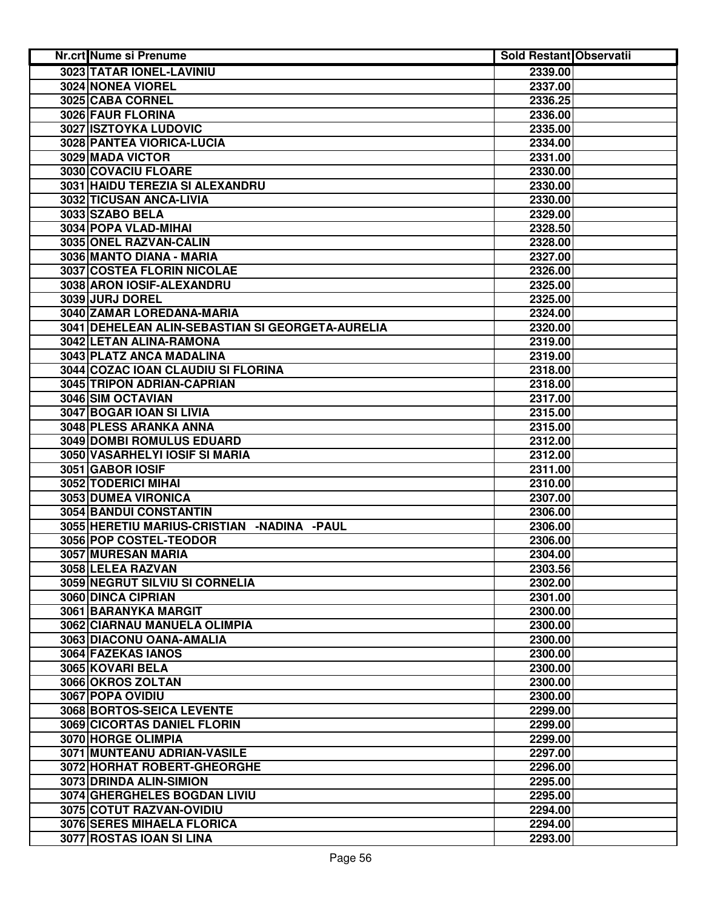| Nr.crt Nume si Prenume                           | Sold Restant Observatii |  |
|--------------------------------------------------|-------------------------|--|
| 3023 TATAR IONEL-LAVINIU                         | 2339.00                 |  |
| <b>3024 NONEA VIOREL</b>                         | 2337.00                 |  |
| 3025 CABA CORNEL                                 | 2336.25                 |  |
| 3026 FAUR FLORINA                                | 2336.00                 |  |
| 3027 ISZTOYKA LUDOVIC                            | 2335.00                 |  |
| 3028 PANTEA VIORICA-LUCIA                        | 2334.00                 |  |
| 3029 MADA VICTOR                                 | 2331.00                 |  |
| 3030 COVACIU FLOARE                              | 2330.00                 |  |
| 3031 HAIDU TEREZIA SI ALEXANDRU                  | 2330.00                 |  |
| 3032 TICUSAN ANCA-LIVIA                          | 2330.00                 |  |
| 3033 SZABO BELA                                  | 2329.00                 |  |
| 3034 POPA VLAD-MIHAI                             | 2328.50                 |  |
| 3035 ONEL RAZVAN-CALIN                           | 2328.00                 |  |
| 3036 MANTO DIANA - MARIA                         | 2327.00                 |  |
| 3037 COSTEA FLORIN NICOLAE                       | 2326.00                 |  |
| 3038 ARON IOSIF-ALEXANDRU                        | 2325.00                 |  |
| 3039 JURJ DOREL                                  | 2325.00                 |  |
| 3040 ZAMAR LOREDANA-MARIA                        | 2324.00                 |  |
| 3041 DEHELEAN ALIN-SEBASTIAN SI GEORGETA-AURELIA | 2320.00                 |  |
| 3042 LETAN ALINA-RAMONA                          | 2319.00                 |  |
| 3043 PLATZ ANCA MADALINA                         | 2319.00                 |  |
| 3044 COZAC IOAN CLAUDIU SI FLORINA               | 2318.00                 |  |
| 3045 TRIPON ADRIAN-CAPRIAN                       | 2318.00                 |  |
| <b>3046 SIM OCTAVIAN</b>                         | 2317.00                 |  |
| 3047 BOGAR IOAN SI LIVIA                         | 2315.00                 |  |
| 3048 PLESS ARANKA ANNA                           | 2315.00                 |  |
| 3049 DOMBI ROMULUS EDUARD                        | 2312.00                 |  |
| 3050 VASARHELYI IOSIF SI MARIA                   | 2312.00                 |  |
| 3051 GABOR IOSIF                                 | 2311.00                 |  |
| 3052 TODERICI MIHAI                              | 2310.00                 |  |
| 3053 DUMEA VIRONICA                              | 2307.00                 |  |
| 3054 BANDUI CONSTANTIN                           | 2306.00                 |  |
| 3055 HERETIU MARIUS-CRISTIAN - NADINA - PAUL     | 2306.00                 |  |
| 3056 POP COSTEL-TEODOR                           | 2306.00                 |  |
| 3057 MURESAN MARIA                               | 2304.00                 |  |
| 3058 LELEA RAZVAN                                | 2303.56                 |  |
| 3059 NEGRUT SILVIU SI CORNELIA                   | 2302.00                 |  |
| 3060 DINCA CIPRIAN                               | 2301.00                 |  |
| 3061 BARANYKA MARGIT                             | 2300.00                 |  |
| 3062 CIARNAU MANUELA OLIMPIA                     | 2300.00                 |  |
| 3063 DIACONU OANA-AMALIA                         | 2300.00                 |  |
| 3064 FAZEKAS IANOS                               | 2300.00                 |  |
| 3065 KOVARI BELA                                 | 2300.00                 |  |
| 3066 OKROS ZOLTAN                                | 2300.00                 |  |
| 3067 POPA OVIDIU                                 | 2300.00                 |  |
| 3068 BORTOS-SEICA LEVENTE                        | 2299.00                 |  |
| 3069 CICORTAS DANIEL FLORIN                      | 2299.00                 |  |
| 3070 HORGE OLIMPIA                               | 2299.00                 |  |
| 3071 MUNTEANU ADRIAN-VASILE                      | 2297.00                 |  |
| 3072 HORHAT ROBERT-GHEORGHE                      | 2296.00                 |  |
| 3073 DRINDA ALIN-SIMION                          | 2295.00                 |  |
| 3074 GHERGHELES BOGDAN LIVIU                     | 2295.00                 |  |
| 3075 COTUT RAZVAN-OVIDIU                         | 2294.00                 |  |
| 3076 SERES MIHAELA FLORICA                       | 2294.00                 |  |
| 3077 ROSTAS IOAN SI LINA                         | 2293.00                 |  |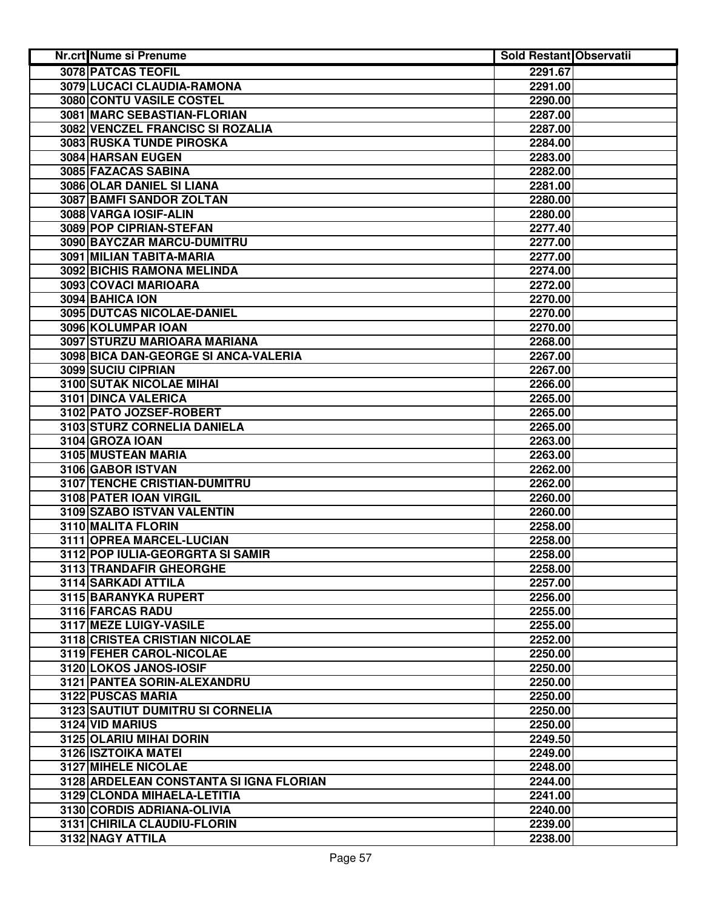| Nr.crt Nume si Prenume                  | <b>Sold Restant Observatii</b> |  |
|-----------------------------------------|--------------------------------|--|
| <b>3078 PATCAS TEOFIL</b>               | 2291.67                        |  |
| 3079 LUCACI CLAUDIA-RAMONA              | 2291.00                        |  |
| <b>3080 CONTU VASILE COSTEL</b>         | 2290.00                        |  |
| 3081 MARC SEBASTIAN-FLORIAN             | 2287.00                        |  |
| 3082 VENCZEL FRANCISC SI ROZALIA        | 2287.00                        |  |
| 3083 RUSKA TUNDE PIROSKA                | 2284.00                        |  |
| 3084 HARSAN EUGEN                       | 2283.00                        |  |
| 3085 FAZACAS SABINA                     | 2282.00                        |  |
| 3086 OLAR DANIEL SI LIANA               | 2281.00                        |  |
| 3087 BAMFI SANDOR ZOLTAN                | 2280.00                        |  |
| 3088 VARGA IOSIF-ALIN                   | 2280.00                        |  |
| 3089 POP CIPRIAN-STEFAN                 | 2277.40                        |  |
| 3090 BAYCZAR MARCU-DUMITRU              | 2277.00                        |  |
| 3091 MILIAN TABITA-MARIA                | 2277.00                        |  |
| 3092 BICHIS RAMONA MELINDA              | 2274.00                        |  |
| 3093 COVACI MARIOARA                    | 2272.00                        |  |
| 3094 BAHICA ION                         | 2270.00                        |  |
| 3095 DUTCAS NICOLAE-DANIEL              | 2270.00                        |  |
| 3096 KOLUMPAR IOAN                      | 2270.00                        |  |
| 3097 STURZU MARIOARA MARIANA            | 2268.00                        |  |
| 3098 BICA DAN-GEORGE SI ANCA-VALERIA    | 2267.00                        |  |
| <b>3099 SUCIU CIPRIAN</b>               | 2267.00                        |  |
| <b>3100 SUTAK NICOLAE MIHAI</b>         | 2266.00                        |  |
| 3101 DINCA VALERICA                     | 2265.00                        |  |
| 3102 PATO JOZSEF-ROBERT                 | 2265.00                        |  |
| 3103 STURZ CORNELIA DANIELA             | 2265.00                        |  |
| 3104 GROZA IOAN                         | 2263.00                        |  |
| 3105 MUSTEAN MARIA                      | 2263.00                        |  |
| 3106 GABOR ISTVAN                       | 2262.00                        |  |
| 3107 TENCHE CRISTIAN-DUMITRU            | 2262.00                        |  |
| 3108 PATER IOAN VIRGIL                  | 2260.00                        |  |
| 3109 SZABO ISTVAN VALENTIN              | 2260.00                        |  |
| 3110 MALITA FLORIN                      | 2258.00                        |  |
| 3111 OPREA MARCEL-LUCIAN                | 2258.00                        |  |
| 3112 POP IULIA-GEORGRTA SI SAMIR        | 2258.00                        |  |
| 3113 TRANDAFIR GHEORGHE                 | 2258.00                        |  |
| 3114 SARKADI ATTILA                     | 2257.00                        |  |
| 3115 BARANYKA RUPERT                    | 2256.00                        |  |
| 3116 FARCAS RADU                        | 2255.00                        |  |
| 3117 MEZE LUIGY-VASILE                  | 2255.00                        |  |
| <b>3118 CRISTEA CRISTIAN NICOLAE</b>    | 2252.00                        |  |
| 3119 FEHER CAROL-NICOLAE                | 2250.00                        |  |
| 3120 LOKOS JANOS-IOSIF                  | 2250.00                        |  |
| 3121   PANTEA SORIN-ALEXANDRU           | 2250.00                        |  |
| 3122 PUSCAS MARIA                       | 2250.00                        |  |
| 3123 SAUTIUT DUMITRU SI CORNELIA        | 2250.00                        |  |
| 3124 VID MARIUS                         | 2250.00                        |  |
| 3125 OLARIU MIHAI DORIN                 | 2249.50                        |  |
| 3126 ISZTOIKA MATEI                     | 2249.00                        |  |
| 3127 MIHELE NICOLAE                     | 2248.00                        |  |
| 3128 ARDELEAN CONSTANTA SI IGNA FLORIAN | 2244.00                        |  |
| 3129 CLONDA MIHAELA-LETITIA             | 2241.00                        |  |
| 3130 CORDIS ADRIANA-OLIVIA              | 2240.00                        |  |
| 3131 CHIRILA CLAUDIU-FLORIN             | 2239.00                        |  |
| 3132 NAGY ATTILA                        | 2238.00                        |  |
|                                         |                                |  |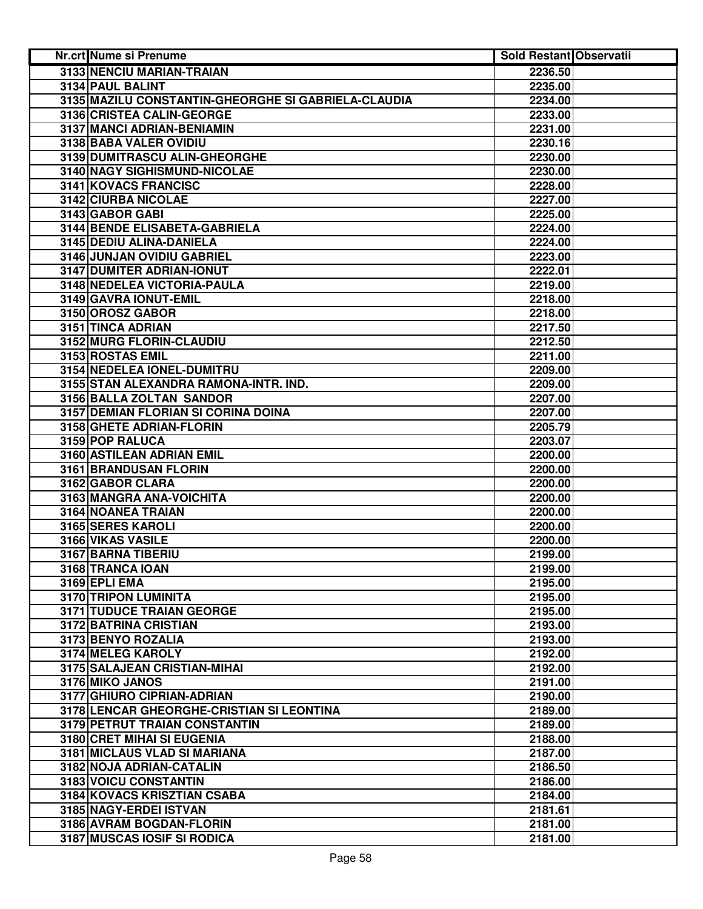| 3133 NENCIU MARIAN-TRAIAN<br>2236.50<br>3134 PAUL BALINT<br>2235.00<br>3135 MAZILU CONSTANTIN-GHEORGHE SI GABRIELA-CLAUDIA<br>2234.00<br>3136 CRISTEA CALIN-GEORGE<br>2233.00<br>3137 MANCI ADRIAN-BENIAMIN<br>2231.00<br>3138 BABA VALER OVIDIU<br>2230.16<br>3139 DUMITRASCU ALIN-GHEORGHE<br>2230.00<br>3140 NAGY SIGHISMUND-NICOLAE<br>2230.00<br>3141 KOVACS FRANCISC<br>2228.00<br>3142 CIURBA NICOLAE<br>2227.00<br>3143 GABOR GABI<br>2225.00<br>3144 BENDE ELISABETA-GABRIELA<br>2224.00<br>3145 DEDIU ALINA-DANIELA<br>2224.00<br>3146 JUNJAN OVIDIU GABRIEL<br>2223.00<br>3147 DUMITER ADRIAN-IONUT<br>2222.01<br>3148 NEDELEA VICTORIA-PAULA<br>2219.00<br>3149 GAVRA IONUT-EMIL<br>2218.00<br>3150 OROSZ GABOR<br>2218.00<br>3151 TINCA ADRIAN<br>2217.50<br>3152 MURG FLORIN-CLAUDIU<br>2212.50<br>3153 ROSTAS EMIL<br>2211.00<br>3154 NEDELEA IONEL-DUMITRU<br>2209.00<br>3155 STAN ALEXANDRA RAMONA-INTR. IND.<br>2209.00<br>3156 BALLA ZOLTAN SANDOR<br>2207.00<br>3157 DEMIAN FLORIAN SI CORINA DOINA<br>2207.00<br>3158 GHETE ADRIAN-FLORIN<br>2205.79<br>3159 POP RALUCA<br>2203.07<br>3160 ASTILEAN ADRIAN EMIL<br>2200.00<br>3161 BRANDUSAN FLORIN<br>2200.00<br>3162 GABOR CLARA<br>2200.00<br>3163 MANGRA ANA-VOICHITA<br>2200.00<br>3164 NOANEA TRAIAN<br>2200.00<br>3165 SERES KAROLI<br>2200.00<br>3166 VIKAS VASILE<br>2200.00<br>3167 BARNA TIBERIU<br>2199.00<br>2199.00<br>3168 TRANCA IOAN<br>3169 EPLI EMA<br>2195.00<br>3170 TRIPON LUMINITA<br>2195.00<br><b>3171 TUDUCE TRAIAN GEORGE</b><br>2195.00<br>3172 BATRINA CRISTIAN<br>2193.00<br>3173 BENYO ROZALIA<br>2193.00<br>3174 MELEG KAROLY<br>2192.00<br>3175 SALAJEAN CRISTIAN-MIHAI<br>2192.00<br>3176 MIKO JANOS<br>2191.00<br>3177 GHIURO CIPRIAN-ADRIAN<br>2190.00<br>3178 LENCAR GHEORGHE-CRISTIAN SI LEONTINA<br>2189.00<br>3179 PETRUT TRAIAN CONSTANTIN<br>2189.00<br>3180 CRET MIHAI SI EUGENIA<br>2188.00<br>3181 MICLAUS VLAD SI MARIANA<br>2187.00<br>3182 NOJA ADRIAN-CATALIN<br>2186.50<br>3183 VOICU CONSTANTIN<br>2186.00<br>3184 KOVACS KRISZTIAN CSABA<br>2184.00<br>3185 NAGY-ERDEI ISTVAN<br>2181.61<br>3186 AVRAM BOGDAN-FLORIN<br>2181.00 | <b>Nr.crt Nume si Prenume</b> | <b>Sold Restant Observatii</b> |
|----------------------------------------------------------------------------------------------------------------------------------------------------------------------------------------------------------------------------------------------------------------------------------------------------------------------------------------------------------------------------------------------------------------------------------------------------------------------------------------------------------------------------------------------------------------------------------------------------------------------------------------------------------------------------------------------------------------------------------------------------------------------------------------------------------------------------------------------------------------------------------------------------------------------------------------------------------------------------------------------------------------------------------------------------------------------------------------------------------------------------------------------------------------------------------------------------------------------------------------------------------------------------------------------------------------------------------------------------------------------------------------------------------------------------------------------------------------------------------------------------------------------------------------------------------------------------------------------------------------------------------------------------------------------------------------------------------------------------------------------------------------------------------------------------------------------------------------------------------------------------------------------------------------------------------------------------------------------------------------------------------------------------------------------------------------------------------------------------------------------------------------------------------|-------------------------------|--------------------------------|
|                                                                                                                                                                                                                                                                                                                                                                                                                                                                                                                                                                                                                                                                                                                                                                                                                                                                                                                                                                                                                                                                                                                                                                                                                                                                                                                                                                                                                                                                                                                                                                                                                                                                                                                                                                                                                                                                                                                                                                                                                                                                                                                                                          |                               |                                |
|                                                                                                                                                                                                                                                                                                                                                                                                                                                                                                                                                                                                                                                                                                                                                                                                                                                                                                                                                                                                                                                                                                                                                                                                                                                                                                                                                                                                                                                                                                                                                                                                                                                                                                                                                                                                                                                                                                                                                                                                                                                                                                                                                          |                               |                                |
|                                                                                                                                                                                                                                                                                                                                                                                                                                                                                                                                                                                                                                                                                                                                                                                                                                                                                                                                                                                                                                                                                                                                                                                                                                                                                                                                                                                                                                                                                                                                                                                                                                                                                                                                                                                                                                                                                                                                                                                                                                                                                                                                                          |                               |                                |
|                                                                                                                                                                                                                                                                                                                                                                                                                                                                                                                                                                                                                                                                                                                                                                                                                                                                                                                                                                                                                                                                                                                                                                                                                                                                                                                                                                                                                                                                                                                                                                                                                                                                                                                                                                                                                                                                                                                                                                                                                                                                                                                                                          |                               |                                |
|                                                                                                                                                                                                                                                                                                                                                                                                                                                                                                                                                                                                                                                                                                                                                                                                                                                                                                                                                                                                                                                                                                                                                                                                                                                                                                                                                                                                                                                                                                                                                                                                                                                                                                                                                                                                                                                                                                                                                                                                                                                                                                                                                          |                               |                                |
|                                                                                                                                                                                                                                                                                                                                                                                                                                                                                                                                                                                                                                                                                                                                                                                                                                                                                                                                                                                                                                                                                                                                                                                                                                                                                                                                                                                                                                                                                                                                                                                                                                                                                                                                                                                                                                                                                                                                                                                                                                                                                                                                                          |                               |                                |
|                                                                                                                                                                                                                                                                                                                                                                                                                                                                                                                                                                                                                                                                                                                                                                                                                                                                                                                                                                                                                                                                                                                                                                                                                                                                                                                                                                                                                                                                                                                                                                                                                                                                                                                                                                                                                                                                                                                                                                                                                                                                                                                                                          |                               |                                |
|                                                                                                                                                                                                                                                                                                                                                                                                                                                                                                                                                                                                                                                                                                                                                                                                                                                                                                                                                                                                                                                                                                                                                                                                                                                                                                                                                                                                                                                                                                                                                                                                                                                                                                                                                                                                                                                                                                                                                                                                                                                                                                                                                          |                               |                                |
|                                                                                                                                                                                                                                                                                                                                                                                                                                                                                                                                                                                                                                                                                                                                                                                                                                                                                                                                                                                                                                                                                                                                                                                                                                                                                                                                                                                                                                                                                                                                                                                                                                                                                                                                                                                                                                                                                                                                                                                                                                                                                                                                                          |                               |                                |
|                                                                                                                                                                                                                                                                                                                                                                                                                                                                                                                                                                                                                                                                                                                                                                                                                                                                                                                                                                                                                                                                                                                                                                                                                                                                                                                                                                                                                                                                                                                                                                                                                                                                                                                                                                                                                                                                                                                                                                                                                                                                                                                                                          |                               |                                |
|                                                                                                                                                                                                                                                                                                                                                                                                                                                                                                                                                                                                                                                                                                                                                                                                                                                                                                                                                                                                                                                                                                                                                                                                                                                                                                                                                                                                                                                                                                                                                                                                                                                                                                                                                                                                                                                                                                                                                                                                                                                                                                                                                          |                               |                                |
|                                                                                                                                                                                                                                                                                                                                                                                                                                                                                                                                                                                                                                                                                                                                                                                                                                                                                                                                                                                                                                                                                                                                                                                                                                                                                                                                                                                                                                                                                                                                                                                                                                                                                                                                                                                                                                                                                                                                                                                                                                                                                                                                                          |                               |                                |
|                                                                                                                                                                                                                                                                                                                                                                                                                                                                                                                                                                                                                                                                                                                                                                                                                                                                                                                                                                                                                                                                                                                                                                                                                                                                                                                                                                                                                                                                                                                                                                                                                                                                                                                                                                                                                                                                                                                                                                                                                                                                                                                                                          |                               |                                |
|                                                                                                                                                                                                                                                                                                                                                                                                                                                                                                                                                                                                                                                                                                                                                                                                                                                                                                                                                                                                                                                                                                                                                                                                                                                                                                                                                                                                                                                                                                                                                                                                                                                                                                                                                                                                                                                                                                                                                                                                                                                                                                                                                          |                               |                                |
|                                                                                                                                                                                                                                                                                                                                                                                                                                                                                                                                                                                                                                                                                                                                                                                                                                                                                                                                                                                                                                                                                                                                                                                                                                                                                                                                                                                                                                                                                                                                                                                                                                                                                                                                                                                                                                                                                                                                                                                                                                                                                                                                                          |                               |                                |
|                                                                                                                                                                                                                                                                                                                                                                                                                                                                                                                                                                                                                                                                                                                                                                                                                                                                                                                                                                                                                                                                                                                                                                                                                                                                                                                                                                                                                                                                                                                                                                                                                                                                                                                                                                                                                                                                                                                                                                                                                                                                                                                                                          |                               |                                |
|                                                                                                                                                                                                                                                                                                                                                                                                                                                                                                                                                                                                                                                                                                                                                                                                                                                                                                                                                                                                                                                                                                                                                                                                                                                                                                                                                                                                                                                                                                                                                                                                                                                                                                                                                                                                                                                                                                                                                                                                                                                                                                                                                          |                               |                                |
|                                                                                                                                                                                                                                                                                                                                                                                                                                                                                                                                                                                                                                                                                                                                                                                                                                                                                                                                                                                                                                                                                                                                                                                                                                                                                                                                                                                                                                                                                                                                                                                                                                                                                                                                                                                                                                                                                                                                                                                                                                                                                                                                                          |                               |                                |
|                                                                                                                                                                                                                                                                                                                                                                                                                                                                                                                                                                                                                                                                                                                                                                                                                                                                                                                                                                                                                                                                                                                                                                                                                                                                                                                                                                                                                                                                                                                                                                                                                                                                                                                                                                                                                                                                                                                                                                                                                                                                                                                                                          |                               |                                |
|                                                                                                                                                                                                                                                                                                                                                                                                                                                                                                                                                                                                                                                                                                                                                                                                                                                                                                                                                                                                                                                                                                                                                                                                                                                                                                                                                                                                                                                                                                                                                                                                                                                                                                                                                                                                                                                                                                                                                                                                                                                                                                                                                          |                               |                                |
|                                                                                                                                                                                                                                                                                                                                                                                                                                                                                                                                                                                                                                                                                                                                                                                                                                                                                                                                                                                                                                                                                                                                                                                                                                                                                                                                                                                                                                                                                                                                                                                                                                                                                                                                                                                                                                                                                                                                                                                                                                                                                                                                                          |                               |                                |
|                                                                                                                                                                                                                                                                                                                                                                                                                                                                                                                                                                                                                                                                                                                                                                                                                                                                                                                                                                                                                                                                                                                                                                                                                                                                                                                                                                                                                                                                                                                                                                                                                                                                                                                                                                                                                                                                                                                                                                                                                                                                                                                                                          |                               |                                |
|                                                                                                                                                                                                                                                                                                                                                                                                                                                                                                                                                                                                                                                                                                                                                                                                                                                                                                                                                                                                                                                                                                                                                                                                                                                                                                                                                                                                                                                                                                                                                                                                                                                                                                                                                                                                                                                                                                                                                                                                                                                                                                                                                          |                               |                                |
|                                                                                                                                                                                                                                                                                                                                                                                                                                                                                                                                                                                                                                                                                                                                                                                                                                                                                                                                                                                                                                                                                                                                                                                                                                                                                                                                                                                                                                                                                                                                                                                                                                                                                                                                                                                                                                                                                                                                                                                                                                                                                                                                                          |                               |                                |
|                                                                                                                                                                                                                                                                                                                                                                                                                                                                                                                                                                                                                                                                                                                                                                                                                                                                                                                                                                                                                                                                                                                                                                                                                                                                                                                                                                                                                                                                                                                                                                                                                                                                                                                                                                                                                                                                                                                                                                                                                                                                                                                                                          |                               |                                |
|                                                                                                                                                                                                                                                                                                                                                                                                                                                                                                                                                                                                                                                                                                                                                                                                                                                                                                                                                                                                                                                                                                                                                                                                                                                                                                                                                                                                                                                                                                                                                                                                                                                                                                                                                                                                                                                                                                                                                                                                                                                                                                                                                          |                               |                                |
|                                                                                                                                                                                                                                                                                                                                                                                                                                                                                                                                                                                                                                                                                                                                                                                                                                                                                                                                                                                                                                                                                                                                                                                                                                                                                                                                                                                                                                                                                                                                                                                                                                                                                                                                                                                                                                                                                                                                                                                                                                                                                                                                                          |                               |                                |
|                                                                                                                                                                                                                                                                                                                                                                                                                                                                                                                                                                                                                                                                                                                                                                                                                                                                                                                                                                                                                                                                                                                                                                                                                                                                                                                                                                                                                                                                                                                                                                                                                                                                                                                                                                                                                                                                                                                                                                                                                                                                                                                                                          |                               |                                |
|                                                                                                                                                                                                                                                                                                                                                                                                                                                                                                                                                                                                                                                                                                                                                                                                                                                                                                                                                                                                                                                                                                                                                                                                                                                                                                                                                                                                                                                                                                                                                                                                                                                                                                                                                                                                                                                                                                                                                                                                                                                                                                                                                          |                               |                                |
|                                                                                                                                                                                                                                                                                                                                                                                                                                                                                                                                                                                                                                                                                                                                                                                                                                                                                                                                                                                                                                                                                                                                                                                                                                                                                                                                                                                                                                                                                                                                                                                                                                                                                                                                                                                                                                                                                                                                                                                                                                                                                                                                                          |                               |                                |
|                                                                                                                                                                                                                                                                                                                                                                                                                                                                                                                                                                                                                                                                                                                                                                                                                                                                                                                                                                                                                                                                                                                                                                                                                                                                                                                                                                                                                                                                                                                                                                                                                                                                                                                                                                                                                                                                                                                                                                                                                                                                                                                                                          |                               |                                |
|                                                                                                                                                                                                                                                                                                                                                                                                                                                                                                                                                                                                                                                                                                                                                                                                                                                                                                                                                                                                                                                                                                                                                                                                                                                                                                                                                                                                                                                                                                                                                                                                                                                                                                                                                                                                                                                                                                                                                                                                                                                                                                                                                          |                               |                                |
|                                                                                                                                                                                                                                                                                                                                                                                                                                                                                                                                                                                                                                                                                                                                                                                                                                                                                                                                                                                                                                                                                                                                                                                                                                                                                                                                                                                                                                                                                                                                                                                                                                                                                                                                                                                                                                                                                                                                                                                                                                                                                                                                                          |                               |                                |
|                                                                                                                                                                                                                                                                                                                                                                                                                                                                                                                                                                                                                                                                                                                                                                                                                                                                                                                                                                                                                                                                                                                                                                                                                                                                                                                                                                                                                                                                                                                                                                                                                                                                                                                                                                                                                                                                                                                                                                                                                                                                                                                                                          |                               |                                |
|                                                                                                                                                                                                                                                                                                                                                                                                                                                                                                                                                                                                                                                                                                                                                                                                                                                                                                                                                                                                                                                                                                                                                                                                                                                                                                                                                                                                                                                                                                                                                                                                                                                                                                                                                                                                                                                                                                                                                                                                                                                                                                                                                          |                               |                                |
|                                                                                                                                                                                                                                                                                                                                                                                                                                                                                                                                                                                                                                                                                                                                                                                                                                                                                                                                                                                                                                                                                                                                                                                                                                                                                                                                                                                                                                                                                                                                                                                                                                                                                                                                                                                                                                                                                                                                                                                                                                                                                                                                                          |                               |                                |
|                                                                                                                                                                                                                                                                                                                                                                                                                                                                                                                                                                                                                                                                                                                                                                                                                                                                                                                                                                                                                                                                                                                                                                                                                                                                                                                                                                                                                                                                                                                                                                                                                                                                                                                                                                                                                                                                                                                                                                                                                                                                                                                                                          |                               |                                |
|                                                                                                                                                                                                                                                                                                                                                                                                                                                                                                                                                                                                                                                                                                                                                                                                                                                                                                                                                                                                                                                                                                                                                                                                                                                                                                                                                                                                                                                                                                                                                                                                                                                                                                                                                                                                                                                                                                                                                                                                                                                                                                                                                          |                               |                                |
|                                                                                                                                                                                                                                                                                                                                                                                                                                                                                                                                                                                                                                                                                                                                                                                                                                                                                                                                                                                                                                                                                                                                                                                                                                                                                                                                                                                                                                                                                                                                                                                                                                                                                                                                                                                                                                                                                                                                                                                                                                                                                                                                                          |                               |                                |
|                                                                                                                                                                                                                                                                                                                                                                                                                                                                                                                                                                                                                                                                                                                                                                                                                                                                                                                                                                                                                                                                                                                                                                                                                                                                                                                                                                                                                                                                                                                                                                                                                                                                                                                                                                                                                                                                                                                                                                                                                                                                                                                                                          |                               |                                |
|                                                                                                                                                                                                                                                                                                                                                                                                                                                                                                                                                                                                                                                                                                                                                                                                                                                                                                                                                                                                                                                                                                                                                                                                                                                                                                                                                                                                                                                                                                                                                                                                                                                                                                                                                                                                                                                                                                                                                                                                                                                                                                                                                          |                               |                                |
|                                                                                                                                                                                                                                                                                                                                                                                                                                                                                                                                                                                                                                                                                                                                                                                                                                                                                                                                                                                                                                                                                                                                                                                                                                                                                                                                                                                                                                                                                                                                                                                                                                                                                                                                                                                                                                                                                                                                                                                                                                                                                                                                                          |                               |                                |
|                                                                                                                                                                                                                                                                                                                                                                                                                                                                                                                                                                                                                                                                                                                                                                                                                                                                                                                                                                                                                                                                                                                                                                                                                                                                                                                                                                                                                                                                                                                                                                                                                                                                                                                                                                                                                                                                                                                                                                                                                                                                                                                                                          |                               |                                |
|                                                                                                                                                                                                                                                                                                                                                                                                                                                                                                                                                                                                                                                                                                                                                                                                                                                                                                                                                                                                                                                                                                                                                                                                                                                                                                                                                                                                                                                                                                                                                                                                                                                                                                                                                                                                                                                                                                                                                                                                                                                                                                                                                          |                               |                                |
|                                                                                                                                                                                                                                                                                                                                                                                                                                                                                                                                                                                                                                                                                                                                                                                                                                                                                                                                                                                                                                                                                                                                                                                                                                                                                                                                                                                                                                                                                                                                                                                                                                                                                                                                                                                                                                                                                                                                                                                                                                                                                                                                                          |                               |                                |
|                                                                                                                                                                                                                                                                                                                                                                                                                                                                                                                                                                                                                                                                                                                                                                                                                                                                                                                                                                                                                                                                                                                                                                                                                                                                                                                                                                                                                                                                                                                                                                                                                                                                                                                                                                                                                                                                                                                                                                                                                                                                                                                                                          |                               |                                |
|                                                                                                                                                                                                                                                                                                                                                                                                                                                                                                                                                                                                                                                                                                                                                                                                                                                                                                                                                                                                                                                                                                                                                                                                                                                                                                                                                                                                                                                                                                                                                                                                                                                                                                                                                                                                                                                                                                                                                                                                                                                                                                                                                          |                               |                                |
|                                                                                                                                                                                                                                                                                                                                                                                                                                                                                                                                                                                                                                                                                                                                                                                                                                                                                                                                                                                                                                                                                                                                                                                                                                                                                                                                                                                                                                                                                                                                                                                                                                                                                                                                                                                                                                                                                                                                                                                                                                                                                                                                                          |                               |                                |
|                                                                                                                                                                                                                                                                                                                                                                                                                                                                                                                                                                                                                                                                                                                                                                                                                                                                                                                                                                                                                                                                                                                                                                                                                                                                                                                                                                                                                                                                                                                                                                                                                                                                                                                                                                                                                                                                                                                                                                                                                                                                                                                                                          |                               |                                |
|                                                                                                                                                                                                                                                                                                                                                                                                                                                                                                                                                                                                                                                                                                                                                                                                                                                                                                                                                                                                                                                                                                                                                                                                                                                                                                                                                                                                                                                                                                                                                                                                                                                                                                                                                                                                                                                                                                                                                                                                                                                                                                                                                          |                               |                                |
|                                                                                                                                                                                                                                                                                                                                                                                                                                                                                                                                                                                                                                                                                                                                                                                                                                                                                                                                                                                                                                                                                                                                                                                                                                                                                                                                                                                                                                                                                                                                                                                                                                                                                                                                                                                                                                                                                                                                                                                                                                                                                                                                                          |                               |                                |
|                                                                                                                                                                                                                                                                                                                                                                                                                                                                                                                                                                                                                                                                                                                                                                                                                                                                                                                                                                                                                                                                                                                                                                                                                                                                                                                                                                                                                                                                                                                                                                                                                                                                                                                                                                                                                                                                                                                                                                                                                                                                                                                                                          |                               |                                |
|                                                                                                                                                                                                                                                                                                                                                                                                                                                                                                                                                                                                                                                                                                                                                                                                                                                                                                                                                                                                                                                                                                                                                                                                                                                                                                                                                                                                                                                                                                                                                                                                                                                                                                                                                                                                                                                                                                                                                                                                                                                                                                                                                          |                               |                                |
|                                                                                                                                                                                                                                                                                                                                                                                                                                                                                                                                                                                                                                                                                                                                                                                                                                                                                                                                                                                                                                                                                                                                                                                                                                                                                                                                                                                                                                                                                                                                                                                                                                                                                                                                                                                                                                                                                                                                                                                                                                                                                                                                                          |                               |                                |
|                                                                                                                                                                                                                                                                                                                                                                                                                                                                                                                                                                                                                                                                                                                                                                                                                                                                                                                                                                                                                                                                                                                                                                                                                                                                                                                                                                                                                                                                                                                                                                                                                                                                                                                                                                                                                                                                                                                                                                                                                                                                                                                                                          | 3187 MUSCAS IOSIF SI RODICA   | 2181.00                        |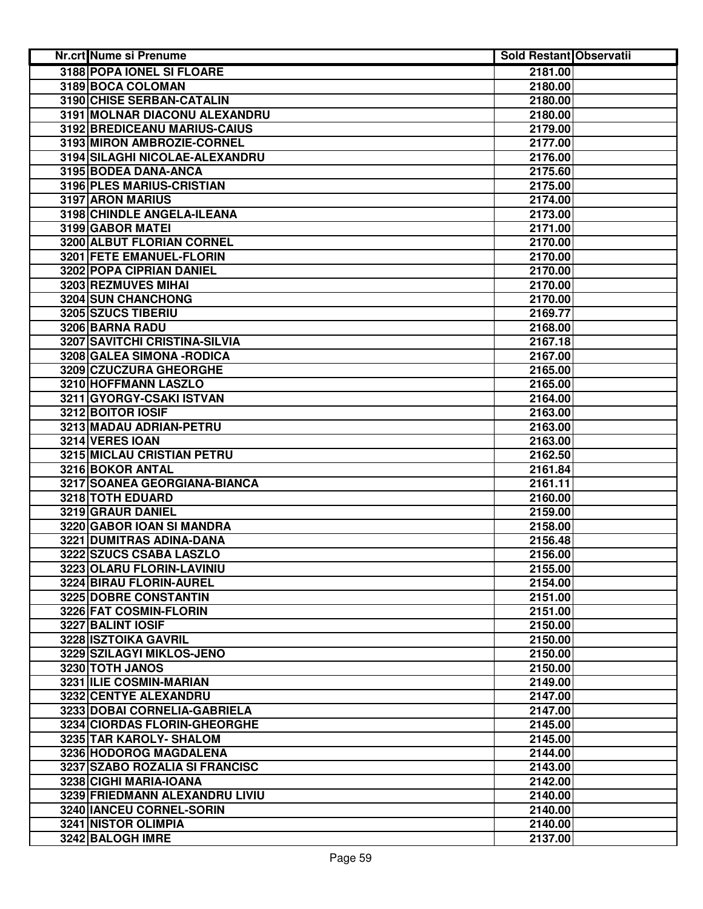| Nr.crt Nume si Prenume           | Sold Restant Observatii |  |
|----------------------------------|-------------------------|--|
| <b>3188 POPA IONEL SI FLOARE</b> | 2181.00                 |  |
| 3189 BOCA COLOMAN                | 2180.00                 |  |
| 3190 CHISE SERBAN-CATALIN        | 2180.00                 |  |
| 3191 MOLNAR DIACONU ALEXANDRU    | 2180.00                 |  |
| 3192 BREDICEANU MARIUS-CAIUS     | 2179.00                 |  |
| 3193 MIRON AMBROZIE-CORNEL       | 2177.00                 |  |
| 3194 SILAGHI NICOLAE-ALEXANDRU   | 2176.00                 |  |
| 3195 BODEA DANA-ANCA             | 2175.60                 |  |
| 3196 PLES MARIUS-CRISTIAN        | 2175.00                 |  |
| 3197 ARON MARIUS                 | 2174.00                 |  |
| 3198 CHINDLE ANGELA-ILEANA       | 2173.00                 |  |
| 3199 GABOR MATEI                 | 2171.00                 |  |
| 3200 ALBUT FLORIAN CORNEL        | 2170.00                 |  |
| 3201 FETE EMANUEL-FLORIN         | 2170.00                 |  |
| 3202 POPA CIPRIAN DANIEL         | 2170.00                 |  |
| 3203 REZMUVES MIHAI              | 2170.00                 |  |
| 3204 SUN CHANCHONG               | 2170.00                 |  |
| 3205 SZUCS TIBERIU               | 2169.77                 |  |
| 3206 BARNA RADU                  | 2168.00                 |  |
| 3207 SAVITCHI CRISTINA-SILVIA    | 2167.18                 |  |
| 3208 GALEA SIMONA - RODICA       | 2167.00                 |  |
| 3209 CZUCZURA GHEORGHE           | 2165.00                 |  |
| 3210 HOFFMANN LASZLO             | 2165.00                 |  |
| 3211 GYORGY-CSAKI ISTVAN         | 2164.00                 |  |
| 3212 BOITOR IOSIF                | 2163.00                 |  |
| 3213 MADAU ADRIAN-PETRU          | 2163.00                 |  |
| 3214 VERES IOAN                  | 2163.00                 |  |
| 3215 MICLAU CRISTIAN PETRU       | 2162.50                 |  |
| 3216 BOKOR ANTAL                 | 2161.84                 |  |
| 3217 SOANEA GEORGIANA-BIANCA     | 2161.11                 |  |
| 3218 TOTH EDUARD                 | 2160.00                 |  |
| 3219 GRAUR DANIEL                | 2159.00                 |  |
| 3220 GABOR IOAN SI MANDRA        | 2158.00                 |  |
| 3221 DUMITRAS ADINA-DANA         | 2156.48                 |  |
| 3222 SZUCS CSABA LASZLO          | 2156.00                 |  |
| 3223 OLARU FLORIN-LAVINIU        | 2155.00                 |  |
| 3224 BIRAU FLORIN-AUREL          | 2154.00                 |  |
| 3225 DOBRE CONSTANTIN            | 2151.00                 |  |
| 3226 FAT COSMIN-FLORIN           | 2151.00                 |  |
| 3227 BALINT IOSIF                | 2150.00                 |  |
| 3228 ISZTOIKA GAVRIL             | 2150.00                 |  |
| 3229 SZILAGYI MIKLOS-JENO        | 2150.00                 |  |
| 3230 TOTH JANOS                  | 2150.00                 |  |
| 3231 ILIE COSMIN-MARIAN          | 2149.00                 |  |
| 3232 CENTYE ALEXANDRU            | 2147.00                 |  |
| 3233 DOBAI CORNELIA-GABRIELA     | 2147.00                 |  |
| 3234 CIORDAS FLORIN-GHEORGHE     | 2145.00                 |  |
| 3235 TAR KAROLY- SHALOM          | 2145.00                 |  |
| 3236 HODOROG MAGDALENA           | 2144.00                 |  |
| 3237 SZABO ROZALIA SI FRANCISC   | 2143.00                 |  |
| 3238 CIGHI MARIA-IOANA           | 2142.00                 |  |
| 3239 FRIEDMANN ALEXANDRU LIVIU   | 2140.00                 |  |
| 3240 IANCEU CORNEL-SORIN         | 2140.00                 |  |
| 3241 NISTOR OLIMPIA              | 2140.00                 |  |
| 3242 BALOGH IMRE                 | 2137.00                 |  |
|                                  |                         |  |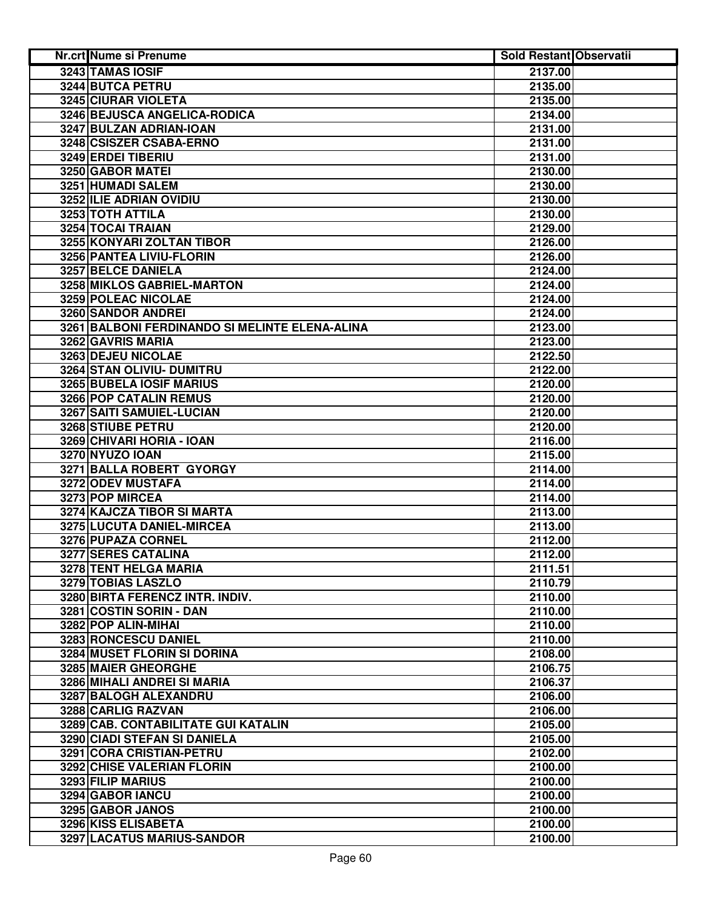| Nr.crt Nume si Prenume                         | <b>Sold Restant Observatii</b> |  |
|------------------------------------------------|--------------------------------|--|
| 3243 TAMAS IOSIF                               | 2137.00                        |  |
| 3244 BUTCA PETRU                               | 2135.00                        |  |
| 3245 CIURAR VIOLETA                            | 2135.00                        |  |
| 3246 BEJUSCA ANGELICA-RODICA                   | 2134.00                        |  |
| 3247 BULZAN ADRIAN-IOAN                        | 2131.00                        |  |
| 3248 CSISZER CSABA-ERNO                        | 2131.00                        |  |
| 3249 ERDEI TIBERIU                             | 2131.00                        |  |
| 3250 GABOR MATEI                               | 2130.00                        |  |
| 3251 HUMADI SALEM                              | 2130.00                        |  |
| 3252 ILIE ADRIAN OVIDIU                        | 2130.00                        |  |
| 3253 TOTH ATTILA                               | 2130.00                        |  |
| 3254 TOCAI TRAIAN                              | 2129.00                        |  |
| 3255 KONYARI ZOLTAN TIBOR                      | 2126.00                        |  |
| 3256 PANTEA LIVIU-FLORIN                       | 2126.00                        |  |
| 3257 BELCE DANIELA                             | 2124.00                        |  |
| 3258 MIKLOS GABRIEL-MARTON                     | 2124.00                        |  |
| 3259 POLEAC NICOLAE                            | 2124.00                        |  |
| 3260 SANDOR ANDREI                             | 2124.00                        |  |
| 3261 BALBONI FERDINANDO SI MELINTE ELENA-ALINA | 2123.00                        |  |
| 3262 GAVRIS MARIA                              | 2123.00                        |  |
| 3263 DEJEU NICOLAE                             | 2122.50                        |  |
| 3264 STAN OLIVIU- DUMITRU                      | 2122.00                        |  |
| <b>3265 BUBELA IOSIF MARIUS</b>                | 2120.00                        |  |
| 3266 POP CATALIN REMUS                         | 2120.00                        |  |
| 3267 SAITI SAMUIEL-LUCIAN                      | 2120.00                        |  |
| 3268 STIUBE PETRU                              | 2120.00                        |  |
| 3269 CHIVARI HORIA - IOAN                      | 2116.00                        |  |
| 3270 NYUZO IOAN                                | 2115.00                        |  |
| 3271 BALLA ROBERT GYORGY                       | 2114.00                        |  |
| 3272 ODEV MUSTAFA                              | 2114.00                        |  |
| 3273 POP MIRCEA                                | 2114.00                        |  |
| 3274 KAJCZA TIBOR SI MARTA                     | 2113.00                        |  |
| 3275 LUCUTA DANIEL-MIRCEA                      | 2113.00                        |  |
| 3276 PUPAZA CORNEL                             | 2112.00                        |  |
| <b>3277 SERES CATALINA</b>                     | 2112.00                        |  |
| 3278 TENT HELGA MARIA                          | 2111.51                        |  |
| 3279 TOBIAS LASZLO                             | 2110.79                        |  |
| 3280 BIRTA FERENCZ INTR. INDIV.                | 2110.00                        |  |
| 3281 COSTIN SORIN - DAN                        | 2110.00                        |  |
| 3282 POP ALIN-MIHAI                            | 2110.00                        |  |
| 3283 RONCESCU DANIEL                           | 2110.00                        |  |
| 3284 MUSET FLORIN SI DORINA                    | 2108.00                        |  |
| 3285 MAIER GHEORGHE                            | 2106.75                        |  |
| 3286 MIHALI ANDREI SI MARIA                    | 2106.37                        |  |
| 3287 BALOGH ALEXANDRU                          | 2106.00                        |  |
| 3288 CARLIG RAZVAN                             | 2106.00                        |  |
| 3289 CAB. CONTABILITATE GUI KATALIN            | 2105.00                        |  |
| <b>3290 CIADI STEFAN SI DANIELA</b>            | 2105.00                        |  |
| 3291 CORA CRISTIAN-PETRU                       | 2102.00                        |  |
| 3292 CHISE VALERIAN FLORIN                     | 2100.00                        |  |
| 3293 FILIP MARIUS                              | 2100.00                        |  |
| 3294 GABOR IANCU                               | 2100.00                        |  |
| 3295 GABOR JANOS                               | 2100.00                        |  |
| 3296 KISS ELISABETA                            | 2100.00                        |  |
| 3297 LACATUS MARIUS-SANDOR                     | 2100.00                        |  |
|                                                |                                |  |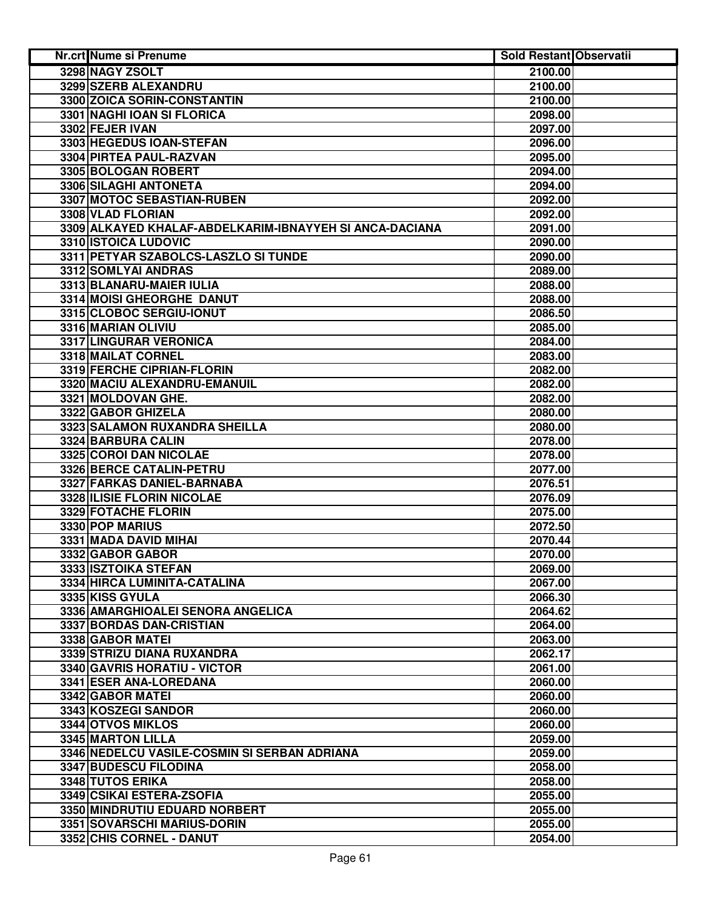| Nr.crt Nume si Prenume                                  | <b>Sold Restant Observatii</b> |  |
|---------------------------------------------------------|--------------------------------|--|
| 3298 NAGY ZSOLT                                         | 2100.00                        |  |
| 3299 SZERB ALEXANDRU                                    | 2100.00                        |  |
| 3300 ZOICA SORIN-CONSTANTIN                             | 2100.00                        |  |
| 3301 NAGHI IOAN SI FLORICA                              | 2098.00                        |  |
| 3302 FEJER IVAN                                         | 2097.00                        |  |
| 3303 HEGEDUS IOAN-STEFAN                                | 2096.00                        |  |
| 3304 PIRTEA PAUL-RAZVAN                                 | 2095.00                        |  |
| 3305 BOLOGAN ROBERT                                     | 2094.00                        |  |
| 3306 SILAGHI ANTONETA                                   | 2094.00                        |  |
| 3307 MOTOC SEBASTIAN-RUBEN                              | 2092.00                        |  |
| 3308 VLAD FLORIAN                                       | 2092.00                        |  |
| 3309 ALKAYED KHALAF-ABDELKARIM-IBNAYYEH SI ANCA-DACIANA | 2091.00                        |  |
| 3310 ISTOICA LUDOVIC                                    | 2090.00                        |  |
| 3311 PETYAR SZABOLCS-LASZLO SI TUNDE                    | 2090.00                        |  |
| 3312 SOMLYAI ANDRAS                                     | 2089.00                        |  |
| 3313 BLANARU-MAIER IULIA                                | 2088.00                        |  |
| 3314 MOISI GHEORGHE DANUT                               | 2088.00                        |  |
| 3315 CLOBOC SERGIU-IONUT                                | 2086.50                        |  |
| 3316 MARIAN OLIVIU                                      | 2085.00                        |  |
| 3317 LINGURAR VERONICA                                  | 2084.00                        |  |
| 3318 MAILAT CORNEL                                      | 2083.00                        |  |
| 3319 FERCHE CIPRIAN-FLORIN                              | 2082.00                        |  |
| 3320 MACIU ALEXANDRU-EMANUIL                            | 2082.00                        |  |
| 3321 MOLDOVAN GHE.                                      | 2082.00                        |  |
| 3322 GABOR GHIZELA                                      | 2080.00                        |  |
| 3323 SALAMON RUXANDRA SHEILLA                           | 2080.00                        |  |
| 3324 BARBURA CALIN                                      | 2078.00                        |  |
| 3325 COROI DAN NICOLAE                                  | 2078.00                        |  |
| 3326 BERCE CATALIN-PETRU                                | 2077.00                        |  |
| 3327 FARKAS DANIEL-BARNABA                              | 2076.51                        |  |
| 3328 ILISIE FLORIN NICOLAE                              | 2076.09                        |  |
| 3329 FOTACHE FLORIN                                     | 2075.00                        |  |
| 3330 POP MARIUS                                         | 2072.50                        |  |
| 3331 MADA DAVID MIHAI                                   | 2070.44                        |  |
| 3332 GABOR GABOR                                        | 2070.00                        |  |
| 3333 ISZTOIKA STEFAN                                    | 2069.00                        |  |
| 3334 HIRCA LUMINITA-CATALINA                            | 2067.00                        |  |
| 3335 KISS GYULA                                         | 2066.30                        |  |
| 3336 AMARGHIOALEI SENORA ANGELICA                       | 2064.62                        |  |
| 3337 BORDAS DAN-CRISTIAN                                | 2064.00                        |  |
| 3338 GABOR MATEI                                        | 2063.00                        |  |
| 3339 STRIZU DIANA RUXANDRA                              | 2062.17                        |  |
| <b>3340 GAVRIS HORATIU - VICTOR</b>                     | 2061.00                        |  |
| 3341 ESER ANA-LOREDANA                                  | 2060.00                        |  |
| 3342 GABOR MATEI                                        | 2060.00                        |  |
| 3343 KOSZEGI SANDOR                                     | 2060.00                        |  |
| 3344 OTVOS MIKLOS                                       | 2060.00                        |  |
| 3345 MARTON LILLA                                       | 2059.00                        |  |
| 3346 NEDELCU VASILE-COSMIN SI SERBAN ADRIANA            | 2059.00                        |  |
| 3347 BUDESCU FILODINA                                   | 2058.00                        |  |
| 3348 TUTOS ERIKA                                        | 2058.00                        |  |
| 3349 CSIKAI ESTERA-ZSOFIA                               | 2055.00                        |  |
| 3350 MINDRUTIU EDUARD NORBERT                           | 2055.00                        |  |
| 3351 SOVARSCHI MARIUS-DORIN                             | 2055.00                        |  |
| 3352 CHIS CORNEL - DANUT                                | 2054.00                        |  |
|                                                         |                                |  |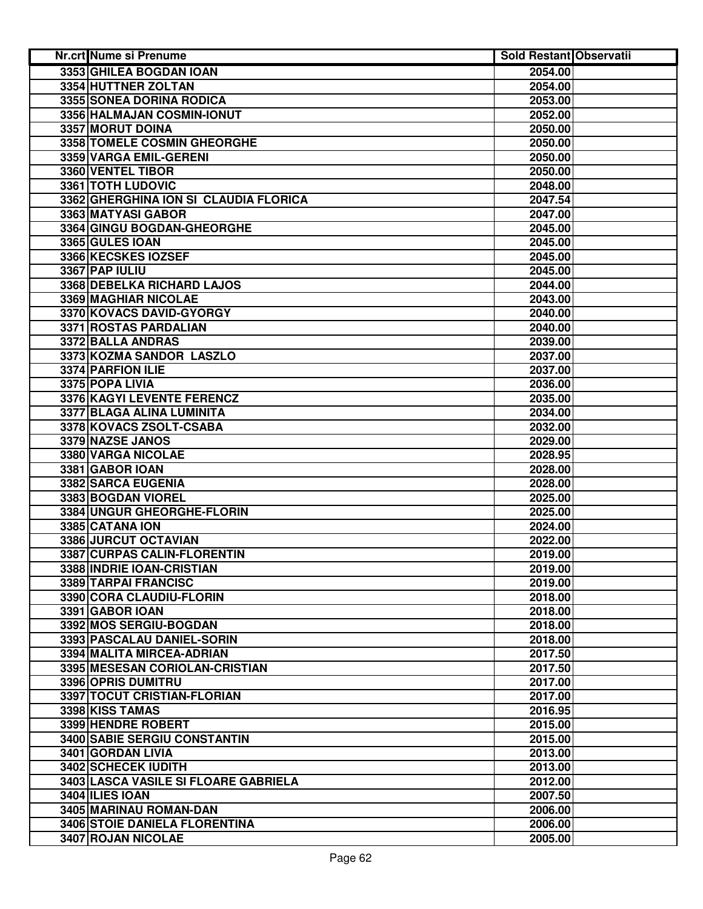| 3353 GHILEA BOGDAN IOAN<br>2054.00<br>3354 HUTTNER ZOLTAN<br>2054.00<br>3355 SONEA DORINA RODICA<br>2053.00<br>3356 HALMAJAN COSMIN-IONUT<br>2052.00<br>3357 MORUT DOINA<br>2050.00<br>3358 TOMELE COSMIN GHEORGHE<br>2050.00<br>3359 VARGA EMIL-GERENI<br>2050.00<br>3360 VENTEL TIBOR<br>2050.00<br>3361 TOTH LUDOVIC<br>2048.00<br>3362 GHERGHINA ION SI CLAUDIA FLORICA<br>2047.54<br>3363 MATYASI GABOR<br>2047.00<br>3364 GINGU BOGDAN-GHEORGHE<br>2045.00<br>3365 GULES IOAN<br>2045.00<br>3366 KECSKES IOZSEF<br>2045.00<br>3367 PAP IULIU<br>2045.00<br>3368 DEBELKA RICHARD LAJOS<br>2044.00<br>3369 MAGHIAR NICOLAE<br>2043.00<br>3370 KOVACS DAVID-GYORGY<br>2040.00<br><b>3371 ROSTAS PARDALIAN</b><br>2040.00<br>3372 BALLA ANDRAS<br>2039.00<br>3373 KOZMA SANDOR LASZLO<br>2037.00<br>3374 PARFION ILIE<br>2037.00<br>3375 POPA LIVIA<br>2036.00<br>3376 KAGYI LEVENTE FERENCZ<br>2035.00<br>3377 BLAGA ALINA LUMINITA<br>2034.00<br>3378 KOVACS ZSOLT-CSABA<br>2032.00<br>3379 NAZSE JANOS<br>2029.00<br>3380 VARGA NICOLAE<br>2028.95<br>3381 GABOR IOAN<br>2028.00<br>3382 SARCA EUGENIA<br>2028.00<br>3383 BOGDAN VIOREL<br>2025.00<br>3384 UNGUR GHEORGHE-FLORIN<br>2025.00<br>3385 CATANA ION<br>2024.00<br>3386 JURCUT OCTAVIAN<br>2022.00<br>3387 CURPAS CALIN-FLORENTIN<br>2019.00<br>3388 INDRIE IOAN-CRISTIAN<br>2019.00<br>3389 TARPAI FRANCISC<br>2019.00<br>3390 CORA CLAUDIU-FLORIN<br>2018.00<br>3391 GABOR IOAN<br>2018.00<br>3392 MOS SERGIU-BOGDAN<br>2018.00<br>3393 PASCALAU DANIEL-SORIN<br>2018.00<br>3394 MALITA MIRCEA-ADRIAN<br>2017.50<br>3395 MESESAN CORIOLAN-CRISTIAN<br>2017.50<br>3396 OPRIS DUMITRU<br>2017.00<br>3397 TOCUT CRISTIAN-FLORIAN<br>2017.00<br>3398 KISS TAMAS<br>2016.95<br>3399 HENDRE ROBERT<br>2015.00<br>3400 SABIE SERGIU CONSTANTIN<br>2015.00<br>3401 GORDAN LIVIA<br>2013.00<br>3402 SCHECEK IUDITH<br>2013.00<br>3403 LASCA VASILE SI FLOARE GABRIELA<br>2012.00<br>3404 ILIES IOAN<br>2007.50<br>3405 MARINAU ROMAN-DAN<br>2006.00<br>3406 STOIE DANIELA FLORENTINA<br>2006.00<br>3407 ROJAN NICOLAE<br>2005.00 | Nr.crt Nume si Prenume | <b>Sold Restant Observatii</b> |  |
|------------------------------------------------------------------------------------------------------------------------------------------------------------------------------------------------------------------------------------------------------------------------------------------------------------------------------------------------------------------------------------------------------------------------------------------------------------------------------------------------------------------------------------------------------------------------------------------------------------------------------------------------------------------------------------------------------------------------------------------------------------------------------------------------------------------------------------------------------------------------------------------------------------------------------------------------------------------------------------------------------------------------------------------------------------------------------------------------------------------------------------------------------------------------------------------------------------------------------------------------------------------------------------------------------------------------------------------------------------------------------------------------------------------------------------------------------------------------------------------------------------------------------------------------------------------------------------------------------------------------------------------------------------------------------------------------------------------------------------------------------------------------------------------------------------------------------------------------------------------------------------------------------------------------------------------------------------------------------------------------------------------------------------------------------------------------------------------|------------------------|--------------------------------|--|
|                                                                                                                                                                                                                                                                                                                                                                                                                                                                                                                                                                                                                                                                                                                                                                                                                                                                                                                                                                                                                                                                                                                                                                                                                                                                                                                                                                                                                                                                                                                                                                                                                                                                                                                                                                                                                                                                                                                                                                                                                                                                                          |                        |                                |  |
|                                                                                                                                                                                                                                                                                                                                                                                                                                                                                                                                                                                                                                                                                                                                                                                                                                                                                                                                                                                                                                                                                                                                                                                                                                                                                                                                                                                                                                                                                                                                                                                                                                                                                                                                                                                                                                                                                                                                                                                                                                                                                          |                        |                                |  |
|                                                                                                                                                                                                                                                                                                                                                                                                                                                                                                                                                                                                                                                                                                                                                                                                                                                                                                                                                                                                                                                                                                                                                                                                                                                                                                                                                                                                                                                                                                                                                                                                                                                                                                                                                                                                                                                                                                                                                                                                                                                                                          |                        |                                |  |
|                                                                                                                                                                                                                                                                                                                                                                                                                                                                                                                                                                                                                                                                                                                                                                                                                                                                                                                                                                                                                                                                                                                                                                                                                                                                                                                                                                                                                                                                                                                                                                                                                                                                                                                                                                                                                                                                                                                                                                                                                                                                                          |                        |                                |  |
|                                                                                                                                                                                                                                                                                                                                                                                                                                                                                                                                                                                                                                                                                                                                                                                                                                                                                                                                                                                                                                                                                                                                                                                                                                                                                                                                                                                                                                                                                                                                                                                                                                                                                                                                                                                                                                                                                                                                                                                                                                                                                          |                        |                                |  |
|                                                                                                                                                                                                                                                                                                                                                                                                                                                                                                                                                                                                                                                                                                                                                                                                                                                                                                                                                                                                                                                                                                                                                                                                                                                                                                                                                                                                                                                                                                                                                                                                                                                                                                                                                                                                                                                                                                                                                                                                                                                                                          |                        |                                |  |
|                                                                                                                                                                                                                                                                                                                                                                                                                                                                                                                                                                                                                                                                                                                                                                                                                                                                                                                                                                                                                                                                                                                                                                                                                                                                                                                                                                                                                                                                                                                                                                                                                                                                                                                                                                                                                                                                                                                                                                                                                                                                                          |                        |                                |  |
|                                                                                                                                                                                                                                                                                                                                                                                                                                                                                                                                                                                                                                                                                                                                                                                                                                                                                                                                                                                                                                                                                                                                                                                                                                                                                                                                                                                                                                                                                                                                                                                                                                                                                                                                                                                                                                                                                                                                                                                                                                                                                          |                        |                                |  |
|                                                                                                                                                                                                                                                                                                                                                                                                                                                                                                                                                                                                                                                                                                                                                                                                                                                                                                                                                                                                                                                                                                                                                                                                                                                                                                                                                                                                                                                                                                                                                                                                                                                                                                                                                                                                                                                                                                                                                                                                                                                                                          |                        |                                |  |
|                                                                                                                                                                                                                                                                                                                                                                                                                                                                                                                                                                                                                                                                                                                                                                                                                                                                                                                                                                                                                                                                                                                                                                                                                                                                                                                                                                                                                                                                                                                                                                                                                                                                                                                                                                                                                                                                                                                                                                                                                                                                                          |                        |                                |  |
|                                                                                                                                                                                                                                                                                                                                                                                                                                                                                                                                                                                                                                                                                                                                                                                                                                                                                                                                                                                                                                                                                                                                                                                                                                                                                                                                                                                                                                                                                                                                                                                                                                                                                                                                                                                                                                                                                                                                                                                                                                                                                          |                        |                                |  |
|                                                                                                                                                                                                                                                                                                                                                                                                                                                                                                                                                                                                                                                                                                                                                                                                                                                                                                                                                                                                                                                                                                                                                                                                                                                                                                                                                                                                                                                                                                                                                                                                                                                                                                                                                                                                                                                                                                                                                                                                                                                                                          |                        |                                |  |
|                                                                                                                                                                                                                                                                                                                                                                                                                                                                                                                                                                                                                                                                                                                                                                                                                                                                                                                                                                                                                                                                                                                                                                                                                                                                                                                                                                                                                                                                                                                                                                                                                                                                                                                                                                                                                                                                                                                                                                                                                                                                                          |                        |                                |  |
|                                                                                                                                                                                                                                                                                                                                                                                                                                                                                                                                                                                                                                                                                                                                                                                                                                                                                                                                                                                                                                                                                                                                                                                                                                                                                                                                                                                                                                                                                                                                                                                                                                                                                                                                                                                                                                                                                                                                                                                                                                                                                          |                        |                                |  |
|                                                                                                                                                                                                                                                                                                                                                                                                                                                                                                                                                                                                                                                                                                                                                                                                                                                                                                                                                                                                                                                                                                                                                                                                                                                                                                                                                                                                                                                                                                                                                                                                                                                                                                                                                                                                                                                                                                                                                                                                                                                                                          |                        |                                |  |
|                                                                                                                                                                                                                                                                                                                                                                                                                                                                                                                                                                                                                                                                                                                                                                                                                                                                                                                                                                                                                                                                                                                                                                                                                                                                                                                                                                                                                                                                                                                                                                                                                                                                                                                                                                                                                                                                                                                                                                                                                                                                                          |                        |                                |  |
|                                                                                                                                                                                                                                                                                                                                                                                                                                                                                                                                                                                                                                                                                                                                                                                                                                                                                                                                                                                                                                                                                                                                                                                                                                                                                                                                                                                                                                                                                                                                                                                                                                                                                                                                                                                                                                                                                                                                                                                                                                                                                          |                        |                                |  |
|                                                                                                                                                                                                                                                                                                                                                                                                                                                                                                                                                                                                                                                                                                                                                                                                                                                                                                                                                                                                                                                                                                                                                                                                                                                                                                                                                                                                                                                                                                                                                                                                                                                                                                                                                                                                                                                                                                                                                                                                                                                                                          |                        |                                |  |
|                                                                                                                                                                                                                                                                                                                                                                                                                                                                                                                                                                                                                                                                                                                                                                                                                                                                                                                                                                                                                                                                                                                                                                                                                                                                                                                                                                                                                                                                                                                                                                                                                                                                                                                                                                                                                                                                                                                                                                                                                                                                                          |                        |                                |  |
|                                                                                                                                                                                                                                                                                                                                                                                                                                                                                                                                                                                                                                                                                                                                                                                                                                                                                                                                                                                                                                                                                                                                                                                                                                                                                                                                                                                                                                                                                                                                                                                                                                                                                                                                                                                                                                                                                                                                                                                                                                                                                          |                        |                                |  |
|                                                                                                                                                                                                                                                                                                                                                                                                                                                                                                                                                                                                                                                                                                                                                                                                                                                                                                                                                                                                                                                                                                                                                                                                                                                                                                                                                                                                                                                                                                                                                                                                                                                                                                                                                                                                                                                                                                                                                                                                                                                                                          |                        |                                |  |
|                                                                                                                                                                                                                                                                                                                                                                                                                                                                                                                                                                                                                                                                                                                                                                                                                                                                                                                                                                                                                                                                                                                                                                                                                                                                                                                                                                                                                                                                                                                                                                                                                                                                                                                                                                                                                                                                                                                                                                                                                                                                                          |                        |                                |  |
|                                                                                                                                                                                                                                                                                                                                                                                                                                                                                                                                                                                                                                                                                                                                                                                                                                                                                                                                                                                                                                                                                                                                                                                                                                                                                                                                                                                                                                                                                                                                                                                                                                                                                                                                                                                                                                                                                                                                                                                                                                                                                          |                        |                                |  |
|                                                                                                                                                                                                                                                                                                                                                                                                                                                                                                                                                                                                                                                                                                                                                                                                                                                                                                                                                                                                                                                                                                                                                                                                                                                                                                                                                                                                                                                                                                                                                                                                                                                                                                                                                                                                                                                                                                                                                                                                                                                                                          |                        |                                |  |
|                                                                                                                                                                                                                                                                                                                                                                                                                                                                                                                                                                                                                                                                                                                                                                                                                                                                                                                                                                                                                                                                                                                                                                                                                                                                                                                                                                                                                                                                                                                                                                                                                                                                                                                                                                                                                                                                                                                                                                                                                                                                                          |                        |                                |  |
|                                                                                                                                                                                                                                                                                                                                                                                                                                                                                                                                                                                                                                                                                                                                                                                                                                                                                                                                                                                                                                                                                                                                                                                                                                                                                                                                                                                                                                                                                                                                                                                                                                                                                                                                                                                                                                                                                                                                                                                                                                                                                          |                        |                                |  |
|                                                                                                                                                                                                                                                                                                                                                                                                                                                                                                                                                                                                                                                                                                                                                                                                                                                                                                                                                                                                                                                                                                                                                                                                                                                                                                                                                                                                                                                                                                                                                                                                                                                                                                                                                                                                                                                                                                                                                                                                                                                                                          |                        |                                |  |
|                                                                                                                                                                                                                                                                                                                                                                                                                                                                                                                                                                                                                                                                                                                                                                                                                                                                                                                                                                                                                                                                                                                                                                                                                                                                                                                                                                                                                                                                                                                                                                                                                                                                                                                                                                                                                                                                                                                                                                                                                                                                                          |                        |                                |  |
|                                                                                                                                                                                                                                                                                                                                                                                                                                                                                                                                                                                                                                                                                                                                                                                                                                                                                                                                                                                                                                                                                                                                                                                                                                                                                                                                                                                                                                                                                                                                                                                                                                                                                                                                                                                                                                                                                                                                                                                                                                                                                          |                        |                                |  |
|                                                                                                                                                                                                                                                                                                                                                                                                                                                                                                                                                                                                                                                                                                                                                                                                                                                                                                                                                                                                                                                                                                                                                                                                                                                                                                                                                                                                                                                                                                                                                                                                                                                                                                                                                                                                                                                                                                                                                                                                                                                                                          |                        |                                |  |
|                                                                                                                                                                                                                                                                                                                                                                                                                                                                                                                                                                                                                                                                                                                                                                                                                                                                                                                                                                                                                                                                                                                                                                                                                                                                                                                                                                                                                                                                                                                                                                                                                                                                                                                                                                                                                                                                                                                                                                                                                                                                                          |                        |                                |  |
|                                                                                                                                                                                                                                                                                                                                                                                                                                                                                                                                                                                                                                                                                                                                                                                                                                                                                                                                                                                                                                                                                                                                                                                                                                                                                                                                                                                                                                                                                                                                                                                                                                                                                                                                                                                                                                                                                                                                                                                                                                                                                          |                        |                                |  |
|                                                                                                                                                                                                                                                                                                                                                                                                                                                                                                                                                                                                                                                                                                                                                                                                                                                                                                                                                                                                                                                                                                                                                                                                                                                                                                                                                                                                                                                                                                                                                                                                                                                                                                                                                                                                                                                                                                                                                                                                                                                                                          |                        |                                |  |
|                                                                                                                                                                                                                                                                                                                                                                                                                                                                                                                                                                                                                                                                                                                                                                                                                                                                                                                                                                                                                                                                                                                                                                                                                                                                                                                                                                                                                                                                                                                                                                                                                                                                                                                                                                                                                                                                                                                                                                                                                                                                                          |                        |                                |  |
|                                                                                                                                                                                                                                                                                                                                                                                                                                                                                                                                                                                                                                                                                                                                                                                                                                                                                                                                                                                                                                                                                                                                                                                                                                                                                                                                                                                                                                                                                                                                                                                                                                                                                                                                                                                                                                                                                                                                                                                                                                                                                          |                        |                                |  |
|                                                                                                                                                                                                                                                                                                                                                                                                                                                                                                                                                                                                                                                                                                                                                                                                                                                                                                                                                                                                                                                                                                                                                                                                                                                                                                                                                                                                                                                                                                                                                                                                                                                                                                                                                                                                                                                                                                                                                                                                                                                                                          |                        |                                |  |
|                                                                                                                                                                                                                                                                                                                                                                                                                                                                                                                                                                                                                                                                                                                                                                                                                                                                                                                                                                                                                                                                                                                                                                                                                                                                                                                                                                                                                                                                                                                                                                                                                                                                                                                                                                                                                                                                                                                                                                                                                                                                                          |                        |                                |  |
|                                                                                                                                                                                                                                                                                                                                                                                                                                                                                                                                                                                                                                                                                                                                                                                                                                                                                                                                                                                                                                                                                                                                                                                                                                                                                                                                                                                                                                                                                                                                                                                                                                                                                                                                                                                                                                                                                                                                                                                                                                                                                          |                        |                                |  |
|                                                                                                                                                                                                                                                                                                                                                                                                                                                                                                                                                                                                                                                                                                                                                                                                                                                                                                                                                                                                                                                                                                                                                                                                                                                                                                                                                                                                                                                                                                                                                                                                                                                                                                                                                                                                                                                                                                                                                                                                                                                                                          |                        |                                |  |
|                                                                                                                                                                                                                                                                                                                                                                                                                                                                                                                                                                                                                                                                                                                                                                                                                                                                                                                                                                                                                                                                                                                                                                                                                                                                                                                                                                                                                                                                                                                                                                                                                                                                                                                                                                                                                                                                                                                                                                                                                                                                                          |                        |                                |  |
|                                                                                                                                                                                                                                                                                                                                                                                                                                                                                                                                                                                                                                                                                                                                                                                                                                                                                                                                                                                                                                                                                                                                                                                                                                                                                                                                                                                                                                                                                                                                                                                                                                                                                                                                                                                                                                                                                                                                                                                                                                                                                          |                        |                                |  |
|                                                                                                                                                                                                                                                                                                                                                                                                                                                                                                                                                                                                                                                                                                                                                                                                                                                                                                                                                                                                                                                                                                                                                                                                                                                                                                                                                                                                                                                                                                                                                                                                                                                                                                                                                                                                                                                                                                                                                                                                                                                                                          |                        |                                |  |
|                                                                                                                                                                                                                                                                                                                                                                                                                                                                                                                                                                                                                                                                                                                                                                                                                                                                                                                                                                                                                                                                                                                                                                                                                                                                                                                                                                                                                                                                                                                                                                                                                                                                                                                                                                                                                                                                                                                                                                                                                                                                                          |                        |                                |  |
|                                                                                                                                                                                                                                                                                                                                                                                                                                                                                                                                                                                                                                                                                                                                                                                                                                                                                                                                                                                                                                                                                                                                                                                                                                                                                                                                                                                                                                                                                                                                                                                                                                                                                                                                                                                                                                                                                                                                                                                                                                                                                          |                        |                                |  |
|                                                                                                                                                                                                                                                                                                                                                                                                                                                                                                                                                                                                                                                                                                                                                                                                                                                                                                                                                                                                                                                                                                                                                                                                                                                                                                                                                                                                                                                                                                                                                                                                                                                                                                                                                                                                                                                                                                                                                                                                                                                                                          |                        |                                |  |
|                                                                                                                                                                                                                                                                                                                                                                                                                                                                                                                                                                                                                                                                                                                                                                                                                                                                                                                                                                                                                                                                                                                                                                                                                                                                                                                                                                                                                                                                                                                                                                                                                                                                                                                                                                                                                                                                                                                                                                                                                                                                                          |                        |                                |  |
|                                                                                                                                                                                                                                                                                                                                                                                                                                                                                                                                                                                                                                                                                                                                                                                                                                                                                                                                                                                                                                                                                                                                                                                                                                                                                                                                                                                                                                                                                                                                                                                                                                                                                                                                                                                                                                                                                                                                                                                                                                                                                          |                        |                                |  |
|                                                                                                                                                                                                                                                                                                                                                                                                                                                                                                                                                                                                                                                                                                                                                                                                                                                                                                                                                                                                                                                                                                                                                                                                                                                                                                                                                                                                                                                                                                                                                                                                                                                                                                                                                                                                                                                                                                                                                                                                                                                                                          |                        |                                |  |
|                                                                                                                                                                                                                                                                                                                                                                                                                                                                                                                                                                                                                                                                                                                                                                                                                                                                                                                                                                                                                                                                                                                                                                                                                                                                                                                                                                                                                                                                                                                                                                                                                                                                                                                                                                                                                                                                                                                                                                                                                                                                                          |                        |                                |  |
|                                                                                                                                                                                                                                                                                                                                                                                                                                                                                                                                                                                                                                                                                                                                                                                                                                                                                                                                                                                                                                                                                                                                                                                                                                                                                                                                                                                                                                                                                                                                                                                                                                                                                                                                                                                                                                                                                                                                                                                                                                                                                          |                        |                                |  |
|                                                                                                                                                                                                                                                                                                                                                                                                                                                                                                                                                                                                                                                                                                                                                                                                                                                                                                                                                                                                                                                                                                                                                                                                                                                                                                                                                                                                                                                                                                                                                                                                                                                                                                                                                                                                                                                                                                                                                                                                                                                                                          |                        |                                |  |
|                                                                                                                                                                                                                                                                                                                                                                                                                                                                                                                                                                                                                                                                                                                                                                                                                                                                                                                                                                                                                                                                                                                                                                                                                                                                                                                                                                                                                                                                                                                                                                                                                                                                                                                                                                                                                                                                                                                                                                                                                                                                                          |                        |                                |  |
|                                                                                                                                                                                                                                                                                                                                                                                                                                                                                                                                                                                                                                                                                                                                                                                                                                                                                                                                                                                                                                                                                                                                                                                                                                                                                                                                                                                                                                                                                                                                                                                                                                                                                                                                                                                                                                                                                                                                                                                                                                                                                          |                        |                                |  |
|                                                                                                                                                                                                                                                                                                                                                                                                                                                                                                                                                                                                                                                                                                                                                                                                                                                                                                                                                                                                                                                                                                                                                                                                                                                                                                                                                                                                                                                                                                                                                                                                                                                                                                                                                                                                                                                                                                                                                                                                                                                                                          |                        |                                |  |
|                                                                                                                                                                                                                                                                                                                                                                                                                                                                                                                                                                                                                                                                                                                                                                                                                                                                                                                                                                                                                                                                                                                                                                                                                                                                                                                                                                                                                                                                                                                                                                                                                                                                                                                                                                                                                                                                                                                                                                                                                                                                                          |                        |                                |  |
|                                                                                                                                                                                                                                                                                                                                                                                                                                                                                                                                                                                                                                                                                                                                                                                                                                                                                                                                                                                                                                                                                                                                                                                                                                                                                                                                                                                                                                                                                                                                                                                                                                                                                                                                                                                                                                                                                                                                                                                                                                                                                          |                        |                                |  |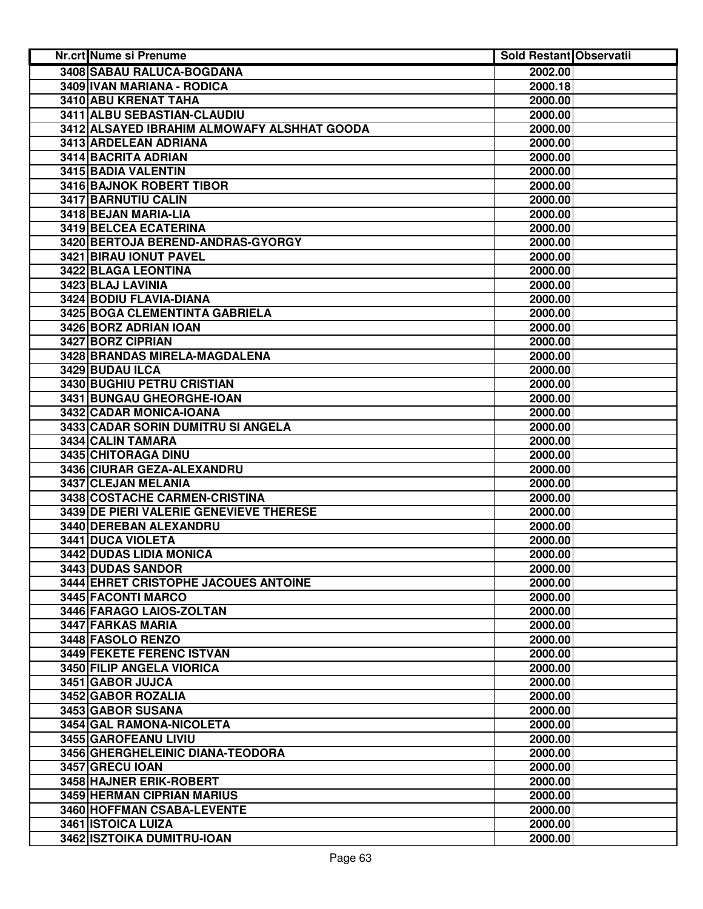| Nr.crt Nume si Prenume                      | <b>Sold Restant Observatii</b> |  |
|---------------------------------------------|--------------------------------|--|
| 3408 SABAU RALUCA-BOGDANA                   | 2002.00                        |  |
| 3409 IVAN MARIANA - RODICA                  | 2000.18                        |  |
| 3410 ABU KRENAT TAHA                        | 2000.00                        |  |
| 3411 ALBU SEBASTIAN-CLAUDIU                 | 2000.00                        |  |
| 3412 ALSAYED IBRAHIM ALMOWAFY ALSHHAT GOODA | 2000.00                        |  |
| 3413 ARDELEAN ADRIANA                       | 2000.00                        |  |
| 3414 BACRITA ADRIAN                         | 2000.00                        |  |
| 3415 BADIA VALENTIN                         | 2000.00                        |  |
| <b>3416 BAJNOK ROBERT TIBOR</b>             | 2000.00                        |  |
| 3417 BARNUTIU CALIN                         | 2000.00                        |  |
| 3418 BEJAN MARIA-LIA                        | 2000.00                        |  |
| 3419 BELCEA ECATERINA                       | 2000.00                        |  |
| 3420 BERTOJA BEREND-ANDRAS-GYORGY           | 2000.00                        |  |
| 3421 BIRAU IONUT PAVEL                      | 2000.00                        |  |
| 3422 BLAGA LEONTINA                         | 2000.00                        |  |
| 3423 BLAJ LAVINIA                           | 2000.00                        |  |
| 3424 BODIU FLAVIA-DIANA                     | 2000.00                        |  |
| 3425 BOGA CLEMENTINTA GABRIELA              | 2000.00                        |  |
| 3426 BORZ ADRIAN IOAN                       | 2000.00                        |  |
| 3427 BORZ CIPRIAN                           | 2000.00                        |  |
| 3428 BRANDAS MIRELA-MAGDALENA               | 2000.00                        |  |
| 3429 BUDAU ILCA                             | 2000.00                        |  |
| <b>3430 BUGHIU PETRU CRISTIAN</b>           | 2000.00                        |  |
| 3431 BUNGAU GHEORGHE-IOAN                   | 2000.00                        |  |
| 3432 CADAR MONICA-IOANA                     | 2000.00                        |  |
| 3433 CADAR SORIN DUMITRU SI ANGELA          | 2000.00                        |  |
| 3434 CALIN TAMARA                           | 2000.00                        |  |
| 3435 CHITORAGA DINU                         | 2000.00                        |  |
| 3436 CIURAR GEZA-ALEXANDRU                  | 2000.00                        |  |
| 3437 CLEJAN MELANIA                         | 2000.00                        |  |
| 3438 COSTACHE CARMEN-CRISTINA               | 2000.00                        |  |
| 3439 DE PIERI VALERIE GENEVIEVE THERESE     | 2000.00                        |  |
| 3440 DEREBAN ALEXANDRU                      | 2000.00                        |  |
| 3441 DUCA VIOLETA                           | 2000.00                        |  |
| 3442 DUDAS LIDIA MONICA                     | 2000.00                        |  |
| 3443 DUDAS SANDOR                           | 2000.00                        |  |
| 3444 EHRET CRISTOPHE JACOUES ANTOINE        | 2000.00                        |  |
| 3445 FACONTI MARCO                          | 2000.00                        |  |
| 3446 FARAGO LAIOS-ZOLTAN                    | 2000.00                        |  |
| 3447 FARKAS MARIA                           | 2000.00                        |  |
| 3448 FASOLO RENZO                           | 2000.00                        |  |
| <b>3449 FEKETE FERENC ISTVAN</b>            | 2000.00                        |  |
| 3450 FILIP ANGELA VIORICA                   | 2000.00                        |  |
| 3451 GABOR JUJCA                            | 2000.00                        |  |
| 3452 GABOR ROZALIA                          | 2000.00                        |  |
| 3453 GABOR SUSANA                           | 2000.00                        |  |
| 3454 GAL RAMONA-NICOLETA                    | 2000.00                        |  |
| 3455 GAROFEANU LIVIU                        | 2000.00                        |  |
| 3456 GHERGHELEINIC DIANA-TEODORA            | 2000.00                        |  |
| 3457 GRECU IOAN                             | 2000.00                        |  |
| 3458 HAJNER ERIK-ROBERT                     | 2000.00                        |  |
| 3459 HERMAN CIPRIAN MARIUS                  | 2000.00                        |  |
| 3460 HOFFMAN CSABA-LEVENTE                  | 2000.00                        |  |
| 3461 ISTOICA LUIZA                          | 2000.00                        |  |
| 3462 ISZTOIKA DUMITRU-IOAN                  | 2000.00                        |  |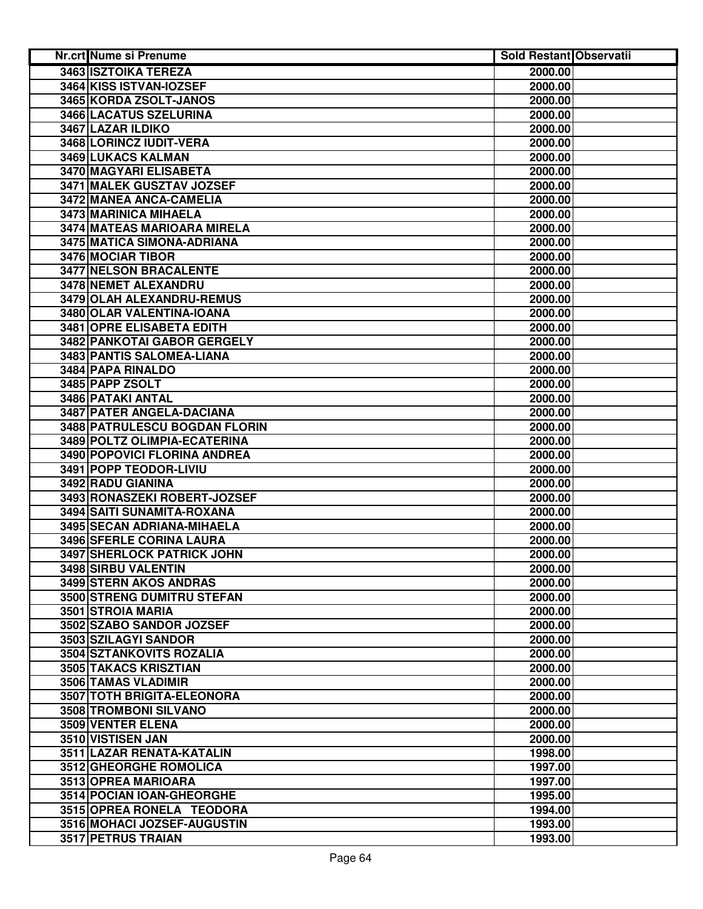| <b>Nr.crt Nume si Prenume</b> | Sold Restant Observatii |  |
|-------------------------------|-------------------------|--|
| <b>3463 ISZTOIKA TEREZA</b>   | 2000.00                 |  |
| 3464 KISS ISTVAN-IOZSEF       | 2000.00                 |  |
| 3465 KORDA ZSOLT-JANOS        | 2000.00                 |  |
| 3466 LACATUS SZELURINA        | 2000.00                 |  |
| 3467 LAZAR ILDIKO             | 2000.00                 |  |
| 3468 LORINCZ IUDIT-VERA       | 2000.00                 |  |
| 3469 LUKACS KALMAN            | 2000.00                 |  |
| 3470 MAGYARI ELISABETA        | 2000.00                 |  |
| 3471 MALEK GUSZTAV JOZSEF     | 2000.00                 |  |
| 3472 MANEA ANCA-CAMELIA       | 2000.00                 |  |
| 3473 MARINICA MIHAELA         | 2000.00                 |  |
| 3474 MATEAS MARIOARA MIRELA   | 2000.00                 |  |
| 3475 MATICA SIMONA-ADRIANA    | 2000.00                 |  |
| 3476 MOCIAR TIBOR             | 2000.00                 |  |
| 3477 NELSON BRACALENTE        | 2000.00                 |  |
| 3478 NEMET ALEXANDRU          | 2000.00                 |  |
| 3479 OLAH ALEXANDRU-REMUS     | 2000.00                 |  |
| 3480 OLAR VALENTINA-IOANA     | 2000.00                 |  |
| 3481 OPRE ELISABETA EDITH     | 2000.00                 |  |
| 3482 PANKOTAI GABOR GERGELY   | 2000.00                 |  |
| 3483 PANTIS SALOMEA-LIANA     | 2000.00                 |  |
| 3484 PAPA RINALDO             | 2000.00                 |  |
| 3485 PAPP ZSOLT               | 2000.00                 |  |
| <b>3486 PATAKI ANTAL</b>      | 2000.00                 |  |
| 3487 PATER ANGELA-DACIANA     | 2000.00                 |  |
| 3488 PATRULESCU BOGDAN FLORIN | 2000.00                 |  |
| 3489 POLTZ OLIMPIA-ECATERINA  | 2000.00                 |  |
| 3490 POPOVICI FLORINA ANDREA  | 2000.00                 |  |
| 3491 POPP TEODOR-LIVIU        | 2000.00                 |  |
| 3492 RADU GIANINA             | 2000.00                 |  |
| 3493 RONASZEKI ROBERT-JOZSEF  | 2000.00                 |  |
| 3494 SAITI SUNAMITA-ROXANA    | 2000.00                 |  |
| 3495 SECAN ADRIANA-MIHAELA    | 2000.00                 |  |
| 3496 SFERLE CORINA LAURA      | 2000.00                 |  |
| 3497 SHERLOCK PATRICK JOHN    | 2000.00                 |  |
| 3498 SIRBU VALENTIN           | 2000.00                 |  |
| 3499 STERN AKOS ANDRAS        | 2000.00                 |  |
| 3500 STRENG DUMITRU STEFAN    | 2000.00                 |  |
| 3501 STROIA MARIA             | 2000.00                 |  |
| 3502 SZABO SANDOR JOZSEF      | 2000.00                 |  |
| 3503 SZILAGYI SANDOR          | 2000.00                 |  |
| 3504 SZTANKOVITS ROZALIA      | 2000.00                 |  |
| 3505 TAKACS KRISZTIAN         | 2000.00                 |  |
| 3506 TAMAS VLADIMIR           | 2000.00                 |  |
| 3507 TOTH BRIGITA-ELEONORA    | 2000.00                 |  |
| 3508 TROMBONI SILVANO         | 2000.00                 |  |
| <b>3509 VENTER ELENA</b>      | 2000.00                 |  |
| 3510 VISTISEN JAN             | 2000.00                 |  |
| 3511 LAZAR RENATA-KATALIN     | 1998.00                 |  |
| 3512 GHEORGHE ROMOLICA        | 1997.00                 |  |
| 3513 OPREA MARIOARA           | 1997.00                 |  |
| 3514 POCIAN IOAN-GHEORGHE     | 1995.00                 |  |
| 3515 OPREA RONELA TEODORA     | 1994.00                 |  |
| 3516 MOHACI JOZSEF-AUGUSTIN   | 1993.00                 |  |
| 3517 PETRUS TRAIAN            | 1993.00                 |  |
|                               |                         |  |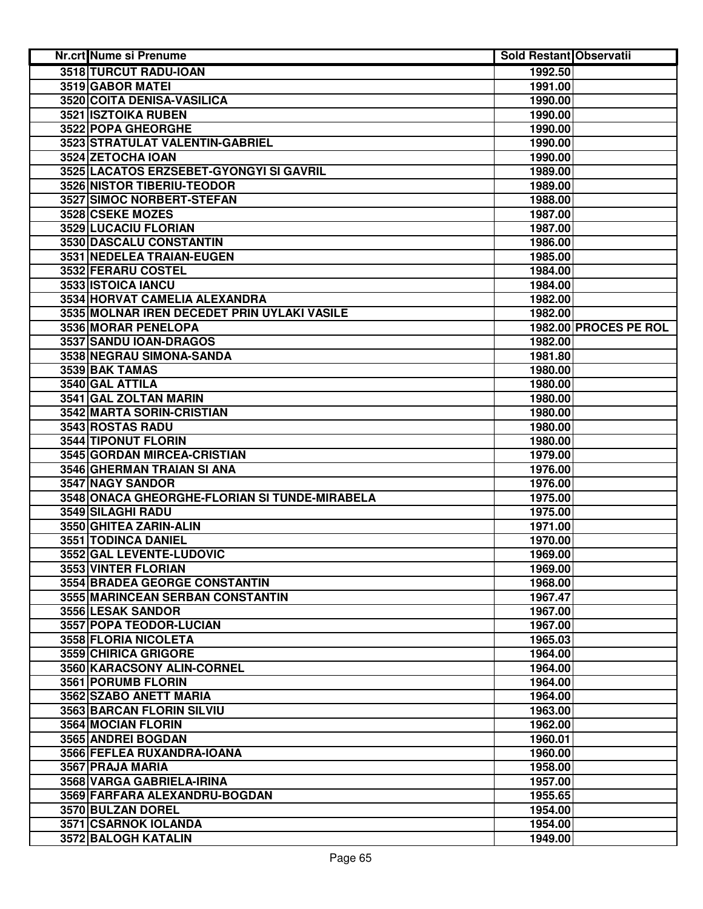| 3518 TURCUT RADU-IOAN<br>1992.50<br>3519 GABOR MATEL<br>1991.00<br>3520 COITA DENISA-VASILICA<br>1990.00<br>3521 ISZTOIKA RUBEN<br>1990.00<br>3522 POPA GHEORGHE<br>1990.00<br>3523 STRATULAT VALENTIN-GABRIEL<br>1990.00<br>3524 ZETOCHA IOAN<br>1990.00<br>3525 LACATOS ERZSEBET-GYONGYI SI GAVRIL<br>1989.00<br>3526 NISTOR TIBERIU-TEODOR<br>1989.00<br>3527 SIMOC NORBERT-STEFAN<br>1988.00<br>3528 CSEKE MOZES<br>1987.00<br>3529 LUCACIU FLORIAN<br>1987.00<br>3530 DASCALU CONSTANTIN<br>1986.00<br>3531 NEDELEA TRAIAN-EUGEN<br>1985.00 |
|--------------------------------------------------------------------------------------------------------------------------------------------------------------------------------------------------------------------------------------------------------------------------------------------------------------------------------------------------------------------------------------------------------------------------------------------------------------------------------------------------------------------------------------------------|
|                                                                                                                                                                                                                                                                                                                                                                                                                                                                                                                                                  |
|                                                                                                                                                                                                                                                                                                                                                                                                                                                                                                                                                  |
|                                                                                                                                                                                                                                                                                                                                                                                                                                                                                                                                                  |
|                                                                                                                                                                                                                                                                                                                                                                                                                                                                                                                                                  |
|                                                                                                                                                                                                                                                                                                                                                                                                                                                                                                                                                  |
|                                                                                                                                                                                                                                                                                                                                                                                                                                                                                                                                                  |
|                                                                                                                                                                                                                                                                                                                                                                                                                                                                                                                                                  |
|                                                                                                                                                                                                                                                                                                                                                                                                                                                                                                                                                  |
|                                                                                                                                                                                                                                                                                                                                                                                                                                                                                                                                                  |
|                                                                                                                                                                                                                                                                                                                                                                                                                                                                                                                                                  |
|                                                                                                                                                                                                                                                                                                                                                                                                                                                                                                                                                  |
|                                                                                                                                                                                                                                                                                                                                                                                                                                                                                                                                                  |
|                                                                                                                                                                                                                                                                                                                                                                                                                                                                                                                                                  |
|                                                                                                                                                                                                                                                                                                                                                                                                                                                                                                                                                  |
| 3532 FERARU COSTEL<br>1984.00                                                                                                                                                                                                                                                                                                                                                                                                                                                                                                                    |
| 3533 ISTOICA IANCU<br>1984.00                                                                                                                                                                                                                                                                                                                                                                                                                                                                                                                    |
| 3534 HORVAT CAMELIA ALEXANDRA<br>1982.00                                                                                                                                                                                                                                                                                                                                                                                                                                                                                                         |
| 3535 MOLNAR IREN DECEDET PRIN UYLAKI VASILE<br>1982.00                                                                                                                                                                                                                                                                                                                                                                                                                                                                                           |
| 3536 MORAR PENELOPA<br>1982.00 PROCES PE ROL                                                                                                                                                                                                                                                                                                                                                                                                                                                                                                     |
| 3537 SANDU IOAN-DRAGOS<br>1982.00                                                                                                                                                                                                                                                                                                                                                                                                                                                                                                                |
| 3538 NEGRAU SIMONA-SANDA<br>1981.80                                                                                                                                                                                                                                                                                                                                                                                                                                                                                                              |
| 3539 BAK TAMAS<br>1980.00                                                                                                                                                                                                                                                                                                                                                                                                                                                                                                                        |
| 3540 GAL ATTILA<br>1980.00                                                                                                                                                                                                                                                                                                                                                                                                                                                                                                                       |
| 3541 GAL ZOLTAN MARIN<br>1980.00                                                                                                                                                                                                                                                                                                                                                                                                                                                                                                                 |
| 3542 MARTA SORIN-CRISTIAN<br>1980.00                                                                                                                                                                                                                                                                                                                                                                                                                                                                                                             |
| 3543 ROSTAS RADU<br>1980.00                                                                                                                                                                                                                                                                                                                                                                                                                                                                                                                      |
| 3544 TIPONUT FLORIN<br>1980.00                                                                                                                                                                                                                                                                                                                                                                                                                                                                                                                   |
| 3545 GORDAN MIRCEA-CRISTIAN<br>1979.00                                                                                                                                                                                                                                                                                                                                                                                                                                                                                                           |
| 3546 GHERMAN TRAIAN SI ANA<br>1976.00                                                                                                                                                                                                                                                                                                                                                                                                                                                                                                            |
| 3547 NAGY SANDOR<br>1976.00                                                                                                                                                                                                                                                                                                                                                                                                                                                                                                                      |
| 3548 ONACA GHEORGHE-FLORIAN SI TUNDE-MIRABELA<br>1975.00                                                                                                                                                                                                                                                                                                                                                                                                                                                                                         |
| 3549 SILAGHI RADU<br>1975.00                                                                                                                                                                                                                                                                                                                                                                                                                                                                                                                     |
| 3550 GHITEA ZARIN-ALIN<br>1971.00                                                                                                                                                                                                                                                                                                                                                                                                                                                                                                                |
| 3551 TODINCA DANIEL<br>1970.00                                                                                                                                                                                                                                                                                                                                                                                                                                                                                                                   |
| 3552 GAL LEVENTE-LUDOVIC<br>1969.00                                                                                                                                                                                                                                                                                                                                                                                                                                                                                                              |
| 3553 VINTER FLORIAN<br>1969.00                                                                                                                                                                                                                                                                                                                                                                                                                                                                                                                   |
| <b>3554 BRADEA GEORGE CONSTANTIN</b><br>1968.00                                                                                                                                                                                                                                                                                                                                                                                                                                                                                                  |
| 3555 MARINCEAN SERBAN CONSTANTIN<br>1967.47                                                                                                                                                                                                                                                                                                                                                                                                                                                                                                      |
| 3556 LESAK SANDOR<br>1967.00                                                                                                                                                                                                                                                                                                                                                                                                                                                                                                                     |
| 3557 POPA TEODOR-LUCIAN<br>1967.00                                                                                                                                                                                                                                                                                                                                                                                                                                                                                                               |
| 3558 FLORIA NICOLETA<br>1965.03                                                                                                                                                                                                                                                                                                                                                                                                                                                                                                                  |
| 3559 CHIRICA GRIGORE<br>1964.00                                                                                                                                                                                                                                                                                                                                                                                                                                                                                                                  |
| 3560 KARACSONY ALIN-CORNEL<br>1964.00                                                                                                                                                                                                                                                                                                                                                                                                                                                                                                            |
| 3561 PORUMB FLORIN<br>1964.00                                                                                                                                                                                                                                                                                                                                                                                                                                                                                                                    |
| 3562 SZABO ANETT MARIA<br>1964.00                                                                                                                                                                                                                                                                                                                                                                                                                                                                                                                |
| 3563 BARCAN FLORIN SILVIU<br>1963.00                                                                                                                                                                                                                                                                                                                                                                                                                                                                                                             |
| 3564 MOCIAN FLORIN<br>1962.00                                                                                                                                                                                                                                                                                                                                                                                                                                                                                                                    |
| 3565 ANDREI BOGDAN<br>1960.01                                                                                                                                                                                                                                                                                                                                                                                                                                                                                                                    |
| 3566 FEFLEA RUXANDRA-IOANA<br>1960.00                                                                                                                                                                                                                                                                                                                                                                                                                                                                                                            |
| 3567 PRAJA MARIA<br>1958.00                                                                                                                                                                                                                                                                                                                                                                                                                                                                                                                      |
| 3568 VARGA GABRIELA-IRINA<br>1957.00                                                                                                                                                                                                                                                                                                                                                                                                                                                                                                             |
| 3569 FARFARA ALEXANDRU-BOGDAN<br>1955.65                                                                                                                                                                                                                                                                                                                                                                                                                                                                                                         |
| 3570 BULZAN DOREL<br>1954.00                                                                                                                                                                                                                                                                                                                                                                                                                                                                                                                     |
| 3571 CSARNOK IOLANDA<br>1954.00                                                                                                                                                                                                                                                                                                                                                                                                                                                                                                                  |
| 3572 BALOGH KATALIN<br>1949.00                                                                                                                                                                                                                                                                                                                                                                                                                                                                                                                   |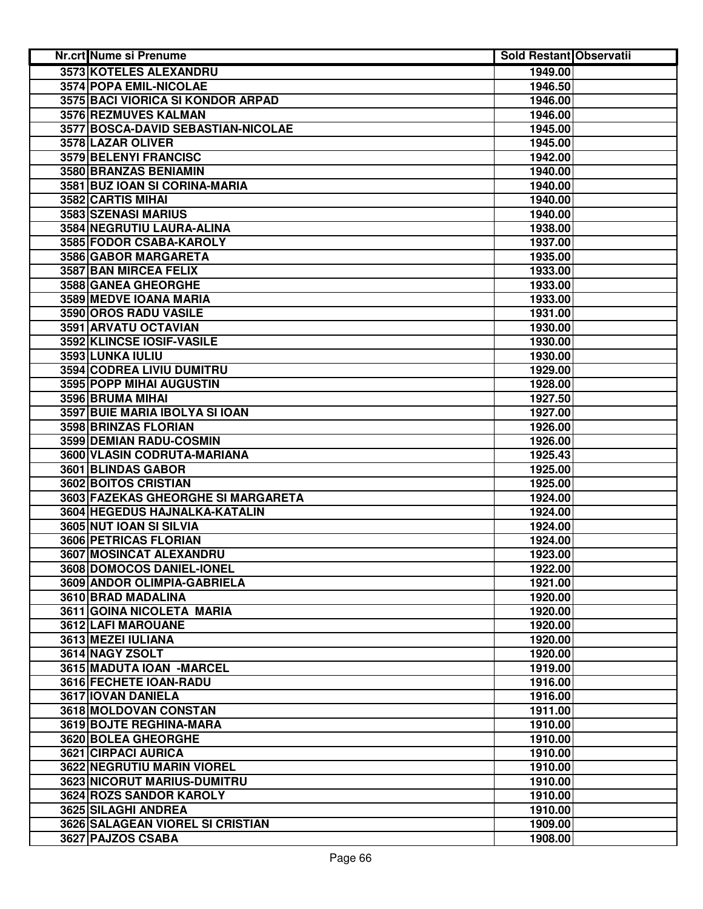| 3573 KOTELES ALEXANDRU<br>1949.00<br>3574 POPA EMIL-NICOLAE<br>1946.50<br>3575 BACI VIORICA SI KONDOR ARPAD<br>1946.00<br>3576 REZMUVES KALMAN<br>1946.00<br>3577 BOSCA-DAVID SEBASTIAN-NICOLAE<br>1945.00<br>3578 LAZAR OLIVER<br>1945.00<br>3579 BELENYI FRANCISC<br>1942.00<br>3580 BRANZAS BENIAMIN<br>1940.00<br>3581 BUZ IOAN SI CORINA-MARIA<br>1940.00<br>3582 CARTIS MIHAI<br>1940.00<br>3583 SZENASI MARIUS<br>1940.00 |
|----------------------------------------------------------------------------------------------------------------------------------------------------------------------------------------------------------------------------------------------------------------------------------------------------------------------------------------------------------------------------------------------------------------------------------|
|                                                                                                                                                                                                                                                                                                                                                                                                                                  |
|                                                                                                                                                                                                                                                                                                                                                                                                                                  |
|                                                                                                                                                                                                                                                                                                                                                                                                                                  |
|                                                                                                                                                                                                                                                                                                                                                                                                                                  |
|                                                                                                                                                                                                                                                                                                                                                                                                                                  |
|                                                                                                                                                                                                                                                                                                                                                                                                                                  |
|                                                                                                                                                                                                                                                                                                                                                                                                                                  |
|                                                                                                                                                                                                                                                                                                                                                                                                                                  |
|                                                                                                                                                                                                                                                                                                                                                                                                                                  |
|                                                                                                                                                                                                                                                                                                                                                                                                                                  |
|                                                                                                                                                                                                                                                                                                                                                                                                                                  |
| 3584 NEGRUTIU LAURA-ALINA<br>1938.00                                                                                                                                                                                                                                                                                                                                                                                             |
| 3585 FODOR CSABA-KAROLY<br>1937.00                                                                                                                                                                                                                                                                                                                                                                                               |
| 3586 GABOR MARGARETA<br>1935.00                                                                                                                                                                                                                                                                                                                                                                                                  |
| 3587 BAN MIRCEA FELIX<br>1933.00                                                                                                                                                                                                                                                                                                                                                                                                 |
| 3588 GANEA GHEORGHE<br>1933.00                                                                                                                                                                                                                                                                                                                                                                                                   |
| 3589 MEDVE IOANA MARIA<br>1933.00                                                                                                                                                                                                                                                                                                                                                                                                |
| 3590 OROS RADU VASILE<br>1931.00                                                                                                                                                                                                                                                                                                                                                                                                 |
| 3591 ARVATU OCTAVIAN<br>1930.00                                                                                                                                                                                                                                                                                                                                                                                                  |
| 3592 KLINCSE IOSIF-VASILE<br>1930.00                                                                                                                                                                                                                                                                                                                                                                                             |
| 3593 LUNKA IULIU<br>1930.00                                                                                                                                                                                                                                                                                                                                                                                                      |
| <b>3594 CODREA LIVIU DUMITRU</b><br>1929.00                                                                                                                                                                                                                                                                                                                                                                                      |
| 3595 POPP MIHAI AUGUSTIN<br>1928.00                                                                                                                                                                                                                                                                                                                                                                                              |
| 3596 BRUMA MIHAI<br>1927.50                                                                                                                                                                                                                                                                                                                                                                                                      |
| 3597 BUIE MARIA IBOLYA SI IOAN<br>1927.00                                                                                                                                                                                                                                                                                                                                                                                        |
| 3598 BRINZAS FLORIAN<br>1926.00                                                                                                                                                                                                                                                                                                                                                                                                  |
| 3599 DEMIAN RADU-COSMIN<br>1926.00                                                                                                                                                                                                                                                                                                                                                                                               |
| 3600 VLASIN CODRUTA-MARIANA<br>1925.43                                                                                                                                                                                                                                                                                                                                                                                           |
| 3601 BLINDAS GABOR<br>1925.00                                                                                                                                                                                                                                                                                                                                                                                                    |
| 3602 BOITOS CRISTIAN<br>1925.00                                                                                                                                                                                                                                                                                                                                                                                                  |
| 3603 FAZEKAS GHEORGHE SI MARGARETA<br>1924.00                                                                                                                                                                                                                                                                                                                                                                                    |
| 3604 HEGEDUS HAJNALKA-KATALIN<br>1924.00                                                                                                                                                                                                                                                                                                                                                                                         |
| 3605 NUT IOAN SI SILVIA<br>1924.00                                                                                                                                                                                                                                                                                                                                                                                               |
| 3606 PETRICAS FLORIAN<br>1924.00                                                                                                                                                                                                                                                                                                                                                                                                 |
| 3607 MOSINCAT ALEXANDRU<br>1923.00                                                                                                                                                                                                                                                                                                                                                                                               |
| 3608 DOMOCOS DANIEL-IONEL<br>1922.00                                                                                                                                                                                                                                                                                                                                                                                             |
| 3609 ANDOR OLIMPIA-GABRIELA<br>1921.00                                                                                                                                                                                                                                                                                                                                                                                           |
| 3610 BRAD MADALINA<br>1920.00                                                                                                                                                                                                                                                                                                                                                                                                    |
| 3611 GOINA NICOLETA MARIA<br>1920.00                                                                                                                                                                                                                                                                                                                                                                                             |
| 3612 LAFI MAROUANE<br>1920.00                                                                                                                                                                                                                                                                                                                                                                                                    |
| 3613 MEZEI IULIANA<br>1920.00                                                                                                                                                                                                                                                                                                                                                                                                    |
| 3614 NAGY ZSOLT<br>1920.00                                                                                                                                                                                                                                                                                                                                                                                                       |
| 3615 MADUTA IOAN - MARCEL<br>1919.00                                                                                                                                                                                                                                                                                                                                                                                             |
| 3616 FECHETE IOAN-RADU<br>1916.00                                                                                                                                                                                                                                                                                                                                                                                                |
| 3617 IOVAN DANIELA<br>1916.00                                                                                                                                                                                                                                                                                                                                                                                                    |
| 3618 MOLDOVAN CONSTAN<br>1911.00                                                                                                                                                                                                                                                                                                                                                                                                 |
| 3619 BOJTE REGHINA-MARA<br>1910.00                                                                                                                                                                                                                                                                                                                                                                                               |
| 3620 BOLEA GHEORGHE<br>1910.00                                                                                                                                                                                                                                                                                                                                                                                                   |
| 3621 CIRPACI AURICA<br>1910.00                                                                                                                                                                                                                                                                                                                                                                                                   |
| 3622 NEGRUTIU MARIN VIOREL<br>1910.00                                                                                                                                                                                                                                                                                                                                                                                            |
| 3623 NICORUT MARIUS-DUMITRU<br>1910.00                                                                                                                                                                                                                                                                                                                                                                                           |
| 3624 ROZS SANDOR KAROLY<br>1910.00                                                                                                                                                                                                                                                                                                                                                                                               |
| 3625 SILAGHI ANDREA<br>1910.00                                                                                                                                                                                                                                                                                                                                                                                                   |
| 3626 SALAGEAN VIOREL SI CRISTIAN<br>1909.00                                                                                                                                                                                                                                                                                                                                                                                      |
| 3627 PAJZOS CSABA<br>1908.00                                                                                                                                                                                                                                                                                                                                                                                                     |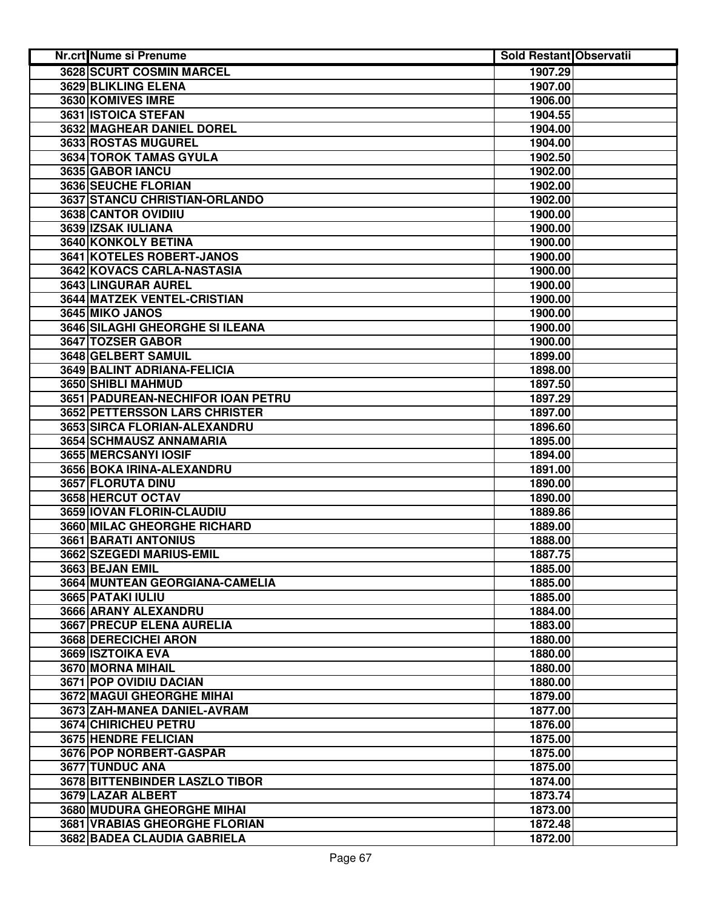| Nr.crt Nume si Prenume               | <b>Sold Restant Observatii</b> |  |
|--------------------------------------|--------------------------------|--|
| <b>3628 SCURT COSMIN MARCEL</b>      | 1907.29                        |  |
| 3629 BLIKLING ELENA                  | 1907.00                        |  |
| 3630 KOMIVES IMRE                    | 1906.00                        |  |
| 3631 ISTOICA STEFAN                  | 1904.55                        |  |
| <b>3632 MAGHEAR DANIEL DOREL</b>     | 1904.00                        |  |
| 3633 ROSTAS MUGUREL                  | 1904.00                        |  |
| 3634 TOROK TAMAS GYULA               | 1902.50                        |  |
| 3635 GABOR IANCU                     | 1902.00                        |  |
| 3636 SEUCHE FLORIAN                  | 1902.00                        |  |
| 3637 STANCU CHRISTIAN-ORLANDO        | 1902.00                        |  |
| 3638 CANTOR OVIDIIU                  | 1900.00                        |  |
| 3639 IZSAK IULIANA                   | 1900.00                        |  |
| 3640 KONKOLY BETINA                  | 1900.00                        |  |
| 3641 KOTELES ROBERT-JANOS            | 1900.00                        |  |
| 3642 KOVACS CARLA-NASTASIA           | 1900.00                        |  |
| 3643 LINGURAR AUREL                  | 1900.00                        |  |
| <b>3644 MATZEK VENTEL-CRISTIAN</b>   | 1900.00                        |  |
| 3645 MIKO JANOS                      | 1900.00                        |  |
| 3646 SILAGHI GHEORGHE SI ILEANA      | 1900.00                        |  |
| 3647 TOZSER GABOR                    | 1900.00                        |  |
| 3648 GELBERT SAMUIL                  | 1899.00                        |  |
| 3649 BALINT ADRIANA-FELICIA          | 1898.00                        |  |
| 3650 SHIBLI MAHMUD                   | 1897.50                        |  |
| 3651 PADUREAN-NECHIFOR IOAN PETRU    | 1897.29                        |  |
| <b>3652 PETTERSSON LARS CHRISTER</b> | 1897.00                        |  |
| 3653 SIRCA FLORIAN-ALEXANDRU         | 1896.60                        |  |
| 3654 SCHMAUSZ ANNAMARIA              | 1895.00                        |  |
| 3655 MERCSANYI IOSIF                 | 1894.00                        |  |
| 3656 BOKA IRINA-ALEXANDRU            | 1891.00                        |  |
| 3657 FLORUTA DINU                    | 1890.00                        |  |
| 3658 HERCUT OCTAV                    | 1890.00                        |  |
| 3659 IOVAN FLORIN-CLAUDIU            | 1889.86                        |  |
| 3660 MILAC GHEORGHE RICHARD          | 1889.00                        |  |
| <b>3661 BARATI ANTONIUS</b>          | 1888.00                        |  |
| 3662 SZEGEDI MARIUS-EMIL             | 1887.75                        |  |
| 3663 BEJAN EMIL                      | 1885.00                        |  |
| 3664 MUNTEAN GEORGIANA-CAMELIA       | 1885.00                        |  |
| 3665 PATAKI IULIU                    | 1885.00                        |  |
| 3666 ARANY ALEXANDRU                 | 1884.00                        |  |
| 3667 PRECUP ELENA AURELIA            | 1883.00                        |  |
| 3668 DERECICHEI ARON                 | 1880.00                        |  |
| 3669 ISZTOIKA EVA                    | 1880.00                        |  |
| 3670 MORNA MIHAIL                    | 1880.00                        |  |
| 3671 POP OVIDIU DACIAN               | 1880.00                        |  |
| 3672 MAGUI GHEORGHE MIHAI            | 1879.00                        |  |
| 3673 ZAH-MANEA DANIEL-AVRAM          | 1877.00                        |  |
| 3674 CHIRICHEU PETRU                 | 1876.00                        |  |
| 3675 HENDRE FELICIAN                 | 1875.00                        |  |
| 3676 POP NORBERT-GASPAR              | 1875.00                        |  |
| 3677 TUNDUC ANA                      | 1875.00                        |  |
| 3678 BITTENBINDER LASZLO TIBOR       | 1874.00                        |  |
| 3679 LAZAR ALBERT                    | 1873.74                        |  |
| 3680 MUDURA GHEORGHE MIHAI           | 1873.00                        |  |
| <b>3681 VRABIAS GHEORGHE FLORIAN</b> | 1872.48                        |  |
| 3682 BADEA CLAUDIA GABRIELA          | 1872.00                        |  |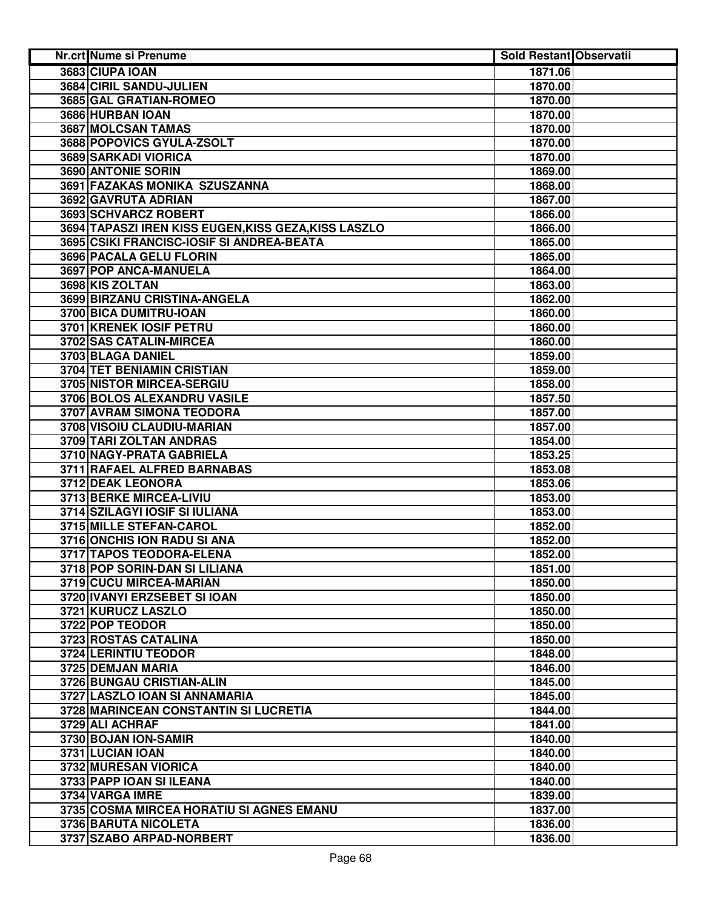| Nr.crt Nume si Prenume                               | <b>Sold Restant Observatii</b> |  |
|------------------------------------------------------|--------------------------------|--|
| 3683 CIUPA IOAN                                      | 1871.06                        |  |
| 3684 CIRIL SANDU-JULIEN                              | 1870.00                        |  |
| 3685 GAL GRATIAN-ROMEO                               | 1870.00                        |  |
| 3686 HURBAN IOAN                                     | 1870.00                        |  |
| 3687 MOLCSAN TAMAS                                   | 1870.00                        |  |
| 3688 POPOVICS GYULA-ZSOLT                            | 1870.00                        |  |
| 3689 SARKADI VIORICA                                 | 1870.00                        |  |
| 3690 ANTONIE SORIN                                   | 1869.00                        |  |
| 3691 FAZAKAS MONIKA SZUSZANNA                        | 1868.00                        |  |
| 3692 GAVRUTA ADRIAN                                  | 1867.00                        |  |
| 3693 SCHVARCZ ROBERT                                 | 1866.00                        |  |
| 3694 TAPASZI IREN KISS EUGEN, KISS GEZA, KISS LASZLO | 1866.00                        |  |
| 3695 CSIKI FRANCISC-IOSIF SI ANDREA-BEATA            | 1865.00                        |  |
| 3696 PACALA GELU FLORIN                              | 1865.00                        |  |
| 3697 POP ANCA-MANUELA                                | 1864.00                        |  |
| 3698 KIS ZOLTAN                                      | 1863.00                        |  |
| 3699 BIRZANU CRISTINA-ANGELA                         | 1862.00                        |  |
| 3700 BICA DUMITRU-IOAN                               | 1860.00                        |  |
| 3701 KRENEK IOSIF PETRU                              | 1860.00                        |  |
| 3702 SAS CATALIN-MIRCEA                              | 1860.00                        |  |
| 3703 BLAGA DANIEL                                    | 1859.00                        |  |
| <b>3704 TET BENIAMIN CRISTIAN</b>                    | 1859.00                        |  |
| 3705 NISTOR MIRCEA-SERGIU                            | 1858.00                        |  |
| 3706 BOLOS ALEXANDRU VASILE                          | 1857.50                        |  |
| <b>3707 AVRAM SIMONA TEODORA</b>                     | 1857.00                        |  |
| 3708 VISOIU CLAUDIU-MARIAN                           | 1857.00                        |  |
| 3709 TARI ZOLTAN ANDRAS                              | 1854.00                        |  |
| 3710 NAGY-PRATA GABRIELA                             | 1853.25                        |  |
| 3711 RAFAEL ALFRED BARNABAS                          | 1853.08                        |  |
| 3712 DEAK LEONORA                                    | 1853.06                        |  |
| 3713 BERKE MIRCEA-LIVIU                              | 1853.00                        |  |
| 3714 SZILAGYI IOSIF SI IULIANA                       | 1853.00                        |  |
| 3715 MILLE STEFAN-CAROL                              | 1852.00                        |  |
| 3716 ONCHIS ION RADU SI ANA                          | 1852.00                        |  |
| 3717 TAPOS TEODORA-ELENA                             | 1852.00                        |  |
| 3718 POP SORIN-DAN SI LILIANA                        | 1851.00                        |  |
| 3719 CUCU MIRCEA-MARIAN                              | 1850.00                        |  |
| 3720 IVANYI ERZSEBET SI IOAN                         | 1850.00                        |  |
| 3721 KURUCZ LASZLO                                   | 1850.00                        |  |
| 3722 POP TEODOR                                      | 1850.00                        |  |
| 3723 ROSTAS CATALINA                                 | 1850.00                        |  |
| 3724 LERINTIU TEODOR                                 | 1848.00                        |  |
| 3725 DEMJAN MARIA                                    | 1846.00                        |  |
| 3726 BUNGAU CRISTIAN-ALIN                            | 1845.00                        |  |
| 3727 LASZLO IOAN SI ANNAMARIA                        | 1845.00                        |  |
| 3728 MARINCEAN CONSTANTIN SI LUCRETIA                | 1844.00                        |  |
| 3729 ALI ACHRAF                                      | 1841.00                        |  |
| 3730 BOJAN ION-SAMIR                                 | 1840.00                        |  |
| 3731 LUCIAN IOAN                                     | 1840.00                        |  |
| 3732 MURESAN VIORICA                                 | 1840.00                        |  |
| 3733 PAPP IOAN SI ILEANA                             | 1840.00                        |  |
| 3734 VARGA IMRE                                      | 1839.00                        |  |
| 3735 COSMA MIRCEA HORATIU SI AGNES EMANU             | 1837.00                        |  |
| 3736 BARUTA NICOLETA                                 | 1836.00                        |  |
| 3737 SZABO ARPAD-NORBERT                             | 1836.00                        |  |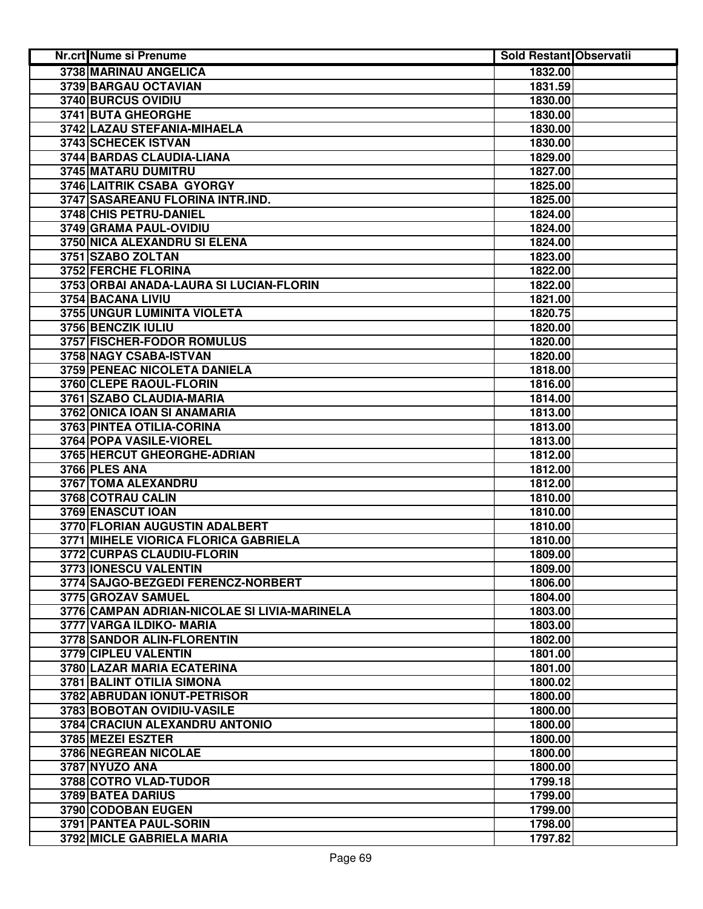| Nr.crt Nume si Prenume                       | <b>Sold Restant Observatii</b> |  |
|----------------------------------------------|--------------------------------|--|
| 3738 MARINAU ANGELICA                        | 1832.00                        |  |
| 3739 BARGAU OCTAVIAN                         | 1831.59                        |  |
| 3740 BURCUS OVIDIU                           | 1830.00                        |  |
| 3741 BUTA GHEORGHE                           | 1830.00                        |  |
| 3742 LAZAU STEFANIA-MIHAELA                  | 1830.00                        |  |
| 3743 SCHECEK ISTVAN                          | 1830.00                        |  |
| 3744 BARDAS CLAUDIA-LIANA                    | 1829.00                        |  |
| 3745 MATARU DUMITRU                          | 1827.00                        |  |
| 3746 LAITRIK CSABA GYORGY                    | 1825.00                        |  |
| 3747 SASAREANU FLORINA INTR.IND.             | 1825.00                        |  |
| 3748 CHIS PETRU-DANIEL                       | 1824.00                        |  |
| 3749 GRAMA PAUL-OVIDIU                       | 1824.00                        |  |
| 3750 NICA ALEXANDRU SI ELENA                 | 1824.00                        |  |
| 3751 SZABO ZOLTAN                            | 1823.00                        |  |
| 3752 FERCHE FLORINA                          | 1822.00                        |  |
| 3753 ORBAI ANADA-LAURA SI LUCIAN-FLORIN      | 1822.00                        |  |
| 3754 BACANA LIVIU                            | 1821.00                        |  |
| 3755 UNGUR LUMINITA VIOLETA                  | 1820.75                        |  |
| 3756 BENCZIK IULIU                           | 1820.00                        |  |
| 3757 FISCHER-FODOR ROMULUS                   | 1820.00                        |  |
| 3758 NAGY CSABA-ISTVAN                       | 1820.00                        |  |
| 3759 PENEAC NICOLETA DANIELA                 | 1818.00                        |  |
| 3760 CLEPE RAOUL-FLORIN                      | 1816.00                        |  |
| 3761 SZABO CLAUDIA-MARIA                     | 1814.00                        |  |
| 3762 ONICA IOAN SI ANAMARIA                  | 1813.00                        |  |
| 3763 PINTEA OTILIA-CORINA                    | 1813.00                        |  |
| 3764 POPA VASILE-VIOREL                      | 1813.00                        |  |
| 3765 HERCUT GHEORGHE-ADRIAN                  | 1812.00                        |  |
| 3766 PLES ANA                                | 1812.00                        |  |
| 3767 TOMA ALEXANDRU                          | 1812.00                        |  |
| 3768 COTRAU CALIN                            | 1810.00                        |  |
| 3769 ENASCUT IOAN                            | 1810.00                        |  |
| 3770 FLORIAN AUGUSTIN ADALBERT               | 1810.00                        |  |
| 3771 MIHELE VIORICA FLORICA GABRIELA         | 1810.00                        |  |
| 3772 CURPAS CLAUDIU-FLORIN                   | 1809.00                        |  |
| 3773 IONESCU VALENTIN                        | 1809.00                        |  |
| 3774 SAJGO-BEZGEDI FERENCZ-NORBERT           | 1806.00                        |  |
| 3775 GROZAV SAMUEL                           | 1804.00                        |  |
| 3776 CAMPAN ADRIAN-NICOLAE SI LIVIA-MARINELA | 1803.00                        |  |
| 3777 VARGA ILDIKO- MARIA                     | 1803.00                        |  |
| 3778 SANDOR ALIN-FLORENTIN                   | 1802.00                        |  |
| 3779 CIPLEU VALENTIN                         | 1801.00                        |  |
| 3780 LAZAR MARIA ECATERINA                   | 1801.00                        |  |
| 3781 BALINT OTILIA SIMONA                    | 1800.02                        |  |
| 3782 ABRUDAN IONUT-PETRISOR                  | 1800.00                        |  |
| 3783 BOBOTAN OVIDIU-VASILE                   | 1800.00                        |  |
| 3784 CRACIUN ALEXANDRU ANTONIO               | 1800.00                        |  |
| 3785 MEZEI ESZTER                            | 1800.00                        |  |
| 3786 NEGREAN NICOLAE                         | 1800.00                        |  |
| 3787 NYUZO ANA                               | 1800.00                        |  |
| 3788 COTRO VLAD-TUDOR                        | 1799.18                        |  |
| 3789 BATEA DARIUS                            | 1799.00                        |  |
| 3790 CODOBAN EUGEN                           | 1799.00                        |  |
| 3791 PANTEA PAUL-SORIN                       | 1798.00                        |  |
| 3792 MICLE GABRIELA MARIA                    | 1797.82                        |  |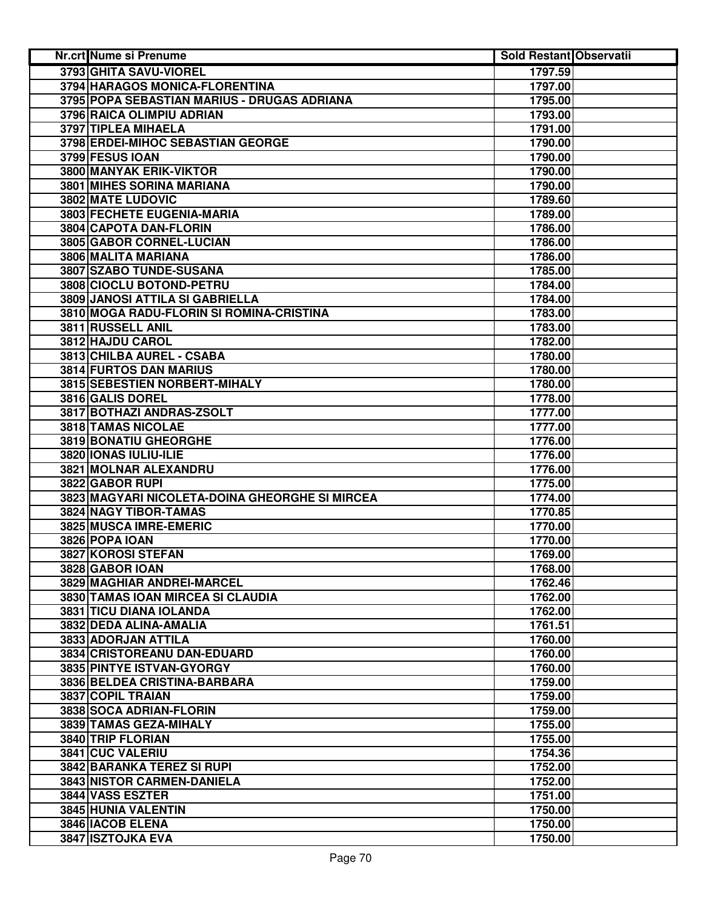| Nr.crt Nume si Prenume                         | <b>Sold Restant Observatii</b> |  |
|------------------------------------------------|--------------------------------|--|
| 3793 GHITA SAVU-VIOREL                         | 1797.59                        |  |
| 3794 HARAGOS MONICA-FLORENTINA                 | 1797.00                        |  |
| 3795 POPA SEBASTIAN MARIUS - DRUGAS ADRIANA    | 1795.00                        |  |
| 3796 RAICA OLIMPIU ADRIAN                      | 1793.00                        |  |
| 3797 TIPLEA MIHAELA                            | 1791.00                        |  |
| 3798 ERDEI-MIHOC SEBASTIAN GEORGE              | 1790.00                        |  |
| 3799 FESUS IOAN                                | 1790.00                        |  |
| 3800 MANYAK ERIK-VIKTOR                        | 1790.00                        |  |
| 3801 MIHES SORINA MARIANA                      | 1790.00                        |  |
| 3802 MATE LUDOVIC                              | 1789.60                        |  |
| 3803 FECHETE EUGENIA-MARIA                     | 1789.00                        |  |
| 3804 CAPOTA DAN-FLORIN                         | 1786.00                        |  |
| 3805 GABOR CORNEL-LUCIAN                       | 1786.00                        |  |
| 3806 MALITA MARIANA                            | 1786.00                        |  |
| 3807 SZABO TUNDE-SUSANA                        | 1785.00                        |  |
| 3808 CIOCLU BOTOND-PETRU                       | 1784.00                        |  |
| 3809 JANOSI ATTILA SI GABRIELLA                | 1784.00                        |  |
| 3810 MOGA RADU-FLORIN SI ROMINA-CRISTINA       | 1783.00                        |  |
| 3811 RUSSELL ANIL                              | 1783.00                        |  |
| 3812 HAJDU CAROL                               | 1782.00                        |  |
| 3813 CHILBA AUREL - CSABA                      | 1780.00                        |  |
| <b>3814 FURTOS DAN MARIUS</b>                  | 1780.00                        |  |
| <b>3815 SEBESTIEN NORBERT-MIHALY</b>           | 1780.00                        |  |
| 3816 GALIS DOREL                               | 1778.00                        |  |
| 3817 BOTHAZI ANDRAS-ZSOLT                      | 1777.00                        |  |
| <b>3818 TAMAS NICOLAE</b>                      | 1777.00                        |  |
| 3819 BONATIU GHEORGHE                          | 1776.00                        |  |
| 3820 IONAS IULIU-ILIE                          | 1776.00                        |  |
| 3821 MOLNAR ALEXANDRU                          | 1776.00                        |  |
| 3822 GABOR RUPI                                | 1775.00                        |  |
| 3823 MAGYARI NICOLETA-DOINA GHEORGHE SI MIRCEA | 1774.00                        |  |
| 3824 NAGY TIBOR-TAMAS                          | 1770.85                        |  |
| 3825 MUSCA IMRE-EMERIC                         | 1770.00                        |  |
| 3826 POPA IOAN                                 | 1770.00                        |  |
| 3827 KOROSI STEFAN                             | 1769.00                        |  |
| 3828 GABOR IOAN                                | 1768.00                        |  |
| 3829 MAGHIAR ANDREI-MARCEL                     | 1762.46                        |  |
| 3830 TAMAS IOAN MIRCEA SI CLAUDIA              | 1762.00                        |  |
| 3831 TICU DIANA IOLANDA                        | 1762.00                        |  |
| 3832 DEDA ALINA-AMALIA                         | 1761.51                        |  |
| 3833 ADORJAN ATTILA                            | 1760.00                        |  |
| 3834 CRISTOREANU DAN-EDUARD                    | 1760.00                        |  |
| 3835 PINTYE ISTVAN-GYORGY                      | 1760.00                        |  |
| 3836 BELDEA CRISTINA-BARBARA                   | 1759.00                        |  |
| 3837 COPIL TRAIAN                              | 1759.00                        |  |
| 3838 SOCA ADRIAN-FLORIN                        | 1759.00                        |  |
| 3839 TAMAS GEZA-MIHALY                         | 1755.00                        |  |
| 3840 TRIP FLORIAN                              | 1755.00                        |  |
| 3841 CUC VALERIU                               | 1754.36                        |  |
| 3842 BARANKA TEREZ SI RUPI                     | 1752.00                        |  |
| 3843 NISTOR CARMEN-DANIELA                     | 1752.00                        |  |
| 3844 VASS ESZTER                               | 1751.00                        |  |
| 3845 HUNIA VALENTIN                            | 1750.00                        |  |
| 3846 IACOB ELENA                               | 1750.00                        |  |
| 3847 ISZTOJKA EVA                              | 1750.00                        |  |
|                                                |                                |  |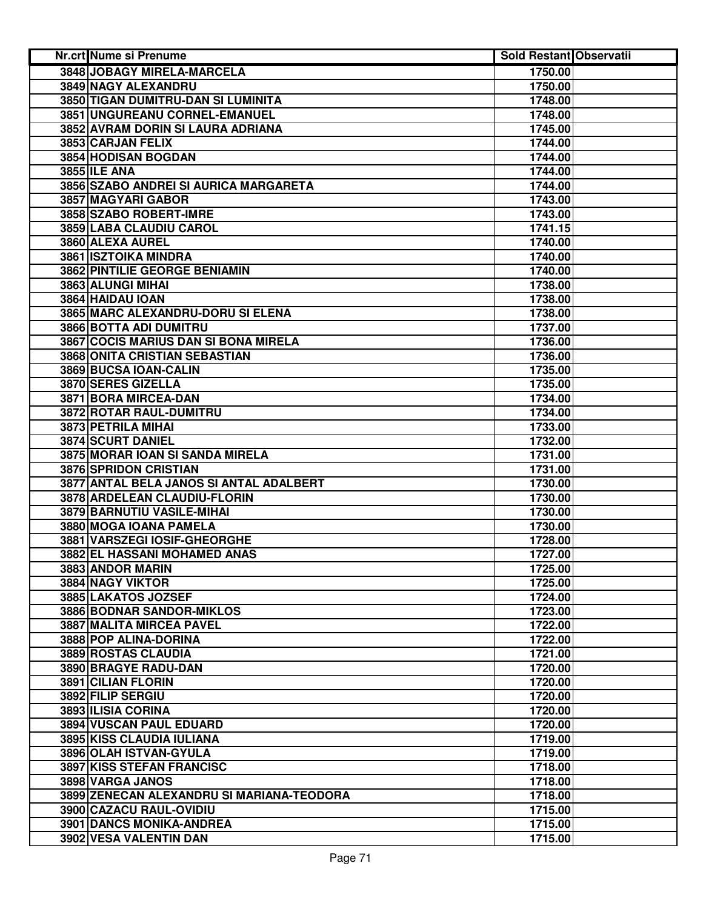| Nr.crt Nume si Prenume                    | <b>Sold Restant Observatii</b> |  |
|-------------------------------------------|--------------------------------|--|
| 3848 JOBAGY MIRELA-MARCELA                | 1750.00                        |  |
| 3849 NAGY ALEXANDRU                       | 1750.00                        |  |
| 3850 TIGAN DUMITRU-DAN SI LUMINITA        | 1748.00                        |  |
| 3851 UNGUREANU CORNEL-EMANUEL             | 1748.00                        |  |
| 3852 AVRAM DORIN SI LAURA ADRIANA         | 1745.00                        |  |
| 3853 CARJAN FELIX                         | 1744.00                        |  |
| 3854 HODISAN BOGDAN                       | 1744.00                        |  |
| <b>3855 ILE ANA</b>                       | 1744.00                        |  |
| 3856 SZABO ANDREI SI AURICA MARGARETA     | 1744.00                        |  |
| 3857 MAGYARI GABOR                        | 1743.00                        |  |
| 3858 SZABO ROBERT-IMRE                    | 1743.00                        |  |
| 3859 LABA CLAUDIU CAROL                   | 1741.15                        |  |
| 3860 ALEXA AUREL                          | 1740.00                        |  |
| 3861 ISZTOIKA MINDRA                      | 1740.00                        |  |
| 3862 PINTILIE GEORGE BENIAMIN             | 1740.00                        |  |
| 3863 ALUNGI MIHAI                         | 1738.00                        |  |
| 3864 HAIDAU IOAN                          | 1738.00                        |  |
| 3865 MARC ALEXANDRU-DORU SI ELENA         | 1738.00                        |  |
| 3866 BOTTA ADI DUMITRU                    | 1737.00                        |  |
| 3867 COCIS MARIUS DAN SI BONA MIRELA      | 1736.00                        |  |
| <b>3868 ONITA CRISTIAN SEBASTIAN</b>      | 1736.00                        |  |
| 3869 BUCSA IOAN-CALIN                     | 1735.00                        |  |
| 3870 SERES GIZELLA                        | 1735.00                        |  |
| 3871 BORA MIRCEA-DAN                      | 1734.00                        |  |
| 3872 ROTAR RAUL-DUMITRU                   | 1734.00                        |  |
| 3873 PETRILA MIHAI                        | 1733.00                        |  |
| 3874 SCURT DANIEL                         | 1732.00                        |  |
| 3875 MORAR IOAN SI SANDA MIRELA           | 1731.00                        |  |
| 3876 SPRIDON CRISTIAN                     | 1731.00                        |  |
| 3877 ANTAL BELA JANOS SI ANTAL ADALBERT   | 1730.00                        |  |
| 3878 ARDELEAN CLAUDIU-FLORIN              | 1730.00                        |  |
| 3879 BARNUTIU VASILE-MIHAI                | 1730.00                        |  |
| 3880 MOGA IOANA PAMELA                    | 1730.00                        |  |
| 3881 VARSZEGI IOSIF-GHEORGHE              | 1728.00                        |  |
| 3882 EL HASSANI MOHAMED ANAS              | 1727.00                        |  |
| 3883 ANDOR MARIN                          | 1725.00                        |  |
| 3884 NAGY VIKTOR                          | 1725.00                        |  |
| 3885 LAKATOS JOZSEF                       | 1724.00                        |  |
| 3886 BODNAR SANDOR-MIKLOS                 | 1723.00                        |  |
| 3887 MALITA MIRCEA PAVEL                  | 1722.00                        |  |
| 3888 POP ALINA-DORINA                     | 1722.00                        |  |
| 3889 ROSTAS CLAUDIA                       | 1721.00                        |  |
| 3890 BRAGYE RADU-DAN                      | 1720.00                        |  |
| 3891 CILIAN FLORIN                        | 1720.00                        |  |
| 3892 FILIP SERGIU                         | 1720.00                        |  |
| 3893 ILISIA CORINA                        | 1720.00                        |  |
| 3894 VUSCAN PAUL EDUARD                   | 1720.00                        |  |
| 3895 KISS CLAUDIA IULIANA                 | 1719.00                        |  |
| 3896 OLAH ISTVAN-GYULA                    | 1719.00                        |  |
| <b>3897 KISS STEFAN FRANCISC</b>          | 1718.00                        |  |
| 3898 VARGA JANOS                          | 1718.00                        |  |
| 3899 ZENECAN ALEXANDRU SI MARIANA-TEODORA | 1718.00                        |  |
| 3900 CAZACU RAUL-OVIDIU                   | 1715.00                        |  |
| 3901 DANCS MONIKA-ANDREA                  | 1715.00                        |  |
| 3902 VESA VALENTIN DAN                    | 1715.00                        |  |
|                                           |                                |  |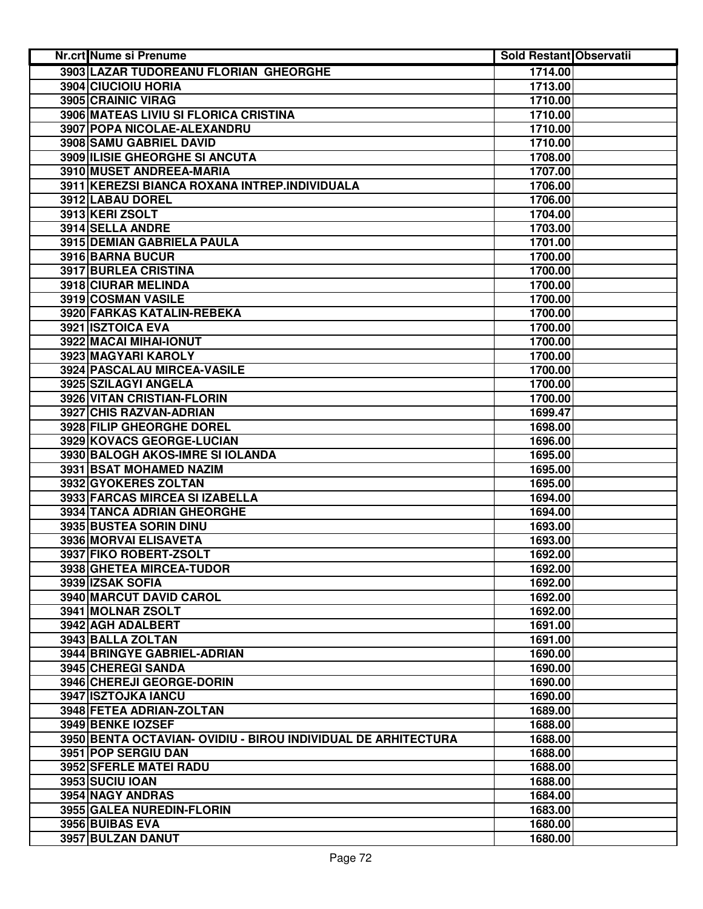| Nr.crt Nume si Prenume                                        | <b>Sold Restant Observatii</b> |  |
|---------------------------------------------------------------|--------------------------------|--|
| 3903 LAZAR TUDOREANU FLORIAN GHEORGHE                         | 1714.00                        |  |
| 3904 CIUCIOIU HORIA                                           | 1713.00                        |  |
| 3905 CRAINIC VIRAG                                            | 1710.00                        |  |
| 3906 MATEAS LIVIU SI FLORICA CRISTINA                         | 1710.00                        |  |
| 3907 POPA NICOLAE-ALEXANDRU                                   | 1710.00                        |  |
| 3908 SAMU GABRIEL DAVID                                       | 1710.00                        |  |
| 3909 ILISIE GHEORGHE SI ANCUTA                                | 1708.00                        |  |
| 3910 MUSET ANDREEA-MARIA                                      | 1707.00                        |  |
| 3911 KEREZSI BIANCA ROXANA INTREP.INDIVIDUALA                 | 1706.00                        |  |
| 3912 LABAU DOREL                                              | 1706.00                        |  |
| 3913 KERI ZSOLT                                               | 1704.00                        |  |
| 3914 SELLA ANDRE                                              | 1703.00                        |  |
| 3915 DEMIAN GABRIELA PAULA                                    | 1701.00                        |  |
| 3916 BARNA BUCUR                                              | 1700.00                        |  |
| 3917 BURLEA CRISTINA                                          | 1700.00                        |  |
| 3918 CIURAR MELINDA                                           | 1700.00                        |  |
| 3919 COSMAN VASILE                                            | 1700.00                        |  |
| 3920 FARKAS KATALIN-REBEKA                                    | 1700.00                        |  |
| 3921 ISZTOICA EVA                                             | 1700.00                        |  |
| 3922 MACAI MIHAI-IONUT                                        | 1700.00                        |  |
| 3923 MAGYARI KAROLY                                           | 1700.00                        |  |
| 3924 PASCALAU MIRCEA-VASILE                                   | 1700.00                        |  |
| 3925 SZILAGYI ANGELA                                          | 1700.00                        |  |
| <b>3926 VITAN CRISTIAN-FLORIN</b>                             | 1700.00                        |  |
| 3927 CHIS RAZVAN-ADRIAN                                       | 1699.47                        |  |
| 3928 FILIP GHEORGHE DOREL                                     | 1698.00                        |  |
| 3929 KOVACS GEORGE-LUCIAN                                     | 1696.00                        |  |
| 3930 BALOGH AKOS-IMRE SI IOLANDA                              | 1695.00                        |  |
| 3931 BSAT MOHAMED NAZIM                                       | 1695.00                        |  |
| 3932 GYOKERES ZOLTAN                                          | 1695.00                        |  |
| 3933 FARCAS MIRCEA SI IZABELLA                                | 1694.00                        |  |
| 3934 TANCA ADRIAN GHEORGHE                                    | 1694.00                        |  |
| 3935 BUSTEA SORIN DINU                                        | 1693.00                        |  |
| 3936 MORVAI ELISAVETA                                         | 1693.00                        |  |
| 3937 FIKO ROBERT-ZSOLT                                        | 1692.00                        |  |
| 3938 GHETEA MIRCEA-TUDOR                                      | 1692.00                        |  |
| 3939 IZSAK SOFIA                                              | 1692.00                        |  |
| 3940 MARCUT DAVID CAROL                                       | 1692.00                        |  |
| 3941 MOLNAR ZSOLT                                             | 1692.00                        |  |
| 3942 AGH ADALBERT                                             | 1691.00                        |  |
| 3943 BALLA ZOLTAN                                             | 1691.00                        |  |
| 3944 BRINGYE GABRIEL-ADRIAN                                   | 1690.00                        |  |
| <b>3945 CHEREGI SANDA</b>                                     | 1690.00                        |  |
| 3946 CHEREJI GEORGE-DORIN                                     | 1690.00                        |  |
| 3947 ISZTOJKA IANCU                                           | 1690.00                        |  |
| 3948 FETEA ADRIAN-ZOLTAN                                      | 1689.00                        |  |
| 3949 BENKE IOZSEF                                             | 1688.00                        |  |
| 3950 BENTA OCTAVIAN- OVIDIU - BIROU INDIVIDUAL DE ARHITECTURA | 1688.00                        |  |
| 3951 POP SERGIU DAN                                           | 1688.00                        |  |
| 3952 SFERLE MATEI RADU                                        | 1688.00                        |  |
| 3953 SUCIU IOAN                                               | 1688.00                        |  |
| 3954 NAGY ANDRAS                                              | 1684.00                        |  |
| 3955 GALEA NUREDIN-FLORIN                                     | 1683.00                        |  |
| 3956 BUIBAS EVA                                               | 1680.00                        |  |
| 3957 BULZAN DANUT                                             | 1680.00                        |  |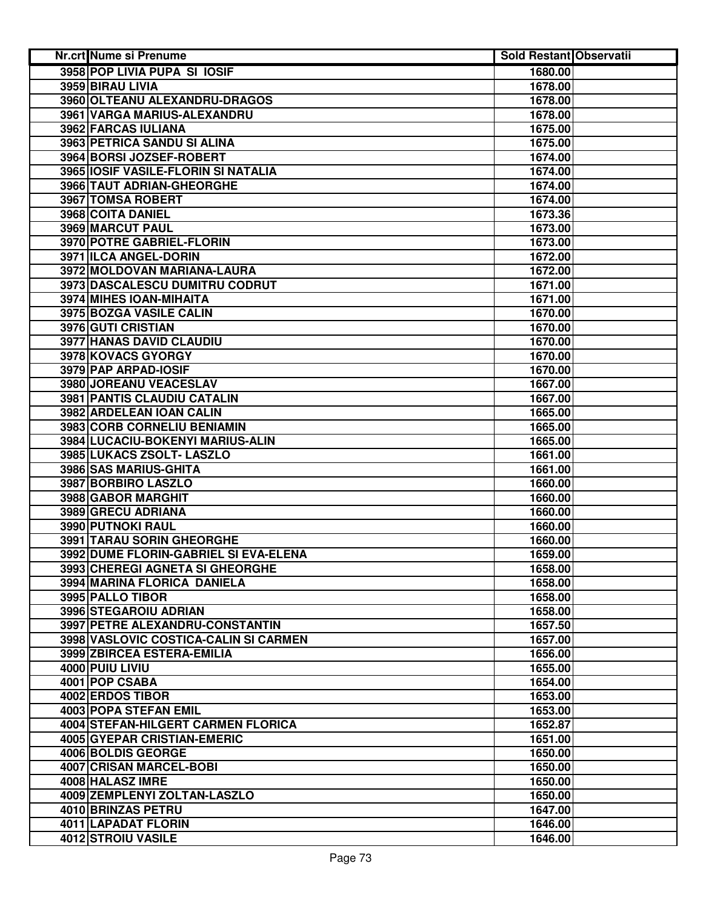| Nr.crt Nume si Prenume                | <b>Sold Restant Observatii</b> |  |
|---------------------------------------|--------------------------------|--|
| 3958 POP LIVIA PUPA SI IOSIF          | 1680.00                        |  |
| 3959 BIRAU LIVIA                      | 1678.00                        |  |
| 3960 OLTEANU ALEXANDRU-DRAGOS         | 1678.00                        |  |
| 3961 VARGA MARIUS-ALEXANDRU           | 1678.00                        |  |
| 3962 FARCAS IULIANA                   | 1675.00                        |  |
| 3963 PETRICA SANDU SI ALINA           | 1675.00                        |  |
| 3964 BORSI JOZSEF-ROBERT              | 1674.00                        |  |
| 3965 IOSIF VASILE-FLORIN SI NATALIA   | 1674.00                        |  |
| 3966 TAUT ADRIAN-GHEORGHE             | 1674.00                        |  |
| 3967 TOMSA ROBERT                     | 1674.00                        |  |
| 3968 COITA DANIEL                     | 1673.36                        |  |
| 3969 MARCUT PAUL                      | 1673.00                        |  |
| 3970 POTRE GABRIEL-FLORIN             | 1673.00                        |  |
| 3971 ILCA ANGEL-DORIN                 | 1672.00                        |  |
| 3972 MOLDOVAN MARIANA-LAURA           | 1672.00                        |  |
| 3973 DASCALESCU DUMITRU CODRUT        | 1671.00                        |  |
| 3974 MIHES IOAN-MIHAITA               | 1671.00                        |  |
| 3975 BOZGA VASILE CALIN               | 1670.00                        |  |
| 3976 GUTI CRISTIAN                    | 1670.00                        |  |
| <b>3977 HANAS DAVID CLAUDIU</b>       | 1670.00                        |  |
| 3978 KOVACS GYORGY                    | 1670.00                        |  |
| 3979 PAP ARPAD-IOSIF                  | 1670.00                        |  |
| 3980 JOREANU VEACESLAV                | 1667.00                        |  |
| 3981 PANTIS CLAUDIU CATALIN           | 1667.00                        |  |
| 3982 ARDELEAN IOAN CALIN              | 1665.00                        |  |
| 3983 CORB CORNELIU BENIAMIN           | 1665.00                        |  |
| 3984 LUCACIU-BOKENYI MARIUS-ALIN      | 1665.00                        |  |
| 3985 LUKACS ZSOLT- LASZLO             | 1661.00                        |  |
| 3986 SAS MARIUS-GHITA                 | 1661.00                        |  |
| 3987 BORBIRO LASZLO                   | 1660.00                        |  |
| 3988 GABOR MARGHIT                    | 1660.00                        |  |
| 3989 GRECU ADRIANA                    | 1660.00                        |  |
| 3990 PUTNOKI RAUL                     | 1660.00                        |  |
| 3991 TARAU SORIN GHEORGHE             | 1660.00                        |  |
| 3992 DUME FLORIN-GABRIEL SI EVA-ELENA | 1659.00                        |  |
| 3993 CHEREGI AGNETA SI GHEORGHE       | 1658.00                        |  |
| 3994 MARINA FLORICA DANIELA           | 1658.00                        |  |
| 3995 PALLO TIBOR                      | 1658.00                        |  |
| 3996 STEGAROIU ADRIAN                 | 1658.00                        |  |
| 3997 PETRE ALEXANDRU-CONSTANTIN       | 1657.50                        |  |
| 3998 VASLOVIC COSTICA-CALIN SI CARMEN | 1657.00                        |  |
| 3999 ZBIRCEA ESTERA-EMILIA            | 1656.00                        |  |
| 4000 PUIU LIVIU                       | 1655.00                        |  |
| 4001 POP CSABA                        | 1654.00                        |  |
| 4002 ERDOS TIBOR                      | 1653.00                        |  |
| 4003 POPA STEFAN EMIL                 | 1653.00                        |  |
| 4004 STEFAN-HILGERT CARMEN FLORICA    | 1652.87                        |  |
| 4005 GYEPAR CRISTIAN-EMERIC           | 1651.00                        |  |
| 4006 BOLDIS GEORGE                    | 1650.00                        |  |
| 4007 CRISAN MARCEL-BOBI               | 1650.00                        |  |
| 4008 HALASZ IMRE                      | 1650.00                        |  |
| 4009 ZEMPLENYI ZOLTAN-LASZLO          | 1650.00                        |  |
| 4010 BRINZAS PETRU                    | 1647.00                        |  |
| 4011 LAPADAT FLORIN                   | 1646.00                        |  |
| 4012 STROIU VASILE                    | 1646.00                        |  |
|                                       |                                |  |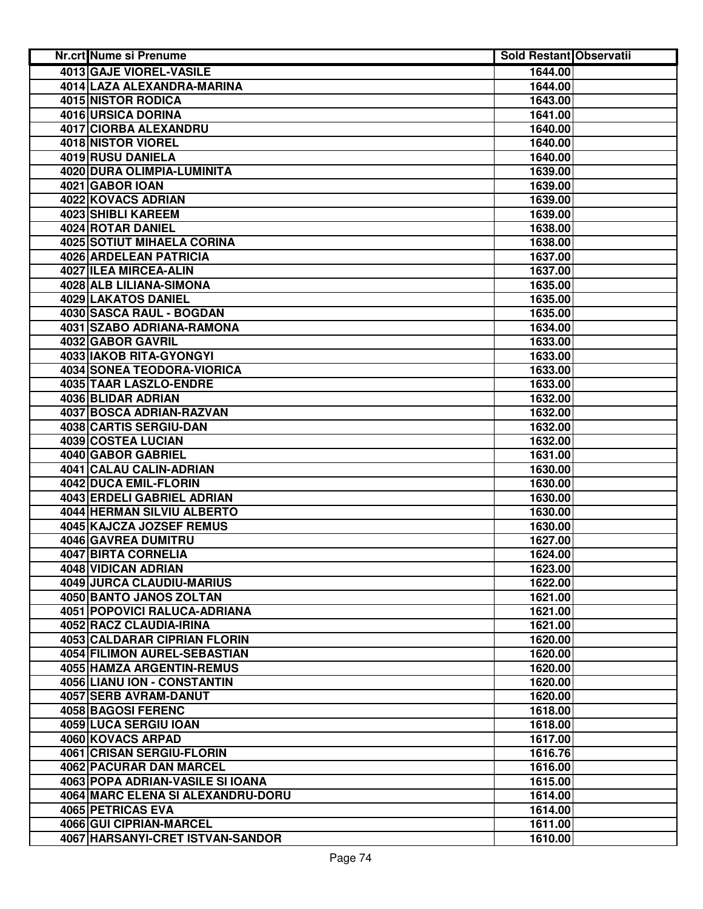| Nr.crt Nume si Prenume              | <b>Sold Restant Observatii</b> |  |
|-------------------------------------|--------------------------------|--|
| 4013 GAJE VIOREL-VASILE             | 1644.00                        |  |
| 4014 LAZA ALEXANDRA-MARINA          | 1644.00                        |  |
| 4015 NISTOR RODICA                  | 1643.00                        |  |
| 4016 URSICA DORINA                  | 1641.00                        |  |
| 4017 CIORBA ALEXANDRU               | 1640.00                        |  |
| 4018 NISTOR VIOREL                  | 1640.00                        |  |
| 4019 RUSU DANIELA                   | 1640.00                        |  |
| 4020 DURA OLIMPIA-LUMINITA          | 1639.00                        |  |
| 4021 GABOR IOAN                     | 1639.00                        |  |
| 4022 KOVACS ADRIAN                  | 1639.00                        |  |
| 4023 SHIBLI KAREEM                  | 1639.00                        |  |
| 4024 ROTAR DANIEL                   | 1638.00                        |  |
| <b>4025 SOTIUT MIHAELA CORINA</b>   | 1638.00                        |  |
| 4026 ARDELEAN PATRICIA              | 1637.00                        |  |
| 4027 ILEA MIRCEA-ALIN               | 1637.00                        |  |
| 4028 ALB LILIANA-SIMONA             | 1635.00                        |  |
| 4029 LAKATOS DANIEL                 | 1635.00                        |  |
| 4030 SASCA RAUL - BOGDAN            | 1635.00                        |  |
| 4031 SZABO ADRIANA-RAMONA           | 1634.00                        |  |
| 4032 GABOR GAVRIL                   | 1633.00                        |  |
| <b>4033 IAKOB RITA-GYONGYI</b>      | 1633.00                        |  |
| <b>4034 SONEA TEODORA-VIORICA</b>   | 1633.00                        |  |
| 4035 TAAR LASZLO-ENDRE              | 1633.00                        |  |
| 4036 BLIDAR ADRIAN                  | 1632.00                        |  |
| <b>4037 BOSCA ADRIAN-RAZVAN</b>     | 1632.00                        |  |
| 4038 CARTIS SERGIU-DAN              | 1632.00                        |  |
| 4039 COSTEA LUCIAN                  | 1632.00                        |  |
| 4040 GABOR GABRIEL                  | 1631.00                        |  |
| 4041 CALAU CALIN-ADRIAN             | 1630.00                        |  |
| 4042 DUCA EMIL-FLORIN               | 1630.00                        |  |
| 4043 ERDELI GABRIEL ADRIAN          | 1630.00                        |  |
| 4044 HERMAN SILVIU ALBERTO          | 1630.00                        |  |
| 4045 KAJCZA JOZSEF REMUS            | 1630.00                        |  |
| 4046 GAVREA DUMITRU                 | 1627.00                        |  |
| 4047 BIRTA CORNELIA                 | 1624.00                        |  |
| 4048 VIDICAN ADRIAN                 | 1623.00                        |  |
| 4049 JURCA CLAUDIU-MARIUS           | 1622.00                        |  |
| 4050 BANTO JANOS ZOLTAN             | 1621.00                        |  |
| 4051 POPOVICI RALUCA-ADRIANA        | 1621.00                        |  |
| 4052 RACZ CLAUDIA-IRINA             | 1621.00                        |  |
| <b>4053 CALDARAR CIPRIAN FLORIN</b> | 1620.00                        |  |
| <b>4054 FILIMON AUREL-SEBASTIAN</b> | 1620.00                        |  |
| <b>4055 HAMZA ARGENTIN-REMUS</b>    | 1620.00                        |  |
| 4056 LIANU ION - CONSTANTIN         | 1620.00                        |  |
| 4057 SERB AVRAM-DANUT               | 1620.00                        |  |
| <b>4058 BAGOSI FERENC</b>           | 1618.00                        |  |
| 4059 LUCA SERGIU IOAN               | 1618.00                        |  |
| 4060 KOVACS ARPAD                   | 1617.00                        |  |
| 4061 CRISAN SERGIU-FLORIN           | 1616.76                        |  |
| 4062 PACURAR DAN MARCEL             | 1616.00                        |  |
| 4063 POPA ADRIAN-VASILE SI IOANA    | 1615.00                        |  |
| 4064 MARC ELENA SI ALEXANDRU-DORU   | 1614.00                        |  |
| 4065 PETRICAS EVA                   | 1614.00                        |  |
| 4066 GUI CIPRIAN-MARCEL             | 1611.00                        |  |
| 4067 HARSANYI-CRET ISTVAN-SANDOR    | 1610.00                        |  |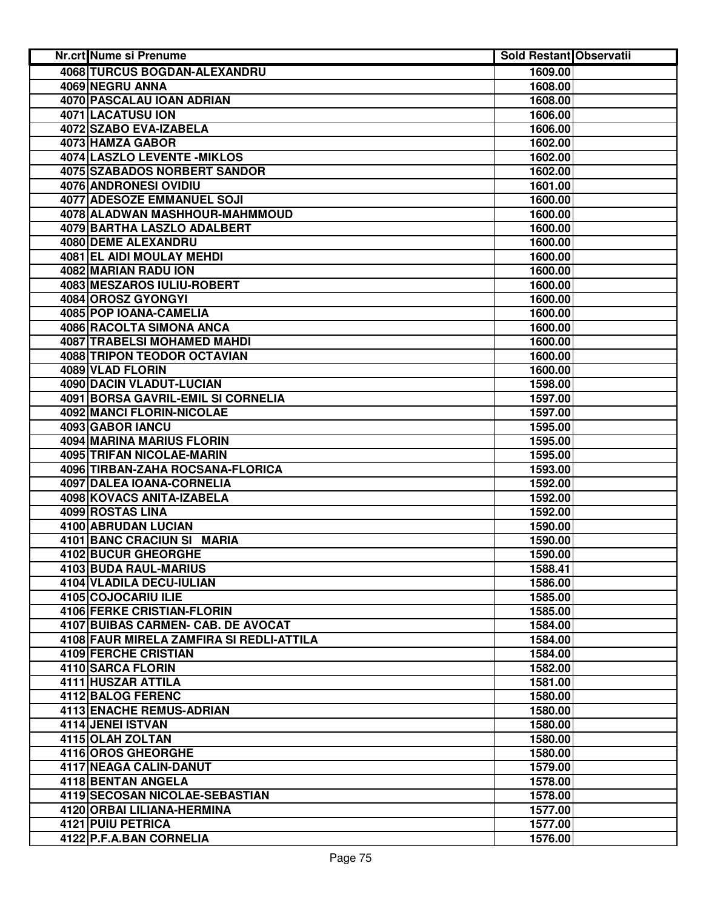| 4068 TURCUS BOGDAN-ALEXANDRU<br>1609.00<br>4069 NEGRU ANNA<br>1608.00<br>4070 PASCALAU IOAN ADRIAN<br>1608.00<br>4071 LACATUSU ION<br>1606.00<br>4072 SZABO EVA-IZABELA<br>1606.00<br>4073 HAMZA GABOR<br>1602.00<br>4074 LASZLO LEVENTE - MIKLOS<br>1602.00<br><b>4075 SZABADOS NORBERT SANDOR</b><br>1602.00<br>4076 ANDRONESI OVIDIU<br>1601.00<br><b>4077 ADESOZE EMMANUEL SOJI</b><br>1600.00<br>4078 ALADWAN MASHHOUR-MAHMMOUD<br>1600.00<br>4079 BARTHA LASZLO ADALBERT<br>1600.00<br>4080 DEME ALEXANDRU<br>1600.00<br>4081 EL AIDI MOULAY MEHDI<br>1600.00<br>4082 MARIAN RADU ION<br>1600.00<br>4083 MESZAROS IULIU-ROBERT<br>1600.00<br>4084 OROSZ GYONGYI<br>1600.00<br>4085 POP IOANA-CAMELIA<br>1600.00<br>4086 RACOLTA SIMONA ANCA<br>1600.00<br>4087 TRABELSI MOHAMED MAHDI<br>1600.00<br>4088 TRIPON TEODOR OCTAVIAN<br>1600.00<br>4089 VLAD FLORIN<br>1600.00<br>4090 DACIN VLADUT-LUCIAN<br>1598.00<br>4091 BORSA GAVRIL-EMIL SI CORNELIA<br>1597.00<br><b>4092 MANCI FLORIN-NICOLAE</b><br>1597.00<br>4093 GABOR IANCU<br>1595.00<br>4094 MARINA MARIUS FLORIN<br>1595.00<br>4095 TRIFAN NICOLAE-MARIN<br>1595.00<br>4096 TIRBAN-ZAHA ROCSANA-FLORICA<br>1593.00<br>4097 DALEA IOANA-CORNELIA<br>1592.00<br>4098 KOVACS ANITA-IZABELA<br>1592.00<br>4099 ROSTAS LINA<br>1592.00<br>4100 ABRUDAN LUCIAN<br>1590.00<br>4101 BANC CRACIUN SI MARIA<br>1590.00<br><b>4102 BUCUR GHEORGHE</b><br>1590.00<br>4103 BUDA RAUL-MARIUS<br>1588.41<br>4104 VLADILA DECU-IULIAN<br>1586.00<br>4105 COJOCARIU ILIE<br>1585.00<br>4106 FERKE CRISTIAN-FLORIN<br>1585.00<br>4107 BUIBAS CARMEN- CAB. DE AVOCAT<br>1584.00<br>4108 FAUR MIRELA ZAMFIRA SI REDLI-ATTILA<br>1584.00<br>4109 FERCHE CRISTIAN<br>1584.00<br>4110 SARCA FLORIN<br>1582.00<br>4111 HUSZAR ATTILA<br>1581.00<br>4112 BALOG FERENC<br>1580.00<br>4113 ENACHE REMUS-ADRIAN<br>1580.00<br>4114 JENEI ISTVAN<br>1580.00<br>4115 OLAH ZOLTAN<br>1580.00<br>4116 OROS GHEORGHE<br>1580.00<br>4117 NEAGA CALIN-DANUT<br>1579.00<br>4118 BENTAN ANGELA<br>1578.00<br>4119 SECOSAN NICOLAE-SEBASTIAN<br>1578.00<br>4120 ORBAI LILIANA-HERMINA<br>1577.00<br>4121 PUIU PETRICA<br>1577.00<br>4122 P.F.A.BAN CORNELIA<br>1576.00 | Nr.crt Nume si Prenume | <b>Sold Restant Observatii</b> |  |
|----------------------------------------------------------------------------------------------------------------------------------------------------------------------------------------------------------------------------------------------------------------------------------------------------------------------------------------------------------------------------------------------------------------------------------------------------------------------------------------------------------------------------------------------------------------------------------------------------------------------------------------------------------------------------------------------------------------------------------------------------------------------------------------------------------------------------------------------------------------------------------------------------------------------------------------------------------------------------------------------------------------------------------------------------------------------------------------------------------------------------------------------------------------------------------------------------------------------------------------------------------------------------------------------------------------------------------------------------------------------------------------------------------------------------------------------------------------------------------------------------------------------------------------------------------------------------------------------------------------------------------------------------------------------------------------------------------------------------------------------------------------------------------------------------------------------------------------------------------------------------------------------------------------------------------------------------------------------------------------------------------------------------------------------------------------------------------------------------------------------------------------------------------------------------------------------------|------------------------|--------------------------------|--|
|                                                                                                                                                                                                                                                                                                                                                                                                                                                                                                                                                                                                                                                                                                                                                                                                                                                                                                                                                                                                                                                                                                                                                                                                                                                                                                                                                                                                                                                                                                                                                                                                                                                                                                                                                                                                                                                                                                                                                                                                                                                                                                                                                                                                    |                        |                                |  |
|                                                                                                                                                                                                                                                                                                                                                                                                                                                                                                                                                                                                                                                                                                                                                                                                                                                                                                                                                                                                                                                                                                                                                                                                                                                                                                                                                                                                                                                                                                                                                                                                                                                                                                                                                                                                                                                                                                                                                                                                                                                                                                                                                                                                    |                        |                                |  |
|                                                                                                                                                                                                                                                                                                                                                                                                                                                                                                                                                                                                                                                                                                                                                                                                                                                                                                                                                                                                                                                                                                                                                                                                                                                                                                                                                                                                                                                                                                                                                                                                                                                                                                                                                                                                                                                                                                                                                                                                                                                                                                                                                                                                    |                        |                                |  |
|                                                                                                                                                                                                                                                                                                                                                                                                                                                                                                                                                                                                                                                                                                                                                                                                                                                                                                                                                                                                                                                                                                                                                                                                                                                                                                                                                                                                                                                                                                                                                                                                                                                                                                                                                                                                                                                                                                                                                                                                                                                                                                                                                                                                    |                        |                                |  |
|                                                                                                                                                                                                                                                                                                                                                                                                                                                                                                                                                                                                                                                                                                                                                                                                                                                                                                                                                                                                                                                                                                                                                                                                                                                                                                                                                                                                                                                                                                                                                                                                                                                                                                                                                                                                                                                                                                                                                                                                                                                                                                                                                                                                    |                        |                                |  |
|                                                                                                                                                                                                                                                                                                                                                                                                                                                                                                                                                                                                                                                                                                                                                                                                                                                                                                                                                                                                                                                                                                                                                                                                                                                                                                                                                                                                                                                                                                                                                                                                                                                                                                                                                                                                                                                                                                                                                                                                                                                                                                                                                                                                    |                        |                                |  |
|                                                                                                                                                                                                                                                                                                                                                                                                                                                                                                                                                                                                                                                                                                                                                                                                                                                                                                                                                                                                                                                                                                                                                                                                                                                                                                                                                                                                                                                                                                                                                                                                                                                                                                                                                                                                                                                                                                                                                                                                                                                                                                                                                                                                    |                        |                                |  |
|                                                                                                                                                                                                                                                                                                                                                                                                                                                                                                                                                                                                                                                                                                                                                                                                                                                                                                                                                                                                                                                                                                                                                                                                                                                                                                                                                                                                                                                                                                                                                                                                                                                                                                                                                                                                                                                                                                                                                                                                                                                                                                                                                                                                    |                        |                                |  |
|                                                                                                                                                                                                                                                                                                                                                                                                                                                                                                                                                                                                                                                                                                                                                                                                                                                                                                                                                                                                                                                                                                                                                                                                                                                                                                                                                                                                                                                                                                                                                                                                                                                                                                                                                                                                                                                                                                                                                                                                                                                                                                                                                                                                    |                        |                                |  |
|                                                                                                                                                                                                                                                                                                                                                                                                                                                                                                                                                                                                                                                                                                                                                                                                                                                                                                                                                                                                                                                                                                                                                                                                                                                                                                                                                                                                                                                                                                                                                                                                                                                                                                                                                                                                                                                                                                                                                                                                                                                                                                                                                                                                    |                        |                                |  |
|                                                                                                                                                                                                                                                                                                                                                                                                                                                                                                                                                                                                                                                                                                                                                                                                                                                                                                                                                                                                                                                                                                                                                                                                                                                                                                                                                                                                                                                                                                                                                                                                                                                                                                                                                                                                                                                                                                                                                                                                                                                                                                                                                                                                    |                        |                                |  |
|                                                                                                                                                                                                                                                                                                                                                                                                                                                                                                                                                                                                                                                                                                                                                                                                                                                                                                                                                                                                                                                                                                                                                                                                                                                                                                                                                                                                                                                                                                                                                                                                                                                                                                                                                                                                                                                                                                                                                                                                                                                                                                                                                                                                    |                        |                                |  |
|                                                                                                                                                                                                                                                                                                                                                                                                                                                                                                                                                                                                                                                                                                                                                                                                                                                                                                                                                                                                                                                                                                                                                                                                                                                                                                                                                                                                                                                                                                                                                                                                                                                                                                                                                                                                                                                                                                                                                                                                                                                                                                                                                                                                    |                        |                                |  |
|                                                                                                                                                                                                                                                                                                                                                                                                                                                                                                                                                                                                                                                                                                                                                                                                                                                                                                                                                                                                                                                                                                                                                                                                                                                                                                                                                                                                                                                                                                                                                                                                                                                                                                                                                                                                                                                                                                                                                                                                                                                                                                                                                                                                    |                        |                                |  |
|                                                                                                                                                                                                                                                                                                                                                                                                                                                                                                                                                                                                                                                                                                                                                                                                                                                                                                                                                                                                                                                                                                                                                                                                                                                                                                                                                                                                                                                                                                                                                                                                                                                                                                                                                                                                                                                                                                                                                                                                                                                                                                                                                                                                    |                        |                                |  |
|                                                                                                                                                                                                                                                                                                                                                                                                                                                                                                                                                                                                                                                                                                                                                                                                                                                                                                                                                                                                                                                                                                                                                                                                                                                                                                                                                                                                                                                                                                                                                                                                                                                                                                                                                                                                                                                                                                                                                                                                                                                                                                                                                                                                    |                        |                                |  |
|                                                                                                                                                                                                                                                                                                                                                                                                                                                                                                                                                                                                                                                                                                                                                                                                                                                                                                                                                                                                                                                                                                                                                                                                                                                                                                                                                                                                                                                                                                                                                                                                                                                                                                                                                                                                                                                                                                                                                                                                                                                                                                                                                                                                    |                        |                                |  |
|                                                                                                                                                                                                                                                                                                                                                                                                                                                                                                                                                                                                                                                                                                                                                                                                                                                                                                                                                                                                                                                                                                                                                                                                                                                                                                                                                                                                                                                                                                                                                                                                                                                                                                                                                                                                                                                                                                                                                                                                                                                                                                                                                                                                    |                        |                                |  |
|                                                                                                                                                                                                                                                                                                                                                                                                                                                                                                                                                                                                                                                                                                                                                                                                                                                                                                                                                                                                                                                                                                                                                                                                                                                                                                                                                                                                                                                                                                                                                                                                                                                                                                                                                                                                                                                                                                                                                                                                                                                                                                                                                                                                    |                        |                                |  |
|                                                                                                                                                                                                                                                                                                                                                                                                                                                                                                                                                                                                                                                                                                                                                                                                                                                                                                                                                                                                                                                                                                                                                                                                                                                                                                                                                                                                                                                                                                                                                                                                                                                                                                                                                                                                                                                                                                                                                                                                                                                                                                                                                                                                    |                        |                                |  |
|                                                                                                                                                                                                                                                                                                                                                                                                                                                                                                                                                                                                                                                                                                                                                                                                                                                                                                                                                                                                                                                                                                                                                                                                                                                                                                                                                                                                                                                                                                                                                                                                                                                                                                                                                                                                                                                                                                                                                                                                                                                                                                                                                                                                    |                        |                                |  |
|                                                                                                                                                                                                                                                                                                                                                                                                                                                                                                                                                                                                                                                                                                                                                                                                                                                                                                                                                                                                                                                                                                                                                                                                                                                                                                                                                                                                                                                                                                                                                                                                                                                                                                                                                                                                                                                                                                                                                                                                                                                                                                                                                                                                    |                        |                                |  |
|                                                                                                                                                                                                                                                                                                                                                                                                                                                                                                                                                                                                                                                                                                                                                                                                                                                                                                                                                                                                                                                                                                                                                                                                                                                                                                                                                                                                                                                                                                                                                                                                                                                                                                                                                                                                                                                                                                                                                                                                                                                                                                                                                                                                    |                        |                                |  |
|                                                                                                                                                                                                                                                                                                                                                                                                                                                                                                                                                                                                                                                                                                                                                                                                                                                                                                                                                                                                                                                                                                                                                                                                                                                                                                                                                                                                                                                                                                                                                                                                                                                                                                                                                                                                                                                                                                                                                                                                                                                                                                                                                                                                    |                        |                                |  |
|                                                                                                                                                                                                                                                                                                                                                                                                                                                                                                                                                                                                                                                                                                                                                                                                                                                                                                                                                                                                                                                                                                                                                                                                                                                                                                                                                                                                                                                                                                                                                                                                                                                                                                                                                                                                                                                                                                                                                                                                                                                                                                                                                                                                    |                        |                                |  |
|                                                                                                                                                                                                                                                                                                                                                                                                                                                                                                                                                                                                                                                                                                                                                                                                                                                                                                                                                                                                                                                                                                                                                                                                                                                                                                                                                                                                                                                                                                                                                                                                                                                                                                                                                                                                                                                                                                                                                                                                                                                                                                                                                                                                    |                        |                                |  |
|                                                                                                                                                                                                                                                                                                                                                                                                                                                                                                                                                                                                                                                                                                                                                                                                                                                                                                                                                                                                                                                                                                                                                                                                                                                                                                                                                                                                                                                                                                                                                                                                                                                                                                                                                                                                                                                                                                                                                                                                                                                                                                                                                                                                    |                        |                                |  |
|                                                                                                                                                                                                                                                                                                                                                                                                                                                                                                                                                                                                                                                                                                                                                                                                                                                                                                                                                                                                                                                                                                                                                                                                                                                                                                                                                                                                                                                                                                                                                                                                                                                                                                                                                                                                                                                                                                                                                                                                                                                                                                                                                                                                    |                        |                                |  |
|                                                                                                                                                                                                                                                                                                                                                                                                                                                                                                                                                                                                                                                                                                                                                                                                                                                                                                                                                                                                                                                                                                                                                                                                                                                                                                                                                                                                                                                                                                                                                                                                                                                                                                                                                                                                                                                                                                                                                                                                                                                                                                                                                                                                    |                        |                                |  |
|                                                                                                                                                                                                                                                                                                                                                                                                                                                                                                                                                                                                                                                                                                                                                                                                                                                                                                                                                                                                                                                                                                                                                                                                                                                                                                                                                                                                                                                                                                                                                                                                                                                                                                                                                                                                                                                                                                                                                                                                                                                                                                                                                                                                    |                        |                                |  |
|                                                                                                                                                                                                                                                                                                                                                                                                                                                                                                                                                                                                                                                                                                                                                                                                                                                                                                                                                                                                                                                                                                                                                                                                                                                                                                                                                                                                                                                                                                                                                                                                                                                                                                                                                                                                                                                                                                                                                                                                                                                                                                                                                                                                    |                        |                                |  |
|                                                                                                                                                                                                                                                                                                                                                                                                                                                                                                                                                                                                                                                                                                                                                                                                                                                                                                                                                                                                                                                                                                                                                                                                                                                                                                                                                                                                                                                                                                                                                                                                                                                                                                                                                                                                                                                                                                                                                                                                                                                                                                                                                                                                    |                        |                                |  |
|                                                                                                                                                                                                                                                                                                                                                                                                                                                                                                                                                                                                                                                                                                                                                                                                                                                                                                                                                                                                                                                                                                                                                                                                                                                                                                                                                                                                                                                                                                                                                                                                                                                                                                                                                                                                                                                                                                                                                                                                                                                                                                                                                                                                    |                        |                                |  |
|                                                                                                                                                                                                                                                                                                                                                                                                                                                                                                                                                                                                                                                                                                                                                                                                                                                                                                                                                                                                                                                                                                                                                                                                                                                                                                                                                                                                                                                                                                                                                                                                                                                                                                                                                                                                                                                                                                                                                                                                                                                                                                                                                                                                    |                        |                                |  |
|                                                                                                                                                                                                                                                                                                                                                                                                                                                                                                                                                                                                                                                                                                                                                                                                                                                                                                                                                                                                                                                                                                                                                                                                                                                                                                                                                                                                                                                                                                                                                                                                                                                                                                                                                                                                                                                                                                                                                                                                                                                                                                                                                                                                    |                        |                                |  |
|                                                                                                                                                                                                                                                                                                                                                                                                                                                                                                                                                                                                                                                                                                                                                                                                                                                                                                                                                                                                                                                                                                                                                                                                                                                                                                                                                                                                                                                                                                                                                                                                                                                                                                                                                                                                                                                                                                                                                                                                                                                                                                                                                                                                    |                        |                                |  |
|                                                                                                                                                                                                                                                                                                                                                                                                                                                                                                                                                                                                                                                                                                                                                                                                                                                                                                                                                                                                                                                                                                                                                                                                                                                                                                                                                                                                                                                                                                                                                                                                                                                                                                                                                                                                                                                                                                                                                                                                                                                                                                                                                                                                    |                        |                                |  |
|                                                                                                                                                                                                                                                                                                                                                                                                                                                                                                                                                                                                                                                                                                                                                                                                                                                                                                                                                                                                                                                                                                                                                                                                                                                                                                                                                                                                                                                                                                                                                                                                                                                                                                                                                                                                                                                                                                                                                                                                                                                                                                                                                                                                    |                        |                                |  |
|                                                                                                                                                                                                                                                                                                                                                                                                                                                                                                                                                                                                                                                                                                                                                                                                                                                                                                                                                                                                                                                                                                                                                                                                                                                                                                                                                                                                                                                                                                                                                                                                                                                                                                                                                                                                                                                                                                                                                                                                                                                                                                                                                                                                    |                        |                                |  |
|                                                                                                                                                                                                                                                                                                                                                                                                                                                                                                                                                                                                                                                                                                                                                                                                                                                                                                                                                                                                                                                                                                                                                                                                                                                                                                                                                                                                                                                                                                                                                                                                                                                                                                                                                                                                                                                                                                                                                                                                                                                                                                                                                                                                    |                        |                                |  |
|                                                                                                                                                                                                                                                                                                                                                                                                                                                                                                                                                                                                                                                                                                                                                                                                                                                                                                                                                                                                                                                                                                                                                                                                                                                                                                                                                                                                                                                                                                                                                                                                                                                                                                                                                                                                                                                                                                                                                                                                                                                                                                                                                                                                    |                        |                                |  |
|                                                                                                                                                                                                                                                                                                                                                                                                                                                                                                                                                                                                                                                                                                                                                                                                                                                                                                                                                                                                                                                                                                                                                                                                                                                                                                                                                                                                                                                                                                                                                                                                                                                                                                                                                                                                                                                                                                                                                                                                                                                                                                                                                                                                    |                        |                                |  |
|                                                                                                                                                                                                                                                                                                                                                                                                                                                                                                                                                                                                                                                                                                                                                                                                                                                                                                                                                                                                                                                                                                                                                                                                                                                                                                                                                                                                                                                                                                                                                                                                                                                                                                                                                                                                                                                                                                                                                                                                                                                                                                                                                                                                    |                        |                                |  |
|                                                                                                                                                                                                                                                                                                                                                                                                                                                                                                                                                                                                                                                                                                                                                                                                                                                                                                                                                                                                                                                                                                                                                                                                                                                                                                                                                                                                                                                                                                                                                                                                                                                                                                                                                                                                                                                                                                                                                                                                                                                                                                                                                                                                    |                        |                                |  |
|                                                                                                                                                                                                                                                                                                                                                                                                                                                                                                                                                                                                                                                                                                                                                                                                                                                                                                                                                                                                                                                                                                                                                                                                                                                                                                                                                                                                                                                                                                                                                                                                                                                                                                                                                                                                                                                                                                                                                                                                                                                                                                                                                                                                    |                        |                                |  |
|                                                                                                                                                                                                                                                                                                                                                                                                                                                                                                                                                                                                                                                                                                                                                                                                                                                                                                                                                                                                                                                                                                                                                                                                                                                                                                                                                                                                                                                                                                                                                                                                                                                                                                                                                                                                                                                                                                                                                                                                                                                                                                                                                                                                    |                        |                                |  |
|                                                                                                                                                                                                                                                                                                                                                                                                                                                                                                                                                                                                                                                                                                                                                                                                                                                                                                                                                                                                                                                                                                                                                                                                                                                                                                                                                                                                                                                                                                                                                                                                                                                                                                                                                                                                                                                                                                                                                                                                                                                                                                                                                                                                    |                        |                                |  |
|                                                                                                                                                                                                                                                                                                                                                                                                                                                                                                                                                                                                                                                                                                                                                                                                                                                                                                                                                                                                                                                                                                                                                                                                                                                                                                                                                                                                                                                                                                                                                                                                                                                                                                                                                                                                                                                                                                                                                                                                                                                                                                                                                                                                    |                        |                                |  |
|                                                                                                                                                                                                                                                                                                                                                                                                                                                                                                                                                                                                                                                                                                                                                                                                                                                                                                                                                                                                                                                                                                                                                                                                                                                                                                                                                                                                                                                                                                                                                                                                                                                                                                                                                                                                                                                                                                                                                                                                                                                                                                                                                                                                    |                        |                                |  |
|                                                                                                                                                                                                                                                                                                                                                                                                                                                                                                                                                                                                                                                                                                                                                                                                                                                                                                                                                                                                                                                                                                                                                                                                                                                                                                                                                                                                                                                                                                                                                                                                                                                                                                                                                                                                                                                                                                                                                                                                                                                                                                                                                                                                    |                        |                                |  |
|                                                                                                                                                                                                                                                                                                                                                                                                                                                                                                                                                                                                                                                                                                                                                                                                                                                                                                                                                                                                                                                                                                                                                                                                                                                                                                                                                                                                                                                                                                                                                                                                                                                                                                                                                                                                                                                                                                                                                                                                                                                                                                                                                                                                    |                        |                                |  |
|                                                                                                                                                                                                                                                                                                                                                                                                                                                                                                                                                                                                                                                                                                                                                                                                                                                                                                                                                                                                                                                                                                                                                                                                                                                                                                                                                                                                                                                                                                                                                                                                                                                                                                                                                                                                                                                                                                                                                                                                                                                                                                                                                                                                    |                        |                                |  |
|                                                                                                                                                                                                                                                                                                                                                                                                                                                                                                                                                                                                                                                                                                                                                                                                                                                                                                                                                                                                                                                                                                                                                                                                                                                                                                                                                                                                                                                                                                                                                                                                                                                                                                                                                                                                                                                                                                                                                                                                                                                                                                                                                                                                    |                        |                                |  |
|                                                                                                                                                                                                                                                                                                                                                                                                                                                                                                                                                                                                                                                                                                                                                                                                                                                                                                                                                                                                                                                                                                                                                                                                                                                                                                                                                                                                                                                                                                                                                                                                                                                                                                                                                                                                                                                                                                                                                                                                                                                                                                                                                                                                    |                        |                                |  |
|                                                                                                                                                                                                                                                                                                                                                                                                                                                                                                                                                                                                                                                                                                                                                                                                                                                                                                                                                                                                                                                                                                                                                                                                                                                                                                                                                                                                                                                                                                                                                                                                                                                                                                                                                                                                                                                                                                                                                                                                                                                                                                                                                                                                    |                        |                                |  |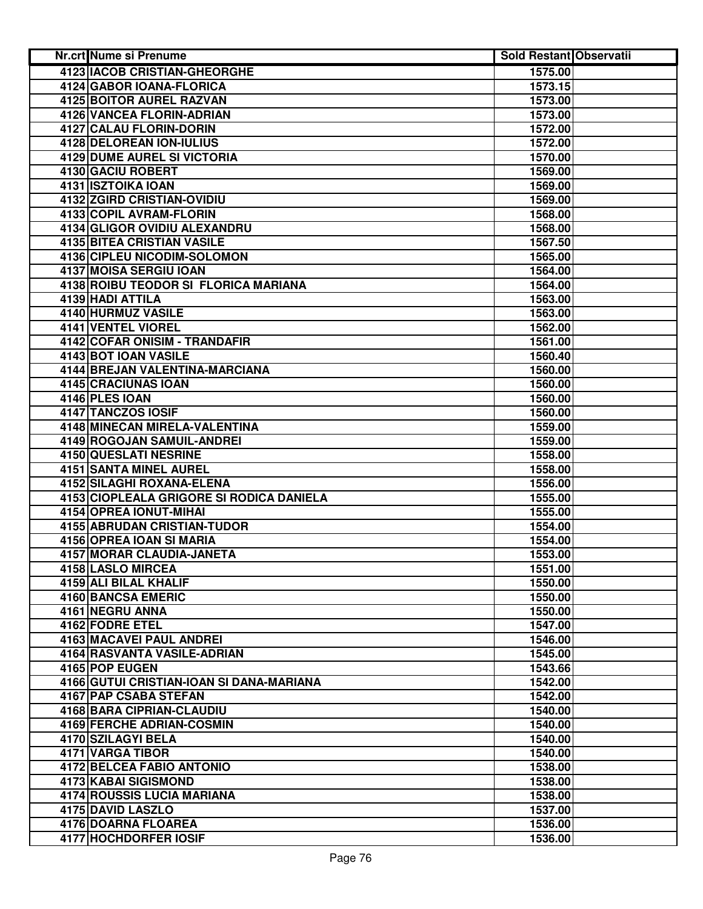| Nr.crt Nume si Prenume                   | <b>Sold Restant Observatii</b> |  |
|------------------------------------------|--------------------------------|--|
| <b>4123 IACOB CRISTIAN-GHEORGHE</b>      | 1575.00                        |  |
| 4124 GABOR IOANA-FLORICA                 | 1573.15                        |  |
| 4125 BOITOR AUREL RAZVAN                 | 1573.00                        |  |
| 4126 VANCEA FLORIN-ADRIAN                | 1573.00                        |  |
| 4127 CALAU FLORIN-DORIN                  | 1572.00                        |  |
| 4128 DELOREAN ION-IULIUS                 | 1572.00                        |  |
| <b>4129 DUME AUREL SI VICTORIA</b>       | 1570.00                        |  |
| 4130 GACIU ROBERT                        | 1569.00                        |  |
| 4131 ISZTOIKA IOAN                       | 1569.00                        |  |
| 4132 ZGIRD CRISTIAN-OVIDIU               | 1569.00                        |  |
| 4133 COPIL AVRAM-FLORIN                  | 1568.00                        |  |
| 4134 GLIGOR OVIDIU ALEXANDRU             | 1568.00                        |  |
| <b>4135 BITEA CRISTIAN VASILE</b>        | 1567.50                        |  |
| 4136 CIPLEU NICODIM-SOLOMON              | 1565.00                        |  |
| 4137 MOISA SERGIU IOAN                   | 1564.00                        |  |
| 4138 ROIBU TEODOR SI FLORICA MARIANA     | 1564.00                        |  |
| 4139 HADI ATTILA                         | 1563.00                        |  |
| 4140 HURMUZ VASILE                       | 1563.00                        |  |
| 4141 VENTEL VIOREL                       | 1562.00                        |  |
| 4142 COFAR ONISIM - TRANDAFIR            | 1561.00                        |  |
| 4143 BOT IOAN VASILE                     | 1560.40                        |  |
| 4144 BREJAN VALENTINA-MARCIANA           | 1560.00                        |  |
| 4145 CRACIUNAS IOAN                      | 1560.00                        |  |
| 4146 PLES IOAN                           | 1560.00                        |  |
| 4147 TANCZOS IOSIF                       | 1560.00                        |  |
| 4148 MINECAN MIRELA-VALENTINA            | 1559.00                        |  |
| 4149 ROGOJAN SAMUIL-ANDREI               | 1559.00                        |  |
| 4150 QUESLATI NESRINE                    | 1558.00                        |  |
| 4151 SANTA MINEL AUREL                   | 1558.00                        |  |
| 4152 SILAGHI ROXANA-ELENA                | 1556.00                        |  |
| 4153 CIOPLEALA GRIGORE SI RODICA DANIELA | 1555.00                        |  |
| 4154 OPREA IONUT-MIHAI                   | 1555.00                        |  |
| 4155 ABRUDAN CRISTIAN-TUDOR              | 1554.00                        |  |
| 4156 OPREA IOAN SI MARIA                 | 1554.00                        |  |
| 4157 MORAR CLAUDIA-JANETA                | 1553.00                        |  |
| 4158 LASLO MIRCEA                        | 1551.00                        |  |
| 4159 ALI BILAL KHALIF                    | 1550.00                        |  |
| 4160 BANCSA EMERIC                       | 1550.00                        |  |
| 4161 NEGRU ANNA                          | 1550.00                        |  |
| 4162 FODRE ETEL                          | 1547.00                        |  |
| 4163 MACAVEI PAUL ANDREI                 | 1546.00                        |  |
| 4164 RASVANTA VASILE-ADRIAN              | 1545.00                        |  |
| 4165 POP EUGEN                           | 1543.66                        |  |
| 4166 GUTUI CRISTIAN-IOAN SI DANA-MARIANA | 1542.00                        |  |
| 4167 PAP CSABA STEFAN                    | 1542.00                        |  |
| 4168 BARA CIPRIAN-CLAUDIU                | 1540.00                        |  |
| 4169 FERCHE ADRIAN-COSMIN                | 1540.00                        |  |
| 4170 SZILAGYI BELA                       | 1540.00                        |  |
| 4171 VARGA TIBOR                         | 1540.00                        |  |
| 4172 BELCEA FABIO ANTONIO                | 1538.00                        |  |
| 4173 KABAI SIGISMOND                     | 1538.00                        |  |
| 4174 ROUSSIS LUCIA MARIANA               | 1538.00                        |  |
| 4175 DAVID LASZLO                        | 1537.00                        |  |
| 4176 DOARNA FLOAREA                      | 1536.00                        |  |
| 4177 HOCHDORFER IOSIF                    | 1536.00                        |  |
|                                          |                                |  |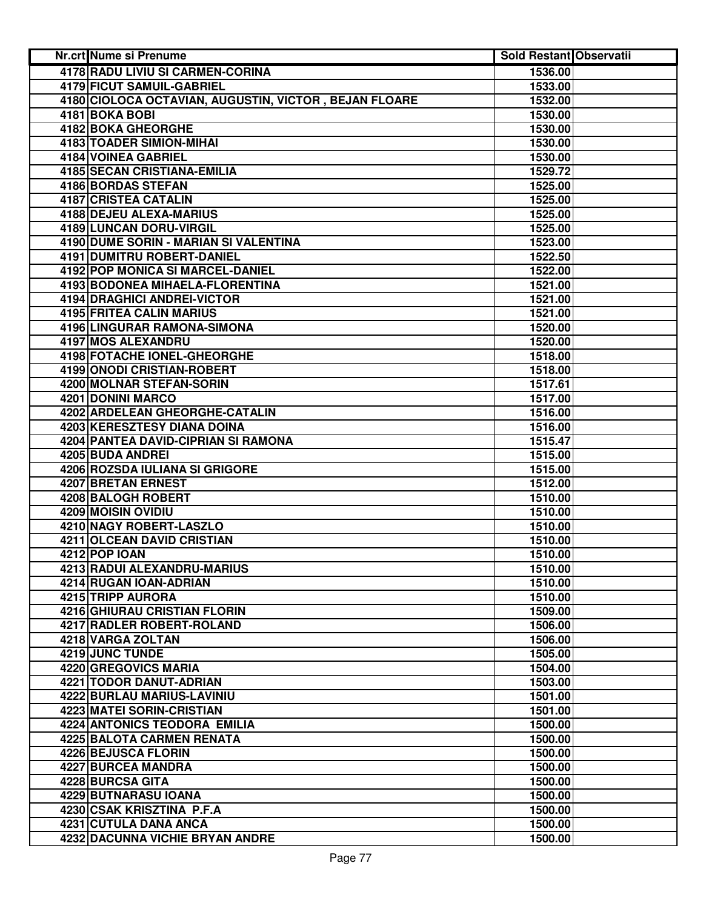| Nr.crt Nume si Prenume                                | <b>Sold Restant Observatii</b> |  |
|-------------------------------------------------------|--------------------------------|--|
| 4178 RADU LIVIU SI CARMEN-CORINA                      | 1536.00                        |  |
| <b>4179 FICUT SAMUIL-GABRIEL</b>                      | 1533.00                        |  |
| 4180 CIOLOCA OCTAVIAN, AUGUSTIN, VICTOR, BEJAN FLOARE | 1532.00                        |  |
| 4181 BOKA BOBI                                        | 1530.00                        |  |
| <b>4182 BOKA GHEORGHE</b>                             | 1530.00                        |  |
| 4183 TOADER SIMION-MIHAI                              | 1530.00                        |  |
| 4184 VOINEA GABRIEL                                   | 1530.00                        |  |
| 4185 SECAN CRISTIANA-EMILIA                           | 1529.72                        |  |
| 4186 BORDAS STEFAN                                    | 1525.00                        |  |
| <b>4187 CRISTEA CATALIN</b>                           | 1525.00                        |  |
| 4188 DEJEU ALEXA-MARIUS                               | 1525.00                        |  |
| 4189 LUNCAN DORU-VIRGIL                               | 1525.00                        |  |
| 4190 DUME SORIN - MARIAN SI VALENTINA                 | 1523.00                        |  |
| 4191 DUMITRU ROBERT-DANIEL                            | 1522.50                        |  |
| 4192 POP MONICA SI MARCEL-DANIEL                      | 1522.00                        |  |
| 4193 BODONEA MIHAELA-FLORENTINA                       | 1521.00                        |  |
| <b>4194 DRAGHICI ANDREI-VICTOR</b>                    | 1521.00                        |  |
| 4195 FRITEA CALIN MARIUS                              | 1521.00                        |  |
| 4196 LINGURAR RAMONA-SIMONA                           | 1520.00                        |  |
| 4197 MOS ALEXANDRU                                    | 1520.00                        |  |
| 4198 FOTACHE IONEL-GHEORGHE                           | 1518.00                        |  |
| 4199 ONODI CRISTIAN-ROBERT                            | 1518.00                        |  |
| <b>4200 MOLNAR STEFAN-SORIN</b>                       | 1517.61                        |  |
| <b>4201 DONINI MARCO</b>                              | 1517.00                        |  |
| 4202 ARDELEAN GHEORGHE-CATALIN                        | 1516.00                        |  |
| <b>4203 KERESZTESY DIANA DOINA</b>                    | 1516.00                        |  |
| 4204 PANTEA DAVID-CIPRIAN SI RAMONA                   | 1515.47                        |  |
| 4205 BUDA ANDREI                                      | 1515.00                        |  |
| 4206 ROZSDA IULIANA SI GRIGORE                        | 1515.00                        |  |
| 4207 BRETAN ERNEST                                    | 1512.00                        |  |
| 4208 BALOGH ROBERT                                    | 1510.00                        |  |
| 4209 MOISIN OVIDIU                                    | 1510.00                        |  |
| 4210 NAGY ROBERT-LASZLO                               | 1510.00                        |  |
| 4211 OLCEAN DAVID CRISTIAN                            | 1510.00                        |  |
| <b>4212 POP IOAN</b>                                  | 1510.00                        |  |
| 4213 RADUI ALEXANDRU-MARIUS                           | 1510.00                        |  |
| 4214 RUGAN IOAN-ADRIAN                                | 1510.00                        |  |
| 4215 TRIPP AURORA                                     | 1510.00                        |  |
| 4216 GHIURAU CRISTIAN FLORIN                          | 1509.00                        |  |
| 4217 RADLER ROBERT-ROLAND                             | 1506.00                        |  |
| 4218 VARGA ZOLTAN                                     | 1506.00                        |  |
| 4219 JUNC TUNDE                                       | 1505.00                        |  |
| 4220 GREGOVICS MARIA                                  | 1504.00                        |  |
| 4221 TODOR DANUT-ADRIAN                               | 1503.00                        |  |
| 4222 BURLAU MARIUS-LAVINIU                            | 1501.00                        |  |
| 4223 MATEI SORIN-CRISTIAN                             | 1501.00                        |  |
| 4224 ANTONICS TEODORA EMILIA                          | 1500.00                        |  |
| 4225 BALOTA CARMEN RENATA                             | 1500.00                        |  |
| <b>4226 BEJUSCA FLORIN</b>                            | 1500.00                        |  |
| 4227 BURCEA MANDRA                                    | 1500.00                        |  |
| 4228 BURCSA GITA                                      | 1500.00                        |  |
| 4229 BUTNARASU IOANA                                  | 1500.00                        |  |
| 4230 CSAK KRISZTINA P.F.A                             | 1500.00                        |  |
| 4231 CUTULA DANA ANCA                                 | 1500.00                        |  |
| 4232 DACUNNA VICHIE BRYAN ANDRE                       | 1500.00                        |  |
|                                                       |                                |  |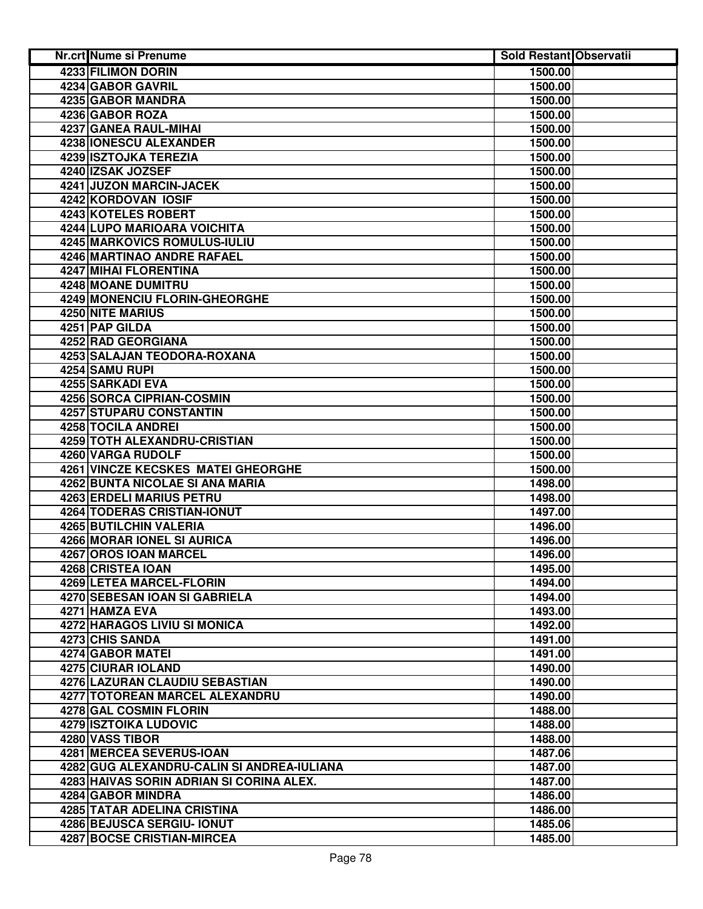| <b>4233 FILIMON DORIN</b><br>1500.00<br>4234 GABOR GAVRIL<br>1500.00<br>4235 GABOR MANDRA<br>1500.00<br>4236 GABOR ROZA<br>1500.00<br>4237 GANEA RAUL-MIHAI<br>1500.00<br>4238 IONESCU ALEXANDER<br>1500.00<br>4239 ISZTOJKA TEREZIA<br>1500.00<br>4240 IZSAK JOZSEF<br>1500.00<br>4241 JUZON MARCIN-JACEK<br>1500.00<br>4242 KORDOVAN IOSIF<br>1500.00<br>4243 KOTELES ROBERT<br>1500.00<br>4244 LUPO MARIOARA VOICHITA<br>1500.00<br>4245 MARKOVICS ROMULUS-IULIU<br>1500.00<br>4246 MARTINAO ANDRE RAFAEL<br>1500.00<br>4247 MIHAI FLORENTINA<br>1500.00<br>4248 MOANE DUMITRU<br>1500.00<br>4249 MONENCIU FLORIN-GHEORGHE<br>1500.00<br>4250 NITE MARIUS<br>1500.00<br>4251 PAP GILDA<br>1500.00<br>4252 RAD GEORGIANA<br>1500.00<br>4253 SALAJAN TEODORA-ROXANA<br>1500.00<br>4254 SAMU RUPI<br>1500.00<br><b>4255 SARKADI EVA</b><br>1500.00<br><b>4256 SORCA CIPRIAN-COSMIN</b><br>1500.00<br>4257 STUPARU CONSTANTIN<br>1500.00<br><b>4258 TOCILA ANDREI</b><br>1500.00<br>4259 TOTH ALEXANDRU-CRISTIAN<br>1500.00<br>4260 VARGA RUDOLF<br>1500.00<br>4261 VINCZE KECSKES MATEI GHEORGHE<br>1500.00<br>4262 BUNTA NICOLAE SI ANA MARIA<br>1498.00<br>4263 ERDELI MARIUS PETRU<br>1498.00<br>4264 TODERAS CRISTIAN-IONUT<br>1497.00<br>4265 BUTILCHIN VALERIA<br>1496.00<br>4266 MORAR IONEL SI AURICA<br>1496.00<br>4267 OROS IOAN MARCEL<br>1496.00<br>4268 CRISTEA IOAN<br>1495.00<br><b>4269 LETEA MARCEL-FLORIN</b><br>1494.00<br>4270 SEBESAN IOAN SI GABRIELA<br>1494.00<br>4271 HAMZA EVA<br>1493.00<br>4272 HARAGOS LIVIU SI MONICA<br>1492.00<br>4273 CHIS SANDA<br>1491.00<br>4274 GABOR MATEI<br>1491.00<br>4275 CIURAR IOLAND<br>1490.00<br>4276 LAZURAN CLAUDIU SEBASTIAN<br>1490.00<br>4277 TOTOREAN MARCEL ALEXANDRU<br>1490.00<br>4278 GAL COSMIN FLORIN<br>1488.00<br>4279 ISZTOIKA LUDOVIC<br>1488.00<br>4280 VASS TIBOR<br>1488.00<br><b>4281 MERCEA SEVERUS-IOAN</b><br>1487.06<br>4282 GUG ALEXANDRU-CALIN SI ANDREA-IULIANA<br>1487.00<br>4283 HAIVAS SORIN ADRIAN SI CORINA ALEX.<br>1487.00<br>4284 GABOR MINDRA<br>1486.00<br>4285 TATAR ADELINA CRISTINA<br>1486.00<br>4286 BEJUSCA SERGIU- IONUT<br>1485.06<br>4287 BOCSE CRISTIAN-MIRCEA<br>1485.00 | <b>Nr.crt Nume si Prenume</b> | <b>Sold Restant Observatii</b> |  |
|-----------------------------------------------------------------------------------------------------------------------------------------------------------------------------------------------------------------------------------------------------------------------------------------------------------------------------------------------------------------------------------------------------------------------------------------------------------------------------------------------------------------------------------------------------------------------------------------------------------------------------------------------------------------------------------------------------------------------------------------------------------------------------------------------------------------------------------------------------------------------------------------------------------------------------------------------------------------------------------------------------------------------------------------------------------------------------------------------------------------------------------------------------------------------------------------------------------------------------------------------------------------------------------------------------------------------------------------------------------------------------------------------------------------------------------------------------------------------------------------------------------------------------------------------------------------------------------------------------------------------------------------------------------------------------------------------------------------------------------------------------------------------------------------------------------------------------------------------------------------------------------------------------------------------------------------------------------------------------------------------------------------------------------------------------------------------------------------------------------------------------------------------------------------------------------------|-------------------------------|--------------------------------|--|
|                                                                                                                                                                                                                                                                                                                                                                                                                                                                                                                                                                                                                                                                                                                                                                                                                                                                                                                                                                                                                                                                                                                                                                                                                                                                                                                                                                                                                                                                                                                                                                                                                                                                                                                                                                                                                                                                                                                                                                                                                                                                                                                                                                                         |                               |                                |  |
|                                                                                                                                                                                                                                                                                                                                                                                                                                                                                                                                                                                                                                                                                                                                                                                                                                                                                                                                                                                                                                                                                                                                                                                                                                                                                                                                                                                                                                                                                                                                                                                                                                                                                                                                                                                                                                                                                                                                                                                                                                                                                                                                                                                         |                               |                                |  |
|                                                                                                                                                                                                                                                                                                                                                                                                                                                                                                                                                                                                                                                                                                                                                                                                                                                                                                                                                                                                                                                                                                                                                                                                                                                                                                                                                                                                                                                                                                                                                                                                                                                                                                                                                                                                                                                                                                                                                                                                                                                                                                                                                                                         |                               |                                |  |
|                                                                                                                                                                                                                                                                                                                                                                                                                                                                                                                                                                                                                                                                                                                                                                                                                                                                                                                                                                                                                                                                                                                                                                                                                                                                                                                                                                                                                                                                                                                                                                                                                                                                                                                                                                                                                                                                                                                                                                                                                                                                                                                                                                                         |                               |                                |  |
|                                                                                                                                                                                                                                                                                                                                                                                                                                                                                                                                                                                                                                                                                                                                                                                                                                                                                                                                                                                                                                                                                                                                                                                                                                                                                                                                                                                                                                                                                                                                                                                                                                                                                                                                                                                                                                                                                                                                                                                                                                                                                                                                                                                         |                               |                                |  |
|                                                                                                                                                                                                                                                                                                                                                                                                                                                                                                                                                                                                                                                                                                                                                                                                                                                                                                                                                                                                                                                                                                                                                                                                                                                                                                                                                                                                                                                                                                                                                                                                                                                                                                                                                                                                                                                                                                                                                                                                                                                                                                                                                                                         |                               |                                |  |
|                                                                                                                                                                                                                                                                                                                                                                                                                                                                                                                                                                                                                                                                                                                                                                                                                                                                                                                                                                                                                                                                                                                                                                                                                                                                                                                                                                                                                                                                                                                                                                                                                                                                                                                                                                                                                                                                                                                                                                                                                                                                                                                                                                                         |                               |                                |  |
|                                                                                                                                                                                                                                                                                                                                                                                                                                                                                                                                                                                                                                                                                                                                                                                                                                                                                                                                                                                                                                                                                                                                                                                                                                                                                                                                                                                                                                                                                                                                                                                                                                                                                                                                                                                                                                                                                                                                                                                                                                                                                                                                                                                         |                               |                                |  |
|                                                                                                                                                                                                                                                                                                                                                                                                                                                                                                                                                                                                                                                                                                                                                                                                                                                                                                                                                                                                                                                                                                                                                                                                                                                                                                                                                                                                                                                                                                                                                                                                                                                                                                                                                                                                                                                                                                                                                                                                                                                                                                                                                                                         |                               |                                |  |
|                                                                                                                                                                                                                                                                                                                                                                                                                                                                                                                                                                                                                                                                                                                                                                                                                                                                                                                                                                                                                                                                                                                                                                                                                                                                                                                                                                                                                                                                                                                                                                                                                                                                                                                                                                                                                                                                                                                                                                                                                                                                                                                                                                                         |                               |                                |  |
|                                                                                                                                                                                                                                                                                                                                                                                                                                                                                                                                                                                                                                                                                                                                                                                                                                                                                                                                                                                                                                                                                                                                                                                                                                                                                                                                                                                                                                                                                                                                                                                                                                                                                                                                                                                                                                                                                                                                                                                                                                                                                                                                                                                         |                               |                                |  |
|                                                                                                                                                                                                                                                                                                                                                                                                                                                                                                                                                                                                                                                                                                                                                                                                                                                                                                                                                                                                                                                                                                                                                                                                                                                                                                                                                                                                                                                                                                                                                                                                                                                                                                                                                                                                                                                                                                                                                                                                                                                                                                                                                                                         |                               |                                |  |
|                                                                                                                                                                                                                                                                                                                                                                                                                                                                                                                                                                                                                                                                                                                                                                                                                                                                                                                                                                                                                                                                                                                                                                                                                                                                                                                                                                                                                                                                                                                                                                                                                                                                                                                                                                                                                                                                                                                                                                                                                                                                                                                                                                                         |                               |                                |  |
|                                                                                                                                                                                                                                                                                                                                                                                                                                                                                                                                                                                                                                                                                                                                                                                                                                                                                                                                                                                                                                                                                                                                                                                                                                                                                                                                                                                                                                                                                                                                                                                                                                                                                                                                                                                                                                                                                                                                                                                                                                                                                                                                                                                         |                               |                                |  |
|                                                                                                                                                                                                                                                                                                                                                                                                                                                                                                                                                                                                                                                                                                                                                                                                                                                                                                                                                                                                                                                                                                                                                                                                                                                                                                                                                                                                                                                                                                                                                                                                                                                                                                                                                                                                                                                                                                                                                                                                                                                                                                                                                                                         |                               |                                |  |
|                                                                                                                                                                                                                                                                                                                                                                                                                                                                                                                                                                                                                                                                                                                                                                                                                                                                                                                                                                                                                                                                                                                                                                                                                                                                                                                                                                                                                                                                                                                                                                                                                                                                                                                                                                                                                                                                                                                                                                                                                                                                                                                                                                                         |                               |                                |  |
|                                                                                                                                                                                                                                                                                                                                                                                                                                                                                                                                                                                                                                                                                                                                                                                                                                                                                                                                                                                                                                                                                                                                                                                                                                                                                                                                                                                                                                                                                                                                                                                                                                                                                                                                                                                                                                                                                                                                                                                                                                                                                                                                                                                         |                               |                                |  |
|                                                                                                                                                                                                                                                                                                                                                                                                                                                                                                                                                                                                                                                                                                                                                                                                                                                                                                                                                                                                                                                                                                                                                                                                                                                                                                                                                                                                                                                                                                                                                                                                                                                                                                                                                                                                                                                                                                                                                                                                                                                                                                                                                                                         |                               |                                |  |
|                                                                                                                                                                                                                                                                                                                                                                                                                                                                                                                                                                                                                                                                                                                                                                                                                                                                                                                                                                                                                                                                                                                                                                                                                                                                                                                                                                                                                                                                                                                                                                                                                                                                                                                                                                                                                                                                                                                                                                                                                                                                                                                                                                                         |                               |                                |  |
|                                                                                                                                                                                                                                                                                                                                                                                                                                                                                                                                                                                                                                                                                                                                                                                                                                                                                                                                                                                                                                                                                                                                                                                                                                                                                                                                                                                                                                                                                                                                                                                                                                                                                                                                                                                                                                                                                                                                                                                                                                                                                                                                                                                         |                               |                                |  |
|                                                                                                                                                                                                                                                                                                                                                                                                                                                                                                                                                                                                                                                                                                                                                                                                                                                                                                                                                                                                                                                                                                                                                                                                                                                                                                                                                                                                                                                                                                                                                                                                                                                                                                                                                                                                                                                                                                                                                                                                                                                                                                                                                                                         |                               |                                |  |
|                                                                                                                                                                                                                                                                                                                                                                                                                                                                                                                                                                                                                                                                                                                                                                                                                                                                                                                                                                                                                                                                                                                                                                                                                                                                                                                                                                                                                                                                                                                                                                                                                                                                                                                                                                                                                                                                                                                                                                                                                                                                                                                                                                                         |                               |                                |  |
|                                                                                                                                                                                                                                                                                                                                                                                                                                                                                                                                                                                                                                                                                                                                                                                                                                                                                                                                                                                                                                                                                                                                                                                                                                                                                                                                                                                                                                                                                                                                                                                                                                                                                                                                                                                                                                                                                                                                                                                                                                                                                                                                                                                         |                               |                                |  |
|                                                                                                                                                                                                                                                                                                                                                                                                                                                                                                                                                                                                                                                                                                                                                                                                                                                                                                                                                                                                                                                                                                                                                                                                                                                                                                                                                                                                                                                                                                                                                                                                                                                                                                                                                                                                                                                                                                                                                                                                                                                                                                                                                                                         |                               |                                |  |
|                                                                                                                                                                                                                                                                                                                                                                                                                                                                                                                                                                                                                                                                                                                                                                                                                                                                                                                                                                                                                                                                                                                                                                                                                                                                                                                                                                                                                                                                                                                                                                                                                                                                                                                                                                                                                                                                                                                                                                                                                                                                                                                                                                                         |                               |                                |  |
|                                                                                                                                                                                                                                                                                                                                                                                                                                                                                                                                                                                                                                                                                                                                                                                                                                                                                                                                                                                                                                                                                                                                                                                                                                                                                                                                                                                                                                                                                                                                                                                                                                                                                                                                                                                                                                                                                                                                                                                                                                                                                                                                                                                         |                               |                                |  |
|                                                                                                                                                                                                                                                                                                                                                                                                                                                                                                                                                                                                                                                                                                                                                                                                                                                                                                                                                                                                                                                                                                                                                                                                                                                                                                                                                                                                                                                                                                                                                                                                                                                                                                                                                                                                                                                                                                                                                                                                                                                                                                                                                                                         |                               |                                |  |
|                                                                                                                                                                                                                                                                                                                                                                                                                                                                                                                                                                                                                                                                                                                                                                                                                                                                                                                                                                                                                                                                                                                                                                                                                                                                                                                                                                                                                                                                                                                                                                                                                                                                                                                                                                                                                                                                                                                                                                                                                                                                                                                                                                                         |                               |                                |  |
|                                                                                                                                                                                                                                                                                                                                                                                                                                                                                                                                                                                                                                                                                                                                                                                                                                                                                                                                                                                                                                                                                                                                                                                                                                                                                                                                                                                                                                                                                                                                                                                                                                                                                                                                                                                                                                                                                                                                                                                                                                                                                                                                                                                         |                               |                                |  |
|                                                                                                                                                                                                                                                                                                                                                                                                                                                                                                                                                                                                                                                                                                                                                                                                                                                                                                                                                                                                                                                                                                                                                                                                                                                                                                                                                                                                                                                                                                                                                                                                                                                                                                                                                                                                                                                                                                                                                                                                                                                                                                                                                                                         |                               |                                |  |
|                                                                                                                                                                                                                                                                                                                                                                                                                                                                                                                                                                                                                                                                                                                                                                                                                                                                                                                                                                                                                                                                                                                                                                                                                                                                                                                                                                                                                                                                                                                                                                                                                                                                                                                                                                                                                                                                                                                                                                                                                                                                                                                                                                                         |                               |                                |  |
|                                                                                                                                                                                                                                                                                                                                                                                                                                                                                                                                                                                                                                                                                                                                                                                                                                                                                                                                                                                                                                                                                                                                                                                                                                                                                                                                                                                                                                                                                                                                                                                                                                                                                                                                                                                                                                                                                                                                                                                                                                                                                                                                                                                         |                               |                                |  |
|                                                                                                                                                                                                                                                                                                                                                                                                                                                                                                                                                                                                                                                                                                                                                                                                                                                                                                                                                                                                                                                                                                                                                                                                                                                                                                                                                                                                                                                                                                                                                                                                                                                                                                                                                                                                                                                                                                                                                                                                                                                                                                                                                                                         |                               |                                |  |
|                                                                                                                                                                                                                                                                                                                                                                                                                                                                                                                                                                                                                                                                                                                                                                                                                                                                                                                                                                                                                                                                                                                                                                                                                                                                                                                                                                                                                                                                                                                                                                                                                                                                                                                                                                                                                                                                                                                                                                                                                                                                                                                                                                                         |                               |                                |  |
|                                                                                                                                                                                                                                                                                                                                                                                                                                                                                                                                                                                                                                                                                                                                                                                                                                                                                                                                                                                                                                                                                                                                                                                                                                                                                                                                                                                                                                                                                                                                                                                                                                                                                                                                                                                                                                                                                                                                                                                                                                                                                                                                                                                         |                               |                                |  |
|                                                                                                                                                                                                                                                                                                                                                                                                                                                                                                                                                                                                                                                                                                                                                                                                                                                                                                                                                                                                                                                                                                                                                                                                                                                                                                                                                                                                                                                                                                                                                                                                                                                                                                                                                                                                                                                                                                                                                                                                                                                                                                                                                                                         |                               |                                |  |
|                                                                                                                                                                                                                                                                                                                                                                                                                                                                                                                                                                                                                                                                                                                                                                                                                                                                                                                                                                                                                                                                                                                                                                                                                                                                                                                                                                                                                                                                                                                                                                                                                                                                                                                                                                                                                                                                                                                                                                                                                                                                                                                                                                                         |                               |                                |  |
|                                                                                                                                                                                                                                                                                                                                                                                                                                                                                                                                                                                                                                                                                                                                                                                                                                                                                                                                                                                                                                                                                                                                                                                                                                                                                                                                                                                                                                                                                                                                                                                                                                                                                                                                                                                                                                                                                                                                                                                                                                                                                                                                                                                         |                               |                                |  |
|                                                                                                                                                                                                                                                                                                                                                                                                                                                                                                                                                                                                                                                                                                                                                                                                                                                                                                                                                                                                                                                                                                                                                                                                                                                                                                                                                                                                                                                                                                                                                                                                                                                                                                                                                                                                                                                                                                                                                                                                                                                                                                                                                                                         |                               |                                |  |
|                                                                                                                                                                                                                                                                                                                                                                                                                                                                                                                                                                                                                                                                                                                                                                                                                                                                                                                                                                                                                                                                                                                                                                                                                                                                                                                                                                                                                                                                                                                                                                                                                                                                                                                                                                                                                                                                                                                                                                                                                                                                                                                                                                                         |                               |                                |  |
|                                                                                                                                                                                                                                                                                                                                                                                                                                                                                                                                                                                                                                                                                                                                                                                                                                                                                                                                                                                                                                                                                                                                                                                                                                                                                                                                                                                                                                                                                                                                                                                                                                                                                                                                                                                                                                                                                                                                                                                                                                                                                                                                                                                         |                               |                                |  |
|                                                                                                                                                                                                                                                                                                                                                                                                                                                                                                                                                                                                                                                                                                                                                                                                                                                                                                                                                                                                                                                                                                                                                                                                                                                                                                                                                                                                                                                                                                                                                                                                                                                                                                                                                                                                                                                                                                                                                                                                                                                                                                                                                                                         |                               |                                |  |
|                                                                                                                                                                                                                                                                                                                                                                                                                                                                                                                                                                                                                                                                                                                                                                                                                                                                                                                                                                                                                                                                                                                                                                                                                                                                                                                                                                                                                                                                                                                                                                                                                                                                                                                                                                                                                                                                                                                                                                                                                                                                                                                                                                                         |                               |                                |  |
|                                                                                                                                                                                                                                                                                                                                                                                                                                                                                                                                                                                                                                                                                                                                                                                                                                                                                                                                                                                                                                                                                                                                                                                                                                                                                                                                                                                                                                                                                                                                                                                                                                                                                                                                                                                                                                                                                                                                                                                                                                                                                                                                                                                         |                               |                                |  |
|                                                                                                                                                                                                                                                                                                                                                                                                                                                                                                                                                                                                                                                                                                                                                                                                                                                                                                                                                                                                                                                                                                                                                                                                                                                                                                                                                                                                                                                                                                                                                                                                                                                                                                                                                                                                                                                                                                                                                                                                                                                                                                                                                                                         |                               |                                |  |
|                                                                                                                                                                                                                                                                                                                                                                                                                                                                                                                                                                                                                                                                                                                                                                                                                                                                                                                                                                                                                                                                                                                                                                                                                                                                                                                                                                                                                                                                                                                                                                                                                                                                                                                                                                                                                                                                                                                                                                                                                                                                                                                                                                                         |                               |                                |  |
|                                                                                                                                                                                                                                                                                                                                                                                                                                                                                                                                                                                                                                                                                                                                                                                                                                                                                                                                                                                                                                                                                                                                                                                                                                                                                                                                                                                                                                                                                                                                                                                                                                                                                                                                                                                                                                                                                                                                                                                                                                                                                                                                                                                         |                               |                                |  |
|                                                                                                                                                                                                                                                                                                                                                                                                                                                                                                                                                                                                                                                                                                                                                                                                                                                                                                                                                                                                                                                                                                                                                                                                                                                                                                                                                                                                                                                                                                                                                                                                                                                                                                                                                                                                                                                                                                                                                                                                                                                                                                                                                                                         |                               |                                |  |
|                                                                                                                                                                                                                                                                                                                                                                                                                                                                                                                                                                                                                                                                                                                                                                                                                                                                                                                                                                                                                                                                                                                                                                                                                                                                                                                                                                                                                                                                                                                                                                                                                                                                                                                                                                                                                                                                                                                                                                                                                                                                                                                                                                                         |                               |                                |  |
|                                                                                                                                                                                                                                                                                                                                                                                                                                                                                                                                                                                                                                                                                                                                                                                                                                                                                                                                                                                                                                                                                                                                                                                                                                                                                                                                                                                                                                                                                                                                                                                                                                                                                                                                                                                                                                                                                                                                                                                                                                                                                                                                                                                         |                               |                                |  |
|                                                                                                                                                                                                                                                                                                                                                                                                                                                                                                                                                                                                                                                                                                                                                                                                                                                                                                                                                                                                                                                                                                                                                                                                                                                                                                                                                                                                                                                                                                                                                                                                                                                                                                                                                                                                                                                                                                                                                                                                                                                                                                                                                                                         |                               |                                |  |
|                                                                                                                                                                                                                                                                                                                                                                                                                                                                                                                                                                                                                                                                                                                                                                                                                                                                                                                                                                                                                                                                                                                                                                                                                                                                                                                                                                                                                                                                                                                                                                                                                                                                                                                                                                                                                                                                                                                                                                                                                                                                                                                                                                                         |                               |                                |  |
|                                                                                                                                                                                                                                                                                                                                                                                                                                                                                                                                                                                                                                                                                                                                                                                                                                                                                                                                                                                                                                                                                                                                                                                                                                                                                                                                                                                                                                                                                                                                                                                                                                                                                                                                                                                                                                                                                                                                                                                                                                                                                                                                                                                         |                               |                                |  |
|                                                                                                                                                                                                                                                                                                                                                                                                                                                                                                                                                                                                                                                                                                                                                                                                                                                                                                                                                                                                                                                                                                                                                                                                                                                                                                                                                                                                                                                                                                                                                                                                                                                                                                                                                                                                                                                                                                                                                                                                                                                                                                                                                                                         |                               |                                |  |
|                                                                                                                                                                                                                                                                                                                                                                                                                                                                                                                                                                                                                                                                                                                                                                                                                                                                                                                                                                                                                                                                                                                                                                                                                                                                                                                                                                                                                                                                                                                                                                                                                                                                                                                                                                                                                                                                                                                                                                                                                                                                                                                                                                                         |                               |                                |  |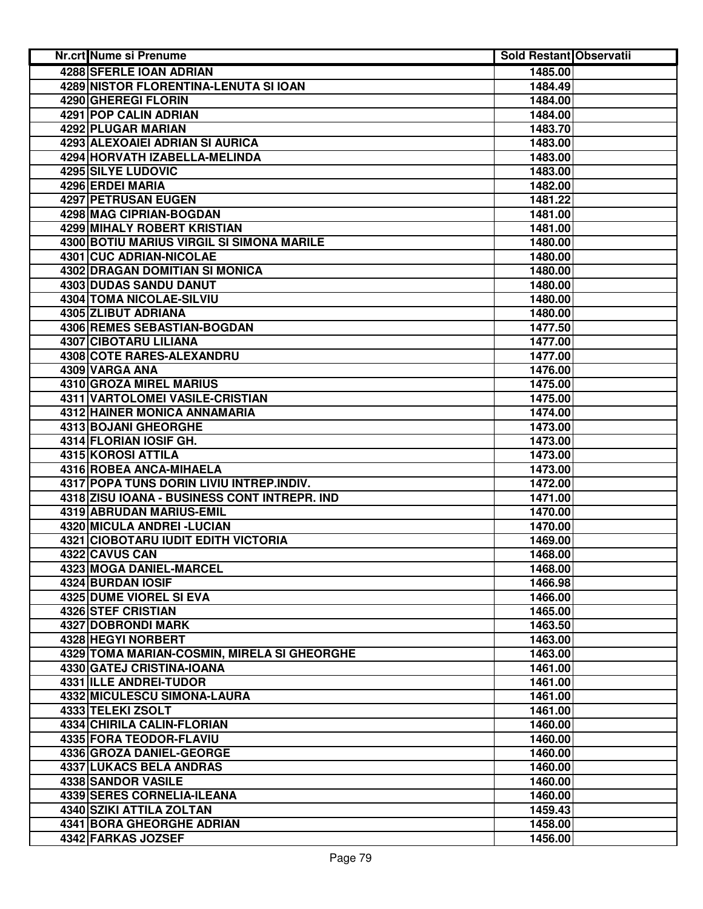| Nr.crt Nume si Prenume                       | <b>Sold Restant Observatii</b> |  |
|----------------------------------------------|--------------------------------|--|
| 4288 SFERLE IOAN ADRIAN                      | 1485.00                        |  |
| <b>4289 NISTOR FLORENTINA-LENUTA SI IOAN</b> | 1484.49                        |  |
| 4290 GHEREGI FLORIN                          | 1484.00                        |  |
| 4291 POP CALIN ADRIAN                        | 1484.00                        |  |
| 4292 PLUGAR MARIAN                           | 1483.70                        |  |
| 4293 ALEXOAIEI ADRIAN SI AURICA              | 1483.00                        |  |
| 4294 HORVATH IZABELLA-MELINDA                | 1483.00                        |  |
| <b>4295 SILYE LUDOVIC</b>                    | 1483.00                        |  |
| 4296 ERDEI MARIA                             | 1482.00                        |  |
| 4297 PETRUSAN EUGEN                          | 1481.22                        |  |
| 4298 MAG CIPRIAN-BOGDAN                      | 1481.00                        |  |
| 4299 MIHALY ROBERT KRISTIAN                  | 1481.00                        |  |
| 4300 BOTIU MARIUS VIRGIL SI SIMONA MARILE    | 1480.00                        |  |
| 4301 CUC ADRIAN-NICOLAE                      | 1480.00                        |  |
| 4302 DRAGAN DOMITIAN SI MONICA               | 1480.00                        |  |
| 4303 DUDAS SANDU DANUT                       | 1480.00                        |  |
| 4304 TOMA NICOLAE-SILVIU                     | 1480.00                        |  |
| 4305 ZLIBUT ADRIANA                          | 1480.00                        |  |
| 4306 REMES SEBASTIAN-BOGDAN                  | 1477.50                        |  |
| 4307 CIBOTARU LILIANA                        | 1477.00                        |  |
| <b>4308 COTE RARES-ALEXANDRU</b>             | 1477.00                        |  |
| 4309 VARGA ANA                               | 1476.00                        |  |
| 4310 GROZA MIREL MARIUS                      | 1475.00                        |  |
| 4311 VARTOLOMEI VASILE-CRISTIAN              | 1475.00                        |  |
| 4312 HAINER MONICA ANNAMARIA                 | 1474.00                        |  |
| 4313 BOJANI GHEORGHE                         | 1473.00                        |  |
| 4314 FLORIAN IOSIF GH.                       | 1473.00                        |  |
| 4315 KOROSI ATTILA                           | 1473.00                        |  |
| 4316 ROBEA ANCA-MIHAELA                      | 1473.00                        |  |
| 4317 POPA TUNS DORIN LIVIU INTREP.INDIV.     | 1472.00                        |  |
| 4318 ZISU IOANA - BUSINESS CONT INTREPR. IND | 1471.00                        |  |
| 4319 ABRUDAN MARIUS-EMIL                     | 1470.00                        |  |
| 4320 MICULA ANDREI - LUCIAN                  | 1470.00                        |  |
| 4321 CIOBOTARU IUDIT EDITH VICTORIA          | 1469.00                        |  |
| 4322 CAVUS CAN                               | 1468.00                        |  |
| 4323 MOGA DANIEL-MARCEL                      | 1468.00                        |  |
| 4324 BURDAN IOSIF                            | 1466.98                        |  |
| 4325 DUME VIOREL SI EVA                      | 1466.00                        |  |
| 4326 STEF CRISTIAN                           | 1465.00                        |  |
| <b>4327 DOBRONDI MARK</b>                    | 1463.50                        |  |
| 4328 HEGYI NORBERT                           | 1463.00                        |  |
| 4329 TOMA MARIAN-COSMIN, MIRELA SI GHEORGHE  | 1463.00                        |  |
| 4330 GATEJ CRISTINA-IOANA                    | 1461.00                        |  |
| 4331 ILLE ANDREI-TUDOR                       | 1461.00                        |  |
| 4332 MICULESCU SIMONA-LAURA                  | 1461.00                        |  |
| 4333 TELEKI ZSOLT                            | 1461.00                        |  |
| 4334 CHIRILA CALIN-FLORIAN                   | 1460.00                        |  |
| 4335 FORA TEODOR-FLAVIU                      | 1460.00                        |  |
| 4336 GROZA DANIEL-GEORGE                     | 1460.00                        |  |
| 4337 LUKACS BELA ANDRAS                      | 1460.00                        |  |
| 4338 SANDOR VASILE                           | 1460.00                        |  |
| <b>4339 SERES CORNELIA-ILEANA</b>            | 1460.00                        |  |
| 4340 SZIKI ATTILA ZOLTAN                     | 1459.43                        |  |
| 4341 BORA GHEORGHE ADRIAN                    | 1458.00                        |  |
| 4342 FARKAS JOZSEF                           | 1456.00                        |  |
|                                              |                                |  |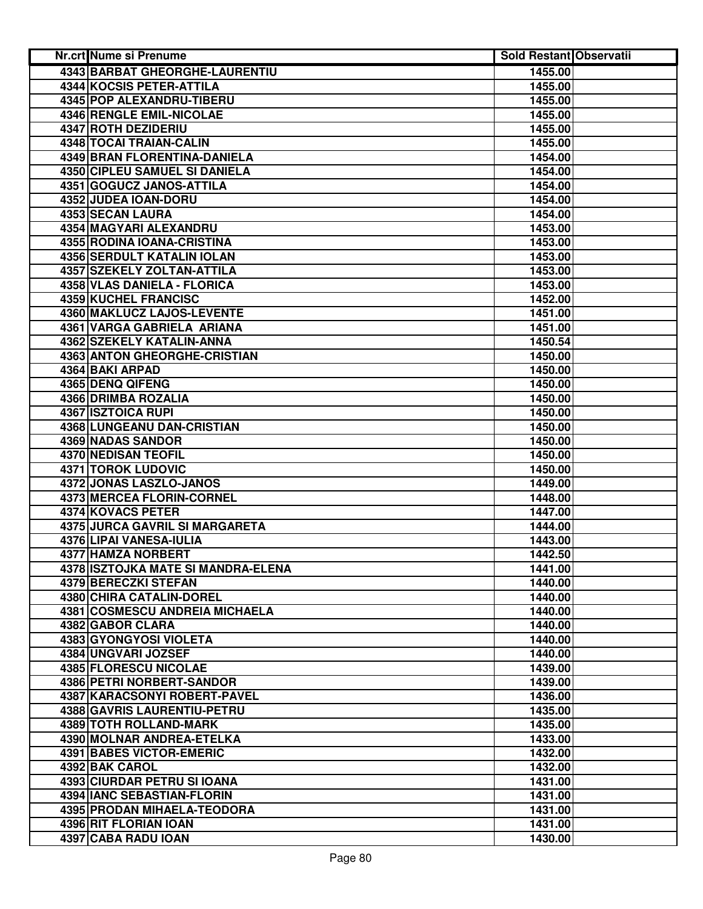| Nr.crt Nume si Prenume                | <b>Sold Restant Observatii</b> |  |
|---------------------------------------|--------------------------------|--|
| <b>4343 BARBAT GHEORGHE-LAURENTIU</b> | 1455.00                        |  |
| 4344 KOCSIS PETER-ATTILA              | 1455.00                        |  |
| 4345 POP ALEXANDRU-TIBERU             | 1455.00                        |  |
| 4346 RENGLE EMIL-NICOLAE              | 1455.00                        |  |
| 4347 ROTH DEZIDERIU                   | 1455.00                        |  |
| 4348 TOCAI TRAIAN-CALIN               | 1455.00                        |  |
| 4349 BRAN FLORENTINA-DANIELA          | 1454.00                        |  |
| 4350 CIPLEU SAMUEL SI DANIELA         | 1454.00                        |  |
| 4351 GOGUCZ JANOS-ATTILA              | 1454.00                        |  |
| 4352 JUDEA IOAN-DORU                  | 1454.00                        |  |
| 4353 SECAN LAURA                      | 1454.00                        |  |
| 4354 MAGYARI ALEXANDRU                | 1453.00                        |  |
| 4355 RODINA IOANA-CRISTINA            | 1453.00                        |  |
| <b>4356 SERDULT KATALIN IOLAN</b>     | 1453.00                        |  |
| 4357 SZEKELY ZOLTAN-ATTILA            | 1453.00                        |  |
| 4358 VLAS DANIELA - FLORICA           | 1453.00                        |  |
| 4359 KUCHEL FRANCISC                  | 1452.00                        |  |
| 4360 MAKLUCZ LAJOS-LEVENTE            | 1451.00                        |  |
| 4361 VARGA GABRIELA ARIANA            | 1451.00                        |  |
| 4362 SZEKELY KATALIN-ANNA             | 1450.54                        |  |
| <b>4363 ANTON GHEORGHE-CRISTIAN</b>   | 1450.00                        |  |
| 4364 BAKI ARPAD                       | 1450.00                        |  |
| 4365 DENQ QIFENG                      | 1450.00                        |  |
| 4366 DRIMBA ROZALIA                   | 1450.00                        |  |
| <b>4367 ISZTOICA RUPI</b>             | 1450.00                        |  |
| 4368 LUNGEANU DAN-CRISTIAN            | 1450.00                        |  |
| 4369 NADAS SANDOR                     | 1450.00                        |  |
| 4370 NEDISAN TEOFIL                   | 1450.00                        |  |
| 4371 TOROK LUDOVIC                    | 1450.00                        |  |
| 4372 JONAS LASZLO-JANOS               | 1449.00                        |  |
| 4373 MERCEA FLORIN-CORNEL             | 1448.00                        |  |
| 4374 KOVACS PETER                     | 1447.00                        |  |
| 4375 JURCA GAVRIL SI MARGARETA        | 1444.00                        |  |
| 4376 LIPAI VANESA-IULIA               | 1443.00                        |  |
| 4377 HAMZA NORBERT                    | 1442.50                        |  |
| 4378 ISZTOJKA MATE SI MANDRA-ELENA    | 1441.00                        |  |
| 4379 BERECZKI STEFAN                  | 1440.00                        |  |
| 4380 CHIRA CATALIN-DOREL              | 1440.00                        |  |
| 4381 COSMESCU ANDREIA MICHAELA        | 1440.00                        |  |
| 4382 GABOR CLARA                      | 1440.00                        |  |
| 4383 GYONGYOSI VIOLETA                | 1440.00                        |  |
| 4384 UNGVARI JOZSEF                   | 1440.00                        |  |
| 4385 FLORESCU NICOLAE                 | 1439.00                        |  |
| 4386 PETRI NORBERT-SANDOR             | 1439.00                        |  |
| 4387 KARACSONYI ROBERT-PAVEL          | 1436.00                        |  |
| 4388 GAVRIS LAURENTIU-PETRU           | 1435.00                        |  |
| 4389 TOTH ROLLAND-MARK                | 1435.00                        |  |
| 4390 MOLNAR ANDREA-ETELKA             | 1433.00                        |  |
| 4391 BABES VICTOR-EMERIC              | 1432.00                        |  |
| 4392 BAK CAROL                        | 1432.00                        |  |
| 4393 CIURDAR PETRU SI IOANA           | 1431.00                        |  |
| 4394 IANC SEBASTIAN-FLORIN            | 1431.00                        |  |
| 4395 PRODAN MIHAELA-TEODORA           | 1431.00                        |  |
| 4396 RIT FLORIAN IOAN                 | 1431.00                        |  |
| 4397 CABA RADU IOAN                   | 1430.00                        |  |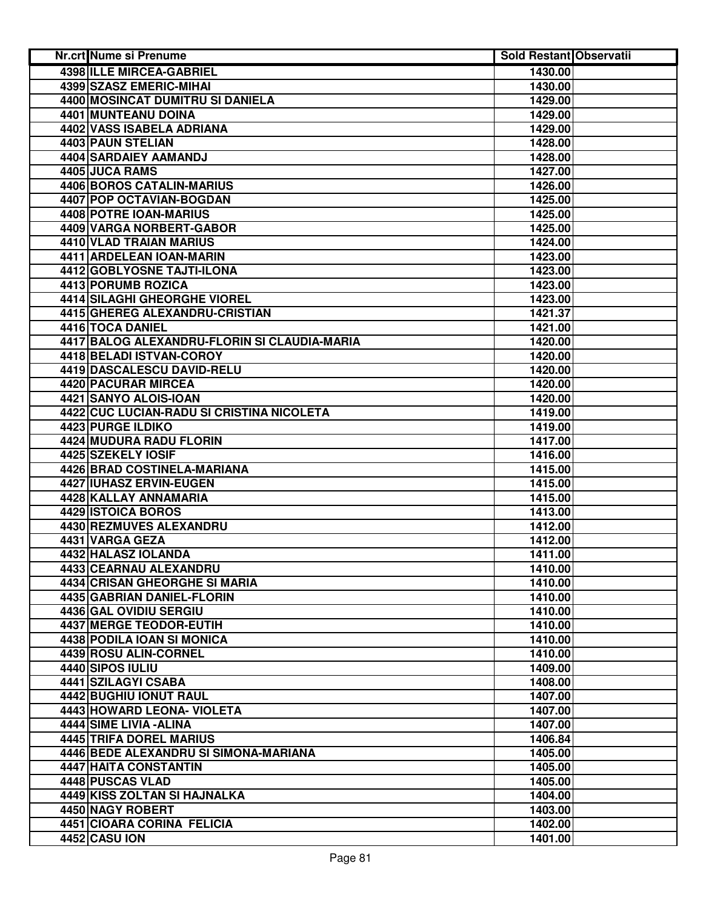| Nr.crt Nume si Prenume                       | <b>Sold Restant Observatii</b> |  |
|----------------------------------------------|--------------------------------|--|
| 4398 ILLE MIRCEA-GABRIEL                     | 1430.00                        |  |
| 4399 SZASZ EMERIC-MIHAI                      | 1430.00                        |  |
| 4400 MOSINCAT DUMITRU SI DANIELA             | 1429.00                        |  |
| 4401 MUNTEANU DOINA                          | 1429.00                        |  |
| 4402 VASS ISABELA ADRIANA                    | 1429.00                        |  |
| 4403 PAUN STELIAN                            | 1428.00                        |  |
| 4404 SARDAIEY AAMANDJ                        | 1428.00                        |  |
| 4405 JUCA RAMS                               | 1427.00                        |  |
| 4406 BOROS CATALIN-MARIUS                    | 1426.00                        |  |
| 4407 POP OCTAVIAN-BOGDAN                     | 1425.00                        |  |
| 4408 POTRE IOAN-MARIUS                       | 1425.00                        |  |
| 4409 VARGA NORBERT-GABOR                     | 1425.00                        |  |
| 4410 VLAD TRAIAN MARIUS                      | 1424.00                        |  |
| 4411 ARDELEAN IOAN-MARIN                     | 1423.00                        |  |
| 4412 GOBLYOSNE TAJTI-ILONA                   | 1423.00                        |  |
| 4413 PORUMB ROZICA                           | 1423.00                        |  |
| 4414 SILAGHI GHEORGHE VIOREL                 | 1423.00                        |  |
| 4415 GHEREG ALEXANDRU-CRISTIAN               | 1421.37                        |  |
| 4416 TOCA DANIEL                             | 1421.00                        |  |
| 4417 BALOG ALEXANDRU-FLORIN SI CLAUDIA-MARIA | 1420.00                        |  |
| 4418 BELADI ISTVAN-COROY                     | 1420.00                        |  |
| 4419 DASCALESCU DAVID-RELU                   | 1420.00                        |  |
| <b>4420 PACURAR MIRCEA</b>                   | 1420.00                        |  |
| 4421 SANYO ALOIS-IOAN                        | 1420.00                        |  |
| 4422 CUC LUCIAN-RADU SI CRISTINA NICOLETA    | 1419.00                        |  |
| <b>4423 PURGE ILDIKO</b>                     | 1419.00                        |  |
| 4424 MUDURA RADU FLORIN                      | 1417.00                        |  |
| 4425 SZEKELY IOSIF                           | 1416.00                        |  |
| 4426 BRAD COSTINELA-MARIANA                  | 1415.00                        |  |
| 4427 IUHASZ ERVIN-EUGEN                      | 1415.00                        |  |
| 4428 KALLAY ANNAMARIA                        | 1415.00                        |  |
| 4429 ISTOICA BOROS                           | 1413.00                        |  |
| 4430 REZMUVES ALEXANDRU                      | 1412.00                        |  |
| 4431 VARGA GEZA                              | 1412.00                        |  |
| 4432 HALASZ IOLANDA                          | 1411.00                        |  |
| 4433 CEARNAU ALEXANDRU                       | 1410.00                        |  |
| 4434 CRISAN GHEORGHE SI MARIA                | 1410.00                        |  |
| 4435 GABRIAN DANIEL-FLORIN                   | 1410.00                        |  |
| 4436 GAL OVIDIU SERGIU                       | 1410.00                        |  |
| 4437 MERGE TEODOR-EUTIH                      | 1410.00                        |  |
| 4438 PODILA IOAN SI MONICA                   | 1410.00                        |  |
| 4439 ROSU ALIN-CORNEL                        | 1410.00                        |  |
| 4440 SIPOS IULIU                             | 1409.00                        |  |
| 4441 SZILAGYI CSABA                          | 1408.00                        |  |
| 4442 BUGHIU IONUT RAUL                       | 1407.00                        |  |
| 4443 HOWARD LEONA- VIOLETA                   | 1407.00                        |  |
| 4444 SIME LIVIA - ALINA                      | 1407.00                        |  |
| 4445 TRIFA DOREL MARIUS                      | 1406.84                        |  |
| 4446 BEDE ALEXANDRU SI SIMONA-MARIANA        | 1405.00                        |  |
| 4447 HAITA CONSTANTIN                        | 1405.00                        |  |
| 4448 PUSCAS VLAD                             | 1405.00                        |  |
| 4449 KISS ZOLTAN SI HAJNALKA                 | 1404.00                        |  |
| 4450 NAGY ROBERT                             | 1403.00                        |  |
| 4451 CIOARA CORINA FELICIA                   | 1402.00                        |  |
| 4452 CASU ION                                | 1401.00                        |  |
|                                              |                                |  |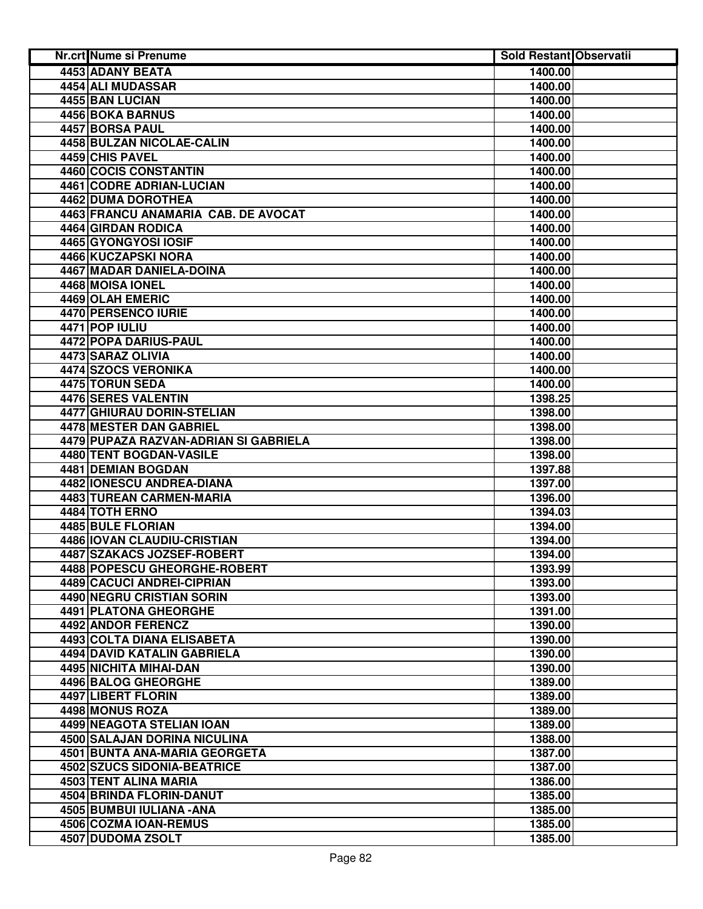| <b>4453 ADANY BEATA</b><br>1400.00<br>4454 ALI MUDASSAR<br>1400.00<br>4455 BAN LUCIAN<br>1400.00<br>4456 BOKA BARNUS<br>1400.00<br>4457 BORSA PAUL<br>1400.00<br>4458 BULZAN NICOLAE-CALIN<br>1400.00<br>4459 CHIS PAVEL<br>1400.00<br>4460 COCIS CONSTANTIN<br>1400.00<br>4461 CODRE ADRIAN-LUCIAN<br>1400.00<br>4462 DUMA DOROTHEA<br>1400.00<br>4463 FRANCU ANAMARIA CAB. DE AVOCAT<br>1400.00<br>4464 GIRDAN RODICA<br>1400.00<br>4465 GYONGYOSI IOSIF<br>1400.00<br>4466 KUCZAPSKI NORA<br>1400.00<br>4467 MADAR DANIELA-DOINA<br>1400.00<br>4468 MOISA IONEL<br>1400.00<br>4469 OLAH EMERIC<br>1400.00<br>4470 PERSENCO IURIE<br>1400.00<br>4471 POP IULIU<br>1400.00<br>4472 POPA DARIUS-PAUL<br>1400.00<br>4473 SARAZ OLIVIA<br>1400.00<br>4474 SZOCS VERONIKA<br>1400.00<br>4475 TORUN SEDA<br>1400.00<br>4476 SERES VALENTIN<br>1398.25<br><b>4477 GHIURAU DORIN-STELIAN</b><br>1398.00<br>4478 MESTER DAN GABRIEL<br>1398.00<br>4479 PUPAZA RAZVAN-ADRIAN SI GABRIELA<br>1398.00<br>4480 TENT BOGDAN-VASILE<br>1398.00<br>4481 DEMIAN BOGDAN<br>1397.88<br>4482 IONESCU ANDREA-DIANA<br>1397.00<br>4483 TUREAN CARMEN-MARIA<br>1396.00<br>4484 TOTH ERNO<br>1394.03<br><b>4485 BULE FLORIAN</b><br>1394.00<br>4486 IOVAN CLAUDIU-CRISTIAN<br>1394.00<br>4487 SZAKACS JOZSEF-ROBERT<br>1394.00<br>4488 POPESCU GHEORGHE-ROBERT<br>1393.99<br>4489 CACUCI ANDREI-CIPRIAN<br>1393.00<br>4490 NEGRU CRISTIAN SORIN<br>1393.00<br><b>4491 PLATONA GHEORGHE</b><br>1391.00<br>4492 ANDOR FERENCZ<br>1390.00<br><b>4493 COLTA DIANA ELISABETA</b><br>1390.00<br>4494 DAVID KATALIN GABRIELA<br>1390.00<br>4495 NICHITA MIHAI-DAN<br>1390.00<br>4496 BALOG GHEORGHE<br>1389.00<br>4497 LIBERT FLORIN<br>1389.00<br>4498 MONUS ROZA<br>1389.00<br>4499 NEAGOTA STELIAN IOAN<br>1389.00<br>4500 SALAJAN DORINA NICULINA<br>1388.00<br>4501 BUNTA ANA-MARIA GEORGETA<br>1387.00<br>4502 SZUCS SIDONIA-BEATRICE<br>1387.00<br>4503 TENT ALINA MARIA<br>1386.00<br>4504 BRINDA FLORIN-DANUT<br>1385.00<br>4505 BUMBUI IULIANA - ANA<br>1385.00<br>4506 COZMA IOAN-REMUS<br>1385.00<br>4507 DUDOMA ZSOLT<br>1385.00 | Nr.crt Nume si Prenume | <b>Sold Restant Observatii</b> |  |
|------------------------------------------------------------------------------------------------------------------------------------------------------------------------------------------------------------------------------------------------------------------------------------------------------------------------------------------------------------------------------------------------------------------------------------------------------------------------------------------------------------------------------------------------------------------------------------------------------------------------------------------------------------------------------------------------------------------------------------------------------------------------------------------------------------------------------------------------------------------------------------------------------------------------------------------------------------------------------------------------------------------------------------------------------------------------------------------------------------------------------------------------------------------------------------------------------------------------------------------------------------------------------------------------------------------------------------------------------------------------------------------------------------------------------------------------------------------------------------------------------------------------------------------------------------------------------------------------------------------------------------------------------------------------------------------------------------------------------------------------------------------------------------------------------------------------------------------------------------------------------------------------------------------------------------------------------------------------------------------------------------------------------------------------------------------------------------------------------------------|------------------------|--------------------------------|--|
|                                                                                                                                                                                                                                                                                                                                                                                                                                                                                                                                                                                                                                                                                                                                                                                                                                                                                                                                                                                                                                                                                                                                                                                                                                                                                                                                                                                                                                                                                                                                                                                                                                                                                                                                                                                                                                                                                                                                                                                                                                                                                                                  |                        |                                |  |
|                                                                                                                                                                                                                                                                                                                                                                                                                                                                                                                                                                                                                                                                                                                                                                                                                                                                                                                                                                                                                                                                                                                                                                                                                                                                                                                                                                                                                                                                                                                                                                                                                                                                                                                                                                                                                                                                                                                                                                                                                                                                                                                  |                        |                                |  |
|                                                                                                                                                                                                                                                                                                                                                                                                                                                                                                                                                                                                                                                                                                                                                                                                                                                                                                                                                                                                                                                                                                                                                                                                                                                                                                                                                                                                                                                                                                                                                                                                                                                                                                                                                                                                                                                                                                                                                                                                                                                                                                                  |                        |                                |  |
|                                                                                                                                                                                                                                                                                                                                                                                                                                                                                                                                                                                                                                                                                                                                                                                                                                                                                                                                                                                                                                                                                                                                                                                                                                                                                                                                                                                                                                                                                                                                                                                                                                                                                                                                                                                                                                                                                                                                                                                                                                                                                                                  |                        |                                |  |
|                                                                                                                                                                                                                                                                                                                                                                                                                                                                                                                                                                                                                                                                                                                                                                                                                                                                                                                                                                                                                                                                                                                                                                                                                                                                                                                                                                                                                                                                                                                                                                                                                                                                                                                                                                                                                                                                                                                                                                                                                                                                                                                  |                        |                                |  |
|                                                                                                                                                                                                                                                                                                                                                                                                                                                                                                                                                                                                                                                                                                                                                                                                                                                                                                                                                                                                                                                                                                                                                                                                                                                                                                                                                                                                                                                                                                                                                                                                                                                                                                                                                                                                                                                                                                                                                                                                                                                                                                                  |                        |                                |  |
|                                                                                                                                                                                                                                                                                                                                                                                                                                                                                                                                                                                                                                                                                                                                                                                                                                                                                                                                                                                                                                                                                                                                                                                                                                                                                                                                                                                                                                                                                                                                                                                                                                                                                                                                                                                                                                                                                                                                                                                                                                                                                                                  |                        |                                |  |
|                                                                                                                                                                                                                                                                                                                                                                                                                                                                                                                                                                                                                                                                                                                                                                                                                                                                                                                                                                                                                                                                                                                                                                                                                                                                                                                                                                                                                                                                                                                                                                                                                                                                                                                                                                                                                                                                                                                                                                                                                                                                                                                  |                        |                                |  |
|                                                                                                                                                                                                                                                                                                                                                                                                                                                                                                                                                                                                                                                                                                                                                                                                                                                                                                                                                                                                                                                                                                                                                                                                                                                                                                                                                                                                                                                                                                                                                                                                                                                                                                                                                                                                                                                                                                                                                                                                                                                                                                                  |                        |                                |  |
|                                                                                                                                                                                                                                                                                                                                                                                                                                                                                                                                                                                                                                                                                                                                                                                                                                                                                                                                                                                                                                                                                                                                                                                                                                                                                                                                                                                                                                                                                                                                                                                                                                                                                                                                                                                                                                                                                                                                                                                                                                                                                                                  |                        |                                |  |
|                                                                                                                                                                                                                                                                                                                                                                                                                                                                                                                                                                                                                                                                                                                                                                                                                                                                                                                                                                                                                                                                                                                                                                                                                                                                                                                                                                                                                                                                                                                                                                                                                                                                                                                                                                                                                                                                                                                                                                                                                                                                                                                  |                        |                                |  |
|                                                                                                                                                                                                                                                                                                                                                                                                                                                                                                                                                                                                                                                                                                                                                                                                                                                                                                                                                                                                                                                                                                                                                                                                                                                                                                                                                                                                                                                                                                                                                                                                                                                                                                                                                                                                                                                                                                                                                                                                                                                                                                                  |                        |                                |  |
|                                                                                                                                                                                                                                                                                                                                                                                                                                                                                                                                                                                                                                                                                                                                                                                                                                                                                                                                                                                                                                                                                                                                                                                                                                                                                                                                                                                                                                                                                                                                                                                                                                                                                                                                                                                                                                                                                                                                                                                                                                                                                                                  |                        |                                |  |
|                                                                                                                                                                                                                                                                                                                                                                                                                                                                                                                                                                                                                                                                                                                                                                                                                                                                                                                                                                                                                                                                                                                                                                                                                                                                                                                                                                                                                                                                                                                                                                                                                                                                                                                                                                                                                                                                                                                                                                                                                                                                                                                  |                        |                                |  |
|                                                                                                                                                                                                                                                                                                                                                                                                                                                                                                                                                                                                                                                                                                                                                                                                                                                                                                                                                                                                                                                                                                                                                                                                                                                                                                                                                                                                                                                                                                                                                                                                                                                                                                                                                                                                                                                                                                                                                                                                                                                                                                                  |                        |                                |  |
|                                                                                                                                                                                                                                                                                                                                                                                                                                                                                                                                                                                                                                                                                                                                                                                                                                                                                                                                                                                                                                                                                                                                                                                                                                                                                                                                                                                                                                                                                                                                                                                                                                                                                                                                                                                                                                                                                                                                                                                                                                                                                                                  |                        |                                |  |
|                                                                                                                                                                                                                                                                                                                                                                                                                                                                                                                                                                                                                                                                                                                                                                                                                                                                                                                                                                                                                                                                                                                                                                                                                                                                                                                                                                                                                                                                                                                                                                                                                                                                                                                                                                                                                                                                                                                                                                                                                                                                                                                  |                        |                                |  |
|                                                                                                                                                                                                                                                                                                                                                                                                                                                                                                                                                                                                                                                                                                                                                                                                                                                                                                                                                                                                                                                                                                                                                                                                                                                                                                                                                                                                                                                                                                                                                                                                                                                                                                                                                                                                                                                                                                                                                                                                                                                                                                                  |                        |                                |  |
|                                                                                                                                                                                                                                                                                                                                                                                                                                                                                                                                                                                                                                                                                                                                                                                                                                                                                                                                                                                                                                                                                                                                                                                                                                                                                                                                                                                                                                                                                                                                                                                                                                                                                                                                                                                                                                                                                                                                                                                                                                                                                                                  |                        |                                |  |
|                                                                                                                                                                                                                                                                                                                                                                                                                                                                                                                                                                                                                                                                                                                                                                                                                                                                                                                                                                                                                                                                                                                                                                                                                                                                                                                                                                                                                                                                                                                                                                                                                                                                                                                                                                                                                                                                                                                                                                                                                                                                                                                  |                        |                                |  |
|                                                                                                                                                                                                                                                                                                                                                                                                                                                                                                                                                                                                                                                                                                                                                                                                                                                                                                                                                                                                                                                                                                                                                                                                                                                                                                                                                                                                                                                                                                                                                                                                                                                                                                                                                                                                                                                                                                                                                                                                                                                                                                                  |                        |                                |  |
|                                                                                                                                                                                                                                                                                                                                                                                                                                                                                                                                                                                                                                                                                                                                                                                                                                                                                                                                                                                                                                                                                                                                                                                                                                                                                                                                                                                                                                                                                                                                                                                                                                                                                                                                                                                                                                                                                                                                                                                                                                                                                                                  |                        |                                |  |
|                                                                                                                                                                                                                                                                                                                                                                                                                                                                                                                                                                                                                                                                                                                                                                                                                                                                                                                                                                                                                                                                                                                                                                                                                                                                                                                                                                                                                                                                                                                                                                                                                                                                                                                                                                                                                                                                                                                                                                                                                                                                                                                  |                        |                                |  |
|                                                                                                                                                                                                                                                                                                                                                                                                                                                                                                                                                                                                                                                                                                                                                                                                                                                                                                                                                                                                                                                                                                                                                                                                                                                                                                                                                                                                                                                                                                                                                                                                                                                                                                                                                                                                                                                                                                                                                                                                                                                                                                                  |                        |                                |  |
|                                                                                                                                                                                                                                                                                                                                                                                                                                                                                                                                                                                                                                                                                                                                                                                                                                                                                                                                                                                                                                                                                                                                                                                                                                                                                                                                                                                                                                                                                                                                                                                                                                                                                                                                                                                                                                                                                                                                                                                                                                                                                                                  |                        |                                |  |
|                                                                                                                                                                                                                                                                                                                                                                                                                                                                                                                                                                                                                                                                                                                                                                                                                                                                                                                                                                                                                                                                                                                                                                                                                                                                                                                                                                                                                                                                                                                                                                                                                                                                                                                                                                                                                                                                                                                                                                                                                                                                                                                  |                        |                                |  |
|                                                                                                                                                                                                                                                                                                                                                                                                                                                                                                                                                                                                                                                                                                                                                                                                                                                                                                                                                                                                                                                                                                                                                                                                                                                                                                                                                                                                                                                                                                                                                                                                                                                                                                                                                                                                                                                                                                                                                                                                                                                                                                                  |                        |                                |  |
|                                                                                                                                                                                                                                                                                                                                                                                                                                                                                                                                                                                                                                                                                                                                                                                                                                                                                                                                                                                                                                                                                                                                                                                                                                                                                                                                                                                                                                                                                                                                                                                                                                                                                                                                                                                                                                                                                                                                                                                                                                                                                                                  |                        |                                |  |
|                                                                                                                                                                                                                                                                                                                                                                                                                                                                                                                                                                                                                                                                                                                                                                                                                                                                                                                                                                                                                                                                                                                                                                                                                                                                                                                                                                                                                                                                                                                                                                                                                                                                                                                                                                                                                                                                                                                                                                                                                                                                                                                  |                        |                                |  |
|                                                                                                                                                                                                                                                                                                                                                                                                                                                                                                                                                                                                                                                                                                                                                                                                                                                                                                                                                                                                                                                                                                                                                                                                                                                                                                                                                                                                                                                                                                                                                                                                                                                                                                                                                                                                                                                                                                                                                                                                                                                                                                                  |                        |                                |  |
|                                                                                                                                                                                                                                                                                                                                                                                                                                                                                                                                                                                                                                                                                                                                                                                                                                                                                                                                                                                                                                                                                                                                                                                                                                                                                                                                                                                                                                                                                                                                                                                                                                                                                                                                                                                                                                                                                                                                                                                                                                                                                                                  |                        |                                |  |
|                                                                                                                                                                                                                                                                                                                                                                                                                                                                                                                                                                                                                                                                                                                                                                                                                                                                                                                                                                                                                                                                                                                                                                                                                                                                                                                                                                                                                                                                                                                                                                                                                                                                                                                                                                                                                                                                                                                                                                                                                                                                                                                  |                        |                                |  |
|                                                                                                                                                                                                                                                                                                                                                                                                                                                                                                                                                                                                                                                                                                                                                                                                                                                                                                                                                                                                                                                                                                                                                                                                                                                                                                                                                                                                                                                                                                                                                                                                                                                                                                                                                                                                                                                                                                                                                                                                                                                                                                                  |                        |                                |  |
|                                                                                                                                                                                                                                                                                                                                                                                                                                                                                                                                                                                                                                                                                                                                                                                                                                                                                                                                                                                                                                                                                                                                                                                                                                                                                                                                                                                                                                                                                                                                                                                                                                                                                                                                                                                                                                                                                                                                                                                                                                                                                                                  |                        |                                |  |
|                                                                                                                                                                                                                                                                                                                                                                                                                                                                                                                                                                                                                                                                                                                                                                                                                                                                                                                                                                                                                                                                                                                                                                                                                                                                                                                                                                                                                                                                                                                                                                                                                                                                                                                                                                                                                                                                                                                                                                                                                                                                                                                  |                        |                                |  |
|                                                                                                                                                                                                                                                                                                                                                                                                                                                                                                                                                                                                                                                                                                                                                                                                                                                                                                                                                                                                                                                                                                                                                                                                                                                                                                                                                                                                                                                                                                                                                                                                                                                                                                                                                                                                                                                                                                                                                                                                                                                                                                                  |                        |                                |  |
|                                                                                                                                                                                                                                                                                                                                                                                                                                                                                                                                                                                                                                                                                                                                                                                                                                                                                                                                                                                                                                                                                                                                                                                                                                                                                                                                                                                                                                                                                                                                                                                                                                                                                                                                                                                                                                                                                                                                                                                                                                                                                                                  |                        |                                |  |
|                                                                                                                                                                                                                                                                                                                                                                                                                                                                                                                                                                                                                                                                                                                                                                                                                                                                                                                                                                                                                                                                                                                                                                                                                                                                                                                                                                                                                                                                                                                                                                                                                                                                                                                                                                                                                                                                                                                                                                                                                                                                                                                  |                        |                                |  |
|                                                                                                                                                                                                                                                                                                                                                                                                                                                                                                                                                                                                                                                                                                                                                                                                                                                                                                                                                                                                                                                                                                                                                                                                                                                                                                                                                                                                                                                                                                                                                                                                                                                                                                                                                                                                                                                                                                                                                                                                                                                                                                                  |                        |                                |  |
|                                                                                                                                                                                                                                                                                                                                                                                                                                                                                                                                                                                                                                                                                                                                                                                                                                                                                                                                                                                                                                                                                                                                                                                                                                                                                                                                                                                                                                                                                                                                                                                                                                                                                                                                                                                                                                                                                                                                                                                                                                                                                                                  |                        |                                |  |
|                                                                                                                                                                                                                                                                                                                                                                                                                                                                                                                                                                                                                                                                                                                                                                                                                                                                                                                                                                                                                                                                                                                                                                                                                                                                                                                                                                                                                                                                                                                                                                                                                                                                                                                                                                                                                                                                                                                                                                                                                                                                                                                  |                        |                                |  |
|                                                                                                                                                                                                                                                                                                                                                                                                                                                                                                                                                                                                                                                                                                                                                                                                                                                                                                                                                                                                                                                                                                                                                                                                                                                                                                                                                                                                                                                                                                                                                                                                                                                                                                                                                                                                                                                                                                                                                                                                                                                                                                                  |                        |                                |  |
|                                                                                                                                                                                                                                                                                                                                                                                                                                                                                                                                                                                                                                                                                                                                                                                                                                                                                                                                                                                                                                                                                                                                                                                                                                                                                                                                                                                                                                                                                                                                                                                                                                                                                                                                                                                                                                                                                                                                                                                                                                                                                                                  |                        |                                |  |
|                                                                                                                                                                                                                                                                                                                                                                                                                                                                                                                                                                                                                                                                                                                                                                                                                                                                                                                                                                                                                                                                                                                                                                                                                                                                                                                                                                                                                                                                                                                                                                                                                                                                                                                                                                                                                                                                                                                                                                                                                                                                                                                  |                        |                                |  |
|                                                                                                                                                                                                                                                                                                                                                                                                                                                                                                                                                                                                                                                                                                                                                                                                                                                                                                                                                                                                                                                                                                                                                                                                                                                                                                                                                                                                                                                                                                                                                                                                                                                                                                                                                                                                                                                                                                                                                                                                                                                                                                                  |                        |                                |  |
|                                                                                                                                                                                                                                                                                                                                                                                                                                                                                                                                                                                                                                                                                                                                                                                                                                                                                                                                                                                                                                                                                                                                                                                                                                                                                                                                                                                                                                                                                                                                                                                                                                                                                                                                                                                                                                                                                                                                                                                                                                                                                                                  |                        |                                |  |
|                                                                                                                                                                                                                                                                                                                                                                                                                                                                                                                                                                                                                                                                                                                                                                                                                                                                                                                                                                                                                                                                                                                                                                                                                                                                                                                                                                                                                                                                                                                                                                                                                                                                                                                                                                                                                                                                                                                                                                                                                                                                                                                  |                        |                                |  |
|                                                                                                                                                                                                                                                                                                                                                                                                                                                                                                                                                                                                                                                                                                                                                                                                                                                                                                                                                                                                                                                                                                                                                                                                                                                                                                                                                                                                                                                                                                                                                                                                                                                                                                                                                                                                                                                                                                                                                                                                                                                                                                                  |                        |                                |  |
|                                                                                                                                                                                                                                                                                                                                                                                                                                                                                                                                                                                                                                                                                                                                                                                                                                                                                                                                                                                                                                                                                                                                                                                                                                                                                                                                                                                                                                                                                                                                                                                                                                                                                                                                                                                                                                                                                                                                                                                                                                                                                                                  |                        |                                |  |
|                                                                                                                                                                                                                                                                                                                                                                                                                                                                                                                                                                                                                                                                                                                                                                                                                                                                                                                                                                                                                                                                                                                                                                                                                                                                                                                                                                                                                                                                                                                                                                                                                                                                                                                                                                                                                                                                                                                                                                                                                                                                                                                  |                        |                                |  |
|                                                                                                                                                                                                                                                                                                                                                                                                                                                                                                                                                                                                                                                                                                                                                                                                                                                                                                                                                                                                                                                                                                                                                                                                                                                                                                                                                                                                                                                                                                                                                                                                                                                                                                                                                                                                                                                                                                                                                                                                                                                                                                                  |                        |                                |  |
|                                                                                                                                                                                                                                                                                                                                                                                                                                                                                                                                                                                                                                                                                                                                                                                                                                                                                                                                                                                                                                                                                                                                                                                                                                                                                                                                                                                                                                                                                                                                                                                                                                                                                                                                                                                                                                                                                                                                                                                                                                                                                                                  |                        |                                |  |
|                                                                                                                                                                                                                                                                                                                                                                                                                                                                                                                                                                                                                                                                                                                                                                                                                                                                                                                                                                                                                                                                                                                                                                                                                                                                                                                                                                                                                                                                                                                                                                                                                                                                                                                                                                                                                                                                                                                                                                                                                                                                                                                  |                        |                                |  |
|                                                                                                                                                                                                                                                                                                                                                                                                                                                                                                                                                                                                                                                                                                                                                                                                                                                                                                                                                                                                                                                                                                                                                                                                                                                                                                                                                                                                                                                                                                                                                                                                                                                                                                                                                                                                                                                                                                                                                                                                                                                                                                                  |                        |                                |  |
|                                                                                                                                                                                                                                                                                                                                                                                                                                                                                                                                                                                                                                                                                                                                                                                                                                                                                                                                                                                                                                                                                                                                                                                                                                                                                                                                                                                                                                                                                                                                                                                                                                                                                                                                                                                                                                                                                                                                                                                                                                                                                                                  |                        |                                |  |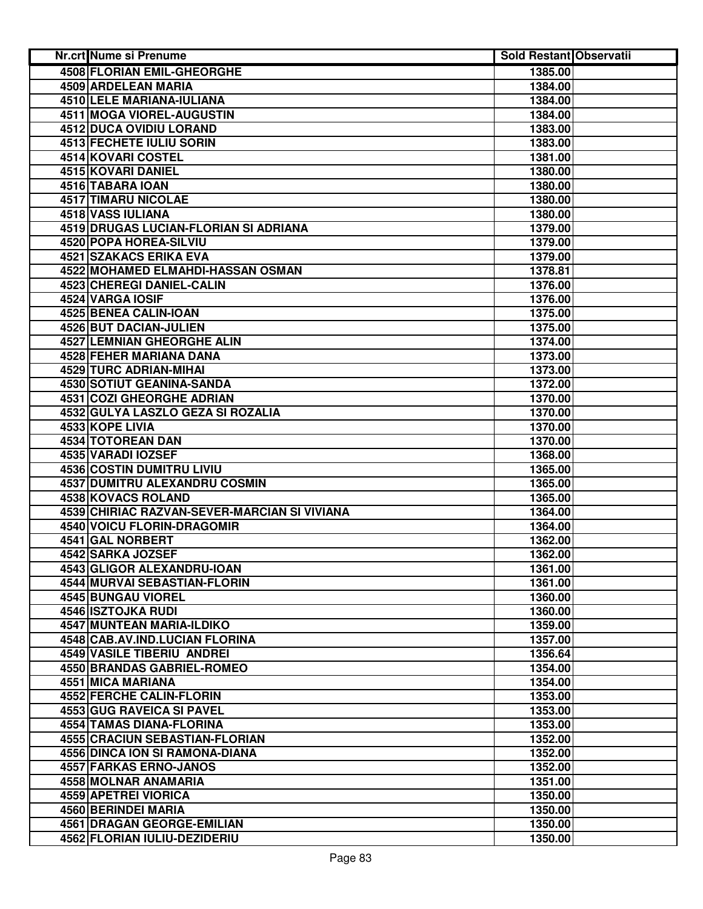| Nr.crt Nume si Prenume                       | <b>Sold Restant Observatii</b> |  |
|----------------------------------------------|--------------------------------|--|
| <b>4508 FLORIAN EMIL-GHEORGHE</b>            | 1385.00                        |  |
| 4509 ARDELEAN MARIA                          | 1384.00                        |  |
| 4510 LELE MARIANA-IULIANA                    | 1384.00                        |  |
| 4511 MOGA VIOREL-AUGUSTIN                    | 1384.00                        |  |
| 4512 DUCA OVIDIU LORAND                      | 1383.00                        |  |
| 4513 FECHETE IULIU SORIN                     | 1383.00                        |  |
| 4514 KOVARI COSTEL                           | 1381.00                        |  |
| 4515 KOVARI DANIEL                           | 1380.00                        |  |
| 4516 TABARA IOAN                             | 1380.00                        |  |
| 4517 TIMARU NICOLAE                          | 1380.00                        |  |
| 4518 VASS IULIANA                            | 1380.00                        |  |
| 4519 DRUGAS LUCIAN-FLORIAN SI ADRIANA        | 1379.00                        |  |
| 4520 POPA HOREA-SILVIU                       | 1379.00                        |  |
| 4521 SZAKACS ERIKA EVA                       | 1379.00                        |  |
| 4522 MOHAMED ELMAHDI-HASSAN OSMAN            | 1378.81                        |  |
| 4523 CHEREGI DANIEL-CALIN                    | 1376.00                        |  |
| 4524 VARGA IOSIF                             | 1376.00                        |  |
| 4525 BENEA CALIN-IOAN                        | 1375.00                        |  |
| 4526 BUT DACIAN-JULIEN                       | 1375.00                        |  |
| <b>4527 LEMNIAN GHEORGHE ALIN</b>            | 1374.00                        |  |
| 4528 FEHER MARIANA DANA                      | 1373.00                        |  |
| 4529 TURC ADRIAN-MIHAI                       | 1373.00                        |  |
| <b>4530 SOTIUT GEANINA-SANDA</b>             | 1372.00                        |  |
| <b>4531 COZI GHEORGHE ADRIAN</b>             | 1370.00                        |  |
| 4532 GULYA LASZLO GEZA SI ROZALIA            | 1370.00                        |  |
| 4533 KOPE LIVIA                              | 1370.00                        |  |
| 4534 TOTOREAN DAN                            | 1370.00                        |  |
| 4535 VARADI IOZSEF                           | 1368.00                        |  |
| 4536 COSTIN DUMITRU LIVIU                    | 1365.00                        |  |
| 4537 DUMITRU ALEXANDRU COSMIN                | 1365.00                        |  |
| 4538 KOVACS ROLAND                           | 1365.00                        |  |
| 4539 CHIRIAC RAZVAN-SEVER-MARCIAN SI VIVIANA | 1364.00                        |  |
| 4540 VOICU FLORIN-DRAGOMIR                   | 1364.00                        |  |
| 4541 GAL NORBERT                             | 1362.00                        |  |
| 4542 SARKA JOZSEF                            | 1362.00                        |  |
| 4543 GLIGOR ALEXANDRU-IOAN                   | 1361.00                        |  |
| 4544 MURVAI SEBASTIAN-FLORIN                 | 1361.00                        |  |
| 4545 BUNGAU VIOREL                           | 1360.00                        |  |
| 4546 ISZTOJKA RUDI                           | 1360.00                        |  |
| 4547 MUNTEAN MARIA-ILDIKO                    | 1359.00                        |  |
| 4548 CAB.AV.IND.LUCIAN FLORINA               | 1357.00                        |  |
| 4549 VASILE TIBERIU ANDREI                   | 1356.64                        |  |
| 4550 BRANDAS GABRIEL-ROMEO                   | 1354.00                        |  |
| 4551 MICA MARIANA                            | 1354.00                        |  |
| 4552 FERCHE CALIN-FLORIN                     | 1353.00                        |  |
| 4553 GUG RAVEICA SI PAVEL                    | 1353.00                        |  |
| 4554 TAMAS DIANA-FLORINA                     | 1353.00                        |  |
| <b>4555 CRACIUN SEBASTIAN-FLORIAN</b>        | 1352.00                        |  |
| 4556 DINCA ION SI RAMONA-DIANA               | 1352.00                        |  |
| 4557 FARKAS ERNO-JANOS                       | 1352.00                        |  |
| 4558 MOLNAR ANAMARIA                         | 1351.00                        |  |
| 4559 APETREI VIORICA                         | 1350.00                        |  |
| 4560 BERINDEI MARIA                          | 1350.00                        |  |
| 4561 DRAGAN GEORGE-EMILIAN                   | 1350.00                        |  |
| 4562 FLORIAN IULIU-DEZIDERIU                 | 1350.00                        |  |
|                                              |                                |  |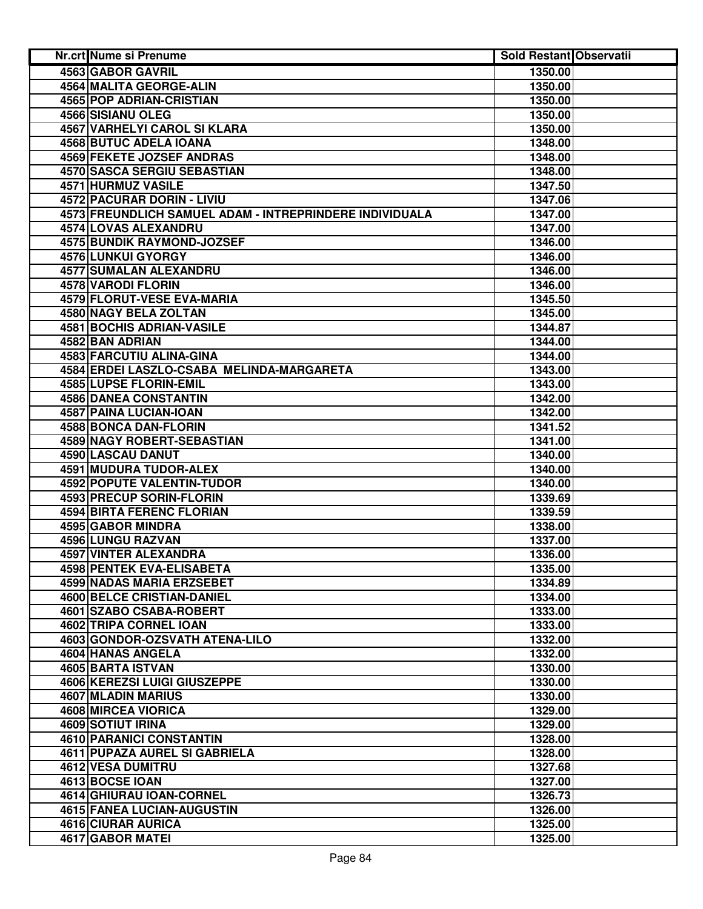| <b>4563 GABOR GAVRIL</b><br>1350.00<br>4564 MALITA GEORGE-ALIN<br>1350.00<br>4565 POP ADRIAN-CRISTIAN<br>1350.00<br>4566 SISIANU OLEG<br>1350.00<br>4567 VARHELYI CAROL SI KLARA<br>1350.00<br>4568 BUTUC ADELA IOANA<br>1348.00<br>4569 FEKETE JOZSEF ANDRAS<br>1348.00<br>4570 SASCA SERGIU SEBASTIAN<br>1348.00<br>4571 HURMUZ VASILE<br>1347.50<br>4572 PACURAR DORIN - LIVIU<br>1347.06<br>4573 FREUNDLICH SAMUEL ADAM - INTREPRINDERE INDIVIDUALA<br>1347.00<br>4574 LOVAS ALEXANDRU<br>1347.00<br>4575 BUNDIK RAYMOND-JOZSEF<br>1346.00<br>4576 LUNKUI GYORGY<br>1346.00<br>4577 SUMALAN ALEXANDRU<br>1346.00<br>4578 VARODI FLORIN<br>1346.00<br>4579 FLORUT-VESE EVA-MARIA<br>1345.50<br><b>4580 NAGY BELA ZOLTAN</b><br>1345.00<br>4581 BOCHIS ADRIAN-VASILE<br>1344.87<br>4582 BAN ADRIAN<br>1344.00<br>4583 FARCUTIU ALINA-GINA<br>1344.00<br>4584 ERDEI LASZLO-CSABA MELINDA-MARGARETA<br>1343.00<br>4585 LUPSE FLORIN-EMIL<br>1343.00<br><b>4586 DANEA CONSTANTIN</b><br>1342.00<br>4587 PAINA LUCIAN-IOAN<br>1342.00<br><b>4588 BONCA DAN-FLORIN</b><br>1341.52<br>4589 NAGY ROBERT-SEBASTIAN<br>1341.00<br>4590 LASCAU DANUT<br>1340.00<br>4591 MUDURA TUDOR-ALEX<br>1340.00<br>4592 POPUTE VALENTIN-TUDOR<br>1340.00<br>4593 PRECUP SORIN-FLORIN<br>1339.69<br><b>4594 BIRTA FERENC FLORIAN</b><br>1339.59<br>4595 GABOR MINDRA<br>1338.00<br>4596 LUNGU RAZVAN<br>1337.00<br>4597 VINTER ALEXANDRA<br>1336.00<br>4598 PENTEK EVA-ELISABETA<br>1335.00<br>4599 NADAS MARIA ERZSEBET<br>1334.89<br>4600 BELCE CRISTIAN-DANIEL<br>1334.00<br>4601 SZABO CSABA-ROBERT<br>1333.00<br>4602 TRIPA CORNEL IOAN<br>1333.00<br>4603 GONDOR-OZSVATH ATENA-LILO<br>1332.00<br>4604 HANAS ANGELA<br>1332.00<br>4605 BARTA ISTVAN<br>1330.00<br><b>4606 KEREZSI LUIGI GIUSZEPPE</b><br>1330.00<br>4607 MLADIN MARIUS<br>1330.00<br>4608 MIRCEA VIORICA<br>1329.00<br>4609 SOTIUT IRINA<br>1329.00<br><b>4610 PARANICI CONSTANTIN</b><br>1328.00<br>4611 PUPAZA AUREL SI GABRIELA<br>1328.00<br>4612 VESA DUMITRU<br>1327.68<br>4613 BOCSE IOAN<br>1327.00<br>4614 GHIURAU IOAN-CORNEL<br>1326.73<br>4615 FANEA LUCIAN-AUGUSTIN<br>1326.00<br>4616 CIURAR AURICA<br>1325.00<br>4617 GABOR MATEI<br>1325.00 | Nr.crt Nume si Prenume | <b>Sold Restant Observatii</b> |  |
|---------------------------------------------------------------------------------------------------------------------------------------------------------------------------------------------------------------------------------------------------------------------------------------------------------------------------------------------------------------------------------------------------------------------------------------------------------------------------------------------------------------------------------------------------------------------------------------------------------------------------------------------------------------------------------------------------------------------------------------------------------------------------------------------------------------------------------------------------------------------------------------------------------------------------------------------------------------------------------------------------------------------------------------------------------------------------------------------------------------------------------------------------------------------------------------------------------------------------------------------------------------------------------------------------------------------------------------------------------------------------------------------------------------------------------------------------------------------------------------------------------------------------------------------------------------------------------------------------------------------------------------------------------------------------------------------------------------------------------------------------------------------------------------------------------------------------------------------------------------------------------------------------------------------------------------------------------------------------------------------------------------------------------------------------------------------------------------------------------------------------------------------------------------------------------------------------------------|------------------------|--------------------------------|--|
|                                                                                                                                                                                                                                                                                                                                                                                                                                                                                                                                                                                                                                                                                                                                                                                                                                                                                                                                                                                                                                                                                                                                                                                                                                                                                                                                                                                                                                                                                                                                                                                                                                                                                                                                                                                                                                                                                                                                                                                                                                                                                                                                                                                                               |                        |                                |  |
|                                                                                                                                                                                                                                                                                                                                                                                                                                                                                                                                                                                                                                                                                                                                                                                                                                                                                                                                                                                                                                                                                                                                                                                                                                                                                                                                                                                                                                                                                                                                                                                                                                                                                                                                                                                                                                                                                                                                                                                                                                                                                                                                                                                                               |                        |                                |  |
|                                                                                                                                                                                                                                                                                                                                                                                                                                                                                                                                                                                                                                                                                                                                                                                                                                                                                                                                                                                                                                                                                                                                                                                                                                                                                                                                                                                                                                                                                                                                                                                                                                                                                                                                                                                                                                                                                                                                                                                                                                                                                                                                                                                                               |                        |                                |  |
|                                                                                                                                                                                                                                                                                                                                                                                                                                                                                                                                                                                                                                                                                                                                                                                                                                                                                                                                                                                                                                                                                                                                                                                                                                                                                                                                                                                                                                                                                                                                                                                                                                                                                                                                                                                                                                                                                                                                                                                                                                                                                                                                                                                                               |                        |                                |  |
|                                                                                                                                                                                                                                                                                                                                                                                                                                                                                                                                                                                                                                                                                                                                                                                                                                                                                                                                                                                                                                                                                                                                                                                                                                                                                                                                                                                                                                                                                                                                                                                                                                                                                                                                                                                                                                                                                                                                                                                                                                                                                                                                                                                                               |                        |                                |  |
|                                                                                                                                                                                                                                                                                                                                                                                                                                                                                                                                                                                                                                                                                                                                                                                                                                                                                                                                                                                                                                                                                                                                                                                                                                                                                                                                                                                                                                                                                                                                                                                                                                                                                                                                                                                                                                                                                                                                                                                                                                                                                                                                                                                                               |                        |                                |  |
|                                                                                                                                                                                                                                                                                                                                                                                                                                                                                                                                                                                                                                                                                                                                                                                                                                                                                                                                                                                                                                                                                                                                                                                                                                                                                                                                                                                                                                                                                                                                                                                                                                                                                                                                                                                                                                                                                                                                                                                                                                                                                                                                                                                                               |                        |                                |  |
|                                                                                                                                                                                                                                                                                                                                                                                                                                                                                                                                                                                                                                                                                                                                                                                                                                                                                                                                                                                                                                                                                                                                                                                                                                                                                                                                                                                                                                                                                                                                                                                                                                                                                                                                                                                                                                                                                                                                                                                                                                                                                                                                                                                                               |                        |                                |  |
|                                                                                                                                                                                                                                                                                                                                                                                                                                                                                                                                                                                                                                                                                                                                                                                                                                                                                                                                                                                                                                                                                                                                                                                                                                                                                                                                                                                                                                                                                                                                                                                                                                                                                                                                                                                                                                                                                                                                                                                                                                                                                                                                                                                                               |                        |                                |  |
|                                                                                                                                                                                                                                                                                                                                                                                                                                                                                                                                                                                                                                                                                                                                                                                                                                                                                                                                                                                                                                                                                                                                                                                                                                                                                                                                                                                                                                                                                                                                                                                                                                                                                                                                                                                                                                                                                                                                                                                                                                                                                                                                                                                                               |                        |                                |  |
|                                                                                                                                                                                                                                                                                                                                                                                                                                                                                                                                                                                                                                                                                                                                                                                                                                                                                                                                                                                                                                                                                                                                                                                                                                                                                                                                                                                                                                                                                                                                                                                                                                                                                                                                                                                                                                                                                                                                                                                                                                                                                                                                                                                                               |                        |                                |  |
|                                                                                                                                                                                                                                                                                                                                                                                                                                                                                                                                                                                                                                                                                                                                                                                                                                                                                                                                                                                                                                                                                                                                                                                                                                                                                                                                                                                                                                                                                                                                                                                                                                                                                                                                                                                                                                                                                                                                                                                                                                                                                                                                                                                                               |                        |                                |  |
|                                                                                                                                                                                                                                                                                                                                                                                                                                                                                                                                                                                                                                                                                                                                                                                                                                                                                                                                                                                                                                                                                                                                                                                                                                                                                                                                                                                                                                                                                                                                                                                                                                                                                                                                                                                                                                                                                                                                                                                                                                                                                                                                                                                                               |                        |                                |  |
|                                                                                                                                                                                                                                                                                                                                                                                                                                                                                                                                                                                                                                                                                                                                                                                                                                                                                                                                                                                                                                                                                                                                                                                                                                                                                                                                                                                                                                                                                                                                                                                                                                                                                                                                                                                                                                                                                                                                                                                                                                                                                                                                                                                                               |                        |                                |  |
|                                                                                                                                                                                                                                                                                                                                                                                                                                                                                                                                                                                                                                                                                                                                                                                                                                                                                                                                                                                                                                                                                                                                                                                                                                                                                                                                                                                                                                                                                                                                                                                                                                                                                                                                                                                                                                                                                                                                                                                                                                                                                                                                                                                                               |                        |                                |  |
|                                                                                                                                                                                                                                                                                                                                                                                                                                                                                                                                                                                                                                                                                                                                                                                                                                                                                                                                                                                                                                                                                                                                                                                                                                                                                                                                                                                                                                                                                                                                                                                                                                                                                                                                                                                                                                                                                                                                                                                                                                                                                                                                                                                                               |                        |                                |  |
|                                                                                                                                                                                                                                                                                                                                                                                                                                                                                                                                                                                                                                                                                                                                                                                                                                                                                                                                                                                                                                                                                                                                                                                                                                                                                                                                                                                                                                                                                                                                                                                                                                                                                                                                                                                                                                                                                                                                                                                                                                                                                                                                                                                                               |                        |                                |  |
|                                                                                                                                                                                                                                                                                                                                                                                                                                                                                                                                                                                                                                                                                                                                                                                                                                                                                                                                                                                                                                                                                                                                                                                                                                                                                                                                                                                                                                                                                                                                                                                                                                                                                                                                                                                                                                                                                                                                                                                                                                                                                                                                                                                                               |                        |                                |  |
|                                                                                                                                                                                                                                                                                                                                                                                                                                                                                                                                                                                                                                                                                                                                                                                                                                                                                                                                                                                                                                                                                                                                                                                                                                                                                                                                                                                                                                                                                                                                                                                                                                                                                                                                                                                                                                                                                                                                                                                                                                                                                                                                                                                                               |                        |                                |  |
|                                                                                                                                                                                                                                                                                                                                                                                                                                                                                                                                                                                                                                                                                                                                                                                                                                                                                                                                                                                                                                                                                                                                                                                                                                                                                                                                                                                                                                                                                                                                                                                                                                                                                                                                                                                                                                                                                                                                                                                                                                                                                                                                                                                                               |                        |                                |  |
|                                                                                                                                                                                                                                                                                                                                                                                                                                                                                                                                                                                                                                                                                                                                                                                                                                                                                                                                                                                                                                                                                                                                                                                                                                                                                                                                                                                                                                                                                                                                                                                                                                                                                                                                                                                                                                                                                                                                                                                                                                                                                                                                                                                                               |                        |                                |  |
|                                                                                                                                                                                                                                                                                                                                                                                                                                                                                                                                                                                                                                                                                                                                                                                                                                                                                                                                                                                                                                                                                                                                                                                                                                                                                                                                                                                                                                                                                                                                                                                                                                                                                                                                                                                                                                                                                                                                                                                                                                                                                                                                                                                                               |                        |                                |  |
|                                                                                                                                                                                                                                                                                                                                                                                                                                                                                                                                                                                                                                                                                                                                                                                                                                                                                                                                                                                                                                                                                                                                                                                                                                                                                                                                                                                                                                                                                                                                                                                                                                                                                                                                                                                                                                                                                                                                                                                                                                                                                                                                                                                                               |                        |                                |  |
|                                                                                                                                                                                                                                                                                                                                                                                                                                                                                                                                                                                                                                                                                                                                                                                                                                                                                                                                                                                                                                                                                                                                                                                                                                                                                                                                                                                                                                                                                                                                                                                                                                                                                                                                                                                                                                                                                                                                                                                                                                                                                                                                                                                                               |                        |                                |  |
|                                                                                                                                                                                                                                                                                                                                                                                                                                                                                                                                                                                                                                                                                                                                                                                                                                                                                                                                                                                                                                                                                                                                                                                                                                                                                                                                                                                                                                                                                                                                                                                                                                                                                                                                                                                                                                                                                                                                                                                                                                                                                                                                                                                                               |                        |                                |  |
|                                                                                                                                                                                                                                                                                                                                                                                                                                                                                                                                                                                                                                                                                                                                                                                                                                                                                                                                                                                                                                                                                                                                                                                                                                                                                                                                                                                                                                                                                                                                                                                                                                                                                                                                                                                                                                                                                                                                                                                                                                                                                                                                                                                                               |                        |                                |  |
|                                                                                                                                                                                                                                                                                                                                                                                                                                                                                                                                                                                                                                                                                                                                                                                                                                                                                                                                                                                                                                                                                                                                                                                                                                                                                                                                                                                                                                                                                                                                                                                                                                                                                                                                                                                                                                                                                                                                                                                                                                                                                                                                                                                                               |                        |                                |  |
|                                                                                                                                                                                                                                                                                                                                                                                                                                                                                                                                                                                                                                                                                                                                                                                                                                                                                                                                                                                                                                                                                                                                                                                                                                                                                                                                                                                                                                                                                                                                                                                                                                                                                                                                                                                                                                                                                                                                                                                                                                                                                                                                                                                                               |                        |                                |  |
|                                                                                                                                                                                                                                                                                                                                                                                                                                                                                                                                                                                                                                                                                                                                                                                                                                                                                                                                                                                                                                                                                                                                                                                                                                                                                                                                                                                                                                                                                                                                                                                                                                                                                                                                                                                                                                                                                                                                                                                                                                                                                                                                                                                                               |                        |                                |  |
|                                                                                                                                                                                                                                                                                                                                                                                                                                                                                                                                                                                                                                                                                                                                                                                                                                                                                                                                                                                                                                                                                                                                                                                                                                                                                                                                                                                                                                                                                                                                                                                                                                                                                                                                                                                                                                                                                                                                                                                                                                                                                                                                                                                                               |                        |                                |  |
|                                                                                                                                                                                                                                                                                                                                                                                                                                                                                                                                                                                                                                                                                                                                                                                                                                                                                                                                                                                                                                                                                                                                                                                                                                                                                                                                                                                                                                                                                                                                                                                                                                                                                                                                                                                                                                                                                                                                                                                                                                                                                                                                                                                                               |                        |                                |  |
|                                                                                                                                                                                                                                                                                                                                                                                                                                                                                                                                                                                                                                                                                                                                                                                                                                                                                                                                                                                                                                                                                                                                                                                                                                                                                                                                                                                                                                                                                                                                                                                                                                                                                                                                                                                                                                                                                                                                                                                                                                                                                                                                                                                                               |                        |                                |  |
|                                                                                                                                                                                                                                                                                                                                                                                                                                                                                                                                                                                                                                                                                                                                                                                                                                                                                                                                                                                                                                                                                                                                                                                                                                                                                                                                                                                                                                                                                                                                                                                                                                                                                                                                                                                                                                                                                                                                                                                                                                                                                                                                                                                                               |                        |                                |  |
|                                                                                                                                                                                                                                                                                                                                                                                                                                                                                                                                                                                                                                                                                                                                                                                                                                                                                                                                                                                                                                                                                                                                                                                                                                                                                                                                                                                                                                                                                                                                                                                                                                                                                                                                                                                                                                                                                                                                                                                                                                                                                                                                                                                                               |                        |                                |  |
|                                                                                                                                                                                                                                                                                                                                                                                                                                                                                                                                                                                                                                                                                                                                                                                                                                                                                                                                                                                                                                                                                                                                                                                                                                                                                                                                                                                                                                                                                                                                                                                                                                                                                                                                                                                                                                                                                                                                                                                                                                                                                                                                                                                                               |                        |                                |  |
|                                                                                                                                                                                                                                                                                                                                                                                                                                                                                                                                                                                                                                                                                                                                                                                                                                                                                                                                                                                                                                                                                                                                                                                                                                                                                                                                                                                                                                                                                                                                                                                                                                                                                                                                                                                                                                                                                                                                                                                                                                                                                                                                                                                                               |                        |                                |  |
|                                                                                                                                                                                                                                                                                                                                                                                                                                                                                                                                                                                                                                                                                                                                                                                                                                                                                                                                                                                                                                                                                                                                                                                                                                                                                                                                                                                                                                                                                                                                                                                                                                                                                                                                                                                                                                                                                                                                                                                                                                                                                                                                                                                                               |                        |                                |  |
|                                                                                                                                                                                                                                                                                                                                                                                                                                                                                                                                                                                                                                                                                                                                                                                                                                                                                                                                                                                                                                                                                                                                                                                                                                                                                                                                                                                                                                                                                                                                                                                                                                                                                                                                                                                                                                                                                                                                                                                                                                                                                                                                                                                                               |                        |                                |  |
|                                                                                                                                                                                                                                                                                                                                                                                                                                                                                                                                                                                                                                                                                                                                                                                                                                                                                                                                                                                                                                                                                                                                                                                                                                                                                                                                                                                                                                                                                                                                                                                                                                                                                                                                                                                                                                                                                                                                                                                                                                                                                                                                                                                                               |                        |                                |  |
|                                                                                                                                                                                                                                                                                                                                                                                                                                                                                                                                                                                                                                                                                                                                                                                                                                                                                                                                                                                                                                                                                                                                                                                                                                                                                                                                                                                                                                                                                                                                                                                                                                                                                                                                                                                                                                                                                                                                                                                                                                                                                                                                                                                                               |                        |                                |  |
|                                                                                                                                                                                                                                                                                                                                                                                                                                                                                                                                                                                                                                                                                                                                                                                                                                                                                                                                                                                                                                                                                                                                                                                                                                                                                                                                                                                                                                                                                                                                                                                                                                                                                                                                                                                                                                                                                                                                                                                                                                                                                                                                                                                                               |                        |                                |  |
|                                                                                                                                                                                                                                                                                                                                                                                                                                                                                                                                                                                                                                                                                                                                                                                                                                                                                                                                                                                                                                                                                                                                                                                                                                                                                                                                                                                                                                                                                                                                                                                                                                                                                                                                                                                                                                                                                                                                                                                                                                                                                                                                                                                                               |                        |                                |  |
|                                                                                                                                                                                                                                                                                                                                                                                                                                                                                                                                                                                                                                                                                                                                                                                                                                                                                                                                                                                                                                                                                                                                                                                                                                                                                                                                                                                                                                                                                                                                                                                                                                                                                                                                                                                                                                                                                                                                                                                                                                                                                                                                                                                                               |                        |                                |  |
|                                                                                                                                                                                                                                                                                                                                                                                                                                                                                                                                                                                                                                                                                                                                                                                                                                                                                                                                                                                                                                                                                                                                                                                                                                                                                                                                                                                                                                                                                                                                                                                                                                                                                                                                                                                                                                                                                                                                                                                                                                                                                                                                                                                                               |                        |                                |  |
|                                                                                                                                                                                                                                                                                                                                                                                                                                                                                                                                                                                                                                                                                                                                                                                                                                                                                                                                                                                                                                                                                                                                                                                                                                                                                                                                                                                                                                                                                                                                                                                                                                                                                                                                                                                                                                                                                                                                                                                                                                                                                                                                                                                                               |                        |                                |  |
|                                                                                                                                                                                                                                                                                                                                                                                                                                                                                                                                                                                                                                                                                                                                                                                                                                                                                                                                                                                                                                                                                                                                                                                                                                                                                                                                                                                                                                                                                                                                                                                                                                                                                                                                                                                                                                                                                                                                                                                                                                                                                                                                                                                                               |                        |                                |  |
|                                                                                                                                                                                                                                                                                                                                                                                                                                                                                                                                                                                                                                                                                                                                                                                                                                                                                                                                                                                                                                                                                                                                                                                                                                                                                                                                                                                                                                                                                                                                                                                                                                                                                                                                                                                                                                                                                                                                                                                                                                                                                                                                                                                                               |                        |                                |  |
|                                                                                                                                                                                                                                                                                                                                                                                                                                                                                                                                                                                                                                                                                                                                                                                                                                                                                                                                                                                                                                                                                                                                                                                                                                                                                                                                                                                                                                                                                                                                                                                                                                                                                                                                                                                                                                                                                                                                                                                                                                                                                                                                                                                                               |                        |                                |  |
|                                                                                                                                                                                                                                                                                                                                                                                                                                                                                                                                                                                                                                                                                                                                                                                                                                                                                                                                                                                                                                                                                                                                                                                                                                                                                                                                                                                                                                                                                                                                                                                                                                                                                                                                                                                                                                                                                                                                                                                                                                                                                                                                                                                                               |                        |                                |  |
|                                                                                                                                                                                                                                                                                                                                                                                                                                                                                                                                                                                                                                                                                                                                                                                                                                                                                                                                                                                                                                                                                                                                                                                                                                                                                                                                                                                                                                                                                                                                                                                                                                                                                                                                                                                                                                                                                                                                                                                                                                                                                                                                                                                                               |                        |                                |  |
|                                                                                                                                                                                                                                                                                                                                                                                                                                                                                                                                                                                                                                                                                                                                                                                                                                                                                                                                                                                                                                                                                                                                                                                                                                                                                                                                                                                                                                                                                                                                                                                                                                                                                                                                                                                                                                                                                                                                                                                                                                                                                                                                                                                                               |                        |                                |  |
|                                                                                                                                                                                                                                                                                                                                                                                                                                                                                                                                                                                                                                                                                                                                                                                                                                                                                                                                                                                                                                                                                                                                                                                                                                                                                                                                                                                                                                                                                                                                                                                                                                                                                                                                                                                                                                                                                                                                                                                                                                                                                                                                                                                                               |                        |                                |  |
|                                                                                                                                                                                                                                                                                                                                                                                                                                                                                                                                                                                                                                                                                                                                                                                                                                                                                                                                                                                                                                                                                                                                                                                                                                                                                                                                                                                                                                                                                                                                                                                                                                                                                                                                                                                                                                                                                                                                                                                                                                                                                                                                                                                                               |                        |                                |  |
|                                                                                                                                                                                                                                                                                                                                                                                                                                                                                                                                                                                                                                                                                                                                                                                                                                                                                                                                                                                                                                                                                                                                                                                                                                                                                                                                                                                                                                                                                                                                                                                                                                                                                                                                                                                                                                                                                                                                                                                                                                                                                                                                                                                                               |                        |                                |  |
|                                                                                                                                                                                                                                                                                                                                                                                                                                                                                                                                                                                                                                                                                                                                                                                                                                                                                                                                                                                                                                                                                                                                                                                                                                                                                                                                                                                                                                                                                                                                                                                                                                                                                                                                                                                                                                                                                                                                                                                                                                                                                                                                                                                                               |                        |                                |  |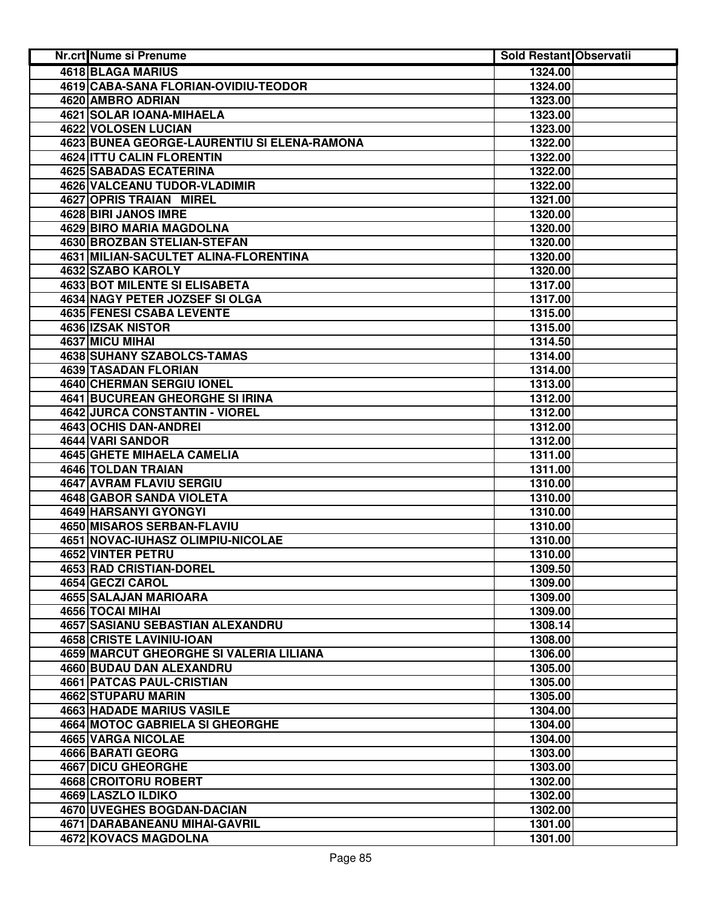| Nr.crt Nume si Prenume                      | <b>Sold Restant Observatii</b> |  |
|---------------------------------------------|--------------------------------|--|
| <b>4618 BLAGA MARIUS</b>                    | 1324.00                        |  |
| 4619 CABA-SANA FLORIAN-OVIDIU-TEODOR        | 1324.00                        |  |
| 4620 AMBRO ADRIAN                           | 1323.00                        |  |
| 4621 SOLAR IOANA-MIHAELA                    | 1323.00                        |  |
| 4622 VOLOSEN LUCIAN                         | 1323.00                        |  |
| 4623 BUNEA GEORGE-LAURENTIU SI ELENA-RAMONA | 1322.00                        |  |
| 4624 ITTU CALIN FLORENTIN                   | 1322.00                        |  |
| 4625 SABADAS ECATERINA                      | 1322.00                        |  |
| 4626 VALCEANU TUDOR-VLADIMIR                | 1322.00                        |  |
| 4627 OPRIS TRAIAN MIREL                     | 1321.00                        |  |
| 4628 BIRI JANOS IMRE                        | 1320.00                        |  |
| 4629 BIRO MARIA MAGDOLNA                    | 1320.00                        |  |
| 4630 BROZBAN STELIAN-STEFAN                 | 1320.00                        |  |
| 4631 MILIAN-SACULTET ALINA-FLORENTINA       | 1320.00                        |  |
| 4632 SZABO KAROLY                           | 1320.00                        |  |
| 4633 BOT MILENTE SI ELISABETA               | 1317.00                        |  |
| 4634 NAGY PETER JOZSEF SI OLGA              | 1317.00                        |  |
| <b>4635 FENESI CSABA LEVENTE</b>            | 1315.00                        |  |
| 4636 IZSAK NISTOR                           | 1315.00                        |  |
| <b>4637 MICU MIHAI</b>                      | 1314.50                        |  |
| 4638 SUHANY SZABOLCS-TAMAS                  | 1314.00                        |  |
| <b>4639 TASADAN FLORIAN</b>                 | 1314.00                        |  |
| <b>4640 CHERMAN SERGIU IONEL</b>            | 1313.00                        |  |
| <b>4641 BUCUREAN GHEORGHE SI IRINA</b>      | 1312.00                        |  |
| 4642 JURCA CONSTANTIN - VIOREL              | 1312.00                        |  |
| 4643 OCHIS DAN-ANDREI                       | 1312.00                        |  |
| 4644 VARI SANDOR                            | 1312.00                        |  |
| <b>4645 GHETE MIHAELA CAMELIA</b>           | 1311.00                        |  |
| 4646 TOLDAN TRAIAN                          | 1311.00                        |  |
| 4647 AVRAM FLAVIU SERGIU                    | 1310.00                        |  |
| 4648 GABOR SANDA VIOLETA                    | 1310.00                        |  |
| 4649 HARSANYI GYONGYI                       | 1310.00                        |  |
| <b>4650 MISAROS SERBAN-FLAVIU</b>           | 1310.00                        |  |
| 4651 NOVAC-IUHASZ OLIMPIU-NICOLAE           | 1310.00                        |  |
| 4652 VINTER PETRU                           | 1310.00                        |  |
| 4653 RAD CRISTIAN-DOREL                     | 1309.50                        |  |
| 4654 GECZI CAROL                            | 1309.00                        |  |
| 4655 SALAJAN MARIOARA                       | 1309.00                        |  |
| 4656 TOCAI MIHAI                            | 1309.00                        |  |
| 4657 SASIANU SEBASTIAN ALEXANDRU            | 1308.14                        |  |
| 4658 CRISTE LAVINIU-IOAN                    | 1308.00                        |  |
| 4659 MARCUT GHEORGHE SI VALERIA LILIANA     | 1306.00                        |  |
| 4660 BUDAU DAN ALEXANDRU                    | 1305.00                        |  |
| 4661 PATCAS PAUL-CRISTIAN                   | 1305.00                        |  |
| 4662 STUPARU MARIN                          | 1305.00                        |  |
| <b>4663 HADADE MARIUS VASILE</b>            | 1304.00                        |  |
| 4664 MOTOC GABRIELA SI GHEORGHE             | 1304.00                        |  |
| 4665 VARGA NICOLAE                          | 1304.00                        |  |
| 4666 BARATI GEORG                           | 1303.00                        |  |
| <b>4667 DICU GHEORGHE</b>                   | 1303.00                        |  |
| 4668 CROITORU ROBERT                        | 1302.00                        |  |
| 4669 LASZLO ILDIKO                          | 1302.00                        |  |
| 4670 UVEGHES BOGDAN-DACIAN                  | 1302.00                        |  |
| 4671 DARABANEANU MIHAI-GAVRIL               | 1301.00                        |  |
| 4672 KOVACS MAGDOLNA                        | 1301.00                        |  |
|                                             |                                |  |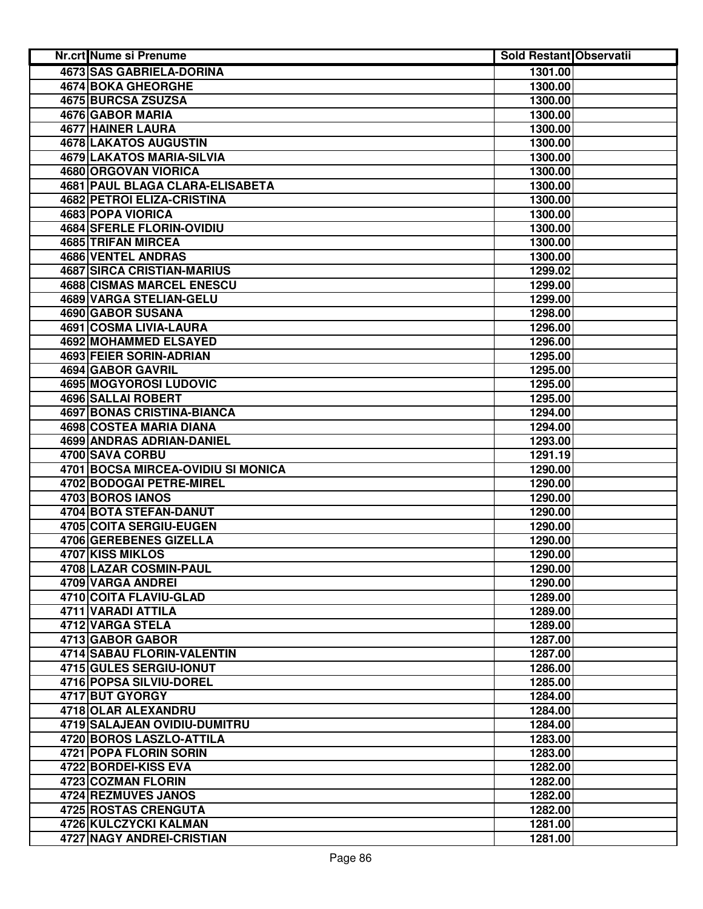| <b>Nr.crt Nume si Prenume</b>      | <b>Sold Restant Observatii</b> |  |
|------------------------------------|--------------------------------|--|
| <b>4673 SAS GABRIELA-DORINA</b>    | 1301.00                        |  |
| <b>4674 BOKA GHEORGHE</b>          | 1300.00                        |  |
| 4675 BURCSA ZSUZSA                 | 1300.00                        |  |
| 4676 GABOR MARIA                   | 1300.00                        |  |
| 4677 HAINER LAURA                  | 1300.00                        |  |
| 4678 LAKATOS AUGUSTIN              | 1300.00                        |  |
| 4679 LAKATOS MARIA-SILVIA          | 1300.00                        |  |
| 4680 ORGOVAN VIORICA               | 1300.00                        |  |
| 4681 PAUL BLAGA CLARA-ELISABETA    | 1300.00                        |  |
| 4682 PETROI ELIZA-CRISTINA         | 1300.00                        |  |
| 4683 POPA VIORICA                  | 1300.00                        |  |
| 4684 SFERLE FLORIN-OVIDIU          | 1300.00                        |  |
| 4685 TRIFAN MIRCEA                 | 1300.00                        |  |
| 4686 VENTEL ANDRAS                 | 1300.00                        |  |
| <b>4687 SIRCA CRISTIAN-MARIUS</b>  | 1299.02                        |  |
| <b>4688 CISMAS MARCEL ENESCU</b>   | 1299.00                        |  |
| 4689 VARGA STELIAN-GELU            | 1299.00                        |  |
| 4690 GABOR SUSANA                  | 1298.00                        |  |
| 4691 COSMA LIVIA-LAURA             | 1296.00                        |  |
| 4692 MOHAMMED ELSAYED              | 1296.00                        |  |
| 4693 FEIER SORIN-ADRIAN            | 1295.00                        |  |
| 4694 GABOR GAVRIL                  | 1295.00                        |  |
| 4695 MOGYOROSI LUDOVIC             | 1295.00                        |  |
| <b>4696 SALLAI ROBERT</b>          | 1295.00                        |  |
| <b>4697 BONAS CRISTINA-BIANCA</b>  | 1294.00                        |  |
| 4698 COSTEA MARIA DIANA            | 1294.00                        |  |
| 4699 ANDRAS ADRIAN-DANIEL          | 1293.00                        |  |
| 4700 SAVA CORBU                    | 1291.19                        |  |
| 4701 BOCSA MIRCEA-OVIDIU SI MONICA | 1290.00                        |  |
| 4702 BODOGAI PETRE-MIREL           | 1290.00                        |  |
| 4703 BOROS IANOS                   | 1290.00                        |  |
| 4704 BOTA STEFAN-DANUT             | 1290.00                        |  |
| 4705 COITA SERGIU-EUGEN            | 1290.00                        |  |
| 4706 GEREBENES GIZELLA             | 1290.00                        |  |
| <b>4707 KISS MIKLOS</b>            | 1290.00                        |  |
| 4708 LAZAR COSMIN-PAUL             | 1290.00                        |  |
| 4709 VARGA ANDREI                  | 1290.00                        |  |
| 4710 COITA FLAVIU-GLAD             | 1289.00                        |  |
| 4711 VARADI ATTILA                 | 1289.00                        |  |
| 4712 VARGA STELA                   | 1289.00                        |  |
| 4713 GABOR GABOR                   | 1287.00                        |  |
| 4714 SABAU FLORIN-VALENTIN         | 1287.00                        |  |
| 4715 GULES SERGIU-IONUT            | 1286.00                        |  |
| 4716 POPSA SILVIU-DOREL            | 1285.00                        |  |
| 4717 BUT GYORGY                    | 1284.00                        |  |
| 4718 OLAR ALEXANDRU                | 1284.00                        |  |
| 4719 SALAJEAN OVIDIU-DUMITRU       | 1284.00                        |  |
| 4720 BOROS LASZLO-ATTILA           | 1283.00                        |  |
| 4721 POPA FLORIN SORIN             | 1283.00                        |  |
| 4722 BORDEI-KISS EVA               | 1282.00                        |  |
| 4723 COZMAN FLORIN                 | 1282.00                        |  |
| 4724 REZMUVES JANOS                | 1282.00                        |  |
| 4725 ROSTAS CRENGUTA               | 1282.00                        |  |
| 4726 KULCZYCKI KALMAN              | 1281.00                        |  |
| 4727 NAGY ANDREI-CRISTIAN          | 1281.00                        |  |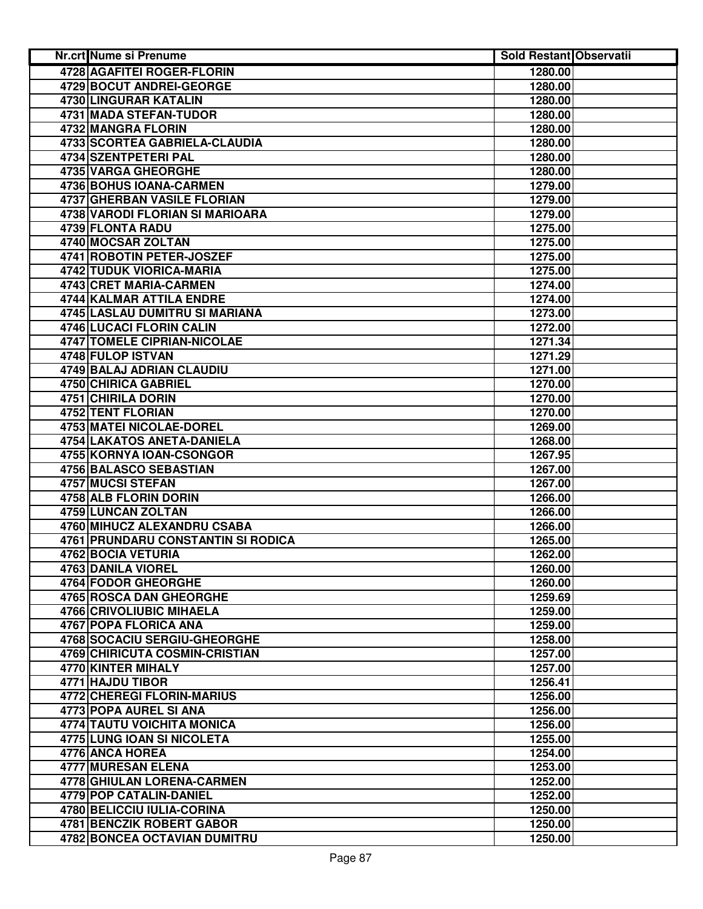| Nr.crt Nume si Prenume             | Sold Restant Observatii |  |
|------------------------------------|-------------------------|--|
| <b>4728 AGAFITEI ROGER-FLORIN</b>  | 1280.00                 |  |
| 4729 BOCUT ANDREI-GEORGE           | 1280.00                 |  |
| 4730 LINGURAR KATALIN              | 1280.00                 |  |
| 4731 MADA STEFAN-TUDOR             | 1280.00                 |  |
| 4732 MANGRA FLORIN                 | 1280.00                 |  |
| 4733 SCORTEA GABRIELA-CLAUDIA      | 1280.00                 |  |
| 4734 SZENTPETERI PAL               | 1280.00                 |  |
| <b>4735 VARGA GHEORGHE</b>         | 1280.00                 |  |
| 4736 BOHUS IOANA-CARMEN            | 1279.00                 |  |
| 4737 GHERBAN VASILE FLORIAN        | 1279.00                 |  |
| 4738 VARODI FLORIAN SI MARIOARA    | 1279.00                 |  |
| 4739 FLONTA RADU                   | 1275.00                 |  |
| 4740 MOCSAR ZOLTAN                 | 1275.00                 |  |
| 4741 ROBOTIN PETER-JOSZEF          | 1275.00                 |  |
| 4742 TUDUK VIORICA-MARIA           | 1275.00                 |  |
| 4743 CRET MARIA-CARMEN             | 1274.00                 |  |
| 4744 KALMAR ATTILA ENDRE           | 1274.00                 |  |
| 4745 LASLAU DUMITRU SI MARIANA     | 1273.00                 |  |
| 4746 LUCACI FLORIN CALIN           | 1272.00                 |  |
| <b>4747 TOMELE CIPRIAN-NICOLAE</b> | 1271.34                 |  |
| 4748 FULOP ISTVAN                  | 1271.29                 |  |
| <b>4749 BALAJ ADRIAN CLAUDIU</b>   | 1271.00                 |  |
| <b>4750 CHIRICA GABRIEL</b>        | 1270.00                 |  |
| <b>4751 CHIRILA DORIN</b>          | 1270.00                 |  |
| <b>4752 TENT FLORIAN</b>           | 1270.00                 |  |
| 4753 MATEI NICOLAE-DOREL           | 1269.00                 |  |
| 4754 LAKATOS ANETA-DANIELA         | 1268.00                 |  |
| 4755 KORNYA IOAN-CSONGOR           | 1267.95                 |  |
| 4756 BALASCO SEBASTIAN             | 1267.00                 |  |
| 4757 MUCSI STEFAN                  | 1267.00                 |  |
| 4758 ALB FLORIN DORIN              | 1266.00                 |  |
| 4759 LUNCAN ZOLTAN                 | 1266.00                 |  |
| 4760 MIHUCZ ALEXANDRU CSABA        | 1266.00                 |  |
| 4761 PRUNDARU CONSTANTIN SI RODICA | 1265.00                 |  |
| 4762 BOCIA VETURIA                 | 1262.00                 |  |
| 4763 DANILA VIOREL                 | 1260.00                 |  |
| 4764 FODOR GHEORGHE                | 1260.00                 |  |
| <b>4765 ROSCA DAN GHEORGHE</b>     | 1259.69                 |  |
| 4766 CRIVOLIUBIC MIHAELA           | 1259.00                 |  |
| 4767 POPA FLORICA ANA              | 1259.00                 |  |
| 4768 SOCACIU SERGIU-GHEORGHE       | 1258.00                 |  |
| 4769 CHIRICUTA COSMIN-CRISTIAN     | 1257.00                 |  |
| 4770 KINTER MIHALY                 | 1257.00                 |  |
| 4771 HAJDU TIBOR                   | 1256.41                 |  |
| 4772 CHEREGI FLORIN-MARIUS         | 1256.00                 |  |
| 4773 POPA AUREL SI ANA             | 1256.00                 |  |
| <b>4774 TAUTU VOICHITA MONICA</b>  | 1256.00                 |  |
| 4775 LUNG IOAN SI NICOLETA         | 1255.00                 |  |
| 4776 ANCA HOREA                    | 1254.00                 |  |
| <b>4777 MURESAN ELENA</b>          | 1253.00                 |  |
| 4778 GHIULAN LORENA-CARMEN         | 1252.00                 |  |
| 4779 POP CATALIN-DANIEL            | 1252.00                 |  |
| 4780 BELICCIU IULIA-CORINA         | 1250.00                 |  |
| 4781 BENCZIK ROBERT GABOR          | 1250.00                 |  |
| 4782 BONCEA OCTAVIAN DUMITRU       | 1250.00                 |  |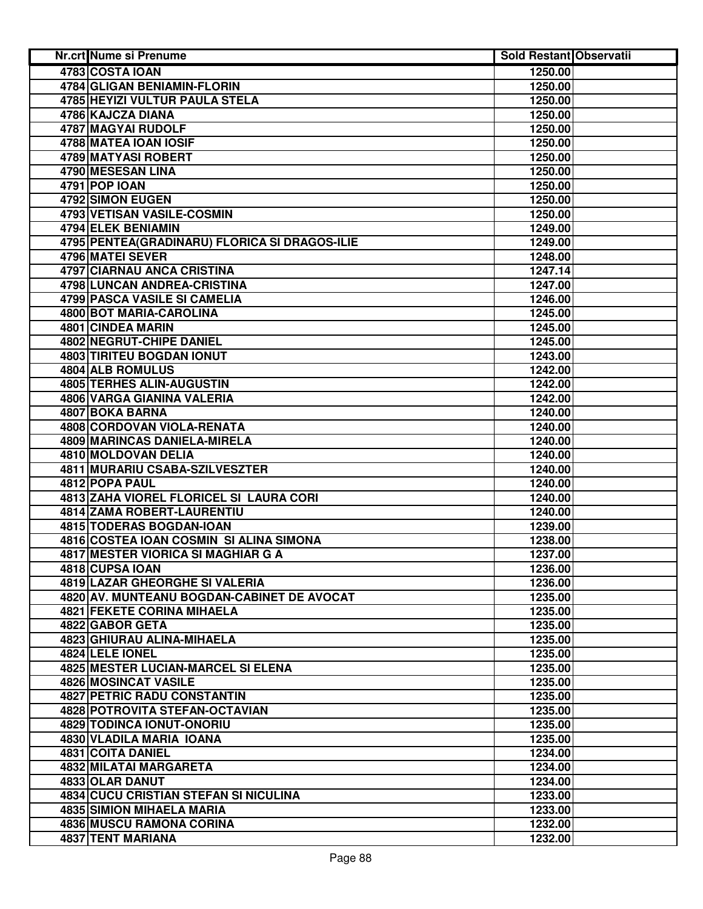| Nr.crt Nume si Prenume                         | <b>Sold Restant Observatii</b> |  |
|------------------------------------------------|--------------------------------|--|
| 4783 COSTA IOAN                                | 1250.00                        |  |
| 4784 GLIGAN BENIAMIN-FLORIN                    | 1250.00                        |  |
| 4785 HEYIZI VULTUR PAULA STELA                 | 1250.00                        |  |
| 4786 KAJCZA DIANA                              | 1250.00                        |  |
| 4787 MAGYAI RUDOLF                             | 1250.00                        |  |
| 4788 MATEA IOAN IOSIF                          | 1250.00                        |  |
| 4789 MATYASI ROBERT                            | 1250.00                        |  |
| 4790 MESESAN LINA                              | 1250.00                        |  |
| 4791 POP IOAN                                  | 1250.00                        |  |
| 4792 SIMON EUGEN                               | 1250.00                        |  |
| 4793 VETISAN VASILE-COSMIN                     | 1250.00                        |  |
| 4794 ELEK BENIAMIN                             | 1249.00                        |  |
| 4795 PENTEA (GRADINARU) FLORICA SI DRAGOS-ILIE | 1249.00                        |  |
| 4796 MATEI SEVER                               | 1248.00                        |  |
| 4797 CIARNAU ANCA CRISTINA                     | 1247.14                        |  |
| 4798 LUNCAN ANDREA-CRISTINA                    | 1247.00                        |  |
| 4799 PASCA VASILE SI CAMELIA                   | 1246.00                        |  |
| 4800 BOT MARIA-CAROLINA                        | 1245.00                        |  |
| 4801 CINDEA MARIN                              | 1245.00                        |  |
| 4802 NEGRUT-CHIPE DANIEL                       | 1245.00                        |  |
| <b>4803 TIRITEU BOGDAN IONUT</b>               | 1243.00                        |  |
| <b>4804 ALB ROMULUS</b>                        | 1242.00                        |  |
| <b>4805 TERHES ALIN-AUGUSTIN</b>               | 1242.00                        |  |
| <b>4806 VARGA GIANINA VALERIA</b>              | 1242.00                        |  |
| <b>4807 BOKA BARNA</b>                         | 1240.00                        |  |
| 4808 CORDOVAN VIOLA-RENATA                     | 1240.00                        |  |
| 4809 MARINCAS DANIELA-MIRELA                   | 1240.00                        |  |
| 4810 MOLDOVAN DELIA                            | 1240.00                        |  |
| 4811 MURARIU CSABA-SZILVESZTER                 | 1240.00                        |  |
| 4812 POPA PAUL                                 | 1240.00                        |  |
| 4813 ZAHA VIOREL FLORICEL SI LAURA CORI        | 1240.00                        |  |
| <b>4814 ZAMA ROBERT-LAURENTIU</b>              | 1240.00                        |  |
| 4815 TODERAS BOGDAN-IOAN                       | 1239.00                        |  |
| 4816 COSTEA IOAN COSMIN SI ALINA SIMONA        | 1238.00                        |  |
| 4817 MESTER VIORICA SI MAGHIAR G A             | 1237.00                        |  |
| 4818 CUPSA IOAN                                | 1236.00                        |  |
| 4819 LAZAR GHEORGHE SI VALERIA                 | 1236.00                        |  |
| 4820 AV. MUNTEANU BOGDAN-CABINET DE AVOCAT     | 1235.00                        |  |
| 4821 FEKETE CORINA MIHAELA                     | 1235.00                        |  |
| 4822 GABOR GETA                                | 1235.00                        |  |
| 4823 GHIURAU ALINA-MIHAELA                     | 1235.00                        |  |
| 4824 LELE IONEL                                | 1235.00                        |  |
| 4825 MESTER LUCIAN-MARCEL SI ELENA             | 1235.00                        |  |
| 4826 MOSINCAT VASILE                           | 1235.00                        |  |
| <b>4827 PETRIC RADU CONSTANTIN</b>             | 1235.00                        |  |
| 4828 POTROVITA STEFAN-OCTAVIAN                 | 1235.00                        |  |
| 4829 TODINCA IONUT-ONORIU                      | 1235.00                        |  |
| 4830 VLADILA MARIA IOANA                       | 1235.00                        |  |
| 4831 COITA DANIEL                              | 1234.00                        |  |
| 4832 MILATAI MARGARETA                         | 1234.00                        |  |
| 4833 OLAR DANUT                                | 1234.00                        |  |
| 4834 CUCU CRISTIAN STEFAN SI NICULINA          | 1233.00                        |  |
| <b>4835 SIMION MIHAELA MARIA</b>               | 1233.00                        |  |
| 4836 MUSCU RAMONA CORINA                       | 1232.00                        |  |
| 4837 TENT MARIANA                              | 1232.00                        |  |
|                                                |                                |  |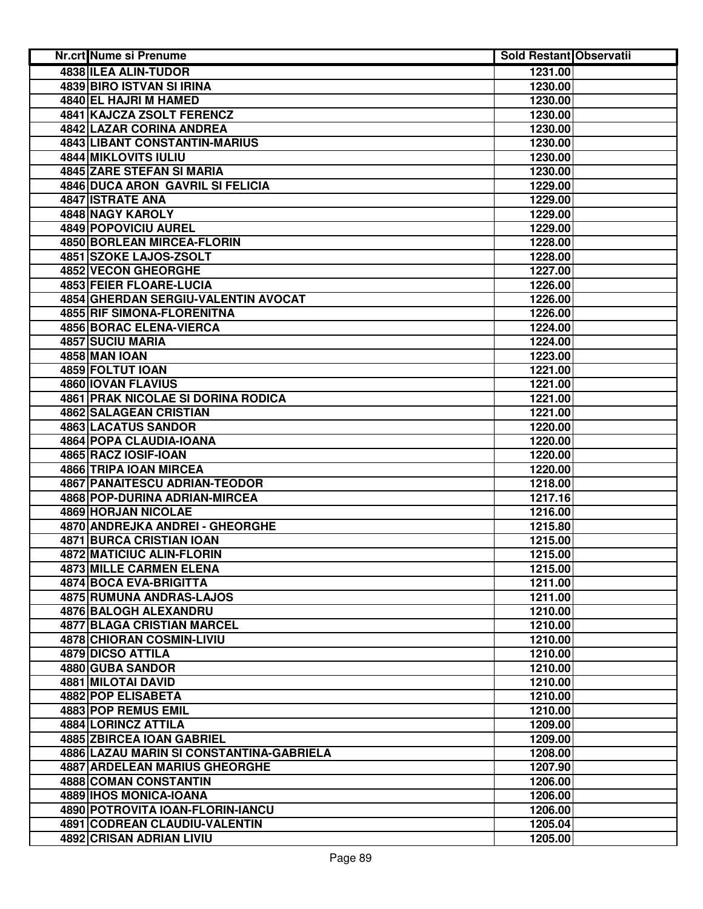|                      | <b>Nr.crt Nume si Prenume</b>             | Sold Restant Observatii |  |
|----------------------|-------------------------------------------|-------------------------|--|
|                      | 4838 ILEA ALIN-TUDOR                      | 1231.00                 |  |
|                      | 4839 BIRO ISTVAN SI IRINA                 | 1230.00                 |  |
|                      | 4840 EL HAJRI M HAMED                     | 1230.00                 |  |
|                      | 4841 KAJCZA ZSOLT FERENCZ                 | 1230.00                 |  |
|                      | 4842 LAZAR CORINA ANDREA                  | 1230.00                 |  |
|                      | 4843 LIBANT CONSTANTIN-MARIUS             | 1230.00                 |  |
|                      | 4844 MIKLOVITS IULIU                      | 1230.00                 |  |
|                      | 4845 ZARE STEFAN SI MARIA                 | 1230.00                 |  |
|                      | <b>4846 DUCA ARON GAVRIL SI FELICIA</b>   | 1229.00                 |  |
| 4847 ISTRATE ANA     |                                           | 1229.00                 |  |
|                      | 4848 NAGY KAROLY                          | 1229.00                 |  |
|                      | 4849 POPOVICIU AUREL                      | 1229.00                 |  |
|                      | 4850 BORLEAN MIRCEA-FLORIN                | 1228.00                 |  |
|                      | 4851 SZOKE LAJOS-ZSOLT                    | 1228.00                 |  |
|                      | 4852 VECON GHEORGHE                       | 1227.00                 |  |
|                      | 4853 FEIER FLOARE-LUCIA                   | 1226.00                 |  |
|                      | 4854 GHERDAN SERGIU-VALENTIN AVOCAT       | 1226.00                 |  |
|                      | 4855 RIF SIMONA-FLORENITNA                | 1226.00                 |  |
|                      | <b>4856 BORAC ELENA-VIERCA</b>            | 1224.00                 |  |
| 4857 SUCIU MARIA     |                                           | 1224.00                 |  |
| <b>4858 MAN IOAN</b> |                                           | 1223.00                 |  |
| 4859 FOLTUT IOAN     |                                           | 1221.00                 |  |
|                      | 4860 IOVAN FLAVIUS                        | 1221.00                 |  |
|                      | <b>4861 PRAK NICOLAE SI DORINA RODICA</b> | 1221.00                 |  |
|                      | 4862 SALAGEAN CRISTIAN                    | 1221.00                 |  |
|                      | <b>4863 LACATUS SANDOR</b>                | 1220.00                 |  |
|                      | 4864 POPA CLAUDIA-IOANA                   | 1220.00                 |  |
|                      | 4865 RACZ IOSIF-IOAN                      | 1220.00                 |  |
|                      | 4866 TRIPA IOAN MIRCEA                    | 1220.00                 |  |
|                      | 4867 PANAITESCU ADRIAN-TEODOR             | 1218.00                 |  |
|                      | 4868 POP-DURINA ADRIAN-MIRCEA             | 1217.16                 |  |
|                      | 4869 HORJAN NICOLAE                       | 1216.00                 |  |
|                      | 4870 ANDREJKA ANDREI - GHEORGHE           | 1215.80                 |  |
|                      | 4871 BURCA CRISTIAN IOAN                  | 1215.00                 |  |
|                      | 4872 MATICIUC ALIN-FLORIN                 | 1215.00                 |  |
|                      | 4873 MILLE CARMEN ELENA                   | 1215.00                 |  |
|                      | 4874 BOCA EVA-BRIGITTA                    | 1211.00                 |  |
|                      | 4875 RUMUNA ANDRAS-LAJOS                  | 1211.00                 |  |
|                      | 4876 BALOGH ALEXANDRU                     | 1210.00                 |  |
|                      | <b>4877 BLAGA CRISTIAN MARCEL</b>         | 1210.00                 |  |
|                      | 4878 CHIORAN COSMIN-LIVIU                 | 1210.00                 |  |
|                      | <b>4879 DICSO ATTILA</b>                  | 1210.00                 |  |
|                      | 4880 GUBA SANDOR                          | 1210.00                 |  |
|                      | 4881 MILOTAI DAVID                        | 1210.00                 |  |
|                      | 4882 POP ELISABETA                        | 1210.00                 |  |
|                      | 4883 POP REMUS EMIL                       | 1210.00                 |  |
|                      | 4884 LORINCZ ATTILA                       | 1209.00                 |  |
|                      | 4885 ZBIRCEA IOAN GABRIEL                 | 1209.00                 |  |
|                      | 4886 LAZAU MARIN SI CONSTANTINA-GABRIELA  | 1208.00                 |  |
|                      | <b>4887 ARDELEAN MARIUS GHEORGHE</b>      | 1207.90                 |  |
|                      | 4888 COMAN CONSTANTIN                     | 1206.00                 |  |
|                      | 4889 IHOS MONICA-IOANA                    | 1206.00                 |  |
|                      | 4890 POTROVITA IOAN-FLORIN-IANCU          | 1206.00                 |  |
|                      | 4891 CODREAN CLAUDIU-VALENTIN             | 1205.04                 |  |
|                      | 4892 CRISAN ADRIAN LIVIU                  | 1205.00                 |  |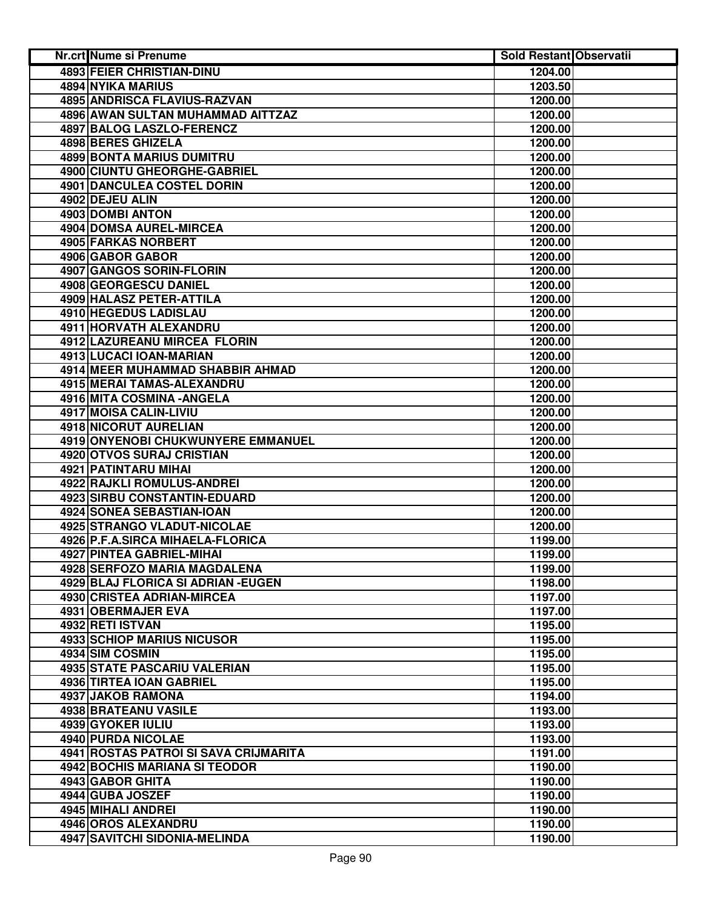| <b>4893 FEIER CHRISTIAN-DINU</b><br>1204.00<br>4894 NYIKA MARIUS<br>1203.50<br>4895 ANDRISCA FLAVIUS-RAZVAN<br>1200.00<br>4896 AWAN SULTAN MUHAMMAD AITTZAZ<br>1200.00<br>4897 BALOG LASZLO-FERENCZ<br>1200.00<br>4898 BERES GHIZELA<br>1200.00<br><b>4899 BONTA MARIUS DUMITRU</b><br>1200.00<br>4900 CIUNTU GHEORGHE-GABRIEL<br>1200.00<br>4901 DANCULEA COSTEL DORIN<br>1200.00<br>4902 DEJEU ALIN<br>1200.00<br>4903 DOMBI ANTON<br>1200.00<br>4904 DOMSA AUREL-MIRCEA<br>1200.00<br>4905 FARKAS NORBERT<br>1200.00<br>4906 GABOR GABOR<br>1200.00<br>4907 GANGOS SORIN-FLORIN<br>1200.00<br>4908 GEORGESCU DANIEL<br>1200.00<br>4909 HALASZ PETER-ATTILA<br>1200.00<br>4910 HEGEDUS LADISLAU<br>1200.00<br>4911 HORVATH ALEXANDRU<br>1200.00<br>4912 LAZUREANU MIRCEA FLORIN<br>1200.00<br>4913 LUCACI IOAN-MARIAN<br>1200.00<br><b>4914 MEER MUHAMMAD SHABBIR AHMAD</b><br>1200.00<br>4915 MERAI TAMAS-ALEXANDRU<br>1200.00<br>4916 MITA COSMINA - ANGELA<br>1200.00<br>4917 MOISA CALIN-LIVIU<br>1200.00<br><b>4918 NICORUT AURELIAN</b><br>1200.00<br>4919 ONYENOBI CHUKWUNYERE EMMANUEL<br>1200.00<br>4920 OTVOS SURAJ CRISTIAN<br>1200.00<br>4921 PATINTARU MIHAI<br>1200.00<br>4922 RAJKLI ROMULUS-ANDREI<br>1200.00<br>4923 SIRBU CONSTANTIN-EDUARD<br>1200.00<br>4924 SONEA SEBASTIAN-IOAN<br>1200.00<br>4925 STRANGO VLADUT-NICOLAE<br>1200.00<br>4926 P.F.A.SIRCA MIHAELA-FLORICA<br>1199.00<br>4927 PINTEA GABRIEL-MIHAI<br>1199.00<br>4928 SERFOZO MARIA MAGDALENA<br>1199.00<br>4929 BLAJ FLORICA SI ADRIAN - EUGEN<br>1198.00<br>4930 CRISTEA ADRIAN-MIRCEA<br>1197.00<br>4931 OBERMAJER EVA<br>1197.00<br>4932 RETI ISTVAN<br>1195.00<br><b>4933 SCHIOP MARIUS NICUSOR</b><br>1195.00<br>4934 SIM COSMIN<br>1195.00<br>1195.00<br>4935 STATE PASCARIU VALERIAN<br>4936 TIRTEA IOAN GABRIEL<br>1195.00<br>4937 JAKOB RAMONA<br>1194.00<br>4938 BRATEANU VASILE<br>1193.00<br>4939 GYOKER IULIU<br>1193.00<br>4940 PURDA NICOLAE<br>1193.00<br>4941 ROSTAS PATROI SI SAVA CRIJMARITA<br>1191.00<br>4942 BOCHIS MARIANA SI TEODOR<br>1190.00<br>4943 GABOR GHITA<br>1190.00<br>4944 GUBA JOSZEF<br>1190.00<br>4945 MIHALI ANDREI<br>1190.00<br>4946 OROS ALEXANDRU<br>1190.00<br>4947 SAVITCHI SIDONIA-MELINDA | Nr.crt Nume si Prenume | <b>Sold Restant Observatii</b> |  |
|---------------------------------------------------------------------------------------------------------------------------------------------------------------------------------------------------------------------------------------------------------------------------------------------------------------------------------------------------------------------------------------------------------------------------------------------------------------------------------------------------------------------------------------------------------------------------------------------------------------------------------------------------------------------------------------------------------------------------------------------------------------------------------------------------------------------------------------------------------------------------------------------------------------------------------------------------------------------------------------------------------------------------------------------------------------------------------------------------------------------------------------------------------------------------------------------------------------------------------------------------------------------------------------------------------------------------------------------------------------------------------------------------------------------------------------------------------------------------------------------------------------------------------------------------------------------------------------------------------------------------------------------------------------------------------------------------------------------------------------------------------------------------------------------------------------------------------------------------------------------------------------------------------------------------------------------------------------------------------------------------------------------------------------------------------------------------------------------------------------------------------------------------------------------------------------------------------------------------------|------------------------|--------------------------------|--|
|                                                                                                                                                                                                                                                                                                                                                                                                                                                                                                                                                                                                                                                                                                                                                                                                                                                                                                                                                                                                                                                                                                                                                                                                                                                                                                                                                                                                                                                                                                                                                                                                                                                                                                                                                                                                                                                                                                                                                                                                                                                                                                                                                                                                                                 |                        |                                |  |
|                                                                                                                                                                                                                                                                                                                                                                                                                                                                                                                                                                                                                                                                                                                                                                                                                                                                                                                                                                                                                                                                                                                                                                                                                                                                                                                                                                                                                                                                                                                                                                                                                                                                                                                                                                                                                                                                                                                                                                                                                                                                                                                                                                                                                                 |                        |                                |  |
|                                                                                                                                                                                                                                                                                                                                                                                                                                                                                                                                                                                                                                                                                                                                                                                                                                                                                                                                                                                                                                                                                                                                                                                                                                                                                                                                                                                                                                                                                                                                                                                                                                                                                                                                                                                                                                                                                                                                                                                                                                                                                                                                                                                                                                 |                        |                                |  |
|                                                                                                                                                                                                                                                                                                                                                                                                                                                                                                                                                                                                                                                                                                                                                                                                                                                                                                                                                                                                                                                                                                                                                                                                                                                                                                                                                                                                                                                                                                                                                                                                                                                                                                                                                                                                                                                                                                                                                                                                                                                                                                                                                                                                                                 |                        |                                |  |
|                                                                                                                                                                                                                                                                                                                                                                                                                                                                                                                                                                                                                                                                                                                                                                                                                                                                                                                                                                                                                                                                                                                                                                                                                                                                                                                                                                                                                                                                                                                                                                                                                                                                                                                                                                                                                                                                                                                                                                                                                                                                                                                                                                                                                                 |                        |                                |  |
|                                                                                                                                                                                                                                                                                                                                                                                                                                                                                                                                                                                                                                                                                                                                                                                                                                                                                                                                                                                                                                                                                                                                                                                                                                                                                                                                                                                                                                                                                                                                                                                                                                                                                                                                                                                                                                                                                                                                                                                                                                                                                                                                                                                                                                 |                        |                                |  |
|                                                                                                                                                                                                                                                                                                                                                                                                                                                                                                                                                                                                                                                                                                                                                                                                                                                                                                                                                                                                                                                                                                                                                                                                                                                                                                                                                                                                                                                                                                                                                                                                                                                                                                                                                                                                                                                                                                                                                                                                                                                                                                                                                                                                                                 |                        |                                |  |
|                                                                                                                                                                                                                                                                                                                                                                                                                                                                                                                                                                                                                                                                                                                                                                                                                                                                                                                                                                                                                                                                                                                                                                                                                                                                                                                                                                                                                                                                                                                                                                                                                                                                                                                                                                                                                                                                                                                                                                                                                                                                                                                                                                                                                                 |                        |                                |  |
|                                                                                                                                                                                                                                                                                                                                                                                                                                                                                                                                                                                                                                                                                                                                                                                                                                                                                                                                                                                                                                                                                                                                                                                                                                                                                                                                                                                                                                                                                                                                                                                                                                                                                                                                                                                                                                                                                                                                                                                                                                                                                                                                                                                                                                 |                        |                                |  |
|                                                                                                                                                                                                                                                                                                                                                                                                                                                                                                                                                                                                                                                                                                                                                                                                                                                                                                                                                                                                                                                                                                                                                                                                                                                                                                                                                                                                                                                                                                                                                                                                                                                                                                                                                                                                                                                                                                                                                                                                                                                                                                                                                                                                                                 |                        |                                |  |
|                                                                                                                                                                                                                                                                                                                                                                                                                                                                                                                                                                                                                                                                                                                                                                                                                                                                                                                                                                                                                                                                                                                                                                                                                                                                                                                                                                                                                                                                                                                                                                                                                                                                                                                                                                                                                                                                                                                                                                                                                                                                                                                                                                                                                                 |                        |                                |  |
|                                                                                                                                                                                                                                                                                                                                                                                                                                                                                                                                                                                                                                                                                                                                                                                                                                                                                                                                                                                                                                                                                                                                                                                                                                                                                                                                                                                                                                                                                                                                                                                                                                                                                                                                                                                                                                                                                                                                                                                                                                                                                                                                                                                                                                 |                        |                                |  |
|                                                                                                                                                                                                                                                                                                                                                                                                                                                                                                                                                                                                                                                                                                                                                                                                                                                                                                                                                                                                                                                                                                                                                                                                                                                                                                                                                                                                                                                                                                                                                                                                                                                                                                                                                                                                                                                                                                                                                                                                                                                                                                                                                                                                                                 |                        |                                |  |
|                                                                                                                                                                                                                                                                                                                                                                                                                                                                                                                                                                                                                                                                                                                                                                                                                                                                                                                                                                                                                                                                                                                                                                                                                                                                                                                                                                                                                                                                                                                                                                                                                                                                                                                                                                                                                                                                                                                                                                                                                                                                                                                                                                                                                                 |                        |                                |  |
|                                                                                                                                                                                                                                                                                                                                                                                                                                                                                                                                                                                                                                                                                                                                                                                                                                                                                                                                                                                                                                                                                                                                                                                                                                                                                                                                                                                                                                                                                                                                                                                                                                                                                                                                                                                                                                                                                                                                                                                                                                                                                                                                                                                                                                 |                        |                                |  |
|                                                                                                                                                                                                                                                                                                                                                                                                                                                                                                                                                                                                                                                                                                                                                                                                                                                                                                                                                                                                                                                                                                                                                                                                                                                                                                                                                                                                                                                                                                                                                                                                                                                                                                                                                                                                                                                                                                                                                                                                                                                                                                                                                                                                                                 |                        |                                |  |
|                                                                                                                                                                                                                                                                                                                                                                                                                                                                                                                                                                                                                                                                                                                                                                                                                                                                                                                                                                                                                                                                                                                                                                                                                                                                                                                                                                                                                                                                                                                                                                                                                                                                                                                                                                                                                                                                                                                                                                                                                                                                                                                                                                                                                                 |                        |                                |  |
|                                                                                                                                                                                                                                                                                                                                                                                                                                                                                                                                                                                                                                                                                                                                                                                                                                                                                                                                                                                                                                                                                                                                                                                                                                                                                                                                                                                                                                                                                                                                                                                                                                                                                                                                                                                                                                                                                                                                                                                                                                                                                                                                                                                                                                 |                        |                                |  |
|                                                                                                                                                                                                                                                                                                                                                                                                                                                                                                                                                                                                                                                                                                                                                                                                                                                                                                                                                                                                                                                                                                                                                                                                                                                                                                                                                                                                                                                                                                                                                                                                                                                                                                                                                                                                                                                                                                                                                                                                                                                                                                                                                                                                                                 |                        |                                |  |
|                                                                                                                                                                                                                                                                                                                                                                                                                                                                                                                                                                                                                                                                                                                                                                                                                                                                                                                                                                                                                                                                                                                                                                                                                                                                                                                                                                                                                                                                                                                                                                                                                                                                                                                                                                                                                                                                                                                                                                                                                                                                                                                                                                                                                                 |                        |                                |  |
|                                                                                                                                                                                                                                                                                                                                                                                                                                                                                                                                                                                                                                                                                                                                                                                                                                                                                                                                                                                                                                                                                                                                                                                                                                                                                                                                                                                                                                                                                                                                                                                                                                                                                                                                                                                                                                                                                                                                                                                                                                                                                                                                                                                                                                 |                        |                                |  |
|                                                                                                                                                                                                                                                                                                                                                                                                                                                                                                                                                                                                                                                                                                                                                                                                                                                                                                                                                                                                                                                                                                                                                                                                                                                                                                                                                                                                                                                                                                                                                                                                                                                                                                                                                                                                                                                                                                                                                                                                                                                                                                                                                                                                                                 |                        |                                |  |
|                                                                                                                                                                                                                                                                                                                                                                                                                                                                                                                                                                                                                                                                                                                                                                                                                                                                                                                                                                                                                                                                                                                                                                                                                                                                                                                                                                                                                                                                                                                                                                                                                                                                                                                                                                                                                                                                                                                                                                                                                                                                                                                                                                                                                                 |                        |                                |  |
|                                                                                                                                                                                                                                                                                                                                                                                                                                                                                                                                                                                                                                                                                                                                                                                                                                                                                                                                                                                                                                                                                                                                                                                                                                                                                                                                                                                                                                                                                                                                                                                                                                                                                                                                                                                                                                                                                                                                                                                                                                                                                                                                                                                                                                 |                        |                                |  |
|                                                                                                                                                                                                                                                                                                                                                                                                                                                                                                                                                                                                                                                                                                                                                                                                                                                                                                                                                                                                                                                                                                                                                                                                                                                                                                                                                                                                                                                                                                                                                                                                                                                                                                                                                                                                                                                                                                                                                                                                                                                                                                                                                                                                                                 |                        |                                |  |
|                                                                                                                                                                                                                                                                                                                                                                                                                                                                                                                                                                                                                                                                                                                                                                                                                                                                                                                                                                                                                                                                                                                                                                                                                                                                                                                                                                                                                                                                                                                                                                                                                                                                                                                                                                                                                                                                                                                                                                                                                                                                                                                                                                                                                                 |                        |                                |  |
|                                                                                                                                                                                                                                                                                                                                                                                                                                                                                                                                                                                                                                                                                                                                                                                                                                                                                                                                                                                                                                                                                                                                                                                                                                                                                                                                                                                                                                                                                                                                                                                                                                                                                                                                                                                                                                                                                                                                                                                                                                                                                                                                                                                                                                 |                        |                                |  |
|                                                                                                                                                                                                                                                                                                                                                                                                                                                                                                                                                                                                                                                                                                                                                                                                                                                                                                                                                                                                                                                                                                                                                                                                                                                                                                                                                                                                                                                                                                                                                                                                                                                                                                                                                                                                                                                                                                                                                                                                                                                                                                                                                                                                                                 |                        |                                |  |
|                                                                                                                                                                                                                                                                                                                                                                                                                                                                                                                                                                                                                                                                                                                                                                                                                                                                                                                                                                                                                                                                                                                                                                                                                                                                                                                                                                                                                                                                                                                                                                                                                                                                                                                                                                                                                                                                                                                                                                                                                                                                                                                                                                                                                                 |                        |                                |  |
|                                                                                                                                                                                                                                                                                                                                                                                                                                                                                                                                                                                                                                                                                                                                                                                                                                                                                                                                                                                                                                                                                                                                                                                                                                                                                                                                                                                                                                                                                                                                                                                                                                                                                                                                                                                                                                                                                                                                                                                                                                                                                                                                                                                                                                 |                        |                                |  |
|                                                                                                                                                                                                                                                                                                                                                                                                                                                                                                                                                                                                                                                                                                                                                                                                                                                                                                                                                                                                                                                                                                                                                                                                                                                                                                                                                                                                                                                                                                                                                                                                                                                                                                                                                                                                                                                                                                                                                                                                                                                                                                                                                                                                                                 |                        |                                |  |
|                                                                                                                                                                                                                                                                                                                                                                                                                                                                                                                                                                                                                                                                                                                                                                                                                                                                                                                                                                                                                                                                                                                                                                                                                                                                                                                                                                                                                                                                                                                                                                                                                                                                                                                                                                                                                                                                                                                                                                                                                                                                                                                                                                                                                                 |                        |                                |  |
|                                                                                                                                                                                                                                                                                                                                                                                                                                                                                                                                                                                                                                                                                                                                                                                                                                                                                                                                                                                                                                                                                                                                                                                                                                                                                                                                                                                                                                                                                                                                                                                                                                                                                                                                                                                                                                                                                                                                                                                                                                                                                                                                                                                                                                 |                        |                                |  |
|                                                                                                                                                                                                                                                                                                                                                                                                                                                                                                                                                                                                                                                                                                                                                                                                                                                                                                                                                                                                                                                                                                                                                                                                                                                                                                                                                                                                                                                                                                                                                                                                                                                                                                                                                                                                                                                                                                                                                                                                                                                                                                                                                                                                                                 |                        |                                |  |
|                                                                                                                                                                                                                                                                                                                                                                                                                                                                                                                                                                                                                                                                                                                                                                                                                                                                                                                                                                                                                                                                                                                                                                                                                                                                                                                                                                                                                                                                                                                                                                                                                                                                                                                                                                                                                                                                                                                                                                                                                                                                                                                                                                                                                                 |                        |                                |  |
|                                                                                                                                                                                                                                                                                                                                                                                                                                                                                                                                                                                                                                                                                                                                                                                                                                                                                                                                                                                                                                                                                                                                                                                                                                                                                                                                                                                                                                                                                                                                                                                                                                                                                                                                                                                                                                                                                                                                                                                                                                                                                                                                                                                                                                 |                        |                                |  |
|                                                                                                                                                                                                                                                                                                                                                                                                                                                                                                                                                                                                                                                                                                                                                                                                                                                                                                                                                                                                                                                                                                                                                                                                                                                                                                                                                                                                                                                                                                                                                                                                                                                                                                                                                                                                                                                                                                                                                                                                                                                                                                                                                                                                                                 |                        |                                |  |
|                                                                                                                                                                                                                                                                                                                                                                                                                                                                                                                                                                                                                                                                                                                                                                                                                                                                                                                                                                                                                                                                                                                                                                                                                                                                                                                                                                                                                                                                                                                                                                                                                                                                                                                                                                                                                                                                                                                                                                                                                                                                                                                                                                                                                                 |                        |                                |  |
|                                                                                                                                                                                                                                                                                                                                                                                                                                                                                                                                                                                                                                                                                                                                                                                                                                                                                                                                                                                                                                                                                                                                                                                                                                                                                                                                                                                                                                                                                                                                                                                                                                                                                                                                                                                                                                                                                                                                                                                                                                                                                                                                                                                                                                 |                        |                                |  |
|                                                                                                                                                                                                                                                                                                                                                                                                                                                                                                                                                                                                                                                                                                                                                                                                                                                                                                                                                                                                                                                                                                                                                                                                                                                                                                                                                                                                                                                                                                                                                                                                                                                                                                                                                                                                                                                                                                                                                                                                                                                                                                                                                                                                                                 |                        |                                |  |
|                                                                                                                                                                                                                                                                                                                                                                                                                                                                                                                                                                                                                                                                                                                                                                                                                                                                                                                                                                                                                                                                                                                                                                                                                                                                                                                                                                                                                                                                                                                                                                                                                                                                                                                                                                                                                                                                                                                                                                                                                                                                                                                                                                                                                                 |                        |                                |  |
|                                                                                                                                                                                                                                                                                                                                                                                                                                                                                                                                                                                                                                                                                                                                                                                                                                                                                                                                                                                                                                                                                                                                                                                                                                                                                                                                                                                                                                                                                                                                                                                                                                                                                                                                                                                                                                                                                                                                                                                                                                                                                                                                                                                                                                 |                        |                                |  |
|                                                                                                                                                                                                                                                                                                                                                                                                                                                                                                                                                                                                                                                                                                                                                                                                                                                                                                                                                                                                                                                                                                                                                                                                                                                                                                                                                                                                                                                                                                                                                                                                                                                                                                                                                                                                                                                                                                                                                                                                                                                                                                                                                                                                                                 |                        |                                |  |
|                                                                                                                                                                                                                                                                                                                                                                                                                                                                                                                                                                                                                                                                                                                                                                                                                                                                                                                                                                                                                                                                                                                                                                                                                                                                                                                                                                                                                                                                                                                                                                                                                                                                                                                                                                                                                                                                                                                                                                                                                                                                                                                                                                                                                                 |                        |                                |  |
|                                                                                                                                                                                                                                                                                                                                                                                                                                                                                                                                                                                                                                                                                                                                                                                                                                                                                                                                                                                                                                                                                                                                                                                                                                                                                                                                                                                                                                                                                                                                                                                                                                                                                                                                                                                                                                                                                                                                                                                                                                                                                                                                                                                                                                 |                        |                                |  |
|                                                                                                                                                                                                                                                                                                                                                                                                                                                                                                                                                                                                                                                                                                                                                                                                                                                                                                                                                                                                                                                                                                                                                                                                                                                                                                                                                                                                                                                                                                                                                                                                                                                                                                                                                                                                                                                                                                                                                                                                                                                                                                                                                                                                                                 |                        |                                |  |
|                                                                                                                                                                                                                                                                                                                                                                                                                                                                                                                                                                                                                                                                                                                                                                                                                                                                                                                                                                                                                                                                                                                                                                                                                                                                                                                                                                                                                                                                                                                                                                                                                                                                                                                                                                                                                                                                                                                                                                                                                                                                                                                                                                                                                                 |                        |                                |  |
|                                                                                                                                                                                                                                                                                                                                                                                                                                                                                                                                                                                                                                                                                                                                                                                                                                                                                                                                                                                                                                                                                                                                                                                                                                                                                                                                                                                                                                                                                                                                                                                                                                                                                                                                                                                                                                                                                                                                                                                                                                                                                                                                                                                                                                 |                        |                                |  |
|                                                                                                                                                                                                                                                                                                                                                                                                                                                                                                                                                                                                                                                                                                                                                                                                                                                                                                                                                                                                                                                                                                                                                                                                                                                                                                                                                                                                                                                                                                                                                                                                                                                                                                                                                                                                                                                                                                                                                                                                                                                                                                                                                                                                                                 |                        |                                |  |
|                                                                                                                                                                                                                                                                                                                                                                                                                                                                                                                                                                                                                                                                                                                                                                                                                                                                                                                                                                                                                                                                                                                                                                                                                                                                                                                                                                                                                                                                                                                                                                                                                                                                                                                                                                                                                                                                                                                                                                                                                                                                                                                                                                                                                                 |                        |                                |  |
|                                                                                                                                                                                                                                                                                                                                                                                                                                                                                                                                                                                                                                                                                                                                                                                                                                                                                                                                                                                                                                                                                                                                                                                                                                                                                                                                                                                                                                                                                                                                                                                                                                                                                                                                                                                                                                                                                                                                                                                                                                                                                                                                                                                                                                 |                        |                                |  |
|                                                                                                                                                                                                                                                                                                                                                                                                                                                                                                                                                                                                                                                                                                                                                                                                                                                                                                                                                                                                                                                                                                                                                                                                                                                                                                                                                                                                                                                                                                                                                                                                                                                                                                                                                                                                                                                                                                                                                                                                                                                                                                                                                                                                                                 |                        |                                |  |
|                                                                                                                                                                                                                                                                                                                                                                                                                                                                                                                                                                                                                                                                                                                                                                                                                                                                                                                                                                                                                                                                                                                                                                                                                                                                                                                                                                                                                                                                                                                                                                                                                                                                                                                                                                                                                                                                                                                                                                                                                                                                                                                                                                                                                                 |                        |                                |  |
|                                                                                                                                                                                                                                                                                                                                                                                                                                                                                                                                                                                                                                                                                                                                                                                                                                                                                                                                                                                                                                                                                                                                                                                                                                                                                                                                                                                                                                                                                                                                                                                                                                                                                                                                                                                                                                                                                                                                                                                                                                                                                                                                                                                                                                 |                        |                                |  |
|                                                                                                                                                                                                                                                                                                                                                                                                                                                                                                                                                                                                                                                                                                                                                                                                                                                                                                                                                                                                                                                                                                                                                                                                                                                                                                                                                                                                                                                                                                                                                                                                                                                                                                                                                                                                                                                                                                                                                                                                                                                                                                                                                                                                                                 |                        | 1190.00                        |  |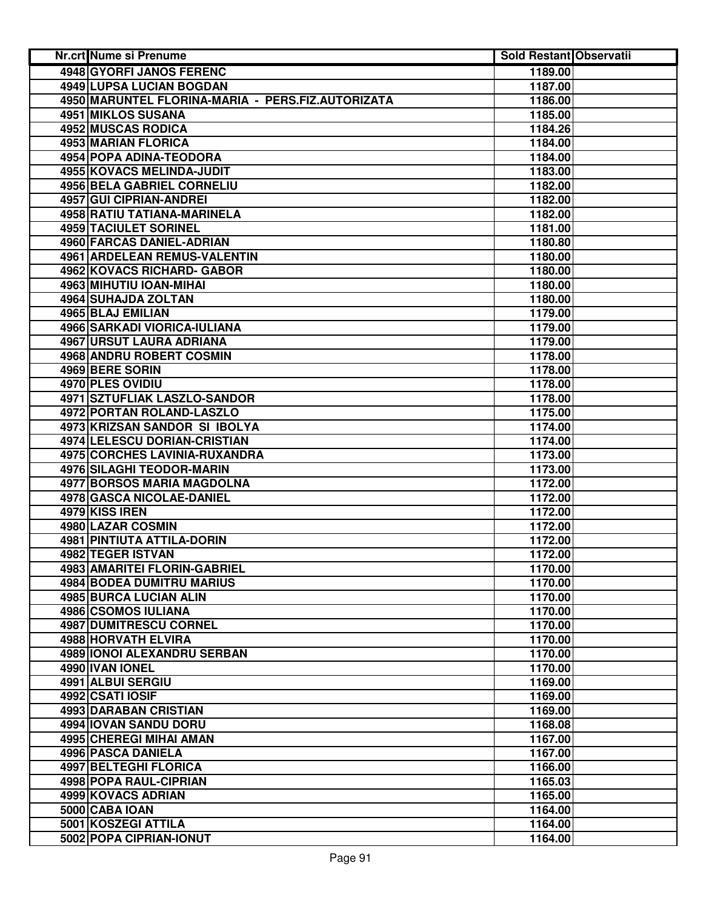| Nr.crt Nume si Prenume                            | <b>Sold Restant Observatii</b> |  |
|---------------------------------------------------|--------------------------------|--|
| <b>4948 GYORFI JANOS FERENC</b>                   | 1189.00                        |  |
| <b>4949 LUPSA LUCIAN BOGDAN</b>                   | 1187.00                        |  |
| 4950 MARUNTEL FLORINA-MARIA - PERS.FIZ.AUTORIZATA | 1186.00                        |  |
| 4951 MIKLOS SUSANA                                | 1185.00                        |  |
| 4952 MUSCAS RODICA                                | 1184.26                        |  |
| 4953 MARIAN FLORICA                               | 1184.00                        |  |
| <b>4954 POPA ADINA-TEODORA</b>                    | 1184.00                        |  |
| <b>4955 KOVACS MELINDA-JUDIT</b>                  | 1183.00                        |  |
| <b>4956 BELA GABRIEL CORNELIU</b>                 | 1182.00                        |  |
| 4957 GUI CIPRIAN-ANDREI                           | 1182.00                        |  |
| 4958 RATIU TATIANA-MARINELA                       | 1182.00                        |  |
| 4959 TACIULET SORINEL                             | 1181.00                        |  |
| 4960 FARCAS DANIEL-ADRIAN                         | 1180.80                        |  |
| 4961 ARDELEAN REMUS-VALENTIN                      | 1180.00                        |  |
| 4962 KOVACS RICHARD- GABOR                        | 1180.00                        |  |
| 4963 MIHUTIU IOAN-MIHAI                           | 1180.00                        |  |
| 4964 SUHAJDA ZOLTAN                               | 1180.00                        |  |
| 4965 BLAJ EMILIAN                                 | 1179.00                        |  |
| 4966 SARKADI VIORICA-IULIANA                      | 1179.00                        |  |
| 4967 URSUT LAURA ADRIANA                          | 1179.00                        |  |
| <b>4968 ANDRU ROBERT COSMIN</b>                   | 1178.00                        |  |
| 4969 BERE SORIN                                   | 1178.00                        |  |
| 4970 PLES OVIDIU                                  | 1178.00                        |  |
| <b>4971 SZTUFLIAK LASZLO-SANDOR</b>               | 1178.00                        |  |
| <b>4972 PORTAN ROLAND-LASZLO</b>                  | 1175.00                        |  |
| 4973 KRIZSAN SANDOR SI IBOLYA                     | 1174.00                        |  |
| 4974 LELESCU DORIAN-CRISTIAN                      | 1174.00                        |  |
| 4975 CORCHES LAVINIA-RUXANDRA                     | 1173.00                        |  |
| 4976 SILAGHI TEODOR-MARIN                         | 1173.00                        |  |
| <b>4977 BORSOS MARIA MAGDOLNA</b>                 | 1172.00                        |  |
| 4978 GASCA NICOLAE-DANIEL                         | 1172.00                        |  |
| 4979 KISS IREN                                    | 1172.00                        |  |
| 4980 LAZAR COSMIN                                 | 1172.00                        |  |
| 4981 PINTIUTA ATTILA-DORIN                        | 1172.00                        |  |
| 4982 TEGER ISTVAN                                 | 1172.00                        |  |
| 4983 AMARITEI FLORIN-GABRIEL                      | 1170.00                        |  |
| <b>4984 BODEA DUMITRU MARIUS</b>                  | 1170.00                        |  |
| 4985 BURCA LUCIAN ALIN                            | 1170.00                        |  |
| 4986 CSOMOS IULIANA                               | 1170.00                        |  |
| 4987 DUMITRESCU CORNEL                            | 1170.00                        |  |
| 4988 HORVATH ELVIRA                               | 1170.00                        |  |
| 4989 IONOI ALEXANDRU SERBAN                       | 1170.00                        |  |
| 4990 IVAN IONEL                                   | 1170.00                        |  |
| 4991 ALBUI SERGIU                                 | 1169.00                        |  |
| 4992 CSATI IOSIF                                  | 1169.00                        |  |
| 4993 DARABAN CRISTIAN                             | 1169.00                        |  |
| 4994 IOVAN SANDU DORU                             | 1168.08                        |  |
| 4995 CHEREGI MIHAI AMAN                           | 1167.00                        |  |
| 4996 PASCA DANIELA                                | 1167.00                        |  |
| <b>4997 BELTEGHI FLORICA</b>                      | 1166.00                        |  |
| 4998 POPA RAUL-CIPRIAN                            | 1165.03                        |  |
| 4999 KOVACS ADRIAN                                | 1165.00                        |  |
| 5000 CABA IOAN                                    | 1164.00                        |  |
| 5001 KOSZEGI ATTILA                               | 1164.00                        |  |
| 5002 POPA CIPRIAN-IONUT                           | 1164.00                        |  |
|                                                   |                                |  |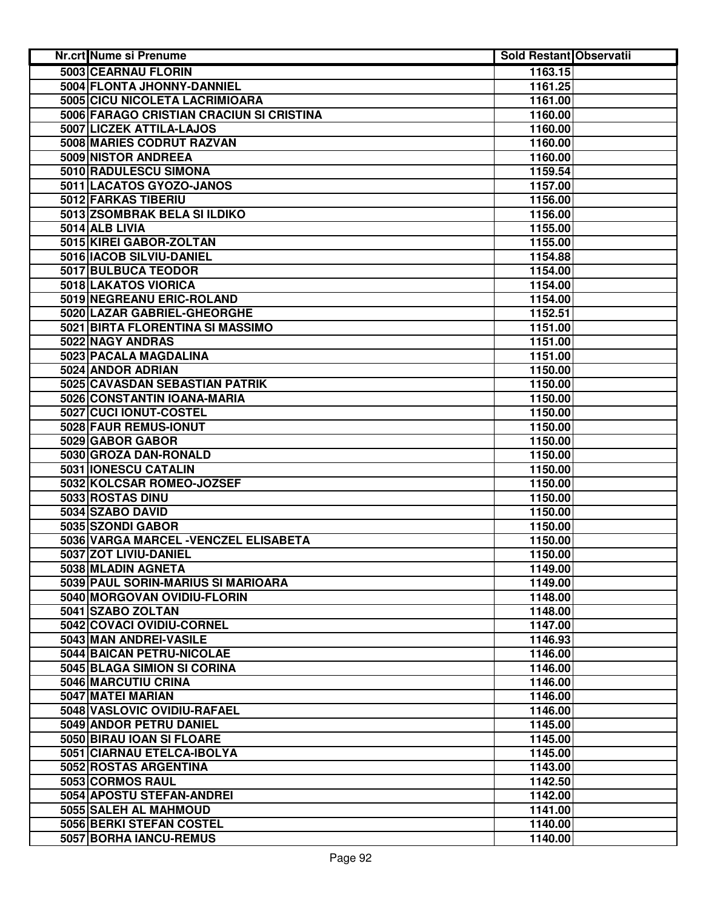| Nr.crt Nume si Prenume                   | <b>Sold Restant Observatii</b> |  |
|------------------------------------------|--------------------------------|--|
| 5003 CEARNAU FLORIN                      | 1163.15                        |  |
| 5004 FLONTA JHONNY-DANNIEL               | 1161.25                        |  |
| 5005 CICU NICOLETA LACRIMIOARA           | 1161.00                        |  |
| 5006 FARAGO CRISTIAN CRACIUN SI CRISTINA | 1160.00                        |  |
| 5007 LICZEK ATTILA-LAJOS                 | 1160.00                        |  |
| 5008 MARIES CODRUT RAZVAN                | 1160.00                        |  |
| 5009 NISTOR ANDREEA                      | 1160.00                        |  |
| 5010 RADULESCU SIMONA                    | 1159.54                        |  |
| 5011 LACATOS GYOZO-JANOS                 | 1157.00                        |  |
| 5012 FARKAS TIBERIU                      | 1156.00                        |  |
| 5013 ZSOMBRAK BELA SI ILDIKO             | 1156.00                        |  |
| 5014 ALB LIVIA                           | 1155.00                        |  |
| 5015 KIREI GABOR-ZOLTAN                  | 1155.00                        |  |
| 5016 IACOB SILVIU-DANIEL                 | 1154.88                        |  |
| 5017 BULBUCA TEODOR                      | 1154.00                        |  |
| 5018 LAKATOS VIORICA                     | 1154.00                        |  |
| 5019 NEGREANU ERIC-ROLAND                | 1154.00                        |  |
| 5020 LAZAR GABRIEL-GHEORGHE              | 1152.51                        |  |
| 5021 BIRTA FLORENTINA SI MASSIMO         | 1151.00                        |  |
| 5022 NAGY ANDRAS                         | 1151.00                        |  |
| 5023 PACALA MAGDALINA                    | 1151.00                        |  |
| 5024 ANDOR ADRIAN                        |                                |  |
|                                          | 1150.00                        |  |
| 5025 CAVASDAN SEBASTIAN PATRIK           | 1150.00                        |  |
| 5026 CONSTANTIN IOANA-MARIA              | 1150.00                        |  |
| 5027 CUCI IONUT-COSTEL                   | 1150.00                        |  |
| 5028 FAUR REMUS-IONUT                    | 1150.00                        |  |
| 5029 GABOR GABOR                         | 1150.00                        |  |
| 5030 GROZA DAN-RONALD                    | 1150.00                        |  |
| 5031 IONESCU CATALIN                     | 1150.00                        |  |
| 5032 KOLCSAR ROMEO-JOZSEF                | 1150.00                        |  |
| 5033 ROSTAS DINU                         | 1150.00                        |  |
| 5034 SZABO DAVID                         | 1150.00                        |  |
| 5035 SZONDI GABOR                        | 1150.00                        |  |
| 5036 VARGA MARCEL - VENCZEL ELISABETA    | 1150.00                        |  |
| 5037 ZOT LIVIU-DANIEL                    | 1150.00                        |  |
| 5038 MLADIN AGNETA                       | 1149.00                        |  |
| 5039 PAUL SORIN-MARIUS SI MARIOARA       | 1149.00                        |  |
| 5040 MORGOVAN OVIDIU-FLORIN              | 1148.00                        |  |
| 5041 SZABO ZOLTAN                        | 1148.00                        |  |
| 5042 COVACI OVIDIU-CORNEL                | 1147.00                        |  |
| 5043 MAN ANDREI-VASILE                   | 1146.93                        |  |
| 5044 BAICAN PETRU-NICOLAE                | 1146.00                        |  |
| 5045 BLAGA SIMION SI CORINA              | 1146.00                        |  |
| 5046 MARCUTIU CRINA                      | 1146.00                        |  |
| 5047 MATEI MARIAN                        | 1146.00                        |  |
| 5048 VASLOVIC OVIDIU-RAFAEL              | 1146.00                        |  |
| 5049 ANDOR PETRU DANIEL                  | 1145.00                        |  |
| 5050 BIRAU IOAN SI FLOARE                | 1145.00                        |  |
| 5051 CIARNAU ETELCA-IBOLYA               | 1145.00                        |  |
| 5052 ROSTAS ARGENTINA                    | 1143.00                        |  |
| 5053 CORMOS RAUL                         |                                |  |
|                                          | 1142.50                        |  |
| 5054 APOSTU STEFAN-ANDREI                | 1142.00                        |  |
| 5055 SALEH AL MAHMOUD                    | 1141.00                        |  |
| 5056 BERKI STEFAN COSTEL                 | 1140.00                        |  |
| 5057 BORHA IANCU-REMUS                   | 1140.00                        |  |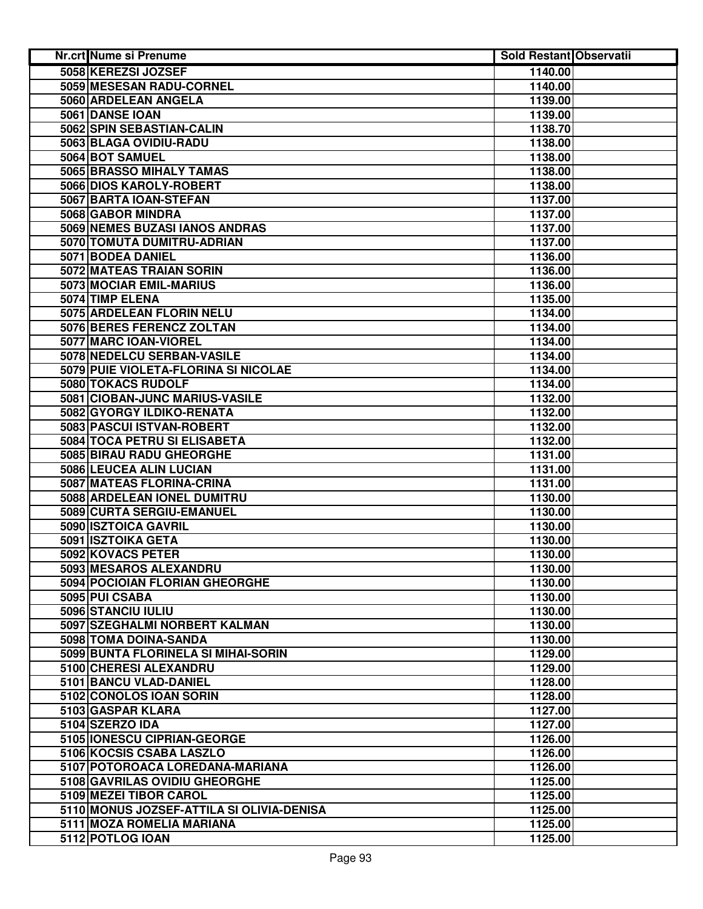| Nr.crt Nume si Prenume                    | <b>Sold Restant Observatii</b> |  |
|-------------------------------------------|--------------------------------|--|
| 5058 KEREZSI JOZSEF                       | 1140.00                        |  |
| 5059 MESESAN RADU-CORNEL                  | 1140.00                        |  |
| 5060 ARDELEAN ANGELA                      | 1139.00                        |  |
| 5061 DANSE IOAN                           | 1139.00                        |  |
| 5062 SPIN SEBASTIAN-CALIN                 | 1138.70                        |  |
| 5063 BLAGA OVIDIU-RADU                    | 1138.00                        |  |
| 5064 BOT SAMUEL                           | 1138.00                        |  |
| 5065 BRASSO MIHALY TAMAS                  | 1138.00                        |  |
| 5066 DIOS KAROLY-ROBERT                   | 1138.00                        |  |
| 5067 BARTA IOAN-STEFAN                    | 1137.00                        |  |
| 5068 GABOR MINDRA                         | 1137.00                        |  |
| 5069 NEMES BUZASI IANOS ANDRAS            | 1137.00                        |  |
| 5070 TOMUTA DUMITRU-ADRIAN                | 1137.00                        |  |
| 5071 BODEA DANIEL                         | 1136.00                        |  |
| 5072 MATEAS TRAIAN SORIN                  | 1136.00                        |  |
| 5073 MOCIAR EMIL-MARIUS                   | 1136.00                        |  |
| 5074 TIMP ELENA                           | 1135.00                        |  |
| 5075 ARDELEAN FLORIN NELU                 | 1134.00                        |  |
| 5076 BERES FERENCZ ZOLTAN                 | 1134.00                        |  |
| 5077 MARC IOAN-VIOREL                     | 1134.00                        |  |
| 5078 NEDELCU SERBAN-VASILE                | 1134.00                        |  |
| 5079 PUIE VIOLETA-FLORINA SI NICOLAE      | 1134.00                        |  |
| 5080 TOKACS RUDOLF                        | 1134.00                        |  |
| 5081 CIOBAN-JUNC MARIUS-VASILE            | 1132.00                        |  |
| 5082 GYORGY ILDIKO-RENATA                 | 1132.00                        |  |
| 5083 PASCUI ISTVAN-ROBERT                 | 1132.00                        |  |
| 5084 TOCA PETRU SI ELISABETA              | 1132.00                        |  |
| 5085 BIRAU RADU GHEORGHE                  | 1131.00                        |  |
| 5086 LEUCEA ALIN LUCIAN                   | 1131.00                        |  |
| 5087 MATEAS FLORINA-CRINA                 | 1131.00                        |  |
| 5088 ARDELEAN IONEL DUMITRU               | 1130.00                        |  |
| 5089 CURTA SERGIU-EMANUEL                 | 1130.00                        |  |
| 5090 ISZTOICA GAVRIL                      | 1130.00                        |  |
| 5091 ISZTOIKA GETA                        | 1130.00                        |  |
| 5092 KOVACS PETER                         | 1130.00                        |  |
| 5093 MESAROS ALEXANDRU                    | 1130.00                        |  |
| 5094 POCIOIAN FLORIAN GHEORGHE            | 1130.00                        |  |
| 5095 PUI CSABA                            | 1130.00                        |  |
| 5096 STANCIU IULIU                        | 1130.00                        |  |
| 5097 SZEGHALMI NORBERT KALMAN             | 1130.00                        |  |
| 5098 TOMA DOINA-SANDA                     | 1130.00                        |  |
| 5099 BUNTA FLORINELA SI MIHAI-SORIN       | 1129.00                        |  |
| 5100 CHERESI ALEXANDRU                    | 1129.00                        |  |
| 5101 BANCU VLAD-DANIEL                    | 1128.00                        |  |
| 5102 CONOLOS IOAN SORIN                   | 1128.00                        |  |
| 5103 GASPAR KLARA                         | 1127.00                        |  |
| 5104 SZERZO IDA                           | 1127.00                        |  |
| 5105 IONESCU CIPRIAN-GEORGE               | 1126.00                        |  |
| 5106 KOCSIS CSABA LASZLO                  | 1126.00                        |  |
| 5107 POTOROACA LOREDANA-MARIANA           | 1126.00                        |  |
| 5108 GAVRILAS OVIDIU GHEORGHE             | 1125.00                        |  |
| 5109 MEZEI TIBOR CAROL                    | 1125.00                        |  |
| 5110 MONUS JOZSEF-ATTILA SI OLIVIA-DENISA | 1125.00                        |  |
| 5111 MOZA ROMELIA MARIANA                 | 1125.00                        |  |
| 5112 POTLOG IOAN                          | 1125.00                        |  |
|                                           |                                |  |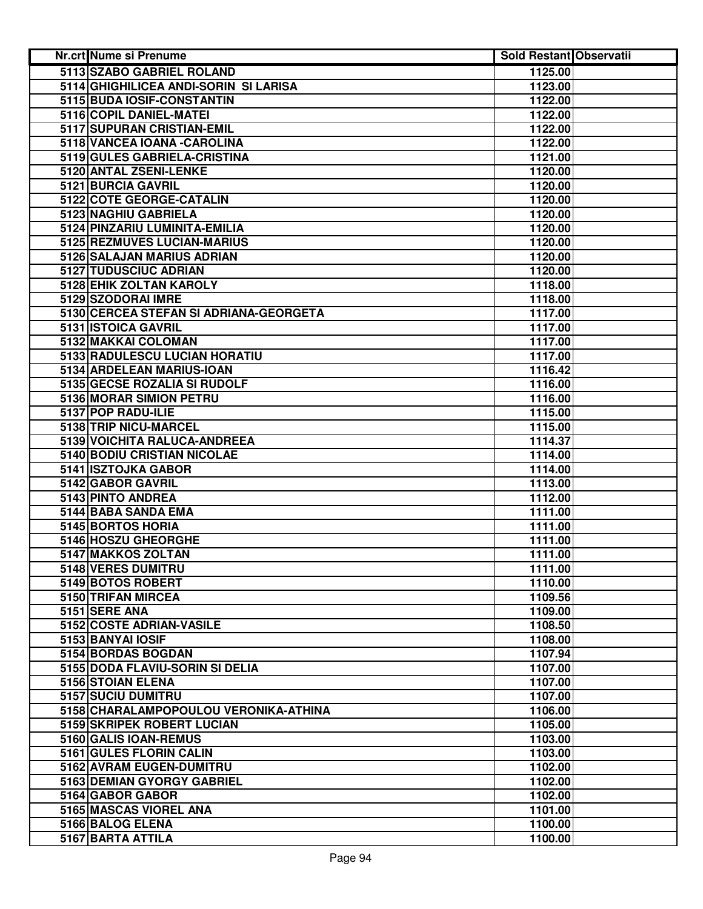| Nr.crt Nume si Prenume                 | <b>Sold Restant Observatii</b> |  |
|----------------------------------------|--------------------------------|--|
| 5113 SZABO GABRIEL ROLAND              | 1125.00                        |  |
| 5114 GHIGHILICEA ANDI-SORIN SI LARISA  | 1123.00                        |  |
| 5115 BUDA IOSIF-CONSTANTIN             | 1122.00                        |  |
| 5116 COPIL DANIEL-MATEI                | 1122.00                        |  |
| 5117 SUPURAN CRISTIAN-EMIL             | 1122.00                        |  |
| 5118 VANCEA IOANA - CAROLINA           | 1122.00                        |  |
| 5119 GULES GABRIELA-CRISTINA           | 1121.00                        |  |
| 5120 ANTAL ZSENI-LENKE                 | 1120.00                        |  |
| 5121 BURCIA GAVRIL                     | 1120.00                        |  |
| 5122 COTE GEORGE-CATALIN               | 1120.00                        |  |
| 5123 NAGHIU GABRIELA                   | 1120.00                        |  |
| 5124 PINZARIU LUMINITA-EMILIA          | 1120.00                        |  |
| 5125 REZMUVES LUCIAN-MARIUS            | 1120.00                        |  |
| 5126 SALAJAN MARIUS ADRIAN             | 1120.00                        |  |
| 5127 TUDUSCIUC ADRIAN                  | 1120.00                        |  |
| 5128 EHIK ZOLTAN KAROLY                | 1118.00                        |  |
| 5129 SZODORAI IMRE                     | 1118.00                        |  |
| 5130 CERCEA STEFAN SI ADRIANA-GEORGETA | 1117.00                        |  |
| 5131 ISTOICA GAVRIL                    | 1117.00                        |  |
| 5132 MAKKAI COLOMAN                    | 1117.00                        |  |
| 5133 RADULESCU LUCIAN HORATIU          | 1117.00                        |  |
| 5134 ARDELEAN MARIUS-IOAN              | 1116.42                        |  |
| 5135 GECSE ROZALIA SI RUDOLF           | 1116.00                        |  |
| 5136 MORAR SIMION PETRU                | 1116.00                        |  |
| 5137 POP RADU-ILIE                     | 1115.00                        |  |
| 5138 TRIP NICU-MARCEL                  | 1115.00                        |  |
| 5139 VOICHITA RALUCA-ANDREEA           | 1114.37                        |  |
| 5140 BODIU CRISTIAN NICOLAE            | 1114.00                        |  |
| 5141 ISZTOJKA GABOR                    | 1114.00                        |  |
| 5142 GABOR GAVRIL                      | 1113.00                        |  |
| 5143 PINTO ANDREA                      | 1112.00                        |  |
| 5144 BABA SANDA EMA                    | 1111.00                        |  |
| 5145 BORTOS HORIA                      | 1111.00                        |  |
| 5146 HOSZU GHEORGHE                    | 1111.00                        |  |
| 5147 MAKKOS ZOLTAN                     | 1111.00                        |  |
| 5148 VERES DUMITRU                     | 1111.00                        |  |
| 5149 BOTOS ROBERT                      | 1110.00                        |  |
| 5150 TRIFAN MIRCEA                     | 1109.56                        |  |
| 5151 SERE ANA                          | 1109.00                        |  |
| 5152 COSTE ADRIAN-VASILE               | 1108.50                        |  |
| 5153 BANYAI IOSIF                      | 1108.00                        |  |
| 5154 BORDAS BOGDAN                     | 1107.94                        |  |
| 5155 DODA FLAVIU-SORIN SI DELIA        | 1107.00                        |  |
| 5156 STOIAN ELENA                      | 1107.00                        |  |
| 5157 SUCIU DUMITRU                     | 1107.00                        |  |
| 5158 CHARALAMPOPOULOU VERONIKA-ATHINA  | 1106.00                        |  |
| 5159 SKRIPEK ROBERT LUCIAN             | 1105.00                        |  |
| 5160 GALIS IOAN-REMUS                  | 1103.00                        |  |
| 5161 GULES FLORIN CALIN                | 1103.00                        |  |
| 5162 AVRAM EUGEN-DUMITRU               | 1102.00                        |  |
| 5163 DEMIAN GYORGY GABRIEL             | 1102.00                        |  |
| 5164 GABOR GABOR                       | 1102.00                        |  |
| 5165 MASCAS VIOREL ANA                 | 1101.00                        |  |
| 5166 BALOG ELENA                       | 1100.00                        |  |
| 5167 BARTA ATTILA                      | 1100.00                        |  |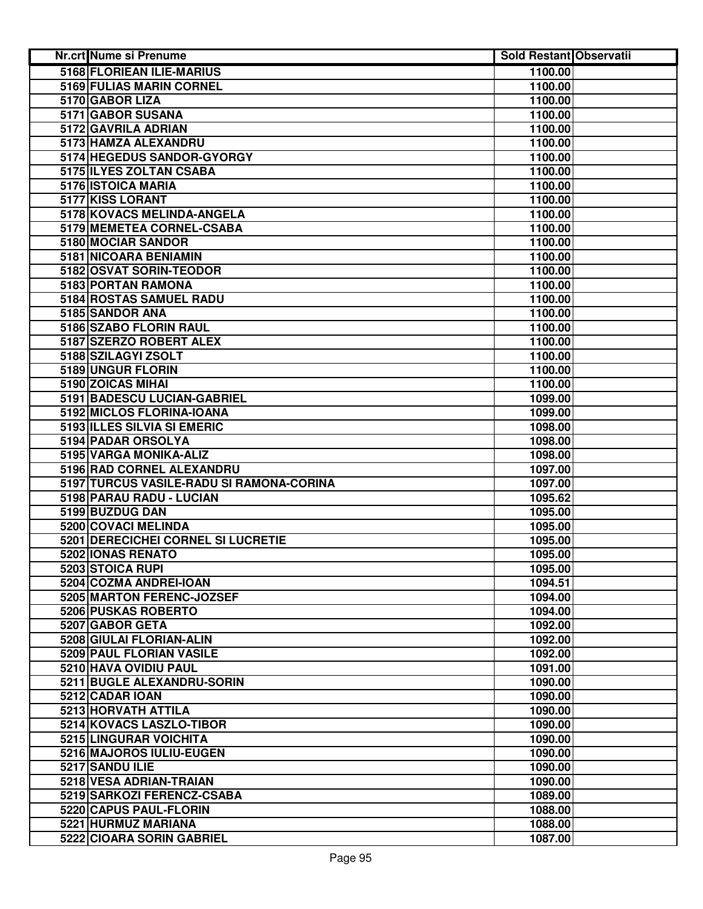| <b>Nr.crt Nume si Prenume</b>            | Sold Restant Observatii |  |
|------------------------------------------|-------------------------|--|
| 5168 FLORIEAN ILIE-MARIUS                | 1100.00                 |  |
| 5169 FULIAS MARIN CORNEL                 | 1100.00                 |  |
| 5170 GABOR LIZA                          | 1100.00                 |  |
| 5171 GABOR SUSANA                        | 1100.00                 |  |
| 5172 GAVRILA ADRIAN                      | 1100.00                 |  |
| 5173 HAMZA ALEXANDRU                     | 1100.00                 |  |
| 5174 HEGEDUS SANDOR-GYORGY               | 1100.00                 |  |
| 5175 ILYES ZOLTAN CSABA                  | 1100.00                 |  |
| 5176 ISTOICA MARIA                       | 1100.00                 |  |
| 5177 KISS LORANT                         | 1100.00                 |  |
| 5178 KOVACS MELINDA-ANGELA               | 1100.00                 |  |
| 5179 MEMETEA CORNEL-CSABA                | 1100.00                 |  |
| 5180 MOCIAR SANDOR                       | 1100.00                 |  |
| 5181 NICOARA BENIAMIN                    | 1100.00                 |  |
| 5182 OSVAT SORIN-TEODOR                  | 1100.00                 |  |
| 5183 PORTAN RAMONA                       | 1100.00                 |  |
| 5184 ROSTAS SAMUEL RADU                  | 1100.00                 |  |
| 5185 SANDOR ANA                          | 1100.00                 |  |
| 5186 SZABO FLORIN RAUL                   | 1100.00                 |  |
| 5187 SZERZO ROBERT ALEX                  | 1100.00                 |  |
| 5188 SZILAGYI ZSOLT                      | 1100.00                 |  |
| 5189 UNGUR FLORIN                        | 1100.00                 |  |
| 5190 ZOICAS MIHAI                        | 1100.00                 |  |
| 5191 BADESCU LUCIAN-GABRIEL              | 1099.00                 |  |
| 5192 MICLOS FLORINA-IOANA                | 1099.00                 |  |
| 5193 ILLES SILVIA SI EMERIC              | 1098.00                 |  |
| 5194 PADAR ORSOLYA                       | 1098.00                 |  |
| 5195 VARGA MONIKA-ALIZ                   | 1098.00                 |  |
| 5196 RAD CORNEL ALEXANDRU                | 1097.00                 |  |
| 5197 TURCUS VASILE-RADU SI RAMONA-CORINA | 1097.00                 |  |
| 5198 PARAU RADU - LUCIAN                 | 1095.62                 |  |
| 5199 BUZDUG DAN                          | 1095.00                 |  |
| 5200 COVACI MELINDA                      | 1095.00                 |  |
| 5201 DERECICHEI CORNEL SI LUCRETIE       | 1095.00                 |  |
| 5202 IONAS RENATO                        | 1095.00                 |  |
| 5203 STOICA RUPI                         | 1095.00                 |  |
| 5204 COZMA ANDREI-IOAN                   | 1094.51                 |  |
| 5205 MARTON FERENC-JOZSEF                | 1094.00                 |  |
| 5206 PUSKAS ROBERTO                      | 1094.00                 |  |
| 5207 GABOR GETA                          | 1092.00                 |  |
| 5208 GIULAI FLORIAN-ALIN                 | 1092.00                 |  |
| 5209 PAUL FLORIAN VASILE                 | 1092.00                 |  |
| 5210 HAVA OVIDIU PAUL                    | 1091.00                 |  |
| 5211 BUGLE ALEXANDRU-SORIN               | 1090.00                 |  |
| 5212 CADAR IOAN                          | 1090.00                 |  |
| 5213 HORVATH ATTILA                      | 1090.00                 |  |
| 5214 KOVACS LASZLO-TIBOR                 | 1090.00                 |  |
| 5215 LINGURAR VOICHITA                   | 1090.00                 |  |
| 5216 MAJOROS IULIU-EUGEN                 | 1090.00                 |  |
| 5217 SANDU ILIE                          | 1090.00                 |  |
| 5218 VESA ADRIAN-TRAIAN                  | 1090.00                 |  |
| 5219 SARKOZI FERENCZ-CSABA               | 1089.00                 |  |
| 5220 CAPUS PAUL-FLORIN                   | 1088.00                 |  |
| 5221 HURMUZ MARIANA                      | 1088.00                 |  |
| 5222 CIOARA SORIN GABRIEL                | 1087.00                 |  |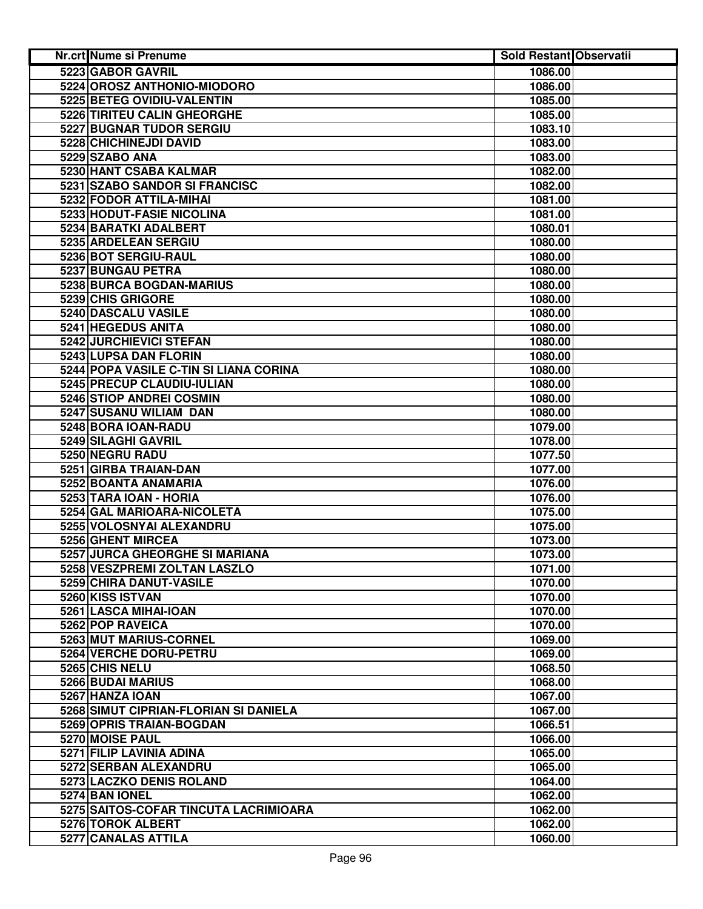| Nr.crt Nume si Prenume                 | <b>Sold Restant Observatii</b> |  |
|----------------------------------------|--------------------------------|--|
| 5223 GABOR GAVRIL                      | 1086.00                        |  |
| 5224 OROSZ ANTHONIO-MIODORO            | 1086.00                        |  |
| 5225 BETEG OVIDIU-VALENTIN             | 1085.00                        |  |
| 5226 TIRITEU CALIN GHEORGHE            | 1085.00                        |  |
| <b>5227 BUGNAR TUDOR SERGIU</b>        | 1083.10                        |  |
| 5228 CHICHINEJDI DAVID                 | 1083.00                        |  |
| 5229 SZABO ANA                         | 1083.00                        |  |
| 5230 HANT CSABA KALMAR                 | 1082.00                        |  |
| 5231 SZABO SANDOR SI FRANCISC          | 1082.00                        |  |
| 5232 FODOR ATTILA-MIHAI                | 1081.00                        |  |
| 5233 HODUT-FASIE NICOLINA              | 1081.00                        |  |
| 5234 BARATKI ADALBERT                  | 1080.01                        |  |
| 5235 ARDELEAN SERGIU                   | 1080.00                        |  |
| 5236 BOT SERGIU-RAUL                   | 1080.00                        |  |
| 5237 BUNGAU PETRA                      | 1080.00                        |  |
| 5238 BURCA BOGDAN-MARIUS               | 1080.00                        |  |
| 5239 CHIS GRIGORE                      | 1080.00                        |  |
| 5240 DASCALU VASILE                    | 1080.00                        |  |
| 5241 HEGEDUS ANITA                     | 1080.00                        |  |
| 5242 JURCHIEVICI STEFAN                | 1080.00                        |  |
| 5243 LUPSA DAN FLORIN                  | 1080.00                        |  |
| 5244 POPA VASILE C-TIN SI LIANA CORINA | 1080.00                        |  |
| 5245 PRECUP CLAUDIU-IULIAN             | 1080.00                        |  |
| 5246 STIOP ANDREI COSMIN               | 1080.00                        |  |
| 5247 SUSANU WILIAM DAN                 | 1080.00                        |  |
| 5248 BORA IOAN-RADU                    | 1079.00                        |  |
| 5249 SILAGHI GAVRIL                    | 1078.00                        |  |
| 5250 NEGRU RADU                        | 1077.50                        |  |
| 5251 GIRBA TRAIAN-DAN                  | 1077.00                        |  |
| 5252 BOANTA ANAMARIA                   | 1076.00                        |  |
| 5253 TARA IOAN - HORIA                 | 1076.00                        |  |
| 5254 GAL MARIOARA-NICOLETA             | 1075.00                        |  |
| 5255 VOLOSNYAI ALEXANDRU               | 1075.00                        |  |
| 5256 GHENT MIRCEA                      | 1073.00                        |  |
| 5257 JURCA GHEORGHE SI MARIANA         | 1073.00                        |  |
| 5258 VESZPREMI ZOLTAN LASZLO           | 1071.00                        |  |
| 5259 CHIRA DANUT-VASILE                | 1070.00                        |  |
| 5260 KISS ISTVAN                       | 1070.00                        |  |
| 5261 LASCA MIHAI-IOAN                  | 1070.00                        |  |
| 5262 POP RAVEICA                       | 1070.00                        |  |
| 5263 MUT MARIUS-CORNEL                 | 1069.00                        |  |
| 5264 VERCHE DORU-PETRU                 | 1069.00                        |  |
| 5265 CHIS NELU                         | 1068.50                        |  |
| 5266 BUDAI MARIUS                      | 1068.00                        |  |
| 5267 HANZA IOAN                        | 1067.00                        |  |
| 5268 SIMUT CIPRIAN-FLORIAN SI DANIELA  | 1067.00                        |  |
| 5269 OPRIS TRAIAN-BOGDAN               | 1066.51                        |  |
| 5270 MOISE PAUL                        | 1066.00                        |  |
| 5271 FILIP LAVINIA ADINA               | 1065.00                        |  |
| 5272 SERBAN ALEXANDRU                  | 1065.00                        |  |
| 5273 LACZKO DENIS ROLAND               | 1064.00                        |  |
| 5274 BAN IONEL                         | 1062.00                        |  |
| 5275 SAITOS-COFAR TINCUTA LACRIMIOARA  | 1062.00                        |  |
| 5276 TOROK ALBERT                      | 1062.00                        |  |
| 5277 CANALAS ATTILA                    | 1060.00                        |  |
|                                        |                                |  |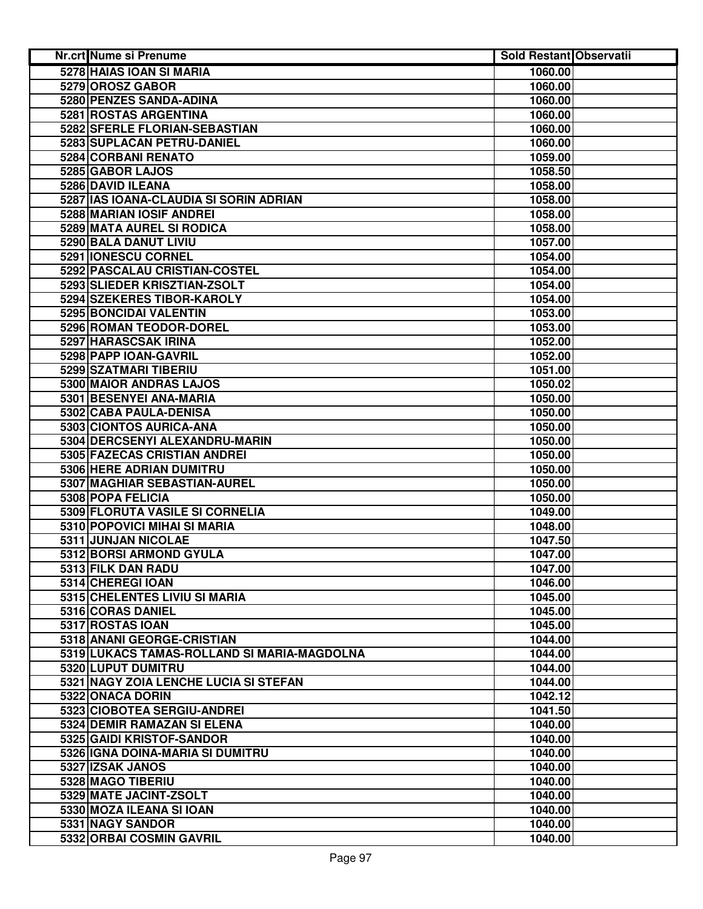| Nr.crt Nume si Prenume                      | <b>Sold Restant Observatii</b> |  |
|---------------------------------------------|--------------------------------|--|
| 5278 HAIAS IOAN SI MARIA                    | 1060.00                        |  |
| 5279 OROSZ GABOR                            | 1060.00                        |  |
| 5280 PENZES SANDA-ADINA                     | 1060.00                        |  |
| 5281 ROSTAS ARGENTINA                       | 1060.00                        |  |
| 5282 SFERLE FLORIAN-SEBASTIAN               | 1060.00                        |  |
| 5283 SUPLACAN PETRU-DANIEL                  | 1060.00                        |  |
| 5284 CORBANI RENATO                         | 1059.00                        |  |
| 5285 GABOR LAJOS                            | 1058.50                        |  |
| 5286 DAVID ILEANA                           | 1058.00                        |  |
| 5287 IAS IOANA-CLAUDIA SI SORIN ADRIAN      | 1058.00                        |  |
| 5288 MARIAN IOSIF ANDREI                    | 1058.00                        |  |
| 5289 MATA AUREL SI RODICA                   | 1058.00                        |  |
| 5290 BALA DANUT LIVIU                       | 1057.00                        |  |
| 5291 IONESCU CORNEL                         | 1054.00                        |  |
| 5292 PASCALAU CRISTIAN-COSTEL               | 1054.00                        |  |
| 5293 SLIEDER KRISZTIAN-ZSOLT                | 1054.00                        |  |
| 5294 SZEKERES TIBOR-KAROLY                  | 1054.00                        |  |
| 5295 BONCIDAI VALENTIN                      | 1053.00                        |  |
| 5296 ROMAN TEODOR-DOREL                     | 1053.00                        |  |
| 5297 HARASCSAK IRINA                        | 1052.00                        |  |
| 5298 PAPP IOAN-GAVRIL                       | 1052.00                        |  |
| 5299 SZATMARI TIBERIU                       | 1051.00                        |  |
| 5300 MAIOR ANDRAS LAJOS                     | 1050.02                        |  |
| 5301 BESENYEI ANA-MARIA                     | 1050.00                        |  |
| 5302 CABA PAULA-DENISA                      | 1050.00                        |  |
| 5303 CIONTOS AURICA-ANA                     | 1050.00                        |  |
| 5304 DERCSENYI ALEXANDRU-MARIN              | 1050.00                        |  |
| 5305 FAZECAS CRISTIAN ANDREI                | 1050.00                        |  |
| 5306 HERE ADRIAN DUMITRU                    | 1050.00                        |  |
| 5307 MAGHIAR SEBASTIAN-AUREL                | 1050.00                        |  |
| 5308 POPA FELICIA                           | 1050.00                        |  |
| 5309 FLORUTA VASILE SI CORNELIA             | 1049.00                        |  |
| 5310 POPOVICI MIHAI SI MARIA                | 1048.00                        |  |
| 5311 JUNJAN NICOLAE                         | 1047.50                        |  |
| 5312 BORSI ARMOND GYULA                     | 1047.00                        |  |
| 5313 FILK DAN RADU                          | 1047.00                        |  |
| 5314 CHEREGI IOAN                           | 1046.00                        |  |
| 5315 CHELENTES LIVIU SI MARIA               | 1045.00                        |  |
| 5316 CORAS DANIEL                           | 1045.00                        |  |
| 5317 ROSTAS IOAN                            | 1045.00                        |  |
| 5318 ANANI GEORGE-CRISTIAN                  | 1044.00                        |  |
| 5319 LUKACS TAMAS-ROLLAND SI MARIA-MAGDOLNA | 1044.00                        |  |
| 5320 LUPUT DUMITRU                          | 1044.00                        |  |
| 5321 NAGY ZOIA LENCHE LUCIA SI STEFAN       | 1044.00                        |  |
| 5322 ONACA DORIN                            | 1042.12                        |  |
| 5323 CIOBOTEA SERGIU-ANDREI                 | 1041.50                        |  |
| 5324 DEMIR RAMAZAN SI ELENA                 | 1040.00                        |  |
| 5325 GAIDI KRISTOF-SANDOR                   | 1040.00                        |  |
| 5326 IGNA DOINA-MARIA SI DUMITRU            | 1040.00                        |  |
| 5327 IZSAK JANOS                            | 1040.00                        |  |
| 5328 MAGO TIBERIU                           | 1040.00                        |  |
| 5329 MATE JACINT-ZSOLT                      | 1040.00                        |  |
| 5330 MOZA ILEANA SI IOAN                    | 1040.00                        |  |
| 5331 NAGY SANDOR                            | 1040.00                        |  |
| 5332 ORBAI COSMIN GAVRIL                    | 1040.00                        |  |
|                                             |                                |  |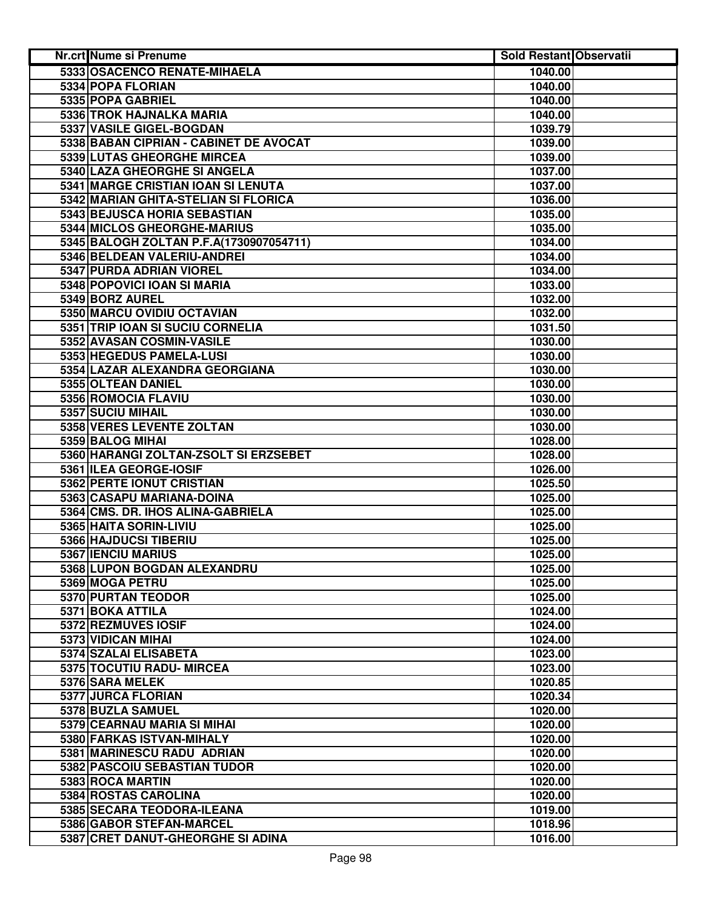| Nr.crt Nume si Prenume                  | <b>Sold Restant Observatii</b> |  |
|-----------------------------------------|--------------------------------|--|
| 5333 OSACENCO RENATE-MIHAELA            | 1040.00                        |  |
| 5334 POPA FLORIAN                       | 1040.00                        |  |
| 5335 POPA GABRIEL                       | 1040.00                        |  |
| 5336 TROK HAJNALKA MARIA                | 1040.00                        |  |
| 5337 VASILE GIGEL-BOGDAN                | 1039.79                        |  |
| 5338 BABAN CIPRIAN - CABINET DE AVOCAT  | 1039.00                        |  |
| 5339 LUTAS GHEORGHE MIRCEA              | 1039.00                        |  |
| 5340 LAZA GHEORGHE SI ANGELA            | 1037.00                        |  |
| 5341 MARGE CRISTIAN IOAN SI LENUTA      | 1037.00                        |  |
| 5342 MARIAN GHITA-STELIAN SI FLORICA    | 1036.00                        |  |
| 5343 BEJUSCA HORIA SEBASTIAN            | 1035.00                        |  |
| 5344 MICLOS GHEORGHE-MARIUS             | 1035.00                        |  |
| 5345 BALOGH ZOLTAN P.F.A(1730907054711) | 1034.00                        |  |
| 5346 BELDEAN VALERIU-ANDREI             | 1034.00                        |  |
| 5347 PURDA ADRIAN VIOREL                | 1034.00                        |  |
| 5348 POPOVICI IOAN SI MARIA             | 1033.00                        |  |
| 5349 BORZ AUREL                         | 1032.00                        |  |
| 5350 MARCU OVIDIU OCTAVIAN              | 1032.00                        |  |
| 5351 TRIP IOAN SI SUCIU CORNELIA        | 1031.50                        |  |
| 5352 AVASAN COSMIN-VASILE               | 1030.00                        |  |
| 5353 HEGEDUS PAMELA-LUSI                | 1030.00                        |  |
| 5354 LAZAR ALEXANDRA GEORGIANA          | 1030.00                        |  |
| 5355 OLTEAN DANIEL                      | 1030.00                        |  |
| 5356 ROMOCIA FLAVIU                     | 1030.00                        |  |
| 5357 SUCIU MIHAIL                       | 1030.00                        |  |
| 5358 VERES LEVENTE ZOLTAN               | 1030.00                        |  |
| 5359 BALOG MIHAI                        | 1028.00                        |  |
| 5360 HARANGI ZOLTAN-ZSOLT SI ERZSEBET   | 1028.00                        |  |
| 5361 ILEA GEORGE-IOSIF                  | 1026.00                        |  |
| 5362 PERTE IONUT CRISTIAN               | 1025.50                        |  |
| 5363 CASAPU MARIANA-DOINA               | 1025.00                        |  |
| 5364 CMS. DR. IHOS ALINA-GABRIELA       | 1025.00                        |  |
| 5365 HAITA SORIN-LIVIU                  | 1025.00                        |  |
| 5366 HAJDUCSI TIBERIU                   | 1025.00                        |  |
| 5367 IENCIU MARIUS                      | 1025.00                        |  |
| 5368 LUPON BOGDAN ALEXANDRU             | 1025.00                        |  |
| 5369 MOGA PETRU                         | 1025.00                        |  |
| 5370 PURTAN TEODOR                      | 1025.00                        |  |
| 5371 BOKA ATTILA                        | 1024.00                        |  |
| 5372 REZMUVES IOSIF                     | 1024.00                        |  |
| 5373 VIDICAN MIHAI                      | 1024.00                        |  |
| 5374 SZALAI ELISABETA                   | 1023.00                        |  |
| 5375 TOCUTIU RADU- MIRCEA               | 1023.00                        |  |
| 5376 SARA MELEK                         | 1020.85                        |  |
| 5377 JURCA FLORIAN                      | 1020.34                        |  |
| 5378 BUZLA SAMUEL                       | 1020.00                        |  |
| 5379 CEARNAU MARIA SI MIHAI             | 1020.00                        |  |
| 5380 FARKAS ISTVAN-MIHALY               | 1020.00                        |  |
| 5381 MARINESCU RADU ADRIAN              | 1020.00                        |  |
| 5382 PASCOIU SEBASTIAN TUDOR            | 1020.00                        |  |
| 5383 ROCA MARTIN                        | 1020.00                        |  |
| 5384 ROSTAS CAROLINA                    | 1020.00                        |  |
| 5385 SECARA TEODORA-ILEANA              | 1019.00                        |  |
| 5386 GABOR STEFAN-MARCEL                | 1018.96                        |  |
| 5387 CRET DANUT-GHEORGHE SI ADINA       | 1016.00                        |  |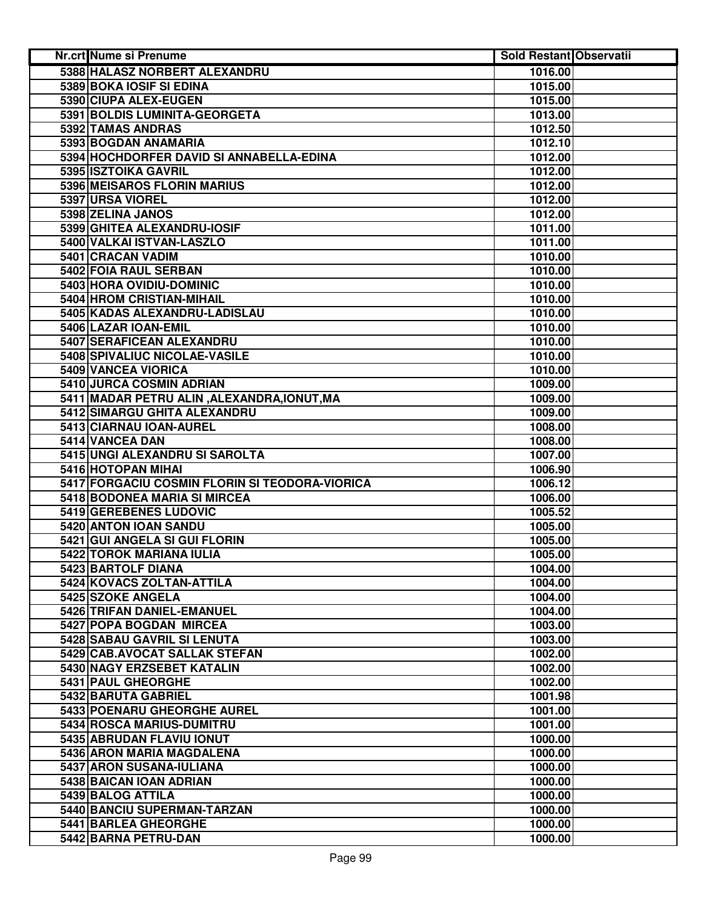| Nr.crt Nume si Prenume                         | <b>Sold Restant Observatii</b> |  |
|------------------------------------------------|--------------------------------|--|
| 5388 HALASZ NORBERT ALEXANDRU                  | 1016.00                        |  |
| 5389 BOKA IOSIF SI EDINA                       | 1015.00                        |  |
| 5390 CIUPA ALEX-EUGEN                          | 1015.00                        |  |
| 5391 BOLDIS LUMINITA-GEORGETA                  | 1013.00                        |  |
| 5392 TAMAS ANDRAS                              | 1012.50                        |  |
| 5393 BOGDAN ANAMARIA                           | 1012.10                        |  |
| 5394 HOCHDORFER DAVID SI ANNABELLA-EDINA       | 1012.00                        |  |
| 5395 ISZTOIKA GAVRIL                           | 1012.00                        |  |
| 5396 MEISAROS FLORIN MARIUS                    | 1012.00                        |  |
| 5397 URSA VIOREL                               | 1012.00                        |  |
| 5398 ZELINA JANOS                              | 1012.00                        |  |
| 5399 GHITEA ALEXANDRU-IOSIF                    | 1011.00                        |  |
| 5400 VALKAI ISTVAN-LASZLO                      | 1011.00                        |  |
| 5401 CRACAN VADIM                              | 1010.00                        |  |
| 5402 FOIA RAUL SERBAN                          | 1010.00                        |  |
| 5403 HORA OVIDIU-DOMINIC                       | 1010.00                        |  |
| 5404 HROM CRISTIAN-MIHAIL                      | 1010.00                        |  |
| 5405 KADAS ALEXANDRU-LADISLAU                  | 1010.00                        |  |
| 5406 LAZAR IOAN-EMIL                           | 1010.00                        |  |
| 5407 SERAFICEAN ALEXANDRU                      | 1010.00                        |  |
| 5408 SPIVALIUC NICOLAE-VASILE                  | 1010.00                        |  |
| 5409 VANCEA VIORICA                            | 1010.00                        |  |
| 5410 JURCA COSMIN ADRIAN                       | 1009.00                        |  |
| 5411 MADAR PETRU ALIN, ALEXANDRA, IONUT, MA    | 1009.00                        |  |
| 5412 SIMARGU GHITA ALEXANDRU                   | 1009.00                        |  |
| 5413 CIARNAU IOAN-AUREL                        | 1008.00                        |  |
| 5414 VANCEA DAN                                | 1008.00                        |  |
| 5415 UNGI ALEXANDRU SI SAROLTA                 | 1007.00                        |  |
| 5416 HOTOPAN MIHAI                             | 1006.90                        |  |
| 5417 FORGACIU COSMIN FLORIN SI TEODORA-VIORICA | 1006.12                        |  |
| 5418 BODONEA MARIA SI MIRCEA                   | 1006.00                        |  |
| 5419 GEREBENES LUDOVIC                         | 1005.52                        |  |
| 5420 ANTON IOAN SANDU                          | 1005.00                        |  |
| 5421 GUI ANGELA SI GUI FLORIN                  | 1005.00                        |  |
| 5422 TOROK MARIANA IULIA                       | 1005.00                        |  |
| 5423 BARTOLF DIANA                             | 1004.00                        |  |
| 5424 KOVACS ZOLTAN-ATTILA                      | 1004.00                        |  |
| 5425 SZOKE ANGELA                              | 1004.00                        |  |
| 5426 TRIFAN DANIEL-EMANUEL                     | 1004.00                        |  |
| 5427 POPA BOGDAN MIRCEA                        | 1003.00                        |  |
| <b>5428 SABAU GAVRIL SI LENUTA</b>             | 1003.00                        |  |
| 5429 CAB.AVOCAT SALLAK STEFAN                  | 1002.00                        |  |
| 5430 NAGY ERZSEBET KATALIN                     | 1002.00                        |  |
| 5431 PAUL GHEORGHE                             | 1002.00                        |  |
| 5432 BARUTA GABRIEL                            | 1001.98                        |  |
| 5433 POENARU GHEORGHE AUREL                    | 1001.00                        |  |
| 5434 ROSCA MARIUS-DUMITRU                      | 1001.00                        |  |
| 5435 ABRUDAN FLAVIU IONUT                      | 1000.00                        |  |
| 5436 ARON MARIA MAGDALENA                      | 1000.00                        |  |
| 5437 ARON SUSANA-IULIANA                       | 1000.00                        |  |
| 5438 BAICAN IOAN ADRIAN                        | 1000.00                        |  |
| 5439 BALOG ATTILA                              | 1000.00                        |  |
| 5440 BANCIU SUPERMAN-TARZAN                    | 1000.00                        |  |
| 5441 BARLEA GHEORGHE                           | 1000.00                        |  |
| 5442 BARNA PETRU-DAN                           | 1000.00                        |  |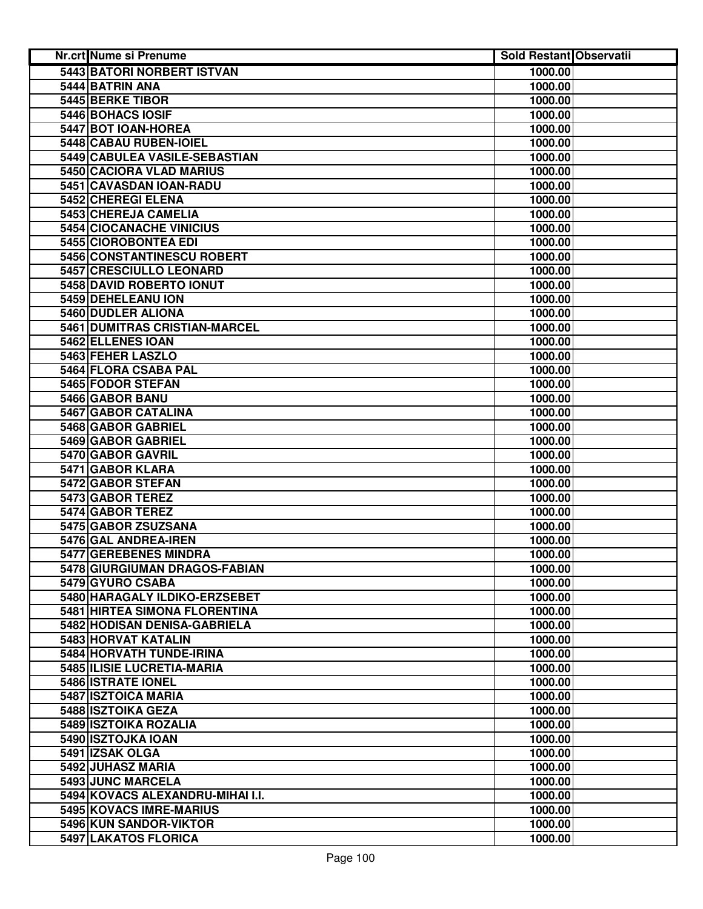| Nr.crt Nume si Prenume            | <b>Sold Restant Observatii</b> |  |
|-----------------------------------|--------------------------------|--|
| <b>5443 BATORI NORBERT ISTVAN</b> | 1000.00                        |  |
| 5444 BATRIN ANA                   | 1000.00                        |  |
| 5445 BERKE TIBOR                  | 1000.00                        |  |
| 5446 BOHACS IOSIF                 | 1000.00                        |  |
| 5447 BOT IOAN-HOREA               | 1000.00                        |  |
| 5448 CABAU RUBEN-IOIEL            | 1000.00                        |  |
| 5449 CABULEA VASILE-SEBASTIAN     | 1000.00                        |  |
| 5450 CACIORA VLAD MARIUS          | 1000.00                        |  |
| 5451 CAVASDAN IOAN-RADU           | 1000.00                        |  |
| 5452 CHEREGI ELENA                | 1000.00                        |  |
| 5453 CHEREJA CAMELIA              | 1000.00                        |  |
| 5454 CIOCANACHE VINICIUS          | 1000.00                        |  |
| 5455 CIOROBONTEA EDI              | 1000.00                        |  |
| 5456 CONSTANTINESCU ROBERT        | 1000.00                        |  |
| 5457 CRESCIULLO LEONARD           | 1000.00                        |  |
| 5458 DAVID ROBERTO IONUT          | 1000.00                        |  |
| 5459 DEHELEANU ION                | 1000.00                        |  |
| 5460 DUDLER ALIONA                | 1000.00                        |  |
| 5461 DUMITRAS CRISTIAN-MARCEL     | 1000.00                        |  |
| 5462 ELLENES IOAN                 | 1000.00                        |  |
| 5463 FEHER LASZLO                 | 1000.00                        |  |
| 5464 FLORA CSABA PAL              | 1000.00                        |  |
| 5465 FODOR STEFAN                 | 1000.00                        |  |
| 5466 GABOR BANU                   | 1000.00                        |  |
| 5467 GABOR CATALINA               | 1000.00                        |  |
| 5468 GABOR GABRIEL                | 1000.00                        |  |
| 5469 GABOR GABRIEL                | 1000.00                        |  |
| 5470 GABOR GAVRIL                 | 1000.00                        |  |
| 5471 GABOR KLARA                  | 1000.00                        |  |
| 5472 GABOR STEFAN                 | 1000.00                        |  |
| 5473 GABOR TEREZ                  | 1000.00                        |  |
| 5474 GABOR TEREZ                  | 1000.00                        |  |
| 5475 GABOR ZSUZSANA               | 1000.00                        |  |
| 5476 GAL ANDREA-IREN              | 1000.00                        |  |
| 5477 GEREBENES MINDRA             | 1000.00                        |  |
| 5478 GIURGIUMAN DRAGOS-FABIAN     | 1000.00                        |  |
| 5479 GYURO CSABA                  | 1000.00                        |  |
| 5480 HARAGALY ILDIKO-ERZSEBET     | 1000.00                        |  |
| 5481 HIRTEA SIMONA FLORENTINA     | 1000.00                        |  |
| 5482 HODISAN DENISA-GABRIELA      | 1000.00                        |  |
| 5483 HORVAT KATALIN               | 1000.00                        |  |
| 5484 HORVATH TUNDE-IRINA          | 1000.00                        |  |
| 5485 ILISIE LUCRETIA-MARIA        | 1000.00                        |  |
| 5486 ISTRATE IONEL                | 1000.00                        |  |
| 5487 ISZTOICA MARIA               | 1000.00                        |  |
| <b>5488 ISZTOIKA GEZA</b>         | 1000.00                        |  |
| 5489 ISZTOIKA ROZALIA             | 1000.00                        |  |
| 5490 ISZTOJKA IOAN                | 1000.00                        |  |
| 5491 IZSAK OLGA                   | 1000.00                        |  |
| 5492 JUHASZ MARIA                 | 1000.00                        |  |
| 5493 JUNC MARCELA                 | 1000.00                        |  |
| 5494 KOVACS ALEXANDRU-MIHAI I.I.  | 1000.00                        |  |
| 5495 KOVACS IMRE-MARIUS           | 1000.00                        |  |
| 5496 KUN SANDOR-VIKTOR            | 1000.00                        |  |
| 5497 LAKATOS FLORICA              | 1000.00                        |  |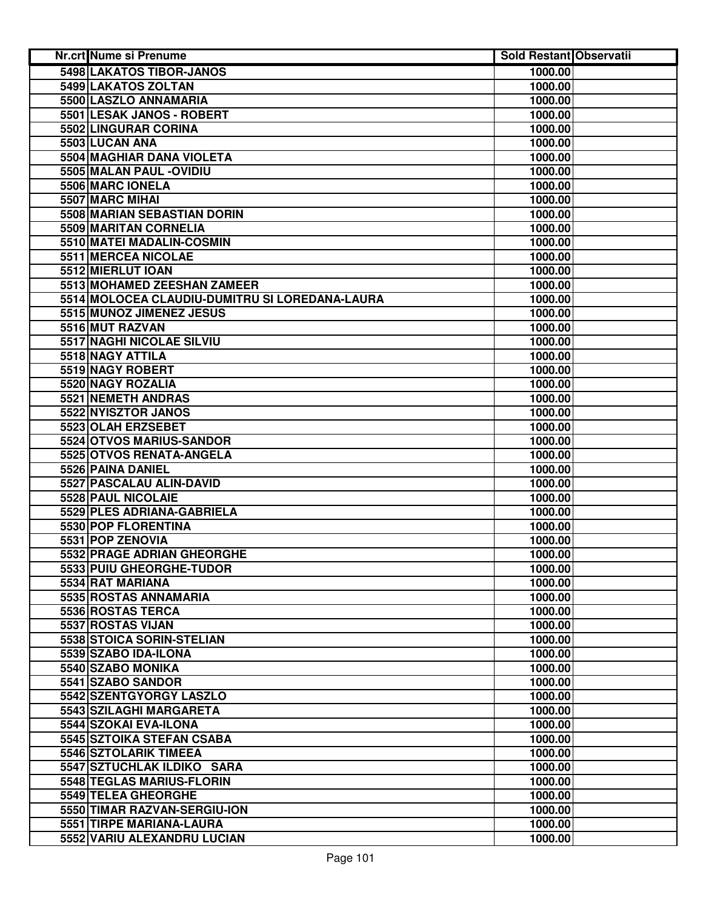| Nr.crt Nume si Prenume                         | <b>Sold Restant Observatii</b> |  |
|------------------------------------------------|--------------------------------|--|
| <b>5498 LAKATOS TIBOR-JANOS</b>                | 1000.00                        |  |
| 5499 LAKATOS ZOLTAN                            | 1000.00                        |  |
| 5500 LASZLO ANNAMARIA                          | 1000.00                        |  |
| 5501 LESAK JANOS - ROBERT                      | 1000.00                        |  |
| 5502 LINGURAR CORINA                           | 1000.00                        |  |
| 5503 LUCAN ANA                                 | 1000.00                        |  |
| 5504 MAGHIAR DANA VIOLETA                      | 1000.00                        |  |
| 5505 MALAN PAUL - OVIDIU                       | 1000.00                        |  |
| 5506 MARC IONELA                               | 1000.00                        |  |
| 5507 MARC MIHAI                                | 1000.00                        |  |
| 5508 MARIAN SEBASTIAN DORIN                    | 1000.00                        |  |
| 5509 MARITAN CORNELIA                          | 1000.00                        |  |
| 5510 MATEI MADALIN-COSMIN                      | 1000.00                        |  |
| 5511 MERCEA NICOLAE                            | 1000.00                        |  |
| 5512 MIERLUT IOAN                              | 1000.00                        |  |
| 5513 MOHAMED ZEESHAN ZAMEER                    | 1000.00                        |  |
| 5514 MOLOCEA CLAUDIU-DUMITRU SI LOREDANA-LAURA | 1000.00                        |  |
| 5515 MUNOZ JIMENEZ JESUS                       | 1000.00                        |  |
| 5516 MUT RAZVAN                                | 1000.00                        |  |
| 5517 NAGHI NICOLAE SILVIU                      | 1000.00                        |  |
| 5518 NAGY ATTILA                               | 1000.00                        |  |
| 5519 NAGY ROBERT                               | 1000.00                        |  |
| 5520 NAGY ROZALIA                              | 1000.00                        |  |
| <b>5521 NEMETH ANDRAS</b>                      | 1000.00                        |  |
| 5522 NYISZTOR JANOS                            | 1000.00                        |  |
| 5523 OLAH ERZSEBET                             | 1000.00                        |  |
| 5524 OTVOS MARIUS-SANDOR                       | 1000.00                        |  |
| 5525 OTVOS RENATA-ANGELA                       | 1000.00                        |  |
| 5526 PAINA DANIEL                              | 1000.00                        |  |
| 5527 PASCALAU ALIN-DAVID                       | 1000.00                        |  |
| 5528 PAUL NICOLAIE                             | 1000.00                        |  |
| 5529 PLES ADRIANA-GABRIELA                     | 1000.00                        |  |
| 5530 POP FLORENTINA                            | 1000.00                        |  |
| 5531 POP ZENOVIA                               | 1000.00                        |  |
| 5532 PRAGE ADRIAN GHEORGHE                     | 1000.00                        |  |
| 5533 PUIU GHEORGHE-TUDOR                       | 1000.00                        |  |
| 5534 RAT MARIANA                               | 1000.00                        |  |
| 5535 ROSTAS ANNAMARIA                          | 1000.00                        |  |
| 5536 ROSTAS TERCA                              | 1000.00                        |  |
| 5537 ROSTAS VIJAN                              | 1000.00                        |  |
| 5538 STOICA SORIN-STELIAN                      | 1000.00                        |  |
| 5539 SZABO IDA-ILONA                           | 1000.00                        |  |
| 5540 SZABO MONIKA                              | 1000.00                        |  |
| 5541 SZABO SANDOR                              | 1000.00                        |  |
| 5542 SZENTGYORGY LASZLO                        | 1000.00                        |  |
| 5543 SZILAGHI MARGARETA                        | 1000.00                        |  |
| 5544 SZOKAI EVA-ILONA                          | 1000.00                        |  |
| 5545 SZTOIKA STEFAN CSABA                      | 1000.00                        |  |
| 5546 SZTOLARIK TIMEEA                          | 1000.00                        |  |
| 5547 SZTUCHLAK ILDIKO SARA                     | 1000.00                        |  |
| 5548 TEGLAS MARIUS-FLORIN                      | 1000.00                        |  |
| 5549 TELEA GHEORGHE                            | 1000.00                        |  |
| 5550 TIMAR RAZVAN-SERGIU-ION                   | 1000.00                        |  |
| 5551 TIRPE MARIANA-LAURA                       | 1000.00                        |  |
| 5552 VARIU ALEXANDRU LUCIAN                    | 1000.00                        |  |